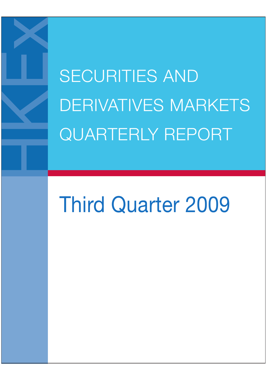SECURITIES AND DERIVATIVES MARKETS QUARTERLY REPORT

# Third Quarter 2009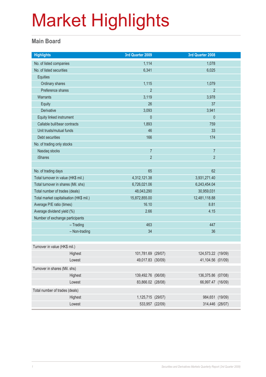#### **Main Board**

| <b>Highlights</b>                       |               | 3rd Quarter 2009   |              | 3rd Quarter 2008   |  |
|-----------------------------------------|---------------|--------------------|--------------|--------------------|--|
| No. of listed companies                 |               | 1,114              |              | 1,078              |  |
| No. of listed securities                |               | 6,341              |              | 6,025              |  |
| Equities                                |               |                    |              |                    |  |
| Ordinary shares                         |               | 1,115              |              | 1,079              |  |
| Preference shares                       |               | $\overline{2}$     |              | $\overline{2}$     |  |
| Warrants                                |               | 3,119              |              | 3,978              |  |
| <b>Equity</b>                           |               | 26                 |              | 37                 |  |
| Derivative                              |               | 3,093              |              | 3,941              |  |
| Equity linked instrument                |               | $\mathbf 0$        |              | $\theta$           |  |
| Callable bull/bear contracts            |               | 1,893              |              | 759                |  |
| Unit trusts/mutual funds                |               | 46                 |              | 33                 |  |
| Debt securities                         |               | 166                |              | 174                |  |
| No. of trading only stocks              |               |                    |              |                    |  |
| Nasdaq stocks                           |               | $\overline{7}$     |              | $\overline{7}$     |  |
| <b>iShares</b>                          |               | $\overline{2}$     |              | $\overline{2}$     |  |
|                                         |               |                    |              |                    |  |
| No. of trading days                     |               | 65                 |              | 62                 |  |
| Total turnover in value (HK\$ mil.)     |               | 4,312,121.38       |              | 3,931,271.40       |  |
| Total turnover in shares (Mil. shs)     |               | 6,726,021.06       | 6,243,454.04 |                    |  |
| Total number of trades (deals)          |               | 48,043,290         |              | 30,959,031         |  |
| Total market capitalisation (HK\$ mil.) |               | 15,872,855.00      |              | 12,481,118.88      |  |
| Average P/E ratio (times)               |               | 16.10              |              | 8.81               |  |
| Average dividend yield (%)              |               | 2.66               |              | 4.15               |  |
| Number of exchange participants         |               |                    |              |                    |  |
|                                         | $-$ Trading   | 463                |              | 447                |  |
|                                         | - Non-trading | 34                 |              | 36                 |  |
|                                         |               |                    |              |                    |  |
| Turnover in value (HK\$ mil.)           |               |                    |              |                    |  |
|                                         | Highest       | 101,781.69 (29/07) |              | 124,573.22 (19/09) |  |
|                                         | Lowest        | 49,017.83 (30/09)  |              | 41,104.56 (01/09)  |  |
| Turnover in shares (Mil. shs)           |               |                    |              |                    |  |
|                                         | Highest       | 139,492.76 (06/08) |              | 136,375.86 (07/08) |  |
|                                         | Lowest        | 83,866.02 (28/08)  |              | 66,997.47 (16/09)  |  |
| Total number of trades (deals)          |               |                    |              |                    |  |
|                                         | Highest       | 1,125,715 (29/07)  |              | 984,651 (19/09)    |  |
|                                         | Lowest        | 533,957 (22/09)    |              | 314,446 (28/07)    |  |
|                                         |               |                    |              |                    |  |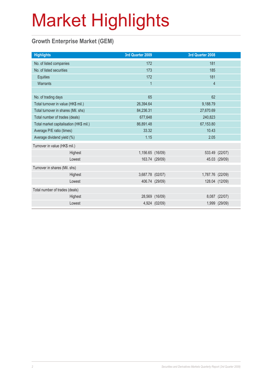### **Growth Enterprise Market (GEM)**

| <b>Highlights</b>                       |         | 3rd Quarter 2009 |                | 3rd Quarter 2008 |                |
|-----------------------------------------|---------|------------------|----------------|------------------|----------------|
| No. of listed companies                 |         | 172              |                | 181              |                |
| No. of listed securities                |         | 173              |                | 185              |                |
| Equities                                |         | 172              |                | 181              |                |
| Warrants                                |         | $\overline{1}$   |                | $\overline{4}$   |                |
|                                         |         |                  |                |                  |                |
| No. of trading days                     |         | 65               |                | 62               |                |
| Total turnover in value (HK\$ mil.)     |         | 26,394.64        |                | 9,188.79         |                |
| Total turnover in shares (Mil. shs)     |         | 84,236.31        |                | 27,670.69        |                |
| Total number of trades (deals)          |         | 677,648          |                | 240,823          |                |
| Total market capitalisation (HK\$ mil.) |         | 86,891.48        |                | 67,153.80        |                |
| Average P/E ratio (times)               |         | 33.32            |                | 10.43            |                |
| Average dividend yield (%)              |         | 1.15             |                | 2.05             |                |
| Turnover in value (HK\$ mil.)           |         |                  |                |                  |                |
|                                         | Highest | 1,156.65 (16/09) |                |                  | 533.49 (22/07) |
|                                         | Lowest  |                  | 163.74 (29/09) |                  | 45.03 (29/09)  |
| Turnover in shares (Mil. shs)           |         |                  |                |                  |                |
|                                         | Highest | 3,687.78 (02/07) |                | 1,787.76 (22/09) |                |
|                                         | Lowest  |                  | 406.74 (29/09) |                  | 128.04 (12/09) |
| Total number of trades (deals)          |         |                  |                |                  |                |
|                                         | Highest |                  | 28,569 (16/09) |                  | 8,087 (22/07)  |
|                                         | Lowest  |                  | 4,924 (02/09)  |                  | 1,999 (29/09)  |
|                                         |         |                  |                |                  |                |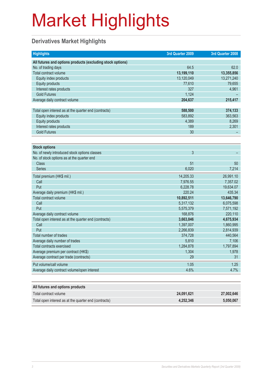### **Derivatives Market Highlights**

| <b>Highlights</b>                                          | 3rd Quarter 2009 | 3rd Quarter 2008 |
|------------------------------------------------------------|------------------|------------------|
| All futures and options products (excluding stock options) |                  |                  |
| No. of trading days                                        | 64.5             | 62.0             |
| Total contract volume                                      | 13,199,110       | 13,355,856       |
| Equity index products                                      | 13,120,049       | 13,271,240       |
| <b>Equity products</b>                                     | 77,610           | 79,655           |
| Interest rates products                                    | 327              | 4,961            |
| <b>Gold Futures</b>                                        | 1,124            |                  |
| Average daily contract volume                              | 204,637          | 215,417          |
|                                                            |                  |                  |
| Total open interest as at the quarter end (contracts)      | 588,500          | 374,133          |
| Equity index products                                      | 583.892          | 363,563          |
| <b>Equity products</b>                                     | 4,389            | 8,269            |
| Interest rates products                                    | 189              | 2,301            |
| <b>Gold Futures</b>                                        | 30               |                  |
|                                                            |                  |                  |
| <b>Stock options</b>                                       |                  |                  |
| No. of newly introduced stock options classes              | 3                |                  |
| No. of stock options as at the quarter end                 |                  |                  |
| <b>Class</b>                                               | 51               | 50               |
| <b>Series</b>                                              | 6,020            | 7,214            |
| Total premium (HK\$ mil.)                                  | 14,205.33        | 26,991.10        |
| Call                                                       | 7,976.55         | 7,357.02         |
| Put                                                        | 6,228.78         | 19,634.07        |
| Average daily premium (HK\$ mil.)                          | 220.24           | 435.34           |
| Total contract volume                                      | 10,892,511       | 13,646,790       |
| Call                                                       | 5,317,132        | 6,075,598        |
| Put                                                        | 5,575,379        | 7,571,192        |
| Average daily contract volume                              | 168,876          | 220,110          |
| Total open interest as at the quarter end (contracts)      | 3,663,846        | 4,675,934        |
| Call                                                       | 1,397,007        | 1,860,995        |
| Put                                                        | 2,266,839        | 2,814,939        |
| Total number of trades                                     | 374,728          | 440,564          |
| Average daily number of trades                             | 5,810            | 7,106            |
| Total contracts exercised                                  | 1,284,878        | 1,797,894        |
| Average premium per contract (HK\$)                        | 1,304            | 1,978            |
| Average contract per trade (contracts)                     | 29               | 31               |
| Put volume/call volume                                     | 1.05             | 1.25             |
| Average daily contract volume/open interest                | 4.6%             | 4.7%             |
|                                                            |                  |                  |

| All futures and options products                      |            |            |
|-------------------------------------------------------|------------|------------|
| Total contract volume                                 | 24.091.621 | 27,002,646 |
| Total open interest as at the quarter end (contracts) | 4.252.346  | 5.050.067  |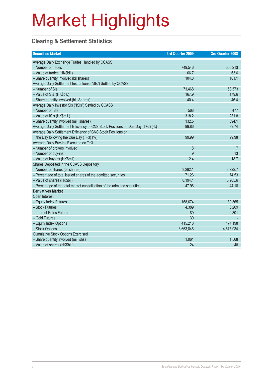### **Clearing & Settlement Statistics**

| <b>Securities Market</b>                                                        | 3rd Quarter 2009 | 3rd Quarter 2008 |
|---------------------------------------------------------------------------------|------------------|------------------|
| Average Daily Exchange Trades Handled by CCASS                                  |                  |                  |
| - Number of trades                                                              | 749,546          | 503,213          |
| - Value of trades (HK\$bil.)                                                    | 66.7             | 63.6             |
| - Share quantity Involved (bil shares)                                          | 104.8            | 101.1            |
| Average Daily Settlement Instructions ("SIs") Settled by CCASS                  |                  |                  |
| - Number of SIs                                                                 | 71,468           | 58,573           |
| - Value of SIs (HK\$bil.)                                                       | 167.9            | 179.6            |
| - Share quantity involved (bil. Shares)                                         | 40.4             | 46.4             |
| Average Daily Investor SIs ("ISIs") Settled by CCASS                            |                  |                  |
| - Number of ISIs                                                                | 568              | 477              |
| - Value of ISIs (HK\$mil.)                                                      | 318.2            | 231.8            |
| - Share quantity involved (mil. shares)                                         | 132.5            | 394.1            |
| Average Daily Settlement Efficiency of CNS Stock Positions on Due Day (T+2) (%) | 99.86            | 99.74            |
| Average Daily Settlement Efficiency of CNS Stock Positions on                   |                  |                  |
| the Day following the Due Day $(T+3)$ (%)                                       | 99.99            | 99.98            |
| Average Daily Buy-ins Executed on T+3                                           |                  |                  |
| - Number of brokers involved                                                    | 8                | $\overline{7}$   |
| - Number of buy-ins                                                             | 9                | 13               |
| - Value of buy-ins (HK\$mil)                                                    | 2.4              | 18.7             |
| Shares Deposited in the CCASS Depository                                        |                  |                  |
| - Number of shares (bil shares)                                                 | 3,282.1          | 3,722.7          |
| - Percentage of total issued shares of the admitted securities                  | 71.26            | 74.53            |
| - Value of shares (HK\$bil)                                                     | 8,194.1          | 5,905.6          |
| - Percentage of the total market capitalisation of the admitted securities      | 47.96            | 44.18            |
| <b>Derivatives Market</b>                                                       |                  |                  |
| Open Interest                                                                   |                  |                  |
| - Equity Index Futures                                                          | 168,674          | 189,365          |
| - Stock Futures                                                                 | 4,389            | 8,269            |
| - Interest Rates Futures                                                        | 189              | 2,301            |
| - Gold Futures                                                                  | 30               |                  |
| - Equity Index Options                                                          | 415,218          | 174,198          |
| - Stock Options                                                                 | 3,663,846        | 4,675,934        |
| <b>Cumulative Stock Options Exercised</b>                                       |                  |                  |
| - Share quantity involved (mil. shs)                                            | 1,061            | 1,568            |
| - Value of shares (HK\$bil.)                                                    | 24               | 48               |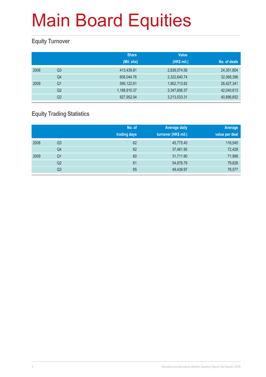### **Equity Turnover**

|      |                | <b>Share</b> | <b>Value</b> |              |
|------|----------------|--------------|--------------|--------------|
|      |                | (Mil. shs)   | (HK\$ mil.)  | No. of deals |
| 2008 | Q <sub>3</sub> | 413,439.81   | 2,838,074.56 | 24,351,804   |
|      | Q <sub>4</sub> | 608,044.76   | 2,322,640.74 | 32,068,396   |
| 2009 | Q <sub>1</sub> | 595,122.61   | 1,902,713.82 | 26,427,341   |
|      | Q <sub>2</sub> | 1,188,910.37 | 3,347,606.37 | 42,040,613   |
|      | Q3             | 927,952.04   | 3,213,533.31 | 40,896,652   |

### **Equity Trading Statistics**

|      |                | No. of<br>trading days | <b>Average daily</b><br>turnover (HK\$ mil.) | Average<br>value per deal |
|------|----------------|------------------------|----------------------------------------------|---------------------------|
| 2008 | Q3             | 62                     | 45,775.40                                    | 116,545                   |
|      | Q4             | 62                     | 37,461.95                                    | 72,428                    |
| 2009 | Q <sub>1</sub> | 60                     | 31,711.90                                    | 71,998                    |
|      | Q2             | 61                     | 54,878.79                                    | 79,628                    |
|      | Q3             | 65                     | 49,438.97                                    | 78,577                    |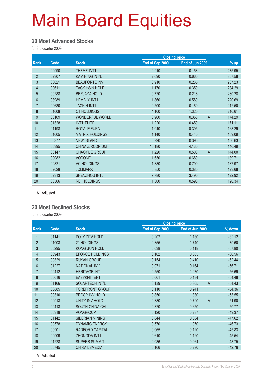#### **20 Most Advanced Stocks**

for 3rd quarter 2009

|                |       |                        | <b>Closing price</b> |                 |                          |
|----------------|-------|------------------------|----------------------|-----------------|--------------------------|
| Rank           | Code  | <b>Stock</b>           | End of Sep 2009      | End of Jun 2009 | % up                     |
| 1              | 00990 | <b>THEME INT'L</b>     | 0.910                | 0.158           | 475.95                   |
| $\overline{2}$ | 02307 | <b>KAM HING INT'L</b>  | 2.690                | 0.660           | 307.58                   |
| 3              | 00021 | <b>BEAUFORTE INV</b>   | 0.910                | 0.235           | 287.23                   |
| 4              | 00611 | <b>TACK HSIN HOLD</b>  | 1.170                | 0.350           | 234.29                   |
| $\overline{5}$ | 00288 | <b>BERJAYA HOLD</b>    | 0.720                | 0.218           | 230.28                   |
| $6\phantom{.}$ | 03989 | <b>HEMBLY INT'L</b>    | 1.860                | 0.580           | 220.69                   |
| $\overline{7}$ | 00630 | <b>JACKIN INT'L</b>    | 0.500                | 0.160           | 212.50                   |
| $\bf 8$        | 01008 | <b>CT HOLDINGS</b>     | 4.100                | 1.320           | 210.61                   |
| 9              | 00109 | <b>WONDERFUL WORLD</b> | 0.960                | 0.350           | 174.29<br>$\overline{A}$ |
| 10             | 01328 | <b>INT'L ELITE</b>     | 1.220                | 0.450           | 171.11                   |
| 11             | 01198 | <b>ROYALE FURN</b>     | 1.040                | 0.395           | 163.29                   |
| 12             | 01005 | <b>MATRIX HOLDINGS</b> | 1.140                | 0.440           | 159.09                   |
| 13             | 00377 | <b>NEW ISLAND</b>      | 0.990                | 0.395           | 150.63                   |
| 14             | 00395 | <b>CHINA ZIRCONIUM</b> | 10.180               | 4.130           | 146.49                   |
| 15             | 00147 | <b>CHAOYUE GROUP</b>   | 1.220                | 0.500           | $\overline{A}$<br>144.00 |
| 16             | 00082 | <b>VODONE</b>          | 1.630                | 0.680           | 139.71                   |
| 17             | 00821 | <b>VC HOLDINGS</b>     | 1.880                | 0.790           | 137.97                   |
| 18             | 02028 | <b>JOLIMARK</b>        | 0.850                | 0.380           | 123.68                   |
| 19             | 02313 | SHENZHOU INTL          | 7.780                | 3.490           | 122.92                   |
| 20             | 00566 | <b>RBI HOLDINGS</b>    | 1.300                | 0.590           | 120.34                   |

A Adjusted

#### **20 Most Declined Stocks**

for 3rd quarter 2009

| Code  | <b>Stock</b>           | End of Sep 2009 | End of Jun 2009         | $%$ down             |
|-------|------------------------|-----------------|-------------------------|----------------------|
| 01141 | POLY DEV HOLD          | 0.202           | 1.130                   | $-82.12$             |
| 01003 | 21 HOLDINGS            | 0.355           | 1.740                   | $-79.60$             |
| 00295 | KONG SUN HOLD          | 0.038           | 0.118                   | $-67.80$             |
| 00943 | <b>EFORCE HOLDINGS</b> | 0.102           | 0.305                   | $-66.56$             |
| 00329 | <b>RUYAN GROUP</b>     | 0.154           | 0.410                   | $-62.44$             |
| 01227 | <b>NATIONAL INV</b>    | 0.071           | 0.164                   | $-56.71$             |
| 00412 | <b>HERITAGE INT'L</b>  | 0.550           | 1.270                   | $-56.69$             |
| 00616 | <b>EASYKNIT ENT</b>    | 0.061           | 0.134                   | $-54.48$             |
| 01166 | SOLARTECH INT'L        | 0.139           | 0.305<br>$\overline{A}$ | $-54.43$             |
| 00885 | <b>FOREFRONT GROUP</b> | 0.110           | 0.241                   | $-54.36$             |
| 00310 | PROSP INV HOLD         | 0.850           | 1.830                   | $-53.55$             |
| 00913 | <b>UNITY INV HOLD</b>  | 0.380           | 0.790<br>$\overline{A}$ | $-51.90$             |
| 00413 | <b>SOUTH CHINA CHI</b> | 0.320           | 0.650                   | $-50.77$             |
| 00318 | <b>VONGROUP</b>        | 0.120           | 0.237                   | $-49.37$             |
| 01142 | <b>SIBERIAN MINING</b> | 0.044           | 0.084                   | $-47.62$             |
| 00578 | <b>DYNAMIC ENERGY</b>  | 0.570           | 1.070                   | $-46.73$             |
| 00901 | RADFORD CAPITAL        | 0.065           | 0.120                   | $-45.83$             |
| 00909 | ZHONGDA INT'L          | 0.610           | 1.120                   | $-45.54$             |
| 01228 | <b>SUPERB SUMMIT</b>   | 0.036           | 0.064                   | $-43.75$             |
| 00745 | <b>CH RAILSMEDIA</b>   | 0.166           | 0.290                   | $-42.76$             |
|       |                        |                 |                         | <b>Closing price</b> |

A Adjusted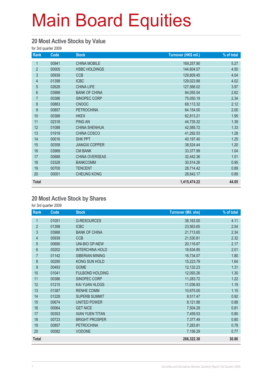#### **20 Most Active Stocks by Value**

for 3rd quarter 2009

| Rank           | Code  | <b>Stock</b>          | Turnover (HK\$ mil.) | % of total |
|----------------|-------|-----------------------|----------------------|------------|
| 1              | 00941 | <b>CHINA MOBILE</b>   | 169,257.90           | 5.27       |
| $\overline{2}$ | 00005 | <b>HSBC HOLDINGS</b>  | 144,604.07           | 4.50       |
| $\mathfrak{S}$ | 00939 | <b>CCB</b>            | 129,809.45           | 4.04       |
| 4              | 01398 | <b>ICBC</b>           | 129,023.88           | 4.02       |
| $\overline{5}$ | 02628 | <b>CHINA LIFE</b>     | 127,566.02           | 3.97       |
| $6\phantom{a}$ | 03988 | <b>BANK OF CHINA</b>  | 84,055.54            | 2.62       |
| $\overline{7}$ | 00386 | SINOPEC CORP          | 75,050.19            | 2.34       |
| 8              | 00883 | <b>CNOOC</b>          | 68,113.32            | 2.12       |
| 9              | 00857 | <b>PETROCHINA</b>     | 64,154.00            | 2.00       |
| 10             | 00388 | <b>HKEX</b>           | 62,813.21            | 1.95       |
| 11             | 02318 | <b>PING AN</b>        | 44,735.32            | 1.39       |
| 12             | 01088 | <b>CHINA SHENHUA</b>  | 42,585.72            | 1.33       |
| 13             | 01919 | CHINA COSCO           | 41,292.53            | 1.28       |
| 14             | 00016 | <b>SHK PPT</b>        | 40,197.40            | 1.25       |
| 15             | 00358 | <b>JIANGXI COPPER</b> | 38,524.44            | 1.20       |
| 16             | 03968 | <b>CM BANK</b>        | 33,377.99            | 1.04       |
| 17             | 00688 | CHINA OVERSEAS        | 32,442.36            | 1.01       |
| 18             | 03328 | <b>BANKCOMM</b>       | 30,514.26            | 0.95       |
| 19             | 00700 | <b>TENCENT</b>        | 28,714.42            | 0.89       |
| 20             | 00001 | <b>CHEUNG KONG</b>    | 28,642.17            | 0.89       |
| <b>Total</b>   |       |                       | 1,415,474.22         | 44.05      |

#### **20 Most Active Stock by Shares**

| Rank           | Code  | <b>Stock</b>           | <b>Turnover (Mil. shs)</b> | % of total |
|----------------|-------|------------------------|----------------------------|------------|
| 1              | 01051 | <b>G-RESOURCES</b>     | 38,163.00                  | 4.11       |
| $\overline{2}$ | 01398 | <b>ICBC</b>            | 23,563.65                  | 2.54       |
| 3              | 03988 | <b>BANK OF CHINA</b>   | 21,713.65                  | 2.34       |
| $\overline{4}$ | 00939 | <b>CCB</b>             | 21,530.81                  | 2.32       |
| 5              | 00690 | <b>UNI-BIO GP-NEW</b>  | 20,116.67                  | 2.17       |
| 6              | 00202 | <b>INTERCHINA HOLD</b> | 18,634.85                  | 2.01       |
| $\overline{7}$ | 01142 | SIBERIAN MINING        | 16,734.07                  | 1.80       |
| 8              | 00295 | KONG SUN HOLD          | 15,223.79                  | 1.64       |
| 9              | 00493 | <b>GOME</b>            | 12,132.23                  | 1.31       |
| 10             | 01041 | <b>FULBOND HOLDING</b> | 12,093.26                  | 1.30       |
| 11             | 00386 | SINOPEC CORP           | 11,283.72                  | 1.22       |
| 12             | 01215 | KAI YUAN HLDGS         | 11,036.93                  | 1.19       |
| 13             | 01387 | <b>RENHE COMM</b>      | 10,675.00                  | 1.15       |
| 14             | 01228 | <b>SUPERB SUMMIT</b>   | 8,517.47                   | 0.92       |
| 15             | 00674 | UNITED POWER           | 8,121.88                   | 0.88       |
| 16             | 00064 | <b>GET NICE</b>        | 7,504.29                   | 0.81       |
| 17             | 00353 | <b>XIAN YUEN TITAN</b> | 7,459.53                   | 0.80       |
| 18             | 00723 | <b>BRIGHT PROSPER</b>  | 7,377.49                   | 0.80       |
| 19             | 00857 | <b>PETROCHINA</b>      | 7,283.81                   | 0.78       |
| 20             | 00082 | <b>VODONE</b>          | 7,156.29                   | 0.77       |
| <b>Total</b>   |       |                        | 286,322.38                 | 30.86      |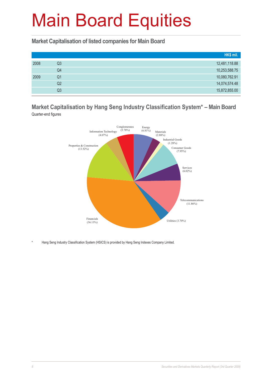**Market Capitalisation of listed companies for Main Board**

|      |    | HK\$ mil.     |
|------|----|---------------|
| 2008 | Q3 | 12,481,118.88 |
|      | Q4 | 10,253,588.75 |
| 2009 | Q1 | 10,080,762.91 |
|      | Q2 | 14,074,574.48 |
|      | Q3 | 15,872,855.00 |

#### **Market Capitalisation by Hang Seng Industry Classification System\* – Main Board** Quarter-end figures



Hang Seng Industry Classification System (HSICS) is provided by Hang Seng Indexes Company Limited.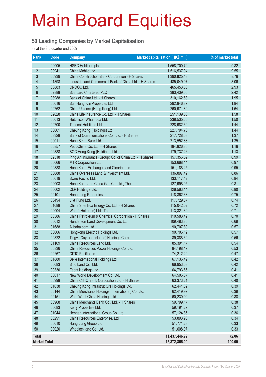#### **50 Leading Companies by Market Capitalisation**

as at the 3rd quarter end 2009

| Rank                | Code           | <b>Company</b>                                          | Market capitalisation (HK\$ mil.) | % of market total |
|---------------------|----------------|---------------------------------------------------------|-----------------------------------|-------------------|
| 1                   | 00005          | <b>HSBC Holdings plc</b>                                | 1,558,700.79                      | 9.82              |
| $\overline{2}$      | 00941          | China Mobile Ltd.                                       | 1,516,537.04                      | 9.55              |
| 3                   | 00939          | China Construction Bank Corporation - H Shares          | 1,390,825.43                      | 8.76              |
| 4                   | 01398          | Industrial and Commercial Bank of China Ltd. - H Shares | 485,049.97                        | 3.06              |
| 5                   | 00883          | CNOOC Ltd.                                              | 465,453.06                        | 2.93              |
| 6                   | 02888          | <b>Standard Chartered PLC</b>                           | 383,439.50                        | 2.42              |
| $\overline{7}$      | 03988          | Bank of China Ltd. - H Shares                           | 310,162.63                        | 1.95              |
| 8                   | 00016          | Sun Hung Kai Properties Ltd.                            | 292,846.87                        | 1.84              |
| 9                   | 00762          | China Unicom (Hong Kong) Ltd.                           | 260,971.82                        | 1.64              |
| 10                  | 02628          | China Life Insurance Co. Ltd. - H Shares                | 251,139.66                        | 1.58              |
| 11                  | 00013          | Hutchison Whampoa Ltd.                                  | 238,535.60                        | 1.50              |
| 12                  | 00700          | Tencent Holdings Ltd.                                   | 228,982.62                        | 1.44              |
| 13                  | 00001          | Cheung Kong (Holdings) Ltd.                             | 227,794.76                        | 1.44              |
| 14                  | 03328          | Bank of Communications Co., Ltd. - H Shares             | 217,728.58                        | 1.37              |
| 15                  | 00011          | Hang Seng Bank Ltd.                                     | 213,552.83                        | 1.35              |
| 16                  | 00857          | PetroChina Co. Ltd. - H Shares                          | 184,826.36                        | 1.16              |
| 17                  | 02388          | BOC Hong Kong (Holdings) Ltd.                           | 179,737.26                        | 1.13              |
| 18                  | 02318          | Ping An Insurance (Group) Co. of China Ltd. - H Shares  | 157,356.59                        | 0.99              |
| 19                  | 00066          | MTR Corporation Ltd.                                    | 153,668.14                        | 0.97              |
| 20                  | 00388          | Hong Kong Exchanges and Clearing Ltd.                   | 151,188.45                        | 0.95              |
| 21                  | 00688          | China Overseas Land & Investment Ltd.                   | 136,897.42                        | 0.86              |
| 22                  | 00019          | Swire Pacific Ltd.                                      | 133,117.42                        | 0.84              |
| 23                  | 00003          | Hong Kong and China Gas Co. Ltd., The                   | 127,998.05                        | 0.81              |
| 24                  | 00002          | CLP Holdings Ltd.                                       | 126,563.14                        | 0.80              |
| 25                  | 00101          | Hang Lung Properties Ltd.                               | 118,362.38                        | 0.75              |
| 26                  | 00494          | Li & Fung Ltd.                                          | 117,729.87                        | 0.74              |
| 27                  | 01088          | China Shenhua Energy Co. Ltd. - H Shares                | 115,042.02                        | 0.72              |
| 28                  | 00004          | Wharf (Holdings) Ltd., The                              | 113,321.39                        | 0.71              |
| 29                  | 00386          | China Petroleum & Chemical Corporation - H Shares       | 110,583.42                        | 0.70              |
| 30                  | 00012          | Henderson Land Development Co. Ltd.                     | 109,483.86                        | 0.69              |
| 31                  | 01688          | Alibaba.com Ltd.                                        | 90,707.80                         | 0.57              |
| 32                  | 00006          | Hongkong Electric Holdings Ltd.                         | 90,706.12                         | 0.57              |
| 33                  | 00322          | Tingyi (Cayman Islands) Holdings Corp.                  | 89,388.69                         | 0.56              |
| 34                  | 01109          | China Resources Land Ltd.                               | 85,391.17                         | 0.54              |
| 35                  | 00836          | China Resources Power Holdings Co. Ltd.                 | 84,198.17                         | 0.53              |
| 36                  | 00267          | CITIC Pacific Ltd.                                      | 74,212.20                         | 0.47              |
| 37                  | 01880          | Belle International Holdings Ltd.                       | 67,136.49                         | 0.42              |
| 38                  | 00083          | Sino Land Co. Ltd.                                      | 66,953.53                         | 0.42              |
| 39                  | 00330          | Esprit Holdings Ltd.                                    | 64,793.66                         | 0.41              |
| 40                  | 00017          | New World Development Co. Ltd.                          | 64,506.87                         | 0.41              |
| 41                  | 00998          | China CITIC Bank Corporation Ltd. - H Shares            | 63,373.21                         | 0.40              |
| 42                  | 01038          | Cheung Kong Infrastructure Holdings Ltd.                | 62,441.62                         | 0.39              |
| 43                  | 00144          | China Merchants Holdings (International) Co. Ltd.       | 62,419.97                         | 0.39              |
| 44                  | 00151          | Want Want China Holdings Ltd.                           | 60,230.99                         | 0.38              |
| 45                  | 03968          | China Merchants Bank Co., Ltd. - H Shares               | 59,799.17                         | 0.38              |
| 46                  | 00683          | Kerry Properties Ltd.                                   | 59,191.27                         | 0.37              |
| 47                  | 01044          | Hengan International Group Co. Ltd.                     | 57,124.85                         | 0.36              |
| 48<br>49            | 00291          | China Resources Enterprise, Ltd.                        | 53,893.96                         | 0.34              |
| 50                  | 00010<br>00020 | Hang Lung Group Ltd.<br>Wheelock and Co. Ltd.           | 51,771.28                         | 0.33              |
|                     |                |                                                         | 51,608.97                         | 0.33              |
| <b>Total</b>        |                |                                                         | 11,437,446.92                     | 72.06             |
| <b>Market Total</b> |                |                                                         | 15,872,855.00                     | 100.00            |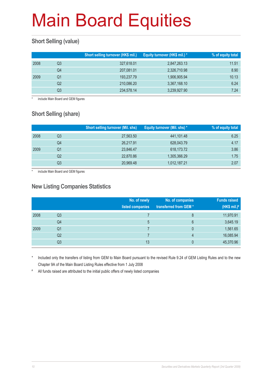### **Short Selling (value)**

|      |    | Short selling turnover (HK\$ mil.) | Equity turnover (HK\$ mil.) * | % of equity total |
|------|----|------------------------------------|-------------------------------|-------------------|
| 2008 | Q3 | 327,618.01                         | 2,847,263.13                  | 11.51             |
|      | Q4 | 207,081.01                         | 2,326,710.98                  | 8.90              |
| 2009 | Q1 | 193,237.79                         | 1,906,905.94                  | 10.13             |
|      | Q2 | 210,086.20                         | 3,367,168.10                  | 6.24              |
|      | Q3 | 234,578.14                         | 3,239,927.90                  | 7.24              |

include Main Board and GEM figures

### **Short Selling (share)**

|      |    | <b>Short selling turnover (Mil. shs)</b> | Equity turnover (Mil. shs) * | ∣% of equity total <sup>1</sup> |
|------|----|------------------------------------------|------------------------------|---------------------------------|
| 2008 | Q3 | 27,563.50                                | 441,101.48                   | 6.25                            |
|      | Q4 | 26,217.91                                | 628,043.79                   | 4.17                            |
| 2009 | Q1 | 23,846.47                                | 618,173.72                   | 3.86                            |
|      | Q2 | 22,870.86                                | 1,305,366.29                 | 1.75                            |
|      | Q3 | 20,969.48                                | 1,012,187.21                 | 2.07                            |

include Main Board and GEM figures

#### **New Listing Companies Statistics**

|      |                | No. of newly<br>listed companies | No. of companies<br>transferred from GEM* | <b>Funds raised</b><br>(HK\$ mil.) $#$ |
|------|----------------|----------------------------------|-------------------------------------------|----------------------------------------|
| 2008 | Q3             |                                  | 8                                         | 11,970.91                              |
|      | Q4             | 5                                | 6                                         | 3,645.19                               |
| 2009 | Q <sub>1</sub> |                                  | 0                                         | 1,561.65                               |
|      | Q <sub>2</sub> |                                  | 4                                         | 16,085.94                              |
|      | Q3             | 13                               |                                           | 45,370.96                              |

Included only the transfers of listing from GEM to Main Board pursuant to the revised Rule 9.24 of GEM Listing Rules and to the new Chapter 9A of the Main Board Listing Rules effective from 1 July 2008

# All funds raised are attributed to the initial public offers of newly listed companies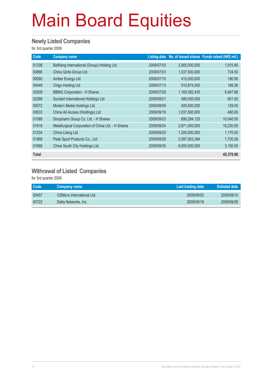#### **Newly Listed Companies**

for 3rd quarter 2009

| Code         | <b>Company name</b>                                |            |               | Listing date No. of issued shares Funds raised (HK\$ mil.) |
|--------------|----------------------------------------------------|------------|---------------|------------------------------------------------------------|
| 01338        | BaWang International (Group) Holding Ltd.          | 2009/07/03 | 2,905,000,000 | 1,915.90                                                   |
| 00866        | China Qinfa Group Ltd.                             | 2009/07/03 | 1,037,500,000 | 724.50                                                     |
| 00090        | Amber Energy Ltd.                                  | 2009/07/10 | 415,000,000   | 190.90                                                     |
| 00449        | Chigo Holding Ltd.                                 | 2009/07/13 | 510,874,000   | 189.26                                                     |
| 02009        | <b>BBMG Corporation - H Shares</b>                 | 2009/07/29 | 1,169,382,435 | 6,847.86                                                   |
| 02288        | Sundart International Holdings Ltd.                | 2009/08/21 | 480,000,000   | 601.92                                                     |
| 00072        | Modern Media Holdings Ltd.                         | 2009/09/09 | 400,000,000   | 129.00                                                     |
| 00633        | China All Access (Holdings) Ltd.                   | 2009/09/16 | 1,037,500,000 | 460.00                                                     |
| 01099        | Sinopharm Group Co. Ltd. - H Shares                | 2009/09/23 | 690,284,125   | 10,040.50                                                  |
| 01618        | Metallurgical Corporation of China Ltd. - H Shares | 2009/09/24 | 2,871,000,000 | 18,230.85                                                  |
| 01234        | China Lilang Ltd.                                  | 2009/09/25 | 1,200,000,000 | 1,170.00                                                   |
| 01968        | Peak Sport Products Co., Ltd.                      | 2009/09/29 | 2,097,903,394 | 1,720.28                                                   |
| 01668        | China South City Holdings Ltd.                     | 2009/09/30 | 6,000,000,000 | 3,150.00                                                   |
| <b>Total</b> |                                                    |            |               | 45,370.96                                                  |

#### **Withrawal of Listed Companies**

| <b>Code</b> | Company name               | Last trading date | Delisted date |
|-------------|----------------------------|-------------------|---------------|
| 00457       | O2Micro International Ltd. | 2009/09/02        | 2009/09/10    |
| 00722       | Delta Networks, Inc.       | 2009/09/18        | 2009/09/28    |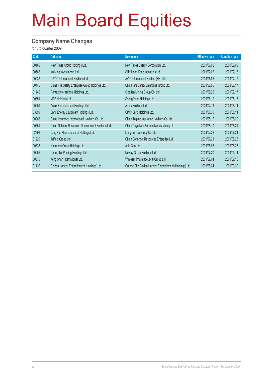#### **Company Name Changes**

| Code  | Old name                                           | New name                                                | <b>Effective date</b> | <b>Adoption date</b> |
|-------|----------------------------------------------------|---------------------------------------------------------|-----------------------|----------------------|
| 00166 | New Times Group Holdings Ltd.                      | New Times Energy Corporation Ltd.                       | 2009/06/02            | 2009/07/09           |
| 00666 | Yu Ming Investments Ltd.                           | SHK Hong Kong Industries Ltd.                           | 2009/07/02            | 2009/07/13           |
| 00232 | CATIC International Holdings Ltd.                  | AVIC International Holding (HK) Ltd.                    | 2009/06/05            | 2009/07/17           |
| 00445 | China Fire Safety Enterprise Group Holdings Ltd.   | China Fire Safety Enterprise Group Ltd.                 | 2009/06/05            | 2009/07/17           |
| 01142 | Rontex International Holdings Ltd.                 | Siberian Mining Group Co. Ltd.                          | 2009/05/26            | 2009/07/17           |
| 00851 | MAE Holdings Ltd.                                  | Sheng Yuan Holdings Ltd.                                | 2009/06/10            | 2009/08/13           |
| 00959 | Amax Entertainment Holdings Ltd.                   | Amax Holdings Ltd.                                      | 2009/07/13            | 2009/08/14           |
| 03899 | Enric Energy Equipment Holdings Ltd.               | CIMC Enric Holdings Ltd.                                | 2009/06/30            | 2009/08/14           |
| 00966 | China Insurance International Holdings Co. Ltd.    | China Taiping Insurance Holdings Co. Ltd.               | 2009/08/12            | 2009/08/20           |
| 00661 | China National Resources Development Holdings Ltd. | China Daye Non-Ferrous Metals Mining Ltd.               | 2009/08/10            | 2009/08/21           |
| 02898 | Long Far Pharmaceutical Holdings Ltd.              | Longrun Tea Group Co. Ltd.                              | 2009/07/22            | 2009/08/24           |
| 01229 | Artfield Group Ltd.                                | China Sonangol Resources Enterprise Ltd.                | 2009/07/21            | 2009/08/25           |
| 00835 | Nubrands Group Holdings Ltd.                       | Asia Coal Ltd.                                          | 2009/08/05            | 2009/08/26           |
| 00055 | Chung Tai Printing Holdings Ltd.                   | Neway Group Holdings Ltd.                               | 2009/07/20            | 2009/09/14           |
| 00570 | Wing Shan International Ltd.                       | Winteam Pharmaceutical Group Ltd.                       | 2009/09/04            | 2009/09/16           |
| 01132 | Golden Harvest Entertainment (Holdings) Ltd.       | Orange Sky Golden Harvest Entertainment (Holdings) Ltd. | 2009/08/24            | 2009/09/30           |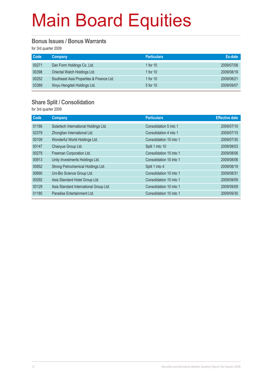#### **Bonus Issues / Bonus Warrants**

for 3rd quarter 2009

| <b>Code</b> | <b>Company</b>                           | <b>Particulars</b> | Ex-date    |
|-------------|------------------------------------------|--------------------|------------|
| 00271       | Dan Form Holdings Co. Ltd.               | 1 for $10$         | 2009/07/08 |
| 00398       | Oriental Watch Holdings Ltd.             | 1 for $10$         | 2009/08/19 |
| 00252       | Southeast Asia Properties & Finance Ltd. | 1 for $10$         | 2009/08/21 |
| 03389       | Xinyu Hengdeli Holdings Ltd.             | 5 for 10           | 2009/09/07 |

#### **Share Split / Consolidation**

| Code  | Company                                | <b>Particulars</b>      | <b>Effective date</b> |
|-------|----------------------------------------|-------------------------|-----------------------|
| 01166 | Solartech International Holdings Ltd.  | Consolidation 5 into 1  | 2009/07/10            |
| 02379 | Zhongtian International Ltd.           | Consolidation 4 into 1  | 2009/07/15            |
| 00109 | Wonderful World Holdings Ltd.          | Consolidation 10 into 1 | 2009/07/30            |
| 00147 | Chaoyue Group Ltd.                     | Split 1 into 10         | 2009/08/03            |
| 00279 | Freeman Corporation Ltd.               | Consolidation 10 into 1 | 2009/08/06            |
| 00913 | Unity Investments Holdings Ltd.        | Consolidation 10 into 1 | 2009/08/06            |
| 00852 | Strong Petrochemical Holdings Ltd.     | Split 1 into 4          | 2009/08/19            |
| 00690 | Uni-Bio Science Group Ltd.             | Consolidation 10 into 1 | 2009/08/31            |
| 00292 | Asia Standard Hotel Group Ltd.         | Consolidation 10 into 1 | 2009/09/09            |
| 00129 | Asia Standard International Group Ltd. | Consolidation 10 into 1 | 2009/09/09            |
| 01180 | Paradise Entertainment Ltd.            | Consolidation 10 into 1 | 2009/09/30            |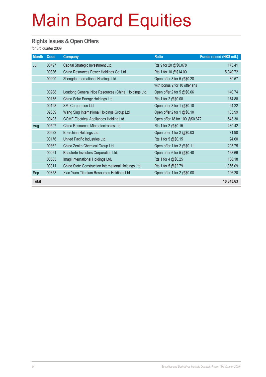#### **Rights Issues & Open Offers**

| <b>Month</b> | Code  | <b>Company</b>                                       | <b>Ratio</b>                   | Funds raised (HK\$ mil.) |
|--------------|-------|------------------------------------------------------|--------------------------------|--------------------------|
| Jul          | 00497 | Capital Strategic Investment Ltd.                    | Rts 9 for 20 @\$0.078          | 173.41                   |
|              | 00836 | China Resources Power Holdings Co. Ltd.              | Rts 1 for 10 @\$14.00          | 5,940.72                 |
|              | 00909 | Zhongda International Holdings Ltd.                  | Open offer 3 for 5 @\$0.28     | 89.57                    |
|              |       |                                                      | with bonus 2 for 10 offer shs  |                          |
|              | 00988 | Loudong General Nice Resources (China) Holdings Ltd. | Open offer 2 for 5 @\$0.66     | 140.74                   |
|              | 00155 | China Solar Energy Holdings Ltd.                     | Rts 1 for 2 @\$0.08            | 174.88                   |
|              | 00198 | SMI Corporation Ltd.                                 | Open offer 3 for 1 @\$0.10     | 94.22                    |
|              | 02389 | Wang Sing International Holdings Group Ltd.          | Open offer 2 for 1 @\$0.10     | 105.99                   |
|              | 00493 | GOME Electrical Appliances Holding Ltd.              | Open offer 18 for 100 @\$0.672 | 1,543.30                 |
| Aug          | 00597 | China Resources Microelectronics Ltd.                | Rts 1 for 2 @\$0.15            | 439.42                   |
|              | 00622 | Enerchina Holdings Ltd.                              | Open offer 1 for 2 @\$0.03     | 71.90                    |
|              | 00176 | United Pacific Industries Ltd.                       | Rts 1 for 5 @\$0.15            | 24.60                    |
|              | 00362 | China Zenith Chemical Group Ltd.                     | Open offer 1 for 2 @\$0.11     | 205.75                   |
|              | 00021 | Beauforte Investors Corporation Ltd.                 | Open offer 6 for 5 @\$0.40     | 168.66                   |
|              | 00585 | Imagi International Holdings Ltd.                    | Rts 1 for 4 @\$0.25            | 108.18                   |
|              | 03311 | China State Construction International Holdings Ltd. | Rts 1 for 5 @\$2.79            | 1,366.09                 |
| Sep          | 00353 | Xian Yuen Titanium Resources Holdings Ltd.           | Open offer 1 for 2 @\$0.08     | 196.20                   |
| <b>Total</b> |       |                                                      |                                | 10,843.63                |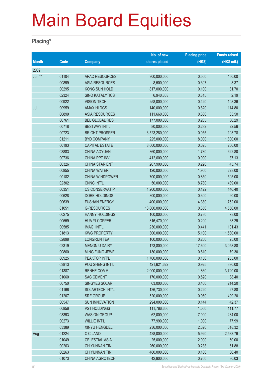#### **Placing\***

|              |                |                        | No. of new     | <b>Placing price</b> | <b>Funds raised</b> |
|--------------|----------------|------------------------|----------------|----------------------|---------------------|
| <b>Month</b> | Code           | <b>Company</b>         | shares placed  | (HK\$)               | (HK\$ mil.)         |
| 2009         |                |                        |                |                      |                     |
| Jun **       | 01104          | <b>APAC RESOURCES</b>  | 900,000,000    | 0.500                | 450.00              |
|              | 00899          | <b>ASIA RESOURCES</b>  | 8,500,000      | 0.397                | 3.37                |
|              | 00295          | KONG SUN HOLD          | 817,000,000    | 0.100                | 81.70               |
|              | 02324          | <b>SINO KATALYTICS</b> | 6,940,363      | 0.315                | 2.19                |
|              | 00922          | <b>VISION TECH</b>     | 258,000,000    | 0.420                | 108.36              |
| Jul          | 00959          | <b>AMAX HLDGS</b>      | 140,000,000    | 0.820                | 114.80              |
|              | 00899          | <b>ASIA RESOURCES</b>  | 111,660,000    | 0.300                | 33.50               |
|              | 00761          | <b>BEL GLOBAL RES</b>  | 177,000,000    | 0.205                | 36.29               |
|              | 00718          | <b>BESTWAY INT'L</b>   | 80,000,000     | 0.282                | 22.56               |
|              | 00723          | <b>BRIGHT PROSPER</b>  | 3,523,280,000  | 0.055                | 193.78              |
|              | 01211          | <b>BYD COMPANY</b>     | 225,000,000    | 8.000                | 1,800.00            |
|              | 00193          | <b>CAPITAL ESTATE</b>  | 8,000,000,000  | 0.025                | 200.00              |
|              | 03883          | <b>CHINA AOYUAN</b>    | 360,000,000    | 1.730                | 622.80              |
|              | 00736          | <b>CHINA PPT INV</b>   | 412,600,000    | 0.090                | 37.13               |
|              | 00326          | <b>CHINA STAR ENT</b>  | 207,900,000    | 0.220                | 45.74               |
|              | 00855          | <b>CHINA WATER</b>     | 120,000,000    | 1.900                | 228.00              |
|              | 00182          | <b>CHINA WINDPOWER</b> | 700,000,000    | 0.850                | 595.00              |
|              | 02302          | <b>CNNC INT'L</b>      | 50,000,000     | 8.780                | 439.00              |
|              | 00351          | <b>CS CONSERVAT P</b>  | 1,200,000,000  | 0.122                | 146.40              |
|              | 00628          | DORE HOLDINGS          | 300,000,000    | 0.300                | 90.00               |
|              | 00639          | <b>FUSHAN ENERGY</b>   | 400,000,000    | 4.380                | 1,752.00            |
|              | 01051          | <b>G-RESOURCES</b>     | 13,000,000,000 | 0.350                | 4,550.00            |
|              | 00275          | <b>HANNY HOLDINGS</b>  | 100,000,000    | 0.780                | 78.00               |
|              | 00559          | <b>HUA YI COPPER</b>   | 316,470,000    | 0.200                | 63.29               |
|              | 00585          | <b>IMAGI INT'L</b>     | 230,000,000    | 0.441                | 101.43              |
|              | 01813          | <b>KWG PROPERTY</b>    | 300,000,000    | 5.100                | 1,530.00            |
|              | 02898          | <b>LONGRUN TEA</b>     | 100,000,000    | 0.250                | 25.00               |
|              | 02319          | <b>MENGNIU DAIRY</b>   | 173,800,000    | 17.600               | 3,058.88            |
|              | 00860          | MING FUNG JEWEL        | 130,000,000    | 0.610                | 79.30               |
|              | 00925          | PEAKTOP INT'L          | 1,700,000,000  | 0.150                | 255.00              |
|              | 03813          | POU SHENG INT'L        | 421,621,622    | 0.925                | 390.00              |
|              | 01387          | <b>RENHE COMM</b>      | 2,000,000,000  | 1.860                | 3,720.00            |
|              | 01060          | <b>SAC CEMENT</b>      | 170,000,000    | 0.520                | 88.40               |
|              | 00750          | SINGYES SOLAR          | 63,000,000     | 3.400                | 214.20              |
|              | 01166          | SOLARTECH INT'L        | 126,730,000    | 0.220                | 27.88               |
|              | 01207          | <b>SRE GROUP</b>       | 520,000,000    | 0.960                | 499.20              |
|              | 00547          | <b>SUN INNOVATION</b>  | 294,000,000    | 0.144                | 42.37               |
|              | 00856          | <b>VST HOLDINGS</b>    | 111,766,666    | 1.000                | 111.77              |
|              | 03393          | <b>WASION GROUP</b>    | 62,000,000     | 7.000                | 434.00              |
|              | 00273          | <b>WILLIE INT'L</b>    | 77,990,000     | 1.000                | 77.99               |
|              | 03389          | XINYU HENGDELI         | 236,000,000    | 2.620                | 618.32              |
| Aug          | 01224          | C C LAND               | 428,000,000    | 5.920                | 2,533.76            |
|              | 01049          | <b>CELESTIAL ASIA</b>  | 25,000,000     | 2.000                | 50.00               |
|              | 00263          | CH YUNNAN TIN          | 260,000,000    | 0.238                | 61.88               |
|              | 00263<br>01073 | CH YUNNAN TIN          | 480,000,000    | 0.180                | 86.40<br>30.03      |
|              |                | <b>CHINA AGROTECH</b>  | 42,900,000     | 0.700                |                     |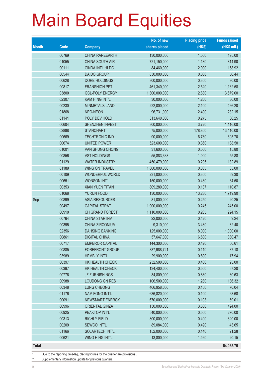|              |             |                        | No. of new    | <b>Placing price</b> | <b>Funds raised</b> |
|--------------|-------------|------------------------|---------------|----------------------|---------------------|
| <b>Month</b> | <b>Code</b> | <b>Company</b>         | shares placed | (HK\$)               | $(HK$$ mil.)        |
|              | 00769       | <b>CHINA RAREEARTH</b> | 130,000,000   | 1.500                | 195.00              |
|              | 01055       | CHINA SOUTH AIR        | 721,150,000   | 1.130                | 814.90              |
|              | 00111       | <b>CINDA INTL HLDG</b> | 84,460,000    | 2.000                | 168.92              |
|              | 00544       | <b>DAIDO GROUP</b>     | 830,000,000   | 0.068                | 56.44               |
|              | 00628       | DORE HOLDINGS          | 300,000,000   | 0.300                | 90.00               |
|              | 00817       | <b>FRANSHION PPT</b>   | 461,340,000   | 2.520                | 1,162.58            |
|              | 03800       | <b>GCL-POLY ENERGY</b> | 1,300,000,000 | 2.830                | 3,679.00            |
|              | 02307       | <b>KAM HING INT'L</b>  | 30,000,000    | 1.200                | 36.00               |
|              | 00230       | MINMETALS LAND         | 222,000,000   | 2.100                | 466.20              |
|              | 01868       | NEO-NEON               | 96,731,000    | 2.400                | 232.15              |
|              | 01141       | POLY DEV HOLD          | 313,640,000   | 0.275                | 86.25               |
|              | 00604       | SHENZHEN INVEST        | 300,000,000   | 3.720                | 1,116.00            |
|              | 02888       | <b>STANCHART</b>       | 75,000,000    | 178.800              | 13,410.00           |
|              | 00669       | <b>TECHTRONIC IND</b>  | 90,000,000    | 6.730                | 605.70              |
|              | 00674       | <b>UNITED POWER</b>    | 523,600,000   | 0.360                | 188.50              |
|              | 01001       | <b>VAN SHUNG CHONG</b> | 31,600,000    | 0.500                | 15.80               |
|              | 00856       | <b>VST HOLDINGS</b>    | 55,883,333    | 1.000                | 55.88               |
|              | 01129       | <b>WATER INDUSTRY</b>  | 450,479,000   | 0.295                | 132.89              |
|              | 01189       | <b>WING ON TRAVEL</b>  | 1,800,000,000 | 0.035                | 63.00               |
|              | 00109       | WONDERFUL WORLD        | 231,000,000   | 0.300                | 69.30               |
|              | 00651       | <b>WONSON INT'L</b>    | 150,000,000   | 0.430                | 64.50               |
|              | 00353       | <b>XIAN YUEN TITAN</b> | 809,280,000   | 0.137                | 110.87              |
|              | 01068       | YURUN FOOD             | 130,000,000   | 13.230               | 1,719.90            |
| Sep          | 00899       | <b>ASIA RESOURCES</b>  | 81,000,000    | 0.250                | 20.25               |
|              | 00497       | <b>CAPITAL STRAT</b>   | 1,000,000,000 | 0.245                | 245.00              |
|              | 00910       | CH GRAND FOREST        | 1,110,000,000 | 0.265                | 294.15              |
|              | 00764       | CHINA STAR INV         | 22,000,000    | 0.420                | 9.24                |
|              | 00395       | CHINA ZIRCONIUM        | 9,310,000     | 3.480                | 32.40               |
|              | 02356       | <b>DAHSING BANKING</b> | 125,000,000   | 8.000                | 1,000.00            |
|              | 00861       | <b>DIGITAL CHINA</b>   | 57,647,000    | 6.600                | 380.47              |
|              | 00717       | <b>EMPEROR CAPITAL</b> | 144,300,000   | 0.420                | 60.61               |
|              | 00885       | <b>FOREFRONT GROUP</b> | 337,988,721   | 0.110                | 37.18               |
|              | 03989       | <b>HEMBLY INT'L</b>    | 29,900,000    | 0.600                | 17.94               |
|              | 00397       | HK HEALTH CHECK        | 232,500,000   | 0.400                | 93.00               |
|              | 00397       | HK HEALTH CHECK        | 134,400,000   | 0.500                | 67.20               |
|              | 00776       | <b>JF FURNISHINGS</b>  | 34,809,000    | 0.880                | 30.63               |
|              | 00988       | LOUDONG GN RES         | 106,500,000   | 1.280                | 136.32              |
|              | 00348       | LUNG CHEONG            | 466,958,000   | 0.150                | 70.04               |
|              | 01176       | <b>NAM FONG INT'L</b>  | 636,820,000   | 0.100                | 63.68               |
|              | 00091       | NEWSMART ENERGY        | 670,000,000   | 0.103                | 69.01               |
|              | 00996       | <b>ORIENTAL GINZA</b>  | 130,000,000   | 3.800                | 494.00              |
|              | 00925       | PEAKTOP INT'L          | 540,000,000   | 0.500                | 270.00              |
|              | 00313       | <b>RICHLY FIELD</b>    | 800,000,000   | 0.400                | 320.00              |
|              | 00209       | SEWCO INT'L            | 89,084,000    | 0.490                | 43.65               |
|              | 01166       | SOLARTECH INT'L        | 152,000,000   | 0.140                | 21.28               |
|              | 00621       | WING HING INT'L        | 13,800,000    | 1.460                | 20.15               |
| <b>Total</b> |             |                        |               |                      | 54,065.70           |

Due to the reporting time-lag, placing figures for the quarter are provisional.

\*\* Supplementary information update for previous quarters.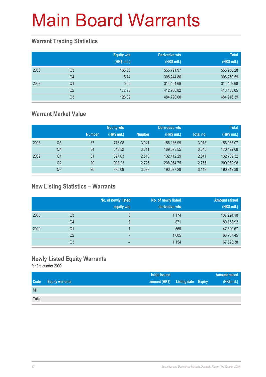### **Warrant Trading Statistics**

|      |                | <b>Equity wts</b><br>(HK\$ mil.) | <b>Derivative wts</b><br>(HK\$ mil.) | <b>Total</b><br>(HK\$ mil.) |
|------|----------------|----------------------------------|--------------------------------------|-----------------------------|
| 2008 | Q <sub>3</sub> | 166.30                           | 555,791.97                           | 555,958.28                  |
|      | Q4             | 5.74                             | 308,244.86                           | 308,250.59                  |
| 2009 | Q1             | 5.00                             | 314,404.68                           | 314,409.68                  |
|      | Q <sub>2</sub> | 172.23                           | 412,980.82                           | 413,153.05                  |
|      | Q <sub>3</sub> | 126.39                           | 484,790.00                           | 484,916.39                  |

### **Warrant Market Value**

|      |                |               | <b>Equity wts</b> |               | <b>Derivative wts</b> |           | <b>Total</b> |
|------|----------------|---------------|-------------------|---------------|-----------------------|-----------|--------------|
|      |                | <b>Number</b> | (HK\$ mil.)       | <b>Number</b> | (HK\$ mil.)           | Total no. | (HK\$ mil.)  |
| 2008 | Q <sub>3</sub> | 37            | 776.08            | 3.941         | 156,186,99            | 3.978     | 156,963.07   |
|      | Q <sub>4</sub> | 34            | 548.52            | 3.011         | 169,573.55            | 3,045     | 170,122.08   |
| 2009 | Q1             | 31            | 327.03            | 2,510         | 132,412.29            | 2.541     | 132,739.32   |
|      | Q <sub>2</sub> | 30            | 998.23            | 2,726         | 208,964.75            | 2,756     | 209,962.98   |
|      | Q3             | 26            | 835.09            | 3.093         | 190,077.28            | 3.119     | 190,912.38   |

### **New Listing Statistics – Warrants**

|      |                | No. of newly listed<br>equity wts | No. of newly listed<br>derivative wts | <b>Amount raised</b><br>(HK\$ mil.) |
|------|----------------|-----------------------------------|---------------------------------------|-------------------------------------|
| 2008 | Q <sub>3</sub> | 6                                 | 1,174                                 | 107,224.10                          |
|      | Q4             | 3                                 | 871                                   | 80,858.92                           |
| 2009 | Q1             |                                   | 569                                   | 47,600.67                           |
|      | Q <sub>2</sub> |                                   | 1,005                                 | 68,757.45                           |
|      | Q <sub>3</sub> | -                                 | 1,154                                 | 67,523.38                           |

### **Newly Listed Equity Warrants**

|       |                        | <b>Initial issued</b> |                                   | <b>Amount raised</b> |
|-------|------------------------|-----------------------|-----------------------------------|----------------------|
| Code  | <b>Equity warrants</b> |                       | amount (HK\$) Listing date Expiry | (HK\$ mil.)          |
| Nil   |                        |                       |                                   |                      |
| Total |                        |                       |                                   |                      |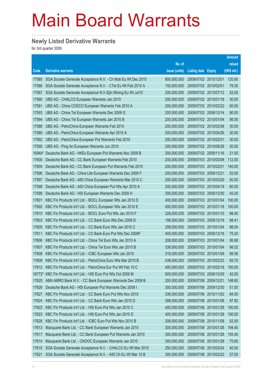#### **Newly Listed Derivative Warrants**

|        |                                                              |               |                            |                       | <b>Amount</b> |
|--------|--------------------------------------------------------------|---------------|----------------------------|-----------------------|---------------|
|        |                                                              | No. of        |                            |                       | raised        |
| Code   | <b>Derivative warrants</b>                                   | issue (units) | <b>Listing date Expiry</b> |                       | (HK\$ mil.)   |
| 17585  | SGA Societe Generale Acceptance N.V. - Ch Mob Eu Wt Dec 2010 | 800,000,000   | 2009/07/02 2010/12/01      |                       | 120.80        |
| 17586  | SGA Societe Generale Acceptance N.V. - CTel Eu Wt Feb 2010 A | 150,000,000   | 2009/07/02 2010/02/01      |                       | 78.00         |
| 17587  | SGA Societe Generale Acceptance N.V-Zijin Mining Eu Wt Jul10 | 200,000,000   |                            | 2009/07/02 2010/07/12 | 52.00         |
| 17590  | UBS AG - CHALCO European Warrants Jan 2010                   | 200,000,000   | 2009/07/02 2010/01/18      |                       | 30.00         |
| 17591  | UBS AG - China COSCO European Warrants Feb 2010 A            | 200,000,000   |                            | 2009/07/02 2010/02/22 | 50.00         |
| 17593  | UBS AG - China Tel European Warrants Dec 2009 G              | 200,000,000   |                            | 2009/07/02 2009/12/14 | 90.00         |
| 17594  | UBS AG - China Tel European Warrants Jan 2010 B              | 200,000,000   |                            | 2009/07/02 2010/01/04 | 56.00         |
| 17588  | UBS AG - PetroChina European Warrants Feb 2010               | 200,000,000   | 2009/07/02 2010/02/08      |                       | 30.00         |
| 17589  | UBS AG - PetroChina European Warrants Apr 2010 A             | 200,000,000   |                            | 2009/07/02 2010/04/26 | 30.00         |
| 17592  | UBS AG - PetroChina European Put Warrants Feb 2010           | 200,000,000   | 2009/07/02 2010/02/01      |                       | 30.00         |
| 17595  | UBS AG - Ping An European Warrants Jun 2010                  | 200,000,000   |                            | 2009/07/02 2010/06/28 | 30.00         |
| 16944# | Deutsche Bank AG - HKEx European Put Warrants Nov 2009 B     | 200,000,000   | 2009/07/02 2009/11/16      |                       | 21.00         |
| 17600  | Deutsche Bank AG - CC Bank European Warrants Feb 2010        | 200,000,000   |                            | 2009/07/03 2010/02/08 | 112.00        |
| 17604  | Deutsche Bank AG - CC Bank European Put Warrants Feb 2010    | 200,000,000   | 2009/07/03 2010/02/01      |                       | 140.00        |
| 17596  | Deutsche Bank AG - China Life European Warrants Dec 2009 F   | 200,000,000   | 2009/07/03 2009/12/21      |                       | 52.00         |
| 17597  | Deutsche Bank AG - A50 China European Warrants Mar 2010 C    | 200,000,000   | 2009/07/03 2010/03/29      |                       | 50.00         |
| 17598  | Deutsche Bank AG - A50 China European Put Wts Apr 2010 A     | 200,000,000   |                            | 2009/07/03 2010/04/19 | 60.00         |
| 17599  | Deutsche Bank AG - HSI European Warrants Dec 2009 H          | 300,000,000   |                            | 2009/07/03 2009/12/30 | 45.00         |
| 17601  | KBC Fin Products Int'l Ltd. - BOCL European Wts Jan 2010 D   | 400,000,000   |                            | 2009/07/03 2010/01/04 | 100.00        |
| 17602  | KBC Fin Products Int'l Ltd. - BOCL European Wts Jan 2010 E   | 400,000,000   | 2009/07/03                 | 2010/01/18            | 100.00        |
| 17610  | KBC Fin Products Int'l Ltd. - BOCL Euro Put Wts Jan 2010 F   | 328,000,000   |                            | 2009/07/03 2010/01/15 | 98.40         |
| 17603  | KBC Fin Products Int'l Ltd. - CC Bank Euro Wts Dec 2009 D    | 198,000,000   |                            | 2009/07/03 2009/12/16 | 98.41         |
| 17605  | KBC Fin Products Int'l Ltd. - CC Bank Euro Wts Jan 2010 C    | 258,000,000   |                            | 2009/07/03 2010/01/04 | 98.04         |
| 17611  | KBC Fin Products Int'l Ltd. - CC Bank Euro Put Wts Dec 2009F | 400,000,000   | 2009/07/03                 | 2009/12/18            | 75.20         |
| 17606  | KBC Fin Products Int'l Ltd. - China Tel Euro Wts Jan 2010 A  | 208,000,000   | 2009/07/03 2010/01/04      |                       | 95.68         |
| 17607  | KBC Fin Products Int'l Ltd. - China Tel Euro Wts Jan 2010 B  | 338,000,000   | 2009/07/03                 | 2010/01/04            | 98.02         |
| 17608  | KBC Fin Products Int'l Ltd. - ICBC European Wts Jan 2010     | 318,000,000   | 2009/07/03                 | 2010/01/08            | 98.58         |
| 17609  | KBC Fin Products Int'l Ltd. - PetroChina Euro Wts Mar 2010 B | 438,000,000   | 2009/07/03                 | 2010/03/23            | 65.70         |
| 17612  | KBC Fin Products Int'l Ltd. - PetroChina Eur Put Wt Feb 10 C | 400,000,000   |                            | 2009/07/03 2010/02/18 | 100.00        |
| 16772# | KBC Fin Products Int'l Ltd. - HSI Euro Put Wts Oct 2009 M    | 600,000,000   | 2009/07/03 2009/10/29      |                       | 42.00         |
| 17625  | ABN AMRO Bank N.V. - CC Bank European Warrants Dec 2009 B    | 200,000,000   | 2009/07/06 2009/12/21      |                       | 148.60        |
| 17626  | Deutsche Bank AG - HSI European Put Warrants Dec 2009 I      | 300,000,000   |                            | 2009/07/06 2009/12/30 | 51.00         |
| 17627  | KBC Fin Products Int'l Ltd. - CC Bank Euro Put Wts Nov 2010  | 338,000,000   | 2009/07/06                 | 2010/11/02            | 84.50         |
| 17624  | KBC Fin Products Int'l Ltd. - CC Bank Euro Wts Jan 2010 D    | 288,000,000   | 2009/07/06                 | 2010/01/08            | 97.92         |
| 17622  | KBC Fin Products Int'l Ltd. - HSI Euro Put Wts Jan 2010 C    | 400,000,000   | 2009/07/06                 | 2010/01/28            | 100.00        |
| 17623  | KBC Fin Products Int'l Ltd. - HSI Euro Put Wts Jan 2010 D    | 400,000,000   | 2009/07/06 2010/01/28      |                       | 100.00        |
| 17628  | KBC Fin Products Int'l Ltd. - ICBC Euro Put Wts Nov 2010 B   | 208,000,000   | 2009/07/06 2010/11/08      |                       | 52.00         |
| 17613  | Macquarie Bank Ltd. - CC Bank European Warrants Jan 2010     | 300,000,000   | 2009/07/06                 | 2010/01/28            | 194.40        |
| 17617  | Macquarie Bank Ltd. - CC Bank European Put Warrants Jan 2010 | 300,000,000   | 2009/07/06                 | 2010/01/28            | 155.40        |
| 17614  | Macquarie Bank Ltd. - CNOOC European Warrants Jan 2010       | 300,000,000   | 2009/07/06 2010/01/28      |                       | 75.60         |
| 17615  | SGA Societe Generale Acceptance N.V. - CHALCO Eu Wt Mar 2010 | 250,000,000   | 2009/07/06                 | 2010/03/24            | 40.00         |
| 17621  | SGA Societe Generale Acceptance N.V. - A50 Ch Eu Wt Mar 10 B | 300,000,000   | 2009/07/06 2010/03/22      |                       | 57.00         |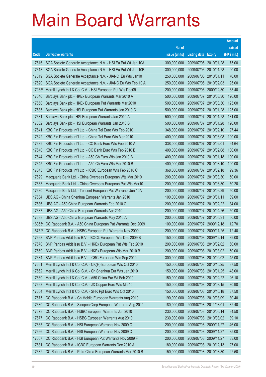|                 |                                                                                                                |                            |                                                |                       | <b>Amount</b>  |
|-----------------|----------------------------------------------------------------------------------------------------------------|----------------------------|------------------------------------------------|-----------------------|----------------|
|                 |                                                                                                                | No. of                     |                                                |                       | raised         |
| Code            | <b>Derivative warrants</b>                                                                                     | issue (units)              | <b>Listing date Expiry</b>                     |                       | (HK\$ mil.)    |
| 17616           | SGA Societe Generale Acceptance N.V. - HSI Eu Put Wt Jan 10A                                                   | 300,000,000                | 2009/07/06 2010/01/28                          |                       | 75.00          |
| 17618           | SGA Societe Generale Acceptance N.V. - HSI Eu Put Wt Jan 10B                                                   | 300,000,000                |                                                | 2009/07/06 2010/01/28 | 90.00          |
| 17619           | SGA Societe Generale Acceptance N.V. - JIANC Eu Wts Jan10                                                      | 250,000,000                | 2009/07/06                                     | 2010/01/11            | 70.00          |
| 17620           | SGA Societe Generale Acceptance N.V. - JIANC Eu Wts Feb 10 A                                                   | 250,000,000                | 2009/07/06                                     | 2010/02/03            | 95.00          |
| 17165#          | Merrill Lynch Int'l & Co. C.V. - HSI European Put Wts Dec09                                                    | 200,000,000                |                                                | 2009/07/06 2009/12/30 | 33.40          |
| 17646           | Barclays Bank plc - HKEx European Warrants Mar 2010 A                                                          | 500,000,000                |                                                | 2009/07/07 2010/03/30 | 126.00         |
| 17650           | Barclays Bank plc - HKEx European Put Warrants Mar 2010                                                        | 500,000,000                | 2009/07/07                                     | 2010/03/30            | 125.00         |
| 17635           | Barclays Bank plc - HSI European Put Warrants Jan 2010 C                                                       | 500,000,000                |                                                | 2009/07/07 2010/01/28 | 125.00         |
| 17631           | Barclays Bank plc - HSI European Warrants Jan 2010 A                                                           | 500,000,000                |                                                | 2009/07/07 2010/01/28 | 131.00         |
| 17632           | Barclays Bank plc - HSI European Warrants Jan 2010 B                                                           | 500,000,000                |                                                | 2009/07/07 2010/01/28 | 126.00         |
| 17641           | KBC Fin Products Int'l Ltd. - China Tel Euro Wts Feb 2010                                                      | 348,000,000                |                                                | 2009/07/07 2010/02/10 | 97.44          |
| 17642           | KBC Fin Products Int'l Ltd. - China Tel Euro Wts Mar 2010                                                      | 400,000,000                |                                                | 2009/07/07 2010/03/08 | 100.00         |
| 17639           | KBC Fin Products Int'l Ltd. - CC Bank Euro Wts Feb 2010 A                                                      | 338,000,000                | 2009/07/07 2010/02/01                          |                       | 94.64          |
| 17640           | KBC Fin Products Int'l Ltd. - CC Bank Euro Wts Feb 2010 B                                                      | 400,000,000                |                                                | 2009/07/07 2010/02/08 | 100.00         |
| 17644           | KBC Fin Products Int'l Ltd. - A50 Ch Euro Wts Jan 2010 B                                                       | 400,000,000                | 2009/07/07                                     | 2010/01/18            | 100.00         |
| 17645           | KBC Fin Products Int'l Ltd. - A50 Ch Euro Wts Mar 2010 B                                                       | 400,000,000                |                                                | 2009/07/07 2010/03/10 | 100.00         |
| 17643           | KBC Fin Products Int'l Ltd. - ICBC European Wts Feb 2010 C                                                     | 368,000,000                | 2009/07/07 2010/02/18                          |                       | 99.36          |
| 17629           | Macquarie Bank Ltd. - China Overseas European Wts Mar 2010                                                     | 200,000,000                |                                                | 2009/07/07 2010/03/30 | 50.00          |
| 17633           | Macquarie Bank Ltd. - China Overseas European Put Wts Mar10                                                    | 200,000,000                | 2009/07/07                                     | 2010/03/30            | 50.20          |
| 17630           | Macquarie Bank Ltd. - Tencent European Put Warrants Jun 10A                                                    | 200,000,000                |                                                | 2009/07/07 2010/06/29 | 50.00          |
| 17634           | UBS AG - China Shenhua European Warrants Jan 2010                                                              | 100,000,000                | 2009/07/07 2010/01/11                          |                       | 39.00          |
| 17636           | UBS AG - A50 China European Warrants Feb 2010 C                                                                | 200,000,000                |                                                | 2009/07/07 2010/02/22 | 34.00          |
| 17637           | UBS AG - A50 China European Warrants Apr 2010                                                                  | 200,000,000                | 2009/07/07                                     | 2010/04/26            | 50.00<br>50.00 |
| 17638<br>16355# | UBS AG - A50 China European Warrants May 2010 A<br>CC Rabobank B.A. - A50 China European Put Warrants Dec 2009 | 200,000,000<br>100,000,000 | 2009/07/07 2010/05/31<br>2009/07/07 2009/12/18 |                       | 12.70          |
|                 | 16752# CC Rabobank B.A. - HSBC European Put Warrants Nov 2009                                                  | 200,000,000                |                                                | 2009/07/07 2009/11/25 | 12.40          |
| 17668           | BNP Paribas Arbit Issu B.V. - BOCL European Wts Dec 2009 B                                                     | 150,000,000                | 2009/07/08                                     | 2009/12/14            | 39.00          |
| 17670           | BNP Paribas Arbit Issu B.V. - HKEx European Put Wts Feb 2010                                                   | 200,000,000                |                                                | 2009/07/08 2010/02/02 | 60.00          |
| 17669           | BNP Paribas Arbit Issu B.V. - HKEx European Wts Mar 2010 B                                                     | 200,000,000                | 2009/07/08                                     | 2010/03/02            | 50.00          |
| 17684           | BNP Paribas Arbit Issu B.V. - ICBC European Wts Sep 2010                                                       | 300,000,000                |                                                | 2009/07/08 2010/09/02 | 45.00          |
| 17661           | Merrill Lynch Int'l & Co. C.V. - CK(H) European Wts Oct 2010                                                   | 150,000,000                | 2009/07/08                                     | 2010/10/25            | 37.50          |
| 17662           | Merrill Lynch Int'l & Co. C.V. - Ch Shenhua Eur Wts Jan 2010                                                   | 150,000,000                | 2009/07/08                                     | 2010/01/25            | 48.00          |
| 17660           | Merrill Lynch Int'l & Co. C.V. - A50 China Eur Wt Feb 2010                                                     | 150,000,000                | 2009/07/08                                     | 2010/02/22            | 26.10          |
| 17663           | Merrill Lynch Int'l & Co. C.V. - JX Copper Euro Wts Mar10                                                      | 150,000,000                | 2009/07/08                                     | 2010/03/15            | 30.90          |
| 17664           | Merrill Lynch Int'l & Co. C.V. - SHK Ppt Euro Wts Oct 2010                                                     | 150,000,000                | 2009/07/08                                     | 2010/10/18            | 37.50          |
| 17675           | CC Rabobank B.A. - Ch Mobile European Warrants Aug 2010                                                        | 190,000,000                | 2009/07/08                                     | 2010/08/09            | 30.40          |
| 17680           | CC Rabobank B.A. - Sinopec Corp European Warrants Aug 2011                                                     | 180,000,000                | 2009/07/08                                     | 2011/08/01            | 32.40          |
| 17678           | CC Rabobank B.A. - HSBC European Warrants Jun 2010                                                             | 230,000,000                | 2009/07/08                                     | 2010/06/14            | 34.50          |
| 17677           | CC Rabobank B.A. - HSBC European Warrants Aug 2010                                                             | 230,000,000                | 2009/07/08                                     | 2010/08/02            | 39.10          |
| 17665           | CC Rabobank B.A. - HSI European Warrants Nov 2009 C                                                            | 200,000,000                | 2009/07/08 2009/11/27                          |                       | 46.00          |
| 17666           | CC Rabobank B.A. - HSI European Warrants Nov 2009 D                                                            | 200,000,000                | 2009/07/08                                     | 2009/11/27            | 35.00          |
| 17667           | CC Rabobank B.A. - HSI European Put Warrants Nov 2009 F                                                        | 200,000,000                | 2009/07/08                                     | 2009/11/27            | 33.00          |
| 17681           | CC Rabobank B.A. - ICBC European Warrants Dec 2010 A                                                           | 180,000,000                | 2009/07/08                                     | 2010/12/13            | 27.00          |
| 17682           | CC Rabobank B.A. - PetroChina European Warrants Mar 2010 B                                                     | 150,000,000                | 2009/07/08 2010/03/30                          |                       | 22.50          |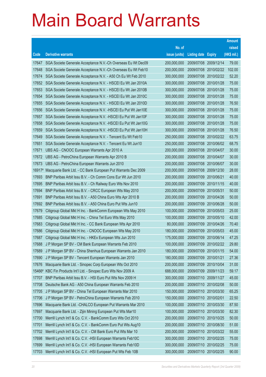|        |                                                               |               |                       |                       | <b>Amount</b> |
|--------|---------------------------------------------------------------|---------------|-----------------------|-----------------------|---------------|
|        |                                                               | No. of        |                       |                       | raised        |
| Code   | <b>Derivative warrants</b>                                    | issue (units) | <b>Listing date</b>   | <b>Expiry</b>         | (HK\$ mil.)   |
| 17647  | SGA Societe Generale Acceptance N.V.-Ch Overseas Eu Wt Dec09  | 200,000,000   | 2009/07/08 2009/12/14 |                       | 79.00         |
| 17648  | SGA Societe Generale Acceptance N.V.-Ch Overseas Eu Wt Feb10  | 200,000,000   |                       | 2009/07/08 2010/02/22 | 102.00        |
| 17674  | SGA Societe Generale Acceptance N.V. - A50 Ch Eu Wt Feb 2010  | 300,000,000   |                       | 2009/07/08 2010/02/22 | 52.20         |
| 17652  | SGA Societe Generale Acceptance N.V. - HSCEI Eu Wt Jan 2010A  | 300,000,000   | 2009/07/08 2010/01/28 |                       | 75.00         |
| 17653  | SGA Societe Generale Acceptance N.V. - HSCEI Eu Wt Jan 2010B  | 300,000,000   | 2009/07/08 2010/01/28 |                       | 75.00         |
| 17654  | SGA Societe Generale Acceptance N.V. - HSCEI Eu Wt Jan 2010C  | 300,000,000   |                       | 2009/07/08 2010/01/28 | 75.00         |
| 17655  | SGA Societe Generale Acceptance N.V. - HSCEI Eu Wt Jan 2010D  | 300,000,000   | 2009/07/08 2010/01/28 |                       | 76.50         |
| 17656  | SGA Societe Generale Acceptance N.V. - HSCEI Eu Put Wt Jan10E | 300,000,000   | 2009/07/08 2010/01/28 |                       | 75.00         |
| 17657  | SGA Societe Generale Acceptance N.V. - HSCEI Eu Put Wt Jan10F | 300,000,000   | 2009/07/08 2010/01/28 |                       | 75.00         |
| 17658  | SGA Societe Generale Acceptance N.V. - HSCEI Eu Put Wt Jan10G | 300,000,000   | 2009/07/08 2010/01/28 |                       | 75.00         |
| 17659  | SGA Societe Generale Acceptance N.V. - HSCEI Eu Put Wt Jan10H | 300,000,000   | 2009/07/08 2010/01/28 |                       | 76.50         |
| 17649  | SGA Societe Generale Acceptance N.V. - Tencent Eu Wt Feb10    | 250,000,000   | 2009/07/08 2010/02/22 |                       | 63.75         |
| 17651  | SGA Societe Generale Acceptance N.V. - Tencent Eu Wt Jun10    | 250,000,000   |                       | 2009/07/08 2010/06/02 | 68.75         |
| 17671  | UBS AG - CNOOC European Warrants Apr 2010 A                   | 200,000,000   | 2009/07/08 2010/04/07 |                       | 30.00         |
| 17672  | UBS AG - PetroChina European Warrants Apr 2010 B              | 200,000,000   | 2009/07/08            | 2010/04/07            | 30.00         |
| 17673  | UBS AG - PetroChina European Warrants Jun 2010                | 200,000,000   | 2009/07/08 2010/06/07 |                       | 30.00         |
| 16917# | Macquarie Bank Ltd. - CC Bank European Put Warrants Dec 2009  | 200,000,000   |                       | 2009/07/08 2009/12/30 | 28.00         |
| 17693  | BNP Paribas Arbit Issu B.V. - Ch Comm Cons Eur Wt Jun 2010    | 200,000,000   | 2009/07/09 2010/06/21 |                       | 40.00         |
| 17695  | BNP Paribas Arbit Issu B.V. - Ch Railway Euro Wts Nov 2010    | 200,000,000   | 2009/07/09            | 2010/11/15            | 40.00         |
| 17694  | BNP Paribas Arbit Issu B.V. - CRCC European Wts May 2010      | 200,000,000   | 2009/07/09            | 2010/05/31            | 50.00         |
| 17691  | BNP Paribas Arbit Issu B.V. - A50 China Euro Wts Apr 2010 B   | 200,000,000   | 2009/07/09            | 2010/04/26            | 50.00         |
| 17692  | BNP Paribas Arbit Issu B.V. - A50 China Euro Put Wts Jun10    | 200,000,000   | 2009/07/09            | 2010/06/28            | 50.00         |
| 17679  | Citigroup Global Mkt H Inc. - BankComm European Wts May 2010  | 100,000,000   | 2009/07/09            | 2010/05/03            | 25.00         |
| 17685  | Citigroup Global Mkt H Inc. - China Tel Euro Wts May 2010     | 100,000,000   | 2009/07/09            | 2010/05/10            | 42.00         |
| 17683  | Citigroup Global Mkt H Inc. - CC Bank European Wts Apr 2010   | 80,000,000    | 2009/07/09            | 2010/04/26            | 70.40         |
| 17686  | Citigroup Global Mkt H Inc. - CNOOC European Wts May 2010     | 180,000,000   | 2009/07/09            | 2010/05/03            | 45.00         |
| 17687  | Citigroup Global Mkt H Inc. - HKEx European Wts Jun 2010      | 175,000,000   | 2009/07/09            | 2010/06/14            | 47.25         |
| 17688  | J P Morgan SP BV - CM Bank European Warrants Feb 2010         | 100,000,000   | 2009/07/09 2010/02/22 |                       | 29.80         |
| 17689  | J P Morgan SP BV - China Shenhua European Warrants Jan 2010   | 180,000,000   | 2009/07/09            | 2010/01/15            | 54.00         |
| 17690  | J P Morgan SP BV - Tencent European Warrants Jan 2010         | 180,000,000   | 2009/07/09            | 2010/01/21            | 27.36         |
| 17676  | Macquarie Bank Ltd. - Sinopec Corp European Wts Oct 2010      | 200,000,000   | 2009/07/09            | 2010/10/04            | 31.00         |
| 15466# | KBC Fin Products Int'l Ltd. - Sinopec Euro Wts Nov 2009 A     | 688,000,000   | 2009/07/09            | 2009/11/23            | 59.17         |
| 17707  | BNP Paribas Arbit Issu B.V. - HSI Euro Put Wts Nov 2009 H     | 300,000,000   | 2009/07/10 2009/11/27 |                       | 45.00         |
| 17708  | Deutsche Bank AG - A50 China European Warrants Feb 2010       | 200,000,000   | 2009/07/10            | 2010/02/08            | 50.00         |
| 17705  | J P Morgan SP BV - China Tel European Warrants Mar 2010       | 150,000,000   |                       | 2009/07/10 2010/03/30 | 65.25         |
| 17706  | J P Morgan SP BV - PetroChina European Warrants Feb 2010      | 150,000,000   | 2009/07/10 2010/02/01 |                       | 22.50         |
| 17696  | Macquarie Bank Ltd. - CHALCO European Put Warrants Mar 2010   | 100,000,000   | 2009/07/10 2010/03/30 |                       | 87.50         |
| 17697  | Macquarie Bank Ltd. - Zijin Mining European Put Wts Mar10     | 100,000,000   | 2009/07/10 2010/03/30 |                       | 82.30         |
| 17700  | Merrill Lynch Int'l & Co. C.V. - BankComm Euro Wts Oct 2010   | 200,000,000   | 2009/07/10 2010/10/25 |                       | 50.00         |
| 17701  | Merrill Lynch Int'l & Co. C.V. - BankComm Euro Put Wts Aug10  | 200,000,000   |                       | 2009/07/10 2010/08/30 | 51.00         |
| 17702  | Merrill Lynch Int'l & Co. C.V. - CM Bank Euro Put Wts Mar 10  | 200,000,000   | 2009/07/10 2010/03/22 |                       | 55.00         |
| 17698  | Merrill Lynch Int'l & Co. C.V. - HSI European Warrants Feb10C | 300,000,000   | 2009/07/10 2010/02/25 |                       | 75.00         |
| 17699  | Merrill Lynch Int'l & Co. C.V. - HSI European Warrants Feb10D | 300,000,000   | 2009/07/10 2010/02/25 |                       | 75.00         |
| 17703  | Merrill Lynch Int'l & Co. C.V. - HSI European Put Wts Feb 10B | 300,000,000   | 2009/07/10 2010/02/25 |                       | 90.00         |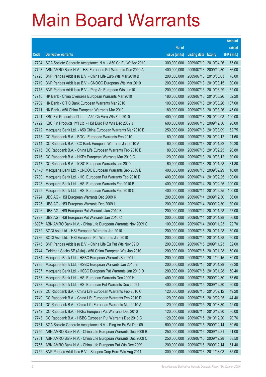|                 |                                                                                                                 |                            |                                     |                       | <b>Amount</b>  |
|-----------------|-----------------------------------------------------------------------------------------------------------------|----------------------------|-------------------------------------|-----------------------|----------------|
|                 |                                                                                                                 | No. of                     |                                     |                       | raised         |
| Code            | <b>Derivative warrants</b>                                                                                      | issue (units)              | <b>Listing date</b>                 | <b>Expiry</b>         | (HK\$ mil.)    |
| 17704           | SGA Societe Generale Acceptance N.V. - A50 Ch Eu Wt Apr 2010                                                    | 300,000,000                | 2009/07/10 2010/04/26               |                       | 75.00          |
| 17723           | ABN AMRO Bank N.V. - HSI European Put Warrants Dec 2009 A                                                       | 400,000,000                | 2009/07/13 2009/12/30               |                       | 86.00          |
| 17720           | BNP Paribas Arbit Issu B.V. - China Life Euro Wts Mar 2010 B                                                    | 200,000,000                | 2009/07/13 2010/03/03               |                       | 78.00          |
| 17719           | BNP Paribas Arbit Issu B.V. - CNOOC European Wts Mar 2010                                                       | 200,000,000                | 2009/07/13 2010/03/15               |                       | 30.00          |
| 17718           | BNP Paribas Arbit Issu B.V. - Ping An European Wts Jun10                                                        | 200,000,000                | 2009/07/13 2010/06/29               |                       | 32.00          |
| 17710           | HK Bank - China Overseas European Warrants Mar 2010                                                             | 180,000,000                | 2009/07/13 2010/03/26               |                       | 52.20          |
| 17709           | HK Bank - CITIC Bank European Warrants Mar 2010                                                                 | 100,000,000                | 2009/07/13                          | 2010/03/26            | 107.00         |
| 17711           | HK Bank - A50 China European Warrants Mar 2010                                                                  | 180,000,000                | 2009/07/13 2010/03/26               |                       | 45.00          |
| 17721           | KBC Fin Products Int'l Ltd. - A50 Ch Euro Wts Feb 2010                                                          | 400,000,000                | 2009/07/13 2010/02/08               |                       | 100.00         |
| 17722           | KBC Fin Products Int'l Ltd. - HSI Euro Put Wts Dec 2009 J                                                       | 600,000,000                | 2009/07/13 2009/12/30               |                       | 90.00          |
| 17712           | Macquarie Bank Ltd. - A50 China European Warrants Mar 2010 B                                                    | 250,000,000                | 2009/07/13 2010/03/09               |                       | 62.75          |
| 17713           | CC Rabobank B.A. - BOCL European Warrants Feb 2010                                                              | 60,000,000                 | 2009/07/13 2010/02/12               |                       | 21.60          |
| 17714           | CC Rabobank B.A. - CC Bank European Warrants Jan 2010 A                                                         | 60,000,000                 |                                     | 2009/07/13 2010/01/22 | 40.20          |
| 17715           | CC Rabobank B.A. - China Life European Warrants Feb 2010 B                                                      | 80,000,000                 | 2009/07/13 2010/02/25               |                       | 20.80          |
| 17716           | CC Rabobank B.A. - HKEx European Warrants Mar 2010 C                                                            | 120,000,000                | 2009/07/13 2010/03/12               |                       | 30.00          |
| 17717           | CC Rabobank B.A. - ICBC European Warrants Jan 2010                                                              | 60,000,000                 | 2009/07/13 2010/01/28               |                       | 31.80          |
| 17178#          | Macquarie Bank Ltd. - CNOOC European Warrants Sep 2009 B                                                        | 400,000,000                | 2009/07/13 2009/09/29               |                       | 16.80          |
| 17730           | Macquarie Bank Ltd. - HSI European Put Warrants Feb 2010 D                                                      | 400,000,000                | 2009/07/14 2010/02/25               |                       | 100.00         |
| 17728           | Macquarie Bank Ltd. - HSI European Warrants Feb 2010 B                                                          | 400,000,000                | 2009/07/14                          | 2010/02/25            | 100.00         |
| 17729           | Macquarie Bank Ltd. - HSI European Warrants Feb 2010 C                                                          | 400,000,000                | 2009/07/14 2010/02/25               |                       | 100.00         |
| 17724           | UBS AG - HSI European Warrants Dec 2009 K                                                                       | 200,000,000                | 2009/07/14                          | 2009/12/30            | 36.00          |
| 17725           | UBS AG - HSI European Warrants Dec 2009 L                                                                       | 200,000,000                |                                     | 2009/07/14 2009/12/30 | 30.00          |
| 17726           | UBS AG - HSI European Put Warrants Jan 2010 B<br>UBS AG - HSI European Put Warrants Jan 2010 C                  | 200,000,000                | 2009/07/14<br>2009/07/14 2010/01/28 | 2010/01/28            | 57.00          |
| 17727<br>16997# |                                                                                                                 | 200,000,000<br>100,000,000 | 2009/07/14 2009/11/23               |                       | 66.00<br>22.70 |
| 17732           | ABN AMRO Bank N.V. - China Life European Warrants Nov 2009 C<br>BOCI Asia Ltd. - HSI European Warrants Jan 2010 | 200,000,000                | 2009/07/15                          | 2010/01/28            | 50.00          |
| 17736           | BOCI Asia Ltd. - HSI European Put Warrants Jan 2010                                                             | 200,000,000                | 2009/07/15 2010/01/28               |                       | 50.00          |
| 17745           | BNP Paribas Arbit Issu B.V. - China Life Eu Put Wts Nov 09 D                                                    | 200,000,000                | 2009/07/15 2009/11/23               |                       | 32.00          |
| 17744           | Goldman Sachs SP (Asia) - A50 China European Wts Jan 2010                                                       | 200,000,000                | 2009/07/15 2010/01/28               |                       | 50.00          |
| 17734           | Macquarie Bank Ltd. - HSBC European Warrants Sep 2011                                                           | 200,000,000                | 2009/07/15 2011/09/15               |                       | 30.00          |
| 17735           | Macquarie Bank Ltd. - HSBC European Warrants Jan 2010 B                                                         | 200,000,000                | 2009/07/15 2010/01/28               |                       | 93.20          |
| 17737           | Macquarie Bank Ltd. - HSBC European Put Warrants Jan 2010 D                                                     | 200,000,000                | 2009/07/15 2010/01/28               |                       | 50.40          |
| 17733           | Macquarie Bank Ltd. - HSI European Warrants Dec 2009 H                                                          | 400,000,000                | 2009/07/15 2009/12/30               |                       | 75.60          |
| 17738           | Macquarie Bank Ltd. - HSI European Put Warrants Dec 2009 I                                                      | 400,000,000                | 2009/07/15 2009/12/30               |                       | 60.00          |
| 17739           | CC Rabobank B.A. - China Life European Warrants Feb 2010 C                                                      | 120,000,000                | 2009/07/15 2010/02/12               |                       | 49.20          |
| 17740           | CC Rabobank B.A. - China Life European Warrants Feb 2010 D                                                      | 120,000,000                | 2009/07/15 2010/02/25               |                       | 44.40          |
| 17741           | CC Rabobank B.A. - China Life European Warrants Mar 2010 A                                                      | 120,000,000                | 2009/07/15 2010/03/30               |                       | 42.00          |
| 17742           | CC Rabobank B.A. - HKEx European Put Warrants Dec 2010                                                          | 120,000,000                | 2009/07/15 2010/12/30               |                       | 30.00          |
| 17743           | CC Rabobank B.A. - HSBC European Put Warrants Dec 2010 C                                                        | 120,000,000                | 2009/07/15 2010/12/20               |                       | 20.76          |
| 17731           | SGA Societe Generale Acceptance N.V. - Ping An Eu Wt Dec 09                                                     | 500,000,000                | 2009/07/15 2009/12/14               |                       | 89.50          |
| 17750           | ABN AMRO Bank N.V. - China Life European Warrants Dec 2009 B                                                    | 250,000,000                | 2009/07/16 2009/12/21               |                       | 61.00          |
| 17751           | ABN AMRO Bank N.V. - China Life European Warrants Dec 2009 C                                                    | 250,000,000                | 2009/07/16 2009/12/28               |                       | 38.50          |
| 17755           | ABN AMRO Bank N.V. - China Life European Put Wts Dec 2009                                                       | 200,000,000                | 2009/07/16 2009/12/14               |                       | 61.40          |
| 17752           | BNP Paribas Arbit Issu B.V. - Sinopec Corp Euro Wts Aug 2011                                                    | 300,000,000                | 2009/07/16 2011/08/03               |                       | 75.00          |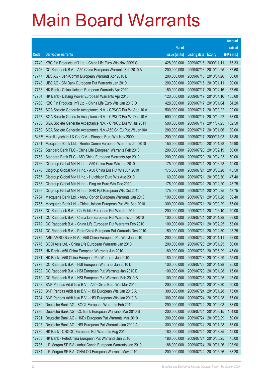|        |                                                              |               |                            |            | <b>Amount</b> |
|--------|--------------------------------------------------------------|---------------|----------------------------|------------|---------------|
|        |                                                              | No. of        |                            |            | raised        |
| Code   | <b>Derivative warrants</b>                                   | issue (units) | <b>Listing date Expiry</b> |            | (HK\$ mil.)   |
| 17749  | KBC Fin Products Int'l Ltd. - China Life Euro Wts Nov 2009 G | 428,000,000   | 2009/07/16 2009/11/11      |            | 75.33         |
| 17746  | CC Rabobank B.A. - A50 China European Warrants Feb 2010 A    | 200,000,000   | 2009/07/16                 | 2010/02/25 | 37.60         |
| 17747  | UBS AG - BankComm European Warrants Apr 2010 B               | 200,000,000   | 2009/07/16 2010/04/26      |            | 30.00         |
| 17748  | UBS AG - CM Bank European Put Warrants Jan 2010              | 200,000,000   | 2009/07/16 2010/01/11      |            | 30.00         |
| 17753  | HK Bank - China Unicom European Warrants Apr 2010            | 150,000,000   | 2009/07/17 2010/04/16      |            | 37.50         |
| 17754  | HK Bank - Datang Power European Warrants Apr 2010            | 120,000,000   | 2009/07/17 2010/04/16      |            | 105.60        |
| 17760  | KBC Fin Products Int'l Ltd. - China Life Euro Wts Jan 2010 D | 428,000,000   | 2009/07/17                 | 2010/01/04 | 64.20         |
| 17756  | SGA Societe Generale Acceptance N.V. - CP&CC Eur Wt Sep 10 A | 500,000,000   | 2009/07/17 2010/09/22      |            | 92.00         |
| 17757  | SGA Societe Generale Acceptance N.V. - CP&CC Eur Wt Dec 10 A | 500,000,000   | 2009/07/17 2010/12/22      |            | 78.00         |
| 17758  | SGA Societe Generale Acceptance N.V. - CP&CC Eur Wt Jul 2011 | 500,000,000   | 2009/07/17 2011/07/25      |            | 102.50        |
| 17759  | SGA Societe Generale Acceptance N.V.-A50 Ch Eu Put Wt Jan10A | 200,000,000   | 2009/07/17                 | 2010/01/06 | 30.00         |
| 15487# | Merrill Lynch Int'l & Co. C.V. - Sinopec Euro Wts Nov 2009   | 200,000,000   | 2009/07/17 2009/11/03      |            | 18.80         |
| 17761  | Macquarie Bank Ltd. - Renhe Comm European Warrants Jan 2010  | 150,000,000   | 2009/07/20 2010/01/28      |            | 45.90         |
| 17762  | Standard Bank PLC - China Life European Warrants Feb 2010    | 200,000,000   | 2009/07/20 2010/02/19      |            | 50.00         |
| 17763  | Standard Bank PLC - A50 China European Warrants Apr 2010     | 200,000,000   | 2009/07/20                 | 2010/04/23 | 50.00         |
| 17766  | Citigroup Global Mkt H Inc. - A50 China Euro Wts Jun 2010    | 175,000,000   | 2009/07/21                 | 2010/06/28 | 49.00         |
| 17770  | Citigroup Global Mkt H Inc. - A50 China Eur Put Wts Jun 2010 | 175,000,000   | 2009/07/21                 | 2010/06/28 | 45.50         |
| 17767  | Citigroup Global Mkt H Inc. - Hutchison Euro Wts Aug 2010    | 60,000,000    | 2009/07/21                 | 2010/08/30 | 47.40         |
| 17768  | Citigroup Global Mkt H Inc. - Ping An Euro Wts Dec 2010      | 175,000,000   | 2009/07/21                 | 2010/12/20 | 43.75         |
| 17769  | Citigroup Global Mkt H Inc. - SHK Ppt European Wts Oct 2010  | 175,000,000   | 2009/07/21                 | 2010/10/25 | 43.75         |
| 17764  | Macquarie Bank Ltd. - Anhui Conch European Warrants Jan 2010 | 100,000,000   | 2009/07/21                 | 2010/01/28 | 39.40         |
| 17765  | Macquarie Bank Ltd. - China Unicom European Put Wts Sep 2010 | 300,000,000   | 2009/07/21                 | 2010/09/29 | 75.00         |
| 17773  | CC Rabobank B.A. - Ch Mobile European Put Wts Jun 2011       | 200,000,000   | 2009/07/21                 | 2011/06/10 | 50.00         |
| 17771  | CC Rabobank B.A. - China Life European Put Warrants Jan 2010 | 100,000,000   | 2009/07/21                 | 2010/01/28 | 33.00         |
| 17772  | CC Rabobank B.A. - China Life European Put Warrants Feb 2010 | 100,000,000   | 2009/07/21                 | 2010/02/25 | 53.00         |
| 17774  | CC Rabobank B.A. - PetroChina European Put Warrants Dec 2010 | 150,000,000   | 2009/07/21                 | 2010/12/30 | 23.25         |
| 17775  | ABN AMRO Bank N.V. - A50 China European Put Wts Jan 2010     | 200,000,000   | 2009/07/22 2010/01/11      |            | 32.00         |
| 17776  | BOCI Asia Ltd. - China Life European Warrants Jan 2010       | 200,000,000   | 2009/07/23 2010/01/25      |            | 50.00         |
| 17777  | HK Bank - A50 China European Warrants Jun 2010               | 180,000,000   | 2009/07/23 2010/06/29      |            | 45.00         |
| 17781  | HK Bank - A50 China European Put Warrants Jun 2010           | 180,000,000   | 2009/07/23 2010/06/29      |            | 45.00         |
| 17778  | CC Rabobank B.A. - HSI European Warrants Jan 2010 D          | 100,000,000   | 2009/07/23 2010/01/28      |            | 25.00         |
| 17782  | CC Rabobank B.A. - HSI European Put Warrants Jan 2010 E      | 100,000,000   | 2009/07/23 2010/01/28      |            | 15.00         |
| 17779  | CC Rabobank B.A. - HSI European Put Warrants Feb 2010 B      | 100,000,000   | 2009/07/23 2010/02/25      |            | 25.00         |
| 17792  | BNP Paribas Arbit Issu B.V. - A50 China Euro Wts Mar 2010    | 200,000,000   | 2009/07/24 2010/03/30      |            | 50.00         |
| 17793  | BNP Paribas Arbit Issu B.V. - HSI European Wts Jan 2010 A    | 300,000,000   | 2009/07/24 2010/01/28      |            | 75.00         |
| 17794  | BNP Paribas Arbit Issu B.V. - HSI European Wts Jan 2010 B    | 300,000,000   | 2009/07/24 2010/01/28      |            | 75.00         |
| 17789  | Deutsche Bank AG - BOCL European Warrants Feb 2010           | 200,000,000   | 2009/07/24                 | 2010/02/08 | 78.00         |
| 17790  | Deutsche Bank AG - CC Bank European Warrants Mar 2010 B      | 200,000,000   | 2009/07/24 2010/03/15      |            | 154.00        |
| 17791  | Deutsche Bank AG - HKEx European Put Warrants Mar 2010       | 200,000,000   | 2009/07/24                 | 2010/03/29 | 50.00         |
| 17795  | Deutsche Bank AG - HSI European Put Warrants Jan 2010 A      | 300,000,000   | 2009/07/24 2010/01/28      |            | 75.00         |
| 17780  | HK Bank - CNOOC European Put Warrants Aug 2010               | 180,000,000   | 2009/07/24                 | 2010/08/25 | 45.00         |
| 17783  | HK Bank - PetroChina European Put Warrants Jun 2010          | 180,000,000   | 2009/07/24 2010/06/25      |            | 45.00         |
| 17785  | J P Morgan SP BV - Anhui Conch European Warrants Jan 2010    | 188,000,000   | 2009/07/24                 | 2010/01/26 | 103.96        |
| 17784  | J P Morgan SP BV - CHALCO European Warrants May 2010         | 200,000,000   | 2009/07/24 2010/05/26      |            | 38.20         |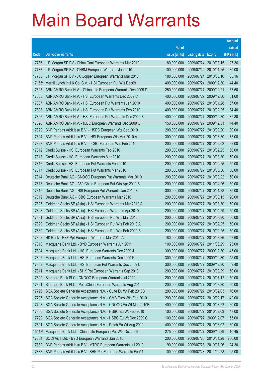|        |                                                               |               |                            |                       | <b>Amount</b> |
|--------|---------------------------------------------------------------|---------------|----------------------------|-----------------------|---------------|
|        |                                                               | No. of        |                            |                       | raised        |
| Code   | <b>Derivative warrants</b>                                    | issue (units) | <b>Listing date Expiry</b> |                       | (HK\$ mil.)   |
| 17786  | J P Morgan SP BV - China Coal European Warrants Mar 2010      | 180,000,000   |                            | 2009/07/24 2010/03/15 | 27.36         |
| 17787  | J P Morgan SP BV - CNBM European Warrants Jan 2010            | 100,000,000   |                            | 2009/07/24 2010/01/25 | 30.00         |
| 17788  | J P Morgan SP BV - JX Copper European Warrants Mar 2010       | 188,000,000   |                            | 2009/07/24 2010/03/10 | 35.16         |
| 17165# | Merrill Lynch Int'l & Co. C.V. - HSI European Put Wts Dec09   | 400,000,000   |                            | 2009/07/24 2009/12/30 | 44.40         |
| 17825  | ABN AMRO Bank N.V. - China Life European Warrants Dec 2009 D  | 250,000,000   | 2009/07/27 2009/12/21      |                       | 37.50         |
| 17803  | ABN AMRO Bank N.V. - HSI European Warrants Dec 2009 C         | 400,000,000   |                            | 2009/07/27 2009/12/30 | 61.60         |
| 17807  | ABN AMRO Bank N.V. - HSI European Put Warrants Jan 2010       | 400,000,000   |                            | 2009/07/27 2010/01/28 | 67.60         |
| 17808  | ABN AMRO Bank N.V. - HSI European Put Warrants Feb 2010       | 400,000,000   |                            | 2009/07/27 2010/02/25 | 84.40         |
| 17806  | ABN AMRO Bank N.V. - HSI European Put Warrants Dec 2009 B     | 400,000,000   |                            | 2009/07/27 2009/12/30 | 82.80         |
| 17826  | ABN AMRO Bank N.V. - ICBC European Warrants Dec 2009 C        | 150,000,000   |                            | 2009/07/27 2009/12/31 | 44.40         |
| 17822  | BNP Paribas Arbit Issu B.V. - HSBC European Wts Sep 2010      | 200,000,000   |                            | 2009/07/27 2010/09/20 | 30.00         |
| 17824  | BNP Paribas Arbit Issu B.V. - HSI European Wts Mar 2010 A     | 300,000,000   |                            | 2009/07/27 2010/03/30 | 75.00         |
| 17823  | BNP Paribas Arbit Issu B.V. - ICBC European Wts Feb 2010      | 200,000,000   |                            | 2009/07/27 2010/02/02 | 62.00         |
| 17812  | Credit Suisse - HSI European Warrants Feb 2010                | 200,000,000   |                            | 2009/07/27 2010/02/25 | 50.00         |
| 17813  | Credit Suisse - HSI European Warrants Mar 2010                | 200,000,000   |                            | 2009/07/27 2010/03/30 | 50.00         |
| 17816  | Credit Suisse - HSI European Put Warrants Feb 2010            | 200,000,000   |                            | 2009/07/27 2010/02/25 | 50.00         |
| 17817  | Credit Suisse - HSI European Put Warrants Mar 2010            | 200,000,000   |                            | 2009/07/27 2010/03/30 | 50.00         |
| 17814  | Deutsche Bank AG - CNOOC European Put Warrants Mar 2010       | 200,000,000   |                            | 2009/07/27 2010/03/22 | 50.00         |
| 17818  | Deutsche Bank AG - A50 China European Put Wts Apr 2010 B      | 200,000,000   |                            | 2009/07/27 2010/04/26 | 50.00         |
| 17815  | Deutsche Bank AG - HSI European Put Warrants Jan 2010 B       | 300,000,000   |                            | 2009/07/27 2010/01/28 | 75.00         |
| 17819  | Deutsche Bank AG - ICBC European Warrants Mar 2010            | 200,000,000   |                            | 2009/07/27 2010/03/15 | 120.00        |
| 17827  | Goldman Sachs SP (Asia) - HSI European Warrants Mar 2010 A    | 200,000,000   |                            | 2009/07/27 2010/03/30 | 50.00         |
| 17828  | Goldman Sachs SP (Asia) - HSI European Warrants Apr 2010      | 200,000,000   |                            | 2009/07/27 2010/04/29 | 50.00         |
| 17831  | Goldman Sachs SP (Asia) - HSI European Put Wts Mar 2010       | 200,000,000   |                            | 2009/07/27 2010/03/30 | 50.00         |
| 17829  | Goldman Sachs SP (Asia) - HSI European Put Wts Feb 2010 A     | 200,000,000   |                            | 2009/07/27 2010/02/25 | 50.00         |
| 17830  | Goldman Sachs SP (Asia) - HSI European Put Wts Feb 2010 B     | 200,000,000   |                            | 2009/07/27 2010/02/25 | 50.00         |
| 17802  | HK Bank - R&F Ppt European Warrants Mar 2010 A                | 180,000,000   |                            | 2009/07/27 2010/03/26 | 57.60         |
| 17810  | Macquarie Bank Ltd. - BYD European Warrants Jun 2011          | 100,000,000   |                            | 2009/07/27 2011/06/29 | 25.00         |
| 17804  | Macquarie Bank Ltd. - HSI European Warrants Dec 2009 J        | 300,000,000   | 2009/07/27                 | 2009/12/30            | 45.00         |
| 17805  | Macquarie Bank Ltd. - HSI European Warrants Dec 2009 K        | 300,000,000   | 2009/07/27                 | 2009/12/30            | 45.00         |
| 17809  | Macquarie Bank Ltd. - HSI European Put Warrants Dec 2009 L    | 300,000,000   |                            | 2009/07/27 2009/12/30 | 59.40         |
| 17811  | Macquarie Bank Ltd. - SHK Ppt European Warrants Sep 2010      | 200,000,000   |                            | 2009/07/27 2010/09/29 | 50.00         |
| 17820  | Standard Bank PLC - CNOOC European Warrants Jul 2010          | 200,000,000   | 2009/07/27                 | 2010/07/12            | 50.00         |
| 17821  | Standard Bank PLC - PetroChina European Warrants Aug 2010     | 200,000,000   |                            | 2009/07/27 2010/08/20 | 50.00         |
| 17796  | SGA Societe Generale Acceptance N.V. - CLife Eu Wt Feb 2010B  | 200,000,000   |                            | 2009/07/27 2010/02/03 | 76.00         |
| 17797  | SGA Societe Generale Acceptance N.V. - CMB Euro Wts Feb 2010  | 200,000,000   |                            | 2009/07/27 2010/02/17 | 42.00         |
| 17798  | SGA Societe Generale Acceptance N.V. - CNOOC Eu Wt Mar 2010B  | 400,000,000   | 2009/07/27                 | 2010/03/22            | 60.00         |
| 17800  | SGA Societe Generale Acceptance N.V. - HSBC Eu Wt Feb 2010    | 100,000,000   | 2009/07/27                 | 2010/02/03            | 47.00         |
| 17799  | SGA Societe Generale Acceptance N.V. - HSBC Eu Wt Dec 2009 C  | 100,000,000   |                            | 2009/07/27 2009/12/07 | 55.00         |
| 17801  | SGA Societe Generale Acceptance N.V. - Petch Eu Wt Aug 2010   | 400,000,000   | 2009/07/27                 | 2010/08/02            | 60.00         |
| 15418# | Macquarie Bank Ltd. - China Life European Put Wts Oct 2009    | 275,000,000   | 2009/07/27                 | 2009/10/29            | 10.45         |
| 17834  | BOCI Asia Ltd. - BYD European Warrants Jan 2010               | 200,000,000   |                            | 2009/07/28 2010/01/28 | 200.00        |
| 17832  | BNP Paribas Arbit Issu B.V. - MTRC European Warrants Jul 2010 | 90,000,000    |                            | 2009/07/28 2010/07/26 | 24.30         |
| 17833  | BNP Paribas Arbit Issu B.V. - SHK Ppt European Warrants Feb11 | 100,000,000   |                            | 2009/07/28 2011/02/28 | 25.00         |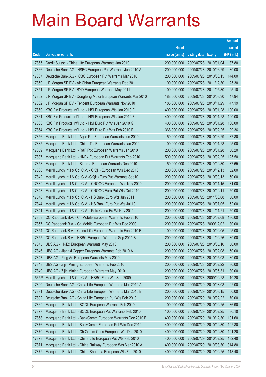|        |                                                              |               |                            |            | <b>Amount</b> |
|--------|--------------------------------------------------------------|---------------|----------------------------|------------|---------------|
|        |                                                              | No. of        |                            |            | raised        |
| Code   | <b>Derivative warrants</b>                                   | issue (units) | <b>Listing date Expiry</b> |            | (HK\$ mil.)   |
| 17865  | Credit Suisse - China Life European Warrants Jan 2010        | 200,000,000   | 2009/07/28 2010/01/04      |            | 37.80         |
| 17866  | Deutsche Bank AG - HSBC European Put Warrants Jun 2010 A     | 200,000,000   | 2009/07/28 2010/06/29      |            | 30.00         |
| 17867  | Deutsche Bank AG - ICBC European Put Warrants Mar 2010       | 200,000,000   | 2009/07/28 2010/03/15      |            | 144.00        |
| 17850  | J P Morgan SP BV - Air China European Warrants Dec 2011      | 100,000,000   | 2009/07/28 2011/12/30      |            | 25.30         |
| 17851  | J P Morgan SP BV - BYD European Warrants May 2011            | 100,000,000   | 2009/07/28 2011/05/30      |            | 25.10         |
| 17852  | J P Morgan SP BV - Dongfeng Motor European Warrants Mar 2010 | 188,000,000   | 2009/07/28 2010/03/30      |            | 47.94         |
| 17862  | J P Morgan SP BV - Tencent European Warrants Nov 2010        | 188,000,000   | 2009/07/28 2010/11/29      |            | 47.19         |
| 17860  | KBC Fin Products Int'l Ltd. - HSI European Wts Jan 2010 E    | 400,000,000   | 2009/07/28 2010/01/28      |            | 100.00        |
| 17861  | KBC Fin Products Int'l Ltd. - HSI European Wts Jan 2010 F    | 400,000,000   | 2009/07/28 2010/01/28      |            | 100.00        |
| 17863  | KBC Fin Products Int'l Ltd. - HSI Euro Put Wts Jan 2010 G    | 400,000,000   | 2009/07/28 2010/01/28      |            | 100.00        |
| 17864  | KBC Fin Products Int'l Ltd. - HSI Euro Put Wts Feb 2010 B    | 368,000,000   | 2009/07/28 2010/02/25      |            | 99.36         |
| 17856  | Macquarie Bank Ltd. - Agile Ppt European Warrants Jun 2010   | 150,000,000   | 2009/07/28 2010/06/29      |            | 37.80         |
| 17835  | Macquarie Bank Ltd. - China Tel European Warrants Jan 2010   | 100,000,000   | 2009/07/28 2010/01/28      |            | 25.00         |
| 17859  | Macquarie Bank Ltd. - R&F Ppt European Warrants Jan 2010     | 200,000,000   | 2009/07/28 2010/01/28      |            | 50.20         |
| 17837  | Macquarie Bank Ltd. - HKEx European Put Warrants Feb 2010    | 500,000,000   | 2009/07/28 2010/02/25      |            | 125.50        |
| 17858  | Macquarie Bank Ltd. - Sinoma European Warrants Dec 2010      | 150,000,000   | 2009/07/28 2010/12/30      |            | 37.65         |
| 17838  | Merrill Lynch Int'l & Co. C.V. - CK(H) European Wts Dec 2010 | 200,000,000   | 2009/07/28 2010/12/13      |            | 52.00         |
| 17842  | Merrill Lynch Int'l & Co. C.V.-CK(H) Euro Put Warrants Sep10 | 200,000,000   | 2009/07/28 2010/09/13      |            | 50.00         |
| 17839  | Merrill Lynch Int'l & Co. C.V. - CNOOC European Wts Nov 2010 | 200,000,000   | 2009/07/28 2010/11/15      |            | 31.00         |
| 17843  | Merrill Lynch Int'l & Co. C.V. - CNOOC Euro Put Wts Oct 2010 | 200,000,000   | 2009/07/28 2010/10/11      |            | 50.00         |
| 17840  | Merrill Lynch Int'l & Co. C.V. - HS Bank Euro Wts Jun 2011   | 200,000,000   | 2009/07/28 2011/06/08      |            | 50.00         |
| 17844  | Merrill Lynch Int'l & Co. C.V. - HS Bank Euro Put Wts Jul 10 | 200,000,000   | 2009/07/28 2010/07/05      |            | 52.00         |
| 17841  | Merrill Lynch Int'l & Co. C.V. - PetroChina Eu Wt Nov 2011   | 200,000,000   | 2009/07/28 2011/11/21      |            | 50.00         |
| 17853  | CC Rabobank B.A. - Ch Mobile European Warrants Feb 2010      | 200,000,000   | 2009/07/28 2010/02/08      |            | 136.00        |
| 17857  | CC Rabobank B.A. - Ch Mobile European Put Wts Dec 2009       | 200,000,000   | 2009/07/28 2009/12/02      |            | 30.00         |
| 17854  | CC Rabobank B.A. - China Life European Warrants Feb 2010 E   | 100,000,000   | 2009/07/28 2010/02/05      |            | 25.00         |
| 17855  | CC Rabobank B.A. - HSBC European Warrants Sep 2011 B         | 200,000,000   | 2009/07/28 2011/09/26      |            | 30.00         |
| 17845  | UBS AG - HKEx European Warrants May 2010                     | 200,000,000   | 2009/07/28 2010/05/10      |            | 50.00         |
| 17846  | UBS AG - Jiangxi Copper European Warrants Feb 2010 A         | 200,000,000   | 2009/07/28                 | 2010/02/08 | 50.00         |
| 17847  | UBS AG - Ping An European Warrants May 2010                  | 200,000,000   | 2009/07/28 2010/05/03      |            | 30.00         |
| 17848  | UBS AG - Zijin Mining European Warrants Feb 2010             | 200,000,000   | 2009/07/28 2010/02/22      |            | 30.00         |
| 17849  | UBS AG - Zijin Mining European Warrants May 2010             | 200,000,000   | 2009/07/28 2010/05/31      |            | 30.00         |
| 15655# | Merrill Lynch Int'l & Co. C.V. - HSBC Euro Wts Sep 2009      | 300,000,000   | 2009/07/28                 | 2009/09/28 | 10.20         |
| 17890  | Deutsche Bank AG - China Life European Warrants Mar 2010 A   | 200,000,000   | 2009/07/29                 | 2010/03/08 | 92.00         |
| 17891  | Deutsche Bank AG - China Life European Warrants Mar 2010 B   | 200,000,000   | 2009/07/29                 | 2010/03/15 | 50.00         |
| 17892  | Deutsche Bank AG - China Life European Put Wts Feb 2010      | 200,000,000   | 2009/07/29 2010/02/22      |            | 70.00         |
| 17869  | Macquarie Bank Ltd. - BOCL European Warrants Feb 2010        | 100,000,000   | 2009/07/29                 | 2010/02/25 | 36.90         |
| 17877  | Macquarie Bank Ltd. - BOCL European Put Warrants Feb 2010    | 100,000,000   | 2009/07/29                 | 2010/02/25 | 36.10         |
| 17868  | Macquarie Bank Ltd. - BankComm European Warrants Dec 2010 B  | 400,000,000   | 2009/07/29                 | 2010/12/30 | 101.60        |
| 17876  | Macquarie Bank Ltd. - BankComm European Put Wts Dec 2010     | 400,000,000   | 2009/07/29 2010/12/30      |            | 102.80        |
| 17870  | Macquarie Bank Ltd. - Ch Comm Cons European Wts Dec 2010     | 400,000,000   | 2009/07/29                 | 2010/12/30 | 101.20        |
| 17878  | Macquarie Bank Ltd. - China Life European Put Wts Feb 2010   | 400,000,000   | 2009/07/29                 | 2010/02/25 | 132.40        |
| 17871  | Macquarie Bank Ltd. - China Railway European Wts Mar 2010 A  | 400,000,000   | 2009/07/29                 | 2010/03/30 | 314.80        |
| 17872  | Macquarie Bank Ltd. - China Shenhua European Wts Feb 2010    | 400,000,000   | 2009/07/29 2010/02/25      |            | 118.40        |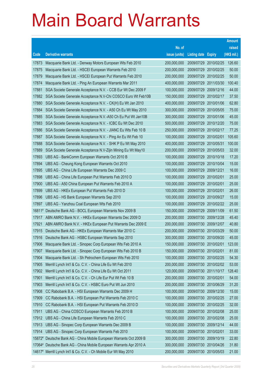|          |                                                                     |               |                            |                       | <b>Amount</b> |
|----------|---------------------------------------------------------------------|---------------|----------------------------|-----------------------|---------------|
|          |                                                                     | No. of        |                            |                       | raised        |
| Code     | <b>Derivative warrants</b>                                          | issue (units) | <b>Listing date Expiry</b> |                       | (HK\$ mil.)   |
| 17873    | Macquarie Bank Ltd. - Denway Motors European Wts Feb 2010           | 200,000,000   | 2009/07/29                 | 2010/02/25            | 126.60        |
| 17875    | Macquarie Bank Ltd. - HSCEI European Warrants Feb 2010              | 200,000,000   | 2009/07/29                 | 2010/02/25            | 50.00         |
| 17879    | Macquarie Bank Ltd. - HSCEI European Put Warrants Feb 2010          | 200,000,000   | 2009/07/29                 | 2010/02/25            | 50.00         |
| 17874    | Macquarie Bank Ltd. - Ping An European Warrants Mar 2011            | 400,000,000   |                            | 2009/07/29 2011/03/30 | 100.40        |
| 17881    | SGA Societe Generale Acceptance N.V. - CCB Eur Wt Dec 2009 F        | 100,000,000   | 2009/07/29                 | 2009/12/16            | 44.00         |
| 17882    | SGA Societe Generale Acceptance N.V-Chi COSCO Euro Wt Feb10B        | 150,000,000   | 2009/07/29 2010/02/17      |                       | 37.50         |
| 17880    | SGA Societe Generale Acceptance N.V. - CK(H) Eu Wt Jan 2010         | 400,000,000   | 2009/07/29                 | 2010/01/06            | 62.80         |
| 17884    | SGA Societe Generale Acceptance N.V. - A50 Ch Eu Wt May 2010        | 300,000,000   |                            | 2009/07/29 2010/05/05 | 75.00         |
| 17885    | SGA Societe Generale Acceptance N.V.-A50 Ch Eu Put Wt Jan10B        | 300,000,000   | 2009/07/29                 | 2010/01/06            | 45.00         |
| 17883    | SGA Societe Generale Acceptance N.V. - ICBC Eu Wt Dec 2010          | 500,000,000   |                            | 2009/07/29 2010/12/20 | 75.00         |
| 17886    | SGA Societe Generale Acceptance N.V. - JIANC Eu Wts Feb 10 B        | 250,000,000   | 2009/07/29                 | 2010/02/17            | 77.25         |
| 17887    | SGA Societe Generale Acceptance N.V. - Ping An Eu Wt Feb 10         | 100,000,000   | 2009/07/29 2010/02/01      |                       | 105.60        |
| 17888    | SGA Societe Generale Acceptance N.V. - SHK P Eu Wt May 2010         | 400,000,000   | 2009/07/29                 | 2010/05/31            | 100.00        |
| 17889    | SGA Societe Generale Acceptance N.V-Zijin Mining Eu Wt May10        | 200,000,000   |                            | 2009/07/29 2010/05/03 | 32.00         |
| 17893    | UBS AG - BankComm European Warrants Oct 2010 B                      | 100,000,000   | 2009/07/29                 | 2010/10/18            | 17.20         |
| 17894    | UBS AG - Cheung Kong European Warrants Oct 2010                     | 100,000,000   | 2009/07/29 2010/10/04      |                       | 15.00         |
| 17895    | UBS AG - China Life European Warrants Dec 2009 C                    | 100,000,000   | 2009/07/29                 | 2009/12/21            | 16.00         |
| 17898    | UBS AG - China Life European Put Warrants Feb 2010 D                | 100,000,000   | 2009/07/29 2010/02/01      |                       | 25.00         |
| 17900    | UBS AG - A50 China European Put Warrants Feb 2010 A                 | 100,000,000   | 2009/07/29                 | 2010/02/01            | 25.00         |
| 17899    | UBS AG - HKEx European Put Warrants Feb 2010 D                      | 100,000,000   | 2009/07/29 2010/02/01      |                       | 26.00         |
| 17896    | UBS AG - HS Bank European Warrants Sep 2010                         | 100,000,000   | 2009/07/29                 | 2010/09/27            | 15.00         |
| 17897    | UBS AG - Yanzhou Coal European Wts Feb 2010                         | 100,000,000   |                            | 2009/07/29 2010/02/22 | 25.00         |
| 16811#   | Deutsche Bank AG - BOCL European Warrants Nov 2009 B                | 150,000,000   | 2009/07/29                 | 2009/11/09            | 61.50         |
| 17917    | ABN AMRO Bank N.V. - HKEx European Warrants Dec 2009 D              | 200,000,000   | 2009/07/30 2009/12/28      |                       | 45.40         |
| 17921    | ABN AMRO Bank N.V. - HKEx European Put Warrants Dec 2009 E          | 200,000,000   | 2009/07/30 2009/12/07      |                       | 40.80         |
| 17915    | Deutsche Bank AG - HKEx European Warrants Mar 2010 C                | 200,000,000   | 2009/07/30 2010/03/29      |                       | 50.00         |
| 17916    | Deutsche Bank AG - HSBC European Warrants Sep 2010                  | 300,000,000   |                            | 2009/07/30 2010/09/20 | 45.00         |
| 17906    | Macquarie Bank Ltd. - Sinopec Corp European Wts Feb 2010 A          | 150,000,000   | 2009/07/30 2010/02/01      |                       | 123.00        |
| 17907    | Macquarie Bank Ltd. - Sinopec Corp European Wts Feb 2010 B          | 150,000,000   | 2009/07/30 2010/02/01      |                       | 81.00         |
| 17904    | Macquarie Bank Ltd. - Sh Petrochem European Wts Feb 2010            | 100,000,000   | 2009/07/30 2010/02/25      |                       | 54.30         |
| 17905    | Merrill Lynch Int'l & Co. C.V. - China Life Eu Wt Feb 2010          | 200,000,000   |                            | 2009/07/30 2010/02/02 | 53.00         |
| 17902    | Merrill Lynch Int'l & Co. C.V. - China Life Eu Wt Oct 2011          | 120,000,000   |                            | 2009/07/30 2011/10/17 | 128.40        |
| 17901    | Merrill Lynch Int'l & Co. C.V. - Ch Life Eur Put Wt Feb 10 B        | 200,000,000   | 2009/07/30 2010/02/01      |                       | 54.00         |
| 17903    | Merrill Lynch Int'l & Co. C.V. - HSBC Euro Put Wt Jun 2010          | 200,000,000   | 2009/07/30 2010/06/29      |                       | 31.20         |
| 17908    | CC Rabobank B.A. - HSI European Warrants Dec 2009 H                 | 100,000,000   | 2009/07/30 2009/12/30      |                       | 15.00         |
| 17909    | CC Rabobank B.A. - HSI European Put Warrants Feb 2010 C             | 100,000,000   | 2009/07/30 2010/02/25      |                       | 27.00         |
| 17910    | CC Rabobank B.A. - HSI European Put Warrants Feb 2010 D             | 100,000,000   | 2009/07/30 2010/02/25      |                       | 32.00         |
| 17911    | UBS AG - China COSCO European Warrants Feb 2010 B                   | 100,000,000   | 2009/07/30 2010/02/08      |                       | 25.00         |
| 17912    | UBS AG - China Life European Warrants Feb 2010 C                    | 100,000,000   | 2009/07/30 2010/02/08      |                       | 25.00         |
| 17913    | UBS AG - Sinopec Corp European Warrants Dec 2009 B                  | 100,000,000   | 2009/07/30 2009/12/14      |                       | 44.00         |
| 17914    | UBS AG - Sinopec Corp European Warrants Feb 2010                    | 100,000,000   | 2009/07/30 2010/02/01      |                       | 33.00         |
|          | 15872# Deutsche Bank AG - China Mobile European Warrants Oct 2009 B | 300,000,000   | 2009/07/30 2009/10/19      |                       | 22.80         |
|          | 17064# Deutsche Bank AG - China Mobile European Warrants Apr 2010 A | 300,000,000   |                            | 2009/07/30 2010/04/26 | 31.80         |
| $14617*$ | Merrill Lynch Int'l & Co. C.V. - Ch Mobile Eur Wt May 2010          | 200,000,000   | 2009/07/30 2010/05/03      |                       | 21.00         |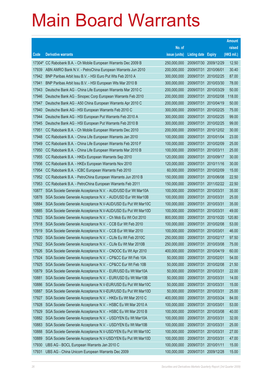|                |                                                                                                                              |                            |                            |                          | <b>Amount</b>  |
|----------------|------------------------------------------------------------------------------------------------------------------------------|----------------------------|----------------------------|--------------------------|----------------|
|                |                                                                                                                              | No. of                     |                            |                          | raised         |
| Code           | <b>Derivative warrants</b>                                                                                                   | issue (units)              | <b>Listing date Expiry</b> |                          | (HK\$ mil.)    |
|                | 17304# CC Rabobank B.A. - Ch Mobile European Warrants Dec 2009 B                                                             | 250,000,000                | 2009/07/30                 | 2009/12/29               | 12.50          |
| 17939          | ABN AMRO Bank N.V. - PetroChina European Warrants Jun 2010                                                                   | 200,000,000                | 2009/07/31                 | 2010/06/01               | 30.40          |
| 17942          | BNP Paribas Arbit Issu B.V. - HSI Euro Put Wts Feb 2010 A                                                                    | 300,000,000                | 2009/07/31                 | 2010/02/25               | 87.00          |
| 17941          | BNP Paribas Arbit Issu B.V. - HSI European Wts Mar 2010 B                                                                    | 300,000,000                | 2009/07/31                 | 2010/03/30               | 78.00          |
| 17943          | Deutsche Bank AG - China Life European Warrants Mar 2010 C                                                                   | 200,000,000                | 2009/07/31                 | 2010/03/29               | 50.00          |
| 17946          | Deutsche Bank AG - Sinopec Corp European Warrants Feb 2010                                                                   | 200,000,000                | 2009/07/31                 | 2010/02/08               | 118.00         |
| 17947          | Deutsche Bank AG - A50 China European Warrants Apr 2010 C                                                                    | 200,000,000                | 2009/07/31                 | 2010/04/19               | 50.00          |
| 17940          | Deutsche Bank AG - HSI European Warrants Feb 2010 C                                                                          | 300,000,000                | 2009/07/31                 | 2010/02/25               | 75.00          |
| 17944          | Deutsche Bank AG - HSI European Put Warrants Feb 2010 A                                                                      | 300,000,000                | 2009/07/31                 | 2010/02/25               | 99.00          |
| 17945          | Deutsche Bank AG - HSI European Put Warrants Feb 2010 B                                                                      | 300,000,000                | 2009/07/31                 | 2010/02/25               | 99.00          |
| 17951          | CC Rabobank B.A. - Ch Mobile European Warrants Dec 2010                                                                      | 200,000,000                | 2009/07/31                 | 2010/12/02               | 30.00          |
| 17948          | CC Rabobank B.A. - China Life European Warrants Jan 2010                                                                     | 100,000,000                | 2009/07/31                 | 2010/01/04               | 23.00          |
| 17949          | CC Rabobank B.A. - China Life European Warrants Feb 2010 F                                                                   | 100,000,000                | 2009/07/31                 | 2010/02/09               | 25.00          |
| 17950          | CC Rabobank B.A. - China Life European Warrants Mar 2010 B                                                                   | 100,000,000                | 2009/07/31                 | 2010/03/11               | 25.00          |
| 17955          | CC Rabobank B.A. - HKEx European Warrants Sep 2010                                                                           | 120,000,000                | 2009/07/31                 | 2010/09/17               | 30.00          |
| 17956          | CC Rabobank B.A. - HKEx European Warrants Nov 2010                                                                           | 120,000,000                | 2009/07/31                 | 2010/11/16               | 30.00          |
| 17954          | CC Rabobank B.A. - ICBC European Warrants Feb 2010                                                                           | 60,000,000                 | 2009/07/31                 | 2010/02/09               | 15.00          |
| 17952          | CC Rabobank B.A. - PetroChina European Warrants Jun 2010 B                                                                   | 150,000,000                | 2009/07/31                 | 2010/06/08               | 22.50          |
| 17953          | CC Rabobank B.A. - PetroChina European Warrants Feb 2011                                                                     | 150,000,000                | 2009/07/31                 | 2011/02/22               | 22.50          |
| 10877          | SGA Societe Generale Acceptance N.V. - AUD/USD Eur Wt Mar10A                                                                 | 100,000,000                | 2009/07/31                 | 2010/03/31               | 35.00          |
| 10878          | SGA Societe Generale Acceptance N.V. - AUD/USD Eur Wt Mar10B<br>SGA Societe Generale Acceptance N.V-AUD/USD Eu Put Wt Mar10C | 100,000,000                | 2009/07/31<br>2009/07/31   | 2010/03/31               | 25.00<br>35.00 |
| 10884<br>10885 | SGA Societe Generale Acceptance N.V-AUD/USD Eu Put Wt Mar10D                                                                 | 100,000,000<br>100,000,000 | 2009/07/31                 | 2010/03/31<br>2010/03/31 | 49.00          |
| 17923          | SGA Societe Generale Acceptance N.V. - Ch Mob Eu Wt Oct 2010                                                                 | 800,000,000                | 2009/07/31                 | 2010/10/20               | 120.80         |
| 17918          | SGA Societe Generale Acceptance N.V. - CCB Eur Wt Feb 2010                                                                   | 100,000,000                | 2009/07/31                 | 2010/02/08               | 53.00          |
| 17919          | SGA Societe Generale Acceptance N.V. - CCB Eur Wt Mar 2010                                                                   | 100,000,000                | 2009/07/31                 | 2010/03/01               | 46.00          |
| 17920          | SGA Societe Generale Acceptance N.V. - CLife Eu Wt Feb 2010C                                                                 | 250,000,000                | 2009/07/31                 | 2010/02/17               | 97.50          |
| 17922          | SGA Societe Generale Acceptance N.V. - CLife Eu Wt Mar 2010B                                                                 | 250,000,000                | 2009/07/31                 | 2010/03/08               | 75.00          |
| 17926          | SGA Societe Generale Acceptance N.V. - CNOOC Eu Wt Apr 2010                                                                  | 400,000,000                | 2009/07/31                 | 2010/04/19               | 60.00          |
| 17924          | SGA Societe Generale Acceptance N.V. - CP&CC Eur Wt Feb 10A                                                                  | 50,000,000                 | 2009/07/31                 | 2010/02/01               | 54.00          |
| 17925          | SGA Societe Generale Acceptance N.V. - CP&CC Eur Wt Feb 10B                                                                  | 50,000,000                 | 2009/07/31                 | 2010/02/08               | 21.50          |
| 10879          | SGA Societe Generale Acceptance N.V. - EUR/USD Eu Wt Mar10A                                                                  | 50,000,000                 | 2009/07/31                 | 2010/03/31               | 22.00          |
| 10881          | SGA Societe Generale Acceptance N.V. - EUR/USD Eu Wt Mar10B                                                                  | 50,000,000                 | 2009/07/31                 | 2010/03/31               | 14.00          |
| 10886          | SGA Societe Generale Acceptance N.V-EUR/USD Eu Put Wt Mar10C                                                                 | 50,000,000                 | 2009/07/31                 | 2010/03/31               | 15.00          |
| 10887          | SGA Societe Generale Acceptance N.V-EUR/USD Eu Put Wt Mar10D                                                                 | 50,000,000                 | 2009/07/31                 | 2010/03/31               | 25.00          |
| 17927          | SGA Societe Generale Acceptance N.V. - HKEx Eu Wt Mar 2010 C                                                                 | 400,000,000                | 2009/07/31                 | 2010/03/24               | 84.00          |
| 17928          | SGA Societe Generale Acceptance N.V. - HSBC Eu Wt Mar 2010 A                                                                 | 100,000,000                | 2009/07/31                 | 2010/03/01               | 53.00          |
| 17929          | SGA Societe Generale Acceptance N.V. - HSBC Eu Wt Mar 2010 B                                                                 | 100,000,000                | 2009/07/31                 | 2010/03/08               | 40.00          |
| 10882          | SGA Societe Generale Acceptance N.V. - USD/YEN Eu Wt Mar10A                                                                  | 100,000,000                | 2009/07/31                 | 2010/03/31               | 32.00          |
| 10883          | SGA Societe Generale Acceptance N.V. - USD/YEN Eu Wt Mar10B                                                                  | 100,000,000                | 2009/07/31                 | 2010/03/31               | 25.00          |
| 10888          | SGA Societe Generale Acceptance N.V-USD/YEN Eu Put Wt Mar10C                                                                 | 100,000,000                | 2009/07/31                 | 2010/03/31               | 27.00          |
| 10889          | SGA Societe Generale Acceptance N.V-USD/YEN Eu Put Wt Mar10D                                                                 | 100,000,000                | 2009/07/31                 | 2010/03/31               | 47.00          |
| 17930          | UBS AG - BOCL European Warrants Jan 2010 C                                                                                   | 100,000,000                | 2009/07/31                 | 2010/01/11               | 15.00          |
| 17931          | UBS AG - China Unicom European Warrants Dec 2009                                                                             | 100,000,000                | 2009/07/31                 | 2009/12/28               | 15.00          |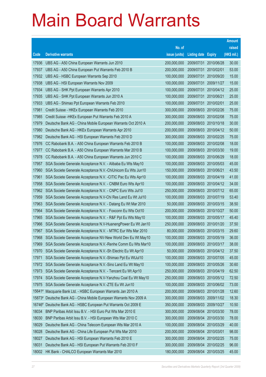|        |                                                               |               |                            |                       | <b>Amount</b> |
|--------|---------------------------------------------------------------|---------------|----------------------------|-----------------------|---------------|
|        |                                                               | No. of        |                            |                       | raised        |
| Code   | <b>Derivative warrants</b>                                    | issue (units) | <b>Listing date Expiry</b> |                       | (HK\$ mil.)   |
| 17936  | UBS AG - A50 China European Warrants Jun 2010                 | 200,000,000   | 2009/07/31                 | 2010/06/28            | 30.00         |
| 17937  | UBS AG - A50 China European Put Warrants Feb 2010 B           | 200,000,000   | 2009/07/31                 | 2010/02/01            | 53.00         |
| 17932  | UBS AG - HSBC European Warrants Sep 2010                      | 100,000,000   | 2009/07/31                 | 2010/09/20            | 15.00         |
| 17938  | UBS AG - HSI European Warrants Nov 2009                       | 100,000,000   | 2009/07/31 2009/11/27      |                       | 15.00         |
| 17934  | UBS AG - SHK Ppt European Warrants Apr 2010                   | 100,000,000   | 2009/07/31                 | 2010/04/12            | 25.00         |
| 17935  | UBS AG - SHK Ppt European Warrants Jun 2010 A                 | 100,000,000   | 2009/07/31 2010/06/21      |                       | 25.00         |
| 17933  | UBS AG - Shimao Ppt European Warrants Feb 2010                | 100,000,000   | 2009/07/31                 | 2010/02/01            | 25.00         |
| 17981  | Credit Suisse - HKEx European Warrants Feb 2010               | 300,000,000   | 2009/08/03 2010/02/26      |                       | 75.00         |
| 17985  | Credit Suisse - HKEx European Put Warrants Feb 2010 A         | 300,000,000   | 2009/08/03 2010/02/08      |                       | 75.00         |
| 17979  | Deutsche Bank AG - China Mobile European Warrants Oct 2010 A  | 200,000,000   | 2009/08/03 2010/10/18      |                       | 30.00         |
| 17980  | Deutsche Bank AG - HKEx European Warrants Apr 2010            | 200,000,000   | 2009/08/03 2010/04/12      |                       | 50.00         |
| 17982  | Deutsche Bank AG - HSI European Warrants Feb 2010 D           | 300,000,000   | 2009/08/03 2010/02/25      |                       | 75.00         |
| 17976  | CC Rabobank B.A. - A50 China European Warrants Feb 2010 B     | 100,000,000   | 2009/08/03 2010/02/08      |                       | 18.00         |
| 17977  | CC Rabobank B.A. - A50 China European Warrants Mar 2010 B     | 100,000,000   | 2009/08/03 2010/03/30      |                       | 19.00         |
| 17978  | CC Rabobank B.A. - A50 China European Warrants Jun 2010 C     | 100,000,000   | 2009/08/03 2010/06/29      |                       | 18.00         |
| 17957  | SGA Societe Generale Acceptance N.V. - Alibaba Eu Wts May10   | 100,000,000   | 2009/08/03 2010/05/03      |                       | 45.00         |
| 17960  | SGA Societe Generale Acceptance N.V.-ChiUnicom Eu Wts Jun10   | 150,000,000   | 2009/08/03 2010/06/21      |                       | 43.50         |
| 17961  | SGA Societe Generale Acceptance N.V. - CITIC Pac Eu Wts Apr10 | 100,000,000   | 2009/08/03 2010/04/19      |                       | 41.00         |
| 17958  | SGA Societe Generale Acceptance N.V. - CNBM Euro Wts Apr10    | 100,000,000   | 2009/08/03 2010/04/12      |                       | 34.00         |
| 17962  | SGA Societe Generale Acceptance N.V. - CNPC Euro Wts Jul10    | 250,000,000   | 2009/08/03 2010/07/12      |                       | 65.00         |
| 17959  | SGA Societe Generale Acceptance N.V-Chi Res Land Eu Wt Jul10  | 100,000,000   | 2009/08/03 2010/07/19      |                       | 53.40         |
| 17963  | SGA Societe Generale Acceptance N.V. - Datang Eu Wt Mar 2010  | 50,000,000    | 2009/08/03 2010/03/15      |                       | 38.50         |
| 17964  | SGA Societe Generale Acceptance N.V. - Foxconn Eu Wts Oct10   | 200,000,000   | 2009/08/03 2010/10/27      |                       | 50.00         |
| 17965  | SGA Societe Generale Acceptance N.V. - R&F Ppt Eu Wts May10   | 100,000,000   | 2009/08/03 2010/05/17      |                       | 45.40         |
| 17966  | SGA Societe Generale Acceptance N.V-HuanengPower Eu Wt Jan10  | 250,000,000   | 2009/08/03 2010/01/20      |                       | 37.50         |
| 17967  | SGA Societe Generale Acceptance N.V. - MTRC Eur Wts Mar 2010  | 80,000,000    | 2009/08/03 2010/03/15      |                       | 29.60         |
| 17968  | SGA Societe Generale Acceptance NV-New World Dev Eu Wt May10  | 100,000,000   | 2009/08/03 2010/05/19      |                       | 36.00         |
| 17969  | SGA Societe Generale Acceptance N.V.-Renhe Comm Eu Wts Mar10  | 100,000,000   | 2009/08/03 2010/03/17      |                       | 38.00         |
| 17970  | SGA Societe Generale Acceptance N.V.-Sh Electric Eu Wt Apr10  | 50,000,000    |                            | 2009/08/03 2010/04/12 | 37.50         |
| 17971  | SGA Societe Generale Acceptance N.V.-Shimao Ppt Eu WtJul10    | 100,000,000   | 2009/08/03 2010/07/05      |                       | 45.00         |
| 17972  | SGA Societe Generale Acceptance N.V.-Sino Land Eu Wt May10    | 100,000,000   |                            | 2009/08/03 2010/05/26 | 30.60         |
| 17973  | SGA Societe Generale Acceptance N.V. - Tencent Eu Wt Apr10    | 250,000,000   | 2009/08/03 2010/04/19      |                       | 62.50         |
| 17974  | SGA Societe Generale Acceptance N.V-Yanzhou Coal Eu Wt May10  | 250,000,000   | 2009/08/03                 | 2010/05/12            | 72.50         |
| 17975  | SGA Societe Generale Acceptance N.V.-ZTE Eu Wt Jun10          | 100,000,000   | 2009/08/03 2010/06/02      |                       | 73.00         |
| 15641# | Macquarie Bank Ltd. - HSBC European Warrants Jan 2010 A       | 200,000,000   |                            | 2009/08/03 2010/01/28 | 12.60         |
| 15873# | Deutsche Bank AG - China Mobile European Warrants Nov 2009 A  | 300,000,000   | 2009/08/03 2009/11/02      |                       | 18.30         |
| 16746# | Deutsche Bank AG - HSBC European Put Warrants Oct 2009 E      | 350,000,000   | 2009/08/03                 | 2009/10/27            | 10.50         |
| 18034  | BNP Paribas Arbit Issu B.V. - HSI Euro Put Wts Mar 2010 E     | 300,000,000   | 2009/08/04 2010/03/30      |                       | 78.00         |
| 18030  | BNP Paribas Arbit Issu B.V. - HSI European Wts Mar 2010 C     | 300,000,000   | 2009/08/04                 | 2010/03/30            | 78.00         |
| 18029  | Deutsche Bank AG - China Telecom European Wts Mar 2010 A      | 100,000,000   | 2009/08/04                 | 2010/03/29            | 40.00         |
| 18028  | Deutsche Bank AG - China Life European Put Wts Mar 2010       | 200,000,000   | 2009/08/04                 | 2010/03/01            | 98.00         |
| 18027  | Deutsche Bank AG - HSI European Warrants Feb 2010 E           | 300,000,000   | 2009/08/04 2010/02/25      |                       | 75.00         |
| 18031  | Deutsche Bank AG - HSI European Put Warrants Feb 2010 F       | 300,000,000   | 2009/08/04                 | 2010/02/25            | 96.00         |
| 18002  | HK Bank - CHALCO European Warrants Mar 2010                   | 180,000,000   | 2009/08/04 2010/03/25      |                       | 45.00         |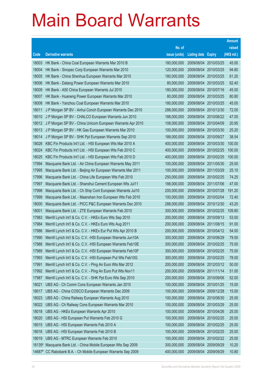|          |                                                               |               |                            |                       | <b>Amount</b> |
|----------|---------------------------------------------------------------|---------------|----------------------------|-----------------------|---------------|
|          |                                                               | No. of        |                            |                       | raised        |
| Code     | <b>Derivative warrants</b>                                    | issue (units) | <b>Listing date Expiry</b> |                       | (HK\$ mil.)   |
| 18003    | HK Bank - China Coal European Warrants Mar 2010 B             | 180,000,000   | 2009/08/04                 | 2010/03/25            | 45.00         |
| 18004    | HK Bank - Sinopec Corp European Warrants Mar 2010             | 120,000,000   | 2009/08/04                 | 2010/03/25            | 94.80         |
| 18005    | HK Bank - China Shenhua European Warrants Mar 2010            | 180,000,000   | 2009/08/04                 | 2010/03/25            | 61.20         |
| 18006    | HK Bank - Datang Power European Warrants Mar 2010             | 80,000,000    |                            | 2009/08/04 2010/03/25 | 62.40         |
| 18009    | HK Bank - A50 China European Warrants Jul 2010                | 180,000,000   | 2009/08/04                 | 2010/07/16            | 45.00         |
| 18007    | HK Bank - Huaneng Power European Warrants Mar 2010            | 80,000,000    |                            | 2009/08/04 2010/03/25 | 80.80         |
| 18008    | HK Bank - Yanzhou Coal European Warrants Mar 2010             | 180,000,000   | 2009/08/04                 | 2010/03/25            | 45.00         |
| 18011    | J P Morgan SP BV - Anhui Conch European Warrants Dec 2010     | 288,000,000   |                            | 2009/08/04 2010/12/30 | 72.00         |
| 18010    | J P Morgan SP BV - CHALCO European Warrants Jun 2010          | 188,000,000   | 2009/08/04                 | 2010/06/22            | 47.00         |
| 18012    | J P Morgan SP BV - China Unicom European Warrants Apr 2010    | 108,000,000   |                            | 2009/08/04 2010/04/09 | 20.95         |
| 18013    | J P Morgan SP BV - HK Gas European Warrants Mar 2010          | 100,000,000   | 2009/08/04                 | 2010/03/30            | 25.20         |
| 18014    | J P Morgan SP BV - SHK Ppt European Warrants Sep 2010         | 188,000,000   |                            | 2009/08/04 2010/09/27 | 38.54         |
| 18026    | KBC Fin Products Int'l Ltd. - HSI European Wts Mar 2010 A     | 400,000,000   | 2009/08/04                 | 2010/03/30            | 100.00        |
| 18024    | KBC Fin Products Int'l Ltd. - HSI European Wts Feb 2010 C     | 400,000,000   |                            | 2009/08/04 2010/02/25 | 100.00        |
| 18025    | KBC Fin Products Int'l Ltd. - HSI European Wts Feb 2010 D     | 400,000,000   | 2009/08/04                 | 2010/02/25            | 100.00        |
| 17994    | Macquarie Bank Ltd. - Air China European Warrants May 2011    | 100,000,000   |                            | 2009/08/04 2011/05/30 | 25.00         |
| 17995    | Macquarie Bank Ltd. - Beijing Air European Warrants Mar 2011  | 100,000,000   | 2009/08/04                 | 2011/03/29            | 25.10         |
| 17996    | Macquarie Bank Ltd. - China Life European Wts Feb 2010        | 250,000,000   |                            | 2009/08/04 2010/02/25 | 74.25         |
| 17997    | Macquarie Bank Ltd. - Shanshui Cement European Wts Jul11      | 188,000,000   | 2009/08/04                 | 2011/07/06            | 47.00         |
| 17998    | Macquarie Bank Ltd. - Ch Ship Cont European Warrants Jul10    | 200,000,000   |                            | 2009/08/04 2010/07/28 | 191.20        |
| 17999    | Macquarie Bank Ltd. - Maanshan Iron European Wts Feb 2010     | 100,000,000   | 2009/08/04                 | 2010/02/04            | 72.40         |
| 18000    | Macquarie Bank Ltd. - PICC P&C European Warrants Dec 2010     | 288,000,000   |                            | 2009/08/04 2010/12/30 | 43.20         |
| 18001    | Macquarie Bank Ltd. - ZTE European Warrants Feb 2010          | 300,000,000   | 2009/08/04                 | 2010/02/25            | 109.80        |
| 17983    | Merrill Lynch Int'l & Co. C.V. - HKEx Euro Wts Sep 2010       | 200,000,000   |                            | 2009/08/04 2010/09/13 | 53.00         |
| 17984    | Merrill Lynch Int'l & Co. C.V. - HKEx Euro Wts Aug 2011       | 200,000,000   | 2009/08/04                 | 2011/08/15            | 91.00         |
| 17986    | Merrill Lynch Int'l & Co. C.V. - HKEx Eur Put Wts Apr 2010 B  | 200,000,000   |                            | 2009/08/04 2010/04/12 | 54.00         |
| 17990    | Merrill Lynch Int'l & Co. C.V. - HSI European Warrants Jun10A | 300,000,000   |                            | 2009/08/04 2010/06/29 | 79.50         |
| 17988    | Merrill Lynch Int'l & Co. C.V. - HSI European Warrants Feb10E | 300,000,000   |                            | 2009/08/04 2010/02/25 | 75.00         |
| 17989    | Merrill Lynch Int'l & Co. C.V. - HSI European Warrants Feb10F | 300,000,000   | 2009/08/04                 | 2010/02/25            | 75.00         |
| 17993    | Merrill Lynch Int'l & Co. C.V. - HSI European Put Wts Feb10G  | 300,000,000   |                            | 2009/08/04 2010/02/25 | 78.00         |
| 17991    | Merrill Lynch Int'l & Co. C.V. - Ping An Euro Wts Mar 2012    | 200,000,000   |                            | 2009/08/04 2012/03/12 | 50.00         |
| 17992    | Merrill Lynch Int'l & Co. C.V. - Ping An Euro Put Wts Nov11   | 200,000,000   |                            | 2009/08/04 2011/11/14 | 51.00         |
| 17987    | Merrill Lynch Int'l & Co. C.V. - SHK Ppt Euro Wts Sep 2010    | 200,000,000   | 2009/08/04                 | 2010/09/06            | 52.00         |
| 18021    | UBS AG - Ch Comm Cons European Warrants Jan 2010              | 100,000,000   |                            | 2009/08/04 2010/01/25 | 15.00         |
| 18017    | UBS AG - China COSCO European Warrants Dec 2009               | 100,000,000   | 2009/08/04                 | 2009/12/28            | 15.00         |
| 18023    | UBS AG - China Railway European Warrants Aug 2010             | 100,000,000   |                            | 2009/08/04 2010/08/30 | 25.00         |
| 18022    | UBS AG - Ch Railway Cons European Warrants Mar 2010           | 100,000,000   | 2009/08/04                 | 2010/03/29            | 25.00         |
| 18018    | UBS AG - HKEx European Warrants Apr 2010                      | 100,000,000   |                            | 2009/08/04 2010/04/26 | 25.00         |
| 18020    | UBS AG - HSI European Put Warrants Feb 2010 G                 | 100,000,000   | 2009/08/04                 | 2010/02/25            | 25.00         |
| 18015    | UBS AG - HSI European Warrants Feb 2010 A                     | 100,000,000   |                            | 2009/08/04 2010/02/25 | 25.00         |
| 18016    | UBS AG - HSI European Warrants Feb 2010 B                     | 100,000,000   | 2009/08/04                 | 2010/02/25            | 25.00         |
| 18019    | UBS AG - MTRC European Warrants Feb 2010                      | 100,000,000   |                            | 2009/08/04 2010/02/22 | 25.00         |
| $16135*$ | Macquarie Bank Ltd. - China Mobile European Wts Sep 2009      | 300,000,000   | 2009/08/04                 | 2009/09/29            | 10.20         |
| 14687#   | CC Rabobank B.A. - Ch Mobile European Warrants Sep 2009       | 400,000,000   | 2009/08/04 2009/09/29      |                       | 10.80         |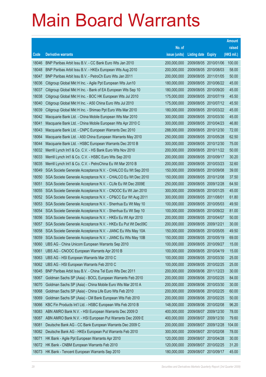|       |                                                              |               |                            |                       | <b>Amount</b> |
|-------|--------------------------------------------------------------|---------------|----------------------------|-----------------------|---------------|
|       |                                                              | No. of        |                            |                       | raised        |
| Code  | <b>Derivative warrants</b>                                   | issue (units) | <b>Listing date Expiry</b> |                       | (HK\$ mil.)   |
| 18046 | BNP Paribas Arbit Issu B.V. - CC Bank Euro Wts Jan 2010      | 200,000,000   | 2009/08/05 2010/01/06      |                       | 100.00        |
| 18048 | BNP Paribas Arbit Issu B.V. - HKEx European Wts Aug 2010     | 200,000,000   | 2009/08/05 2010/08/03      |                       | 58.00         |
| 18047 | BNP Paribas Arbit Issu B.V. - PetroCh Euro Wts Jan 2011      | 200,000,000   | 2009/08/05                 | 2011/01/05            | 50.00         |
| 18036 | Citigroup Global Mkt H Inc. - Agile Ppt European Wts Jun10   | 180,000,000   | 2009/08/05 2010/06/22      |                       | 45.00         |
| 18037 | Citigroup Global Mkt H Inc. - Bank of EA European Wts Sep 10 | 180,000,000   | 2009/08/05 2010/09/20      |                       | 45.00         |
| 18038 | Citigroup Global Mkt H Inc. - BOC HK European Wts Jul 2010   | 175,000,000   | 2009/08/05 2010/07/19      |                       | 45.50         |
| 18040 | Citigroup Global Mkt H Inc. - A50 China Euro Wts Jul 2010    | 175,000,000   | 2009/08/05 2010/07/12      |                       | 45.50         |
| 18039 | Citigroup Global Mkt H Inc. - Shimao Ppt Euro Wts Mar 2010   | 180,000,000   | 2009/08/05 2010/03/22      |                       | 45.00         |
| 18042 | Macquarie Bank Ltd. - China Mobile European Wts Mar 2010     | 300,000,000   | 2009/08/05 2010/03/30      |                       | 45.00         |
| 18041 | Macquarie Bank Ltd. - China Mobile European Wts Apr 2010 C   | 300,000,000   | 2009/08/05 2010/04/23      |                       | 46.80         |
| 18043 | Macquarie Bank Ltd. - CNPC European Warrants Dec 2010        | 288,000,000   | 2009/08/05 2010/12/30      |                       | 72.00         |
| 18064 | Macquarie Bank Ltd. - A50 China European Warrants May 2010   | 250,000,000   | 2009/08/05 2010/05/28      |                       | 62.50         |
| 18044 | Macquarie Bank Ltd. - HSBC European Warrants Dec 2010 B      | 300,000,000   | 2009/08/05 2010/12/30      |                       | 75.00         |
| 18032 | Merrill Lynch Int'l & Co. C.V. - HS Bank Euro Wts Nov 2010   | 200,000,000   | 2009/08/05 2010/11/22      |                       | 50.00         |
| 18033 | Merrill Lynch Int'l & Co. C.V. - HSBC Euro Wts Sep 2010      | 200,000,000   | 2009/08/05 2010/09/17      |                       | 30.20         |
| 18035 | Merrill Lynch Int'l & Co. C.V. - PetroChina Eu Wt Mar 2010 B | 200,000,000   | 2009/08/05 2010/03/23      |                       | 32.60         |
| 18049 | SGA Societe Generale Acceptance N.V. - CHALCO Eu Wt Sep 2010 | 150,000,000   | 2009/08/05 2010/09/08      |                       | 39.00         |
| 18050 | SGA Societe Generale Acceptance N.V. - CHALCO Eu Wt Dec 2010 | 150,000,000   | 2009/08/05 2010/12/08      |                       | 37.50         |
| 18051 | SGA Societe Generale Acceptance N.V. - CLife Eu Wt Dec 2009E | 250,000,000   | 2009/08/05                 | 2009/12/28            | 64.50         |
| 18055 | SGA Societe Generale Acceptance N.V. - CNOOC Eu Wt Jan 2010  | 300,000,000   | 2009/08/05 2010/01/25      |                       | 45.00         |
| 18052 | SGA Societe Generale Acceptance N.V. - CP&CC Eur Wt Aug 2011 | 300,000,000   | 2009/08/05 2011/08/01      |                       | 61.80         |
| 18053 | SGA Societe Generale Acceptance N.V. - Shenhua Eu Wt May 10  | 100,000,000   | 2009/08/05 2010/05/03      |                       | 49.50         |
| 18054 | SGA Societe Generale Acceptance N.V. - Shenhua Eu Wt Sep 10  | 100,000,000   | 2009/08/05                 | 2010/09/22            | 81.00         |
| 18056 | SGA Societe Generale Acceptance N.V. - HKEx Eu Wt Apr 2010   | 200,000,000   | 2009/08/05 2010/04/07      |                       | 50.00         |
| 18057 | SGA Societe Generale Acceptance N.V. - HKEx Eu Put Wt Dec09C | 200,000,000   | 2009/08/05 2009/12/21      |                       | 30.00         |
| 18058 | SGA Societe Generale Acceptance N.V. - JIANC Eu Wts May 10A  | 150,000,000   | 2009/08/05 2010/05/05      |                       | 49.50         |
| 18059 | SGA Societe Generale Acceptance N.V. - JIANC Eu Wts May 10B  | 150,000,000   |                            | 2009/08/05 2010/05/19 | 69.00         |
| 18060 | UBS AG - China Unicom European Warrants Sep 2010             | 100,000,000   | 2009/08/05 2010/09/27      |                       | 15.00         |
| 18061 | UBS AG - CNOOC European Warrants Apr 2010 B                  | 100,000,000   | 2009/08/05 2010/04/19      |                       | 15.00         |
| 18063 | UBS AG - HSI European Warrants Mar 2010 C                    | 100,000,000   | 2009/08/05 2010/03/30      |                       | 25.00         |
| 18062 | UBS AG - HSI European Warrants Feb 2010 C                    | 100,000,000   | 2009/08/05 2010/02/25      |                       | 25.00         |
| 18045 | BNP Paribas Arbit Issu B.V. - China Tel Euro Wts Dec 2011    | 200,000,000   | 2009/08/06 2011/12/23      |                       | 30.00         |
| 18067 | Goldman Sachs SP (Asia) - BOCL European Warrants Feb 2010    | 200,000,000   | 2009/08/06 2010/02/25      |                       | 84.00         |
| 18070 | Goldman Sachs SP (Asia) - China Mobile Euro Wts Mar 2010 A   | 200,000,000   | 2009/08/06 2010/03/30      |                       | 30.00         |
| 18068 | Goldman Sachs SP (Asia) - China Life Euro Wts Feb 2010       | 200,000,000   | 2009/08/06 2010/02/25      |                       | 60.00         |
| 18069 | Goldman Sachs SP (Asia) - CM Bank European Wts Feb 2010      | 200,000,000   | 2009/08/06 2010/02/25      |                       | 50.00         |
| 18066 | KBC Fin Products Int'l Ltd. - HSBC European Wts Feb 2010 B   | 148,000,000   | 2009/08/06 2010/02/08      |                       | 96.20         |
| 18083 | ABN AMRO Bank N.V. - HSI European Warrants Dec 2009 D        | 400,000,000   | 2009/08/07 2009/12/30      |                       | 78.00         |
| 18087 | ABN AMRO Bank N.V. - HSI European Put Warrants Dec 2009 E    | 400,000,000   | 2009/08/07                 | 2009/12/30            | 79.60         |
| 18081 | Deutsche Bank AG - CC Bank European Warrants Dec 2009 C      | 200,000,000   | 2009/08/07                 | 2009/12/28            | 104.00        |
| 18082 | Deutsche Bank AG - HKEx European Put Warrants Feb 2010       | 300,000,000   | 2009/08/07                 | 2010/02/08            | 78.00         |
| 18071 | HK Bank - Agile Ppt European Warrants Apr 2010               | 120,000,000   | 2009/08/07 2010/04/28      |                       | 30.00         |
| 18072 | HK Bank - CNBM European Warrants Feb 2010                    | 120,000,000   | 2009/08/07                 | 2010/02/25            | 31.20         |
| 18073 | HK Bank - Tencent European Warrants Sep 2010                 | 180,000,000   | 2009/08/07 2010/09/17      |                       | 45.00         |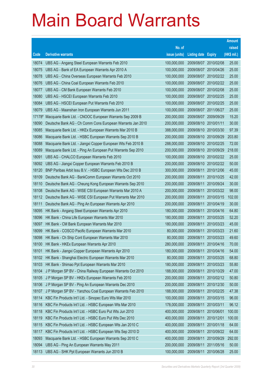|        |                                                              |               |                            |            | <b>Amount</b> |
|--------|--------------------------------------------------------------|---------------|----------------------------|------------|---------------|
|        |                                                              | No. of        |                            |            | raised        |
| Code   | <b>Derivative warrants</b>                                   | issue (units) | <b>Listing date Expiry</b> |            | (HK\$ mil.)   |
| 18074  | UBS AG - Angang Steel European Warrants Feb 2010             | 100,000,000   | 2009/08/07                 | 2010/02/08 | 25.00         |
| 18075  | UBS AG - Bank of EA European Warrants Apr 2010 A             | 100,000,000   | 2009/08/07 2010/04/26      |            | 25.00         |
| 18078  | UBS AG - China Overseas European Warrants Feb 2010           | 100,000,000   | 2009/08/07                 | 2010/02/22 | 25.00         |
| 18076  | UBS AG - China Coal European Warrants Feb 2010               | 100,000,000   | 2009/08/07 2010/02/22      |            | 25.00         |
| 18077  | UBS AG - CM Bank European Warrants Feb 2010                  | 100,000,000   | 2009/08/07 2010/02/08      |            | 25.00         |
| 18080  | UBS AG - HSCEI European Warrants Feb 2010                    | 100,000,000   | 2009/08/07 2010/02/25      |            | 25.00         |
| 18084  | UBS AG - HSCEI European Put Warrants Feb 2010                | 100,000,000   | 2009/08/07                 | 2010/02/25 | 25.00         |
| 18079  | UBS AG - Maanshan Iron European Warrants Jun 2011            | 100,000,000   | 2009/08/07 2011/06/27      |            | 25.00         |
| 17178# | Macquarie Bank Ltd. - CNOOC European Warrants Sep 2009 B     | 200,000,000   | 2009/08/07                 | 2009/09/29 | 15.20         |
| 18090  | Deutsche Bank AG - Ch Comm Cons European Warrants Jan 2010   | 200,000,000   | 2009/08/10 2010/01/11      |            | 30.00         |
| 18085  | Macquarie Bank Ltd. - HKEx European Warrants Mar 2010 B      | 388,000,000   | 2009/08/10                 | 2010/03/30 | 97.39         |
| 18086  | Macquarie Bank Ltd. - HSBC European Warrants Sep 2010 B      | 200,000,000   | 2009/08/10 2010/09/29      |            | 203.80        |
| 18088  | Macquarie Bank Ltd. - Jiangxi Copper European Wts Feb 2010 B | 288,000,000   | 2009/08/10 2010/02/25      |            | 72.00         |
| 18089  | Macquarie Bank Ltd. - Ping An European Put Warrants Sep 2010 | 200,000,000   | 2009/08/10 2010/09/29      |            | 218.00        |
| 18091  | UBS AG - CHALCO European Warrants Feb 2010                   | 100,000,000   | 2009/08/10 2010/02/22      |            | 25.00         |
| 18092  | UBS AG - Jiangxi Copper European Warrants Feb 2010 B         | 200,000,000   | 2009/08/10 2010/02/22      |            | 50.00         |
| 18120  | BNP Paribas Arbit Issu B.V. - HSBC European Wts Dec 2010 B   | 300,000,000   | 2009/08/11                 | 2010/12/06 | 45.00         |
| 18109  | Deutsche Bank AG - BankComm European Warrants Oct 2010       | 200,000,000   | 2009/08/11                 | 2010/10/25 | 42.00         |
| 18110  | Deutsche Bank AG - Cheung Kong European Warrants Sep 2010    | 200,000,000   | 2009/08/11                 | 2010/09/24 | 30.00         |
| 18108  | Deutsche Bank AG - WISE CSI European Warrants Mar 2010 A     | 200,000,000   | 2009/08/11                 | 2010/03/22 | 98.00         |
| 18112  | Deutsche Bank AG - WISE CSI European Put Warrants Mar 2010   | 200,000,000   | 2009/08/11                 | 2010/03/15 | 102.00        |
| 18111  | Deutsche Bank AG - Ping An European Warrants Apr 2010        | 200,000,000   | 2009/08/11                 | 2010/04/19 | 30.00         |
| 18095  | HK Bank - Angang Steel European Warrants Apr 2010            | 180,000,000   | 2009/08/11                 | 2010/04/16 | 64.80         |
| 18096  | HK Bank - China Life European Warrants Mar 2010              | 180,000,000   | 2009/08/11                 | 2010/03/25 | 52.20         |
| 18097  | HK Bank - CM Bank European Warrants Mar 2010                 | 180,000,000   | 2009/08/11                 | 2010/03/23 | 45.00         |
| 18099  | HK Bank - COSCO Pacific European Warrants Mar 2010           | 80,000,000    | 2009/08/11                 | 2010/03/23 | 21.60         |
| 18098  | HK Bank - Ch Ship Cont European Warrants Mar 2010            | 80,000,000    | 2009/08/11                 | 2010/03/23 | 49.60         |
| 18100  | HK Bank - HKEx European Warrants Apr 2010                    | 280,000,000   | 2009/08/11 2010/04/16      |            | 70.00         |
| 18101  | HK Bank - Jiangxi Copper European Warrants Apr 2010          | 180,000,000   | 2009/08/11                 | 2010/04/16 | 54.00         |
| 18102  | HK Bank - Shanghai Electric European Warrants Mar 2010       | 80,000,000    | 2009/08/11                 | 2010/03/25 | 68.80         |
| 18103  | HK Bank - Shimao Ppt European Warrants Mar 2010              | 180,000,000   | 2009/08/11                 | 2010/03/23 | 55.80         |
| 18104  | J P Morgan SP BV - China Railway European Warrants Oct 2010  | 188,000,000   | 2009/08/11                 | 2010/10/29 | 47.00         |
| 18105  | J P Morgan SP BV - HKEx European Warrants Feb 2010           | 200,000,000   | 2009/08/11                 | 2010/02/12 | 50.80         |
| 18106  | J P Morgan SP BV - Ping An European Warrants Dec 2010        | 200,000,000   | 2009/08/11                 | 2010/12/30 | 50.00         |
| 18107  | J P Morgan SP BV - Yanzhou Coal European Warrants Feb 2010   | 188,000,000   | 2009/08/11                 | 2010/02/25 | 47.38         |
| 18114  | KBC Fin Products Int'l Ltd. - Sinopec Euro Wts Mar 2010      | 100,000,000   | 2009/08/11                 | 2010/03/15 | 96.00         |
| 18116  | KBC Fin Products Int'l Ltd. - HSBC European Wts Mar 2010     | 178,000,000   | 2009/08/11                 | 2010/03/11 | 96.12         |
| 18118  | KBC Fin Products Int'l Ltd. - HSBC Euro Put Wts Jun 2010     | 400,000,000   | 2009/08/11                 | 2010/06/01 | 100.00        |
| 18119  | KBC Fin Products Int'l Ltd. - HSBC Euro Put Wts Dec 2010     | 400,000,000   | 2009/08/11                 | 2010/12/01 | 100.00        |
| 18115  | KBC Fin Products Int'l Ltd. - HSBC European Wts Jan 2010 C   | 400,000,000   | 2009/08/11                 | 2010/01/18 | 64.00         |
| 18117  | KBC Fin Products Int'l Ltd. - HSBC European Wts Sep 2010 D   | 400,000,000   | 2009/08/11                 | 2010/09/22 | 64.00         |
| 18093  | Macquarie Bank Ltd. - HSBC European Warrants Sep 2010 C      | 400,000,000   | 2009/08/11                 | 2010/09/29 | 292.00        |
| 18094  | UBS AG - Ping An European Warrants May 2011                  | 200,000,000   | 2009/08/11                 | 2011/05/16 | 50.00         |
| 18113  | UBS AG - SHK Ppt European Warrants Jun 2010 B                | 100,000,000   | 2009/08/11                 | 2010/06/28 | 25.00         |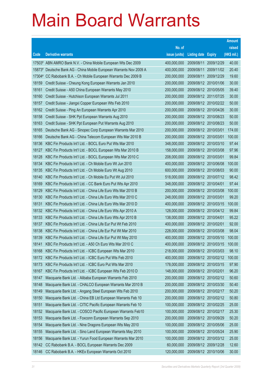|        |                                                                |               |                            |                       | <b>Amount</b> |
|--------|----------------------------------------------------------------|---------------|----------------------------|-----------------------|---------------|
|        |                                                                | No. of        |                            |                       | raised        |
| Code   | <b>Derivative warrants</b>                                     | issue (units) | <b>Listing date Expiry</b> |                       | (HK\$ mil.)   |
|        | 17503# ABN AMRO Bank N.V. - China Mobile European Wts Dec 2009 | 400,000,000   | 2009/08/11                 | 2009/12/29            | 40.00         |
| 15873# | Deutsche Bank AG - China Mobile European Warrants Nov 2009 A   | 400,000,000   | 2009/08/11                 | 2009/11/02            | 20.40         |
| 17304# | CC Rabobank B.A. - Ch Mobile European Warrants Dec 2009 B      | 200,000,000   | 2009/08/11                 | 2009/12/29            | 19.60         |
| 18159  | Credit Suisse - Cheung Kong European Warrants Jan 2010         | 200,000,000   |                            | 2009/08/12 2010/01/06 | 30.00         |
| 18161  | Credit Suisse - A50 China European Warrants May 2010           | 200,000,000   | 2009/08/12 2010/05/05      |                       | 39.40         |
| 18160  | Credit Suisse - Hutchison European Warrants Jul 2011           | 200,000,000   |                            | 2009/08/12 2011/07/25 | 30.00         |
| 18157  | Credit Suisse - Jiangxi Copper European Wts Feb 2010           | 200,000,000   |                            | 2009/08/12 2010/02/22 | 50.00         |
| 18162  | Credit Suisse - Ping An European Warrants Apr 2010             | 200,000,000   |                            | 2009/08/12 2010/04/26 | 30.00         |
| 18158  | Credit Suisse - SHK Ppt European Warrants Aug 2010             | 200,000,000   |                            | 2009/08/12 2010/08/23 | 50.00         |
| 18163  | Credit Suisse - SHK Ppt European Put Warrants Aug 2010         | 200,000,000   |                            | 2009/08/12 2010/08/23 | 50.00         |
| 18165  | Deutsche Bank AG - Sinopec Corp European Warrants Mar 2010     | 200,000,000   | 2009/08/12 2010/03/01      |                       | 174.00        |
| 18166  | Deutsche Bank AG - China Telecom European Wts Mar 2010 B       | 200,000,000   | 2009/08/12 2010/03/01      |                       | 100.00        |
| 18136  | KBC Fin Products Int'l Ltd. - BOCL Euro Put Wts Mar 2010       | 348,000,000   |                            | 2009/08/12 2010/03/10 | 97.44         |
| 18127  | KBC Fin Products Int'l Ltd. - BOCL European Wts Mar 2010 B     | 158,000,000   |                            | 2009/08/12 2010/03/08 | 97.96         |
| 18128  | KBC Fin Products Int'l Ltd. - BOCL European Wts Mar 2010 C     | 208,000,000   | 2009/08/12 2010/03/01      |                       | 99.84         |
| 18134  | KBC Fin Products Int'l Ltd. - Ch Mobile Euro Wt Jun 2010       | 400,000,000   |                            | 2009/08/12 2010/06/08 | 100.00        |
| 18135  | KBC Fin Products Int'l Ltd. - Ch Mobile Euro Wt Aug 2010       | 600,000,000   |                            | 2009/08/12 2010/08/03 | 90.00         |
| 18140  | KBC Fin Products Int'l Ltd. - Ch Mobile Eu Put Wt Jul 2010     | 518,000,000   |                            | 2009/08/12 2010/07/12 | 98.42         |
| 18169  | KBC Fin Products Int'l Ltd. - CC Bank Euro Put Wts Apr 2010    | 348,000,000   | 2009/08/12 2010/04/01      |                       | 97.44         |
| 18129  | KBC Fin Products Int'l Ltd. - China Life Euro Wts Mar 2010 B   | 200,000,000   |                            | 2009/08/12 2010/03/08 | 100.00        |
| 18130  | KBC Fin Products Int'l Ltd. - China Life Euro Wts Mar 2010 C   | 248,000,000   | 2009/08/12 2010/03/01      |                       | 99.20         |
| 18131  | KBC Fin Products Int'l Ltd. - China Life Euro Wts Mar 2010 D   | 400,000,000   |                            | 2009/08/12 2010/03/15 | 100.00        |
| 18132  | KBC Fin Products Int'l Ltd. - China Life Euro Wts Apr 2010 A   | 128,000,000   |                            | 2009/08/12 2010/04/12 | 99.84         |
| 18133  | KBC Fin Products Int'l Ltd. - China Life Euro Wts Apr 2010 B   | 138,000,000   | 2009/08/12 2010/04/01      |                       | 95.22         |
| 18137  | KBC Fin Products Int'l Ltd. - China Life Eur Put Wt Feb 2010   | 400,000,000   | 2009/08/12 2010/02/01      |                       | 92.00         |
| 18138  | KBC Fin Products Int'l Ltd. - China Life Eur Put Wt Mar 2010   | 228,000,000   |                            | 2009/08/12 2010/03/08 | 98.04         |
| 18139  | KBC Fin Products Int'l Ltd. - China Life Eur Put Wt May 2010   | 400,000,000   |                            | 2009/08/12 2010/05/10 | 100.00        |
| 18141  | KBC Fin Products Int'l Ltd. - A50 Ch Euro Wts Mar 2010 C       | 400,000,000   |                            | 2009/08/12 2010/03/15 | 100.00        |
| 18168  | KBC Fin Products Int'l Ltd. - ICBC European Wts Mar 2010       | 218,000,000   | 2009/08/12 2010/03/03      |                       | 98.10         |
| 18172  | KBC Fin Products Int'l Ltd. - ICBC Euro Put Wts Feb 2010       | 400,000,000   |                            | 2009/08/12 2010/02/12 | 100.00        |
| 18173  | KBC Fin Products Int'l Ltd. - ICBC Euro Put Wts Mar 2010       | 178,000,000   | 2009/08/12 2010/03/15      |                       | 97.90         |
| 18167  | KBC Fin Products Int'l Ltd. - ICBC European Wts Feb 2010 D     | 148,000,000   | 2009/08/12 2010/02/01      |                       | 96.20         |
| 18147  | Macquarie Bank Ltd. - Alibaba European Warrants Feb 2010       | 200,000,000   |                            | 2009/08/12 2010/02/12 | 50.60         |
| 18148  | Macquarie Bank Ltd. - CHALCO European Warrants Mar 2010 B      | 200,000,000   |                            | 2009/08/12 2010/03/30 | 50.40         |
| 18149  | Macquarie Bank Ltd. - Angang Steel European Wts Feb 2010       | 200,000,000   | 2009/08/12 2010/02/17      |                       | 50.20         |
| 18150  | Macquarie Bank Ltd. - China EB Ltd European Warrants Feb 10    | 200,000,000   |                            | 2009/08/12 2010/02/12 | 50.80         |
| 18151  | Macquarie Bank Ltd. - CITIC Pacific European Warrants Feb 10   | 100,000,000   | 2009/08/12 2010/02/25      |                       | 25.00         |
| 18152  | Macquarie Bank Ltd. - COSCO Pacific European Warrants Feb10    | 100,000,000   | 2009/08/12 2010/02/17      |                       | 25.30         |
| 18153  | Macquarie Bank Ltd. - Foxconn European Warrants Sep 2010       | 200,000,000   | 2009/08/12 2010/09/29      |                       | 50.20         |
| 18154  | Macquarie Bank Ltd. - Nine Dragons European Wts May 2010       | 100,000,000   |                            | 2009/08/12 2010/05/06 | 25.00         |
| 18155  | Macquarie Bank Ltd. - Sino Land European Warrants May 2010     | 100,000,000   |                            | 2009/08/12 2010/05/24 | 25.90         |
| 18156  | Macquarie Bank Ltd. - Yurun Food European Warrants Mar 2010    | 100,000,000   |                            | 2009/08/12 2010/03/12 | 25.00         |
| 18142  | CC Rabobank B.A. - BOCL European Warrants Dec 2009             | 60,000,000    |                            | 2009/08/12 2009/12/28 | 12.60         |
| 18146  | CC Rabobank B.A. - HKEx European Warrants Oct 2010             | 120,000,000   |                            | 2009/08/12 2010/10/06 | 30.00         |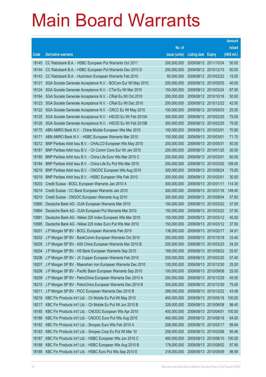|       |                                                              |               |                            |                       | <b>Amount</b> |
|-------|--------------------------------------------------------------|---------------|----------------------------|-----------------------|---------------|
|       |                                                              | No. of        |                            |                       | raised        |
| Code  | <b>Derivative warrants</b>                                   | issue (units) | <b>Listing date Expiry</b> |                       | (HK\$ mil.)   |
| 18145 | CC Rabobank B.A. - HSBC European Put Warrants Oct 2011       | 200,000,000   | 2009/08/12 2011/10/24      |                       | 50.00         |
| 18144 | CC Rabobank B.A. - HSBC European Put Warrants Dec 2010 D     | 200,000,000   |                            | 2009/08/12 2010/12/15 | 50.00         |
| 18143 | CC Rabobank B.A. - Hutchison European Warrants Feb 2010      | 60,000,000    | 2009/08/12 2010/02/23      |                       | 15.00         |
| 18121 | SGA Societe Generale Acceptance N.V. - BOCom Eur Wt May 2010 | 200,000,000   | 2009/08/12 2010/05/03      |                       | 40.00         |
| 18124 | SGA Societe Generale Acceptance N.V. - CTel Eu Wt Mar 2010   | 150,000,000   |                            | 2009/08/12 2010/03/24 | 87.90         |
| 18164 | SGA Societe Generale Acceptance N.V. - CRail Eu Wt Oct 2010  | 200,000,000   | 2009/08/12 2010/10/18      |                       | 50.00         |
| 18123 | SGA Societe Generale Acceptance N.V. - CRail Eu Wt Dec 2010  | 200,000,000   | 2009/08/12 2010/12/22      |                       | 42.00         |
| 18122 | SGA Societe Generale Acceptance N.V. - CRCC Eu Wt May 2010   | 100,000,000   |                            | 2009/08/12 2010/05/03 | 25.00         |
| 18125 | SGA Societe Generale Acceptance N.V. - HSCEI Eu Wt Feb 2010A | 300,000,000   |                            | 2009/08/12 2010/02/25 | 75.00         |
| 18126 | SGA Societe Generale Acceptance N.V. - HSCEI Eu Wt Feb 2010B | 300,000,000   |                            | 2009/08/12 2010/02/25 | 75.00         |
| 18170 | ABN AMRO Bank N.V. - China Mobile European Wts Mar 2010      | 100,000,000   | 2009/08/13 2010/03/01      |                       | 70.80         |
| 18171 | ABN AMRO Bank N.V. - HSBC European Warrants Mar 2010         | 100,000,000   | 2009/08/13 2010/03/01      |                       | 71.70         |
| 18212 | BNP Paribas Arbit Issu B.V. - CHALCO European Wts May 2010   | 200,000,000   | 2009/08/13 2010/05/31      |                       | 50.00         |
| 18181 | BNP Paribas Arbit Issu B.V. - Ch Comm Cons Eur Wt Jan 2010   | 200,000,000   |                            | 2009/08/13 2010/01/25 | 30.00         |
| 18180 | BNP Paribas Arbit Issu B.V. - China Life Euro Wts Mar 2010 C | 200,000,000   | 2009/08/13 2010/03/01      |                       | 60.00         |
| 18184 | BNP Paribas Arbit Issu B.V. - China Life Eu Put Wts Mar 2010 | 200,000,000   |                            | 2009/08/13 2010/03/02 | 108.00        |
| 18218 | BNP Paribas Arbit Issu B.V. - CNOOC European Wts Aug 2010    | 300,000,000   |                            | 2009/08/13 2010/08/24 | 75.00         |
| 18219 | BNP Paribas Arbit Issu B.V. - HSBC European Wts Feb 2010     | 200,000,000   | 2009/08/13 2010/02/01      |                       | 30.00         |
| 18203 | Credit Suisse - BOCL European Warrants Jan 2010 A            | 300,000,000   | 2009/08/13 2010/01/11      |                       | 114.30        |
| 18214 | Credit Suisse - CC Bank European Warrants Jan 2010           | 300,000,000   | 2009/08/13 2010/01/18      |                       | 149.40        |
| 18215 | Credit Suisse - CNOOC European Warrants Aug 2010             | 300,000,000   | 2009/08/13 2010/08/04      |                       | 57.60         |
| 10890 | Deutsche Bank AG - DJIA European Warrants Mar 2010           | 150,000,000   |                            | 2009/08/13 2010/03/22 | 37.50         |
| 10894 | Deutsche Bank AG - DJIA European Put Warrants Mar 2010       | 150,000,000   |                            | 2009/08/13 2010/03/22 | 37.50         |
| 10891 | Deutsche Bank AG - Nikkei 225 Index European Wts Mar 2010    | 150,000,000   |                            | 2009/08/13 2010/03/12 | 40.50         |
| 10895 | Deutsche Bank AG - Nikkei 225 Index Euro Put Wts Mar 2010    | 150,000,000   |                            | 2009/08/13 2010/03/12 | 37.50         |
| 18201 | J P Morgan SP BV - BOCL European Warrants Feb 2010           | 138,000,000   | 2009/08/13 2010/02/17      |                       | 34.91         |
| 18202 | J P Morgan SP BV - BankComm European Warrants Oct 2010       | 200,000,000   | 2009/08/13 2010/10/18      |                       | 33.40         |
| 18205 | J P Morgan SP BV - A50 China European Warrants Mar 2010 B    | 200,000,000   | 2009/08/13 2010/03/23      |                       | 34.20         |
| 18204 | J P Morgan SP BV - HS Bank European Warrants Sep 2010        | 168,000,000   | 2009/08/13 2010/09/22      |                       | 25.87         |
| 18206 | J P Morgan SP BV - JX Copper European Warrants Feb 2010      | 200,000,000   | 2009/08/13 2010/02/25      |                       | 57.40         |
| 18207 | J P Morgan SP BV - Maanshan Iron European Warrants Dec 2010  | 100,000,000   | 2009/08/13 2010/12/30      |                       | 25.00         |
| 18208 | J P Morgan SP BV - Pacific Basin European Warrants Sep 2010  | 100,000,000   | 2009/08/13 2010/09/08      |                       | 25.00         |
| 18209 | J P Morgan SP BV - PetroChina European Warrants Dec 2010 A   | 300,000,000   | 2009/08/13 2010/12/29      |                       | 45.00         |
| 18210 | J P Morgan SP BV - PetroChina European Warrants Dec 2010 B   | 300,000,000   |                            | 2009/08/13 2010/12/30 | 75.00         |
| 18211 | J P Morgan SP BV - PICC European Warrants Dec 2010 B         | 288,000,000   | 2009/08/13 2010/12/22      |                       | 43.49         |
| 18216 | KBC Fin Products Int'l Ltd. - Ch Mobile Eu Put Wt May 2010   | 400,000,000   |                            | 2009/08/13 2010/05/18 | 100.00        |
| 18217 | KBC Fin Products Int'l Ltd. - Ch Mobile Eu Put Wt Jun 2010 B | 328,000,000   | 2009/08/13 2010/06/08      |                       | 98.40         |
| 18185 | KBC Fin Products Int'l Ltd. - CNOOC European Wts Apr 2010    | 400,000,000   | 2009/08/13 2010/04/01      |                       | 100.00        |
| 18186 | KBC Fin Products Int'l Ltd. - CNOOC Euro Put Wts Aug 2010    | 400,000,000   | 2009/08/13 2010/08/18      |                       | 64.00         |
| 18182 | KBC Fin Products Int'l Ltd. - Sinopec Euro Wts Feb 2010 A    | 208,000,000   | 2009/08/13 2010/02/17      |                       | 99.84         |
| 18183 | KBC Fin Products Int'l Ltd. - Sinopec Corp Eu Put Wt Mar 10  | 258,000,000   | 2009/08/13 2010/03/08      |                       | 95.46         |
| 18187 | KBC Fin Products Int'l Ltd. - HSBC European Wts Jun 2010 C   | 400,000,000   |                            | 2009/08/13 2010/06/10 | 100.00        |
| 18188 | KBC Fin Products Int'l Ltd. - HSBC European Wts Aug 2010 B   | 178,000,000   | 2009/08/13 2010/08/02      |                       | 97.90         |
| 18189 | KBC Fin Products Int'l Ltd. - HSBC Euro Put Wts Sep 2010 E   | 318,000,000   | 2009/08/13 2010/09/09      |                       | 98.58         |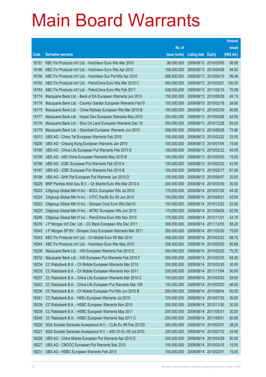|       |                                                              |               |                            |                       | <b>Amount</b> |
|-------|--------------------------------------------------------------|---------------|----------------------------|-----------------------|---------------|
|       |                                                              | No. of        |                            |                       | raised        |
| Code  | <b>Derivative warrants</b>                                   | issue (units) | <b>Listing date Expiry</b> |                       | (HK\$ mil.)   |
| 18191 | KBC Fin Products Int'l Ltd. - Hutchison Euro Wts Mar 2010    | 98,000,000    |                            | 2009/08/13 2010/03/05 | 98.98         |
| 18190 | KBC Fin Products Int'l Ltd. - Hutchison Euro Wts Apr 2010    | 158,000,000   |                            | 2009/08/13 2010/04/08 | 94.80         |
| 18194 | KBC Fin Products Int'l Ltd. - Hutchison Eur Put Wts Apr 2010 | 268,000,000   | 2009/08/13                 | 2010/04/15            | 96.48         |
| 18192 | KBC Fin Products Int'l Ltd. - PetroChina Euro Wts Mar 2010 C | 400,000,000   | 2009/08/13 2010/03/01      |                       | 100.00        |
| 18193 | KBC Fin Products Int'l Ltd. - PetroChina Euro Wts Feb 2011   | 438,000,000   |                            | 2009/08/13 2011/02/15 | 70.08         |
| 18174 | Macquarie Bank Ltd. - Bank of EA European Warrants Jun 2010  | 150,000,000   |                            | 2009/08/13 2010/06/29 | 45.15         |
| 18176 | Macquarie Bank Ltd. - Country Garden European Warrants Feb10 | 100,000,000   |                            | 2009/08/13 2010/02/18 | 28.80         |
| 18175 | Macquarie Bank Ltd. - China Railway European Wts Mar 2010 B  | 100,000,000   |                            | 2009/08/13 2010/03/30 | 40.80         |
| 18177 | Macquarie Bank Ltd. - Hysan Dev European Warrants May 2010   | 250,000,000   |                            | 2009/08/13 2010/05/28 | 64.00         |
| 18178 | Macquarie Bank Ltd. - Shui On Land European Warrants Dec 10  | 250,000,000   |                            | 2009/08/13 2010/12/28 | 63.00         |
| 18179 | Macquarie Bank Ltd. - Stanchart European Warrants Jun 2010   | 288,000,000   |                            | 2009/08/13 2010/06/29 | 72.86         |
| 18213 | UBS AG - China Tel European Warrants Feb 2010                | 100,000,000   |                            | 2009/08/13 2010/02/22 | 25.00         |
| 18200 | UBS AG - Cheung Kong European Warrants Jan 2010              | 100,000,000   |                            | 2009/08/13 2010/01/04 | 15.00         |
| 18195 | UBS AG - China Life European Put Warrants Feb 2010 E         | 100,000,000   |                            | 2009/08/13 2010/02/22 | 45.00         |
| 18199 | UBS AG - A50 China European Warrants May 2010 B              | 100,000,000   |                            | 2009/08/13 2010/05/03 | 15.00         |
| 18196 | UBS AG - ICBC European Put Warrants Feb 2010 A               | 100,000,000   |                            | 2009/08/13 2010/02/22 | 43.50         |
| 18197 | UBS AG - ICBC European Put Warrants Feb 2010 B               | 100,000,000   |                            | 2009/08/13 2010/02/17 | 61.00         |
| 18198 | UBS AG - SHK Ppt European Put Warrants Jun 2010 D            | 100,000,000   |                            | 2009/08/13 2010/06/07 | 25.00         |
| 18229 | BNP Paribas Arbit Issu B.V. - Ch Mobile Euro Wts Mar 2010 A  | 200,000,000   | 2009/08/14                 | 2010/03/30            | 30.00         |
| 18222 | Citigroup Global Mkt H Inc. - BOCL European Wts Jul 2010     | 170,000,000   |                            | 2009/08/14 2010/07/26 | 44.20         |
| 18224 | Citigroup Global Mkt H Inc. - CITIC Pacific Eu Wt Jun 2010   | 150,000,000   | 2009/08/14                 | 2010/06/21            | 43.50         |
| 18223 | Citigroup Global Mkt H Inc. - Sinopec Corp Euro Wts Dec10    | 150,000,000   |                            | 2009/08/14 2010/12/22 | 22.50         |
| 18225 | Citigroup Global Mkt H Inc. - MTRC European Wts Jun 2010     | 170,000,000   | 2009/08/14                 | 2010/06/29            | 42.50         |
| 18246 | Citigroup Global Mkt H Inc. - PetroChina Euro Wts Nov 2010   | 175,000,000   | 2009/08/14 2010/11/01      |                       | 43.75         |
| 18230 | J P Morgan Int'l Der. Ltd. - CC Bank European Wts Dec 2011   | 388,000,000   | 2009/08/14                 | 2011/12/05            | 58.20         |
| 18245 | J P Morgan SP BV - Sinopec Corp European Warrants Mar 2011   | 300,000,000   |                            | 2009/08/14 2011/03/30 | 75.00         |
| 18243 | KBC Fin Products Int'l Ltd. - Ch Mobile Euro Wt Mar 2010     | 458,000,000   |                            | 2009/08/14 2010/03/23 | 68.70         |
| 18244 | KBC Fin Products Int'l Ltd. - Hutchison Euro Wts May 2010    | 208,000,000   |                            | 2009/08/14 2010/05/03 | 95.68         |
| 18228 | Macquarie Bank Ltd. - HSI European Warrants Feb 2010 E       | 300,000,000   | 2009/08/14                 | 2010/02/25            | 75.30         |
| 18232 | Macquarie Bank Ltd. - HSI European Put Warrants Feb 2010 F   | 300,000,000   | 2009/08/14                 | 2010/02/25            | 64.20         |
| 18234 | CC Rabobank B.A. - Ch Mobile European Warrants Mar 2010      | 200,000,000   | 2009/08/14                 | 2010/03/30            | 30.00         |
| 18235 | CC Rabobank B.A. - Ch Mobile European Warrants Nov 2011      | 200,000,000   | 2009/08/14                 | 2011/11/04            | 50.00         |
| 18237 | CC Rabobank B.A. - China Life European Warrants Mar 2010 C   | 100,000,000   | 2009/08/14                 | 2010/03/03            | 28.00         |
| 18242 | CC Rabobank B.A. - China Life European Put Warrants Mar 10E  | 100,000,000   | 2009/08/14                 | 2010/03/03            | 46.00         |
| 18236 | CC Rabobank B.A. - Ch Mobile European Put Wts Jun 2010 B     | 200,000,000   | 2009/08/14                 | 2010/06/04            | 50.00         |
| 18241 | CC Rabobank B.A. - HKEx European Warrants Jul 2010           | 120,000,000   | 2009/08/14                 | 2010/07/28            | 30.00         |
| 18238 | CC Rabobank B.A. - HSBC European Warrants Nov 2010           | 200,000,000   | 2009/08/14                 | 2010/11/30            | 30.00         |
| 18239 | CC Rabobank B.A. - HSBC European Warrants May 2011           | 200,000,000   | 2009/08/14                 | 2011/05/31            | 30.00         |
| 18240 | CC Rabobank B.A. - HSBC European Warrants Sep 2011 C         | 200,000,000   | 2009/08/14                 | 2011/09/01            | 50.00         |
| 18220 | SGA Societe Generale Acceptance N.V. - CLife Eu Wt Feb 2010D | 200,000,000   | 2009/08/14                 | 2010/02/01            | 38.20         |
| 18221 | SGA Societe Generale Acceptance N.V. - A50 Ch Eu Wt Jul 2010 | 200,000,000   | 2009/08/14                 | 2010/07/12            | 34.80         |
| 18226 | UBS AG - China Mobile European Put Warrants Apr 2010 E       | 200,000,000   | 2009/08/14                 | 2010/04/26            | 50.00         |
| 18227 | UBS AG - CNOOC European Put Warrants Mar 2010                | 100,000,000   | 2009/08/14                 | 2010/03/15            | 15.00         |
| 18231 | UBS AG - HSBC European Warrants Feb 2010                     | 100,000,000   | 2009/08/14                 | 2010/02/01            | 15.00         |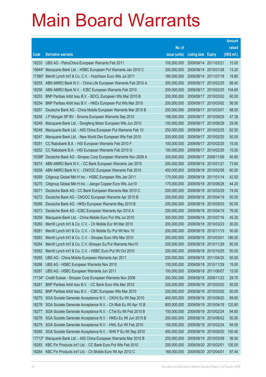|          |                                                              |               |                            |                       | <b>Amount</b> |
|----------|--------------------------------------------------------------|---------------|----------------------------|-----------------------|---------------|
|          |                                                              | No. of        |                            |                       | raised        |
| Code     | <b>Derivative warrants</b>                                   | issue (units) | <b>Listing date Expiry</b> |                       | (HK\$ mil.)   |
| 18233    | UBS AG - PetroChina European Warrants Feb 2011               | 100,000,000   | 2009/08/14                 | 2011/02/21            | 15.00         |
| 15644#   | Macquarie Bank Ltd. - HSBC European Put Warrants Jan 2010 C  | 300,000,000   |                            | 2009/08/14 2010/01/28 | 13.20         |
| 17360#   | Merrill Lynch Int'l & Co. C.V. - Hutchison Euro Wts Jul 2011 | 180,000,000   | 2009/08/14                 | 2011/07/18            | 19.80         |
| 18255    | ABN AMRO Bank N.V. - China Life European Warrants Feb 2010 A | 300,000,000   | 2009/08/17                 | 2010/02/25            | 98.40         |
| 18256    | ABN AMRO Bank N.V. - ICBC European Warrants Feb 2010         | 200,000,000   |                            | 2009/08/17 2010/02/25 | 104.60        |
| 18253    | BNP Paribas Arbit Issu B.V. - BOCL European Wts Mar 2010 B   | 200,000,000   |                            | 2009/08/17 2010/03/02 | 60.00         |
| 18254    | BNP Paribas Arbit Issu B.V. - HKEx European Put Wts Mar 2010 | 200,000,000   | 2009/08/17                 | 2010/03/02            | 56.00         |
| 18257    | Deutsche Bank AG - China Mobile European Warrants Mar 2010 B | 200,000,000   | 2009/08/17                 | 2010/03/01            | 88.00         |
| 18250    | J P Morgan SP BV - Sinoma European Warrants Sep 2010         | 188,000,000   |                            | 2009/08/17 2010/09/29 | 47.38         |
| 18249    | Macquarie Bank Ltd. - Dongfeng Motor European Wts Jun 2010   | 100,000,000   |                            | 2009/08/17 2010/06/29 | 25.00         |
| 18248    | Macquarie Bank Ltd. - A50 China European Put Warrants Feb 10 | 250,000,000   | 2009/08/17                 | 2010/02/25            | 62.50         |
| 18247    | Macquarie Bank Ltd. - New World Dev European Wts Feb 2010    | 200,000,000   | 2009/08/17                 | 2010/02/25            | 50.00         |
| 18251    | CC Rabobank B.A. - HSI European Warrants Feb 2010 F          | 100,000,000   |                            | 2009/08/17 2010/02/25 | 15.00         |
| 18252    | CC Rabobank B.A. - HSI European Warrants Feb 2010 G          | 100,000,000   |                            | 2009/08/17 2010/02/25 | 15.00         |
| 15398#   | Deutsche Bank AG - Sinopec Corp European Warrants Nov 2009 A | 300,000,000   | 2009/08/17                 | 2009/11/09            | 40.80         |
| 18274    | ABN AMRO Bank N.V. - CC Bank European Warrants Jan 2010      | 200,000,000   | 2009/08/18 2010/01/21      |                       | 73.60         |
| 18258    | ABN AMRO Bank N.V. - CNOOC European Warrants Feb 2010        | 400,000,000   |                            | 2009/08/18 2010/02/08 | 60.00         |
| 18269    | Citigroup Global Mkt H Inc. - HSBC European Wts Jan 2011     | 170,000,000   |                            | 2009/08/18 2011/01/14 | 42.50         |
| 18270    | Citigroup Global Mkt H Inc. - Jiangxi Copper Euro Wts Jun10  | 170,000,000   | 2009/08/18                 | 2010/06/28            | 44.20         |
| 18271    | Deutsche Bank AG - CC Bank European Warrants Mar 2010 C      | 200,000,000   |                            | 2009/08/18 2010/03/29 | 74.00         |
| 18272    | Deutsche Bank AG - CNOOC European Warrants Apr 2010 B        | 200,000,000   |                            | 2009/08/18 2010/04/19 | 50.00         |
| 18268    | Deutsche Bank AG - HKEx European Warrants May 2010 B         | 200,000,000   | 2009/08/18                 | 2010/05/03            | 50.00         |
| 18273    | Deutsche Bank AG - ICBC European Warrants Apr 2010 A         | 200,000,000   | 2009/08/18                 | 2010/04/19            | 76.00         |
| 18259    | Macquarie Bank Ltd. - China Mobile Euro Put Wts Jul 2010     | 300,000,000   |                            | 2009/08/18 2010/07/16 | 45.30         |
| 18260    | Merrill Lynch Int'l & Co. C.V. - Ch Mobile Eur Wt Mar 2010   | 200,000,000   |                            | 2009/08/18 2010/03/23 | 30.00         |
| 18261    | Merrill Lynch Int'l & Co. C.V. - Ch Mobile Eu Put Wt Nov 10  | 200,000,000   |                            | 2009/08/18 2010/11/15 | 50.00         |
| 18263    | Merrill Lynch Int'l & Co. C.V. - Sinopec Euro Wts Mar 2010   | 200,000,000   | 2009/08/18                 | 2010/03/01            | 186.00        |
| 18264    | Merrill Lynch Int'l & Co. C.V.-Sinopec Eu Put Warrants Nov10 | 200,000,000   |                            | 2009/08/18 2010/11/29 | 50.00         |
| 18262    | Merrill Lynch Int'l & Co. C.V. - HSBC Euro Put Wt Oct 2010   | 200,000,000   | 2009/08/18                 | 2010/10/25            | 50.00         |
| 18265    | UBS AG - China Mobile European Warrants Apr 2011             | 200,000,000   |                            | 2009/08/18 2011/04/25 | 50.00         |
| 18266    | UBS AG - HSBC European Warrants Nov 2010                     | 100,000,000   |                            | 2009/08/18 2010/11/29 | 15.00         |
| 18267    | UBS AG - HSBC European Warrants Jun 2011                     | 100,000,000   | 2009/08/18                 | 2011/06/07            | 15.00         |
| 17134#   | Credit Suisse - Sinopec Corp European Warrants Nov 2009      | 300,000,000   | 2009/08/18                 | 2009/11/23            | 29.70         |
| 18281    | BNP Paribas Arbit Issu B.V. - CC Bank Euro Wts Mar 2010      | 200,000,000   | 2009/08/19                 | 2010/03/02            | 50.00         |
| 18282    | BNP Paribas Arbit Issu B.V. - ICBC European Wts Mar 2010     | 200,000,000   | 2009/08/19                 | 2010/03/02            | 50.00         |
| 18275    | SGA Societe Generale Acceptance N.V. - CK(H) Eu Wt Sep 2010  | 400,000,000   | 2009/08/19                 | 2010/09/20            | 69.60         |
| 18276    | SGA Societe Generale Acceptance N.V. - Ch Mob Eu Wt Apr 10 B | 800,000,000   | 2009/08/19                 | 2010/04/19            | 120.80        |
| 18277    | SGA Societe Generale Acceptance N.V. - CTel Eu Wt Feb 2010 B | 150,000,000   | 2009/08/19                 | 2010/02/24            | 94.65         |
| 18278    | SGA Societe Generale Acceptance N.V. - HKEx Eu Wt Jun 2010 B | 200,000,000   | 2009/08/19                 | 2010/06/02            | 50.00         |
| 18279    | SGA Societe Generale Acceptance N.V. - HWL Eur Wt Feb 2010   | 150,000,000   | 2009/08/19                 | 2010/02/24            | 94.05         |
| 18280    | SGA Societe Generale Acceptance N.V. - SHK P Eu Wt Sep 2010  | 400,000,000   | 2009/08/19                 | 2010/09/20            | 100.40        |
| $17712*$ | Macquarie Bank Ltd. - A50 China European Warrants Mar 2010 B | 250,000,000   | 2009/08/19                 | 2010/03/09            | 36.00         |
| 18283    | KBC Fin Products Int'l Ltd. - CC Bank Euro Put Wts Feb 2010  | 200,000,000   | 2009/08/20                 | 2010/02/01            | 100.00        |
| 18284    | KBC Fin Products Int'l Ltd. - Ch Mobile Euro Wt Apr 2010 C   | 168,000,000   | 2009/08/20 2010/04/01      |                       | 97.44         |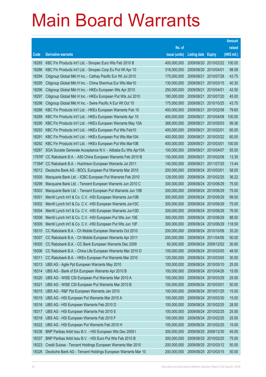|        |                                                               |               |                       |                       | <b>Amount</b> |
|--------|---------------------------------------------------------------|---------------|-----------------------|-----------------------|---------------|
|        |                                                               | No. of        |                       |                       | raised        |
| Code   | <b>Derivative warrants</b>                                    | issue (units) | <b>Listing date</b>   | <b>Expiry</b>         | (HK\$ mil.)   |
| 18285  | KBC Fin Products Int'l Ltd. - Sinopec Euro Wts Feb 2010 B     | 400,000,000   | 2009/08/20            | 2010/02/22            | 100.00        |
| 18286  | KBC Fin Products Int'l Ltd. - Sinopec Corp Eu Put Wt Apr 10   | 318,000,000   | 2009/08/20            | 2010/04/01            | 98.58         |
| 18294  | Citigroup Global Mkt H Inc. - Cathay Pacific Eur Wt Jul 2010  | 175,000,000   | 2009/08/21            | 2010/07/28            | 43.75         |
| 18295  | Citigroup Global Mkt H Inc. - China Shenhua Eur Wts Mar10     | 130,000,000   | 2009/08/21            | 2010/03/15            | 40.30         |
| 18296  | Citigroup Global Mkt H Inc. - HKEx European Wts Apr 2010      | 250,000,000   | 2009/08/21            | 2010/04/01            | 42.50         |
| 18297  | Citigroup Global Mkt H Inc. - HKEx European Put Wts Jul 2010  | 180,000,000   | 2009/08/21            | 2010/07/20            | 45.00         |
| 18298  | Citigroup Global Mkt H Inc. - Swire Pacific A Eur Wt Oct 10   | 175,000,000   | 2009/08/21            | 2010/10/25            | 43.75         |
| 18288  | KBC Fin Products Int'l Ltd. - HKEx European Warrants Feb 10   | 400,000,000   | 2009/08/21            | 2010/02/08            | 79.60         |
| 18289  | KBC Fin Products Int'l Ltd. - HKEx European Warrants Apr 10   | 400,000,000   | 2009/08/21            | 2010/04/08            | 100.00        |
| 18290  | KBC Fin Products Int'l Ltd. - HKEx European Warrants May 10A  | 368,000,000   | 2009/08/21            | 2010/05/03            | 99.36         |
| 18293  | KBC Fin Products Int'l Ltd. - HKEx European Put Wts Feb10     | 400,000,000   | 2009/08/21            | 2010/02/01            | 60.00         |
| 18291  | KBC Fin Products Int'l Ltd. - HKEx European Put Wts Mar10A    | 400,000,000   | 2009/08/21            | 2010/03/22            | 60.00         |
| 18292  | KBC Fin Products Int'l Ltd. - HKEx European Put Wts Mar10B    | 400,000,000   | 2009/08/21            | 2010/03/01            | 100.00        |
| 18287  | SGA Societe Generale Acceptance N.V. - Alibaba Eu Wts Apr10A  | 100,000,000   | 2009/08/21            | 2010/04/07            | 55.00         |
| 17976# | CC Rabobank B.A. - A50 China European Warrants Feb 2010 B     | 150,000,000   | 2009/08/21            | 2010/02/08            | 13.35         |
| 17394# | CC Rabobank B.A. - Hutchison European Warrants Jul 2011       | 140,000,000   | 2009/08/21            | 2011/07/25            | 13.44         |
| 18312  | Deutsche Bank AG - BOCL European Put Warrants Mar 2010        | 200,000,000   | 2009/08/24            | 2010/03/01            | 58.00         |
| 18300  | Macquarie Bank Ltd. - ICBC European Put Warrants Feb 2010     | 128,000,000   | 2009/08/24            | 2010/02/25            | 36.22         |
| 18299  | Macquarie Bank Ltd. - Tencent European Warrants Jun 2010 C    | 300,000,000   | 2009/08/24            | 2010/06/29            | 75.00         |
| 18303  | Macquarie Bank Ltd. - Tencent European Put Warrants Jun 10B   | 300,000,000   | 2009/08/24            | 2010/06/29            | 75.00         |
| 18301  | Merrill Lynch Int'l & Co. C.V. - HSI European Warrants Jun10B | 300,000,000   | 2009/08/24            | 2010/06/29            | 99.00         |
| 18302  | Merrill Lynch Int'l & Co. C.V. - HSI European Warrants Jun10C | 300,000,000   | 2009/08/24            | 2010/06/29            | 75.00         |
| 18304  | Merrill Lynch Int'l & Co. C.V. - HSI European Warrants Jun10D | 300,000,000   | 2009/08/24            | 2010/06/29            | 76.50         |
| 18308  | Merrill Lynch Int'l & Co. C.V. - HSI European Put Wts Jun 10E | 300,000,000   | 2009/08/24 2010/06/29 |                       | 88.50         |
| 18309  | Merrill Lynch Int'l & Co. C.V. - HSI European Put Wts Jun 10F | 300,000,000   | 2009/08/24            | 2010/06/29            | 118.50        |
| 18310  | CC Rabobank B.A. - Ch Mobile European Warrants Oct 2010       | 200,000,000   | 2009/08/24 2010/10/08 |                       | 35.20         |
| 18307  | CC Rabobank B.A. - Ch Mobile European Warrants Apr 2011       | 200,000,000   |                       | 2009/08/24 2011/04/06 | 50.00         |
| 18305  | CC Rabobank B.A. - CC Bank European Warrants Dec 2009         | 60,000,000    |                       | 2009/08/24 2009/12/02 | 30.60         |
| 18306  | CC Rabobank B.A. - China Life European Warrants Mar 2010 D    | 100,000,000   | 2009/08/24            | 2010/03/05            | 48.00         |
| 18311  | CC Rabobank B.A. - HKEx European Put Warrants Mar 2010        | 120,000,000   |                       | 2009/08/24 2010/03/05 | 30.00         |
| 18313  | UBS AG - Agile Ppt European Warrants May 2010                 | 100,000,000   | 2009/08/24            | 2010/05/10            | 25.00         |
| 18314  | UBS AG - Bank of EA European Warrants Apr 2010 B              | 100,000,000   | 2009/08/24            | 2010/04/26            | 15.00         |
| 18320  | UBS AG - WISE CSI European Put Warrants Mar 2010 A            | 100,000,000   | 2009/08/24            | 2010/03/29            | 25.00         |
| 18321  | UBS AG - WISE CSI European Put Warrants Mar 2010 B            | 100,000,000   | 2009/08/24            | 2010/03/01            | 50.00         |
| 18315  | UBS AG - R&F Ppt European Warrants Jan 2010                   | 100,000,000   | 2009/08/24            | 2010/01/25            | 15.00         |
| 18319  | UBS AG - HSI European Put Warrants Mar 2010 A                 | 100,000,000   | 2009/08/24 2010/03/30 |                       | 15.00         |
| 18316  | UBS AG - HSI European Warrants Feb 2010 D                     | 100,000,000   | 2009/08/24            | 2010/02/25            | 28.50         |
| 18317  | UBS AG - HSI European Warrants Feb 2010 E                     | 100,000,000   | 2009/08/24 2010/02/25 |                       | 25.50         |
| 18318  | UBS AG - HSI European Warrants Feb 2010 F                     | 100,000,000   | 2009/08/24            | 2010/02/25            | 25.00         |
| 18322  | UBS AG - HSI European Put Warrants Feb 2010 H                 | 100,000,000   | 2009/08/24 2010/02/25 |                       | 15.00         |
| 18336  | BNP Paribas Arbit Issu B.V. - HSI European Wts Dec 2009 I     | 300,000,000   | 2009/08/25            | 2009/12/30            | 45.00         |
| 18337  | BNP Paribas Arbit Issu B.V. - HSI Euro Put Wts Feb 2010 B     | 300,000,000   | 2009/08/25 2010/02/25 |                       | 75.00         |
| 18323  | Credit Suisse - Tencent Holdings European Warrants Mar 2010   | 200,000,000   | 2009/08/25            | 2010/03/12            | 50.00         |
| 18326  | Deutsche Bank AG - Tencent Holdings European Warrants Mar 10  | 200,000,000   | 2009/08/25 2010/03/15 |                       | 50.00         |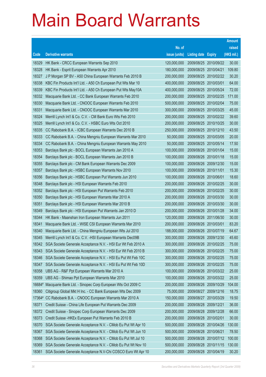|        |                                                                    |               |                            |                       | <b>Amount</b> |
|--------|--------------------------------------------------------------------|---------------|----------------------------|-----------------------|---------------|
|        |                                                                    | No. of        |                            |                       | raised        |
| Code   | <b>Derivative warrants</b>                                         | issue (units) | <b>Listing date Expiry</b> |                       | (HK\$ mil.)   |
| 18329  | HK Bank - CRCC European Warrants Sep 2010                          | 120,000,000   |                            | 2009/08/25 2010/09/22 | 30.00         |
| 18328  | HK Bank - Esprit European Warrants Apr 2010                        | 180,000,000   | 2009/08/25 2010/04/21      |                       | 109.80        |
| 18327  | J P Morgan SP BV - A50 China European Warrants Feb 2010 B          | 200,000,000   |                            | 2009/08/25 2010/02/22 | 30.20         |
| 18338  | KBC Fin Products Int'l Ltd. - A50 Ch European Put Wts Mar 10       | 400,000,000   | 2009/08/25 2010/03/01      |                       | 64.00         |
| 18339  | KBC Fin Products Int'l Ltd. - A50 Ch European Put Wts May10A       | 400,000,000   |                            | 2009/08/25 2010/05/24 | 72.00         |
| 18332  | Macquarie Bank Ltd. - CC Bank European Warrants Feb 2010           | 200,000,000   |                            | 2009/08/25 2010/02/25 | 171.00        |
| 18330  | Macquarie Bank Ltd. - CNOOC European Warrants Feb 2010             | 500,000,000   | 2009/08/25 2010/02/04      |                       | 75.00         |
| 18331  | Macquarie Bank Ltd. - CNOOC European Warrants Mar 2010             | 300,000,000   |                            | 2009/08/25 2010/03/25 | 45.00         |
| 18324  | Merrill Lynch Int'l & Co. C.V. - CM Bank Euro Wts Feb 2010         | 200,000,000   |                            | 2009/08/25 2010/02/22 | 39.60         |
| 18325  | Merrill Lynch Int'l & Co. C.V. - HSBC Euro Wts Oct 2010            | 200,000,000   |                            | 2009/08/25 2010/10/25 | 30.00         |
| 18335  | CC Rabobank B.A. - ICBC European Warrants Dec 2010 B               | 250,000,000   | 2009/08/25 2010/12/10      |                       | 43.50         |
| 18333  | CC Rabobank B.A. - China Mengniu European Warrants Mar 2010        | 50,000,000    |                            | 2009/08/25 2010/03/05 | 20.00         |
| 18334  | CC Rabobank B.A. - China Mengniu European Warrants May 2010        | 50,000,000    |                            | 2009/08/25 2010/05/14 | 17.50         |
| 18353  | Barclays Bank plc - BOCL European Warrants Jan 2010 A              | 100,000,000   |                            | 2009/08/26 2010/01/04 | 15.00         |
| 18354  | Barclays Bank plc - BOCL European Warrants Jan 2010 B              | 100,000,000   | 2009/08/26 2010/01/18      |                       | 15.00         |
| 18355  | Barclays Bank plc - CM Bank European Warrants Dec 2009             | 100,000,000   |                            | 2009/08/26 2009/12/30 | 15.00         |
| 18357  | Barclays Bank plc - HSBC European Warrants Nov 2010                | 100,000,000   | 2009/08/26 2010/11/01      |                       | 15.30         |
| 18356  | Barclays Bank plc - HSBC European Put Warrants Jun 2010            | 100,000,000   | 2009/08/26 2010/06/01      |                       | 18.60         |
| 18348  | Barclays Bank plc - HSI European Warrants Feb 2010                 | 200,000,000   | 2009/08/26 2010/02/25      |                       | 30.00         |
| 18352  | Barclays Bank plc - HSI European Put Warrants Feb 2010             | 200,000,000   |                            | 2009/08/26 2010/02/25 | 30.00         |
| 18350  | Barclays Bank plc - HSI European Warrants Mar 2010 A               | 200,000,000   |                            | 2009/08/26 2010/03/30 | 30.00         |
| 18351  | Barclays Bank plc - HSI European Warrants Mar 2010 B               | 200,000,000   |                            | 2009/08/26 2010/03/30 | 30.00         |
| 18349  | Barclays Bank plc - HSI European Put Warrants Jan 2010 D           | 200,000,000   | 2009/08/26 2010/01/28      |                       | 34.00         |
| 18344  | HK Bank - Maanshan Iron European Warrants Jun 2011                 | 120,000,000   |                            | 2009/08/26 2011/06/30 | 30.00         |
| 18341  | Macquarie Bank Ltd. - WISE CSI European Warrants Mar 2010          | 200,000,000   | 2009/08/26 2010/03/01      |                       | 83.20         |
| 18340  | Macquarie Bank Ltd. - China Mengniu European Wts Jul 2010          | 188,000,000   | 2009/08/26 2010/07/19      |                       | 64.67         |
| 18345  | Merrill Lynch Int'l & Co. C.V. - HSI European Warrants Dec09B      | 300,000,000   |                            | 2009/08/26 2009/12/30 | 45.60         |
|        | 18342 SGA Societe Generale Acceptance N.V. - HSI Eur Wt Feb 2010 A | 300,000,000   | 2009/08/26 2010/02/25      |                       | 75.00         |
| 18343  | SGA Societe Generale Acceptance N.V. - HSI Eur Wt Feb 2010 B       | 300,000,000   | 2009/08/26 2010/02/25      |                       | 75.00         |
| 18346  | SGA Societe Generale Acceptance N.V. - HSI Eu Put Wt Feb 10C       | 300,000,000   |                            | 2009/08/26 2010/02/25 | 75.00         |
| 18347  | SGA Societe Generale Acceptance N.V. - HSI Eu Put Wt Feb 10D       | 300,000,000   | 2009/08/26 2010/02/25      |                       | 75.00         |
| 18358  | UBS AG - R&F Ppt European Warrants Mar 2010 A                      | 100,000,000   | 2009/08/26                 | 2010/03/22            | 25.00         |
| 18359  | UBS AG - Shimao Ppt European Warrants Mar 2010                     | 100,000,000   | 2009/08/26                 | 2010/03/22            | 25.00         |
| 16684# | Macquarie Bank Ltd. - Sinopec Corp European Wts Oct 2009 C         | 200,000,000   | 2009/08/26                 | 2009/10/29            | 104.00        |
| 18360  | Citigroup Global Mkt H Inc. - CC Bank European Wts Dec 2009        | 75,000,000    | 2009/08/27                 | 2009/12/16            | 18.75         |
| 17364# | CC Rabobank B.A. - CNOOC European Warrants Mar 2010 A              | 150,000,000   | 2009/08/27                 | 2010/03/29            | 19.50         |
| 18371  | Credit Suisse - China Life European Put Warrants Dec 2009          | 200,000,000   | 2009/08/28                 | 2009/12/21            | 36.00         |
| 18372  | Credit Suisse - Sinopec Corp European Warrants Dec 2009            | 200,000,000   | 2009/08/28                 | 2009/12/28            | 66.00         |
| 18373  | Credit Suisse - HKEx European Put Warrants Feb 2010 B              | 200,000,000   | 2009/08/28 2010/02/01      |                       | 30.00         |
| 18370  | SGA Societe Generale Acceptance N.V. - CMob Eu Put Wt Apr 10       | 500,000,000   | 2009/08/28                 | 2010/04/26            | 130.00        |
| 18367  | SGA Societe Generale Acceptance N.V. - CMob Eu Put Wt Jun 10       | 500,000,000   | 2009/08/28                 | 2010/06/21            | 78.50         |
| 18368  | SGA Societe Generale Acceptance N.V. - CMob Eu Put Wt Jul 10       | 500,000,000   |                            | 2009/08/28 2010/07/12 | 100.00        |
| 18369  | SGA Societe Generale Acceptance N.V. - CMob Eu Put Wt Nov 10       | 500,000,000   | 2009/08/28                 | 2010/11/15            | 130.00        |
| 18361  | SGA Societe Generale Acceptance N.V-Chi COSCO Euro Wt Apr 10       | 200,000,000   | 2009/08/28 2010/04/19      |                       | 30.20         |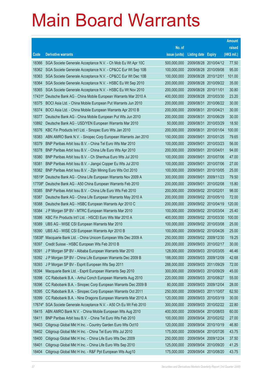|          |                                                              |               |                            |                       | <b>Amount</b> |
|----------|--------------------------------------------------------------|---------------|----------------------------|-----------------------|---------------|
|          |                                                              | No. of        |                            |                       | raised        |
| Code     | <b>Derivative warrants</b>                                   | issue (units) | <b>Listing date Expiry</b> |                       | (HK\$ mil.)   |
| 18366    | SGA Societe Generale Acceptance N.V. - Ch Mob Eu Wt Apr 10C  | 500,000,000   |                            | 2009/08/28 2010/04/12 | 77.50         |
| 18362    | SGA Societe Generale Acceptance N.V. - CP&CC Eur Wt Sep 10B  | 100,000,000   | 2009/08/28 2010/09/08      |                       | 95.00         |
| 18363    | SGA Societe Generale Acceptance N.V. - CP&CC Eur Wt Dec 10B  | 100,000,000   | 2009/08/28                 | 2010/12/01            | 101.00        |
| 18364    | SGA Societe Generale Acceptance N.V. - HSBC Eu Wt Sep 2010   | 200,000,000   |                            | 2009/08/28 2010/09/22 | 35.00         |
| 18365    | SGA Societe Generale Acceptance N.V. - HSBC Eu Wt Nov 2010   | 200,000,000   | 2009/08/28 2010/11/01      |                       | 30.80         |
| $17431*$ | Deutsche Bank AG - China Mobile European Warrants Mar 2010 A | 400,000,000   |                            | 2009/08/28 2010/03/30 | 23.20         |
| 18375    | BOCI Asia Ltd. - China Mobile European Put Warrants Jun 2010 | 200,000,000   | 2009/08/31                 | 2010/06/22            | 30.00         |
| 18374    | BOCI Asia Ltd. - China Mobile European Warrants Apr 2010 B   | 200,000,000   | 2009/08/31 2010/04/21      |                       | 30.00         |
| 18377    | Deutsche Bank AG - China Mobile European Put Wts Jun 2010    | 200,000,000   | 2009/08/31                 | 2010/06/29            | 30.00         |
| 10892    | Deutsche Bank AG - USD/YEN European Warrants Mar 2010        | 50,000,000    |                            | 2009/08/31 2010/03/29 | 18.50         |
| 18376    | KBC Fin Products Int'l Ltd. - Sinopec Euro Wts Jan 2010      | 200,000,000   | 2009/08/31                 | 2010/01/04            | 100.00        |
| 18383    | ABN AMRO Bank N.V. - Sinopec Corp European Warrants Jan 2010 | 150,000,000   |                            | 2009/09/01 2010/01/25 | 79.65         |
| 18379    | BNP Paribas Arbit Issu B.V. - China Tel Euro Wts Mar 2010    | 100,000,000   | 2009/09/01                 | 2010/03/23            | 56.00         |
| 18378    | BNP Paribas Arbit Issu B.V. - China Life Euro Wts Apr 2010   | 200,000,000   | 2009/09/01 2010/04/01      |                       | 94.00         |
| 18380    | BNP Paribas Arbit Issu B.V. - Ch Shenhua Euro Wts Jul 2010   | 100,000,000   | 2009/09/01                 | 2010/07/06            | 47.00         |
| 18381    | BNP Paribas Arbit Issu B.V. - Jiangxi Copper Eu Wts Jul 2010 | 100,000,000   |                            | 2009/09/01 2010/07/06 | 27.00         |
| 18382    | BNP Paribas Arbit Issu B.V. - Zijin Mining Euro Wts Oct 2010 | 100,000,000   | 2009/09/01                 | 2010/10/05            | 25.00         |
| 16519#   | Deutsche Bank AG - China Life European Warrants Nov 2009 A   | 300,000,000   | 2009/09/01                 | 2009/11/23            | 79.50         |
| 17708#   | Deutsche Bank AG - A50 China European Warrants Feb 2010      | 200,000,000   | 2009/09/01                 | 2010/02/08            | 15.80         |
| 18385    | BNP Paribas Arbit Issu B.V. - China Life Euro Wts Feb 2010   | 200,000,000   | 2009/09/02 2010/02/01      |                       | 98.00         |
| 18387    | Deutsche Bank AG - China Life European Warrants May 2010 A   | 200,000,000   | 2009/09/02 2010/05/10      |                       | 72.00         |
| 18388    | Deutsche Bank AG - HSBC European Warrants Apr 2010 C         | 200,000,000   |                            | 2009/09/02 2010/04/19 | 120.00        |
| 18384    | J P Morgan SP BV - MTRC European Warrants Mar 2010           | 100,000,000   | 2009/09/02 2010/03/04      |                       | 25.40         |
| 18386    | KBC Fin Products Int'l Ltd. - HSCEI Euro Wts Mar 2010 A      | 400,000,000   |                            | 2009/09/02 2010/03/30 | 100.00        |
| 18389    | UBS AG - WISE CSI European Warrants Mar 2010                 | 100,000,000   | 2009/09/02 2010/03/08      |                       | 25.00         |
| 18390    | UBS AG - WISE CSI European Warrants Apr 2010 B               | 100,000,000   | 2009/09/02 2010/04/26      |                       | 25.00         |
| 15838#   | Macquarie Bank Ltd. - China Unicom European Wts Dec 2009 A   | 250,000,000   |                            | 2009/09/02 2009/12/30 | 19.25         |
| 18397    | Credit Suisse - HSBC European Wts Feb 2010 B                 | 200,000,000   | 2009/09/03 2010/02/17      |                       | 30.00         |
| 18391    | J P Morgan SP BV - Alibaba European Warrants Mar 2010        | 128,000,000   | 2009/09/03 2010/03/05      |                       | 46.46         |
| 18392    | J P Morgan SP BV - China Life European Warrants Dec 2009 B   | 188,000,000   | 2009/09/03 2009/12/09      |                       | 42.68         |
| 18393    | J P Morgan SP BV - Esprit European Wts Sep 2011              | 288,000,000   | 2009/09/03 2011/09/29      |                       | 72.00         |
| 18394    | Macquarie Bank Ltd. - Esprit European Warrants Sep 2010      | 300,000,000   | 2009/09/03 2010/09/29      |                       | 45.00         |
| 18398    | CC Rabobank B.A. - Anhui Conch European Warrants Aug 2010    | 220,000,000   | 2009/09/03 2010/08/27      |                       | 55.00         |
| 18396    | CC Rabobank B.A. - Sinopec Corp European Warrants Dec 2009 B | 80,000,000    | 2009/09/03 2009/12/04      |                       | 28.00         |
| 18395    | CC Rabobank B.A. - Sinopec Corp European Warrants Oct 2011   | 250,000,000   | 2009/09/03 2011/10/07      |                       | 62.50         |
| 18399    | CC Rabobank B.A. - Nine Dragons European Warrants Mar 2010 A | 120,000,000   | 2009/09/03 2010/03/19      |                       | 30.00         |
| 17674#   | SGA Societe Generale Acceptance N.V. - A50 Ch Eu Wt Feb 2010 | 300,000,000   | 2009/09/03 2010/02/22      |                       | 22.80         |
| 18415    | ABN AMRO Bank N.V. - China Mobile European Wts Aug 2010      | 400,000,000   | 2009/09/04                 | 2010/08/03            | 60.00         |
| 18411    | BNP Paribas Arbit Issu B.V. - China Tel Euro Wts Feb 2010    | 100,000,000   | 2009/09/04                 | 2010/02/02            | 27.00         |
| 18403    | Citigroup Global Mkt H Inc. - Country Garden Euro Wts Oct10  | 120,000,000   | 2009/09/04                 | 2010/10/19            | 46.80         |
| 18402    | Citigroup Global Mkt H Inc. - China Tel Euro Wts Jul 2010    | 175,000,000   | 2009/09/04                 | 2010/07/26            | 43.75         |
| 18400    | Citigroup Global Mkt H Inc. - China Life Euro Wts Dec 2009   | 250,000,000   | 2009/09/04                 | 2009/12/24            | 37.50         |
| 18401    | Citigroup Global Mkt H Inc. - China Life Euro Wts Sep 2010   | 125,000,000   | 2009/09/04                 | 2010/09/20            | 41.25         |
| 18404    | Citigroup Global Mkt H Inc. - R&F Ppt European Wts Aug10     | 175,000,000   | 2009/09/04 2010/08/20      |                       | 43.75         |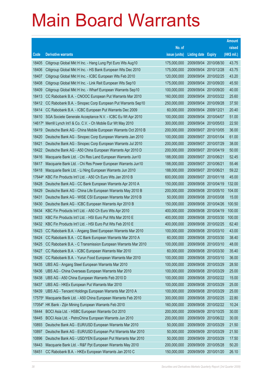|                |                                                                                                                     |                            |                                     |               | <b>Amount</b>    |
|----------------|---------------------------------------------------------------------------------------------------------------------|----------------------------|-------------------------------------|---------------|------------------|
|                |                                                                                                                     | No. of                     |                                     |               | raised           |
| Code           | <b>Derivative warrants</b>                                                                                          | issue (units)              | <b>Listing date</b>                 | <b>Expiry</b> | (HK\$ mil.)      |
| 18405          | Citigroup Global Mkt H Inc. - Hang Lung Ppt Euro Wts Aug10                                                          | 175,000,000                | 2009/09/04                          | 2010/08/30    | 43.75            |
| 18406          | Citigroup Global Mkt H Inc. - HS Bank European Wts Dec 2010                                                         | 175,000,000                | 2009/09/04                          | 2010/12/28    | 43.75            |
| 18407          | Citigroup Global Mkt H Inc. - ICBC European Wts Feb 2010                                                            | 120,000,000                | 2009/09/04                          | 2010/02/25    | 43.20            |
| 18408          | Citigroup Global Mkt H Inc. - Link Reit European Wts Sep10                                                          | 175,000,000                | 2009/09/04                          | 2010/09/20    | 45.50            |
| 18409          | Citigroup Global Mkt H Inc. - Wharf European Warrants Sep10                                                         | 100,000,000                | 2009/09/04                          | 2010/09/20    | 40.00            |
| 18413          | CC Rabobank B.A. - CNOOC European Put Warrants Mar 2010                                                             | 160,000,000                | 2009/09/04                          | 2010/03/22    | 25.60            |
| 18412          | CC Rabobank B.A. - Sinopec Corp European Put Warrants Sep10                                                         | 250,000,000                | 2009/09/04                          | 2010/09/28    | 37.50            |
| 18414          | CC Rabobank B.A. - ICBC European Put Warrants Dec 2009                                                              | 60,000,000                 | 2009/09/04                          | 2009/12/21    | 20.40            |
| 18410          | SGA Societe Generale Acceptance N.V. - ICBC Eu Wt Apr 2010                                                          | 100,000,000                | 2009/09/04                          | 2010/04/07    | 51.00            |
| 14617#         | Merrill Lynch Int'l & Co. C.V. - Ch Mobile Eur Wt May 2010                                                          | 300,000,000                | 2009/09/04 2010/05/03               |               | 22.50            |
| 18419          | Deutsche Bank AG - China Mobile European Warrants Oct 2010 B                                                        | 200,000,000                | 2009/09/07                          | 2010/10/05    | 36.00            |
| 18420          | Deutsche Bank AG - Sinopec Corp European Warrants Jan 2010                                                          | 100,000,000                | 2009/09/07                          | 2010/01/04    | 61.00            |
| 18421          | Deutsche Bank AG - Sinopec Corp European Warrants Jul 2010                                                          | 200,000,000                | 2009/09/07                          | 2010/07/29    | 38.00            |
| 18422          | Deutsche Bank AG - A50 China European Warrants Apr 2010 D                                                           | 200,000,000                | 2009/09/07 2010/04/19               |               | 50.00            |
| 18416          | Macquarie Bank Ltd. - Chi Res Land European Warrants Jun10                                                          | 188,000,000                | 2009/09/07                          | 2010/06/21    | 52.45            |
| 18417          | Macquarie Bank Ltd. - Chi Res Power European Warrants Jun10                                                         | 188,000,000                | 2009/09/07 2010/06/21               |               | 55.46            |
| 18418          | Macquarie Bank Ltd. - Li Ning European Warrants Jun 2010                                                            | 188,000,000                | 2009/09/07                          | 2010/06/21    | 59.22            |
| 17644#         | KBC Fin Products Int'l Ltd. - A50 Ch Euro Wts Jan 2010 B                                                            | 600,000,000                | 2009/09/07                          | 2010/01/18    | 45.00            |
| 18428          | Deutsche Bank AG - CC Bank European Warrants Apr 2010 A                                                             | 150,000,000                | 2009/09/08                          | 2010/04/19    | 132.00           |
| 18429          | Deutsche Bank AG - China Life European Warrants May 2010 B                                                          | 200,000,000                | 2009/09/08 2010/05/10               |               | 104.00           |
| 18431          | Deutsche Bank AG - WISE CSI European Warrants Mar 2010 B                                                            | 50,000,000                 | 2009/09/08                          | 2010/03/08    | 15.00            |
| 18430          | Deutsche Bank AG - ICBC European Warrants Apr 2010 B                                                                | 150,000,000                | 2009/09/08 2010/04/26               |               | 100.50<br>100.00 |
| 18434<br>18433 | KBC Fin Products Int'l Ltd. - A50 Ch Euro Wts Apr 2010<br>KBC Fin Products Int'l Ltd. - HSI Euro Put Wts Mar 2010 E | 400,000,000<br>400,000,000 | 2009/09/08<br>2009/09/08 2010/03/30 | 2010/04/19    | 100.00           |
| 18432          | KBC Fin Products Int'l Ltd. - HSI Euro Put Wts Feb 2010 E                                                           | 400,000,000                | 2009/09/08 2010/02/25               |               | 62.40            |
| 18423          | CC Rabobank B.A. - Angang Steel European Warrants Mar 2010                                                          | 100,000,000                | 2009/09/08 2010/03/10               |               | 43.00            |
| 18424          | CC Rabobank B.A. - CC Bank European Warrants Mar 2010 A                                                             | 60,000,000                 | 2009/09/08 2010/03/30               |               | 38.40            |
| 18425          | CC Rabobank B.A. - C Transmission European Warrants Mar 2010                                                        | 100,000,000                | 2009/09/08 2010/03/10               |               | 48.00            |
| 18427          | CC Rabobank B.A. - ICBC European Warrants Mar 2010                                                                  | 60,000,000                 | 2009/09/08                          | 2010/03/30    | 35.40            |
| 18426          | CC Rabobank B.A. - Yurun Food European Warrants Mar 2010                                                            | 100,000,000                | 2009/09/08 2010/03/10               |               | 36.00            |
| 18435          | UBS AG - Angang Steel European Warrants Mar 2010                                                                    | 100,000,000                | 2009/09/08 2010/03/29               |               | 28.50            |
| 18436          | UBS AG - China Overseas European Warrants Mar 2010                                                                  | 100,000,000                | 2009/09/08 2010/03/29               |               | 25.00            |
| 18438          | UBS AG - A50 China European Warrants Feb 2010 D                                                                     | 100,000,000                | 2009/09/08                          | 2010/02/22    | 15.00            |
| 18437          | UBS AG - HKEx European Put Warrants Mar 2010                                                                        | 100,000,000                | 2009/09/08 2010/03/29               |               | 25.00            |
| 18439          | UBS AG - Tencent Holdings European Warrants Mar 2010 A                                                              | 100,000,000                | 2009/09/08 2010/03/29               |               | 25.00            |
| 17575#         | Macquarie Bank Ltd. - A50 China European Warrants Feb 2010                                                          | 300,000,000                | 2009/09/08 2010/02/25               |               | 22.80            |
| 17054#         | HK Bank - Zijin Mining European Warrants Feb 2010                                                                   | 160,000,000                | 2009/09/08                          | 2010/02/22    | 10.24            |
| 18444          | BOCI Asia Ltd. - HSBC European Warrants Oct 2010                                                                    | 200,000,000                | 2009/09/09 2010/10/25               |               | 30.00            |
| 18445          | BOCI Asia Ltd. - PetroChina European Warrants Jun 2010                                                              | 200,000,000                | 2009/09/09                          | 2010/06/22    | 30.00            |
| 10893          | Deutsche Bank AG - EUR/USD European Warrants Mar 2010                                                               | 50,000,000                 | 2009/09/09 2010/03/29               |               | 21.50            |
| 10897          | Deutsche Bank AG - EUR/USD European Put Warrants Mar 2010                                                           | 50,000,000                 | 2009/09/09                          | 2010/03/29    | 21.50            |
| 10896          | Deutsche Bank AG - USD/YEN European Put Warrants Mar 2010                                                           | 50,000,000                 | 2009/09/09                          | 2010/03/29    | 17.50            |
| 18443          | Macquarie Bank Ltd. - R&F Ppt European Warrants May 2010                                                            | 200,000,000                | 2009/09/09                          | 2010/05/28    | 50.20            |
| 18451          | CC Rabobank B.A. - HKEx European Warrants Jan 2010 C                                                                | 150,000,000                | 2009/09/09 2010/01/20               |               | 26.10            |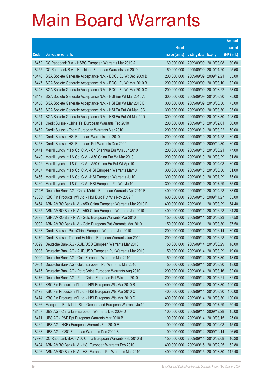|                |                                                                                                                      |                            |                          |                          | <b>Amount</b>  |
|----------------|----------------------------------------------------------------------------------------------------------------------|----------------------------|--------------------------|--------------------------|----------------|
|                |                                                                                                                      | No. of                     |                          |                          | raised         |
| Code           | <b>Derivative warrants</b>                                                                                           | issue (units)              | <b>Listing date</b>      | <b>Expiry</b>            | (HK\$ mil.)    |
| 18452          | CC Rabobank B.A. - HSBC European Warrants Mar 2010 A                                                                 | 60,000,000                 | 2009/09/09               | 2010/03/08               | 30.60          |
| 18455          | CC Rabobank B.A. - Hutchison European Warrants Jan 2010                                                              | 60,000,000                 | 2009/09/09               | 2010/01/20               | 25.50          |
| 18446          | SGA Societe Generale Acceptance N.V. - BOCL Eu Wt Dec 2009 B                                                         | 200,000,000                | 2009/09/09               | 2009/12/21               | 53.00          |
| 18447          | SGA Societe Generale Acceptance N.V. - BOCL Eu Wt Mar 2010 B                                                         | 200,000,000                | 2009/09/09               | 2010/03/10               | 82.00          |
| 18448          | SGA Societe Generale Acceptance N.V. - BOCL Eu Wt Mar 2010 C                                                         | 200,000,000                | 2009/09/09               | 2010/03/22               | 53.00          |
| 18449          | SGA Societe Generale Acceptance N.V. - HSI Eur Wt Mar 2010 A                                                         | 300,000,000                | 2009/09/09               | 2010/03/30               | 75.00          |
| 18450          | SGA Societe Generale Acceptance N.V. - HSI Eur Wt Mar 2010 B                                                         | 300,000,000                | 2009/09/09               | 2010/03/30               | 75.00          |
| 18453          | SGA Societe Generale Acceptance N.V. - HSI Eu Put Wt Mar 10C                                                         | 300,000,000                | 2009/09/09               | 2010/03/30               | 93.00          |
| 18454          | SGA Societe Generale Acceptance N.V. - HSI Eu Put Wt Mar 10D                                                         | 300,000,000                | 2009/09/09               | 2010/03/30               | 108.00         |
| 18461          | Credit Suisse - China Tel European Warrants Feb 2010                                                                 | 200,000,000                | 2009/09/10 2010/02/01    |                          | 30.00          |
| 18462          | Credit Suisse - Esprit European Warrants Mar 2010                                                                    | 200,000,000                | 2009/09/10               | 2010/03/22               | 50.00          |
| 18459          | Credit Suisse - HSI European Warrants Jan 2010                                                                       | 200,000,000                | 2009/09/10 2010/01/28    |                          | 30.00          |
| 18458          | Credit Suisse - HSI European Put Warrants Dec 2009                                                                   | 200,000,000                | 2009/09/10 2009/12/30    |                          | 30.00          |
| 18441          | Merrill Lynch Int'l & Co. C.V. - Ch Shenhua Eur Wts Jun 2010                                                         | 200,000,000                | 2009/09/10 2010/06/21    |                          | 77.00          |
| 18440          | Merrill Lynch Int'l & Co. C.V. - A50 China Eur Wt Mar 2010                                                           | 200,000,000                | 2009/09/10               | 2010/03/29               | 31.80          |
| 18442          | Merrill Lynch Int'l & Co. C.V. - A50 China Eu Put Wt Apr 10                                                          | 200,000,000                | 2009/09/10 2010/04/08    |                          | 30.00          |
| 18457          | Merrill Lynch Int'l & Co. C.V. - HSI European Warrants Mar10                                                         | 300,000,000                | 2009/09/10 2010/03/30    |                          | 81.00          |
| 18456          | Merrill Lynch Int'l & Co. C.V. - HSI European Warrants Jul10                                                         | 300,000,000                | 2009/09/10 2010/07/29    |                          | 75.00          |
| 18460          | Merrill Lynch Int'l & Co. C.V. - HSI European Put Wts Jul10                                                          | 300,000,000                | 2009/09/10               | 2010/07/29               | 75.00          |
| 17148#         | Deutsche Bank AG - China Mobile European Warrants Apr 2010 B                                                         | 400,000,000                | 2009/09/10 2010/04/28    |                          | 38.00          |
| 17080#         | KBC Fin Products Int'l Ltd. - HSI Euro Put Wts Nov 2009 F                                                            | 600,000,000                | 2009/09/10 2009/11/27    |                          | 33.00          |
| 18464          | ABN AMRO Bank N.V. - A50 China European Warrants Mar 2010 B                                                          | 400,000,000                | 2009/09/11               | 2010/03/29               | 64.40          |
| 18465          | ABN AMRO Bank N.V. - A50 China European Warrants Jun 2010                                                            | 400,000,000                | 2009/09/11               | 2010/06/28               | 64.80          |
| 10898          | ABN AMRO Bank N.V. - Gold European Warrants Mar 2010                                                                 | 150,000,000                | 2009/09/11               | 2010/03/23               | 37.50          |
| 10902          | ABN AMRO Bank N.V. - Gold European Put Warrants Mar 2010                                                             | 150,000,000                | 2009/09/11               | 2010/03/30               | 37.50          |
| 18463          | Credit Suisse - PetroChina European Warrants Jun 2010                                                                | 200,000,000<br>200,000,000 | 2009/09/11<br>2009/09/14 | 2010/06/14<br>2010/06/28 | 30.00          |
| 18470<br>10899 | Credit Suisse - Tencent Holdings European Warrants Jun 2010<br>Deutsche Bank AG - AUD/USD European Warrants Mar 2010 | 50,000,000                 | 2009/09/14 2010/03/29    |                          | 50.00<br>18.00 |
| 10903          | Deutsche Bank AG - AUD/USD European Put Warrants Mar 2010                                                            | 50,000,000                 | 2009/09/14               | 2010/03/29               | 19.00          |
| 10900          | Deutsche Bank AG - Gold European Warrants Mar 2010                                                                   | 50,000,000                 | 2009/09/14               | 2010/03/30               | 18.00          |
| 10904          | Deutsche Bank AG - Gold European Put Warrants Mar 2010                                                               | 50,000,000                 | 2009/09/14               | 2010/03/30               | 18.00          |
| 18475          | Deutsche Bank AG - PetroChina European Warrants Aug 2010                                                             | 200,000,000                | 2009/09/14               | 2010/08/16               | 32.00          |
| 18476          | Deutsche Bank AG - PetroChina European Put Wts Jun 2010                                                              | 200,000,000                | 2009/09/14               | 2010/06/21               | 32.00          |
| 18472          | KBC Fin Products Int'l Ltd. - HSI European Wts Mar 2010 B                                                            | 400,000,000                | 2009/09/14               | 2010/03/30               | 100.00         |
| 18473          | KBC Fin Products Int'l Ltd. - HSI European Wts Mar 2010 C                                                            | 400,000,000                | 2009/09/14               | 2010/03/30               | 100.00         |
| 18474          | KBC Fin Products Int'l Ltd. - HSI European Wts Mar 2010 D                                                            | 400,000,000                | 2009/09/14               | 2010/03/30               | 100.00         |
| 18466          | Macquarie Bank Ltd. - Sino Ocean Land European Warrants Jul10                                                        | 200,000,000                | 2009/09/14               | 2010/07/29               | 50.40          |
| 18467          | UBS AG - China Life European Warrants Dec 2009 D                                                                     | 100,000,000                | 2009/09/14               | 2009/12/28               | 15.00          |
| 18471          | UBS AG - R&F Ppt European Warrants Mar 2010 B                                                                        | 100,000,000                | 2009/09/14               | 2010/03/15               | 25.00          |
| 18469          | UBS AG - HKEx European Warrants Feb 2010 E                                                                           | 100,000,000                | 2009/09/14               | 2010/02/08               | 15.00          |
| 18468          | UBS AG - ICBC European Warrants Dec 2009 B                                                                           | 100,000,000                | 2009/09/14               | 2009/12/14               | 26.50          |
| 17976#         | CC Rabobank B.A. - A50 China European Warrants Feb 2010 B                                                            | 150,000,000                | 2009/09/14               | 2010/02/08               | 10.20          |
| 18494          | ABN AMRO Bank N.V. - HSI European Warrants Feb 2010                                                                  | 400,000,000                | 2009/09/15               | 2010/02/25               | 62.80          |
| 18496          | ABN AMRO Bank N.V. - HSI European Put Warrants Mar 2010                                                              | 400,000,000                | 2009/09/15 2010/03/30    |                          | 112.40         |
|                |                                                                                                                      |                            |                          |                          |                |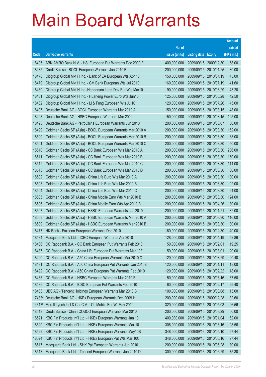|                |                                                                                                                        |                            |                            |                          | <b>Amount</b>  |
|----------------|------------------------------------------------------------------------------------------------------------------------|----------------------------|----------------------------|--------------------------|----------------|
|                |                                                                                                                        | No. of                     |                            |                          | raised         |
| Code           | <b>Derivative warrants</b>                                                                                             | issue (units)              | <b>Listing date Expiry</b> |                          | (HK\$ mil.)    |
| 18495          | ABN AMRO Bank N.V. - HSI European Put Warrants Dec 2009 F                                                              | 400,000,000                | 2009/09/15                 | 2009/12/30               | 68.00          |
| 18485          | Credit Suisse - BOCL European Warrants Jan 2010 B                                                                      | 200,000,000                | 2009/09/15                 | 2010/01/25               | 30.00          |
| 18478          | Citigroup Global Mkt H Inc. - Bank of EA European Wts Apr 10                                                           | 150,000,000                | 2009/09/15                 | 2010/04/19               | 45.00          |
| 18479          | Citigroup Global Mkt H Inc. - CM Bank European Wts Jul 2010                                                            | 160,000,000                | 2009/09/15                 | 2010/07/19               | 41.60          |
| 18480          | Citigroup Global Mkt H Inc.-Henderson Land Dev Eur Wts Mar10                                                           | 90,000,000                 | 2009/09/15                 | 2010/03/29               | 43.20          |
| 18481          | Citigroup Global Mkt H Inc. - Huaneng Power Euro Wts Jun10                                                             | 125,000,000                | 2009/09/15                 | 2010/06/28               | 42.50          |
| 18482          | Citigroup Global Mkt H Inc. - Li & Fung European Wts Jul10                                                             | 120,000,000                | 2009/09/15                 | 2010/07/26               | 45.60          |
| 18497          | Deutsche Bank AG - BOCL European Warrants Mar 2010 A                                                                   | 150,000,000                | 2009/09/15                 | 2010/03/15               | 48.00          |
| 18498          | Deutsche Bank AG - HSBC European Warrants Mar 2010                                                                     | 150,000,000                | 2009/09/15                 | 2010/03/15               | 105.00         |
| 18493          | Deutsche Bank AG - PetroChina European Warrants Jun 2010                                                               | 200,000,000                | 2009/09/15                 | 2010/06/07               | 30.00          |
| 18499          | Goldman Sachs SP (Asia) - BOCL European Warrants Mar 2010 A                                                            | 200,000,000                | 2009/09/15                 | 2010/03/30               | 152.00         |
| 18500          | Goldman Sachs SP (Asia) - BOCL European Warrants Mar 2010 B                                                            | 200,000,000                | 2009/09/15                 | 2010/03/30               | 68.00          |
| 18501          | Goldman Sachs SP (Asia) - BOCL European Warrants Mar 2010 C                                                            | 200,000,000                | 2009/09/15                 | 2010/03/30               | 50.00          |
| 18510          | Goldman Sachs SP (Asia) - CC Bank European Wts Mar 2010 A                                                              | 200,000,000                | 2009/09/15                 | 2010/03/30               | 236.00         |
| 18511          | Goldman Sachs SP (Asia) - CC Bank European Wts Mar 2010 B                                                              | 200,000,000                | 2009/09/15                 | 2010/03/30               | 160.00         |
| 18512          | Goldman Sachs SP (Asia) - CC Bank European Wts Mar 2010 C                                                              | 200,000,000                | 2009/09/15                 | 2010/03/30               | 114.00         |
| 18513          | Goldman Sachs SP (Asia) - CC Bank European Wts Mar 2010 D                                                              | 200,000,000                | 2009/09/15                 | 2010/03/30               | 80.00          |
| 18502          | Goldman Sachs SP (Asia) - China Life Euro Wts Mar 2010 A                                                               | 200,000,000                | 2009/09/15                 | 2010/03/30               | 130.00         |
| 18503<br>18504 | Goldman Sachs SP (Asia) - China Life Euro Wts Mar 2010 B                                                               | 200,000,000                | 2009/09/15<br>2009/09/15   | 2010/03/30               | 92.00<br>64.00 |
| 18505          | Goldman Sachs SP (Asia) - China Life Euro Wts Mar 2010 C<br>Goldman Sachs SP (Asia) - China Mobile Euro Wts Mar 2010 B | 200,000,000<br>200,000,000 | 2009/09/15                 | 2010/03/30<br>2010/03/30 | 124.00         |
| 18506          | Goldman Sachs SP (Asia) - China Mobile Euro Wts Apr 2010 B                                                             | 200,000,000                | 2009/09/15                 | 2010/04/26               | 30.00          |
| 18507          | Goldman Sachs SP (Asia) - HSBC European Warrants Jan 2010                                                              | 200,000,000                | 2009/09/15                 | 2010/01/21               | 32.00          |
| 18508          | Goldman Sachs SP (Asia) - HSBC European Warrants Mar 2010 A                                                            | 200,000,000                | 2009/09/15                 | 2010/03/30               | 116.00         |
| 18509          | Goldman Sachs SP (Asia) - HSBC European Warrants Mar 2010 B                                                            | 200,000,000                | 2009/09/15                 | 2010/03/30               | 80.00          |
| 18477          | HK Bank - Foxconn European Warrants Dec 2010                                                                           | 160,000,000                | 2009/09/15                 | 2010/12/30               | 40.00          |
| 18484          | Macquarie Bank Ltd. - ICBC European Warrants Apr 2010                                                                  | 128,000,000                | 2009/09/15                 | 2010/04/19               | 52.86          |
| 18486          | CC Rabobank B.A. - CC Bank European Put Warrants Feb 2010                                                              | 50,000,000                 | 2009/09/15 2010/02/01      |                          | 19.25          |
| 18487          | CC Rabobank B.A. - China Life European Put Warrants Mar 10F                                                            | 50,000,000                 | 2009/09/15                 | 2010/03/01               | 20.00          |
| 18490          | CC Rabobank B.A. - A50 China European Warrants Mar 2010 C                                                              | 120,000,000                | 2009/09/15                 | 2010/03/29               | 20.40          |
| 18491          | CC Rabobank B.A. - A50 China European Put Warrants Jan 2010B                                                           | 120,000,000                | 2009/09/15                 | 2010/01/11               | 18.00          |
| 18492          | CC Rabobank B.A. - A50 China European Put Warrants Feb 2010                                                            | 120,000,000                | 2009/09/15                 | 2010/02/22               | 18.00          |
| 18488          | CC Rabobank B.A. - HSBC European Warrants Mar 2010 B                                                                   | 50,000,000                 | 2009/09/15                 | 2010/03/16               | 37.50          |
| 18489          | CC Rabobank B.A. - ICBC European Put Warrants Feb 2010                                                                 | 60,000,000                 | 2009/09/15                 | 2010/02/17               | 29.40          |
| 18483          | UBS AG - Tencent Holdings European Warrants Mar 2010 B                                                                 | 100,000,000                | 2009/09/15                 | 2010/03/08               | 15.00          |
| 17433#         | Deutsche Bank AG - HKEx European Warrants Dec 2009 H                                                                   | 200,000,000                | 2009/09/15                 | 2009/12/28               | 32.60          |
| 14617#         | Merrill Lynch Int'l & Co. C.V. - Ch Mobile Eur Wt May 2010                                                             | 320,000,000                | 2009/09/15                 | 2010/05/03               | 26.56          |
| 18519          | Credit Suisse - China COSCO European Warrants Mar 2010                                                                 | 200,000,000                | 2009/09/16                 | 2010/03/29               | 50.00          |
| 18521          | KBC Fin Products Int'l Ltd. - HKEx European Warrants Jan 10                                                            | 400,000,000                | 2009/09/16                 | 2010/01/04               | 62.00          |
| 18520          | KBC Fin Products Int'l Ltd. - HKEx European Warrants Mar 10                                                            | 308,000,000                | 2009/09/16                 | 2010/03/16               | 98.56          |
| 18522          | KBC Fin Products Int'l Ltd. - HKEx European Warrants May10B                                                            | 348,000,000                | 2009/09/16                 | 2010/05/10               | 97.44          |
| 18524          | KBC Fin Products Int'l Ltd. - HKEx European Put Wts Mar 10C                                                            | 348,000,000                | 2009/09/16                 | 2010/03/16               | 97.44          |
| 18517          | Macquarie Bank Ltd. - SHK Ppt European Warrants Jun 2010                                                               | 200,000,000                | 2009/09/16                 | 2010/06/28               | 30.00          |
| 18518          | Macquarie Bank Ltd. - Tencent European Warrants Jun 2010 D                                                             | 300,000,000                | 2009/09/16 2010/06/29      |                          | 75.30          |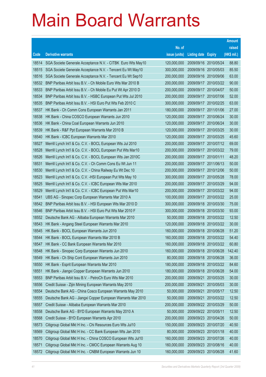|       |                                                              |               |                            |                       | <b>Amount</b> |
|-------|--------------------------------------------------------------|---------------|----------------------------|-----------------------|---------------|
|       |                                                              | No. of        |                            |                       | raised        |
| Code  | <b>Derivative warrants</b>                                   | issue (units) | <b>Listing date Expiry</b> |                       | (HK\$ mil.)   |
| 18514 | SGA Societe Generale Acceptance N.V. - CITBK Euro Wts May10  | 120,000,000   | 2009/09/16 2010/05/24      |                       | 88.80         |
| 18515 | SGA Societe Generale Acceptance N.V. - Tencent Eu Wt May10   | 300,000,000   | 2009/09/16 2010/05/03      |                       | 85.50         |
| 18516 | SGA Societe Generale Acceptance N.V. - Tencent Eu Wt Sep10   | 200,000,000   | 2009/09/16 2010/09/06      |                       | 63.00         |
| 18532 | BNP Paribas Arbit Issu B.V. - Ch Mobile Euro Wts Mar 2010 B  | 200,000,000   |                            | 2009/09/17 2010/03/22 | 90.00         |
| 18533 | BNP Paribas Arbit Issu B.V. - Ch Mobile Eu Put Wt Apr 2010 D | 200,000,000   | 2009/09/17 2010/04/07      |                       | 50.00         |
| 18534 | BNP Paribas Arbit Issu B.V. - HSBC European Put Wts Jul 2010 | 200,000,000   |                            | 2009/09/17 2010/07/06 | 52.00         |
| 18535 | BNP Paribas Arbit Issu B.V. - HSI Euro Put Wts Feb 2010 C    | 300,000,000   | 2009/09/17 2010/02/25      |                       | 63.00         |
| 18537 | HK Bank - Ch Comm Cons European Warrants Jan 2011            | 180,000,000   |                            | 2009/09/17 2011/01/06 | 27.00         |
| 18538 | HK Bank - China COSCO European Warrants Jun 2010             | 120,000,000   |                            | 2009/09/17 2010/06/24 | 30.00         |
| 18536 | HK Bank - China Coal European Warrants Jun 2010              | 120,000,000   |                            | 2009/09/17 2010/06/24 | 30.00         |
| 18539 | HK Bank - R&F Ppt European Warrants Mar 2010 B               | 120,000,000   | 2009/09/17 2010/03/25      |                       | 30.00         |
| 18540 | HK Bank - ICBC European Warrants Mar 2010                    | 120,000,000   |                            | 2009/09/17 2010/03/25 | 45.60         |
| 18527 | Merrill Lynch Int'l & Co. C.V. - BOCL European Wts Jul 2010  | 200,000,000   |                            | 2009/09/17 2010/07/12 | 69.00         |
| 18528 | Merrill Lynch Int'l & Co. C.V. - BOCL European Put Wts Mar10 | 200,000,000   |                            | 2009/09/17 2010/03/22 | 79.00         |
| 18526 | Merrill Lynch Int'l & Co. C.V. - BOCL European Wts Jan 2010C | 200,000,000   | 2009/09/17 2010/01/11      |                       | 48.20         |
| 18531 | Merrill Lynch Int'l & Co. C.V. - Ch Comm Cons Eu Wt Jun 11   | 200,000,000   | 2009/09/17 2011/06/13      |                       | 50.00         |
| 18530 | Merrill Lynch Int'l & Co. C.V. - China Railway Eu Wt Dec 10  | 200,000,000   |                            | 2009/09/17 2010/12/06 | 50.00         |
| 18523 | Merrill Lynch Int'l & Co. C.V. - HSI European Put Wts May 10 | 300,000,000   |                            | 2009/09/17 2010/05/28 | 78.00         |
| 18525 | Merrill Lynch Int'l & Co. C.V. - ICBC European Wts Mar 2010  | 200,000,000   | 2009/09/17                 | 2010/03/29            | 94.00         |
| 18529 | Merrill Lynch Int'l & Co. C.V. - ICBC European Put Wts Mar10 | 200,000,000   |                            | 2009/09/17 2010/03/22 | 94.00         |
| 18541 | UBS AG - Sinopec Corp European Warrants Mar 2010 A           | 100,000,000   |                            | 2009/09/17 2010/03/22 | 25.00         |
| 18542 | BNP Paribas Arbit Issu B.V. - HSI European Wts Mar 2010 D    | 300,000,000   | 2009/09/18                 | 2010/03/30            | 75.00         |
| 18546 | BNP Paribas Arbit Issu B.V. - HSI Euro Put Wts Mar 2010 F    | 300,000,000   | 2009/09/18                 | 2010/03/30            | 93.00         |
| 18552 | Deutsche Bank AG - Alibaba European Warrants Mar 2010        | 50,000,000    |                            | 2009/09/18 2010/03/22 | 12.50         |
| 18543 | HK Bank - Angang Steel European Warrants Mar 2010            | 120,000,000   |                            | 2009/09/18 2010/03/22 | 30.00         |
| 18545 | HK Bank - BOCL European Warrants Jun 2010                    | 160,000,000   | 2009/09/18 2010/06/28      |                       | 51.20         |
| 18544 | HK Bank - BOCL European Warrants Mar 2010 B                  | 160,000,000   | 2009/09/18 2010/03/22      |                       | 54.40         |
| 18547 | HK Bank - CC Bank European Warrants Mar 2010                 | 160,000,000   |                            | 2009/09/18 2010/03/22 | 60.80         |
| 18548 | HK Bank - Sinopec Corp European Warrants Jun 2010            | 160,000,000   | 2009/09/18                 | 2010/06/28            | 142.40        |
| 18549 | HK Bank - Ch Ship Cont European Warrants Jun 2010            | 80,000,000    | 2009/09/18 2010/06/28      |                       | 36.00         |
| 18550 | HK Bank - Esprit European Warrants Mar 2010                  | 180,000,000   |                            | 2009/09/18 2010/03/22 | 84.60         |
| 18551 | HK Bank - Jiangxi Copper European Warrants Jun 2010          | 180,000,000   | 2009/09/18                 | 2010/06/28            | 54.00         |
| 18553 | BNP Paribas Arbit Issu B.V. - PetroCh Euro Wts Mar 2010      | 200,000,000   | 2009/09/21                 | 2010/03/25            | 30.00         |
| 18556 | Credit Suisse - Zijin Mining European Warrants May 2010      | 200,000,000   | 2009/09/21                 | 2010/05/03            | 30.00         |
| 18554 | Deutsche Bank AG - China Cosco European Warrants May 2010    | 50,000,000    | 2009/09/21                 | 2010/05/17            | 12.50         |
| 18555 | Deutsche Bank AG - Jiangxi Copper European Warrants Mar 2010 | 50,000,000    | 2009/09/21                 | 2010/03/22            | 12.50         |
| 18557 | Credit Suisse - Alibaba European Warrants Mar 2010           | 200,000,000   | 2009/09/22 2010/03/29      |                       | 50.00         |
| 18558 | Deutsche Bank AG - BYD European Warrants May 2010 A          | 50,000,000    | 2009/09/22 2010/05/11      |                       | 12.50         |
| 18568 | Credit Suisse - BYD European Warrants Apr 2010               | 200,000,000   | 2009/09/23                 | 2010/04/26            | 50.00         |
| 18573 | Citigroup Global Mkt H Inc. - Chi Resources Euro Wts Jul10   | 150,000,000   | 2009/09/23 2010/07/20      |                       | 40.50         |
| 18569 | Citigroup Global Mkt H Inc. - CC Bank European Wts Jan 2010  | 80,000,000    | 2009/09/23                 | 2010/01/18            | 40.00         |
| 18570 | Citigroup Global Mkt H Inc. - China COSCO European Wts Jul10 | 160,000,000   | 2009/09/23 2010/07/26      |                       | 40.00         |
| 18571 | Citigroup Global Mkt H Inc. - CMOC European Warrants Aug 10  | 160,000,000   | 2009/09/23                 | 2010/08/16            | 40.00         |
| 18572 | Citigroup Global Mkt H Inc. - CNBM European Warrants Jun 10  | 160,000,000   | 2009/09/23 2010/06/28      |                       | 41.60         |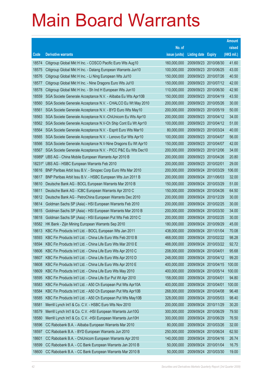|                |                                                                                                                         |                            |                            |                                     | <b>Amount</b>  |
|----------------|-------------------------------------------------------------------------------------------------------------------------|----------------------------|----------------------------|-------------------------------------|----------------|
|                |                                                                                                                         | No. of                     |                            |                                     | raised         |
| Code           | <b>Derivative warrants</b>                                                                                              | issue (units)              | <b>Listing date Expiry</b> |                                     | (HK\$ mil.)    |
| 18574          | Citigroup Global Mkt H Inc. - COSCO Pacific Euro Wts Aug10                                                              | 160,000,000                |                            | 2009/09/23 2010/08/30               | 41.60          |
| 18575          | Citigroup Global Mkt H Inc. - Datang European Warrants Jun10                                                            | 100,000,000                |                            | 2009/09/23 2010/06/25               | 43.00          |
| 18576          | Citigroup Global Mkt H Inc. - Li Ning European Wts Jul10                                                                | 150,000,000                | 2009/09/23 2010/07/26      |                                     | 40.50          |
| 18577          | Citigroup Global Mkt H Inc. - Nine Dragons Euro Wts Jul10                                                               | 150,000,000                |                            | 2009/09/23 2010/07/12               | 42.00          |
| 18578          | Citigroup Global Mkt H Inc. - Sh Ind H European Wts Jun10                                                               | 110,000,000                |                            | 2009/09/23 2010/06/30               | 42.90          |
| 18559          | SGA Societe Generale Acceptance N.V. - Alibaba Eu Wts Apr10B                                                            | 150,000,000                |                            | 2009/09/23 2010/04/19               | 43.50          |
| 18560          | SGA Societe Generale Acceptance N.V. - CHALCO Eu Wt May 2010                                                            | 200,000,000                | 2009/09/23 2010/05/26      |                                     | 30.00          |
| 18561          | SGA Societe Generale Acceptance N.V. - BYD Euro Wts May10                                                               | 200,000,000                | 2009/09/23 2010/05/19      |                                     | 50.00          |
| 18563          | SGA Societe Generale Acceptance N.V.-ChiUnicom Eu Wts Apr10                                                             | 200,000,000                |                            | 2009/09/23 2010/04/12               | 34.00          |
| 18562          | SGA Societe Generale Acceptance N.V-Ch Ship Cont Eu Wt Apr10                                                            | 100,000,000                |                            | 2009/09/23 2010/04/12               | 51.00          |
| 18564          | SGA Societe Generale Acceptance N.V. - Esprit Euro Wts Mar10                                                            | 80,000,000                 | 2009/09/23 2010/03/24      |                                     | 40.00          |
| 18565          | SGA Societe Generale Acceptance N.V. - Lenovo Eur Wts Apr10                                                             | 100,000,000                | 2009/09/23 2010/04/07      |                                     | 56.00          |
| 18566          | SGA Societe Generale Acceptance N.V-Nine Dragons Eu Wt Apr10                                                            | 150,000,000                | 2009/09/23 2010/04/07      |                                     | 42.00          |
| 18567          | SGA Societe Generale Acceptance N.V. - PICC P&C Eu Wts Dec10                                                            | 200,000,000                |                            | 2009/09/23 2010/12/06               | 34.00          |
|                | 16989# UBS AG - China Mobile European Warrants Apr 2010 B                                                               | 200,000,000                | 2009/09/23 2010/04/26      |                                     | 20.80          |
| 18231#         | UBS AG - HSBC European Warrants Feb 2010                                                                                | 200,000,000                | 2009/09/23 2010/02/01      |                                     | 29.00          |
| 18616          | BNP Paribas Arbit Issu B.V. - Sinopec Corp Euro Wts Mar 2010                                                            | 200,000,000                |                            | 2009/09/24 2010/03/29               | 106.00         |
| 18617          | BNP Paribas Arbit Issu B.V. - HSBC European Wts Jun 2011 B                                                              | 200,000,000                |                            | 2009/09/24 2011/06/03               | 32.00          |
| 18610          | Deutsche Bank AG - BOCL European Warrants Mar 2010 B                                                                    | 150,000,000                | 2009/09/24                 | 2010/03/29                          | 51.00          |
| 18611          | Deutsche Bank AG - ICBC European Warrants Apr 2010 C                                                                    | 150,000,000                |                            | 2009/09/24 2010/04/26               | 64.50          |
| 18612          | Deutsche Bank AG - PetroChina European Warrants Dec 2010                                                                | 200,000,000                |                            | 2009/09/24 2010/12/29               | 30.00          |
| 18614          | Goldman Sachs SP (Asia) - HSI European Warrants Feb 2010                                                                | 200,000,000                |                            | 2009/09/24 2010/02/25               | 30.00<br>34.00 |
| 18615<br>18618 | Goldman Sachs SP (Asia) - HSI European Warrants Mar 2010 B<br>Goldman Sachs SP (Asia) - HSI European Put Wts Feb 2010 C | 200,000,000<br>200,000,000 | 2009/09/24                 | 2010/03/30<br>2009/09/24 2010/02/25 | 30.00          |
| 18582          | HK Bank - Zijin Mining European Warrants Sep 2010                                                                       | 180,000,000                |                            | 2009/09/24 2010/09/29               | 45.00          |
| 18613          | KBC Fin Products Int'l Ltd. - BOCL European Wts Jan 2011                                                                | 438,000,000                | 2009/09/24 2011/01/04      |                                     | 70.08          |
| 18593          | KBC Fin Products Int'l Ltd. - China Life Euro Wts Feb 2010 B                                                            | 468,000,000                | 2009/09/24 2010/02/22      |                                     | 98.28          |
| 18594          | KBC Fin Products Int'l Ltd. - China Life Euro Wts Mar 2010 E                                                            | 488,000,000                |                            | 2009/09/24 2010/03/22               | 92.72          |
| 18606          | KBC Fin Products Int'l Ltd. - China Life Euro Wts Apr 2010 C                                                            | 208,000,000                | 2009/09/24                 | 2010/04/01                          | 95.68          |
| 18607          | KBC Fin Products Int'l Ltd. - China Life Euro Wts Apr 2010 D                                                            | 248,000,000                | 2009/09/24                 | 2010/04/12                          | 99.20          |
| 18608          | KBC Fin Products Int'l Ltd. - China Life Euro Wts Apr 2010 E                                                            | 400,000,000                | 2009/09/24                 | 2010/04/15                          | 100.00         |
| 18609          | KBC Fin Products Int'l Ltd. - China Life Euro Wts May 2010                                                              | 400,000,000                | 2009/09/24                 | 2010/05/14                          | 100.00         |
| 18595          | KBC Fin Products Int'l Ltd. - China Life Eur Put Wt Apr 2010                                                            | 158,000,000                | 2009/09/24                 | 2010/04/01                          | 94.80          |
| 18583          | KBC Fin Products Int'l Ltd. - A50 Ch European Put Wts Apr10A                                                            | 400,000,000                | 2009/09/24                 | 2010/04/01                          | 100.00         |
| 18584          | KBC Fin Products Int'l Ltd. - A50 Ch European Put Wts Apr10B                                                            | 268,000,000                | 2009/09/24                 | 2010/04/08                          | 96.48          |
| 18585          | KBC Fin Products Int'l Ltd. - A50 Ch European Put Wts May10B                                                            | 328,000,000                | 2009/09/24                 | 2010/05/03                          | 98.40          |
| 18581          | Merrill Lynch Int'l & Co. C.V. - HSBC Euro Wts Nov 2010                                                                 | 200,000,000                | 2009/09/24                 | 2010/11/29                          | 30.20          |
| 18579          | Merrill Lynch Int'l & Co. C.V. - HSI European Warrants Jun10G                                                           | 300,000,000                | 2009/09/24                 | 2010/06/29                          | 79.50          |
| 18580          | Merrill Lynch Int'l & Co. C.V. - HSI European Warrants Jun10H                                                           | 300,000,000                | 2009/09/24                 | 2010/06/29                          | 76.50          |
| 18596          | CC Rabobank B.A. - Alibaba European Warrants Mar 2010                                                                   | 80,000,000                 | 2009/09/24                 | 2010/03/26                          | 32.00          |
| 18597          | CC Rabobank B.A. - BYD European Warrants Jun 2010                                                                       | 250,000,000                | 2009/09/24                 | 2010/06/24                          | 62.50          |
| 18601          | CC Rabobank B.A. - ChiUnicom European Warrants Apr 2010                                                                 | 140,000,000                | 2009/09/24                 | 2010/04/16                          | 26.74          |
| 18599          | CC Rabobank B.A. - CC Bank European Warrants Jan 2010 B                                                                 | 50,000,000                 | 2009/09/24                 | 2010/01/04                          | 16.75          |
| 18600          | CC Rabobank B.A. - CC Bank European Warrants Mar 2010 B                                                                 | 50,000,000                 | 2009/09/24                 | 2010/03/30                          | 19.00          |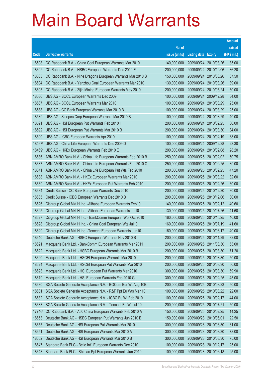|                |                                                                                                                              |                            |                       |                       | <b>Amount</b>  |
|----------------|------------------------------------------------------------------------------------------------------------------------------|----------------------------|-----------------------|-----------------------|----------------|
|                |                                                                                                                              | No. of                     |                       |                       | raised         |
| Code           | <b>Derivative warrants</b>                                                                                                   | issue (units)              | <b>Listing date</b>   | <b>Expiry</b>         | (HK\$ mil.)    |
| 18598          | CC Rabobank B.A. - China Coal European Warrants Mar 2010                                                                     | 140,000,000                | 2009/09/24            | 2010/03/26            | 35.00          |
| 18602          | CC Rabobank B.A. - HSBC European Warrants Dec 2010 E                                                                         | 200,000,000                |                       | 2009/09/24 2010/12/06 | 36.20          |
| 18603          | CC Rabobank B.A. - Nine Dragons European Warrants Mar 2010 B                                                                 | 150,000,000                | 2009/09/24            | 2010/03/26            | 37.50          |
| 18604          | CC Rabobank B.A. - Yanzhou Coal European Warrants Mar 2010                                                                   | 130,000,000                | 2009/09/24            | 2010/03/26            | 39.00          |
| 18605          | CC Rabobank B.A. - Zijin Mining European Warrants May 2010                                                                   | 200,000,000                | 2009/09/24            | 2010/05/24            | 50.00          |
| 18586          | UBS AG - BOCL European Warrants Dec 2009                                                                                     | 100,000,000                |                       | 2009/09/24 2009/12/28 | 34.00          |
| 18587          | UBS AG - BOCL European Warrants Mar 2010                                                                                     | 100,000,000                | 2009/09/24            | 2010/03/29            | 25.00          |
| 18588          | UBS AG - CC Bank European Warrants Mar 2010 B                                                                                | 100,000,000                |                       | 2009/09/24 2010/03/29 | 25.00          |
| 18589          | UBS AG - Sinopec Corp European Warrants Mar 2010 B                                                                           | 100,000,000                | 2009/09/24            | 2010/03/29            | 40.00          |
| 18591          | UBS AG - HSI European Put Warrants Feb 2010 I                                                                                | 200,000,000                |                       | 2009/09/24 2010/02/25 | 30.00          |
| 18592          | UBS AG - HSI European Put Warrants Mar 2010 B                                                                                | 200,000,000                | 2009/09/24            | 2010/03/30            | 34.00          |
| 18590          | UBS AG - ICBC European Warrants Apr 2010                                                                                     | 100,000,000                |                       | 2009/09/24 2010/04/19 | 38.00          |
| 18467#         | UBS AG - China Life European Warrants Dec 2009 D                                                                             | 100,000,000                | 2009/09/24            | 2009/12/28            | 23.30          |
| 18469#         | UBS AG - HKEx European Warrants Feb 2010 E                                                                                   | 200,000,000                |                       | 2009/09/24 2010/02/08 | 28.20          |
| 18636          | ABN AMRO Bank N.V. - China Life European Warrants Feb 2010 B                                                                 | 250,000,000                | 2009/09/25            | 2010/02/02            | 50.75          |
| 18637          | ABN AMRO Bank N.V. - China Life European Warrants Feb 2010 C                                                                 | 250,000,000                |                       | 2009/09/25 2010/02/25 | 39.00          |
| 18641          | ABN AMRO Bank N.V. - China Life European Put Wts Feb 2010                                                                    | 200,000,000                |                       | 2009/09/25 2010/02/25 | 47.20          |
| 18638          | ABN AMRO Bank N.V. - HKEx European Warrants Mar 2010                                                                         | 200,000,000                |                       | 2009/09/25 2010/03/22 | 32.60          |
| 18639          | ABN AMRO Bank N.V. - HKEx European Put Warrants Feb 2010                                                                     | 200,000,000                | 2009/09/25            | 2010/02/26            | 30.00          |
| 18634          | Credit Suisse - CC Bank European Warrants Dec 2010                                                                           | 200,000,000                | 2009/09/25 2010/12/20 |                       | 30.00          |
| 18635          | Credit Suisse - ICBC European Warrants Dec 2010 B                                                                            | 200,000,000                |                       | 2009/09/25 2010/12/06 | 30.00          |
| 18626          | Citigroup Global Mkt H Inc. - Alibaba European Warrants Feb10                                                                | 140,000,000                |                       | 2009/09/25 2010/02/12 | 40.60          |
| 18625          | Citigroup Global Mkt H Inc. - Alibaba European Warrants Jul10                                                                | 130,000,000                | 2009/09/25            | 2010/07/26            | 41.60          |
| 18627<br>18628 | Citigroup Global Mkt H Inc. - BankComm European Wts Oct 2010                                                                 | 160,000,000<br>160,000,000 | 2009/09/25 2010/07/19 | 2009/09/25 2010/10/25 | 40.00<br>41.60 |
| 18629          | Citigroup Global Mkt H Inc. - China Coal European Wts Jul10<br>Citigroup Global Mkt H Inc. - Tencent European Warrants Jun10 | 160,000,000                | 2009/09/25 2010/06/17 |                       | 40.00          |
| 18640          | Deutsche Bank AG - HSBC European Warrants Nov 2010 B                                                                         | 200,000,000                | 2009/09/25 2010/11/29 |                       | 32.00          |
| 18621          | Macquarie Bank Ltd. - BankComm European Warrants Mar 2011                                                                    | 200,000,000                |                       | 2009/09/25 2011/03/30 | 53.00          |
| 18622          | Macquarie Bank Ltd. - HSBC European Warrants Mar 2010 B                                                                      | 200,000,000                | 2009/09/25            | 2010/03/30            | 71.20          |
| 18620          | Macquarie Bank Ltd. - HSCEI European Warrants Mar 2010                                                                       | 200,000,000                |                       | 2009/09/25 2010/03/30 | 50.00          |
| 18624          | Macquarie Bank Ltd. - HSCEI European Put Warrants Mar 2010                                                                   | 200,000,000                |                       | 2009/09/25 2010/03/30 | 50.00          |
| 18623          | Macquarie Bank Ltd. - HSI European Put Warrants Mar 2010                                                                     | 300,000,000                | 2009/09/25            | 2010/03/30            | 69.90          |
| 18619          | Macquarie Bank Ltd. - HSI European Warrants Feb 2010 G                                                                       | 300,000,000                | 2009/09/25            | 2010/02/25            | 45.00          |
| 18630          | SGA Societe Generale Acceptance N.V. - BOCom Eur Wt Aug 10B                                                                  | 200,000,000                | 2009/09/25            | 2010/08/23            | 50.00          |
| 18631          | SGA Societe Generale Acceptance N.V. - R&F Ppt Eu Wts Mar 10                                                                 | 100,000,000                |                       | 2009/09/25 2010/03/22 | 22.00          |
| 18632          | SGA Societe Generale Acceptance N.V. - ICBC Eu Wt Feb 2010                                                                   | 100,000,000                | 2009/09/25 2010/02/17 |                       | 44.00          |
| 18633          | SGA Societe Generale Acceptance N.V. - Tencent Eu Wt Jul 10                                                                  | 200,000,000                | 2009/09/25            | 2010/07/21            | 50.00          |
| 17746#         | CC Rabobank B.A. - A50 China European Warrants Feb 2010 A                                                                    | 150,000,000                | 2009/09/25            | 2010/02/25            | 14.25          |
| 18653          | Deutsche Bank AG - HSBC European Put Warrants Jun 2010 B                                                                     | 150,000,000                | 2009/09/28 2010/06/01 |                       | 22.50          |
| 18655          | Deutsche Bank AG - HSI European Put Warrants Mar 2010                                                                        | 300,000,000                | 2009/09/28            | 2010/03/30            | 81.00          |
| 18651          | Deutsche Bank AG - HSI European Warrants Mar 2010 A                                                                          | 300,000,000                | 2009/09/28            | 2010/03/30            | 78.00          |
| 18652          | Deutsche Bank AG - HSI European Warrants Mar 2010 B                                                                          | 300,000,000                | 2009/09/28            | 2010/03/30            | 75.00          |
| 18647          | Standard Bank PLC - Belle Int'l European Warrants Dec 2010                                                                   | 100,000,000                | 2009/09/28            | 2010/12/17            | 25.00          |
| 18648          | Standard Bank PLC - Shimao Ppt European Warrants Jun 2010                                                                    | 100,000,000                | 2009/09/28 2010/06/18 |                       | 25.00          |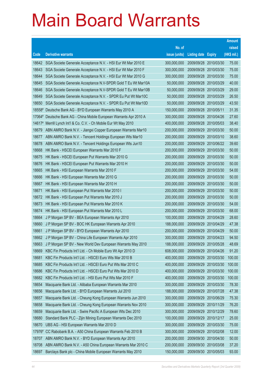|        |                                                                     |               |                            |                       | <b>Amount</b> |
|--------|---------------------------------------------------------------------|---------------|----------------------------|-----------------------|---------------|
|        |                                                                     | No. of        |                            |                       | raised        |
| Code   | <b>Derivative warrants</b>                                          | issue (units) | <b>Listing date Expiry</b> |                       | (HK\$ mil.)   |
| 18642  | SGA Societe Generale Acceptance N.V. - HSI Eur Wt Mar 2010 E        | 300,000,000   |                            | 2009/09/28 2010/03/30 | 75.00         |
| 18643  | SGA Societe Generale Acceptance N.V. - HSI Eur Wt Mar 2010 F        | 300,000,000   |                            | 2009/09/28 2010/03/30 | 75.00         |
| 18644  | SGA Societe Generale Acceptance N.V. - HSI Eur Wt Mar 2010 G        | 300,000,000   | 2009/09/28                 | 2010/03/30            | 75.00         |
| 18645  | SGA Societe Generale Acceptance N.V-SPDR Gold T Eu Wt Mar10A        | 50,000,000    | 2009/09/28 2010/03/29      |                       | 40.00         |
| 18646  | SGA Societe Generale Acceptance N.V-SPDR Gold T Eu Wt Mar10B        | 50,000,000    | 2009/09/28                 | 2010/03/29            | 29.00         |
| 18649  | SGA Societe Generale Acceptance N.V. - SPDR Eu Put Wt Mar10C        | 50,000,000    |                            | 2009/09/28 2010/03/29 | 26.50         |
| 18650  | SGA Societe Generale Acceptance N.V. - SPDR Eu Put Wt Mar10D        | 50,000,000    | 2009/09/28                 | 2010/03/29            | 43.50         |
|        | 18558# Deutsche Bank AG - BYD European Warrants May 2010 A          | 150,000,000   | 2009/09/28 2010/05/11      |                       | 31.35         |
|        | 17064# Deutsche Bank AG - China Mobile European Warrants Apr 2010 A | 300,000,000   | 2009/09/28                 | 2010/04/26            | 27.60         |
| 14617# | Merrill Lynch Int'l & Co. C.V. - Ch Mobile Eur Wt May 2010          | 400,000,000   |                            | 2009/09/28 2010/05/03 | 38.40         |
| 18679  | ABN AMRO Bank N.V. - Jiangxi Copper European Warrants Mar10         | 200,000,000   | 2009/09/29                 | 2010/03/30            | 50.00         |
| 18677  | ABN AMRO Bank N.V. - Tencent Holdings European Wts Mar10            | 200,000,000   | 2009/09/29                 | 2010/03/10            | 38.60         |
| 18678  | ABN AMRO Bank N.V. - Tencent Holdings European Wts Jun10            | 200,000,000   | 2009/09/29                 | 2010/06/22            | 39.60         |
| 18668  | HK Bank - HSCEI European Warrants Mar 2010 F                        | 200,000,000   | 2009/09/29                 | 2010/03/30            | 50.00         |
| 18675  | HK Bank - HSCEI European Put Warrants Mar 2010 G                    | 200,000,000   | 2009/09/29                 | 2010/03/30            | 50.00         |
| 18676  | HK Bank - HSCEI European Put Warrants Mar 2010 H                    | 200,000,000   | 2009/09/29                 | 2010/03/30            | 50.00         |
| 18665  | HK Bank - HSI European Warrants Mar 2010 F                          | 200,000,000   | 2009/09/29                 | 2010/03/30            | 54.00         |
| 18666  | HK Bank - HSI European Warrants Mar 2010 G                          | 200,000,000   | 2009/09/29                 | 2010/03/30            | 50.00         |
| 18667  | HK Bank - HSI European Warrants Mar 2010 H                          | 200,000,000   | 2009/09/29                 | 2010/03/30            | 50.00         |
| 18671  | HK Bank - HSI European Put Warrants Mar 2010 I                      | 200,000,000   | 2009/09/29                 | 2010/03/30            | 50.00         |
| 18672  | HK Bank - HSI European Put Warrants Mar 2010 J                      | 200,000,000   | 2009/09/29                 | 2010/03/30            | 50.00         |
| 18673  | HK Bank - HSI European Put Warrants Mar 2010 K                      | 200,000,000   | 2009/09/29                 | 2010/03/30            | 54.00         |
| 18674  | HK Bank - HSI European Put Warrants Mar 2010 L                      | 200,000,000   | 2009/09/29                 | 2010/03/30            | 68.00         |
| 18664  | J P Morgan SP BV - BEA European Warrants Apr 2010                   | 100,000,000   | 2009/09/29                 | 2010/04/29            | 28.60         |
| 18660  | J P Morgan SP BV - BOC HK European Warrants Apr 2010                | 188,000,000   | 2009/09/29                 | 2010/04/29            | 47.38         |
| 18661  | J P Morgan SP BV - BYD European Warrants Apr 2010                   | 200,000,000   | 2009/09/29                 | 2010/04/29            | 50.00         |
| 18662  | J P Morgan SP BV - China Life European Warrants Apr 2010            | 300,000,000   | 2009/09/29                 | 2010/04/23            | 94.50         |
| 18663  | J P Morgan SP BV - New World Dev European Warrants May 2010         | 188,000,000   | 2009/09/29 2010/05/28      |                       | 48.69         |
| 18669  | KBC Fin Products Int'l Ltd. - Ch Mobile Euro Wt Apr 2010 D          | 608,000,000   | 2009/09/29                 | 2010/04/26            | 91.20         |
| 18681  | KBC Fin Products Int'l Ltd. - HSCEI Euro Wts Mar 2010 B             | 400,000,000   | 2009/09/29                 | 2010/03/30            | 100.00        |
| 18685  | KBC Fin Products Int'l Ltd. - HSCEI Euro Put Wts Mar 2010 C         | 400,000,000   | 2009/09/29                 | 2010/03/30            | 100.00        |
| 18686  | KBC Fin Products Int'l Ltd. - HSCEI Euro Put Wts Mar 2010 D         | 400,000,000   | 2009/09/29                 | 2010/03/30            | 100.00        |
| 18682  | KBC Fin Products Int'l Ltd. - HSI Euro Put Wts Mar 2010 F           | 400,000,000   | 2009/09/29                 | 2010/03/30            | 100.00        |
| 18654  | Macquarie Bank Ltd. - Alibaba European Warrants Mar 2010            | 300,000,000   | 2009/09/29                 | 2010/03/30            | 78.30         |
| 18656  | Macquarie Bank Ltd. - BYD European Warrants Jul 2010                | 188,000,000   | 2009/09/29                 | 2010/07/28            | 47.38         |
| 18657  | Macquarie Bank Ltd. - Cheung Kong European Warrants Jun 2010        | 300,000,000   | 2009/09/29 2010/06/29      |                       | 75.30         |
| 18658  | Macquarie Bank Ltd. - Cheung Kong European Warrants Nov 2010        | 300,000,000   | 2009/09/29                 | 2010/11/29            | 76.20         |
| 18659  | Macquarie Bank Ltd. - Swire Pacific A European Wts Dec 2010         | 300,000,000   | 2009/09/29                 | 2010/12/29            | 78.60         |
| 18680  | Standard Bank PLC - Zijin Mining European Warrants Dec 2010         | 100,000,000   | 2009/09/29                 | 2010/12/17            | 25.00         |
| 18670  | UBS AG - HSI European Warrants Mar 2010 D                           | 300,000,000   | 2009/09/29                 | 2010/03/30            | 75.00         |
| 17976# | CC Rabobank B.A. - A50 China European Warrants Feb 2010 B           | 300,000,000   | 2009/09/29                 | 2010/02/08            | 12.00         |
| 18707  | ABN AMRO Bank N.V. - BYD European Warrants Apr 2010                 | 200,000,000   | 2009/09/30                 | 2010/04/30            | 50.00         |
| 18708  | ABN AMRO Bank N.V. - A50 China European Warrants Mar 2010 C         | 200,000,000   | 2009/09/30                 | 2010/03/08            | 37.20         |
| 18697  | Barclays Bank plc - China Mobile European Warrants May 2010         | 150,000,000   | 2009/09/30 2010/05/03      |                       | 93.00         |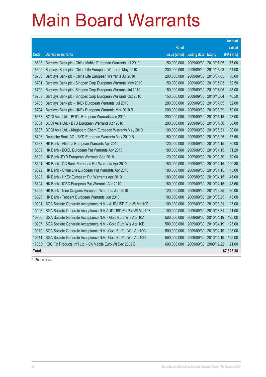|              |                                                               |               |                            |                       | <b>Amount</b> |
|--------------|---------------------------------------------------------------|---------------|----------------------------|-----------------------|---------------|
|              |                                                               | No. of        |                            |                       | raised        |
| Code         | <b>Derivative warrants</b>                                    | issue (units) | <b>Listing date Expiry</b> |                       | (HK\$ mil.)   |
| 18698        | Barclays Bank plc - China Mobile European Warrants Jul 2010   | 150,000,000   | 2009/09/30                 | 2010/07/05            | 75.00         |
| 18699        | Barclays Bank plc - China Life European Warrants May 2010     | 200,000,000   | 2009/09/30                 | 2010/05/03            | 54.00         |
| 18700        | Barclays Bank plc - China Life European Warrants Jul 2010     | 200,000,000   | 2009/09/30                 | 2010/07/05            | 50.00         |
| 18701        | Barclays Bank plc - Sinopec Corp European Warrants May 2010   | 150,000,000   | 2009/09/30                 | 2010/05/03            | 52.50         |
| 18702        | Barclays Bank plc - Sinopec Corp European Warrants Jul 2010   | 150,000,000   |                            | 2009/09/30 2010/07/05 | 45.00         |
| 18703        | Barclays Bank plc - Sinopec Corp European Warrants Oct 2010   | 150,000,000   | 2009/09/30                 | 2010/10/04            | 46.50         |
| 18705        | Barclays Bank plc - HKEx European Warrants Jul 2010           | 200,000,000   | 2009/09/30                 | 2010/07/05            | 52.00         |
| 18704        | Barclays Bank plc - HKEx European Warrants Mar 2010 B         | 200,000,000   | 2009/09/30                 | 2010/03/29            | 50.00         |
| 18683        | BOCI Asia Ltd. - BOCL European Warrants Jan 2010              | 200,000,000   |                            | 2009/09/30 2010/01/18 | 48.00         |
| 18684        | BOCI Asia Ltd. - BYD European Warrants Apr 2010               | 200,000,000   | 2009/09/30                 | 2010/04/30            | 50.00         |
| 18687        | BOCI Asia Ltd. - Kingboard Chem European Warrants May 2010    | 100,000,000   | 2009/09/30                 | 2010/05/31            | 100.00        |
| 18706        | Deutsche Bank AG - BYD European Warrants May 2010 B           | 150,000,000   |                            | 2009/09/30 2010/05/25 | 37.50         |
| 18688        | HK Bank - Alibaba European Warrants Apr 2010                  | 120,000,000   | 2009/09/30                 | 2010/04/15            | 30.00         |
| 18689        | HK Bank - BOCL European Put Warrants Apr 2010                 | 180,000,000   | 2009/09/30                 | 2010/04/15            | 61.20         |
| 18690        | HK Bank - BYD European Warrants Sep 2010                      | 120,000,000   | 2009/09/30                 | 2010/09/30            | 30.00         |
| 18691        | HK Bank - CC Bank European Put Warrants Apr 2010              | 180,000,000   | 2009/09/30                 | 2010/04/15            | 100.80        |
| 18692        | HK Bank - China Life European Put Warrants Apr 2010           | 180,000,000   | 2009/09/30                 | 2010/04/15            | 45.00         |
| 18693        | HK Bank - HKEx European Put Warrants Apr 2010                 | 180,000,000   | 2009/09/30                 | 2010/04/15            | 45.00         |
| 18694        | HK Bank - ICBC European Put Warrants Apr 2010                 | 180,000,000   |                            | 2009/09/30 2010/04/15 | 48.60         |
| 18695        | HK Bank - Nine Dragons European Warrants Jun 2010             | 120,000,000   | 2009/09/30                 | 2010/06/25            | 30.00         |
| 18696        | HK Bank - Tencent European Warrants Jun 2010                  | 180,000,000   | 2009/09/30                 | 2010/06/25            | 45.00         |
| 10901        | SGA Societe Generale Acceptance N.V. - AUD/USD Eur Wt Mar10E  | 100,000,000   | 2009/09/30 2010/03/31      |                       | 25.00         |
| 10905        | SGA Societe Generale Acceptance N.V-AUD/USD Eu Put Wt Mar10F  | 100,000,000   | 2009/09/30                 | 2010/03/31            | 41.00         |
| 10906        | SGA Societe Generale Acceptance N.V. - Gold Euro Wts Apr 10A  | 500,000,000   | 2009/09/30                 | 2010/04/19            | 125.00        |
| 10907        | SGA Societe Generale Acceptance N.V. - Gold Euro Wts Apr 10B  | 500,000,000   | 2009/09/30                 | 2010/04/19            | 125.00        |
| 10910        | SGA Societe Generale Acceptance N.V. - Gold Eu Put Wts Apr10C | 500,000,000   | 2009/09/30                 | 2010/04/19            | 125.00        |
| 10911        | SGA Societe Generale Acceptance N.V. - Gold Eu Put Wts Apr10D | 500,000,000   | 2009/09/30                 | 2010/04/19            | 125.00        |
| 17353#       | KBC Fin Products Int'l Ltd. - Ch Mobile Euro Wt Dec 2009 B    | 600,000,000   | 2009/09/30                 | 2009/12/22            | 21.00         |
| <b>Total</b> |                                                               |               |                            |                       | 67,523.38     |

# Further issue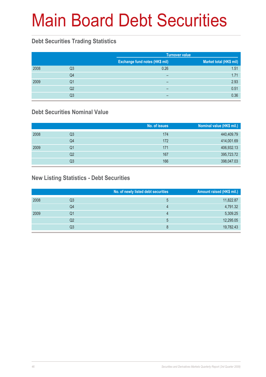# Main Board Debt Securities

#### **Debt Securities Trading Statistics**

|      |    |                                | <b>Turnover value</b>   |  |  |
|------|----|--------------------------------|-------------------------|--|--|
|      |    | Exchange fund notes (HK\$ mil) | Market total (HK\$ mil) |  |  |
| 2008 | Q3 | 0.26                           | 1.51                    |  |  |
|      | Q4 | $\overline{\phantom{0}}$       | 1.71                    |  |  |
| 2009 | Q1 | $\overline{\phantom{0}}$       | 2.93                    |  |  |
|      | Q2 | -                              | 0.51                    |  |  |
|      | Q3 | -                              | 0.36                    |  |  |

#### **Debt Securities Nominal Value**

|      |    | No. of issues | Nominal value (HK\$ mil.) |
|------|----|---------------|---------------------------|
| 2008 | Q3 | 174           | 440,409.79                |
|      | Q4 | 172           | 414,001.69                |
| 2009 | Q1 | 171           | 406,932.13                |
|      | Q2 | 167           | 395,723.72                |
|      | Q3 | 166           | 398,047.03                |

#### **New Listing Statistics - Debt Securities**

|      |    | No. of newly listed debt securities | Amount raised (HK\$ mil.) |
|------|----|-------------------------------------|---------------------------|
| 2008 | Q3 | ხ                                   | 11,822.87                 |
|      | Q4 | 4                                   | 4,791.32                  |
| 2009 | Q1 | 4                                   | 5,309.25                  |
|      | Q2 | 5                                   | 12,295.05                 |
|      | Q3 | 8                                   | 19,782.43                 |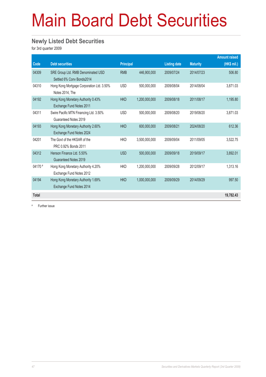# Main Board Debt Securities

#### **Newly Listed Debt Securities**

for 3rd quarter 2009

|              |                                                                 |                  |               |                     |                 | <b>Amount raised</b> |
|--------------|-----------------------------------------------------------------|------------------|---------------|---------------------|-----------------|----------------------|
| Code         | <b>Debt securities</b>                                          | <b>Principal</b> |               | <b>Listing date</b> | <b>Maturity</b> | (HK\$ mil.)          |
| 04309        | SRE Group Ltd. RMB Denominated USD<br>Settled 6% Conv Bonds2014 | <b>RMB</b>       | 446.900.000   | 2009/07/24          | 2014/07/23      | 506.80               |
| 04310        | Hong Kong Mortgage Corporation Ltd. 3.50%<br>Notes 2014, The    | <b>USD</b>       | 500,000,000   | 2009/08/04          | 2014/08/04      | 3,871.03             |
| 04192        | Hong Kong Monetary Authority 0.43%<br>Exchange Fund Notes 2011  | <b>HKD</b>       | 1,200,000,000 | 2009/08/18          | 2011/08/17      | 1,195.80             |
| 04311        | Swire Pacific MTN Financing Ltd. 3.50%<br>Guaranteed Notes 2019 | <b>USD</b>       | 500,000,000   | 2009/08/20          | 2019/08/20      | 3,871.03             |
| 04193        | Hong Kong Monetary Authority 2.60%<br>Exchange Fund Notes 2024  | <b>HKD</b>       | 600,000,000   | 2009/08/21          | 2024/08/20      | 612.36               |
| 04201        | The Govt of the HKSAR of the<br>PRC 0.92% Bonds 2011            | <b>HKD</b>       | 3,500,000,000 | 2009/09/04          | 2011/09/05      | 3,522.75             |
| 04312        | Henson Finance Ltd. 5.50%<br>Guaranteed Notes 2019              | <b>USD</b>       | 500.000.000   | 2009/09/18          | 2019/09/17      | 3,892.01             |
| $04170*$     | Hong Kong Monetary Authority 4.20%<br>Exchange Fund Notes 2012  | <b>HKD</b>       | 1.200.000.000 | 2009/09/28          | 2012/09/17      | 1.313.16             |
| 04194        | Hong Kong Monetary Authority 1.69%<br>Exchange Fund Notes 2014  | <b>HKD</b>       | 1,000,000,000 | 2009/09/29          | 2014/09/29      | 997.50               |
| <b>Total</b> |                                                                 |                  |               |                     |                 | 19,782.43            |

# Further issue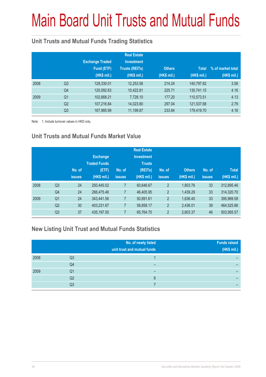# Main Board Unit Trusts and Mutual Funds

#### **Unit Trusts and Mutual Funds Trading Statistics**

|      |                | <b>Exchange Traded</b><br>Fund (ETF)<br>(HK\$ mil.) | <b>Real Estate</b><br><b>Investment</b><br><b>Trusts (REITs)</b><br>(HK\$ mil.) | <b>Others</b><br>(HK\$ mil.) | <b>Total</b><br>(HK\$ mil.) | % of market total<br>(HK\$ mil.) |
|------|----------------|-----------------------------------------------------|---------------------------------------------------------------------------------|------------------------------|-----------------------------|----------------------------------|
| 2008 | Q <sub>3</sub> | 128,330.01                                          | 12,253.56                                                                       | 214.24                       | 140,797.82                  | 3.58                             |
|      | Q4             | 120,092.63                                          | 10,422.81                                                                       | 225.71                       | 130,741.15                  | 4.16                             |
| 2009 | Q <sub>1</sub> | 102,668.21                                          | 7,728.10                                                                        | 177.20                       | 110,573.51                  | 4.13                             |
|      | Q <sub>2</sub> | 107,216.84                                          | 14,023.80                                                                       | 297.04                       | 121,537.68                  | 2.79                             |
|      | Q <sub>3</sub> | 167,985.99                                          | 11,199.87                                                                       | 233.84                       | 179,419.70                  | 4.16                             |

Note: 1. Include turnover values in HKD only.

#### **Unit Trusts and Mutual Funds Market Value**

|      |                | No. of<br><b>issues</b> | <b>Exchange</b><br><b>Traded Funds</b><br>(ETF)<br>(HK\$ mil.) | No. of<br>issues | <b>Real Estate</b><br><b>Investment</b><br><b>Trusts</b><br>(REITs)<br>(HK\$ mil.) | No. of<br><b>issues</b> | <b>Others</b><br>(HK\$ mil.) | No. of<br><b>issues</b> | <b>Total</b><br>(HK\$ mil.) |
|------|----------------|-------------------------|----------------------------------------------------------------|------------------|------------------------------------------------------------------------------------|-------------------------|------------------------------|-------------------------|-----------------------------|
| 2008 | Q <sub>3</sub> | 24                      | 250.445.02                                                     | 7                | 60,646.67                                                                          | $\overline{2}$          | 1.803.76                     | 33                      | 312,895.46                  |
|      | Q4             | 24                      | 266,475.46                                                     | 7                | 46,405.95                                                                          | $\overline{2}$          | 1.439.29                     | 33                      | 314,320.70                  |
| 2009 | Q <sub>1</sub> | 24                      | 343,441.56                                                     | 7                | 50,891.61                                                                          | $\overline{2}$          | 1,636.40                     | 33                      | 395,969.58                  |
|      | Q <sub>2</sub> | 30                      | 403,231.67                                                     | 7                | 58,858.17                                                                          | $\overline{2}$          | 2.436.01                     | 39                      | 464.525.86                  |
|      | Q <sub>3</sub> | 37                      | 435,197.50                                                     | 7                | 65,764.70                                                                          | $\overline{2}$          | 2,603.37                     | 46                      | 503,565.57                  |

#### **New Listing Unit Trust and Mutual Funds Statistics**

|      |                | No. of newly listed<br>unit trust and mutual funds | <b>Funds raised</b><br>(HK\$ mil.) |
|------|----------------|----------------------------------------------------|------------------------------------|
| 2008 | Q3             |                                                    |                                    |
|      | Q4             | -                                                  | -                                  |
| 2009 | Q1             | -                                                  |                                    |
|      | Q <sub>2</sub> | 6                                                  | -                                  |
|      | Q3             |                                                    | -                                  |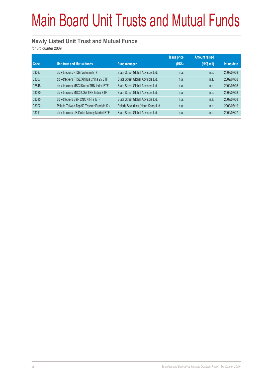# Main Board Unit Trusts and Mutual Funds

#### **Newly Listed Unit Trust and Mutual Funds**

for 3rd quarter 2009

|       |                                           |                                     | <b>Issue price</b> | <b>Amount raised</b> |                     |
|-------|-------------------------------------------|-------------------------------------|--------------------|----------------------|---------------------|
| Code  | Unit trust and Mutual funds               | <b>Fund manager</b>                 | (HK\$)             | (HK\$ mil)           | <b>Listing date</b> |
| 03087 | db x-trackers FTSE Vietnam ETF            | State Street Global Advisors Ltd.   | n.a.               | n.a.                 | 2009/07/08          |
| 03007 | db x-trackers FTSE/Xinhua China 25 ETF    | State Street Global Advisors Ltd.   | n.a.               | n.a.                 | 2009/07/08          |
| 02848 | db x-trackers MSCI Korea TRN Index ETF    | State Street Global Advisors Ltd.   | n.a.               | n.a.                 | 2009/07/08          |
| 03020 | db x-trackers MSCI USA TRN Index ETF      | State Street Global Advisors Ltd.   | n.a.               | n.a.                 | 2009/07/08          |
| 03015 | db x-trackers S&P CNX NIFTY ETF           | State Street Global Advisors Ltd.   | n.a.               | n.a.                 | 2009/07/08          |
| 03002 | Polaris Taiwan Top 50 Tracker Fund (H.K.) | Polaris Securities (Hong Kong) Ltd. | n.a.               | n.a.                 | 2009/08/19          |
| 03011 | db x-trackers US Dollar Money Market ETF  | State Street Global Advisors Ltd.   | n.a.               | n.a.                 | 2009/08/27          |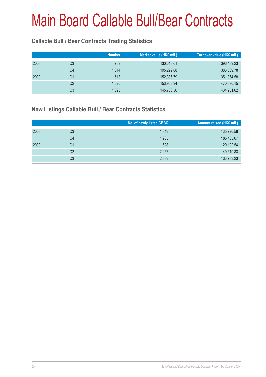#### **Callable Bull / Bear Contracts Trading Statistics**

|    | <b>Number</b> | Market value (HK\$ mil.) | Turnover value (HK\$ mil.) |
|----|---------------|--------------------------|----------------------------|
| Q3 | 759           | 130,618.61               | 396,439.23                 |
| Q4 | 1.314         | 195,229.08               | 383,369.78                 |
| Q1 | 1,513         | 152,386.79               | 351,364.58                 |
| Q2 | 1,620         | 153,963.94               | 470,890.15                 |
| Q3 | 1,893         | 145,788.56               | 434,251.62                 |
|    |               |                          |                            |

#### **New Listings Callable Bull / Bear Contracts Statistics**

|      |    | No. of newly listed CBBC | Amount raised (HK\$ mil.) |
|------|----|--------------------------|---------------------------|
| 2008 | Q3 | 1,343                    | 135,720.58                |
|      | Q4 | 1,935                    | 185,485.67                |
| 2009 | Q1 | 1,628                    | 129,192.54                |
|      | Q2 | 2,057                    | 140,519.83                |
|      | Q3 | 2,333                    | 133,733.23                |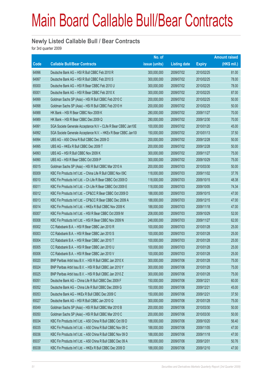#### **Newly Listed Callable Bull / Bear Contracts**

for 3rd quarter 2009

|       |                                                                | No. of        |                     |               | <b>Amount raised</b> |
|-------|----------------------------------------------------------------|---------------|---------------------|---------------|----------------------|
| Code  | <b>Callable Bull/Bear Contracts</b>                            | issue (units) | <b>Listing date</b> | <b>Expiry</b> | (HK\$ mil.)          |
| 64996 | Deutsche Bank AG - HSI R Bull CBBC Feb 2010 R                  | 300,000,000   | 2009/07/02          | 2010/02/25    | 81.00                |
| 64997 | Deutsche Bank AG - HSI R Bull CBBC Feb 2010 S                  | 300,000,000   | 2009/07/02          | 2010/02/25    | 78.00                |
| 65000 | Deutsche Bank AG - HSI R Bear CBBC Feb 2010 U                  | 300,000,000   | 2009/07/02          | 2010/02/25    | 78.00                |
| 65001 | Deutsche Bank AG - HSI R Bear CBBC Feb 2010 X                  | 300,000,000   | 2009/07/02          | 2010/02/25    | 87.00                |
| 64999 | Goldman Sachs SP (Asia) - HSI R Bull CBBC Feb 2010 C           | 200,000,000   | 2009/07/02          | 2010/02/25    | 50.00                |
| 64998 | Goldman Sachs SP (Asia) - HSI R Bull CBBC Feb 2010 H           | 200,000,000   | 2009/07/02          | 2010/02/25    | 50.00                |
| 64988 | HK Bank - HSI R Bear CBBC Nov 2009 K                           | 280,000,000   | 2009/07/02          | 2009/11/27    | 70.00                |
| 64989 | HK Bank - HSI R Bear CBBC Dec 2009 Q                           | 280,000,000   | 2009/07/02          | 2009/12/30    | 70.00                |
| 64991 | SGA Societe Generale Acceptance N.V - CLife R Bear CBBC Jan10E | 100,000,000   | 2009/07/02          | 2010/01/20    | 45.00                |
| 64992 | SGA Societe Generale Acceptance N.V. - HKEx R Bear CBBC Jan101 | 150,000,000   | 2009/07/02          | 2010/01/13    | 37.50                |
| 64994 | UBS AG - A50 China R Bull CBBC Dec 2009 O                      | 200,000,000   | 2009/07/02          | 2009/12/28    | 50.00                |
| 64995 | UBS AG - HKEx R Bull CBBC Dec 2009 T                           | 200,000,000   | 2009/07/02          | 2009/12/28    | 50.00                |
| 64993 | UBS AG - HSI R Bull CBBC Nov 2009 K                            | 300,000,000   | 2009/07/02          | 2009/11/27    | 75.00                |
| 64990 | UBS AG - HSI R Bear CBBC Oct 2009 P                            | 300,000,000   | 2009/07/02          | 2009/10/29    | 75.00                |
| 65015 | Goldman Sachs SP (Asia) - HSI R Bull CBBC Mar 2010 A           | 200,000,000   | 2009/07/03          | 2010/03/30    | 50.00                |
| 65009 | KBC Fin Products Int'l Ltd. - China Life R Bull CBBC Nov 09C   | 118,000,000   | 2009/07/03          | 2009/11/02    | 37.76                |
| 65010 | KBC Fin Products Int'l Ltd. - Ch Life R Bear CBBC Oct 2009 D   | 118,000,000   | 2009/07/03          | 2009/10/15    | 48.38                |
| 65011 | KBC Fin Products Int'l Ltd. - Ch Life R Bear CBBC Oct 2009 E   | 118,000,000   | 2009/07/03          | 2009/10/05    | 74.34                |
| 65012 | KBC Fin Products Int'l Ltd. - CP&CC R Bear CBBC Oct 2009 D     | 188,000,000   | 2009/07/03          | 2009/10/15    | 47.00                |
| 65013 | KBC Fin Products Int'l Ltd. - CP&CC R Bear CBBC Dec 2009 A     | 188,000,000   | 2009/07/03          | 2009/12/15    | 47.00                |
| 65014 | KBC Fin Products Int'l Ltd. - HKEx R Bull CBBC Nov 2009 K      | 188,000,000   | 2009/07/03          | 2009/11/18    | 47.00                |
| 65007 | KBC Fin Products Int'l Ltd. - HSI R Bear CBBC Oct 2009 M       | 208,000,000   | 2009/07/03          | 2009/10/29    | 52.00                |
| 65008 | KBC Fin Products Int'l Ltd. - HSI R Bear CBBC Nov 2009 N       | 248,000,000   | 2009/07/03          | 2009/11/27    | 62.00                |
| 65002 | CC Rabobank B.A. - HSI R Bear CBBC Jan 2010 R                  | 100,000,000   | 2009/07/03          | 2010/01/28    | 25.00                |
| 65003 | CC Rabobank B.A. - HSI R Bear CBBC Jan 2010 S                  | 100,000,000   | 2009/07/03          | 2010/01/28    | 25.00                |
| 65004 | CC Rabobank B.A. - HSI R Bear CBBC Jan 2010 T                  | 100,000,000   | 2009/07/03          | 2010/01/28    | 25.00                |
| 65005 | CC Rabobank B.A. - HSI R Bear CBBC Jan 2010 U                  | 100,000,000   | 2009/07/03          | 2010/01/28    | 25.00                |
| 65006 | CC Rabobank B.A. - HSI R Bear CBBC Jan 2010 V                  | 100,000,000   | 2009/07/03          | 2010/01/28    | 25.00                |
| 65020 | BNP Paribas Arbit Issu B.V. - HSI R Bull CBBC Jan 2010 X       | 300,000,000   | 2009/07/06          | 2010/01/28    | 75.00                |
| 65024 | BNP Paribas Arbit Issu B.V. - HSI R Bull CBBC Jan 2010 Y       | 300,000,000   | 2009/07/06          | 2010/01/28    | 75.00                |
| 65025 | BNP Paribas Arbit Issu B.V. - HSI R Bull CBBC Jan 2010 Z       | 300,000,000   | 2009/07/06          | 2010/01/28    | 75.00                |
| 65051 | Deutsche Bank AG - China Life R Bull CBBC Dec 2009 F           | 150,000,000   | 2009/07/06          | 2009/12/21    | 60.00                |
| 65052 | Deutsche Bank AG - China Life R Bull CBBC Dec 2009 G           | 150,000,000   | 2009/07/06          | 2009/12/21    | 45.00                |
| 65053 | Deutsche Bank AG - HKEx R Bull CBBC Dec 2009 C                 | 150,000,000   | 2009/07/06          | 2009/12/21    | 37.50                |
| 65027 | Deutsche Bank AG - HSI R Bull CBBC Jan 2010 Q                  | 300,000,000   | 2009/07/06          | 2010/01/28    | 75.00                |
| 65049 | Goldman Sachs SP (Asia) - HSI R Bull CBBC Mar 2010 B           | 200,000,000   | 2009/07/06          | 2010/03/30    | 50.00                |
| 65050 | Goldman Sachs SP (Asia) - HSI R Bull CBBC Mar 2010 C           | 200,000,000   | 2009/07/06          | 2010/03/30    | 50.00                |
| 65034 | KBC Fin Products Int'l Ltd. - A50 China R Bull CBBC Oct 09 D   | 188,000,000   | 2009/07/06          | 2009/10/20    | 56.40                |
| 65035 | KBC Fin Products Int'l Ltd. - A50 China R Bull CBBC Nov 09 C   | 188,000,000   | 2009/07/06          | 2009/11/05    | 47.00                |
| 65036 | KBC Fin Products Int'l Ltd. - A50 China R Bull CBBC Nov 09 D   | 188,000,000   | 2009/07/06          | 2009/11/18    | 47.00                |
| 65037 | KBC Fin Products Int'l Ltd. - A50 China R Bull CBBC Dec 09 A   | 188,000,000   | 2009/07/06          | 2009/12/01    | 50.76                |
| 65038 | KBC Fin Products Int'l Ltd. - HKEx R Bull CBBC Dec 2009 D      | 188,000,000   | 2009/07/06          | 2009/12/10    | 47.00                |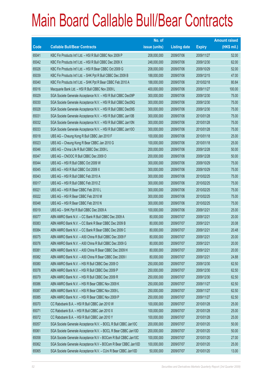|       |                                                                | No. of        |                     |               | <b>Amount raised</b> |
|-------|----------------------------------------------------------------|---------------|---------------------|---------------|----------------------|
| Code  | <b>Callable Bull/Bear Contracts</b>                            | issue (units) | <b>Listing date</b> | <b>Expiry</b> | $(HK$$ mil.)         |
| 65041 | KBC Fin Products Int'l Ltd. - HSI R Bull CBBC Nov 2009 P       | 208,000,000   | 2009/07/06          | 2009/11/27    | 52.00                |
| 65042 | KBC Fin Products Int'l Ltd. - HSI R Bull CBBC Dec 2009 X       | 248,000,000   | 2009/07/06          | 2009/12/30    | 62.00                |
| 65026 | KBC Fin Products Int'l Ltd. - HSI R Bear CBBC Oct 2009 G       | 208,000,000   | 2009/07/06          | 2009/10/29    | 52.00                |
| 65039 | KBC Fin Products Int'l Ltd. - SHK Ppt R Bull CBBC Dec 2009 B   | 188,000,000   | 2009/07/06          | 2009/12/15    | 47.00                |
| 65040 | KBC Fin Products Int'l Ltd. - SHK Ppt R Bear CBBC Feb 2010 A   | 188,000,000   | 2009/07/06          | 2010/02/18    | 80.84                |
| 65016 | Macquarie Bank Ltd. - HSI R Bull CBBC Nov 2009 L               | 400,000,000   | 2009/07/06          | 2009/11/27    | 100.00               |
| 65029 | SGA Societe Generale Acceptance N.V. - HSI R Bull CBBC Dec09P  | 300,000,000   | 2009/07/06          | 2009/12/30    | 75.00                |
| 65030 | SGA Societe Generale Acceptance N.V. - HSI R Bull CBBC Dec09Q  | 300,000,000   | 2009/07/06          | 2009/12/30    | 75.00                |
| 65028 | SGA Societe Generale Acceptance N.V. - HSI R Bull CBBC Dec09S  | 300,000,000   | 2009/07/06          | 2009/12/30    | 75.00                |
| 65031 | SGA Societe Generale Acceptance N.V. - HSI R Bull CBBC Jan10B  | 300,000,000   | 2009/07/06          | 2010/01/28    | 75.00                |
| 65032 | SGA Societe Generale Acceptance N.V. - HSI R Bull CBBC Jan10N  | 300,000,000   | 2009/07/06          | 2010/01/28    | 75.00                |
| 65033 | SGA Societe Generale Acceptance N.V. - HSI R Bull CBBC Jan100  | 300,000,000   | 2009/07/06          | 2010/01/28    | 75.00                |
| 65018 | UBS AG - Cheung Kong R Bull CBBC Jan 2010 F                    | 100,000,000   | 2009/07/06          | 2010/01/18    | 25.00                |
| 65023 | UBS AG - Cheung Kong R Bear CBBC Jan 2010 G                    | 100,000,000   | 2009/07/06          | 2010/01/18    | 25.00                |
| 65046 | UBS AG - China Life R Bull CBBC Dec 2009 L                     | 200,000,000   | 2009/07/06          | 2009/12/28    | 50.00                |
| 65047 | UBS AG - CNOOC R Bull CBBC Dec 2009 O                          | 200,000,000   | 2009/07/06          | 2009/12/28    | 50.00                |
| 65044 | UBS AG - HSI R Bull CBBC Oct 2009 W                            | 300,000,000   | 2009/07/06          | 2009/10/29    | 75.00                |
| 65045 | UBS AG - HSI R Bull CBBC Oct 2009 X                            | 300,000,000   | 2009/07/06          | 2009/10/29    | 75.00                |
| 65043 | UBS AG - HSI R Bull CBBC Feb 2010 A                            | 300,000,000   | 2009/07/06          | 2010/02/25    | 75.00                |
| 65017 | UBS AG - HSI R Bull CBBC Feb 2010 Z                            | 300,000,000   | 2009/07/06          | 2010/02/25    | 75.00                |
| 65021 | UBS AG - HSI R Bear CBBC Feb 2010 L                            | 300,000,000   | 2009/07/06          | 2010/02/25    | 75.00                |
| 65022 | UBS AG - HSI R Bear CBBC Feb 2010 M                            | 300,000,000   | 2009/07/06          | 2010/02/25    | 75.00                |
| 65048 | UBS AG - HSI R Bear CBBC Feb 2010 N                            | 300,000,000   | 2009/07/06          | 2010/02/25    | 75.00                |
| 65019 | UBS AG - SHK Ppt R Bull CBBC Dec 2009 A                        | 100,000,000   | 2009/07/06          | 2009/12/21    | 25.00                |
| 65077 | ABN AMRO Bank N.V. - CC Bank R Bull CBBC Dec 2009 A            | 80,000,000    | 2009/07/07          | 2009/12/21    | 20.00                |
| 65083 | ABN AMRO Bank N.V. - CC Bank R Bear CBBC Dec 2009 B            | 80,000,000    | 2009/07/07          | 2009/12/21    | 20.08                |
| 65084 | ABN AMRO Bank N.V. - CC Bank R Bear CBBC Dec 2009 C            | 80,000,000    | 2009/07/07          | 2009/12/21    | 20.48                |
| 65075 | ABN AMRO Bank N.V. - A50 China R Bull CBBC Dec 2009 F          | 80,000,000    | 2009/07/07          | 2009/12/21    | 20.00                |
| 65076 | ABN AMRO Bank N.V. - A50 China R Bull CBBC Dec 2009 G          | 80,000,000    | 2009/07/07          | 2009/12/21    | 20.00                |
| 65081 | ABN AMRO Bank N.V. - A50 China R Bear CBBC Dec 2009 H          | 80,000,000    | 2009/07/07          | 2009/12/21    | 20.00                |
| 65082 | ABN AMRO Bank N.V. - A50 China R Bear CBBC Dec 2009 I          | 80,000,000    | 2009/07/07          | 2009/12/21    | 24.88                |
| 65080 | ABN AMRO Bank N.V. - HSI R Bull CBBC Dec 2009 O                | 250,000,000   | 2009/07/07          | 2009/12/30    | 62.50                |
| 65078 | ABN AMRO Bank N.V. - HSI R Bull CBBC Dec 2009 P                | 250,000,000   | 2009/07/07          | 2009/12/30    | 62.50                |
| 65079 | ABN AMRO Bank N.V. - HSI R Bull CBBC Dec 2009 R                | 250,000,000   | 2009/07/07          | 2009/12/30    | 62.50                |
| 65086 | ABN AMRO Bank N.V. - HSI R Bear CBBC Nov 2009 K                | 250,000,000   | 2009/07/07          | 2009/11/27    | 62.50                |
| 65087 | ABN AMRO Bank N.V. - HSI R Bear CBBC Nov 2009 L                | 250,000,000   | 2009/07/07          | 2009/11/27    | 62.50                |
| 65085 | ABN AMRO Bank N.V. - HSI R Bear CBBC Nov 2009 P                | 250,000,000   | 2009/07/07          | 2009/11/27    | 62.50                |
| 65070 | CC Rabobank B.A. - HSI R Bull CBBC Jan 2010 W                  | 100,000,000   | 2009/07/07          | 2010/01/28    | 25.00                |
| 65071 | CC Rabobank B.A. - HSI R Bull CBBC Jan 2010 X                  | 100,000,000   | 2009/07/07          | 2010/01/28    | 25.00                |
| 65072 | CC Rabobank B.A. - HSI R Bull CBBC Jan 2010 Y                  | 100,000,000   | 2009/07/07          | 2010/01/28    | 25.00                |
| 65057 | SGA Societe Generale Acceptance N.V. - BOCL R Bull CBBC Jan10C | 200,000,000   | 2009/07/07          | 2010/01/20    | 50.00                |
| 65061 | SGA Societe Generale Acceptance N.V. - BOCL R Bear CBBC Jan10D | 200,000,000   | 2009/07/07          | 2010/01/20    | 50.00                |
| 65058 | SGA Societe Generale Acceptance N.V - BOCom R Bull CBBC Jan10C | 100,000,000   | 2009/07/07          | 2010/01/20    | 27.00                |
| 65062 | SGA Societe Generale Acceptance N.V - BOCom R Bear CBBC Jan10D | 100,000,000   | 2009/07/07          | 2010/01/20    | 25.00                |
| 65065 | SGA Societe Generale Acceptance N.V. - CUni R Bear CBBC Jan10D | 50,000,000    | 2009/07/07          | 2010/01/20    | 13.00                |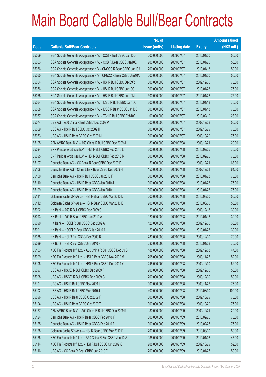|       |                                                                | No. of        |                     |               | <b>Amount raised</b> |
|-------|----------------------------------------------------------------|---------------|---------------------|---------------|----------------------|
| Code  | <b>Callable Bull/Bear Contracts</b>                            | issue (units) | <b>Listing date</b> | <b>Expiry</b> | (HK\$ mil.)          |
| 65059 | SGA Societe Generale Acceptance N.V. - CCB R Bull CBBC Jan10D  | 200,000,000   | 2009/07/07          | 2010/01/20    | 50.00                |
| 65063 | SGA Societe Generale Acceptance N.V. - CCB R Bear CBBC Jan10E  | 200,000,000   | 2009/07/07          | 2010/01/20    | 50.00                |
| 65066 | SGA Societe Generale Acceptance N.V - CNOOC R Bear CBBC Jan10A | 200,000,000   | 2009/07/07          | 2010/01/13    | 50.00                |
| 65060 | SGA Societe Generale Acceptance N.V - CP&CC R Bear CBBC Jan10A | 200,000,000   | 2009/07/07          | 2010/01/20    | 50.00                |
| 65054 | SGA Societe Generale Acceptance N.V. - HSI R Bull CBBC Dec09R  | 300,000,000   | 2009/07/07          | 2009/12/30    | 75.00                |
| 65056 | SGA Societe Generale Acceptance N.V. - HSI R Bull CBBC Jan10G  | 300,000,000   | 2009/07/07          | 2010/01/28    | 75.00                |
| 65055 | SGA Societe Generale Acceptance N.V. - HSI R Bull CBBC Jan10M  | 300,000,000   | 2009/07/07          | 2010/01/28    | 75.00                |
| 65064 | SGA Societe Generale Acceptance N.V. - ICBC R Bull CBBC Jan10C | 300,000,000   | 2009/07/07          | 2010/01/13    | 75.00                |
| 65068 | SGA Societe Generale Acceptance N.V. - ICBC R Bear CBBC Jan10D | 300,000,000   | 2009/07/07          | 2010/01/13    | 75.00                |
| 65067 | SGA Societe Generale Acceptance N.V. - TCH R Bull CBBC Feb10B  | 100,000,000   | 2009/07/07          | 2010/02/10    | 28.00                |
| 65074 | UBS AG - A50 China R Bull CBBC Dec 2009 P                      | 200,000,000   | 2009/07/07          | 2009/12/28    | 50.00                |
| 65069 | UBS AG - HSI R Bull CBBC Oct 2009 H                            | 300,000,000   | 2009/07/07          | 2009/10/29    | 75.00                |
| 65073 | UBS AG - HSI R Bear CBBC Oct 2009 M                            | 300,000,000   | 2009/07/07          | 2009/10/29    | 75.00                |
| 65105 | ABN AMRO Bank N.V. - A50 China R Bull CBBC Dec 2009 J          | 80,000,000    | 2009/07/08          | 2009/12/21    | 20.00                |
| 65094 | BNP Paribas Arbit Issu B.V. - HSI R Bull CBBC Feb 2010 L       | 300,000,000   | 2009/07/08          | 2010/02/25    | 75.00                |
| 65095 | BNP Paribas Arbit Issu B.V. - HSI R Bull CBBC Feb 2010 M       | 300,000,000   | 2009/07/08          | 2010/02/25    | 75.00                |
| 65107 | Deutsche Bank AG - CC Bank R Bear CBBC Dec 2009 E              | 150,000,000   | 2009/07/08          | 2009/12/21    | 63.00                |
| 65108 | Deutsche Bank AG - China Life R Bear CBBC Dec 2009 H           | 150,000,000   | 2009/07/08          | 2009/12/21    | 64.50                |
| 65100 | Deutsche Bank AG - HSI R Bull CBBC Jan 2010 F                  | 300,000,000   | 2009/07/08          | 2010/01/28    | 75.00                |
| 65110 | Deutsche Bank AG - HSI R Bear CBBC Jan 2010 J                  | 300,000,000   | 2009/07/08          | 2010/01/28    | 75.00                |
| 65109 | Deutsche Bank AG - HSI R Bear CBBC Jan 2010 L                  | 300,000,000   | 2009/07/08          | 2010/01/28    | 75.00                |
| 65111 | Goldman Sachs SP (Asia) - HSI R Bear CBBC Mar 2010 D           | 200,000,000   | 2009/07/08          | 2010/03/30    | 50.00                |
| 65112 | Goldman Sachs SP (Asia) - HSI R Bear CBBC Mar 2010 E           | 200,000,000   | 2009/07/08          | 2010/03/30    | 50.00                |
| 65092 | HK Bank - A50 R Bull CBBC Dec 2009 C                           | 120,000,000   | 2009/07/08          | 2009/12/18    | 30.00                |
| 65093 | HK Bank - A50 R Bear CBBC Jan 2010 A                           | 120,000,000   | 2009/07/08          | 2010/01/18    | 30.00                |
| 65090 | HK Bank - HSCEI R Bull CBBC Dec 2009 A                         | 120,000,000   | 2009/07/08          | 2009/12/30    | 30.00                |
| 65091 | HK Bank - HSCEI R Bear CBBC Jan 2010 A                         | 120,000,000   | 2009/07/08          | 2010/01/28    | 30.00                |
| 65088 | HK Bank - HSI R Bull CBBC Dec 2009 R                           | 280,000,000   | 2009/07/08          | 2009/12/30    | 70.00                |
| 65089 | HK Bank - HSI R Bull CBBC Jan 2010 F                           | 280,000,000   | 2009/07/08          | 2010/01/28    | 70.00                |
| 65103 | KBC Fin Products Int'l Ltd. - A50 China R Bull CBBC Dec 09 B   | 188,000,000   | 2009/07/08          | 2009/12/08    | 47.00                |
| 65099 | KBC Fin Products Int'l Ltd. - HSI R Bear CBBC Nov 2009 M       | 208,000,000   | 2009/07/08          | 2009/11/27    | 52.00                |
| 65106 | KBC Fin Products Int'l Ltd. - HSI R Bear CBBC Dec 2009 Y       | 248,000,000   | 2009/07/08          | 2009/12/30    | 62.00                |
| 65097 | UBS AG - HSCEI R Bull CBBC Dec 2009 F                          | 200,000,000   | 2009/07/08          | 2009/12/30    | 50.00                |
| 65098 | UBS AG - HSCEI R Bull CBBC Dec 2009 G                          | 200,000,000   | 2009/07/08          | 2009/12/30    | 50.00                |
| 65101 | UBS AG - HSI R Bull CBBC Nov 2009 J                            | 300,000,000   | 2009/07/08          | 2009/11/27    | 75.00                |
| 65102 | UBS AG - HSI R Bull CBBC Mar 2010 J                            | 400,000,000   | 2009/07/08          | 2010/03/30    | 100.00               |
| 65096 | UBS AG - HSI R Bear CBBC Oct 2009 F                            | 300,000,000   | 2009/07/08          | 2009/10/29    | 75.00                |
| 65104 | UBS AG - HSI R Bear CBBC Oct 2009 T                            | 300,000,000   | 2009/07/08          | 2009/10/29    | 75.00                |
| 65127 | ABN AMRO Bank N.V. - A50 China R Bull CBBC Dec 2009 K          | 80,000,000    | 2009/07/09          | 2009/12/21    | 20.00                |
| 65124 | Deutsche Bank AG - HSI R Bear CBBC Feb 2010 Y                  | 300,000,000   | 2009/07/09          | 2010/02/25    | 75.00                |
| 65125 | Deutsche Bank AG - HSI R Bear CBBC Feb 2010 Z                  | 300,000,000   | 2009/07/09          | 2010/02/25    | 75.00                |
| 65128 | Goldman Sachs SP (Asia) - HSI R Bear CBBC Mar 2010 F           | 200,000,000   | 2009/07/09          | 2010/03/30    | 50.00                |
| 65126 | KBC Fin Products Int'l Ltd. - A50 China R Bull CBBC Jan 10 A   | 188,000,000   | 2009/07/09          | 2010/01/08    | 47.00                |
| 65114 | KBC Fin Products Int'l Ltd. - HSI R Bull CBBC Oct 2009 K       | 208,000,000   | 2009/07/09          | 2009/10/29    | 52.00                |
| 65116 | UBS AG - CC Bank R Bear CBBC Jan 2010 F                        | 200,000,000   | 2009/07/09          | 2010/01/25    | 50.00                |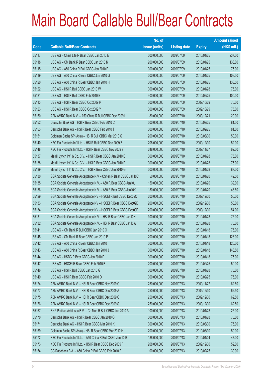|       |                                                                | No. of        |                     |               | <b>Amount raised</b> |
|-------|----------------------------------------------------------------|---------------|---------------------|---------------|----------------------|
| Code  | <b>Callable Bull/Bear Contracts</b>                            | issue (units) | <b>Listing date</b> | <b>Expiry</b> | $(HK$$ mil.)         |
| 65117 | UBS AG - China Life R Bear CBBC Jan 2010 E                     | 300,000,000   | 2009/07/09          | 2010/01/25    | 237.00               |
| 65118 | UBS AG - CM Bank R Bear CBBC Jan 2010 N                        | 200,000,000   | 2009/07/09          | 2010/01/25    | 138.00               |
| 65115 | UBS AG - A50 China R Bull CBBC Jan 2010 F                      | 300,000,000   | 2009/07/09          | 2010/01/25    | 75.00                |
| 65119 | UBS AG - A50 China R Bear CBBC Jan 2010 G                      | 300,000,000   | 2009/07/09          | 2010/01/25    | 103.50               |
| 65120 | UBS AG - A50 China R Bear CBBC Jan 2010 H                      | 300,000,000   | 2009/07/09          | 2010/01/25    | 133.50               |
| 65122 | UBS AG - HSI R Bull CBBC Jan 2010 W                            | 300,000,000   | 2009/07/09          | 2010/01/28    | 75.00                |
| 65121 | UBS AG - HSI R Bull CBBC Feb 2010 E                            | 400,000,000   | 2009/07/09          | 2010/02/25    | 100.00               |
| 65113 | UBS AG - HSI R Bear CBBC Oct 2009 P                            | 300,000,000   | 2009/07/09          | 2009/10/29    | 75.00                |
| 65123 | UBS AG - HSI R Bear CBBC Oct 2009 Y                            | 300,000,000   | 2009/07/09          | 2009/10/29    | 75.00                |
| 65150 | ABN AMRO Bank N.V. - A50 China R Bull CBBC Dec 2009 L          | 80,000,000    | 2009/07/10          | 2009/12/21    | 20.00                |
| 65152 | Deutsche Bank AG - HSI R Bear CBBC Feb 2010 C                  | 300,000,000   | 2009/07/10          | 2010/02/25    | 81.00                |
| 65153 | Deutsche Bank AG - HSI R Bear CBBC Feb 2010 T                  | 300,000,000   | 2009/07/10          | 2010/02/25    | 81.00                |
| 65151 | Goldman Sachs SP (Asia) - HSI R Bull CBBC Mar 2010 G           | 200,000,000   | 2009/07/10          | 2010/03/30    | 50.00                |
| 65140 | KBC Fin Products Int'l Ltd. - HSI R Bull CBBC Dec 2009 Z       | 208,000,000   | 2009/07/10          | 2009/12/30    | 52.00                |
| 65148 | KBC Fin Products Int'l Ltd. - HSI R Bear CBBC Nov 2009 Y       | 248,000,000   | 2009/07/10          | 2009/11/27    | 62.00                |
| 65137 | Merrill Lynch Int'l & Co. C.V. - HSI R Bear CBBC Jan 2010 E    | 300,000,000   | 2009/07/10          | 2010/01/28    | 75.00                |
| 65138 | Merrill Lynch Int'l & Co. C.V. - HSI R Bear CBBC Jan 2010 F    | 300,000,000   | 2009/07/10          | 2010/01/28    | 75.00                |
| 65139 | Merrill Lynch Int'l & Co. C.V. - HSI R Bear CBBC Jan 2010 G    | 300,000,000   | 2009/07/10          | 2010/01/28    | 87.00                |
| 65130 | SGA Societe Generale Acceptance N.V - CShen R Bear CBBC Jan10C | 50,000,000    | 2009/07/10          | 2010/01/20    | 42.50                |
| 65135 | SGA Societe Generale Acceptance N.V. - A50 R Bear CBBC Jan10J  | 150,000,000   | 2009/07/10          | 2010/01/20    | 39.00                |
| 65136 | SGA Societe Generale Acceptance N.V. - A50 R Bear CBBC Jan10K  | 150,000,000   | 2009/07/10          | 2010/01/20    | 46.50                |
| 65129 | SGA Societe Generale Acceptance NV - HSCEI R Bull CBBC Dec09C  | 200,000,000   | 2009/07/10          | 2009/12/30    | 50.00                |
| 65133 | SGA Societe Generale Acceptance NV - HSCEI R Bear CBBC Dec09D  | 200,000,000   | 2009/07/10          | 2009/12/30    | 50.00                |
| 65134 | SGA Societe Generale Acceptance NV - HSCEI R Bear CBBC Dec09E  | 200,000,000   | 2009/07/10          | 2009/12/30    | 54.00                |
| 65131 | SGA Societe Generale Acceptance N.V. - HSI R Bear CBBC Jan10H  | 300,000,000   | 2009/07/10          | 2010/01/28    | 75.00                |
| 65132 | SGA Societe Generale Acceptance N.V. - HSI R Bear CBBC Jan10W  | 300,000,000   | 2009/07/10          | 2010/01/28    | 75.00                |
| 65141 | UBS AG - CM Bank R Bull CBBC Jan 2010 O                        | 200,000,000   | 2009/07/10          | 2010/01/18    | 75.00                |
| 65145 | UBS AG – CM Bank R Bear CBBC Jan 2010 P                        | 200,000,000   | 2009/07/10          | 2010/01/18    | 126.00               |
| 65142 | UBS AG - A50 China R Bear CBBC Jan 2010 I                      | 300,000,000   | 2009/07/10          | 2010/01/18    | 120.00               |
| 65143 | UBS AG - A50 China R Bear CBBC Jan 2010 J                      | 300,000,000   | 2009/07/10          | 2010/01/18    | 148.50               |
| 65144 | UBS AG - HSBC R Bear CBBC Jan 2010 D                           | 300,000,000   | 2009/07/10          | 2010/01/18    | 75.00                |
| 65147 | UBS AG - HSCEI R Bear CBBC Feb 2010 B                          | 200,000,000   | 2009/07/10          | 2010/02/25    | 50.00                |
| 65146 | UBS AG - HSI R Bull CBBC Jan 2010 G                            | 300,000,000   | 2009/07/10          | 2010/01/28    | 75.00                |
| 65149 | UBS AG - HSI R Bear CBBC Feb 2010 O                            | 300,000,000   | 2009/07/10          | 2010/02/25    | 75.00                |
| 65174 | ABN AMRO Bank N.V. - HSI R Bear CBBC Nov 2009 O                | 250,000,000   | 2009/07/13          | 2009/11/27    | 62.50                |
| 65177 | ABN AMRO Bank N.V. - HSI R Bear CBBC Dec 2009 A                | 250,000,000   | 2009/07/13          | 2009/12/30    | 62.50                |
| 65175 | ABN AMRO Bank N.V. - HSI R Bear CBBC Dec 2009 Q                | 250,000,000   | 2009/07/13          | 2009/12/30    | 62.50                |
| 65176 | ABN AMRO Bank N.V. - HSI R Bear CBBC Dec 2009 S                | 250,000,000   | 2009/07/13          | 2009/12/30    | 62.50                |
| 65167 | BNP Paribas Arbit Issu B.V. - Ch Mob R Bull CBBC Jan 2010 A    | 100,000,000   | 2009/07/13          | 2010/01/28    | 25.00                |
| 65170 | Deutsche Bank AG - HSI R Bear CBBC Jan 2010 O                  | 300,000,000   | 2009/07/13          | 2010/01/28    | 75.00                |
| 65171 | Deutsche Bank AG - HSI R Bear CBBC Mar 2010 K                  | 300,000,000   | 2009/07/13          | 2010/03/30    | 75.00                |
| 65169 | Goldman Sachs SP (Asia) - HSI R Bear CBBC Mar 2010 H           | 200,000,000   | 2009/07/13          | 2010/03/30    | 50.00                |
| 65172 | KBC Fin Products Int'l Ltd. - A50 China R Bull CBBC Jan 10 B   | 188,000,000   | 2009/07/13          | 2010/01/04    | 47.00                |
| 65173 | KBC Fin Products Int'l Ltd. - HSI R Bear CBBC Dec 2009 F       | 208,000,000   | 2009/07/13          | 2009/12/30    | 52.00                |
| 65154 | CC Rabobank B.A. - A50 China R Bull CBBC Feb 2010 E            | 100,000,000   | 2009/07/13          | 2010/02/25    | 30.00                |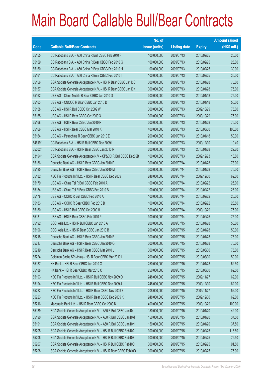|        |                                                                | No. of        |                     |               | <b>Amount raised</b> |
|--------|----------------------------------------------------------------|---------------|---------------------|---------------|----------------------|
| Code   | <b>Callable Bull/Bear Contracts</b>                            | issue (units) | <b>Listing date</b> | <b>Expiry</b> | $(HK$$ mil.)         |
| 65155  | CC Rabobank B.A. - A50 China R Bull CBBC Feb 2010 F            | 100,000,000   | 2009/07/13          | 2010/02/25    | 25.00                |
| 65159  | CC Rabobank B.A. - A50 China R Bear CBBC Feb 2010 G            | 100,000,000   | 2009/07/13          | 2010/02/25    | 25.00                |
| 65160  | CC Rabobank B.A. - A50 China R Bear CBBC Feb 2010 H            | 100,000,000   | 2009/07/13          | 2010/02/25    | 30.00                |
| 65161  | CC Rabobank B.A. - A50 China R Bear CBBC Feb 2010 I            | 100,000,000   | 2009/07/13          | 2010/02/25    | 35.00                |
| 65156  | SGA Societe Generale Acceptance N.V. - HSI R Bear CBBC Jan10C  | 300,000,000   | 2009/07/13          | 2010/01/28    | 75.00                |
| 65157  | SGA Societe Generale Acceptance N.V. - HSI R Bear CBBC Jan10X  | 300,000,000   | 2009/07/13          | 2010/01/28    | 75.00                |
| 65162  | UBS AG - China Mobile R Bear CBBC Jan 2010 D                   | 300,000,000   | 2009/07/13          | 2010/01/18    | 75.00                |
| 65163  | UBS AG - CNOOC R Bear CBBC Jan 2010 D                          | 200,000,000   | 2009/07/13          | 2010/01/18    | 50.00                |
| 65158  | UBS AG - HSI R Bull CBBC Oct 2009 W                            | 300,000,000   | 2009/07/13          | 2009/10/29    | 75.00                |
| 65165  | UBS AG - HSI R Bear CBBC Oct 2009 X                            | 300,000,000   | 2009/07/13          | 2009/10/29    | 75.00                |
| 65168  | UBS AG - HSI R Bear CBBC Jan 2010 R                            | 300,000,000   | 2009/07/13          | 2010/01/28    | 75.00                |
| 65166  | UBS AG - HSI R Bear CBBC Mar 2010 K                            | 400,000,000   | 2009/07/13          | 2010/03/30    | 100.00               |
| 65164  | UBS AG - Petrochina R Bear CBBC Jan 2010 E                     | 200,000,000   | 2009/07/13          | 2010/01/18    | 50.00                |
| 64619# | CC Rabobank B.A. - HSI R Bull CBBC Dec 2009 L                  | 200,000,000   | 2009/07/13          | 2009/12/30    | 19.40                |
| 65002# | CC Rabobank B.A. - HSI R Bear CBBC Jan 2010 R                  | 200,000,000   | 2009/07/13          | 2010/01/28    | 22.20                |
| 63194# | SGA Societe Generale Acceptance N.V - CP&CC R Bull CBBC Dec09B | 100,000,000   | 2009/07/13          | 2009/12/23    | 13.80                |
| 65186  | Deutsche Bank AG - HSI R Bear CBBC Jan 2010 E                  | 300,000,000   | 2009/07/14          | 2010/01/28    | 78.00                |
| 65185  | Deutsche Bank AG - HSI R Bear CBBC Jan 2010 M                  | 300,000,000   | 2009/07/14          | 2010/01/28    | 75.00                |
| 65182  | KBC Fin Products Int'l Ltd. - HSI R Bear CBBC Dec 2009 I       | 248,000,000   | 2009/07/14          | 2009/12/30    | 62.00                |
| 65179  | UBS AG - China Tel R Bull CBBC Feb 2010 A                      | 100,000,000   | 2009/07/14          | 2010/02/22    | 25.00                |
| 65184  | UBS AG - China Tel R Bear CBBC Feb 2010 B                      | 100,000,000   | 2009/07/14          | 2010/02/22    | 25.00                |
| 65178  | UBS AG - CCHC R Bull CBBC Feb 2010 A                           | 100,000,000   | 2009/07/14          | 2010/02/22    | 25.00                |
| 65183  | UBS AG - CCHC R Bear CBBC Feb 2010 B                           | 100,000,000   | 2009/07/14          | 2010/02/22    | 28.50                |
| 65180  | UBS AG - HSI R Bull CBBC Oct 2009 H                            | 300,000,000   | 2009/07/14          | 2009/10/29    | 75.00                |
| 65181  | UBS AG - HSI R Bear CBBC Feb 2010 P                            | 300,000,000   | 2009/07/14          | 2010/02/25    | 75.00                |
| 65192  | BOCI Asia Ltd. - HSI R Bull CBBC Jan 2010 A                    | 200,000,000   | 2009/07/15          | 2010/01/28    | 50.00                |
| 65196  | BOCI Asia Ltd. - HSI R Bear CBBC Jan 2010 B                    | 200,000,000   | 2009/07/15          | 2010/01/28    | 50.00                |
| 65218  | Deutsche Bank AG - HSI R Bear CBBC Jan 2010 F                  | 300,000,000   | 2009/07/15          | 2010/01/28    | 75.00                |
| 65217  | Deutsche Bank AG - HSI R Bear CBBC Jan 2010 Q                  | 300,000,000   | 2009/07/15          | 2010/01/28    | 75.00                |
| 65219  | Deutsche Bank AG - HSI R Bear CBBC Mar 2010 L                  | 300,000,000   | 2009/07/15          | 2010/03/30    | 75.00                |
| 65224  | Goldman Sachs SP (Asia) - HSI R Bear CBBC Mar 2010 I           | 200,000,000   | 2009/07/15          | 2010/03/30    | 50.00                |
| 65187  | HK Bank - HSI R Bear CBBC Jan 2010 G                           | 250,000,000   | 2009/07/15          | 2010/01/28    | 62.50                |
| 65188  | HK Bank - HSI R Bear CBBC Mar 2010 C                           | 250,000,000   | 2009/07/15          | 2010/03/30    | 62.50                |
| 65193  | KBC Fin Products Int'l Ltd. - HSI R Bull CBBC Nov 2009 O       | 248,000,000   | 2009/07/15          | 2009/11/27    | 62.00                |
| 65194  | KBC Fin Products Int'l Ltd. - HSI R Bull CBBC Dec 2009 J       | 248,000,000   | 2009/07/15          | 2009/12/30    | 62.00                |
| 65222  | KBC Fin Products Int'l Ltd. - HSI R Bear CBBC Nov 2009 Z       | 208,000,000   | 2009/07/15          | 2009/11/27    | 52.00                |
| 65223  | KBC Fin Products Int'l Ltd. - HSI R Bear CBBC Dec 2009 K       | 248,000,000   | 2009/07/15          | 2009/12/30    | 62.00                |
| 65216  | Macquarie Bank Ltd. - HSI R Bear CBBC Oct 2009 N               | 400,000,000   | 2009/07/15          | 2009/10/29    | 100.00               |
| 65189  | SGA Societe Generale Acceptance N.V. - A50 R Bull CBBC Jan10L  | 150,000,000   | 2009/07/15          | 2010/01/20    | 42.00                |
| 65190  | SGA Societe Generale Acceptance N.V. - A50 R Bull CBBC Jan10M  | 150,000,000   | 2009/07/15          | 2010/01/20    | 37.50                |
| 65191  | SGA Societe Generale Acceptance N.V. - A50 R Bull CBBC Jan10N  | 150,000,000   | 2009/07/15          | 2010/01/20    | 37.50                |
| 65205  | SGA Societe Generale Acceptance N.V. - HSI R Bull CBBC Feb10A  | 300,000,000   | 2009/07/15          | 2010/02/25    | 115.50               |
| 65206  | SGA Societe Generale Acceptance N.V. - HSI R Bull CBBC Feb10B  | 300,000,000   | 2009/07/15          | 2010/02/25    | 79.50                |
| 65207  | SGA Societe Generale Acceptance N.V. - HSI R Bull CBBC Feb10C  | 300,000,000   | 2009/07/15          | 2010/02/25    | 91.50                |
| 65208  | SGA Societe Generale Acceptance N.V. - HSI R Bear CBBC Feb10D  | 300,000,000   | 2009/07/15          | 2010/02/25    | 75.00                |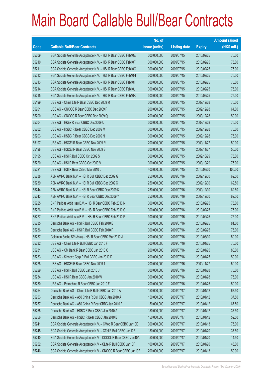|       |                                                                | No. of        |                     |               | <b>Amount raised</b> |
|-------|----------------------------------------------------------------|---------------|---------------------|---------------|----------------------|
| Code  | <b>Callable Bull/Bear Contracts</b>                            | issue (units) | <b>Listing date</b> | <b>Expiry</b> | (HK\$ mil.)          |
| 65209 | SGA Societe Generale Acceptance N.V. - HSI R Bear CBBC Feb10E  | 300,000,000   | 2009/07/15          | 2010/02/25    | 75.00                |
| 65210 | SGA Societe Generale Acceptance N.V. - HSI R Bear CBBC Feb10F  | 300,000,000   | 2009/07/15          | 2010/02/25    | 75.00                |
| 65211 | SGA Societe Generale Acceptance N.V. - HSI R Bear CBBC Feb10G  | 300,000,000   | 2009/07/15          | 2010/02/25    | 75.00                |
| 65212 | SGA Societe Generale Acceptance N.V. - HSI R Bear CBBC Feb10H  | 300,000,000   | 2009/07/15          | 2010/02/25    | 75.00                |
| 65213 | SGA Societe Generale Acceptance N.V. - HSI R Bear CBBC Feb10I  | 300,000,000   | 2009/07/15          | 2010/02/25    | 75.00                |
| 65214 | SGA Societe Generale Acceptance N.V. - HSI R Bear CBBC Feb10J  | 300,000,000   | 2009/07/15          | 2010/02/25    | 75.00                |
| 65215 | SGA Societe Generale Acceptance N.V. - HSI R Bear CBBC Feb10K  | 300,000,000   | 2009/07/15          | 2010/02/25    | 75.00                |
| 65199 | UBS AG - China Life R Bear CBBC Dec 2009 M                     | 300,000,000   | 2009/07/15          | 2009/12/28    | 75.00                |
| 65201 | UBS AG - CNOOC R Bear CBBC Dec 2009 P                          | 200,000,000   | 2009/07/15          | 2009/12/28    | 64.00                |
| 65200 | UBS AG - CNOOC R Bear CBBC Dec 2009 Q                          | 200,000,000   | 2009/07/15          | 2009/12/28    | 50.00                |
| 65204 | UBS AG - HKEx R Bear CBBC Dec 2009 U                           | 300,000,000   | 2009/07/15          | 2009/12/28    | 75.00                |
| 65202 | UBS AG - HSBC R Bear CBBC Dec 2009 M                           | 300,000,000   | 2009/07/15          | 2009/12/28    | 75.00                |
| 65203 | UBS AG - HSBC R Bear CBBC Dec 2009 N                           | 300,000,000   | 2009/07/15          | 2009/12/28    | 75.00                |
| 65197 | UBS AG - HSCEI R Bear CBBC Nov 2009 R                          | 200,000,000   | 2009/07/15          | 2009/11/27    | 50.00                |
| 65198 | UBS AG - HSCEI R Bear CBBC Nov 2009 S                          | 200,000,000   | 2009/07/15          | 2009/11/27    | 50.00                |
| 65195 | UBS AG - HSI R Bull CBBC Oct 2009 S                            | 300,000,000   | 2009/07/15          | 2009/10/29    | 75.00                |
| 65220 | UBS AG - HSI R Bear CBBC Oct 2009 V                            | 300,000,000   | 2009/07/15          | 2009/10/29    | 75.00                |
| 65221 | UBS AG - HSI R Bear CBBC Mar 2010 L                            | 400,000,000   | 2009/07/15          | 2010/03/30    | 100.00               |
| 65238 | ABN AMRO Bank N.V. - HSI R Bull CBBC Dec 2009 G                | 250,000,000   | 2009/07/16          | 2009/12/30    | 62.50                |
| 65239 | ABN AMRO Bank N.V. - HSI R Bull CBBC Dec 2009 X                | 250,000,000   | 2009/07/16          | 2009/12/30    | 62.50                |
| 65244 | ABN AMRO Bank N.V. - HSI R Bear CBBC Dec 2009 K                | 250,000,000   | 2009/07/16          | 2009/12/30    | 62.50                |
| 65243 | ABN AMRO Bank N.V. - HSI R Bear CBBC Dec 2009 Y                | 250,000,000   | 2009/07/16          | 2009/12/30    | 62.50                |
| 65225 | BNP Paribas Arbit Issu B.V. - HSI R Bear CBBC Feb 2010 N       | 300,000,000   | 2009/07/16          | 2010/02/25    | 75.00                |
| 65226 | BNP Paribas Arbit Issu B.V. - HSI R Bear CBBC Feb 2010 O       | 300,000,000   | 2009/07/16          | 2010/02/25    | 75.00                |
| 65227 | BNP Paribas Arbit Issu B.V. - HSI R Bear CBBC Feb 2010 P       | 300,000,000   | 2009/07/16          | 2010/02/25    | 75.00                |
| 65235 | Deutsche Bank AG - HSI R Bull CBBC Feb 2010 E                  | 300,000,000   | 2009/07/16          | 2010/02/25    | 81.00                |
| 65236 | Deutsche Bank AG - HSI R Bull CBBC Feb 2010 F                  | 300,000,000   | 2009/07/16          | 2010/02/25    | 75.00                |
| 65237 | Goldman Sachs SP (Asia) - HSI R Bear CBBC Mar 2010 J           | 200,000,000   | 2009/07/16          | 2010/03/30    | 50.00                |
| 65232 | UBS AG - China Life R Bull CBBC Jan 2010 F                     | 300,000,000   | 2009/07/16          | 2010/01/25    | 75.00                |
| 65231 | UBS AG - CM Bank R Bear CBBC Jan 2010 Q                        | 200,000,000   | 2009/07/16          | 2010/01/25    | 80.00                |
| 65233 | UBS AG - Sinopec Corp R Bull CBBC Jan 2010 D                   | 200,000,000   | 2009/07/16          | 2010/01/25    | 50.00                |
| 65228 | UBS AG - HSCEI R Bear CBBC Nov 2009 T                          | 200,000,000   | 2009/07/16          | 2009/11/27    | 50.00                |
| 65229 | UBS AG - HSI R Bull CBBC Jan 2010 J                            | 300,000,000   | 2009/07/16          | 2010/01/28    | 75.00                |
| 65234 | UBS AG - HSI R Bear CBBC Jan 2010 W                            | 300,000,000   | 2009/07/16          | 2010/01/28    | 75.00                |
| 65230 | UBS AG - Petrochina R Bear CBBC Jan 2010 F                     | 200,000,000   | 2009/07/16          | 2010/01/25    | 50.00                |
| 65254 | Deutsche Bank AG - China Life R Bull CBBC Jan 2010 A           | 150,000,000   | 2009/07/17          | 2010/01/12    | 67.50                |
| 65253 | Deutsche Bank AG - A50 China R Bull CBBC Jan 2010 A            | 150,000,000   | 2009/07/17          | 2010/01/12    | 37.50                |
| 65257 | Deutsche Bank AG - A50 China R Bear CBBC Jan 2010 B            | 150,000,000   | 2009/07/17          | 2010/01/12    | 67.50                |
| 65255 | Deutsche Bank AG - HSBC R Bear CBBC Jan 2010 A                 | 150,000,000   | 2009/07/17          | 2010/01/12    | 37.50                |
| 65256 | Deutsche Bank AG - HSBC R Bear CBBC Jan 2010 B                 | 150,000,000   | 2009/07/17          | 2010/01/12    | 52.50                |
| 65241 | SGA Societe Generale Acceptance N.V. - CMob R Bear CBBC Jan10E | 300,000,000   | 2009/07/17          | 2010/01/13    | 75.00                |
| 65245 | SGA Societe Generale Acceptance N.V. - CTel R Bull CBBC Jan10B | 150,000,000   | 2009/07/17          | 2010/01/20    | 37.50                |
| 65240 | SGA Societe Generale Acceptance N.V - CCCCL R Bear CBBC Jan10A | 50,000,000    | 2009/07/17          | 2010/01/20    | 14.50                |
| 65252 | SGA Societe Generale Acceptance N.V - CLife R Bull CBBC Jan10F | 100,000,000   | 2009/07/17          | 2010/01/20    | 45.00                |
| 65246 | SGA Societe Generale Acceptance N.V - CNOOC R Bear CBBC Jan10B | 200,000,000   | 2009/07/17          | 2010/01/13    | 50.00                |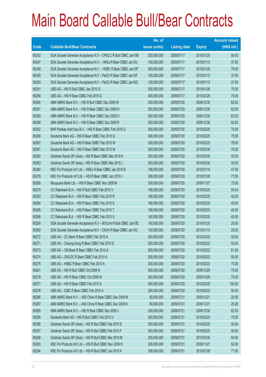|             |                                                                | No. of        |                     |               | <b>Amount raised</b> |
|-------------|----------------------------------------------------------------|---------------|---------------------|---------------|----------------------|
| <b>Code</b> | <b>Callable Bull/Bear Contracts</b>                            | issue (units) | <b>Listing date</b> | <b>Expiry</b> | (HK\$ mil.)          |
| 65242       | SGA Societe Generale Acceptance N.V - CP&CC R Bull CBBC Jan10B | 200,000,000   | 2009/07/17          | 2010/01/20    | 50.00                |
| 65247       | SGA Societe Generale Acceptance N.V. - HKEx R Bear CBBC Jan10J | 150,000,000   | 2009/07/17          | 2010/01/13    | 37.50                |
| 65248       | SGA Societe Generale Acceptance N.V. - HSBC R Bear CBBC Jan10F | 300,000,000   | 2009/07/17          | 2010/01/20    | 75.00                |
| 65249       | SGA Societe Generale Acceptance N.V - PetCh R Bear CBBC Jan10F | 150,000,000   | 2009/07/17          | 2010/01/13    | 37.50                |
| 65250       | SGA Societe Generale Acceptance N.V - PetCh R Bear CBBC Jan10G | 150,000,000   | 2009/07/17          | 2010/01/13    | 37.50                |
| 65251       | UBS AG - HSI R Bull CBBC Jan 2010 G                            | 300,000,000   | 2009/07/17          | 2010/01/28    | 75.00                |
| 65258       | UBS AG - HSI R Bear CBBC Feb 2010 Q                            | 300,000,000   | 2009/07/17          | 2010/02/25    | 75.00                |
| 65284       | ABN AMRO Bank N.V. - HSI R Bull CBBC Dec 2009 W                | 250,000,000   | 2009/07/20          | 2009/12/30    | 62.50                |
| 65291       | ABN AMRO Bank N.V. - HSI R Bear CBBC Dec 2009 H                | 250,000,000   | 2009/07/20          | 2009/12/30    | 62.50                |
| 65289       | ABN AMRO Bank N.V. - HSI R Bear CBBC Dec 2009 O                | 250,000,000   | 2009/07/20          | 2009/12/30    | 62.50                |
| 65290       | ABN AMRO Bank N.V. - HSI R Bear CBBC Dec 2009 R                | 250,000,000   | 2009/07/20          | 2009/12/30    | 62.50                |
| 65262       | BNP Paribas Arbit Issu B.V. - HSI R Bear CBBC Feb 2010 Q       | 300,000,000   | 2009/07/20          | 2010/02/25    | 75.00                |
| 65268       | Deutsche Bank AG - HSI R Bear CBBC Feb 2010 Q                  | 300,000,000   | 2009/07/20          | 2010/02/25    | 75.00                |
| 65267       | Deutsche Bank AG - HSI R Bear CBBC Feb 2010 W                  | 300,000,000   | 2009/07/20          | 2010/02/25    | 78.00                |
| 65281       | Deutsche Bank AG - HSI R Bear CBBC Mar 2010 M                  | 300,000,000   | 2009/07/20          | 2010/03/30    | 75.00                |
| 65282       | Goldman Sachs SP (Asia) - HSI R Bear CBBC Mar 2010 K           | 200,000,000   | 2009/07/20          | 2010/03/30    | 50.00                |
| 65283       | Goldman Sachs SP (Asia) - HSI R Bear CBBC Mar 2010 L           | 200,000,000   | 2009/07/20          | 2010/03/30    | 50.00                |
| 65280       | KBC Fin Products Int'l Ltd. - HKEx R Bear CBBC Jan 2010 B      | 188,000,000   | 2009/07/20          | 2010/01/15    | 47.00                |
| 65279       | KBC Fin Products Int'l Ltd. - HSI R Bear CBBC Jan 2010 J       | 308,000,000   | 2009/07/20          | 2010/01/28    | 77.00                |
| 65269       | Macquarie Bank Ltd. - HSI R Bear CBBC Nov 2009 M               | 300,000,000   | 2009/07/20          | 2009/11/27    | 75.00                |
| 65270       | CC Rabobank B.A. - HSI R Bull CBBC Feb 2010 V                  | 180,000,000   | 2009/07/20          | 2010/02/25    | 50.40                |
| 65263       | CC Rabobank B.A. - HSI R Bear CBBC Feb 2010 R                  | 180,000,000   | 2009/07/20          | 2010/02/25    | 45.00                |
| 65264       | CC Rabobank B.A. - HSI R Bear CBBC Feb 2010 S                  | 180,000,000   | 2009/07/20          | 2010/02/25    | 45.00                |
| 65265       | CC Rabobank B.A. - HSI R Bear CBBC Feb 2010 T                  | 180,000,000   | 2009/07/20          | 2010/02/25    | 45.00                |
| 65266       | CC Rabobank B.A. - HSI R Bear CBBC Feb 2010 U                  | 180,000,000   | 2009/07/20          | 2010/02/25    | 45.00                |
| 65259       | SGA Societe Generale Acceptance N.V - BOCom R Bull CBBC Jan10E | 100,000,000   | 2009/07/20          | 2010/01/20    | 25.00                |
| 65260       | SGA Societe Generale Acceptance N.V - CK(H) R Bear CBBC Jan10C | 100,000,000   | 2009/07/20          | 2010/01/13    | 25.00                |
| 65272       | UBS AG – CC Bank R Bear CBBC Feb 2010 A                        | 200,000,000   | 2009/07/20          | 2010/02/22    | 50.00                |
| 65271       | UBS AG - Cheung Kong R Bear CBBC Feb 2010 D                    | 200,000,000   | 2009/07/20          | 2010/02/22    | 50.00                |
| 65273       | UBS AG - CM Bank R Bear CBBC Feb 2010 A                        | 200,000,000   | 2009/07/20          | 2010/02/22    | 61.00                |
| 65274       | UBS AG - CNOOC R Bear CBBC Feb 2010 A                          | 200,000,000   | 2009/07/20          | 2010/02/22    | 50.00                |
| 65275       | UBS AG - HSBC R Bear CBBC Feb 2010 A                           | 300,000,000   | 2009/07/20          | 2010/02/22    | 75.00                |
| 65261       | UBS AG - HSI R Bull CBBC Oct 2009 N                            | 300,000,000   | 2009/07/20          | 2009/10/29    | 75.00                |
| 65278       | UBS AG - HSI R Bear CBBC Oct 2009 W                            | 300,000,000   | 2009/07/20          | 2009/10/29    | 75.00                |
| 65277       | UBS AG - HSI R Bear CBBC Feb 2010 S                            | 400,000,000   | 2009/07/20          | 2010/02/25    | 100.00               |
| 65276       | UBS AG - ICBC R Bear CBBC Feb 2010 A                           | 200,000,000   | 2009/07/20          | 2010/02/22    | 50.00                |
| 65286       | ABN AMRO Bank N.V. - A50 China R Bear CBBC Dec 2009 M          | 80,000,000    | 2009/07/21          | 2009/12/21    | 20.00                |
| 65287       | ABN AMRO Bank N.V. - A50 China R Bear CBBC Dec 2009 N          | 80,000,000    | 2009/07/21          | 2009/12/21    | 25.28                |
| 65285       | ABN AMRO Bank N.V. - HSI R Bear CBBC Dec 2009 J                | 250,000,000   | 2009/07/21          | 2009/12/30    | 62.50                |
| 65295       | Deutsche Bank AG - HSI R Bull CBBC Feb 2010 U                  | 300,000,000   | 2009/07/21          | 2010/02/25    | 75.00                |
| 65296       | Goldman Sachs SP (Asia) - HSI R Bull CBBC Feb 2010 E           | 200,000,000   | 2009/07/21          | 2010/02/25    | 50.00                |
| 65297       | Goldman Sachs SP (Asia) - HSI R Bull CBBC Feb 2010 F           | 200,000,000   | 2009/07/21          | 2010/02/25    | 50.00                |
| 65298       | Goldman Sachs SP (Asia) - HSI R Bull CBBC Mar 2010 M           | 200,000,000   | 2009/07/21          | 2010/03/30    | 50.00                |
| 65293       | KBC Fin Products Int'l Ltd. - HSI R Bull CBBC Nov 2009 N       | 208,000,000   | 2009/07/21          | 2009/11/27    | 52.00                |
| 65294       | KBC Fin Products Int'l Ltd. - HSI R Bull CBBC Jan 2010 K       | 308,000,000   | 2009/07/21          | 2010/01/28    | 77.00                |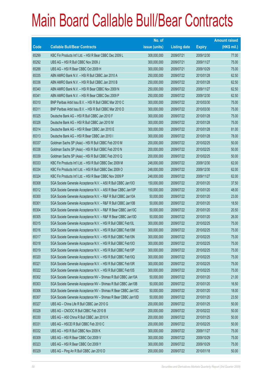|       |                                                                | No. of        |                     |               | <b>Amount raised</b> |
|-------|----------------------------------------------------------------|---------------|---------------------|---------------|----------------------|
| Code  | <b>Callable Bull/Bear Contracts</b>                            | issue (units) | <b>Listing date</b> | <b>Expiry</b> | (HK\$ mil.)          |
| 65299 | KBC Fin Products Int'l Ltd. - HSI R Bear CBBC Dec 2009 L       | 308,000,000   | 2009/07/21          | 2009/12/30    | 77.00                |
| 65292 | UBS AG - HSI R Bull CBBC Nov 2009 J                            | 300,000,000   | 2009/07/21          | 2009/11/27    | 75.00                |
| 65288 | UBS AG - HSI R Bear CBBC Oct 2009 H                            | 300,000,000   | 2009/07/21          | 2009/10/29    | 75.00                |
| 65335 | ABN AMRO Bank N.V. - HSI R Bull CBBC Jan 2010 A                | 250,000,000   | 2009/07/22          | 2010/01/28    | 62.50                |
| 65336 | ABN AMRO Bank N.V. - HSI R Bull CBBC Jan 2010 B                | 250,000,000   | 2009/07/22          | 2010/01/28    | 62.50                |
| 65340 | ABN AMRO Bank N.V. - HSI R Bear CBBC Nov 2009 N                | 250,000,000   | 2009/07/22          | 2009/11/27    | 62.50                |
| 65341 | ABN AMRO Bank N.V. - HSI R Bear CBBC Dec 2009 P                | 250,000,000   | 2009/07/22          | 2009/12/30    | 62.50                |
| 65310 | BNP Paribas Arbit Issu B.V. - HSI R Bull CBBC Mar 2010 C       | 300,000,000   | 2009/07/22          | 2010/03/30    | 75.00                |
| 65311 | BNP Paribas Arbit Issu B.V. - HSI R Bull CBBC Mar 2010 D       | 300,000,000   | 2009/07/22          | 2010/03/30    | 75.00                |
| 65325 | Deutsche Bank AG - HSI R Bull CBBC Jan 2010 F                  | 300,000,000   | 2009/07/22          | 2010/01/28    | 75.00                |
| 65326 | Deutsche Bank AG - HSI R Bull CBBC Jan 2010 M                  | 300,000,000   | 2009/07/22          | 2010/01/28    | 75.00                |
| 65314 | Deutsche Bank AG - HSI R Bear CBBC Jan 2010 E                  | 300,000,000   | 2009/07/22          | 2010/01/28    | 81.00                |
| 65313 | Deutsche Bank AG - HSI R Bear CBBC Jan 2010 I                  | 300,000,000   | 2009/07/22          | 2010/01/28    | 78.00                |
| 65337 | Goldman Sachs SP (Asia) - HSI R Bull CBBC Feb 2010 M           | 200,000,000   | 2009/07/22          | 2010/02/25    | 50.00                |
| 65338 | Goldman Sachs SP (Asia) - HSI R Bull CBBC Feb 2010 N           | 200,000,000   | 2009/07/22          | 2010/02/25    | 50.00                |
| 65339 | Goldman Sachs SP (Asia) - HSI R Bull CBBC Feb 2010 Q           | 200,000,000   | 2009/07/22          | 2010/02/25    | 50.00                |
| 65333 | KBC Fin Products Int'l Ltd. - HSI R Bull CBBC Dec 2009 M       | 248,000,000   | 2009/07/22          | 2009/12/30    | 62.00                |
| 65334 | KBC Fin Products Int'l Ltd. - HSI R Bull CBBC Dec 2009 O       | 248,000,000   | 2009/07/22          | 2009/12/30    | 62.00                |
| 65324 | KBC Fin Products Int'l Ltd. - HSI R Bear CBBC Nov 2009 P       | 248,000,000   | 2009/07/22          | 2009/11/27    | 62.00                |
| 65308 | SGA Societe Generale Acceptance N.V. - A50 R Bull CBBC Jan10O  | 150,000,000   | 2009/07/22          | 2010/01/20    | 37.50                |
| 65312 | SGA Societe Generale Acceptance N.V. - A50 R Bear CBBC Jan10P  | 150,000,000   | 2009/07/22          | 2010/01/20    | 48.00                |
| 65300 | SGA Societe Generale Acceptance N.V. - R&F R Bull CBBC Jan10A  | 50,000,000    | 2009/07/22          | 2010/01/20    | 23.00                |
| 65301 | SGA Societe Generale Acceptance N.V. - R&F R Bull CBBC Jan10B  | 50,000,000    | 2009/07/22          | 2010/01/20    | 18.50                |
| 65304 | SGA Societe Generale Acceptance N.V. - R&F R Bear CBBC Jan10C  | 50,000,000    | 2009/07/22          | 2010/01/20    | 20.50                |
| 65305 | SGA Societe Generale Acceptance N.V. - R&F R Bear CBBC Jan10D  | 50,000,000    | 2009/07/22          | 2010/01/20    | 26.00                |
| 65315 | SGA Societe Generale Acceptance N.V. - HSI R Bull CBBC Feb10L  | 300,000,000   | 2009/07/22          | 2010/02/25    | 75.00                |
| 65316 | SGA Societe Generale Acceptance N.V. - HSI R Bull CBBC Feb10M  | 300,000,000   | 2009/07/22          | 2010/02/25    | 75.00                |
| 65317 | SGA Societe Generale Acceptance N.V. - HSI R Bull CBBC Feb10N  | 300,000,000   | 2009/07/22          | 2010/02/25    | 75.00                |
| 65318 | SGA Societe Generale Acceptance N.V. - HSI R Bull CBBC Feb100  | 300,000,000   | 2009/07/22          | 2010/02/25    | 75.00                |
| 65319 | SGA Societe Generale Acceptance N.V. - HSI R Bull CBBC Feb10P  | 300,000,000   | 2009/07/22          | 2010/02/25    | 75.00                |
| 65320 | SGA Societe Generale Acceptance N.V. - HSI R Bull CBBC Feb10Q  | 300,000,000   | 2009/07/22          | 2010/02/25    | 75.00                |
| 65321 | SGA Societe Generale Acceptance N.V. - HSI R Bull CBBC Feb10R  | 300,000,000   | 2009/07/22          | 2010/02/25    | 75.00                |
| 65322 | SGA Societe Generale Acceptance N.V. - HSI R Bull CBBC Feb10S  | 300,000,000   | 2009/07/22          | 2010/02/25    | 75.00                |
| 65302 | SGA Societe Generale Acceptance NV - Shimao R Bull CBBC Jan10A | 50,000,000    | 2009/07/22          | 2010/01/20    | 21.00                |
| 65303 | SGA Societe Generale Acceptance NV - Shimao R Bull CBBC Jan10B | 50,000,000    | 2009/07/22          | 2010/01/20    | 16.50                |
| 65306 | SGA Societe Generale Acceptance NV - Shimao R Bear CBBC Jan10C | 50,000,000    | 2009/07/22          | 2010/01/20    | 18.00                |
| 65307 | SGA Societe Generale Acceptance NV - Shimao R Bear CBBC Jan10D | 50,000,000    | 2009/07/22          | 2010/01/20    | 23.50                |
| 65327 | UBS AG - China Life R Bull CBBC Jan 2010 G                     | 200,000,000   | 2009/07/22          | 2010/01/25    | 50.00                |
| 65328 | UBS AG - CNOOC R Bull CBBC Feb 2010 B                          | 200,000,000   | 2009/07/22          | 2010/02/22    | 50.00                |
| 65330 | UBS AG - A50 China R Bull CBBC Jan 2010 K                      | 200,000,000   | 2009/07/22          | 2010/01/25    | 50.00                |
| 65331 | UBS AG - HSCEI R Bull CBBC Feb 2010 C                          | 200,000,000   | 2009/07/22          | 2010/02/25    | 50.00                |
| 65332 | UBS AG - HSI R Bull CBBC Nov 2009 K                            | 300,000,000   | 2009/07/22          | 2009/11/27    | 75.00                |
| 65309 | UBS AG - HSI R Bear CBBC Oct 2009 V                            | 300,000,000   | 2009/07/22          | 2009/10/29    | 75.00                |
| 65323 | UBS AG - HSI R Bear CBBC Oct 2009 Y                            | 300,000,000   | 2009/07/22          | 2009/10/29    | 75.00                |
| 65329 | UBS AG - Ping An R Bull CBBC Jan 2010 D                        | 200,000,000   | 2009/07/22          | 2010/01/18    | 50.00                |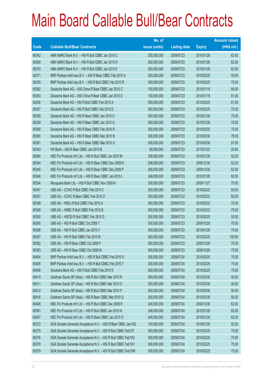|             |                                                               | No. of        |                     |               | <b>Amount raised</b> |
|-------------|---------------------------------------------------------------|---------------|---------------------|---------------|----------------------|
| <b>Code</b> | <b>Callable Bull/Bear Contracts</b>                           | issue (units) | <b>Listing date</b> | <b>Expiry</b> | $(HK$$ mil.)         |
| 65342       | ABN AMRO Bank N.V. - HSI R Bull CBBC Jan 2010 C               | 250,000,000   | 2009/07/23          | 2010/01/28    | 62.50                |
| 65369       | ABN AMRO Bank N.V. - HSI R Bull CBBC Jan 2010 D               | 250,000,000   | 2009/07/23          | 2010/01/28    | 62.50                |
| 65370       | ABN AMRO Bank N.V. - HSI R Bull CBBC Jan 2010 E               | 250,000,000   | 2009/07/23          | 2010/01/28    | 62.50                |
| 65371       | BNP Paribas Arbit Issu B.V. - A50 R Bear CBBC Feb 2010 A      | 200,000,000   | 2009/07/23          | 2010/02/25    | 50.00                |
| 65355       | BNP Paribas Arbit Issu B.V. - HSI R Bull CBBC Feb 2010 R      | 300,000,000   | 2009/07/23          | 2010/02/25    | 75.00                |
| 65362       | Deutsche Bank AG - A50 China R Bear CBBC Jan 2010 C           | 150,000,000   | 2009/07/23          | 2010/01/19    | 66.00                |
| 65363       | Deutsche Bank AG - A50 China R Bear CBBC Jan 2010 D           | 150,000,000   | 2009/07/23          | 2010/01/19    | 81.00                |
| 65356       | Deutsche Bank AG - HSI R Bull CBBC Feb 2010 A                 | 300,000,000   | 2009/07/23          | 2010/02/25    | 81.00                |
| 65357       | Deutsche Bank AG - HSI R Bull CBBC Feb 2010 D                 | 300,000,000   | 2009/07/23          | 2010/02/25    | 75.00                |
| 65358       | Deutsche Bank AG - HSI R Bear CBBC Jan 2010 O                 | 300,000,000   | 2009/07/23          | 2010/01/28    | 75.00                |
| 65359       | Deutsche Bank AG - HSI R Bear CBBC Jan 2010 Q                 | 300,000,000   | 2009/07/23          | 2010/01/28    | 75.00                |
| 65368       | Deutsche Bank AG - HSI R Bear CBBC Feb 2010 R                 | 300,000,000   | 2009/07/23          | 2010/02/25    | 75.00                |
| 65360       | Deutsche Bank AG - HSI R Bear CBBC Mar 2010 N                 | 300,000,000   | 2009/07/23          | 2010/03/30    | 78.00                |
| 65361       | Deutsche Bank AG - HSI R Bear CBBC Mar 2010 O                 | 300,000,000   | 2009/07/23          | 2010/03/30    | 87.00                |
| 65343       | HK Bank - A50 R Bear CBBC Jan 2010 B                          | 80,000,000    | 2009/07/23          | 2010/01/22    | 25.60                |
| 65364       | KBC Fin Products Int'l Ltd. - HSI R Bull CBBC Jan 2010 M      | 208,000,000   | 2009/07/23          | 2010/01/28    | 52.00                |
| 65344       | KBC Fin Products Int'l Ltd. - HSI R Bear CBBC Dec 2009 N      | 208,000,000   | 2009/07/23          | 2009/12/30    | 52.00                |
| 65345       | KBC Fin Products Int'l Ltd. - HSI R Bear CBBC Dec 2009 P      | 208,000,000   | 2009/07/23          | 2009/12/30    | 52.00                |
| 65346       | KBC Fin Products Int'l Ltd. - HSI R Bear CBBC Jan 2010 L      | 248,000,000   | 2009/07/23          | 2010/01/28    | 62.00                |
| 65354       | Macquarie Bank Ltd. - HSI R Bull CBBC Nov 2009 N              | 300,000,000   | 2009/07/23          | 2009/11/27    | 75.00                |
| 65347       | UBS AG - CCHC R Bull CBBC Feb 2010 C                          | 200,000,000   | 2009/07/23          | 2010/02/22    | 50.00                |
| 65351       | UBS AG - CCHC R Bear CBBC Feb 2010 D                          | 200,000,000   | 2009/07/23          | 2010/02/22    | 65.00                |
| 65348       | UBS AG - HKEx R Bull CBBC Feb 2010 A                          | 300,000,000   | 2009/07/23          | 2010/02/22    | 75.00                |
| 65349       | UBS AG - HSBC R Bull CBBC Feb 2010 B                          | 300,000,000   | 2009/07/23          | 2010/02/22    | 75.00                |
| 65350       | UBS AG - HSCEI R Bull CBBC Feb 2010 D                         | 200,000,000   | 2009/07/23          | 2010/02/25    | 50.00                |
| 65365       | UBS AG - HSI R Bull CBBC Oct 2009 T                           | 300,000,000   | 2009/07/23          | 2009/10/29    | 75.00                |
| 65366       | UBS AG - HSI R Bull CBBC Jan 2010 V                           | 300,000,000   | 2009/07/23          | 2010/01/28    | 75.00                |
| 65367       | UBS AG - HSI R Bull CBBC Feb 2010 B                           | 400,000,000   | 2009/07/23          | 2010/02/25    | 100.00               |
| 65352       | UBS AG - HSI R Bear CBBC Oct 2009 F                           | 300,000,000   | 2009/07/23          | 2009/10/29    | 75.00                |
| 65353       | UBS AG - HSI R Bear CBBC Oct 2009 M                           | 300,000,000   | 2009/07/23          | 2009/10/29    | 75.00                |
| 65404       | BNP Paribas Arbit Issu B.V. - HSI R Bull CBBC Feb 2010 S      | 300,000,000   | 2009/07/24          | 2010/02/25    | 75.00                |
| 65405       | BNP Paribas Arbit Issu B.V. - HSI R Bull CBBC Feb 2010 T      | 300,000,000   | 2009/07/24          | 2010/02/25    | 75.00                |
| 65409       | Deutsche Bank AG - HSI R Bull CBBC Feb 2010 S                 | 300,000,000   | 2009/07/24          | 2010/02/25    | 75.00                |
| 65410       | Goldman Sachs SP (Asia) - HSI R Bull CBBC Mar 2010 N          | 200,000,000   | 2009/07/24          | 2010/03/30    | 50.00                |
| 65411       | Goldman Sachs SP (Asia) - HSI R Bull CBBC Mar 2010 O          | 200,000,000   | 2009/07/24          | 2010/03/30    | 50.00                |
| 65412       | Goldman Sachs SP (Asia) - HSI R Bull CBBC Mar 2010 P          | 200,000,000   | 2009/07/24          | 2010/03/30    | 50.00                |
| 65416       | Goldman Sachs SP (Asia) - HSI R Bear CBBC Mar 2010 Q          | 200,000,000   | 2009/07/24          | 2010/03/30    | 50.00                |
| 65406       | KBC Fin Products Int'l Ltd. - HSI R Bull CBBC Dec 2009 R      | 248,000,000   | 2009/07/24          | 2009/12/30    | 62.00                |
| 65381       | KBC Fin Products Int'l Ltd. - HSI R Bull CBBC Jan 2010 N      | 248,000,000   | 2009/07/24          | 2010/01/28    | 62.00                |
| 65407       | KBC Fin Products Int'l Ltd. - HSI R Bear CBBC Jan 2010 O      | 248,000,000   | 2009/07/24          | 2010/01/28    | 62.00                |
| 65372       | SGA Societe Generale Acceptance N.V. - A50 R Bear CBBC Jan10Q | 150,000,000   | 2009/07/24          | 2010/01/20    | 52.50                |
| 65375       | SGA Societe Generale Acceptance N.V. - HSI R Bull CBBC Feb10T | 300,000,000   | 2009/07/24          | 2010/02/25    | 75.00                |
| 65376       | SGA Societe Generale Acceptance N.V. - HSI R Bull CBBC Feb10U | 300,000,000   | 2009/07/24          | 2010/02/25    | 75.00                |
| 65378       | SGA Societe Generale Acceptance N.V. - HSI R Bull CBBC Feb10V | 300,000,000   | 2009/07/24          | 2010/02/25    | 75.00                |
| 65379       | SGA Societe Generale Acceptance N.V. - HSI R Bull CBBC Feb10W | 300,000,000   | 2009/07/24          | 2010/02/25    | 75.00                |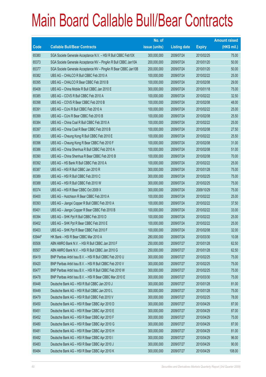|             |                                                                | No. of        |                     |               | <b>Amount raised</b> |
|-------------|----------------------------------------------------------------|---------------|---------------------|---------------|----------------------|
| <b>Code</b> | <b>Callable Bull/Bear Contracts</b>                            | issue (units) | <b>Listing date</b> | <b>Expiry</b> | $(HK$$ mil.)         |
| 65380       | SGA Societe Generale Acceptance N.V. - HSI R Bull CBBC Feb10X  | 300,000,000   | 2009/07/24          | 2010/02/25    | 75.00                |
| 65373       | SGA Societe Generale Acceptance NV - PingAn R Bull CBBC Jan10A | 200,000,000   | 2009/07/24          | 2010/01/20    | 50.00                |
| 65377       | SGA Societe Generale Acceptance NV - PingAn R Bear CBBC Jan10B | 200,000,000   | 2009/07/24          | 2010/01/20    | 50.00                |
| 65382       | UBS AG - CHALCO R Bull CBBC Feb 2010 A                         | 100,000,000   | 2009/07/24          | 2010/02/22    | 25.00                |
| 65395       | UBS AG - CHALCO R Bear CBBC Feb 2010 B                         | 100,000,000   | 2009/07/24          | 2010/02/08    | 29.00                |
| 65408       | UBS AG - China Mobile R Bull CBBC Jan 2010 E                   | 300,000,000   | 2009/07/24          | 2010/01/18    | 75.00                |
| 65385       | UBS AG - COVS R Bull CBBC Feb 2010 A                           | 100,000,000   | 2009/07/24          | 2010/02/22    | 32.50                |
| 65398       | UBS AG - COVS R Bear CBBC Feb 2010 B                           | 100,000,000   | 2009/07/24          | 2010/02/08    | 48.00                |
| 65391       | UBS AG - CUni R Bull CBBC Feb 2010 A                           | 100,000,000   | 2009/07/24          | 2010/02/22    | 25.00                |
| 65399       | UBS AG - CUni R Bear CBBC Feb 2010 B                           | 100,000,000   | 2009/07/24          | 2010/02/08    | 25.50                |
| 65384       | UBS AG - China Coal R Bull CBBC Feb 2010 A                     | 100,000,000   | 2009/07/24          | 2010/02/22    | 25.00                |
| 65397       | UBS AG - China Coal R Bear CBBC Feb 2010 B                     | 100,000,000   | 2009/07/24          | 2010/02/08    | 27.50                |
| 65383       | UBS AG - Cheung Kong R Bull CBBC Feb 2010 E                    | 100,000,000   | 2009/07/24          | 2010/02/22    | 25.50                |
| 65396       | UBS AG - Cheung Kong R Bear CBBC Feb 2010 F                    | 100,000,000   | 2009/07/24          | 2010/02/08    | 31.00                |
| 65386       | UBS AG - China Shenhua R Bull CBBC Feb 2010 A                  | 100,000,000   | 2009/07/24          | 2010/02/08    | 51.00                |
| 65390       | UBS AG - China Shenhua R Bear CBBC Feb 2010 B                  | 100,000,000   | 2009/07/24          | 2010/02/08    | 70.00                |
| 65392       | UBS AG - HS Bank R Bull CBBC Feb 2010 A                        | 100,000,000   | 2009/07/24          | 2010/02/22    | 25.00                |
| 65387       | UBS AG - HSI R Bull CBBC Jan 2010 R                            | 300,000,000   | 2009/07/24          | 2010/01/28    | 75.00                |
| 65389       | UBS AG - HSI R Bull CBBC Feb 2010 C                            | 300,000,000   | 2009/07/24          | 2010/02/25    | 75.00                |
| 65388       | UBS AG - HSI R Bull CBBC Feb 2010 W                            | 300,000,000   | 2009/07/24          | 2010/02/25    | 75.00                |
| 65374       | UBS AG - HSI R Bear CBBC Oct 2009 X                            | 300,000,000   | 2009/07/24          | 2009/10/29    | 75.00                |
| 65400       | UBS AG - Hutchison R Bear CBBC Feb 2010 A                      | 100,000,000   | 2009/07/24          | 2010/02/22    | 25.00                |
| 65393       | UBS AG - Jiangxi Copper R Bull CBBC Feb 2010 A                 | 100,000,000   | 2009/07/24          | 2010/02/22    | 37.50                |
| 65401       | UBS AG - Jiangxi Copper R Bear CBBC Feb 2010 B                 | 100,000,000   | 2009/07/24          | 2010/02/22    | 33.00                |
| 65394       | UBS AG - SHK Ppt R Bull CBBC Feb 2010 D                        | 100,000,000   | 2009/07/24          | 2010/02/22    | 25.00                |
| 65402       | UBS AG - SHK Ppt R Bear CBBC Feb 2010 E                        | 100,000,000   | 2009/07/24          | 2010/02/22    | 25.00                |
| 65403       | UBS AG - SHK Ppt R Bear CBBC Feb 2010 F                        | 100,000,000   | 2009/07/24          | 2010/02/08    | 32.00                |
| 63944#      | HK Bank - HSI R Bear CBBC Mar 2010 A                           | 280,000,000   | 2009/07/24          | 2010/03/30    | 10.08                |
| 65506       | ABN AMRO Bank N.V. - HSI R Bull CBBC Jan 2010 F                | 250,000,000   | 2009/07/27          | 2010/01/28    | 62.50                |
| 65507       | ABN AMRO Bank N.V. - HSI R Bull CBBC Jan 2010 G                | 250,000,000   | 2009/07/27          | 2010/01/28    | 62.50                |
| 65419       | BNP Paribas Arbit Issu B.V. - HSI R Bull CBBC Feb 2010 U       | 300,000,000   | 2009/07/27          | 2010/02/25    | 75.00                |
| 65420       | BNP Paribas Arbit Issu B.V. - HSI R Bull CBBC Feb 2010 V       | 300,000,000   | 2009/07/27          | 2010/02/25    | 75.00                |
| 65477       | BNP Paribas Arbit Issu B.V. - HSI R Bull CBBC Feb 2010 W       | 300,000,000   | 2009/07/27          | 2010/02/25    | 75.00                |
| 65478       | BNP Paribas Arbit Issu B.V. - HSI R Bear CBBC Mar 2010 E       | 300,000,000   | 2009/07/27          | 2010/03/30    | 75.00                |
| 65448       | Deutsche Bank AG - HSI R Bull CBBC Jan 2010 J                  | 300,000,000   | 2009/07/27          | 2010/01/28    | 81.00                |
| 65449       | Deutsche Bank AG - HSI R Bull CBBC Jan 2010 L                  | 300,000,000   | 2009/07/27          | 2010/01/28    | 75.00                |
| 65479       | Deutsche Bank AG - HSI R Bull CBBC Feb 2010 V                  | 300,000,000   | 2009/07/27          | 2010/02/25    | 78.00                |
| 65450       | Deutsche Bank AG - HSI R Bear CBBC Apr 2010 D                  | 300,000,000   | 2009/07/27          | 2010/04/29    | 87.00                |
| 65451       | Deutsche Bank AG - HSI R Bear CBBC Apr 2010 E                  | 300,000,000   | 2009/07/27          | 2010/04/29    | 87.00                |
| 65452       | Deutsche Bank AG - HSI R Bear CBBC Apr 2010 F                  | 300,000,000   | 2009/07/27          | 2010/04/29    | 75.00                |
| 65480       | Deutsche Bank AG - HSI R Bear CBBC Apr 2010 G                  | 300,000,000   | 2009/07/27          | 2010/04/29    | 87.00                |
| 65481       | Deutsche Bank AG - HSI R Bear CBBC Apr 2010 H                  | 300,000,000   | 2009/07/27          | 2010/04/29    | 81.00                |
| 65482       | Deutsche Bank AG - HSI R Bear CBBC Apr 2010 I                  | 300,000,000   | 2009/07/27          | 2010/04/29    | 96.00                |
| 65483       | Deutsche Bank AG - HSI R Bear CBBC Apr 2010 J                  | 300,000,000   | 2009/07/27          | 2010/04/29    | 90.00                |
| 65484       | Deutsche Bank AG - HSI R Bear CBBC Apr 2010 K                  | 300,000,000   | 2009/07/27          | 2010/04/29    | 108.00               |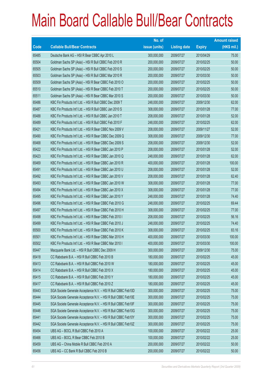|       |                                                               | No. of        |                     |               | <b>Amount raised</b> |
|-------|---------------------------------------------------------------|---------------|---------------------|---------------|----------------------|
| Code  | <b>Callable Bull/Bear Contracts</b>                           | issue (units) | <b>Listing date</b> | <b>Expiry</b> | $(HK$$ mil.)         |
| 65485 | Deutsche Bank AG - HSI R Bear CBBC Apr 2010 L                 | 300,000,000   | 2009/07/27          | 2010/04/29    | 75.00                |
| 65504 | Goldman Sachs SP (Asia) - HSI R Bull CBBC Feb 2010 R          | 200,000,000   | 2009/07/27          | 2010/02/25    | 50.00                |
| 65505 | Goldman Sachs SP (Asia) - HSI R Bull CBBC Feb 2010 S          | 200,000,000   | 2009/07/27          | 2010/02/25    | 50.00                |
| 65503 | Goldman Sachs SP (Asia) - HSI R Bull CBBC Mar 2010 R          | 200,000,000   | 2009/07/27          | 2010/03/30    | 50.00                |
| 65509 | Goldman Sachs SP (Asia) - HSI R Bear CBBC Feb 2010 O          | 200,000,000   | 2009/07/27          | 2010/02/25    | 50.00                |
| 65510 | Goldman Sachs SP (Asia) - HSI R Bear CBBC Feb 2010 T          | 200,000,000   | 2009/07/27          | 2010/02/25    | 50.00                |
| 65511 | Goldman Sachs SP (Asia) - HSI R Bear CBBC Mar 2010 S          | 200,000,000   | 2009/07/27          | 2010/03/30    | 50.00                |
| 65486 | KBC Fin Products Int'l Ltd. - HSI R Bull CBBC Dec 2009 T      | 248,000,000   | 2009/07/27          | 2009/12/30    | 62.00                |
| 65487 | KBC Fin Products Int'l Ltd. - HSI R Bull CBBC Jan 2010 S      | 308,000,000   | 2009/07/27          | 2010/01/28    | 77.00                |
| 65488 | KBC Fin Products Int'l Ltd. - HSI R Bull CBBC Jan 2010 T      | 208,000,000   | 2009/07/27          | 2010/01/28    | 52.00                |
| 65489 | KBC Fin Products Int'l Ltd. - HSI R Bull CBBC Feb 2010 F      | 248,000,000   | 2009/07/27          | 2010/02/25    | 62.00                |
| 65421 | KBC Fin Products Int'l Ltd. - HSI R Bear CBBC Nov 2009 V      | 208,000,000   | 2009/07/27          | 2009/11/27    | 52.00                |
| 65490 | KBC Fin Products Int'l Ltd. - HSI R Bear CBBC Dec 2009 Q      | 308,000,000   | 2009/07/27          | 2009/12/30    | 77.00                |
| 65468 | KBC Fin Products Int'l Ltd. - HSI R Bear CBBC Dec 2009 S      | 208,000,000   | 2009/07/27          | 2009/12/30    | 52.00                |
| 65422 | KBC Fin Products Int'l Ltd. - HSI R Bear CBBC Jan 2010 P      | 208,000,000   | 2009/07/27          | 2010/01/28    | 52.00                |
| 65423 | KBC Fin Products Int'l Ltd. - HSI R Bear CBBC Jan 2010 Q      | 248,000,000   | 2009/07/27          | 2010/01/28    | 62.00                |
| 65469 | KBC Fin Products Int'l Ltd. - HSI R Bear CBBC Jan 2010 R      | 400,000,000   | 2009/07/27          | 2010/01/28    | 100.00               |
| 65491 | KBC Fin Products Int'l Ltd. - HSI R Bear CBBC Jan 2010 U      | 208,000,000   | 2009/07/27          | 2010/01/28    | 52.00                |
| 65492 | KBC Fin Products Int'l Ltd. - HSI R Bear CBBC Jan 2010 V      | 208,000,000   | 2009/07/27          | 2010/01/28    | 62.40                |
| 65493 | KBC Fin Products Int'l Ltd. - HSI R Bear CBBC Jan 2010 W      | 308,000,000   | 2009/07/27          | 2010/01/28    | 77.00                |
| 65494 | KBC Fin Products Int'l Ltd. - HSI R Bear CBBC Jan 2010 X      | 308,000,000   | 2009/07/27          | 2010/01/28    | 77.00                |
| 65495 | KBC Fin Products Int'l Ltd. - HSI R Bear CBBC Jan 2010 Y      | 248,000,000   | 2009/07/27          | 2010/01/28    | 74.40                |
| 65496 | KBC Fin Products Int'l Ltd. - HSI R Bear CBBC Feb 2010 G      | 248,000,000   | 2009/07/27          | 2010/02/25    | 69.44                |
| 65497 | KBC Fin Products Int'l Ltd. - HSI R Bear CBBC Feb 2010 H      | 308,000,000   | 2009/07/27          | 2010/02/25    | 77.00                |
| 65498 | KBC Fin Products Int'l Ltd. - HSI R Bear CBBC Feb 2010 I      | 208,000,000   | 2009/07/27          | 2010/02/25    | 56.16                |
| 65499 | KBC Fin Products Int'l Ltd. - HSI R Bear CBBC Feb 2010 J      | 248,000,000   | 2009/07/27          | 2010/02/25    | 74.40                |
| 65500 | KBC Fin Products Int'l Ltd. - HSI R Bear CBBC Feb 2010 K      | 308,000,000   | 2009/07/27          | 2010/02/25    | 83.16                |
| 65501 | KBC Fin Products Int'l Ltd. - HSI R Bear CBBC Mar 2010 H      | 400,000,000   | 2009/07/27          | 2010/03/30    | 100.00               |
| 65502 | KBC Fin Products Int'l Ltd. - HSI R Bear CBBC Mar 2010 I      | 400,000,000   | 2009/07/27          | 2010/03/30    | 100.00               |
| 65447 | Macquarie Bank Ltd. - HSI R Bull CBBC Dec 2009 H              | 300,000,000   | 2009/07/27          | 2009/12/30    | 75.00                |
| 65418 | CC Rabobank B.A. - HSI R Bull CBBC Feb 2010 B                 | 180,000,000   | 2009/07/27          | 2010/02/25    | 45.00                |
| 65413 | CC Rabobank B.A. - HSI R Bull CBBC Feb 2010 W                 | 180,000,000   | 2009/07/27          | 2010/02/25    | 45.00                |
| 65414 | CC Rabobank B.A. - HSI R Bull CBBC Feb 2010 X                 | 180,000,000   | 2009/07/27          | 2010/02/25    | 45.00                |
| 65415 | CC Rabobank B.A. - HSI R Bull CBBC Feb 2010 Y                 | 180,000,000   | 2009/07/27          | 2010/02/25    | 45.00                |
| 65417 | CC Rabobank B.A. - HSI R Bull CBBC Feb 2010 Z                 | 180,000,000   | 2009/07/27          | 2010/02/25    | 45.00                |
| 65443 | SGA Societe Generale Acceptance N.V. - HSI R Bull CBBC Feb10D | 300,000,000   | 2009/07/27          | 2010/02/25    | 75.00                |
| 65444 | SGA Societe Generale Acceptance N.V. - HSI R Bull CBBC Feb10E | 300,000,000   | 2009/07/27          | 2010/02/25    | 75.00                |
| 65445 | SGA Societe Generale Acceptance N.V. - HSI R Bull CBBC Feb10F | 300,000,000   | 2009/07/27          | 2010/02/25    | 75.00                |
| 65446 | SGA Societe Generale Acceptance N.V. - HSI R Bull CBBC Feb10G | 300,000,000   | 2009/07/27          | 2010/02/25    | 75.00                |
| 65441 | SGA Societe Generale Acceptance N.V. - HSI R Bull CBBC Feb10Y | 300,000,000   | 2009/07/27          | 2010/02/25    | 75.00                |
| 65442 | SGA Societe Generale Acceptance N.V. - HSI R Bull CBBC Feb10Z | 300,000,000   | 2009/07/27          | 2010/02/25    | 75.00                |
| 65454 | UBS AG - BOCL R Bull CBBC Feb 2010 A                          | 100,000,000   | 2009/07/27          | 2010/02/22    | 25.00                |
| 65466 | UBS AG - BOCL R Bear CBBC Feb 2010 B                          | 100,000,000   | 2009/07/27          | 2010/02/22    | 25.00                |
| 65459 | UBS AG - China Mobile R Bull CBBC Feb 2010 A                  | 200,000,000   | 2009/07/27          | 2010/02/22    | 50.00                |
| 65456 | UBS AG - CC Bank R Bull CBBC Feb 2010 B                       | 200,000,000   | 2009/07/27          | 2010/02/22    | 50.00                |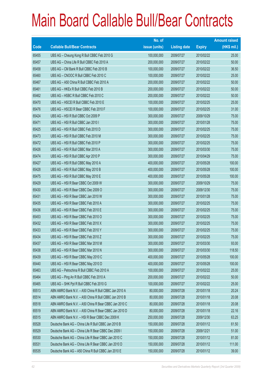|       |                                                       | No. of        |                     |               | <b>Amount raised</b> |
|-------|-------------------------------------------------------|---------------|---------------------|---------------|----------------------|
| Code  | <b>Callable Bull/Bear Contracts</b>                   | issue (units) | <b>Listing date</b> | <b>Expiry</b> | (HK\$ mil.)          |
| 65455 | UBS AG - Cheung Kong R Bull CBBC Feb 2010 G           | 100,000,000   | 2009/07/27          | 2010/02/22    | 25.00                |
| 65457 | UBS AG - China Life R Bull CBBC Feb 2010 A            | 200,000,000   | 2009/07/27          | 2010/02/22    | 50.00                |
| 65458 | UBS AG - CM Bank R Bull CBBC Feb 2010 B               | 100,000,000   | 2009/07/27          | 2010/02/22    | 36.50                |
| 65460 | UBS AG - CNOOC R Bull CBBC Feb 2010 C                 | 100,000,000   | 2009/07/27          | 2010/02/22    | 25.00                |
| 65467 | UBS AG - A50 China R Bull CBBC Feb 2010 A             | 200,000,000   | 2009/07/27          | 2010/02/22    | 50.00                |
| 65461 | UBS AG - HKEx R Bull CBBC Feb 2010 B                  | 200,000,000   | 2009/07/27          | 2010/02/22    | 50.00                |
| 65462 | UBS AG - HSBC R Bull CBBC Feb 2010 C                  | 200,000,000   | 2009/07/27          | 2010/02/22    | 50.00                |
| 65470 | UBS AG - HSCEI R Bull CBBC Feb 2010 E                 | 100,000,000   | 2009/07/27          | 2010/02/25    | 25.00                |
| 65476 | UBS AG - HSCEI R Bear CBBC Feb 2010 F                 | 100,000,000   | 2009/07/27          | 2010/02/25    | 31.00                |
| 65424 | UBS AG - HSI R Bull CBBC Oct 2009 P                   | 300,000,000   | 2009/07/27          | 2009/10/29    | 75.00                |
| 65471 | UBS AG - HSI R Bull CBBC Jan 2010 I                   | 300,000,000   | 2009/07/27          | 2010/01/28    | 75.00                |
| 65425 | UBS AG - HSI R Bull CBBC Feb 2010 D                   | 300,000,000   | 2009/07/27          | 2010/02/25    | 75.00                |
| 65473 | UBS AG - HSI R Bull CBBC Feb 2010 M                   | 300,000,000   | 2009/07/27          | 2010/02/25    | 75.00                |
| 65472 | UBS AG - HSI R Bull CBBC Feb 2010 P                   | 300,000,000   | 2009/07/27          | 2010/02/25    | 75.00                |
| 65426 | UBS AG - HSI R Bull CBBC Mar 2010 A                   | 300,000,000   | 2009/07/27          | 2010/03/30    | 75.00                |
| 65474 | UBS AG - HSI R Bull CBBC Apr 2010 P                   | 300,000,000   | 2009/07/27          | 2010/04/29    | 75.00                |
| 65427 | UBS AG - HSI R Bull CBBC May 2010 A                   | 400,000,000   | 2009/07/27          | 2010/05/28    | 100.00               |
| 65428 | UBS AG - HSI R Bull CBBC May 2010 B                   | 400,000,000   | 2009/07/27          | 2010/05/28    | 100.00               |
| 65475 | UBS AG - HSI R Bull CBBC May 2010 E                   | 400,000,000   | 2009/07/27          | 2010/05/28    | 100.00               |
| 65429 | UBS AG - HSI R Bear CBBC Oct 2009 W                   | 300,000,000   | 2009/07/27          | 2009/10/29    | 75.00                |
| 65430 | UBS AG - HSI R Bear CBBC Dec 2009 O                   | 300,000,000   | 2009/07/27          | 2009/12/30    | 75.00                |
| 65431 | UBS AG - HSI R Bear CBBC Jan 2010 W                   | 300,000,000   | 2009/07/27          | 2010/01/28    | 75.00                |
| 65435 | UBS AG - HSI R Bear CBBC Feb 2010 A                   | 300,000,000   | 2009/07/27          | 2010/02/25    | 75.00                |
| 65436 | UBS AG - HSI R Bear CBBC Feb 2010 E                   | 300,000,000   | 2009/07/27          | 2010/02/25    | 75.00                |
| 65453 | UBS AG - HSI R Bear CBBC Feb 2010 O                   | 300,000,000   | 2009/07/27          | 2010/02/25    | 75.00                |
| 65432 | UBS AG - HSI R Bear CBBC Feb 2010 X                   | 300,000,000   | 2009/07/27          | 2010/02/25    | 75.00                |
| 65433 | UBS AG - HSI R Bear CBBC Feb 2010 Y                   | 300,000,000   | 2009/07/27          | 2010/02/25    | 75.00                |
| 65434 | UBS AG - HSI R Bear CBBC Feb 2010 Z                   | 300,000,000   | 2009/07/27          | 2010/02/25    | 75.00                |
| 65437 | UBS AG - HSI R Bear CBBC Mar 2010 M                   | 300,000,000   | 2009/07/27          | 2010/03/30    | 93.00                |
| 65438 | UBS AG - HSI R Bear CBBC Mar 2010 N                   | 300,000,000   | 2009/07/27          | 2010/03/30    | 118.50               |
| 65439 | UBS AG - HSI R Bear CBBC May 2010 C                   | 400,000,000   | 2009/07/27          | 2010/05/28    | 100.00               |
| 65440 | UBS AG - HSI R Bear CBBC May 2010 D                   | 400,000,000   | 2009/07/27          | 2010/05/28    | 100.00               |
| 65463 | UBS AG - Petrochina R Bull CBBC Feb 2010 A            | 100,000,000   | 2009/07/27          | 2010/02/22    | 25.00                |
| 65464 | UBS AG - Ping An R Bull CBBC Feb 2010 A               | 200,000,000   | 2009/07/27          | 2010/02/22    | 50.00                |
| 65465 | UBS AG - SHK Ppt R Bull CBBC Feb 2010 G               | 100,000,000   | 2009/07/27          | 2010/02/22    | 25.00                |
| 65513 | ABN AMRO Bank N.V. - A50 China R Bull CBBC Jan 2010 A | 80,000,000    | 2009/07/28          | 2010/01/18    | 20.24                |
| 65514 | ABN AMRO Bank N.V. - A50 China R Bull CBBC Jan 2010 B | 80,000,000    | 2009/07/28          | 2010/01/18    | 20.08                |
| 65518 | ABN AMRO Bank N.V. - A50 China R Bear CBBC Jan 2010 C | 80,000,000    | 2009/07/28          | 2010/01/18    | 20.08                |
| 65519 | ABN AMRO Bank N.V. - A50 China R Bear CBBC Jan 2010 D | 80,000,000    | 2009/07/28          | 2010/01/18    | 22.16                |
| 65515 | ABN AMRO Bank N.V. - HSI R Bear CBBC Dec 2009 K       | 250,000,000   | 2009/07/28          | 2009/12/30    | 63.25                |
| 65528 | Deutsche Bank AG - China Life R Bull CBBC Jan 2010 B  | 150,000,000   | 2009/07/28          | 2010/01/12    | 61.50                |
| 65529 | Deutsche Bank AG - China Life R Bear CBBC Dec 2009 I  | 150,000,000   | 2009/07/28          | 2009/12/21    | 51.00                |
| 65530 | Deutsche Bank AG - China Life R Bear CBBC Jan 2010 C  | 150,000,000   | 2009/07/28          | 2010/01/12    | 81.00                |
| 65531 | Deutsche Bank AG - China Life R Bear CBBC Jan 2010 D  | 150,000,000   | 2009/07/28          | 2010/01/12    | 111.00               |
| 65535 | Deutsche Bank AG - A50 China R Bull CBBC Jan 2010 E   | 150,000,000   | 2009/07/28          | 2010/01/12    | 39.00                |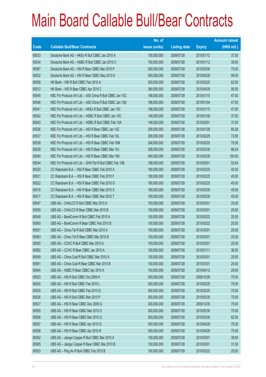|       |                                                             | No. of        |                     |               | <b>Amount raised</b> |
|-------|-------------------------------------------------------------|---------------|---------------------|---------------|----------------------|
| Code  | <b>Callable Bull/Bear Contracts</b>                         | issue (units) | <b>Listing date</b> | <b>Expiry</b> | $(HK$$ mil.)         |
| 65533 | Deutsche Bank AG - HKEx R Bull CBBC Jan 2010 A              | 150,000,000   | 2009/07/28          | 2010/01/12    | 37.50                |
| 65534 | Deutsche Bank AG - HSBC R Bull CBBC Jan 2010 C              | 150,000,000   | 2009/07/28          | 2010/01/12    | 39.00                |
| 65567 | Deutsche Bank AG - HSI R Bear CBBC Mar 2010 P               | 300,000,000   | 2009/07/28          | 2010/03/30    | 75.00                |
| 65532 | Deutsche Bank AG - HSI R Bear CBBC May 2010 A               | 300,000,000   | 2009/07/28          | 2010/05/28    | 99.00                |
| 65508 | HK Bank - HSI R Bull CBBC Feb 2010 A                        | 250,000,000   | 2009/07/28          | 2010/02/25    | 62.50                |
| 65512 | HK Bank - HSI R Bear CBBC Apr 2010 C                        | 380,000,000   | 2009/07/28          | 2010/04/29    | 95.00                |
| 65545 | KBC Fin Products Int'l Ltd. - A50 China R Bull CBBC Jan 10C | 188,000,000   | 2009/07/28          | 2010/01/15    | 47.00                |
| 65546 | KBC Fin Products Int'l Ltd. - A50 China R Bull CBBC Jan 10D | 188,000,000   | 2009/07/28          | 2010/01/04    | 47.00                |
| 65541 | KBC Fin Products Int'l Ltd. - HKEx R Bull CBBC Jan 10C      | 188,000,000   | 2009/07/28          | 2010/01/15    | 47.00                |
| 65542 | KBC Fin Products Int'l Ltd. - HSBC R Bull CBBC Jan 10C      | 148,000,000   | 2009/07/28          | 2010/01/08    | 37.00                |
| 65543 | KBC Fin Products Int'l Ltd. - HSBC R Bull CBBC Feb 10A      | 148,000,000   | 2009/07/28          | 2010/02/01    | 37.00                |
| 65536 | KBC Fin Products Int'l Ltd. - HSI R Bear CBBC Jan 10Z       | 208,000,000   | 2009/07/28          | 2010/01/28    | 85.28                |
| 65537 | KBC Fin Products Int'l Ltd. - HSI R Bear CBBC Feb 10L       | 208,000,000   | 2009/07/28          | 2010/02/25    | 72.80                |
| 65538 | KBC Fin Products Int'l Ltd. - HSI R Bear CBBC Feb 10M       | 248,000,000   | 2009/07/28          | 2010/02/25    | 79.36                |
| 65539 | KBC Fin Products Int'l Ltd. - HSI R Bear CBBC Mar 10J       | 308,000,000   | 2009/07/28          | 2010/03/30    | 86.24                |
| 65540 | KBC Fin Products Int'l Ltd. - HSI R Bear CBBC Mar 10K       | 400,000,000   | 2009/07/28          | 2010/03/30    | 100.00               |
| 65544 | KBC Fin Products Int'l Ltd. - SHK Ppt R Bull CBBC Feb 10B   | 188,000,000   | 2009/07/28          | 2010/02/01    | 52.64                |
| 65520 | CC Rabobank B.A. - HSI R Bear CBBC Feb 2010 A               | 180,000,000   | 2009/07/28          | 2010/02/25    | 45.00                |
| 65521 | CC Rabobank B.A. - HSI R Bear CBBC Feb 2010 F               | 180,000,000   | 2009/07/28          | 2010/02/25    | 45.00                |
| 65522 | CC Rabobank B.A. - HSI R Bear CBBC Feb 2010 G               | 180,000,000   | 2009/07/28          | 2010/02/25    | 45.00                |
| 65516 | CC Rabobank B.A. - HSI R Bear CBBC Mar 2010 S               | 180,000,000   | 2009/07/28          | 2010/03/30    | 45.00                |
| 65517 | CC Rabobank B.A. - HSI R Bear CBBC Mar 2010 T               | 180,000,000   | 2009/07/28          | 2010/03/30    | 45.00                |
| 65547 | UBS AG - CHALCO R Bull CBBC Mar 2010 A                      | 100,000,000   | 2009/07/28          | 2010/03/01    | 25.00                |
| 65559 | UBS AG - CHALCO R Bear CBBC Mar 2010 B                      | 100,000,000   | 2009/07/28          | 2010/03/01    | 25.00                |
| 65548 | UBS AG - BankComm R Bull CBBC Feb 2010 A                    | 100,000,000   | 2009/07/28          | 2010/02/22    | 25.00                |
| 65560 | UBS AG - BankComm R Bear CBBC Feb 2010 B                    | 100,000,000   | 2009/07/28          | 2010/02/22    | 25.00                |
| 65551 | UBS AG - China Tel R Bull CBBC Mar 2010 A                   | 100,000,000   | 2009/07/28          | 2010/03/01    | 25.00                |
| 65563 | UBS AG - China Tel R Bear CBBC Mar 2010 B                   | 100,000,000   | 2009/07/28          | 2010/03/01    | 25.00                |
| 65550 | UBS AG - CCHC R Bull CBBC Mar 2010 A                        | 100,000,000   | 2009/07/28          | 2010/03/01    | 25.00                |
| 65562 | UBS AG - CCHC R Bear CBBC Jan 2010 A                        | 100,000,000   | 2009/07/28          | 2010/01/11    | 36.50                |
| 65549 | UBS AG - China Coal R Bull CBBC Mar 2010 A                  | 100,000,000   | 2009/07/28          | 2010/03/01    | 25.00                |
| 65561 | UBS AG - China Coal R Bear CBBC Mar 2010 B                  | 100,000,000   | 2009/07/28          | 2010/03/01    | 25.00                |
| 65564 | UBS AG - HSBC R Bear CBBC Apr 2010 A                        | 100,000,000   | 2009/07/28          | 2010/04/12    | 29.00                |
| 65523 | UBS AG - HSI R Bull CBBC Oct 2009 H                         | 300,000,000   | 2009/07/28          | 2009/10/29    | 75.00                |
| 65524 | UBS AG - HSI R Bull CBBC Feb 2010 L                         | 300,000,000   | 2009/07/28          | 2010/02/25    | 75.00                |
| 65525 | UBS AG - HSI R Bull CBBC Feb 2010 Q                         | 300,000,000   | 2009/07/28          | 2010/02/25    | 75.00                |
| 65526 | UBS AG - HSI R Bull CBBC Mar 2010 P                         | 300,000,000   | 2009/07/28          | 2010/03/30    | 75.00                |
| 65527 | UBS AG - HSI R Bear CBBC Dec 2009 Q                         | 300,000,000   | 2009/07/28          | 2009/12/30    | 75.00                |
| 65555 | UBS AG - HSI R Bear CBBC Mar 2010 O                         | 300,000,000   | 2009/07/28          | 2010/03/30    | 75.00                |
| 65556 | UBS AG - HSI R Bear CBBC Mar 2010 Q                         | 300,000,000   | 2009/07/28          | 2010/03/30    | 82.50                |
| 65557 | UBS AG - HSI R Bear CBBC Apr 2010 Q                         | 300,000,000   | 2009/07/28          | 2010/04/29    | 75.00                |
| 65558 | UBS AG - HSI R Bear CBBC Apr 2010 R                         | 300,000,000   | 2009/07/28          | 2010/04/29    | 75.00                |
| 65552 | UBS AG - Jiangxi Copper R Bull CBBC Mar 2010 A              | 100,000,000   | 2009/07/28          | 2010/03/01    | 39.00                |
| 65565 | UBS AG - Jiangxi Copper R Bear CBBC Mar 2010 B              | 100,000,000   | 2009/07/28          | 2010/03/01    | 31.50                |
| 65553 | UBS AG - Ping An R Bull CBBC Feb 2010 B                     | 100,000,000   | 2009/07/28          | 2010/02/22    | 25.00                |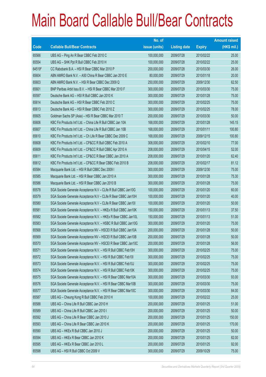|        |                                                                | No. of        |                     |               | <b>Amount raised</b> |
|--------|----------------------------------------------------------------|---------------|---------------------|---------------|----------------------|
| Code   | <b>Callable Bull/Bear Contracts</b>                            | issue (units) | <b>Listing date</b> | <b>Expiry</b> | $(HK$$ mil.)         |
| 65566  | UBS AG - Ping An R Bear CBBC Feb 2010 C                        | 100,000,000   | 2009/07/28          | 2010/02/22    | 25.00                |
| 65554  | UBS AG - SHK Ppt R Bull CBBC Feb 2010 H                        | 100,000,000   | 2009/07/28          | 2010/02/22    | 25.00                |
| 64519# | CC Rabobank B.A. - HSI R Bear CBBC Mar 2010 P                  | 200,000,000   | 2009/07/28          | 2010/03/30    | 26.00                |
| 65604  | ABN AMRO Bank N.V. - A50 China R Bear CBBC Jan 2010 E          | 80,000,000    | 2009/07/29          | 2010/01/18    | 20.00                |
| 65603  | ABN AMRO Bank N.V. - HSI R Bear CBBC Dec 2009 Q                | 250,000,000   | 2009/07/29          | 2009/12/30    | 62.50                |
| 65601  | BNP Paribas Arbit Issu B.V. - HSI R Bear CBBC Mar 2010 F       | 300,000,000   | 2009/07/29          | 2010/03/30    | 75.00                |
| 65597  | Deutsche Bank AG - HSI R Bull CBBC Jan 2010 K                  | 300,000,000   | 2009/07/29          | 2010/01/28    | 75.00                |
| 65614  | Deutsche Bank AG - HSI R Bear CBBC Feb 2010 C                  | 300,000,000   | 2009/07/29          | 2010/02/25    | 75.00                |
| 65613  | Deutsche Bank AG - HSI R Bear CBBC Feb 2010 Z                  | 300,000,000   | 2009/07/29          | 2010/02/25    | 78.00                |
| 65605  | Goldman Sachs SP (Asia) - HSI R Bear CBBC Mar 2010 T           | 200,000,000   | 2009/07/29          | 2010/03/30    | 50.00                |
| 65606  | KBC Fin Products Int'l Ltd. - China Life R Bull CBBC Jan 10A   | 168,000,000   | 2009/07/29          | 2010/01/28    | 145.15               |
| 65607  | KBC Fin Products Int'l Ltd. - China Life R Bull CBBC Jan 10B   | 168,000,000   | 2009/07/29          | 2010/01/11    | 100.80               |
| 65610  | KBC Fin Products Int'l Ltd. - Ch Life R Bear CBBC Dec 2009 C   | 168,000,000   | 2009/07/29          | 2009/12/15    | 100.80               |
| 65608  | KBC Fin Products Int'l Ltd. - CP&CC R Bull CBBC Feb 2010 A     | 308,000,000   | 2009/07/29          | 2010/02/10    | 77.00                |
| 65609  | KBC Fin Products Int'l Ltd. - CP&CC R Bull CBBC Apr 2010 A     | 208,000,000   | 2009/07/29          | 2010/04/15    | 52.00                |
| 65611  | KBC Fin Products Int'l Ltd. - CP&CC R Bear CBBC Jan 2010 A     | 208,000,000   | 2009/07/29          | 2010/01/20    | 62.40                |
| 65612  | KBC Fin Products Int'l Ltd. - CP&CC R Bear CBBC Feb 2010 B     | 208,000,000   | 2009/07/29          | 2010/02/17    | 81.12                |
| 65584  | Macquarie Bank Ltd. - HSI R Bull CBBC Dec 2009 I               | 300,000,000   | 2009/07/29          | 2009/12/30    | 75.00                |
| 65585  | Macquarie Bank Ltd. - HSI R Bear CBBC Jan 2010 A               | 300,000,000   | 2009/07/29          | 2010/01/28    | 75.30                |
| 65586  | Macquarie Bank Ltd. - HSI R Bear CBBC Jan 2010 B               | 300,000,000   | 2009/07/29          | 2010/01/28    | 75.00                |
| 65578  | SGA Societe Generale Acceptance N.V - CLife R Bull CBBC Jan10G | 100,000,000   | 2009/07/29          | 2010/01/20    | 60.00                |
| 65579  | SGA Societe Generale Acceptance N.V - CLife R Bear CBBC Jan10H | 100,000,000   | 2009/07/29          | 2010/01/20    | 40.00                |
| 65580  | SGA Societe Generale Acceptance N.V - CLife R Bear CBBC Jan101 | 100,000,000   | 2009/07/29          | 2010/01/20    | 50.00                |
| 65581  | SGA Societe Generale Acceptance N.V. - HKEx R Bull CBBC Jan10K | 150,000,000   | 2009/07/29          | 2010/01/13    | 37.50                |
| 65582  | SGA Societe Generale Acceptance N.V. - HKEx R Bear CBBC Jan10L | 150,000,000   | 2009/07/29          | 2010/01/13    | 51.00                |
| 65583  | SGA Societe Generale Acceptance N.V. - HSBC R Bull CBBC Jan10G | 300,000,000   | 2009/07/29          | 2010/01/20    | 75.00                |
| 65568  | SGA Societe Generale Acceptance NV - HSCEI R Bull CBBC Jan10A  | 200,000,000   | 2009/07/29          | 2010/01/28    | 50.00                |
| 65569  | SGA Societe Generale Acceptance NV - HSCEI R Bull CBBC Jan10B  | 200,000,000   | 2009/07/29          | 2010/01/28    | 50.00                |
| 65570  | SGA Societe Generale Acceptance NV - HSCEI R Bear CBBC Jan10C  | 200,000,000   | 2009/07/29          | 2010/01/28    | 56.00                |
| 65571  | SGA Societe Generale Acceptance N.V. - HSI R Bull CBBC Feb10H  | 300,000,000   | 2009/07/29          | 2010/02/25    | 75.00                |
| 65572  | SGA Societe Generale Acceptance N.V. - HSI R Bull CBBC Feb10I  | 300,000,000   | 2009/07/29          | 2010/02/25    | 75.00                |
| 65573  | SGA Societe Generale Acceptance N.V. - HSI R Bull CBBC Feb10J  | 300,000,000   | 2009/07/29          | 2010/02/25    | 75.00                |
| 65574  | SGA Societe Generale Acceptance N.V. - HSI R Bull CBBC Feb10K  | 300,000,000   | 2009/07/29          | 2010/02/25    | 75.00                |
| 65575  | SGA Societe Generale Acceptance N.V. - HSI R Bear CBBC Mar10A  | 300,000,000   | 2009/07/29          | 2010/03/30    | 93.00                |
| 65576  | SGA Societe Generale Acceptance N.V. - HSI R Bear CBBC Mar10B  | 300,000,000   | 2009/07/29          | 2010/03/30    | 75.00                |
| 65577  | SGA Societe Generale Acceptance N.V. - HSI R Bear CBBC Mar10C  | 300,000,000   | 2009/07/29          | 2010/03/30    | 84.00                |
| 65587  | UBS AG - Cheung Kong R Bull CBBC Feb 2010 H                    | 100,000,000   | 2009/07/29          | 2010/02/22    | 25.00                |
| 65588  | UBS AG - China Life R Bull CBBC Jan 2010 H                     | 200,000,000   | 2009/07/29          | 2010/01/25    | 51.00                |
| 65589  | UBS AG - China Life R Bull CBBC Jan 2010 I                     | 200,000,000   | 2009/07/29          | 2010/01/25    | 50.00                |
| 65592  | UBS AG - China Life R Bear CBBC Jan 2010 J                     | 200,000,000   | 2009/07/29          | 2010/01/25    | 150.00               |
| 65593  | UBS AG - China Life R Bear CBBC Jan 2010 K                     | 200,000,000   | 2009/07/29          | 2010/01/25    | 170.00               |
| 65590  | UBS AG - HKEx R Bull CBBC Jan 2010 J                           | 200,000,000   | 2009/07/29          | 2010/01/25    | 50.00                |
| 65594  | UBS AG - HKEx R Bear CBBC Jan 2010 K                           | 200,000,000   | 2009/07/29          | 2010/01/25    | 82.00                |
| 65595  | UBS AG - HKEx R Bear CBBC Jan 2010 L                           | 200,000,000   | 2009/07/29          | 2010/01/25    | 92.00                |
| 65598  | UBS AG - HSI R Bull CBBC Oct 2009 V                            | 300,000,000   | 2009/07/29          | 2009/10/29    | 75.00                |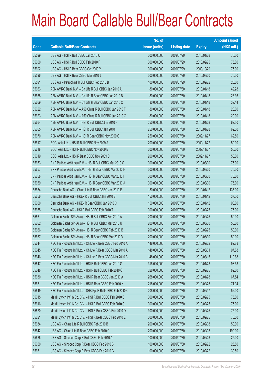|             |                                                              | No. of        |                     |               | <b>Amount raised</b> |
|-------------|--------------------------------------------------------------|---------------|---------------------|---------------|----------------------|
| <b>Code</b> | <b>Callable Bull/Bear Contracts</b>                          | issue (units) | <b>Listing date</b> | <b>Expiry</b> | $(HK$$ mil.)         |
| 65599       | UBS AG - HSI R Bull CBBC Jan 2010 Q                          | 300,000,000   | 2009/07/29          | 2010/01/28    | 75.00                |
| 65600       | UBS AG - HSI R Bull CBBC Feb 2010 F                          | 300,000,000   | 2009/07/29          | 2010/02/25    | 75.00                |
| 65602       | UBS AG - HSI R Bear CBBC Oct 2009 Y                          | 300,000,000   | 2009/07/29          | 2009/10/29    | 75.00                |
| 65596       | UBS AG - HSI R Bear CBBC Mar 2010 J                          | 300,000,000   | 2009/07/29          | 2010/03/30    | 75.00                |
| 65591       | UBS AG - Petrochina R Bull CBBC Feb 2010 B                   | 100,000,000   | 2009/07/29          | 2010/02/22    | 25.00                |
| 65663       | ABN AMRO Bank N.V. - Ch Life R Bull CBBC Jan 2010 A          | 80,000,000    | 2009/07/30          | 2010/01/18    | 49.28                |
| 65668       | ABN AMRO Bank N.V. - Ch Life R Bear CBBC Jan 2010 B          | 80,000,000    | 2009/07/30          | 2010/01/18    | 23.36                |
| 65669       | ABN AMRO Bank N.V. - Ch Life R Bear CBBC Jan 2010 C          | 80,000,000    | 2009/07/30          | 2010/01/18    | 39.44                |
| 65622       | ABN AMRO Bank N.V. - A50 China R Bull CBBC Jan 2010 F        | 80,000,000    | 2009/07/30          | 2010/01/18    | 20.00                |
| 65623       | ABN AMRO Bank N.V. - A50 China R Bull CBBC Jan 2010 G        | 80,000,000    | 2009/07/30          | 2010/01/18    | 20.00                |
| 65664       | ABN AMRO Bank N.V. - HSI R Bull CBBC Jan 2010 H              | 250,000,000   | 2009/07/30          | 2010/01/28    | 62.50                |
| 65665       | ABN AMRO Bank N.V. - HSI R Bull CBBC Jan 2010 I              | 250,000,000   | 2009/07/30          | 2010/01/28    | 62.50                |
| 65670       | ABN AMRO Bank N.V. - HSI R Bear CBBC Nov 2009 O              | 250,000,000   | 2009/07/30          | 2009/11/27    | 62.50                |
| 65617       | BOCI Asia Ltd. - HSI R Bull CBBC Nov 2009 A                  | 200,000,000   | 2009/07/30          | 2009/11/27    | 50.00                |
| 65618       | BOCI Asia Ltd. - HSI R Bull CBBC Nov 2009 B                  | 200,000,000   | 2009/07/30          | 2009/11/27    | 50.00                |
| 65619       | BOCI Asia Ltd. - HSI R Bear CBBC Nov 2009 C                  | 200,000,000   | 2009/07/30          | 2009/11/27    | 50.00                |
| 65653       | BNP Paribas Arbit Issu B.V. - HSI R Bull CBBC Mar 2010 G     | 300,000,000   | 2009/07/30          | 2010/03/30    | 75.00                |
| 65657       | BNP Paribas Arbit Issu B.V. - HSI R Bear CBBC Mar 2010 H     | 300,000,000   | 2009/07/30          | 2010/03/30    | 75.00                |
| 65658       | BNP Paribas Arbit Issu B.V. - HSI R Bear CBBC Mar 2010 I     | 300,000,000   | 2009/07/30          | 2010/03/30    | 75.00                |
| 65659       | BNP Paribas Arbit Issu B.V. - HSI R Bear CBBC Mar 2010 J     | 300,000,000   | 2009/07/30          | 2010/03/30    | 75.00                |
| 65654       | Deutsche Bank AG - China Life R Bear CBBC Jan 2010 E         | 150,000,000   | 2009/07/30          | 2010/01/12    | 135.00               |
| 65656       | Deutsche Bank AG - HKEx R Bull CBBC Jan 2010 B               | 150,000,000   | 2009/07/30          | 2010/01/12    | 37.50                |
| 65660       | Deutsche Bank AG - HKEx R Bear CBBC Jan 2010 C               | 150,000,000   | 2009/07/30          | 2010/01/12    | 90.00                |
| 65655       | Deutsche Bank AG - HSI R Bull CBBC Feb 2010 T                | 300,000,000   | 2009/07/30          | 2010/02/25    | 75.00                |
| 65661       | Goldman Sachs SP (Asia) - HSI R Bull CBBC Feb 2010 A         | 200,000,000   | 2009/07/30          | 2010/02/25    | 50.00                |
| 65662       | Goldman Sachs SP (Asia) - HSI R Bull CBBC Mar 2010 U         | 200,000,000   | 2009/07/30          | 2010/03/30    | 50.00                |
| 65666       | Goldman Sachs SP (Asia) - HSI R Bear CBBC Feb 2010 B         | 200,000,000   | 2009/07/30          | 2010/02/25    | 50.00                |
| 65667       | Goldman Sachs SP (Asia) - HSI R Bear CBBC Mar 2010 V         | 200,000,000   | 2009/07/30          | 2010/03/30    | 50.00                |
| 65644       | KBC Fin Products Int'l Ltd. - Ch Life R Bear CBBC Feb 2010 A | 148,000,000   | 2009/07/30          | 2010/02/22    | 82.88                |
| 65645       | KBC Fin Products Int'l Ltd. - Ch Life R Bear CBBC Mar 2010 A | 148,000,000   | 2009/07/30          | 2010/03/01    | 97.68                |
| 65646       | KBC Fin Products Int'l Ltd. - Ch Life R Bear CBBC Mar 2010 B | 148,000,000   | 2009/07/30          | 2010/03/15    | 119.88               |
| 65647       | KBC Fin Products Int'l Ltd. - HSI R Bull CBBC Jan 2010 G     | 318,000,000   | 2009/07/30          | 2010/01/28    | 98.58                |
| 65648       | KBC Fin Products Int'l Ltd. - HSI R Bull CBBC Feb 2010 O     | 328,000,000   | 2009/07/30          | 2010/02/25    | 82.00                |
| 65630       | KBC Fin Products Int'l Ltd. - HSI R Bear CBBC Jan 2010 A     | 268,000,000   | 2009/07/30          | 2010/01/28    | 67.54                |
| 65631       | KBC Fin Products Int'l Ltd. - HSI R Bear CBBC Feb 2010 N     | 218,000,000   | 2009/07/30          | 2010/02/25    | 71.94                |
| 65649       | KBC Fin Products Int'l Ltd. - SHK Ppt R Bull CBBC Feb 2010 C | 208,000,000   | 2009/07/30          | 2010/02/17    | 52.00                |
| 65615       | Merrill Lynch Int'l & Co. C.V. - HSI R Bull CBBC Feb 2010 B  | 300,000,000   | 2009/07/30          | 2010/02/25    | 75.00                |
| 65616       | Merrill Lynch Int'l & Co. C.V. - HSI R Bull CBBC Feb 2010 C  | 300,000,000   | 2009/07/30          | 2010/02/25    | 75.00                |
| 65620       | Merrill Lynch Int'l & Co. C.V. - HSI R Bear CBBC Feb 2010 D  | 300,000,000   | 2009/07/30          | 2010/02/25    | 75.00                |
| 65621       | Merrill Lynch Int'l & Co. C.V. - HSI R Bear CBBC Feb 2010 E  | 300,000,000   | 2009/07/30          | 2010/02/25    | 76.50                |
| 65634       | UBS AG - China Life R Bull CBBC Feb 2010 B                   | 200,000,000   | 2009/07/30          | 2010/02/08    | 50.00                |
| 65642       | UBS AG - China Life R Bear CBBC Feb 2010 C                   | 200,000,000   | 2009/07/30          | 2010/02/08    | 190.00               |
| 65626       | UBS AG - Sinopec Corp R Bull CBBC Feb 2010 A                 | 100,000,000   | 2009/07/30          | 2010/02/08    | 25.00                |
| 65650       | UBS AG - Sinopec Corp R Bear CBBC Feb 2010 B                 | 100,000,000   | 2009/07/30          | 2010/02/22    | 25.50                |
| 65651       | UBS AG - Sinopec Corp R Bear CBBC Feb 2010 C                 | 100,000,000   | 2009/07/30          | 2010/02/22    | 30.50                |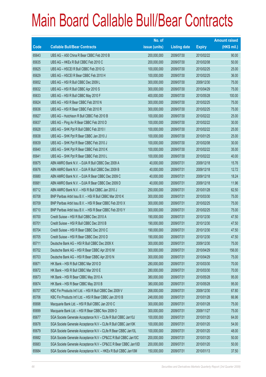|       |                                                                | No. of        |                     |               | <b>Amount raised</b> |
|-------|----------------------------------------------------------------|---------------|---------------------|---------------|----------------------|
| Code  | <b>Callable Bull/Bear Contracts</b>                            | issue (units) | <b>Listing date</b> | <b>Expiry</b> | $(HK$$ mil.)         |
| 65643 | UBS AG - A50 China R Bear CBBC Feb 2010 B                      | 200,000,000   | 2009/07/30          | 2010/02/22    | 90.00                |
| 65635 | UBS AG - HKEx R Bull CBBC Feb 2010 C                           | 200,000,000   | 2009/07/30          | 2010/02/08    | 50.00                |
| 65625 | UBS AG - HSCEI R Bull CBBC Feb 2010 G                          | 100,000,000   | 2009/07/30          | 2010/02/25    | 25.00                |
| 65629 | UBS AG - HSCEI R Bear CBBC Feb 2010 H                          | 100,000,000   | 2009/07/30          | 2010/02/25    | 36.00                |
| 65652 | UBS AG - HSI R Bull CBBC Dec 2009 L                            | 300,000,000   | 2009/07/30          | 2009/12/30    | 75.00                |
| 65632 | UBS AG - HSI R Bull CBBC Apr 2010 S                            | 300,000,000   | 2009/07/30          | 2010/04/29    | 75.00                |
| 65633 | UBS AG - HSI R Bull CBBC May 2010 F                            | 400,000,000   | 2009/07/30          | 2010/05/28    | 100.00               |
| 65624 | UBS AG - HSI R Bear CBBC Feb 2010 N                            | 300,000,000   | 2009/07/30          | 2010/02/25    | 75.00                |
| 65636 | UBS AG - HSI R Bear CBBC Feb 2010 R                            | 300,000,000   | 2009/07/30          | 2010/02/25    | 75.00                |
| 65627 | UBS AG - Hutchison R Bull CBBC Feb 2010 B                      | 100,000,000   | 2009/07/30          | 2010/02/22    | 25.00                |
| 65637 | UBS AG - Ping An R Bear CBBC Feb 2010 D                        | 100,000,000   | 2009/07/30          | 2010/02/22    | 30.00                |
| 65628 | UBS AG - SHK Ppt R Bull CBBC Feb 2010 I                        | 100,000,000   | 2009/07/30          | 2010/02/22    | 25.00                |
| 65638 | UBS AG - SHK Ppt R Bear CBBC Jan 2010 J                        | 100,000,000   | 2009/07/30          | 2010/01/25    | 25.00                |
| 65639 | UBS AG - SHK Ppt R Bear CBBC Feb 2010 J                        | 100,000,000   | 2009/07/30          | 2010/02/08    | 30.00                |
| 65640 | UBS AG - SHK Ppt R Bear CBBC Feb 2010 K                        | 100,000,000   | 2009/07/30          | 2010/02/22    | 35.00                |
| 65641 | UBS AG - SHK Ppt R Bear CBBC Feb 2010 L                        | 100,000,000   | 2009/07/30          | 2010/02/22    | 40.00                |
| 65675 | ABN AMRO Bank N.V. - DJIA R Bull CBBC Dec 2009 A               | 40,000,000    | 2009/07/31          | 2009/12/18    | 15.76                |
| 65676 | ABN AMRO Bank N.V. - DJIA R Bull CBBC Dec 2009 B               | 40,000,000    | 2009/07/31          | 2009/12/18    | 12.72                |
| 65680 | ABN AMRO Bank N.V. - DJIA R Bear CBBC Dec 2009 C               | 40,000,000    | 2009/07/31          | 2009/12/18    | 18.24                |
| 65681 | ABN AMRO Bank N.V. - DJIA R Bear CBBC Dec 2009 D               | 40,000,000    | 2009/07/31          | 2009/12/18    | 11.96                |
| 65712 | ABN AMRO Bank N.V. - HSI R Bull CBBC Jan 2010 J                | 250,000,000   | 2009/07/31          | 2010/01/28    | 62.50                |
| 65708 | BNP Paribas Arbit Issu B.V. - HSI R Bull CBBC Mar 2010 K       | 300,000,000   | 2009/07/31          | 2010/03/30    | 75.00                |
| 65709 | BNP Paribas Arbit Issu B.V. - HSI R Bear CBBC Feb 2010 X       | 300,000,000   | 2009/07/31          | 2010/02/25    | 75.00                |
| 65710 | BNP Paribas Arbit Issu B.V. - HSI R Bear CBBC Feb 2010 Y       | 300,000,000   | 2009/07/31          | 2010/02/25    | 75.00                |
| 65700 | Credit Suisse - HSI R Bull CBBC Dec 2010 A                     | 190,000,000   | 2009/07/31          | 2010/12/30    | 47.50                |
| 65701 | Credit Suisse - HSI R Bull CBBC Dec 2010 B                     | 190,000,000   | 2009/07/31          | 2010/12/30    | 47.50                |
| 65704 | Credit Suisse - HSI R Bear CBBC Dec 2010 C                     | 190,000,000   | 2009/07/31          | 2010/12/30    | 47.50                |
| 65705 | Credit Suisse - HSI R Bear CBBC Dec 2010 D                     | 190,000,000   | 2009/07/31          | 2010/12/30    | 47.50                |
| 65711 | Deutsche Bank AG - HSI R Bull CBBC Dec 2009 X                  | 300,000,000   | 2009/07/31          | 2009/12/30    | 75.00                |
| 65702 | Deutsche Bank AG - HSI R Bear CBBC Apr 2010 M                  | 300,000,000   | 2009/07/31          | 2010/04/29    | 156.00               |
| 65703 | Deutsche Bank AG - HSI R Bear CBBC Apr 2010 N                  | 300,000,000   | 2009/07/31          | 2010/04/29    | 75.00                |
| 65671 | HK Bank - HSI R Bull CBBC Mar 2010 D                           | 280,000,000   | 2009/07/31          | 2010/03/30    | 70.00                |
| 65672 | HK Bank - HSI R Bull CBBC Mar 2010 E                           | 280,000,000   | 2009/07/31          | 2010/03/30    | 70.00                |
| 65673 | HK Bank - HSI R Bear CBBC May 2010 A                           | 380,000,000   | 2009/07/31          | 2010/05/28    | 95.00                |
| 65674 | HK Bank - HSI R Bear CBBC May 2010 B                           | 380,000,000   | 2009/07/31          | 2010/05/28    | 95.00                |
| 65707 | KBC Fin Products Int'l Ltd. - HSI R Bull CBBC Dec 2009 V       | 268,000,000   | 2009/07/31          | 2009/12/30    | 67.80                |
| 65706 | KBC Fin Products Int'l Ltd. - HSI R Bear CBBC Jan 2010 B       | 248,000,000   | 2009/07/31          | 2010/01/28    | 66.96                |
| 65698 | Macquarie Bank Ltd. - HSI R Bull CBBC Jan 2010 C               | 300,000,000   | 2009/07/31          | 2010/01/28    | 75.00                |
| 65699 | Macquarie Bank Ltd. - HSI R Bear CBBC Nov 2009 O               | 300,000,000   | 2009/07/31          | 2009/11/27    | 75.00                |
| 65677 | SGA Societe Generale Acceptance N.V - CLife R Bull CBBC Jan10J | 100,000,000   | 2009/07/31          | 2010/01/20    | 64.00                |
| 65678 | SGA Societe Generale Acceptance N.V - CLife R Bull CBBC Jan10K | 100,000,000   | 2009/07/31          | 2010/01/20    | 54.00                |
| 65679 | SGA Societe Generale Acceptance N.V - CLife R Bear CBBC Jan10L | 100,000,000   | 2009/07/31          | 2010/01/20    | 48.00                |
| 65682 | SGA Societe Generale Acceptance N.V - CP&CC R Bull CBBC Jan10C | 200,000,000   | 2009/07/31          | 2010/01/20    | 50.00                |
| 65683 | SGA Societe Generale Acceptance N.V - CP&CC R Bear CBBC Jan10D | 200,000,000   | 2009/07/31          | 2010/01/20    | 50.00                |
| 65684 | SGA Societe Generale Acceptance N.V. - HKEx R Bull CBBC Jan10M | 150,000,000   | 2009/07/31          | 2010/01/13    | 37.50                |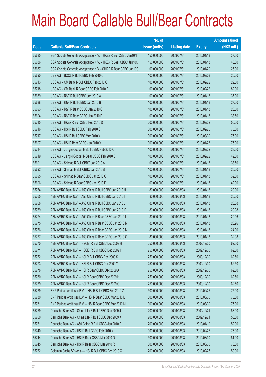|             |                                                                | No. of        |                     |               | <b>Amount raised</b> |
|-------------|----------------------------------------------------------------|---------------|---------------------|---------------|----------------------|
| <b>Code</b> | <b>Callable Bull/Bear Contracts</b>                            | issue (units) | <b>Listing date</b> | <b>Expiry</b> | $(HK$$ mil.)         |
| 65685       | SGA Societe Generale Acceptance N.V. - HKEx R Bull CBBC Jan10N | 150,000,000   | 2009/07/31          | 2010/01/13    | 37.50                |
| 65686       | SGA Societe Generale Acceptance N.V. - HKEx R Bear CBBC Jan100 | 150,000,000   | 2009/07/31          | 2010/01/13    | 48.00                |
| 65687       | SGA Societe Generale Acceptance N.V - SHK P R Bear CBBC Jan10C | 100,000,000   | 2009/07/31          | 2010/01/20    | 26.00                |
| 65690       | UBS AG - BOCL R Bull CBBC Feb 2010 C                           | 100,000,000   | 2009/07/31          | 2010/02/08    | 25.00                |
| 65713       | UBS AG - CM Bank R Bull CBBC Feb 2010 C                        | 100,000,000   | 2009/07/31          | 2010/02/22    | 29.50                |
| 65718       | UBS AG - CM Bank R Bear CBBC Feb 2010 D                        | 100,000,000   | 2009/07/31          | 2010/02/22    | 82.00                |
| 65689       | UBS AG - R&F R Bull CBBC Jan 2010 A                            | 100,000,000   | 2009/07/31          | 2010/01/18    | 37.00                |
| 65688       | UBS AG - R&F R Bull CBBC Jan 2010 B                            | 100,000,000   | 2009/07/31          | 2010/01/18    | 27.00                |
| 65693       | UBS AG - R&F R Bear CBBC Jan 2010 C                            | 100,000,000   | 2009/07/31          | 2010/01/18    | 28.50                |
| 65694       | UBS AG - R&F R Bear CBBC Jan 2010 D                            | 100,000,000   | 2009/07/31          | 2010/01/18    | 38.50                |
| 65715       | UBS AG - HKEx R Bull CBBC Feb 2010 D                           | 200,000,000   | 2009/07/31          | 2010/02/22    | 50.00                |
| 65716       | UBS AG - HSI R Bull CBBC Feb 2010 S                            | 300,000,000   | 2009/07/31          | 2010/02/25    | 75.00                |
| 65717       | UBS AG - HSI R Bull CBBC Mar 2010 Y                            | 300,000,000   | 2009/07/31          | 2010/03/30    | 75.00                |
| 65697       | UBS AG - HSI R Bear CBBC Jan 2010 Y                            | 300,000,000   | 2009/07/31          | 2010/01/28    | 75.00                |
| 65714       | UBS AG - Jiangxi Copper R Bull CBBC Feb 2010 C                 | 100,000,000   | 2009/07/31          | 2010/02/22    | 28.50                |
| 65719       | UBS AG - Jiangxi Copper R Bear CBBC Feb 2010 D                 | 100,000,000   | 2009/07/31          | 2010/02/22    | 42.00                |
| 65691       | UBS AG - Shimao R Bull CBBC Jan 2010 A                         | 100,000,000   | 2009/07/31          | 2010/01/18    | 33.50                |
| 65692       | UBS AG - Shimao R Bull CBBC Jan 2010 B                         | 100,000,000   | 2009/07/31          | 2010/01/18    | 25.00                |
| 65695       | UBS AG - Shimao R Bear CBBC Jan 2010 C                         | 100,000,000   | 2009/07/31          | 2010/01/18    | 32.00                |
| 65696       | UBS AG - Shimao R Bear CBBC Jan 2010 D                         | 100,000,000   | 2009/07/31          | 2010/01/18    | 42.00                |
| 65764       | ABN AMRO Bank N.V. - A50 China R Bull CBBC Jan 2010 H          | 80,000,000    | 2009/08/03          | 2010/01/18    | 20.00                |
| 65765       | ABN AMRO Bank N.V. - A50 China R Bull CBBC Jan 2010 I          | 80,000,000    | 2009/08/03          | 2010/01/18    | 20.00                |
| 65768       | ABN AMRO Bank N.V. - A50 China R Bull CBBC Jan 2010 J          | 80,000,000    | 2009/08/03          | 2010/01/18    | 20.08                |
| 65769       | ABN AMRO Bank N.V. - A50 China R Bull CBBC Jan 2010 K          | 80,000,000    | 2009/08/03          | 2010/01/18    | 20.08                |
| 65774       | ABN AMRO Bank N.V. - A50 China R Bear CBBC Jan 2010 L          | 80,000,000    | 2009/08/03          | 2010/01/18    | 20.16                |
| 65775       | ABN AMRO Bank N.V. - A50 China R Bear CBBC Jan 2010 M          | 80,000,000    | 2009/08/03          | 2010/01/18    | 20.96                |
| 65776       | ABN AMRO Bank N.V. - A50 China R Bear CBBC Jan 2010 N          | 80,000,000    | 2009/08/03          | 2010/01/18    | 24.00                |
| 65777       | ABN AMRO Bank N.V. - A50 China R Bear CBBC Jan 2010 O          | 80,000,000    | 2009/08/03          | 2010/01/18    | 32.08                |
| 65770       | ABN AMRO Bank N.V. - HSCEI R Bull CBBC Dec 2009 H              | 250,000,000   | 2009/08/03          | 2009/12/30    | 62.50                |
| 65771       | ABN AMRO Bank N.V. - HSCEI R Bull CBBC Dec 2009 I              | 250,000,000   | 2009/08/03          | 2009/12/30    | 62.50                |
| 65772       | ABN AMRO Bank N.V. - HSI R Bull CBBC Dec 2009 S                | 250,000,000   | 2009/08/03          | 2009/12/30    | 62.50                |
| 65773       | ABN AMRO Bank N.V. - HSI R Bull CBBC Dec 2009 Y                | 250,000,000   | 2009/08/03          | 2009/12/30    | 62.50                |
| 65778       | ABN AMRO Bank N.V. - HSI R Bear CBBC Dec 2009 A                | 250,000,000   | 2009/08/03          | 2009/12/30    | 62.50                |
| 65780       | ABN AMRO Bank N.V. - HSI R Bear CBBC Dec 2009 H                | 250,000,000   | 2009/08/03          | 2009/12/30    | 62.50                |
| 65779       | ABN AMRO Bank N.V. - HSI R Bear CBBC Dec 2009 O                | 250,000,000   | 2009/08/03          | 2009/12/30    | 62.50                |
| 65729       | BNP Paribas Arbit Issu B.V. - HSI R Bull CBBC Feb 2010 Z       | 300,000,000   | 2009/08/03          | 2010/02/25    | 75.00                |
| 65730       | BNP Paribas Arbit Issu B.V. - HSI R Bear CBBC Mar 2010 L       | 300,000,000   | 2009/08/03          | 2010/03/30    | 75.00                |
| 65731       | BNP Paribas Arbit Issu B.V. - HSI R Bear CBBC Mar 2010 M       | 300,000,000   | 2009/08/03          | 2010/03/30    | 75.00                |
| 65759       | Deutsche Bank AG - China Life R Bull CBBC Dec 2009 J           | 200,000,000   | 2009/08/03          | 2009/12/21    | 88.00                |
| 65760       | Deutsche Bank AG - China Life R Bull CBBC Dec 2009 K           | 200,000,000   | 2009/08/03          | 2009/12/21    | 50.00                |
| 65761       | Deutsche Bank AG - A50 China R Bull CBBC Jan 2010 F            | 200,000,000   | 2009/08/03          | 2010/01/19    | 52.00                |
| 65740       | Deutsche Bank AG - HSI R Bull CBBC Feb 2010 Y                  | 300,000,000   | 2009/08/03          | 2010/02/25    | 75.00                |
| 65744       | Deutsche Bank AG - HSI R Bear CBBC Mar 2010 Q                  | 300,000,000   | 2009/08/03          | 2010/03/30    | 81.00                |
| 65745       | Deutsche Bank AG - HSI R Bear CBBC Mar 2010 R                  | 300,000,000   | 2009/08/03          | 2010/03/30    | 78.00                |
| 65762       | Goldman Sachs SP (Asia) - HSI R Bull CBBC Feb 2010 X           | 200,000,000   | 2009/08/03          | 2010/02/25    | 50.00                |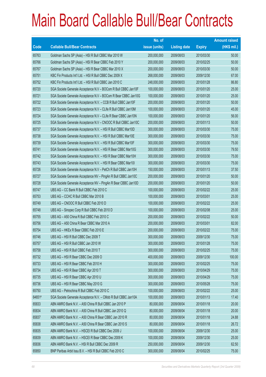|        |                                                                | No. of        |                     |               | <b>Amount raised</b> |
|--------|----------------------------------------------------------------|---------------|---------------------|---------------|----------------------|
| Code   | <b>Callable Bull/Bear Contracts</b>                            | issue (units) | <b>Listing date</b> | <b>Expiry</b> | (HK\$ mil.)          |
| 65763  | Goldman Sachs SP (Asia) - HSI R Bull CBBC Mar 2010 W           | 200,000,000   | 2009/08/03          | 2010/03/30    | 50.00                |
| 65766  | Goldman Sachs SP (Asia) - HSI R Bear CBBC Feb 2010 Y           | 200,000,000   | 2009/08/03          | 2010/02/25    | 50.00                |
| 65767  | Goldman Sachs SP (Asia) - HSI R Bear CBBC Mar 2010 X           | 200,000,000   | 2009/08/03          | 2010/03/30    | 50.00                |
| 65751  | KBC Fin Products Int'l Ltd. - HSI R Bull CBBC Dec 2009 X       | 268,000,000   | 2009/08/03          | 2009/12/30    | 67.00                |
| 65752  | KBC Fin Products Int'l Ltd. - HSI R Bull CBBC Jan 2010 C       | 248,000,000   | 2009/08/03          | 2010/01/28    | 86.80                |
| 65720  | SGA Societe Generale Acceptance N.V - BOCom R Bull CBBC Jan10F | 100,000,000   | 2009/08/03          | 2010/01/20    | 25.00                |
| 65721  | SGA Societe Generale Acceptance N.V - BOCom R Bear CBBC Jan10G | 100,000,000   | 2009/08/03          | 2010/01/20    | 25.00                |
| 65722  | SGA Societe Generale Acceptance N.V. - CCB R Bull CBBC Jan10F  | 200,000,000   | 2009/08/03          | 2010/01/20    | 50.00                |
| 65723  | SGA Societe Generale Acceptance N.V - CLife R Bull CBBC Jan10M | 100,000,000   | 2009/08/03          | 2010/01/20    | 45.00                |
| 65724  | SGA Societe Generale Acceptance N.V - CLife R Bear CBBC Jan10N | 100,000,000   | 2009/08/03          | 2010/01/20    | 56.00                |
| 65725  | SGA Societe Generale Acceptance N.V - CNOOC R Bull CBBC Jan10C | 200,000,000   | 2009/08/03          | 2010/01/13    | 50.00                |
| 65737  | SGA Societe Generale Acceptance N.V. - HSI R Bull CBBC Mar10D  | 300,000,000   | 2009/08/03          | 2010/03/30    | 75.00                |
| 65738  | SGA Societe Generale Acceptance N.V. - HSI R Bull CBBC Mar10E  | 300,000,000   | 2009/08/03          | 2010/03/30    | 75.00                |
| 65739  | SGA Societe Generale Acceptance N.V. - HSI R Bull CBBC Mar10F  | 300,000,000   | 2009/08/03          | 2010/03/30    | 75.00                |
| 65741  | SGA Societe Generale Acceptance N.V. - HSI R Bear CBBC Mar10G  | 300,000,000   | 2009/08/03          | 2010/03/30    | 79.50                |
| 65742  | SGA Societe Generale Acceptance N.V. - HSI R Bear CBBC Mar10H  | 300,000,000   | 2009/08/03          | 2010/03/30    | 75.00                |
| 65743  | SGA Societe Generale Acceptance N.V. - HSI R Bear CBBC Mar101  | 300,000,000   | 2009/08/03          | 2010/03/30    | 75.00                |
| 65726  | SGA Societe Generale Acceptance N.V - PetCh R Bull CBBC Jan10H | 150,000,000   | 2009/08/03          | 2010/01/13    | 37.50                |
| 65727  | SGA Societe Generale Acceptance NV - PingAn R Bull CBBC Jan10C | 200,000,000   | 2009/08/03          | 2010/01/20    | 50.00                |
| 65728  | SGA Societe Generale Acceptance NV - PingAn R Bear CBBC Jan10D | 200,000,000   | 2009/08/03          | 2010/01/20    | 50.00                |
| 65747  | UBS AG - CC Bank R Bull CBBC Feb 2010 C                        | 100,000,000   | 2009/08/03          | 2010/02/22    | 25.00                |
| 65753  | UBS AG - CCHC R Bull CBBC Mar 2010 B                           | 100,000,000   | 2009/08/03          | 2010/03/01    | 25.00                |
| 65749  | UBS AG - CNOOC R Bull CBBC Feb 2010 D                          | 100,000,000   | 2009/08/03          | 2010/02/22    | 25.00                |
| 65748  | UBS AG - Sinopec Corp R Bull CBBC Feb 2010 D                   | 100,000,000   | 2009/08/03          | 2010/02/08    | 25.00                |
| 65755  | UBS AG - A50 China R Bull CBBC Feb 2010 C                      | 200,000,000   | 2009/08/03          | 2010/02/22    | 50.00                |
| 65756  | UBS AG - A50 China R Bear CBBC Mar 2010 A                      | 200,000,000   | 2009/08/03          | 2010/03/01    | 82.00                |
| 65754  | UBS AG - HKEx R Bear CBBC Feb 2010 E                           | 200,000,000   | 2009/08/03          | 2010/02/22    | 75.00                |
| 65746  | UBS AG - HSI R Bull CBBC Dec 2009 T                            | 300,000,000   | 2009/08/03          | 2009/12/30    | 75.00                |
| 65757  | UBS AG - HSI R Bull CBBC Jan 2010 W                            | 300,000,000   | 2009/08/03          | 2010/01/28    | 75.00                |
| 65758  | UBS AG - HSI R Bull CBBC Feb 2010 T                            | 300,000,000   | 2009/08/03          | 2010/02/25    | 75.00                |
| 65732  | UBS AG - HSI R Bear CBBC Dec 2009 O                            | 400,000,000   | 2009/08/03          | 2009/12/30    | 100.00               |
| 65733  | UBS AG - HSI R Bear CBBC Feb 2010 H                            | 300,000,000   | 2009/08/03          | 2010/02/25    | 75.00                |
| 65734  | UBS AG - HSI R Bear CBBC Apr 2010 T                            | 300,000,000   | 2009/08/03          | 2010/04/29    | 75.00                |
| 65735  | UBS AG - HSI R Bear CBBC Apr 2010 U                            | 300,000,000   | 2009/08/03          | 2010/04/29    | 75.00                |
| 65736  | UBS AG - HSI R Bear CBBC May 2010 G                            | 300,000,000   | 2009/08/03          | 2010/05/28    | 75.00                |
| 65750  | UBS AG - Petrochina R Bull CBBC Feb 2010 C                     | 100,000,000   | 2009/08/03          | 2010/02/22    | 25.00                |
| 64651# | SGA Societe Generale Acceptance N.V. - CMob R Bull CBBC Jan10A | 100,000,000   | 2009/08/03          | 2010/01/13    | 17.40                |
| 65833  | ABN AMRO Bank N.V. - A50 China R Bull CBBC Jan 2010 P          | 80,000,000    | 2009/08/04          | 2010/01/18    | 20.00                |
| 65834  | ABN AMRO Bank N.V. - A50 China R Bull CBBC Jan 2010 Q          | 80,000,000    | 2009/08/04          | 2010/01/18    | 20.00                |
| 65837  | ABN AMRO Bank N.V. - A50 China R Bear CBBC Jan 2010 R          | 80,000,000    | 2009/08/04          | 2010/01/18    | 24.88                |
| 65838  | ABN AMRO Bank N.V. - A50 China R Bear CBBC Jan 2010 S          | 80,000,000    | 2009/08/04          | 2010/01/18    | 26.72                |
| 65835  | ABN AMRO Bank N.V. - HSCEI R Bull CBBC Dec 2009 J              | 100,000,000   | 2009/08/04          | 2009/12/30    | 25.00                |
| 65839  | ABN AMRO Bank N.V. - HSCEI R Bear CBBC Dec 2009 K              | 100,000,000   | 2009/08/04          | 2009/12/30    | 25.00                |
| 65836  | ABN AMRO Bank N.V. - HSI R Bull CBBC Dec 2009 R                | 250,000,000   | 2009/08/04          | 2009/12/30    | 62.50                |
| 65850  | BNP Paribas Arbit Issu B.V. - HSI R Bull CBBC Feb 2010 C       | 300,000,000   | 2009/08/04          | 2010/02/25    | 75.00                |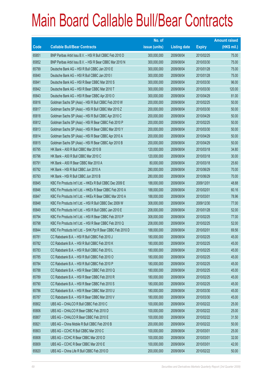|       |                                                              | No. of        |                     |               | <b>Amount raised</b> |
|-------|--------------------------------------------------------------|---------------|---------------------|---------------|----------------------|
| Code  | <b>Callable Bull/Bear Contracts</b>                          | issue (units) | <b>Listing date</b> | <b>Expiry</b> | $(HK$$ mil.)         |
| 65851 | BNP Paribas Arbit Issu B.V. - HSI R Bull CBBC Feb 2010 D     | 300,000,000   | 2009/08/04          | 2010/02/25    | 75.00                |
| 65852 | BNP Paribas Arbit Issu B.V. - HSI R Bear CBBC Mar 2010 N     | 300,000,000   | 2009/08/04          | 2010/03/30    | 75.00                |
| 65799 | Deutsche Bank AG - HSI R Bull CBBC Jan 2010 E                | 300,000,000   | 2009/08/04          | 2010/01/28    | 75.00                |
| 65840 | Deutsche Bank AG - HSI R Bull CBBC Jan 2010 I                | 300,000,000   | 2009/08/04          | 2010/01/28    | 75.00                |
| 65841 | Deutsche Bank AG - HSI R Bear CBBC Mar 2010 S                | 300,000,000   | 2009/08/04          | 2010/03/30    | 96.00                |
| 65842 | Deutsche Bank AG - HSI R Bear CBBC Mar 2010 T                | 300,000,000   | 2009/08/04          | 2010/03/30    | 120.00               |
| 65843 | Deutsche Bank AG - HSI R Bear CBBC Apr 2010 O                | 300,000,000   | 2009/08/04          | 2010/04/29    | 81.00                |
| 65816 | Goldman Sachs SP (Asia) - HSI R Bull CBBC Feb 2010 W         | 200,000,000   | 2009/08/04          | 2010/02/25    | 50.00                |
| 65817 | Goldman Sachs SP (Asia) - HSI R Bull CBBC Mar 2010 Z         | 200,000,000   | 2009/08/04          | 2010/03/30    | 50.00                |
| 65818 | Goldman Sachs SP (Asia) - HSI R Bull CBBC Apr 2010 C         | 200,000,000   | 2009/08/04          | 2010/04/29    | 50.00                |
| 65812 | Goldman Sachs SP (Asia) - HSI R Bear CBBC Feb 2010 P         | 200,000,000   | 2009/08/04          | 2010/02/25    | 50.00                |
| 65813 | Goldman Sachs SP (Asia) - HSI R Bear CBBC Mar 2010 Y         | 200,000,000   | 2009/08/04          | 2010/03/30    | 50.00                |
| 65814 | Goldman Sachs SP (Asia) - HSI R Bear CBBC Apr 2010 A         | 200,000,000   | 2009/08/04          | 2010/04/29    | 50.00                |
| 65815 | Goldman Sachs SP (Asia) - HSI R Bear CBBC Apr 2010 B         | 200,000,000   | 2009/08/04          | 2010/04/29    | 50.00                |
| 65795 | HK Bank - A50 R Bull CBBC Mar 2010 B                         | 120,000,000   | 2009/08/04          | 2010/03/18    | 34.80                |
| 65796 | HK Bank - A50 R Bull CBBC Mar 2010 C                         | 120,000,000   | 2009/08/04          | 2010/03/18    | 30.00                |
| 65791 | HK Bank - A50 R Bear CBBC Mar 2010 A                         | 80,000,000    | 2009/08/04          | 2010/03/18    | 25.60                |
| 65792 | HK Bank - HSI R Bull CBBC Jun 2010 A                         | 280,000,000   | 2009/08/04          | 2010/06/29    | 70.00                |
| 65793 | HK Bank - HSI R Bull CBBC Jun 2010 B                         | 280,000,000   | 2009/08/04          | 2010/06/29    | 70.00                |
| 65845 | KBC Fin Products Int'l Ltd. - HKEx R Bull CBBC Dec 2009 E    | 188,000,000   | 2009/08/04          | 2009/12/01    | 48.88                |
| 65846 | KBC Fin Products Int'l Ltd. - HKEx R Bear CBBC Feb 2010 A    | 188,000,000   | 2009/08/04          | 2010/02/01    | 60.16                |
| 65847 | KBC Fin Products Int'l Ltd. - HKEx R Bear CBBC Mar 2010 A    | 188,000,000   | 2009/08/04          | 2010/03/01    | 78.96                |
| 65848 | KBC Fin Products Int'l Ltd. - HSI R Bull CBBC Dec 2009 W     | 308,000,000   | 2009/08/04          | 2009/12/30    | 77.00                |
| 65849 | KBC Fin Products Int'l Ltd. - HSI R Bull CBBC Jan 2010 E     | 208,000,000   | 2009/08/04          | 2010/01/28    | 52.00                |
| 65794 | KBC Fin Products Int'l Ltd. - HSI R Bear CBBC Feb 2010 P     | 308,000,000   | 2009/08/04          | 2010/02/25    | 77.00                |
| 65798 | KBC Fin Products Int'l Ltd. - HSI R Bear CBBC Feb 2010 Q     | 208,000,000   | 2009/08/04          | 2010/02/25    | 52.00                |
| 65844 | KBC Fin Products Int'l Ltd. - SHK Ppt R Bear CBBC Feb 2010 D | 188,000,000   | 2009/08/04          | 2010/02/01    | 69.56                |
| 65781 | CC Rabobank B.A. - HSI R Bull CBBC Feb 2010 J                | 180,000,000   | 2009/08/04          | 2010/02/25    | 45.00                |
| 65782 | CC Rabobank B.A. - HSI R Bull CBBC Feb 2010 K                | 180,000,000   | 2009/08/04          | 2010/02/25    | 45.00                |
| 65783 | CC Rabobank B.A. - HSI R Bull CBBC Feb 2010 L                | 180,000,000   | 2009/08/04          | 2010/02/25    | 45.00                |
| 65785 | CC Rabobank B.A. - HSI R Bull CBBC Feb 2010 O                | 180,000,000   | 2009/08/04          | 2010/02/25    | 45.00                |
| 65784 | CC Rabobank B.A. - HSI R Bull CBBC Feb 2010 P                | 180,000,000   | 2009/08/04          | 2010/02/25    | 45.00                |
| 65788 | CC Rabobank B.A. - HSI R Bear CBBC Feb 2010 Q                | 180,000,000   | 2009/08/04          | 2010/02/25    | 45.00                |
| 65789 | CC Rabobank B.A. - HSI R Bear CBBC Feb 2010 R                | 180,000,000   | 2009/08/04          | 2010/02/25    | 45.00                |
| 65790 | CC Rabobank B.A. - HSI R Bear CBBC Feb 2010 S                | 180,000,000   | 2009/08/04          | 2010/02/25    | 45.00                |
| 65786 | CC Rabobank B.A. - HSI R Bear CBBC Mar 2010 U                | 180,000,000   | 2009/08/04          | 2010/03/30    | 45.00                |
| 65787 | CC Rabobank B.A. - HSI R Bear CBBC Mar 2010 V                | 180,000,000   | 2009/08/04          | 2010/03/30    | 45.00                |
| 65802 | UBS AG - CHALCO R Bull CBBC Feb 2010 C                       | 100,000,000   | 2009/08/04          | 2010/02/22    | 25.00                |
| 65806 | UBS AG - CHALCO R Bear CBBC Feb 2010 D                       | 100,000,000   | 2009/08/04          | 2010/02/22    | 25.00                |
| 65807 | UBS AG - CHALCO R Bear CBBC Feb 2010 E                       | 100,000,000   | 2009/08/04          | 2010/02/22    | 31.50                |
| 65821 | UBS AG - China Mobile R Bull CBBC Feb 2010 B                 | 200,000,000   | 2009/08/04          | 2010/02/22    | 50.00                |
| 65803 | UBS AG - CCHC R Bull CBBC Mar 2010 C                         | 100,000,000   | 2009/08/04          | 2010/03/01    | 25.00                |
| 65808 | UBS AG - CCHC R Bear CBBC Mar 2010 D                         | 100,000,000   | 2009/08/04          | 2010/03/01    | 32.00                |
| 65809 | UBS AG - CCHC R Bear CBBC Mar 2010 E                         | 100,000,000   | 2009/08/04          | 2010/03/01    | 42.00                |
| 65820 | UBS AG - China Life R Bull CBBC Feb 2010 D                   | 200,000,000   | 2009/08/04          | 2010/02/22    | 50.00                |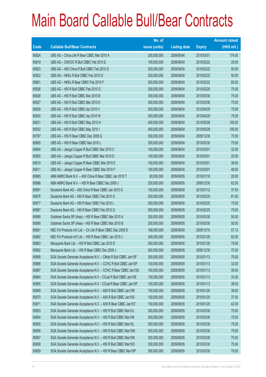|             |                                                                | No. of        |                     |               | <b>Amount raised</b> |
|-------------|----------------------------------------------------------------|---------------|---------------------|---------------|----------------------|
| <b>Code</b> | <b>Callable Bull/Bear Contracts</b>                            | issue (units) | <b>Listing date</b> | <b>Expiry</b> | $(HK$$ mil.)         |
| 65824       | UBS AG - China Life R Bear CBBC Mar 2010 A                     | 200,000,000   | 2009/08/04          | 2010/03/01    | 174.00               |
| 65819       | UBS AG - CNOOC R Bull CBBC Feb 2010 E                          | 100,000,000   | 2009/08/04          | 2010/02/22    | 25.00                |
| 65823       | UBS AG - A50 China R Bull CBBC Feb 2010 D                      | 200,000,000   | 2009/08/04          | 2010/02/22    | 50.00                |
| 65822       | UBS AG - HKEx R Bull CBBC Feb 2010 G                           | 200,000,000   | 2009/08/04          | 2010/02/22    | 50.00                |
| 65801       | UBS AG - HKEx R Bear CBBC Feb 2010 F                           | 200,000,000   | 2009/08/04          | 2010/02/22    | 85.00                |
| 65826       | UBS AG - HSI R Bull CBBC Feb 2010 G                            | 300,000,000   | 2009/08/04          | 2010/02/25    | 75.00                |
| 65828       | UBS AG - HSI R Bull CBBC Mar 2010 B                            | 300,000,000   | 2009/08/04          | 2010/03/30    | 75.00                |
| 65827       | UBS AG - HSI R Bull CBBC Mar 2010 K                            | 300,000,000   | 2009/08/04          | 2010/03/30    | 75.00                |
| 65829       | UBS AG - HSI R Bull CBBC Apr 2010 V                            | 300,000,000   | 2009/08/04          | 2010/04/29    | 75.00                |
| 65830       | UBS AG - HSI R Bull CBBC Apr 2010 W                            | 300,000,000   | 2009/08/04          | 2010/04/29    | 75.00                |
| 65831       | UBS AG - HSI R Bull CBBC May 2010 H                            | 400,000,000   | 2009/08/04          | 2010/05/28    | 100.00               |
| 65832       | UBS AG - HSI R Bull CBBC May 2010 I                            | 400,000,000   | 2009/08/04          | 2010/05/28    | 100.00               |
| 65797       | UBS AG - HSI R Bear CBBC Dec 2009 Q                            | 300,000,000   | 2009/08/04          | 2009/12/30    | 75.00                |
| 65800       | UBS AG - HSI R Bear CBBC Mar 2010 L                            | 300,000,000   | 2009/08/04          | 2010/03/30    | 75.00                |
| 65804       | UBS AG - Jiangxi Copper R Bull CBBC Mar 2010 C                 | 100,000,000   | 2009/08/04          | 2010/03/01    | 32.50                |
| 65805       | UBS AG - Jiangxi Copper R Bull CBBC Mar 2010 D                 | 100,000,000   | 2009/08/04          | 2010/03/01    | 25.00                |
| 65810       | UBS AG - Jiangxi Copper R Bear CBBC Mar 2010 E                 | 100,000,000   | 2009/08/04          | 2010/03/01    | 38.00                |
| 65811       | UBS AG - Jiangxi Copper R Bear CBBC Mar 2010 F                 | 100,000,000   | 2009/08/04          | 2010/03/01    | 48.00                |
| 65885       | ABN AMRO Bank N.V. - A50 China R Bear CBBC Jan 2010 T          | 80,000,000    | 2009/08/05          | 2010/01/18    | 20.00                |
| 65886       | ABN AMRO Bank N.V. - HSI R Bear CBBC Dec 2009 J                | 250,000,000   | 2009/08/05          | 2009/12/30    | 62.50                |
| 65891       | Deutsche Bank AG - A50 China R Bear CBBC Jan 2010 G            | 150,000,000   | 2009/08/05          | 2010/01/12    | 37.50                |
| 65876       | Deutsche Bank AG - HSI R Bear CBBC Feb 2010 G                  | 300,000,000   | 2009/08/05          | 2010/02/25    | 81.00                |
| 65877       | Deutsche Bank AG - HSI R Bear CBBC Feb 2010 L                  | 300,000,000   | 2009/08/05          | 2010/02/25    | 75.00                |
| 65887       | Deutsche Bank AG - HSI R Bear CBBC Feb 2010 Q                  | 300,000,000   | 2009/08/05          | 2010/02/25    | 75.00                |
| 65889       | Goldman Sachs SP (Asia) - HSI R Bear CBBC Mar 2010 A           | 200,000,000   | 2009/08/05          | 2010/03/30    | 50.00                |
| 65890       | Goldman Sachs SP (Asia) - HSI R Bear CBBC Mar 2010 B           | 200,000,000   | 2009/08/05          | 2010/03/30    | 50.00                |
| 65881       | KBC Fin Products Int'l Ltd. - Ch Life R Bear CBBC Dec 2009 D   | 168,000,000   | 2009/08/05          | 2009/12/10    | 57.12                |
| 65882       | KBC Fin Products Int'l Ltd. - HSI R Bear CBBC Jan 2010 J       | 248,000,000   | 2009/08/05          | 2010/01/28    | 62.00                |
| 65863       | Macquarie Bank Ltd. - HSI R Bull CBBC Jan 2010 D               | 300,000,000   | 2009/08/05          | 2010/01/28    | 75.00                |
| 65862       | Macquarie Bank Ltd. - HSI R Bear CBBC Dec 2009 J               | 300,000,000   | 2009/08/05          | 2009/12/30    | 75.30                |
| 65868       | SGA Societe Generale Acceptance N.V. - CMob R Bull CBBC Jan10F | 300,000,000   | 2009/08/05          | 2010/01/13    | 75.00                |
| 65866       | SGA Societe Generale Acceptance N.V. - CCHC R Bull CBBC Jan10F | 100,000,000   | 2009/08/05          | 2010/01/13    | 32.00                |
| 65867       | SGA Societe Generale Acceptance N.V. - CCHC R Bear CBBC Jan10G | 100,000,000   | 2009/08/05          | 2010/01/13    | 39.00                |
| 65864       | SGA Societe Generale Acceptance N.V - CCoal R Bull CBBC Jan10E | 100,000,000   | 2009/08/05          | 2010/01/13    | 33.00                |
| 65865       | SGA Societe Generale Acceptance N.V - CCoal R Bear CBBC Jan10F | 100,000,000   | 2009/08/05          | 2010/01/13    | 38.00                |
| 65869       | SGA Societe Generale Acceptance N.V. - A50 R Bull CBBC Jan10R  | 150,000,000   | 2009/08/05          | 2010/01/20    | 39.00                |
| 65870       | SGA Societe Generale Acceptance N.V. - A50 R Bull CBBC Jan10S  | 150,000,000   | 2009/08/05          | 2010/01/20    | 37.50                |
| 65871       | SGA Societe Generale Acceptance N.V. - A50 R Bear CBBC Jan10T  | 150,000,000   | 2009/08/05          | 2010/01/20    | 42.00                |
| 65853       | SGA Societe Generale Acceptance N.V. - HSI R Bull CBBC Mar10J  | 300,000,000   | 2009/08/05          | 2010/03/30    | 75.00                |
| 65854       | SGA Societe Generale Acceptance N.V. - HSI R Bull CBBC Mar10K  | 300,000,000   | 2009/08/05          | 2010/03/30    | 75.00                |
| 65855       | SGA Societe Generale Acceptance N.V. - HSI R Bull CBBC Mar10L  | 300,000,000   | 2009/08/05          | 2010/03/30    | 75.00                |
| 65856       | SGA Societe Generale Acceptance N.V. - HSI R Bull CBBC Mar10M  | 300,000,000   | 2009/08/05          | 2010/03/30    | 75.00                |
| 65857       | SGA Societe Generale Acceptance N.V. - HSI R Bull CBBC Mar10N  | 300,000,000   | 2009/08/05          | 2010/03/30    | 75.00                |
| 65858       | SGA Societe Generale Acceptance N.V. - HSI R Bull CBBC Mar100  | 300,000,000   | 2009/08/05          | 2010/03/30    | 75.00                |
| 65859       | SGA Societe Generale Acceptance N.V. - HSI R Bear CBBC Mar10P  | 300,000,000   | 2009/08/05          | 2010/03/30    | 79.50                |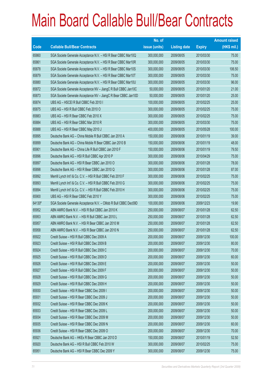|             |                                                                | No. of        |                     |               | <b>Amount raised</b> |
|-------------|----------------------------------------------------------------|---------------|---------------------|---------------|----------------------|
| <b>Code</b> | <b>Callable Bull/Bear Contracts</b>                            | issue (units) | <b>Listing date</b> | <b>Expiry</b> | $(HK$$ mil.)         |
| 65860       | SGA Societe Generale Acceptance N.V. - HSI R Bear CBBC Mar10Q  | 300,000,000   | 2009/08/05          | 2010/03/30    | 75.00                |
| 65861       | SGA Societe Generale Acceptance N.V. - HSI R Bear CBBC Mar10R  | 300,000,000   | 2009/08/05          | 2010/03/30    | 75.00                |
| 65878       | SGA Societe Generale Acceptance N.V. - HSI R Bear CBBC Mar10S  | 300,000,000   | 2009/08/05          | 2010/03/30    | 106.50               |
| 65879       | SGA Societe Generale Acceptance N.V. - HSI R Bear CBBC Mar10T  | 300,000,000   | 2009/08/05          | 2010/03/30    | 75.00                |
| 65880       | SGA Societe Generale Acceptance N.V. - HSI R Bear CBBC Mar10U  | 300,000,000   | 2009/08/05          | 2010/03/30    | 96.00                |
| 65872       | SGA Societe Generale Acceptance NV - JiangC R Bull CBBC Jan10C | 50,000,000    | 2009/08/05          | 2010/01/20    | 21.00                |
| 65873       | SGA Societe Generale Acceptance NV - JiangC R Bear CBBC Jan10D | 50,000,000    | 2009/08/05          | 2010/01/20    | 25.00                |
| 65874       | UBS AG - HSCEI R Bull CBBC Feb 2010 I                          | 100,000,000   | 2009/08/05          | 2010/02/25    | 25.00                |
| 65875       | UBS AG - HSI R Bull CBBC Feb 2010 O                            | 300,000,000   | 2009/08/05          | 2010/02/25    | 75.00                |
| 65883       | UBS AG - HSI R Bear CBBC Feb 2010 X                            | 300,000,000   | 2009/08/05          | 2010/02/25    | 75.00                |
| 65884       | UBS AG - HSI R Bear CBBC Mar 2010 R                            | 300,000,000   | 2009/08/05          | 2010/03/30    | 75.00                |
| 65888       | UBS AG - HSI R Bear CBBC May 2010 J                            | 400,000,000   | 2009/08/05          | 2010/05/28    | 100.00               |
| 65895       | Deutsche Bank AG - China Mobile R Bull CBBC Jan 2010 A         | 150,000,000   | 2009/08/06          | 2010/01/19    | 39.00                |
| 65899       | Deutsche Bank AG - China Mobile R Bear CBBC Jan 2010 B         | 150,000,000   | 2009/08/06          | 2010/01/19    | 48.00                |
| 65901       | Deutsche Bank AG - China Life R Bull CBBC Jan 2010 F           | 150,000,000   | 2009/08/06          | 2010/01/19    | 79.50                |
| 65896       | Deutsche Bank AG - HSI R Bull CBBC Apr 2010 P                  | 300,000,000   | 2009/08/06          | 2010/04/29    | 75.00                |
| 65897       | Deutsche Bank AG - HSI R Bear CBBC Jan 2010 O                  | 300,000,000   | 2009/08/06          | 2010/01/28    | 78.00                |
| 65898       | Deutsche Bank AG - HSI R Bear CBBC Jan 2010 Q                  | 300,000,000   | 2009/08/06          | 2010/01/28    | 87.00                |
| 65892       | Merrill Lynch Int'l & Co. C.V. - HSI R Bull CBBC Feb 2010 F    | 300,000,000   | 2009/08/06          | 2010/02/25    | 75.00                |
| 65893       | Merrill Lynch Int'l & Co. C.V. - HSI R Bull CBBC Feb 2010 G    | 300,000,000   | 2009/08/06          | 2010/02/25    | 75.00                |
| 65894       | Merrill Lynch Int'l & Co. C.V. - HSI R Bull CBBC Feb 2010 H    | 300,000,000   | 2009/08/06          | 2010/02/25    | 75.00                |
| 65900       | UBS AG - HSI R Bear CBBC Feb 2010 Y                            | 300,000,000   | 2009/08/06          | 2010/02/25    | 75.00                |
| 64130#      | SGA Societe Generale Acceptance N.V. - CMob R Bull CBBC Dec09D | 100,000,000   | 2009/08/06          | 2009/12/23    | 19.90                |
| 65952       | ABN AMRO Bank N.V. - HSI R Bull CBBC Jan 2010 K                | 250,000,000   | 2009/08/07          | 2010/01/28    | 62.50                |
| 65953       | ABN AMRO Bank N.V. - HSI R Bull CBBC Jan 2010 L                | 250,000,000   | 2009/08/07          | 2010/01/28    | 62.50                |
| 65957       | ABN AMRO Bank N.V. - HSI R Bear CBBC Jan 2010 M                | 250,000,000   | 2009/08/07          | 2010/01/28    | 62.50                |
| 65958       | ABN AMRO Bank N.V. - HSI R Bear CBBC Jan 2010 N                | 250,000,000   | 2009/08/07          | 2010/01/28    | 62.50                |
| 65922       | Credit Suisse - HSI R Bull CBBC Dec 2009 A                     | 200,000,000   | 2009/08/07          | 2009/12/30    | 100.00               |
| 65923       | Credit Suisse - HSI R Bull CBBC Dec 2009 B                     | 200,000,000   | 2009/08/07          | 2009/12/30    | 80.00                |
| 65924       | Credit Suisse - HSI R Bull CBBC Dec 2009 C                     | 200,000,000   | 2009/08/07          | 2009/12/30    | 70.00                |
| 65925       | Credit Suisse - HSI R Bull CBBC Dec 2009 D                     | 200,000,000   | 2009/08/07          | 2009/12/30    | 60.00                |
| 65926       | Credit Suisse - HSI R Bull CBBC Dec 2009 E                     | 200,000,000   | 2009/08/07          | 2009/12/30    | 50.00                |
| 65927       | Credit Suisse - HSI R Bull CBBC Dec 2009 F                     | 200,000,000   | 2009/08/07          | 2009/12/30    | 50.00                |
| 65928       | Credit Suisse - HSI R Bull CBBC Dec 2009 G                     | 200,000,000   | 2009/08/07          | 2009/12/30    | 50.00                |
| 65929       | Credit Suisse - HSI R Bull CBBC Dec 2009 H                     | 200,000,000   | 2009/08/07          | 2009/12/30    | 50.00                |
| 65930       | Credit Suisse - HSI R Bear CBBC Dec 2009 I                     | 200,000,000   | 2009/08/07          | 2009/12/30    | 50.00                |
| 65931       | Credit Suisse - HSI R Bear CBBC Dec 2009 J                     | 200,000,000   | 2009/08/07          | 2009/12/30    | 50.00                |
| 65932       | Credit Suisse - HSI R Bear CBBC Dec 2009 K                     | 200,000,000   | 2009/08/07          | 2009/12/30    | 50.00                |
| 65933       | Credit Suisse - HSI R Bear CBBC Dec 2009 L                     | 200,000,000   | 2009/08/07          | 2009/12/30    | 50.00                |
| 65934       | Credit Suisse - HSI R Bear CBBC Dec 2009 M                     | 200,000,000   | 2009/08/07          | 2009/12/30    | 50.00                |
| 65935       | Credit Suisse - HSI R Bear CBBC Dec 2009 N                     | 200,000,000   | 2009/08/07          | 2009/12/30    | 60.00                |
| 65936       | Credit Suisse - HSI R Bear CBBC Dec 2009 O                     | 200,000,000   | 2009/08/07          | 2009/12/30    | 70.00                |
| 65921       | Deutsche Bank AG - HKEx R Bear CBBC Jan 2010 D                 | 150,000,000   | 2009/08/07          | 2010/01/19    | 52.50                |
| 65920       | Deutsche Bank AG - HSI R Bull CBBC Feb 2010 W                  | 300,000,000   | 2009/08/07          | 2010/02/25    | 75.00                |
| 65951       | Deutsche Bank AG - HSI R Bear CBBC Dec 2009 Y                  | 300,000,000   | 2009/08/07          | 2009/12/30    | 75.00                |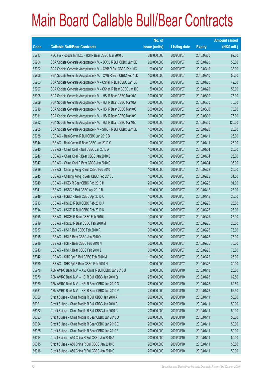|       |                                                                | No. of        |                     |               | <b>Amount raised</b> |
|-------|----------------------------------------------------------------|---------------|---------------------|---------------|----------------------|
| Code  | <b>Callable Bull/Bear Contracts</b>                            | issue (units) | <b>Listing date</b> | <b>Expiry</b> | $(HK$$ mil.)         |
| 65917 | KBC Fin Products Int'l Ltd. - HSI R Bear CBBC Mar 2010 L       | 248,000,000   | 2009/08/07          | 2010/03/30    | 62.00                |
| 65904 | SGA Societe Generale Acceptance N.V. - BOCL R Bull CBBC Jan10E | 200,000,000   | 2009/08/07          | 2010/01/20    | 50.00                |
| 65902 | SGA Societe Generale Acceptance N.V. - CMB R Bull CBBC Feb 10C | 100,000,000   | 2009/08/07          | 2010/02/10    | 38.00                |
| 65906 | SGA Societe Generale Acceptance N.V. - CMB R Bear CBBC Feb 10D | 100,000,000   | 2009/08/07          | 2010/02/10    | 56.00                |
| 65903 | SGA Societe Generale Acceptance N.V - CShen R Bull CBBC Jan10D | 50,000,000    | 2009/08/07          | 2010/01/20    | 42.50                |
| 65907 | SGA Societe Generale Acceptance N.V - CShen R Bear CBBC Jan10E | 50,000,000    | 2009/08/07          | 2010/01/20    | 53.00                |
| 65908 | SGA Societe Generale Acceptance N.V. - HSI R Bear CBBC Mar10V  | 300,000,000   | 2009/08/07          | 2010/03/30    | 75.00                |
| 65909 | SGA Societe Generale Acceptance N.V. - HSI R Bear CBBC Mar10W  | 300,000,000   | 2009/08/07          | 2010/03/30    | 75.00                |
| 65910 | SGA Societe Generale Acceptance N.V. - HSI R Bear CBBC Mar10X  | 300,000,000   | 2009/08/07          | 2010/03/30    | 75.00                |
| 65911 | SGA Societe Generale Acceptance N.V. - HSI R Bear CBBC Mar10Y  | 300,000,000   | 2009/08/07          | 2010/03/30    | 75.00                |
| 65912 | SGA Societe Generale Acceptance N.V. - HSI R Bear CBBC Mar10Z  | 300,000,000   | 2009/08/07          | 2010/03/30    | 120.00               |
| 65905 | SGA Societe Generale Acceptance N.V - SHK P R Bull CBBC Jan10D | 100,000,000   | 2009/08/07          | 2010/01/20    | 25.00                |
| 65938 | UBS AG - BankComm R Bull CBBC Jan 2010 B                       | 100,000,000   | 2009/08/07          | 2010/01/11    | 25.00                |
| 65944 | UBS AG - BankComm R Bear CBBC Jan 2010 C                       | 100,000,000   | 2009/08/07          | 2010/01/11    | 25.00                |
| 65940 | UBS AG - China Coal R Bull CBBC Jan 2010 A                     | 100,000,000   | 2009/08/07          | 2010/01/04    | 25.00                |
| 65946 | UBS AG - China Coal R Bear CBBC Jan 2010 B                     | 100,000,000   | 2009/08/07          | 2010/01/04    | 25.00                |
| 65947 | UBS AG - China Coal R Bear CBBC Jan 2010 C                     | 100,000,000   | 2009/08/07          | 2010/01/04    | 35.00                |
| 65939 | UBS AG - Cheung Kong R Bull CBBC Feb 2010 I                    | 100,000,000   | 2009/08/07          | 2010/02/22    | 25.00                |
| 65945 | UBS AG - Cheung Kong R Bear CBBC Feb 2010 J                    | 100,000,000   | 2009/08/07          | 2010/02/22    | 31.50                |
| 65949 | UBS AG - HKEx R Bear CBBC Feb 2010 H                           | 200,000,000   | 2009/08/07          | 2010/02/22    | 91.00                |
| 65941 | UBS AG - HSBC R Bull CBBC Apr 2010 B                           | 100,000,000   | 2009/08/07          | 2010/04/12    | 25.00                |
| 65948 | UBS AG - HSBC R Bear CBBC Apr 2010 C                           | 100,000,000   | 2009/08/07          | 2010/04/12    | 28.50                |
| 65913 | UBS AG - HSCEI R Bull CBBC Feb 2010 J                          | 100,000,000   | 2009/08/07          | 2010/02/25    | 25.00                |
| 65914 | UBS AG - HSCEI R Bull CBBC Feb 2010 K                          | 100,000,000   | 2009/08/07          | 2010/02/25    | 25.00                |
| 65918 | UBS AG - HSCEI R Bear CBBC Feb 2010 L                          | 100,000,000   | 2009/08/07          | 2010/02/25    | 25.00                |
| 65919 | UBS AG - HSCEI R Bear CBBC Feb 2010 M                          | 100,000,000   | 2009/08/07          | 2010/02/25    | 25.00                |
| 65937 | UBS AG - HSI R Bull CBBC Feb 2010 R                            | 300,000,000   | 2009/08/07          | 2010/02/25    | 75.00                |
| 65915 | UBS AG - HSI R Bear CBBC Jan 2010 Y                            | 300,000,000   | 2009/08/07          | 2010/01/28    | 75.00                |
| 65916 | UBS AG - HSI R Bear CBBC Feb 2010 N                            | 300,000,000   | 2009/08/07          | 2010/02/25    | 75.00                |
| 65943 | UBS AG - HSI R Bear CBBC Feb 2010 Z                            | 300,000,000   | 2009/08/07          | 2010/02/25    | 75.00                |
| 65942 | UBS AG - SHK Ppt R Bull CBBC Feb 2010 M                        | 100,000,000   | 2009/08/07          | 2010/02/22    | 25.00                |
| 65950 | UBS AG - SHK Ppt R Bear CBBC Feb 2010 N                        | 100,000,000   | 2009/08/07          | 2010/02/22    | 39.00                |
| 65978 | ABN AMRO Bank N.V. - A50 China R Bull CBBC Jan 2010 U          | 80,000,000    | 2009/08/10          | 2010/01/18    | 20.00                |
| 65979 | ABN AMRO Bank N.V. - HSI R Bull CBBC Jan 2010 Q                | 250,000,000   | 2009/08/10          | 2010/01/28    | 62.50                |
| 65980 | ABN AMRO Bank N.V. - HSI R Bear CBBC Jan 2010 O                | 250,000,000   | 2009/08/10          | 2010/01/28    | 62.50                |
| 65981 | ABN AMRO Bank N.V. - HSI R Bear CBBC Jan 2010 P                | 250,000,000   | 2009/08/10          | 2010/01/28    | 62.50                |
| 66020 | Credit Suisse – China Mobile R Bull CBBC Jan 2010 A            | 200,000,000   | 2009/08/10          | 2010/01/11    | 50.00                |
| 66021 | Credit Suisse - China Mobile R Bull CBBC Jan 2010 B            | 200,000,000   | 2009/08/10          | 2010/01/11    | 50.00                |
| 66022 | Credit Suisse - China Mobile R Bull CBBC Jan 2010 C            | 200,000,000   | 2009/08/10          | 2010/01/11    | 50.00                |
| 66023 | Credit Suisse - China Mobile R Bear CBBC Jan 2010 D            | 200,000,000   | 2009/08/10          | 2010/01/11    | 50.00                |
| 66024 | Credit Suisse - China Mobile R Bear CBBC Jan 2010 E            | 200,000,000   | 2009/08/10          | 2010/01/11    | 50.00                |
| 66025 | Credit Suisse - China Mobile R Bear CBBC Jan 2010 F            | 200,000,000   | 2009/08/10          | 2010/01/11    | 50.00                |
| 66014 | Credit Suisse - A50 China R Bull CBBC Jan 2010 A               | 200,000,000   | 2009/08/10          | 2010/01/11    | 50.00                |
| 66015 | Credit Suisse - A50 China R Bull CBBC Jan 2010 B               | 200,000,000   | 2009/08/10          | 2010/01/11    | 50.00                |
| 66016 | Credit Suisse - A50 China R Bull CBBC Jan 2010 C               | 200,000,000   | 2009/08/10          | 2010/01/11    | 50.00                |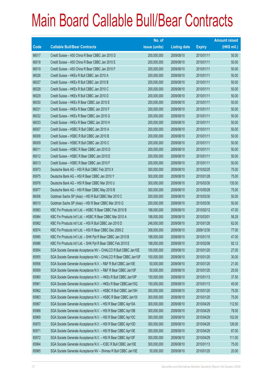|       |                                                                | No. of        |                     |               | <b>Amount raised</b> |
|-------|----------------------------------------------------------------|---------------|---------------------|---------------|----------------------|
| Code  | <b>Callable Bull/Bear Contracts</b>                            | issue (units) | <b>Listing date</b> | <b>Expiry</b> | (HK\$ mil.)          |
| 66017 | Credit Suisse - A50 China R Bear CBBC Jan 2010 D               | 200,000,000   | 2009/08/10          | 2010/01/11    | 50.00                |
| 66018 | Credit Suisse - A50 China R Bear CBBC Jan 2010 E               | 200,000,000   | 2009/08/10          | 2010/01/11    | 50.00                |
| 66019 | Credit Suisse - A50 China R Bear CBBC Jan 2010 F               | 200,000,000   | 2009/08/10          | 2010/01/11    | 50.00                |
| 66026 | Credit Suisse - HKEx R Bull CBBC Jan 2010 A                    | 200,000,000   | 2009/08/10          | 2010/01/11    | 50.00                |
| 66027 | Credit Suisse - HKEx R Bull CBBC Jan 2010 B                    | 200,000,000   | 2009/08/10          | 2010/01/11    | 50.00                |
| 66028 | Credit Suisse - HKEx R Bull CBBC Jan 2010 C                    | 200,000,000   | 2009/08/10          | 2010/01/11    | 50.00                |
| 66029 | Credit Suisse - HKEx R Bull CBBC Jan 2010 D                    | 200,000,000   | 2009/08/10          | 2010/01/11    | 50.00                |
| 66030 | Credit Suisse - HKEx R Bear CBBC Jan 2010 E                    | 200,000,000   | 2009/08/10          | 2010/01/11    | 50.00                |
| 66031 | Credit Suisse - HKEx R Bear CBBC Jan 2010 F                    | 200,000,000   | 2009/08/10          | 2010/01/11    | 50.00                |
| 66032 | Credit Suisse - HKEx R Bear CBBC Jan 2010 G                    | 200,000,000   | 2009/08/10          | 2010/01/11    | 50.00                |
| 66033 | Credit Suisse - HKEx R Bear CBBC Jan 2010 H                    | 200,000,000   | 2009/08/10          | 2010/01/11    | 50.00                |
| 66007 | Credit Suisse - HSBC R Bull CBBC Jan 2010 A                    | 200,000,000   | 2009/08/10          | 2010/01/11    | 50.00                |
| 66008 | Credit Suisse - HSBC R Bull CBBC Jan 2010 B                    | 200,000,000   | 2009/08/10          | 2010/01/11    | 50.00                |
| 66009 | Credit Suisse - HSBC R Bull CBBC Jan 2010 C                    | 200,000,000   | 2009/08/10          | 2010/01/11    | 50.00                |
| 66011 | Credit Suisse - HSBC R Bear CBBC Jan 2010 D                    | 200,000,000   | 2009/08/10          | 2010/01/11    | 50.00                |
| 66012 | Credit Suisse - HSBC R Bear CBBC Jan 2010 E                    | 200,000,000   | 2009/08/10          | 2010/01/11    | 50.00                |
| 66013 | Credit Suisse - HSBC R Bear CBBC Jan 2010 F                    | 200,000,000   | 2009/08/10          | 2010/01/11    | 50.00                |
| 65973 | Deutsche Bank AG - HSI R Bull CBBC Feb 2010 X                  | 300,000,000   | 2009/08/10          | 2010/02/25    | 75.00                |
| 65975 | Deutsche Bank AG - HSI R Bear CBBC Jan 2010 Y                  | 300,000,000   | 2009/08/10          | 2010/01/28    | 75.00                |
| 65976 | Deutsche Bank AG - HSI R Bear CBBC Mar 2010 U                  | 300,000,000   | 2009/08/10          | 2010/03/30    | 135.00               |
| 65977 | Deutsche Bank AG - HSI R Bear CBBC May 2010 B                  | 300,000,000   | 2009/08/10          | 2010/05/28    | 75.00                |
| 66006 | Goldman Sachs SP (Asia) - HSI R Bull CBBC Mar 2010 C           | 200,000,000   | 2009/08/10          | 2010/03/30    | 50.00                |
| 66010 | Goldman Sachs SP (Asia) - HSI R Bear CBBC Mar 2010 G           | 200,000,000   | 2009/08/10          | 2010/03/30    | 50.00                |
| 65983 | KBC Fin Products Int'l Ltd. - HSBC R Bear CBBC Feb 2010 B      | 188,000,000   | 2009/08/10          | 2010/02/12    | 47.00                |
| 65984 | KBC Fin Products Int'l Ltd. - HSBC R Bear CBBC Mar 2010 A      | 188,000,000   | 2009/08/10          | 2010/03/01    | 58.28                |
| 65982 | KBC Fin Products Int'l Ltd. - HSI R Bull CBBC Jan 2010 D       | 248,000,000   | 2009/08/10          | 2010/01/28    | 62.00                |
| 65974 | KBC Fin Products Int'l Ltd. - HSI R Bear CBBC Dec 2009 Z       | 308,000,000   | 2009/08/10          | 2009/12/30    | 77.00                |
| 65985 | KBC Fin Products Int'l Ltd. - SHK Ppt R Bear CBBC Jan 2010 B   | 188,000,000   | 2009/08/10          | 2010/01/15    | 47.00                |
| 65986 | KBC Fin Products Int'l Ltd. - SHK Ppt R Bear CBBC Feb 2010 E   | 188,000,000   | 2009/08/10          | 2010/02/08    | 92.12                |
| 65954 | SGA Societe Generale Acceptance NV - CHALCO R Bull CBBC Jan10E | 100,000,000   | 2009/08/10          | 2010/01/20    | 27.00                |
| 65955 | SGA Societe Generale Acceptance NV - CHALCO R Bear CBBC Jan10F | 100,000,000   | 2009/08/10          | 2010/01/20    | 30.00                |
| 65956 | SGA Societe Generale Acceptance N.V. - R&F R Bull CBBC Jan10E  | 50,000,000    | 2009/08/10          | 2010/01/20    | 21.00                |
| 65959 | SGA Societe Generale Acceptance N.V. - R&F R Bear CBBC Jan10F  | 50,000,000    | 2009/08/10          | 2010/01/20    | 25.00                |
| 65960 | SGA Societe Generale Acceptance N.V. - HKEx R Bull CBBC Jan10P | 150,000,000   | 2009/08/10          | 2010/01/13    | 37.50                |
| 65961 | SGA Societe Generale Acceptance N.V. - HKEx R Bear CBBCJan10Q  | 150,000,000   | 2009/08/10          | 2010/01/13    | 45.00                |
| 65962 | SGA Societe Generale Acceptance N.V. - HSBC R Bull CBBC Jan10H | 300,000,000   | 2009/08/10          | 2010/01/20    | 75.00                |
| 65963 | SGA Societe Generale Acceptance N.V. - HSBC R Bear CBBC Jan101 | 300,000,000   | 2009/08/10          | 2010/01/20    | 75.00                |
| 65967 | SGA Societe Generale Acceptance N.V. - HSI R Bear CBBC Apr10A  | 300,000,000   | 2009/08/10          | 2010/04/29    | 112.50               |
| 65968 | SGA Societe Generale Acceptance N.V. - HSI R Bear CBBC Apr10B  | 300,000,000   | 2009/08/10          | 2010/04/29    | 78.00                |
| 65969 | SGA Societe Generale Acceptance N.V. - HSI R Bear CBBC Apr10C  | 300,000,000   | 2009/08/10          | 2010/04/29    | 102.00               |
| 65970 | SGA Societe Generale Acceptance N.V. - HSI R Bear CBBC Apr10D  | 300,000,000   | 2009/08/10          | 2010/04/29    | 126.00               |
| 65971 | SGA Societe Generale Acceptance N.V. - HSI R Bear CBBC Apr10E  | 300,000,000   | 2009/08/10          | 2010/04/29    | 87.00                |
| 65972 | SGA Societe Generale Acceptance N.V. - HSI R Bear CBBC Apr10F  | 300,000,000   | 2009/08/10          | 2010/04/29    | 111.00               |
| 65964 | SGA Societe Generale Acceptance N.V. - ICBC R Bull CBBC Jan10E | 300,000,000   | 2009/08/10          | 2010/01/13    | 75.00                |
| 65965 | SGA Societe Generale Acceptance NV - Shimao R Bull CBBC Jan10E | 50,000,000    | 2009/08/10          | 2010/01/20    | 20.00                |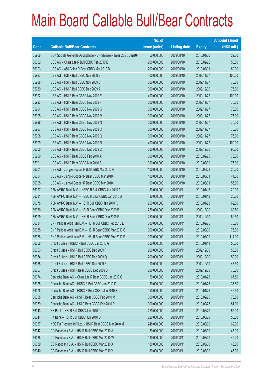|             |                                                                | No. of        |                     |               | <b>Amount raised</b> |
|-------------|----------------------------------------------------------------|---------------|---------------------|---------------|----------------------|
| <b>Code</b> | <b>Callable Bull/Bear Contracts</b>                            | issue (units) | <b>Listing date</b> | <b>Expiry</b> | $(HK$$ mil.)         |
| 65966       | SGA Societe Generale Acceptance NV - Shimao R Bear CBBC Jan10F | 50,000,000    | 2009/08/10          | 2010/01/20    | 22.00                |
| 66002       | UBS AG - China Life R Bull CBBC Feb 2010 E                     | 200,000,000   | 2009/08/10          | 2010/02/22    | 50.00                |
| 66003       | UBS AG - A50 China R Bear CBBC Mar 2010 B                      | 200,000,000   | 2009/08/10          | 2010/03/01    | 89.00                |
| 65987       | UBS AG - HSI R Bull CBBC Nov 2009 B                            | 400,000,000   | 2009/08/10          | 2009/11/27    | 100.00               |
| 65988       | UBS AG - HSI R Bull CBBC Nov 2009 C                            | 300,000,000   | 2009/08/10          | 2009/11/27    | 75.00                |
| 65989       | UBS AG - HSI R Bull CBBC Dec 2009 A                            | 300,000,000   | 2009/08/10          | 2009/12/30    | 75.00                |
| 65992       | UBS AG - HSI R Bear CBBC Nov 2009 E                            | 400,000,000   | 2009/08/10          | 2009/11/27    | 100.00               |
| 65993       | UBS AG - HSI R Bear CBBC Nov 2009 F                            | 300,000,000   | 2009/08/10          | 2009/11/27    | 75.00                |
| 65994       | UBS AG - HSI R Bear CBBC Nov 2009 G                            | 300,000,000   | 2009/08/10          | 2009/11/27    | 75.00                |
| 65995       | UBS AG - HSI R Bear CBBC Nov 2009 M                            | 300,000,000   | 2009/08/10          | 2009/11/27    | 75.00                |
| 65996       | UBS AG - HSI R Bear CBBC Nov 2009 N                            | 300,000,000   | 2009/08/10          | 2009/11/27    | 75.00                |
| 65997       | UBS AG - HSI R Bear CBBC Nov 2009 O                            | 300,000,000   | 2009/08/10          | 2009/11/27    | 75.00                |
| 65998       | UBS AG - HSI R Bear CBBC Nov 2009 Q                            | 300,000,000   | 2009/08/10          | 2009/11/27    | 75.00                |
| 65999       | UBS AG - HSI R Bear CBBC Nov 2009 R                            | 400,000,000   | 2009/08/10          | 2009/11/27    | 100.00               |
| 66000       | UBS AG - HSI R Bear CBBC Dec 2009 C                            | 300,000,000   | 2009/08/10          | 2009/12/30    | 90.00                |
| 65990       | UBS AG - HSI R Bear CBBC Feb 2010 A                            | 300,000,000   | 2009/08/10          | 2010/02/25    | 75.00                |
| 65991       | UBS AG - HSI R Bear CBBC Mar 2010 S                            | 300,000,000   | 2009/08/10          | 2010/03/30    | 75.00                |
| 66001       | UBS AG - Jiangxi Copper R Bull CBBC Mar 2010 G                 | 100,000,000   | 2009/08/10          | 2010/03/01    | 26.00                |
| 66004       | UBS AG - Jiangxi Copper R Bear CBBC Mar 2010 H                 | 100,000,000   | 2009/08/10          | 2010/03/01    | 44.50                |
| 66005       | UBS AG - Jiangxi Copper R Bear CBBC Mar 2010 I                 | 100,000,000   | 2009/08/10          | 2010/03/01    | 55.00                |
| 66077       | ABN AMRO Bank N.V. - HSBC R Bull CBBC Jan 2010 A               | 80,000,000    | 2009/08/11          | 2010/01/18    | 20.00                |
| 66081       | ABN AMRO Bank N.V. - HSBC R Bear CBBC Jan 2010 B               | 80,000,000    | 2009/08/11          | 2010/01/18    | 20.00                |
| 66078       | ABN AMRO Bank N.V. - HSI R Bull CBBC Jan 2010 R                | 250,000,000   | 2009/08/11          | 2010/01/28    | 62.50                |
| 66080       | ABN AMRO Bank N.V. - HSI R Bear CBBC Dec 2009 B                | 250,000,000   | 2009/08/11          | 2009/12/30    | 62.50                |
| 66079       | ABN AMRO Bank N.V. - HSI R Bear CBBC Dec 2009 P                | 250,000,000   | 2009/08/11          | 2009/12/30    | 62.50                |
| 66034       | BNP Paribas Arbit Issu B.V. - HSI R Bull CBBC Feb 2010 E       | 300,000,000   | 2009/08/11          | 2010/02/25    | 75.00                |
| 66035       | BNP Paribas Arbit Issu B.V. - HSI R Bear CBBC Mar 2010 O       | 300,000,000   | 2009/08/11          | 2010/03/30    | 75.00                |
| 66036       | BNP Paribas Arbit Issu B.V. - HSI R Bear CBBC Mar 2010 P       | 300,000,000   | 2009/08/11          | 2010/03/30    | 114.00               |
| 66056       | Credit Suisse - HSBC R Bull CBBC Jan 2010 G                    | 200,000,000   | 2009/08/11          | 2010/01/11    | 50.00                |
| 66053       | Credit Suisse - HSI R Bull CBBC Dec 2009 P                     | 200,000,000   | 2009/08/11          | 2009/12/30    | 50.00                |
| 66054       | Credit Suisse - HSI R Bull CBBC Dec 2009 Q                     | 200,000,000   | 2009/08/11          | 2009/12/30    | 50.00                |
| 66055       | Credit Suisse - HSI R Bull CBBC Dec 2009 R                     | 190,000,000   | 2009/08/11          | 2009/12/30    | 47.50                |
| 66057       | Credit Suisse - HSI R Bear CBBC Dec 2009 S                     | 200,000,000   | 2009/08/11          | 2009/12/30    | 76.00                |
| 66074       | Deutsche Bank AG - China Life R Bear CBBC Jan 2010 G           | 150,000,000   | 2009/08/11          | 2010/01/26    | 67.50                |
| 66075       | Deutsche Bank AG - HSBC R Bull CBBC Jan 2010 D                 | 150,000,000   | 2009/08/11          | 2010/01/26    | 37.50                |
| 66076       | Deutsche Bank AG - HSBC R Bear CBBC Jan 2010 E                 | 150,000,000   | 2009/08/11          | 2010/01/26    | 46.50                |
| 66058       | Deutsche Bank AG - HSI R Bear CBBC Feb 2010 M                  | 300,000,000   | 2009/08/11          | 2010/02/25    | 75.00                |
| 66059       | Deutsche Bank AG - HSI R Bear CBBC Feb 2010 R                  | 300,000,000   | 2009/08/11          | 2010/02/25    | 81.00                |
| 66043       | HK Bank - HSI R Bull CBBC Jun 2010 C                           | 220,000,000   | 2009/08/11          | 2010/06/29    | 55.00                |
| 66044       | HK Bank - HSI R Bull CBBC Jun 2010 D                           | 220,000,000   | 2009/08/11          | 2010/06/29    | 55.00                |
| 66037       | KBC Fin Products Int'l Ltd. - HSI R Bear CBBC Mar 2010 M       | 248,000,000   | 2009/08/11          | 2010/03/30    | 62.00                |
| 66042       | CC Rabobank B.A. - HSI R Bull CBBC Mar 2010 A                  | 180,000,000   | 2009/08/11          | 2010/03/30    | 45.00                |
| 66038       | CC Rabobank B.A. - HSI R Bull CBBC Mar 2010 W                  | 180,000,000   | 2009/08/11          | 2010/03/30    | 45.00                |
| 66039       | CC Rabobank B.A. - HSI R Bull CBBC Mar 2010 X                  | 180,000,000   | 2009/08/11          | 2010/03/30    | 45.00                |
| 66040       | CC Rabobank B.A. - HSI R Bull CBBC Mar 2010 Y                  | 180,000,000   | 2009/08/11          | 2010/03/30    | 45.00                |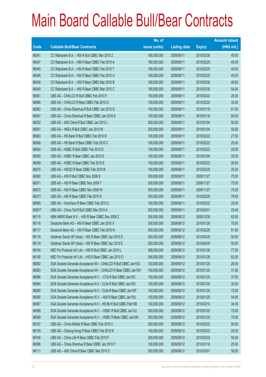|             |                                                                | No. of        |                     |               | <b>Amount raised</b> |
|-------------|----------------------------------------------------------------|---------------|---------------------|---------------|----------------------|
| <b>Code</b> | <b>Callable Bull/Bear Contracts</b>                            | issue (units) | <b>Listing date</b> | <b>Expiry</b> | (HK\$ mil.)          |
| 66041       | CC Rabobank B.A. - HSI R Bull CBBC Mar 2010 Z                  | 180,000,000   | 2009/08/11          | 2010/03/30    | 45.00                |
| 66047       | CC Rabobank B.A. - HSI R Bear CBBC Feb 2010 A                  | 180,000,000   | 2009/08/11          | 2010/02/25    | 45.00                |
| 66045       | CC Rabobank B.A. - HSI R Bear CBBC Feb 2010 T                  | 180,000,000   | 2009/08/11          | 2010/02/25    | 45.00                |
| 66046       | CC Rabobank B.A. - HSI R Bear CBBC Feb 2010 U                  | 180,000,000   | 2009/08/11          | 2010/02/25    | 45.00                |
| 66048       | CC Rabobank B.A. - HSI R Bear CBBC Mar 2010 B                  | 180,000,000   | 2009/08/11          | 2010/03/30    | 48.60                |
| 66049       | CC Rabobank B.A. - HSI R Bear CBBC Mar 2010 C                  | 180,000,000   | 2009/08/11          | 2010/03/30    | 54.00                |
| 66061       | UBS AG - CHALCO R Bull CBBC Feb 2010 F                         | 100,000,000   | 2009/08/11          | 2010/02/22    | 25.00                |
| 66066       | UBS AG - CHALCO R Bear CBBC Feb 2010 G                         | 100,000,000   | 2009/08/11          | 2010/02/22    | 35.00                |
| 66062       | UBS AG - China Shenhua R Bull CBBC Jan 2010 D                  | 100,000,000   | 2009/08/11          | 2010/01/18    | 61.00                |
| 66067       | UBS AG - China Shenhua R Bear CBBC Jan 2010 E                  | 100,000,000   | 2009/08/11          | 2010/01/18    | 85.00                |
| 66052       | UBS AG - A50 China R Bull CBBC Jan 2010 L                      | 200,000,000   | 2009/08/11          | 2010/01/04    | 50.00                |
| 66051       | UBS AG - HKEx R Bull CBBC Jan 2010 M                           | 200,000,000   | 2009/08/11          | 2010/01/04    | 50.00                |
| 66063       | UBS AG - HS Bank R Bull CBBC Feb 2010 B                        | 100,000,000   | 2009/08/11          | 2010/02/22    | 27.50                |
| 66068       | UBS AG - HS Bank R Bear CBBC Feb 2010 C                        | 100,000,000   | 2009/08/11          | 2010/02/22    | 25.00                |
| 66064       | UBS AG - HSBC R Bull CBBC Feb 2010 D                           | 100,000,000   | 2009/08/11          | 2010/02/22    | 25.00                |
| 66050       | UBS AG - HSBC R Bear CBBC Jan 2010 E                           | 100,000,000   | 2009/08/11          | 2010/01/04    | 25.00                |
| 66069       | UBS AG - HSBC R Bear CBBC Feb 2010 E                           | 100,000,000   | 2009/08/11          | 2010/02/22    | 26.50                |
| 66070       | UBS AG - HSCEI R Bear CBBC Feb 2010 N                          | 100,000,000   | 2009/08/11          | 2010/02/25    | 25.00                |
| 66060       | UBS AG - HSI R Bull CBBC Nov 2009 S                            | 300,000,000   | 2009/08/11          | 2009/11/27    | 75.00                |
| 66071       | UBS AG - HSI R Bear CBBC Nov 2009 T                            | 300,000,000   | 2009/08/11          | 2009/11/27    | 75.00                |
| 66072       | UBS AG - HSI R Bear CBBC Nov 2009 W                            | 300,000,000   | 2009/08/11          | 2009/11/27    | 75.00                |
| 66073       | UBS AG - HSI R Bear CBBC Feb 2010 H                            | 300,000,000   | 2009/08/11          | 2010/02/25    | 79.50                |
| 66065       | UBS AG - Hutchison R Bear CBBC Feb 2010 C                      | 100,000,000   | 2009/08/11          | 2010/02/22    | 25.00                |
| 65551#      | UBS AG - China Tel R Bull CBBC Mar 2010 A                      | 200,000,000   | 2009/08/11          | 2010/03/01    | 23.40                |
| 66115       | ABN AMRO Bank N.V. - HSI R Bear CBBC Dec 2009 Z                | 250,000,000   | 2009/08/12          | 2009/12/30    | 62.50                |
| 66116       | Deutsche Bank AG - HSI R Bear CBBC Jan 2010 X                  | 300,000,000   | 2009/08/12          | 2010/01/28    | 75.00                |
| 66117       | Deutsche Bank AG - HSI R Bear CBBC Feb 2010 N                  | 300,000,000   | 2009/08/12          | 2010/02/25    | 81.00                |
| 66118       | Goldman Sachs SP (Asia) - HSI R Bear CBBC Apr 2010 D           | 200,000,000   | 2009/08/12          | 2010/04/29    | 50.00                |
| 66119       | Goldman Sachs SP (Asia) - HSI R Bear CBBC Apr 2010 E           | 200,000,000   | 2009/08/12          | 2010/04/29    | 50.00                |
| 66104       | KBC Fin Products Int'l Ltd. - HSI R Bull CBBC Jan 2010 L       | 308,000,000   | 2009/08/12          | 2010/01/28    | 77.00                |
| 66108       | KBC Fin Products Int'l Ltd. - HSI R Bear CBBC Jan 2010 O       | 248,000,000   | 2009/08/12          | 2010/01/28    | 62.00                |
| 66082       | SGA Societe Generale Acceptance NV - CHALCO R Bull CBBC Jan10G | 100,000,000   | 2009/08/12          | 2010/01/20    | 28.00                |
| 66083       | SGA Societe Generale Acceptance NV - CHALCO R Bear CBBC Jan10H | 100,000,000   | 2009/08/12          | 2010/01/20    | 31.00                |
| 66086       | SGA Societe Generale Acceptance N.V. - CTel R Bull CBBC Jan10C | 150,000,000   | 2009/08/12          | 2010/01/20    | 37.50                |
| 66084       | SGA Societe Generale Acceptance N.V - CLife R Bull CBBC Jan10O | 100,000,000   | 2009/08/12          | 2010/01/20    | 32.00                |
| 66085       | SGA Societe Generale Acceptance N.V - CLife R Bear CBBC Jan10P | 100,000,000   | 2009/08/12          | 2010/01/20    | 72.00                |
| 66090       | SGA Societe Generale Acceptance N.V. - A50 R Bear CBBC Jan10U  | 150,000,000   | 2009/08/12          | 2010/01/20    | 54.00                |
| 66087       | SGA Societe Generale Acceptance N.V - HS Bk R Bull CBBC Feb10B | 100,000,000   | 2009/08/12          | 2010/02/10    | 34.00                |
| 66088       | SGA Societe Generale Acceptance N.V. - HSBC R Bull CBBC Jan10J | 300,000,000   | 2009/08/12          | 2010/01/20    | 75.00                |
| 66089       | SGA Societe Generale Acceptance N.V. - HSBC R Bear CBBC Jan10K | 300,000,000   | 2009/08/12          | 2010/01/20    | 75.00                |
| 66107       | UBS AG - China Mobile R Bear CBBC Feb 2010 C                   | 200,000,000   | 2009/08/12          | 2010/02/22    | 50.00                |
| 66105       | UBS AG - Cheung Kong R Bear CBBC Feb 2010 K                    | 100,000,000   | 2009/08/12          | 2010/02/22    | 25.00                |
| 66106       | UBS AG - China Life R Bear CBBC Feb 2010 F                     | 200,000,000   | 2009/08/12          | 2010/02/22    | 50.00                |
| 66096       | UBS AG - China Shenhua R Bear CBBC Jan 2010 F                  | 100,000,000   | 2009/08/12          | 2010/01/18    | 25.00                |
| 66111       | UBS AG - A50 China R Bear CBBC Mar 2010 C                      | 200,000,000   | 2009/08/12          | 2010/03/01    | 50.00                |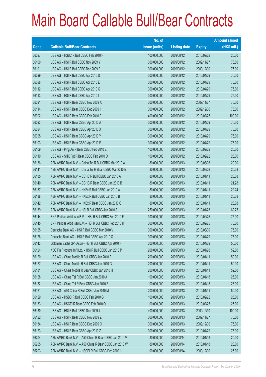|       |                                                          | No. of        |                     |               | <b>Amount raised</b> |
|-------|----------------------------------------------------------|---------------|---------------------|---------------|----------------------|
| Code  | <b>Callable Bull/Bear Contracts</b>                      | issue (units) | <b>Listing date</b> | <b>Expiry</b> | $(HK$$ mil.)         |
| 66097 | UBS AG - HSBC R Bull CBBC Feb 2010 F                     | 100,000,000   | 2009/08/12          | 2010/02/22    | 25.00                |
| 66100 | UBS AG - HSI R Bull CBBC Nov 2009 Y                      | 300,000,000   | 2009/08/12          | 2009/11/27    | 75.00                |
| 66101 | UBS AG - HSI R Bull CBBC Dec 2009 E                      | 300,000,000   | 2009/08/12          | 2009/12/30    | 75.00                |
| 66099 | UBS AG - HSI R Bull CBBC Apr 2010 D                      | 300,000,000   | 2009/08/12          | 2010/04/29    | 75.00                |
| 66098 | UBS AG - HSI R Bull CBBC Apr 2010 E                      | 300,000,000   | 2009/08/12          | 2010/04/29    | 75.00                |
| 66112 | UBS AG - HSI R Bull CBBC Apr 2010 G                      | 300,000,000   | 2009/08/12          | 2010/04/29    | 75.00                |
| 66113 | UBS AG - HSI R Bull CBBC Apr 2010 I                      | 300,000,000   | 2009/08/12          | 2010/04/29    | 75.00                |
| 66091 | UBS AG - HSI R Bear CBBC Nov 2009 X                      | 300,000,000   | 2009/08/12          | 2009/11/27    | 75.00                |
| 66114 | UBS AG - HSI R Bear CBBC Dec 2009 I                      | 300,000,000   | 2009/08/12          | 2009/12/30    | 75.00                |
| 66092 | UBS AG - HSI R Bear CBBC Feb 2010 E                      | 400,000,000   | 2009/08/12          | 2010/02/25    | 100.00               |
| 66093 | UBS AG - HSI R Bear CBBC Apr 2010 A                      | 300,000,000   | 2009/08/12          | 2010/04/29    | 75.00                |
| 66094 | UBS AG - HSI R Bear CBBC Apr 2010 X                      | 300,000,000   | 2009/08/12          | 2010/04/29    | 75.00                |
| 66095 | UBS AG - HSI R Bear CBBC Apr 2010 Y                      | 300,000,000   | 2009/08/12          | 2010/04/29    | 75.00                |
| 66103 | UBS AG - HSI R Bear CBBC Apr 2010 F                      | 300,000,000   | 2009/08/12          | 2010/04/29    | 75.00                |
| 66109 | UBS AG - Ping An R Bear CBBC Feb 2010 E                  | 100,000,000   | 2009/08/12          | 2010/02/22    | 25.00                |
| 66110 | UBS AG - SHK Ppt R Bear CBBC Feb 2010 O                  | 100,000,000   | 2009/08/12          | 2010/02/22    | 25.00                |
| 66136 | ABN AMRO Bank N.V. - China Tel R Bull CBBC Mar 2010 A    | 80,000,000    | 2009/08/13          | 2010/03/08    | 20.00                |
| 66141 | ABN AMRO Bank N.V. - China Tel R Bear CBBC Mar 2010 B    | 80,000,000    | 2009/08/13          | 2010/03/08    | 20.08                |
| 66135 | ABN AMRO Bank N.V. - CCHC R Bull CBBC Jan 2010 A         | 80,000,000    | 2009/08/13          | 2010/01/11    | 20.08                |
| 66140 | ABN AMRO Bank N.V. - CCHC R Bear CBBC Jan 2010 B         | 80,000,000    | 2009/08/13          | 2010/01/11    | 21.28                |
| 66137 | ABN AMRO Bank N.V. - HKEx R Bull CBBC Jan 2010 A         | 80,000,000    | 2009/08/13          | 2010/01/11    | 22.24                |
| 66138 | ABN AMRO Bank N.V. - HKEx R Bull CBBC Jan 2010 B         | 80,000,000    | 2009/08/13          | 2010/01/11    | 20.08                |
| 66142 | ABN AMRO Bank N.V. - HKEx R Bear CBBC Jan 2010 C         | 80,000,000    | 2009/08/13          | 2010/01/11    | 20.08                |
| 66139 | ABN AMRO Bank N.V. - HSI R Bull CBBC Jan 2010 S          | 250,000,000   | 2009/08/13          | 2010/01/28    | 62.75                |
| 66144 | BNP Paribas Arbit Issu B.V. - HSI R Bull CBBC Feb 2010 F | 300,000,000   | 2009/08/13          | 2010/02/25    | 75.00                |
| 66145 | BNP Paribas Arbit Issu B.V. - HSI R Bull CBBC Feb 2010 H | 300,000,000   | 2009/08/13          | 2010/02/25    | 75.00                |
| 66125 | Deutsche Bank AG - HSI R Bull CBBC Mar 2010 V            | 300,000,000   | 2009/08/13          | 2010/03/30    | 75.00                |
| 66126 | Deutsche Bank AG - HSI R Bull CBBC Apr 2010 Q            | 300,000,000   | 2009/08/13          | 2010/04/29    | 75.00                |
| 66143 | Goldman Sachs SP (Asia) - HSI R Bull CBBC Apr 2010 F     | 200,000,000   | 2009/08/13          | 2010/04/29    | 50.00                |
| 66124 | KBC Fin Products Int'l Ltd. - HSI R Bull CBBC Jan 2010 P | 208,000,000   | 2009/08/13          | 2010/01/28    | 52.00                |
| 66120 | UBS AG - China Mobile R Bull CBBC Jan 2010 F             | 200,000,000   | 2009/08/13          | 2010/01/11    | 50.00                |
| 66127 | UBS AG - China Mobile R Bull CBBC Jan 2010 G             | 200,000,000   | 2009/08/13          | 2010/01/11    | 50.00                |
| 66131 | UBS AG - China Mobile R Bear CBBC Jan 2010 H             | 200,000,000   | 2009/08/13          | 2010/01/11    | 52.00                |
| 66128 | UBS AG - China Tel R Bull CBBC Jan 2010 A                | 100,000,000   | 2009/08/13          | 2010/01/18    | 25.00                |
| 66132 | UBS AG - China Tel R Bear CBBC Jan 2010 B                | 100,000,000   | 2009/08/13          | 2010/01/18    | 25.00                |
| 66121 | UBS AG - A50 China R Bull CBBC Jan 2010 M                | 200,000,000   | 2009/08/13          | 2010/01/11    | 50.00                |
| 66129 | UBS AG - HSBC R Bull CBBC Feb 2010 G                     | 100,000,000   | 2009/08/13          | 2010/02/22    | 25.00                |
| 66133 | UBS AG - HSCEI R Bear CBBC Feb 2010 O                    | 100,000,000   | 2009/08/13          | 2010/02/25    | 25.00                |
| 66130 | UBS AG - HSI R Bull CBBC Dec 2009 J                      | 400,000,000   | 2009/08/13          | 2009/12/30    | 100.00               |
| 66122 | UBS AG - HSI R Bear CBBC Nov 2009 Z                      | 300,000,000   | 2009/08/13          | 2009/11/27    | 75.00                |
| 66134 | UBS AG - HSI R Bear CBBC Dec 2009 O                      | 300,000,000   | 2009/08/13          | 2009/12/30    | 75.00                |
| 66123 | UBS AG - HSI R Bear CBBC Apr 2010 Z                      | 300,000,000   | 2009/08/13          | 2010/04/29    | 75.00                |
| 66204 | ABN AMRO Bank N.V. - A50 China R Bear CBBC Jan 2010 V    | 80,000,000    | 2009/08/14          | 2010/01/18    | 20.00                |
| 66205 | ABN AMRO Bank N.V. - A50 China R Bear CBBC Jan 2010 W    | 80,000,000    | 2009/08/14          | 2010/01/18    | 20.00                |
| 66203 | ABN AMRO Bank N.V. - HSCEI R Bull CBBC Dec 2009 L        | 100,000,000   | 2009/08/14          | 2009/12/30    | 25.00                |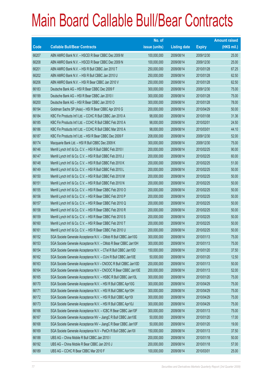|       |                                                                | No. of        |                     |               | <b>Amount raised</b> |
|-------|----------------------------------------------------------------|---------------|---------------------|---------------|----------------------|
| Code  | <b>Callable Bull/Bear Contracts</b>                            | issue (units) | <b>Listing date</b> | <b>Expiry</b> | (HK\$ mil.)          |
| 66207 | ABN AMRO Bank N.V. - HSCEI R Bear CBBC Dec 2009 M              | 100,000,000   | 2009/08/14          | 2009/12/30    | 25.00                |
| 66208 | ABN AMRO Bank N.V. - HSCEI R Bear CBBC Dec 2009 N              | 100,000,000   | 2009/08/14          | 2009/12/30    | 25.00                |
| 66201 | ABN AMRO Bank N.V. - HSI R Bull CBBC Jan 2010 T                | 250,000,000   | 2009/08/14          | 2010/01/28    | 67.25                |
| 66202 | ABN AMRO Bank N.V. - HSI R Bull CBBC Jan 2010 U                | 250,000,000   | 2009/08/14          | 2010/01/28    | 62.50                |
| 66206 | ABN AMRO Bank N.V. - HSI R Bear CBBC Jan 2010 V                | 250,000,000   | 2009/08/14          | 2010/01/28    | 62.50                |
| 66183 | Deutsche Bank AG - HSI R Bear CBBC Dec 2009 F                  | 300,000,000   | 2009/08/14          | 2009/12/30    | 75.00                |
| 66199 | Deutsche Bank AG - HSI R Bear CBBC Jan 2010 I                  | 300,000,000   | 2009/08/14          | 2010/01/28    | 75.00                |
| 66200 | Deutsche Bank AG - HSI R Bear CBBC Jan 2010 O                  | 300,000,000   | 2009/08/14          | 2010/01/28    | 78.00                |
| 66194 | Goldman Sachs SP (Asia) - HSI R Bear CBBC Apr 2010 G           | 200,000,000   | 2009/08/14          | 2010/04/29    | 50.00                |
| 66184 | KBC Fin Products Int'l Ltd. - CCHC R Bull CBBC Jan 2010 A      | 98,000,000    | 2009/08/14          | 2010/01/08    | 31.36                |
| 66185 | KBC Fin Products Int'l Ltd. - CCHC R Bull CBBC Feb 2010 A      | 98,000,000    | 2009/08/14          | 2010/02/01    | 24.50                |
| 66186 | KBC Fin Products Int'l Ltd. - CCHC R Bull CBBC Mar 2010 A      | 98,000,000    | 2009/08/14          | 2010/03/01    | 44.10                |
| 66187 | KBC Fin Products Int'l Ltd. - HSI R Bear CBBC Dec 2009 F       | 208,000,000   | 2009/08/14          | 2009/12/30    | 52.00                |
| 66174 | Macquarie Bank Ltd. - HSI R Bull CBBC Dec 2009 K               | 300,000,000   | 2009/08/14          | 2009/12/30    | 75.00                |
| 66146 | Merrill Lynch Int'l & Co. C.V. - HSI R Bull CBBC Feb 2010 I    | 200,000,000   | 2009/08/14          | 2010/02/25    | 90.00                |
| 66147 | Merrill Lynch Int'l & Co. C.V. - HSI R Bull CBBC Feb 2010 J    | 200,000,000   | 2009/08/14          | 2010/02/25    | 60.00                |
| 66148 | Merrill Lynch Int'l & Co. C.V. - HSI R Bull CBBC Feb 2010 K    | 200,000,000   | 2009/08/14          | 2010/02/25    | 51.00                |
| 66149 | Merrill Lynch Int'l & Co. C.V. - HSI R Bull CBBC Feb 2010 L    | 200,000,000   | 2009/08/14          | 2010/02/25    | 50.00                |
| 66150 | Merrill Lynch Int'l & Co. C.V. - HSI R Bull CBBC Feb 2010 M    | 200,000,000   | 2009/08/14          | 2010/02/25    | 50.00                |
| 66151 | Merrill Lynch Int'l & Co. C.V. - HSI R Bull CBBC Feb 2010 N    | 200,000,000   | 2009/08/14          | 2010/02/25    | 50.00                |
| 66155 | Merrill Lynch Int'l & Co. C.V. - HSI R Bear CBBC Feb 2010 O    | 200,000,000   | 2009/08/14          | 2010/02/25    | 50.00                |
| 66156 | Merrill Lynch Int'l & Co. C.V. - HSI R Bear CBBC Feb 2010 P    | 200,000,000   | 2009/08/14          | 2010/02/25    | 50.00                |
| 66157 | Merrill Lynch Int'l & Co. C.V. - HSI R Bear CBBC Feb 2010 Q    | 200,000,000   | 2009/08/14          | 2010/02/25    | 50.00                |
| 66158 | Merrill Lynch Int'l & Co. C.V. - HSI R Bear CBBC Feb 2010 R    | 200,000,000   | 2009/08/14          | 2010/02/25    | 50.00                |
| 66159 | Merrill Lynch Int'l & Co. C.V. - HSI R Bear CBBC Feb 2010 S    | 200,000,000   | 2009/08/14          | 2010/02/25    | 50.00                |
| 66160 | Merrill Lynch Int'l & Co. C.V. - HSI R Bear CBBC Feb 2010 T    | 200,000,000   | 2009/08/14          | 2010/02/25    | 50.00                |
| 66161 | Merrill Lynch Int'l & Co. C.V. - HSI R Bear CBBC Feb 2010 U    | 200,000,000   | 2009/08/14          | 2010/02/25    | 50.00                |
| 66152 | SGA Societe Generale Acceptance N.V. - CMob R Bull CBBC Jan10G | 300,000,000   | 2009/08/14          | 2010/01/13    | 75.00                |
| 66153 | SGA Societe Generale Acceptance N.V. - CMob R Bear CBBC Jan10H | 300,000,000   | 2009/08/14          | 2010/01/13    | 75.00                |
| 66154 | SGA Societe Generale Acceptance N.V. - CTel R Bull CBBC Jan10D | 150,000,000   | 2009/08/14          | 2010/01/20    | 37.50                |
| 66162 | SGA Societe Generale Acceptance N.V. - CUni R Bull CBBC Jan10E | 50,000,000    | 2009/08/14          | 2010/01/20    | 12.50                |
| 66163 | SGA Societe Generale Acceptance N.V - CNOOC R Bull CBBC Jan10D | 200,000,000   | 2009/08/14          | 2010/01/13    | 50.00                |
| 66164 | SGA Societe Generale Acceptance N.V - CNOOC R Bear CBBC Jan10E | 200,000,000   | 2009/08/14          | 2010/01/13    | 52.00                |
| 66165 | SGA Societe Generale Acceptance N.V. - HSBC R Bull CBBC Jan10L | 300,000,000   | 2009/08/14          | 2010/01/20    | 75.00                |
| 66170 | SGA Societe Generale Acceptance N.V. - HSI R Bull CBBC Apr10G  | 300,000,000   | 2009/08/14          | 2010/04/29    | 75.00                |
| 66171 | SGA Societe Generale Acceptance N.V. - HSI R Bull CBBC Apr10H  | 300,000,000   | 2009/08/14          | 2010/04/29    | 75.00                |
| 66172 | SGA Societe Generale Acceptance N.V. - HSI R Bull CBBC Apr101  | 300,000,000   | 2009/08/14          | 2010/04/29    | 75.00                |
| 66173 | SGA Societe Generale Acceptance N.V. - HSI R Bull CBBC Apr10J  | 300,000,000   | 2009/08/14          | 2010/04/29    | 75.00                |
| 66166 | SGA Societe Generale Acceptance N.V. - ICBC R Bear CBBC Jan10F | 300,000,000   | 2009/08/14          | 2010/01/13    | 75.00                |
| 66167 | SGA Societe Generale Acceptance NV - JiangC R Bull CBBC Jan10E | 50,000,000    | 2009/08/14          | 2010/01/20    | 17.00                |
| 66168 | SGA Societe Generale Acceptance NV - JiangC R Bear CBBC Jan10F | 50,000,000    | 2009/08/14          | 2010/01/20    | 19.00                |
| 66169 | SGA Societe Generale Acceptance N.V - PetCh R Bull CBBC Jan10I | 150,000,000   | 2009/08/14          | 2010/01/13    | 37.50                |
| 66188 | UBS AG - China Mobile R Bull CBBC Jan 2010 I                   | 200,000,000   | 2009/08/14          | 2010/01/18    | 50.00                |
| 66192 | UBS AG - China Mobile R Bear CBBC Jan 2010 J                   | 200,000,000   | 2009/08/14          | 2010/01/18    | 57.00                |
| 66189 | UBS AG - CCHC R Bear CBBC Mar 2010 F                           | 100,000,000   | 2009/08/14          | 2010/03/01    | 25.00                |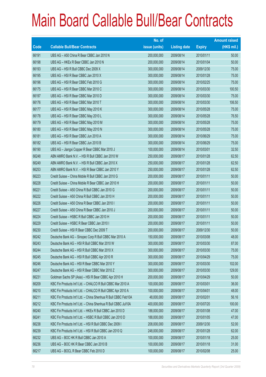|       |                                                                | No. of        |                     |               | <b>Amount raised</b> |
|-------|----------------------------------------------------------------|---------------|---------------------|---------------|----------------------|
| Code  | <b>Callable Bull/Bear Contracts</b>                            | issue (units) | <b>Listing date</b> | <b>Expiry</b> | $(HK$$ mil.)         |
| 66191 | UBS AG - A50 China R Bear CBBC Jan 2010 N                      | 200,000,000   | 2009/08/14          | 2010/01/11    | 50.00                |
| 66198 | UBS AG - HKEx R Bear CBBC Jan 2010 N                           | 200,000,000   | 2009/08/14          | 2010/01/04    | 50.00                |
| 66193 | UBS AG - HSI R Bull CBBC Dec 2009 X                            | 300,000,000   | 2009/08/14          | 2009/12/30    | 75.00                |
| 66195 | UBS AG - HSI R Bear CBBC Jan 2010 X                            | 300,000,000   | 2009/08/14          | 2010/01/28    | 75.00                |
| 66196 | UBS AG - HSI R Bear CBBC Feb 2010 G                            | 300,000,000   | 2009/08/14          | 2010/02/25    | 75.00                |
| 66175 | UBS AG - HSI R Bear CBBC Mar 2010 C                            | 300,000,000   | 2009/08/14          | 2010/03/30    | 100.50               |
| 66197 | UBS AG - HSI R Bear CBBC Mar 2010 D                            | 300,000,000   | 2009/08/14          | 2010/03/30    | 75.00                |
| 66176 | UBS AG - HSI R Bear CBBC Mar 2010 T                            | 300,000,000   | 2009/08/14          | 2010/03/30    | 106.50               |
| 66177 | UBS AG - HSI R Bear CBBC May 2010 K                            | 300,000,000   | 2009/08/14          | 2010/05/28    | 75.00                |
| 66178 | UBS AG - HSI R Bear CBBC May 2010 L                            | 300,000,000   | 2009/08/14          | 2010/05/28    | 76.50                |
| 66179 | UBS AG - HSI R Bear CBBC May 2010 M                            | 300,000,000   | 2009/08/14          | 2010/05/28    | 75.00                |
| 66180 | UBS AG - HSI R Bear CBBC May 2010 N                            | 300,000,000   | 2009/08/14          | 2010/05/28    | 75.00                |
| 66181 | UBS AG - HSI R Bear CBBC Jun 2010 A                            | 300,000,000   | 2009/08/14          | 2010/06/29    | 75.00                |
| 66182 | UBS AG - HSI R Bear CBBC Jun 2010 B                            | 300,000,000   | 2009/08/14          | 2010/06/29    | 75.00                |
| 66190 | UBS AG - Jiangxi Copper R Bear CBBC Mar 2010 J                 | 100,000,000   | 2009/08/14          | 2010/03/01    | 32.50                |
| 66248 | ABN AMRO Bank N.V. - HSI R Bull CBBC Jan 2010 W                | 250,000,000   | 2009/08/17          | 2010/01/28    | 62.50                |
| 66249 | ABN AMRO Bank N.V. - HSI R Bull CBBC Jan 2010 X                | 250,000,000   | 2009/08/17          | 2010/01/28    | 62.50                |
| 66253 | ABN AMRO Bank N.V. - HSI R Bear CBBC Jan 2010 Y                | 250,000,000   | 2009/08/17          | 2010/01/28    | 62.50                |
| 66223 | Credit Suisse - China Mobile R Bull CBBC Jan 2010 G            | 200,000,000   | 2009/08/17          | 2010/01/11    | 50.00                |
| 66228 | Credit Suisse - China Mobile R Bear CBBC Jan 2010 H            | 200,000,000   | 2009/08/17          | 2010/01/11    | 50.00                |
| 66221 | Credit Suisse - A50 China R Bull CBBC Jan 2010 G               | 200,000,000   | 2009/08/17          | 2010/01/11    | 50.00                |
| 66222 | Credit Suisse - A50 China R Bull CBBC Jan 2010 H               | 200,000,000   | 2009/08/17          | 2010/01/11    | 50.00                |
| 66226 | Credit Suisse - A50 China R Bear CBBC Jan 2010 I               | 200,000,000   | 2009/08/17          | 2010/01/11    | 50.00                |
| 66227 | Credit Suisse - A50 China R Bear CBBC Jan 2010 J               | 200,000,000   | 2009/08/17          | 2010/01/11    | 50.00                |
| 66224 | Credit Suisse - HSBC R Bull CBBC Jan 2010 H                    | 200,000,000   | 2009/08/17          | 2010/01/11    | 50.00                |
| 66229 | Credit Suisse - HSBC R Bear CBBC Jan 2010 I                    | 200,000,000   | 2009/08/17          | 2010/01/11    | 50.00                |
| 66230 | Credit Suisse - HSI R Bear CBBC Dec 2009 T                     | 200,000,000   | 2009/08/17          | 2009/12/30    | 50.00                |
| 66242 | Deutsche Bank AG - Sinopec Corp R Bull CBBC Mar 2010 A         | 150,000,000   | 2009/08/17          | 2010/03/08    | 48.00                |
| 66243 | Deutsche Bank AG - HSI R Bull CBBC Mar 2010 W                  | 300,000,000   | 2009/08/17          | 2010/03/30    | 87.00                |
| 66244 | Deutsche Bank AG - HSI R Bull CBBC Mar 2010 X                  | 300,000,000   | 2009/08/17          | 2010/03/30    | 75.00                |
| 66245 | Deutsche Bank AG - HSI R Bull CBBC Apr 2010 R                  | 300,000,000   | 2009/08/17          | 2010/04/29    | 75.00                |
| 66246 | Deutsche Bank AG - HSI R Bear CBBC Mar 2010 Y                  | 300,000,000   | 2009/08/17          | 2010/03/30    | 102.00               |
| 66247 | Deutsche Bank AG - HSI R Bear CBBC Mar 2010 Z                  | 300,000,000   | 2009/08/17          | 2010/03/30    | 129.00               |
| 66231 | Goldman Sachs SP (Asia) - HSI R Bear CBBC Apr 2010 H           | 200,000,000   | 2009/08/17          | 2010/04/29    | 50.00                |
| 66209 | KBC Fin Products Int'l Ltd. - CHALCO R Bull CBBC Mar 2010 A    | 100,000,000   | 2009/08/17          | 2010/03/01    | 36.00                |
| 66210 | KBC Fin Products Int'l Ltd. - CHALCO R Bull CBBC Apr 2010 A    | 100,000,000   | 2009/08/17          | 2010/04/01    | 48.00                |
| 66211 | KBC Fin Products Int'l Ltd. - China Shenhua R Bull CBBC Feb10A | 48,000,000    | 2009/08/17          | 2010/02/01    | 56.16                |
| 66212 | KBC Fin Products Int'l Ltd. - China Shenhua R Bull CBBC Jul10A | 400,000,000   | 2009/08/17          | 2010/07/20    | 100.00               |
| 66240 | KBC Fin Products Int'l Ltd. - HKEx R Bull CBBC Jan 2010 D      | 188,000,000   | 2009/08/17          | 2010/01/08    | 47.00                |
| 66241 | KBC Fin Products Int'l Ltd. - HSBC R Bull CBBC Jan 2010 D      | 188,000,000   | 2009/08/17          | 2010/01/05    | 47.00                |
| 66238 | KBC Fin Products Int'l Ltd. - HSI R Bull CBBC Dec 2009 I       | 208,000,000   | 2009/08/17          | 2009/12/30    | 52.00                |
| 66239 | KBC Fin Products Int'l Ltd. - HSI R Bull CBBC Jan 2010 Q       | 248,000,000   | 2009/08/17          | 2010/01/28    | 62.00                |
| 66232 | UBS AG - BOC HK R Bull CBBC Jan 2010 A                         | 100,000,000   | 2009/08/17          | 2010/01/18    | 25.00                |
| 66236 | UBS AG - BOC HK R Bear CBBC Jan 2010 B                         | 100,000,000   | 2009/08/17          | 2010/01/18    | 31.00                |
| 66217 | UBS AG - BOCL R Bear CBBC Feb 2010 D                           | 100,000,000   | 2009/08/17          | 2010/02/08    | 25.00                |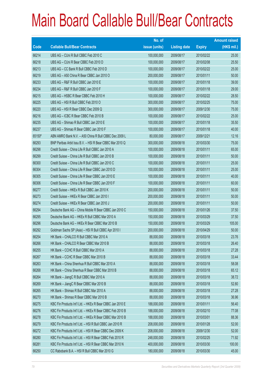|        |                                                           | No. of        |                     |               | <b>Amount raised</b> |
|--------|-----------------------------------------------------------|---------------|---------------------|---------------|----------------------|
| Code   | <b>Callable Bull/Bear Contracts</b>                       | issue (units) | <b>Listing date</b> | <b>Expiry</b> | $(HK$$ mil.)         |
| 66214  | UBS AG - CUni R Bull CBBC Feb 2010 C                      | 100,000,000   | 2009/08/17          | 2010/02/22    | 25.00                |
| 66218  | UBS AG - CUni R Bear CBBC Feb 2010 D                      | 100,000,000   | 2009/08/17          | 2010/02/08    | 25.50                |
| 66213  | UBS AG - CC Bank R Bull CBBC Feb 2010 D                   | 100,000,000   | 2009/08/17          | 2010/02/22    | 25.00                |
| 66219  | UBS AG - A50 China R Bear CBBC Jan 2010 O                 | 200,000,000   | 2009/08/17          | 2010/01/11    | 50.00                |
| 66233  | UBS AG - R&F R Bull CBBC Jan 2010 E                       | 100,000,000   | 2009/08/17          | 2010/01/18    | 39.00                |
| 66234  | UBS AG - R&F R Bull CBBC Jan 2010 F                       | 100,000,000   | 2009/08/17          | 2010/01/18    | 29.00                |
| 66215  | UBS AG - HSBC R Bear CBBC Feb 2010 H                      | 100,000,000   | 2009/08/17          | 2010/02/22    | 28.50                |
| 66225  | UBS AG - HSI R Bull CBBC Feb 2010 O                       | 300,000,000   | 2009/08/17          | 2010/02/25    | 75.00                |
| 66220  | UBS AG - HSI R Bear CBBC Dec 2009 Q                       | 300,000,000   | 2009/08/17          | 2009/12/30    | 75.00                |
| 66216  | UBS AG - ICBC R Bear CBBC Feb 2010 B                      | 100,000,000   | 2009/08/17          | 2010/02/22    | 25.00                |
| 66235  | UBS AG - Shimao R Bull CBBC Jan 2010 E                    | 100,000,000   | 2009/08/17          | 2010/01/18    | 35.50                |
| 66237  | UBS AG - Shimao R Bear CBBC Jan 2010 F                    | 100,000,000   | 2009/08/17          | 2010/01/18    | 40.00                |
| 65150# | ABN AMRO Bank N.V. - A50 China R Bull CBBC Dec 2009 L     | 80,000,000    | 2009/08/17          | 2009/12/21    | 12.16                |
| 66293  | BNP Paribas Arbit Issu B.V. - HSI R Bear CBBC Mar 2010 Q  | 300,000,000   | 2009/08/18          | 2010/03/30    | 75.00                |
| 66298  | Credit Suisse - China Life R Bull CBBC Jan 2010 A         | 100,000,000   | 2009/08/18          | 2010/01/11    | 65.00                |
| 66299  | Credit Suisse - China Life R Bull CBBC Jan 2010 B         | 100,000,000   | 2009/08/18          | 2010/01/11    | 50.00                |
| 66300  | Credit Suisse - China Life R Bull CBBC Jan 2010 C         | 100,000,000   | 2009/08/18          | 2010/01/11    | 25.00                |
| 66304  | Credit Suisse - China Life R Bear CBBC Jan 2010 D         | 100,000,000   | 2009/08/18          | 2010/01/11    | 25.00                |
| 66305  | Credit Suisse - China Life R Bear CBBC Jan 2010 E         | 100,000,000   | 2009/08/18          | 2010/01/11    | 40.00                |
| 66306  | Credit Suisse - China Life R Bear CBBC Jan 2010 F         | 100,000,000   | 2009/08/18          | 2010/01/11    | 60.00                |
| 66277  | Credit Suisse - HKEx R Bull CBBC Jan 2010 K               | 200,000,000   | 2009/08/18          | 2010/01/11    | 50.00                |
| 66273  | Credit Suisse - HKEx R Bear CBBC Jan 2010 I               | 200,000,000   | 2009/08/18          | 2010/01/11    | 50.00                |
| 66274  | Credit Suisse - HKEx R Bear CBBC Jan 2010 J               | 200,000,000   | 2009/08/18          | 2010/01/11    | 50.00                |
| 66294  | Deutsche Bank AG - China Mobile R Bear CBBC Jan 2010 C    | 150,000,000   | 2009/08/18          | 2010/01/26    | 37.50                |
| 66295  | Deutsche Bank AG - HKEx R Bull CBBC Mar 2010 A            | 150,000,000   | 2009/08/18          | 2010/03/29    | 37.50                |
| 66296  | Deutsche Bank AG - HKEx R Bear CBBC Mar 2010 B            | 150,000,000   | 2009/08/18          | 2010/03/29    | 105.00               |
| 66292  | Goldman Sachs SP (Asia) - HSI R Bull CBBC Apr 2010 I      | 200,000,000   | 2009/08/18          | 2010/04/29    | 50.00                |
| 66254  | HK Bank - CHALCO R Bull CBBC Mar 2010 A                   | 88,000,000    | 2009/08/18          | 2010/03/18    | 23.76                |
| 66266  | HK Bank - CHALCO R Bear CBBC Mar 2010 B                   | 88,000,000    | 2009/08/18          | 2010/03/18    | 26.40                |
| 66255  | HK Bank - CCHC R Bull CBBC Mar 2010 A                     | 88,000,000    | 2009/08/18          | 2010/03/18    | 27.28                |
| 66267  | HK Bank - CCHC R Bear CBBC Mar 2010 B                     | 88,000,000    | 2009/08/18          | 2010/03/18    | 33.44                |
| 66263  | HK Bank - China Shenhua R Bull CBBC Mar 2010 A            | 88,000,000    | 2009/08/18          | 2010/03/18    | 58.08                |
| 66268  | HK Bank – China Shenhua R Bear CBBC Mar 2010 B            | 88,000,000    | 2009/08/18          | 2010/03/18    | 65.12                |
| 66264  | HK Bank - JiangC R Bull CBBC Mar 2010 A                   | 88,000,000    | 2009/08/18          | 2010/03/18    | 38.72                |
| 66269  | HK Bank - JiangC R Bear CBBC Mar 2010 B                   | 88,000,000    | 2009/08/18          | 2010/03/18    | 52.80                |
| 66265  | HK Bank - Shimao R Bull CBBC Mar 2010 A                   | 88,000,000    | 2009/08/18          | 2010/03/18    | 27.28                |
| 66270  | HK Bank - Shimao R Bear CBBC Mar 2010 B                   | 88,000,000    | 2009/08/18          | 2010/03/18    | 36.96                |
| 66275  | KBC Fin Products Int'l Ltd. - HKEx R Bear CBBC Jan 2010 E | 188,000,000   | 2009/08/18          | 2010/01/11    | 56.40                |
| 66276  | KBC Fin Products Int'l Ltd. - HKEx R Bear CBBC Feb 2010 B | 188,000,000   | 2009/08/18          | 2010/02/10    | 77.08                |
| 66278  | KBC Fin Products Int'l Ltd. - HKEx R Bear CBBC Mar 2010 B | 188,000,000   | 2009/08/18          | 2010/03/01    | 88.36                |
| 66279  | KBC Fin Products Int'l Ltd. - HSI R Bull CBBC Jan 2010 R  | 208,000,000   | 2009/08/18          | 2010/01/28    | 52.00                |
| 66272  | KBC Fin Products Int'l Ltd. - HSI R Bear CBBC Dec 2009 K  | 208,000,000   | 2009/08/18          | 2009/12/30    | 52.00                |
| 66280  | KBC Fin Products Int'l Ltd. - HSI R Bear CBBC Feb 2010 R  | 248,000,000   | 2009/08/18          | 2010/02/25    | 71.92                |
| 66281  | KBC Fin Products Int'l Ltd. - HSI R Bear CBBC Mar 2010 N  | 400,000,000   | 2009/08/18          | 2010/03/30    | 100.00               |
| 66250  | CC Rabobank B.A. - HSI R Bull CBBC Mar 2010 G             | 180,000,000   | 2009/08/18          | 2010/03/30    | 45.00                |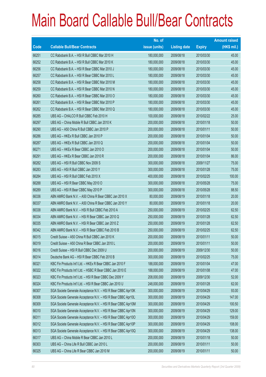|       |                                                               | No. of        |                     |               | <b>Amount raised</b> |
|-------|---------------------------------------------------------------|---------------|---------------------|---------------|----------------------|
| Code  | <b>Callable Bull/Bear Contracts</b>                           | issue (units) | <b>Listing date</b> | <b>Expiry</b> | $(HK$$ mil.)         |
| 66251 | CC Rabobank B.A. - HSI R Bull CBBC Mar 2010 H                 | 180,000,000   | 2009/08/18          | 2010/03/30    | 45.00                |
| 66252 | CC Rabobank B.A. - HSI R Bull CBBC Mar 2010 K                 | 180,000,000   | 2009/08/18          | 2010/03/30    | 45.00                |
| 66256 | CC Rabobank B.A. - HSI R Bear CBBC Mar 2010 J                 | 180,000,000   | 2009/08/18          | 2010/03/30    | 45.00                |
| 66257 | CC Rabobank B.A. - HSI R Bear CBBC Mar 2010 L                 | 180,000,000   | 2009/08/18          | 2010/03/30    | 45.00                |
| 66258 | CC Rabobank B.A. - HSI R Bear CBBC Mar 2010 M                 | 180,000,000   | 2009/08/18          | 2010/03/30    | 45.00                |
| 66259 | CC Rabobank B.A. - HSI R Bear CBBC Mar 2010 N                 | 180,000,000   | 2009/08/18          | 2010/03/30    | 45.00                |
| 66260 | CC Rabobank B.A. - HSI R Bear CBBC Mar 2010 O                 | 180,000,000   | 2009/08/18          | 2010/03/30    | 45.00                |
| 66261 | CC Rabobank B.A. - HSI R Bear CBBC Mar 2010 P                 | 180,000,000   | 2009/08/18          | 2010/03/30    | 45.00                |
| 66262 | CC Rabobank B.A. - HSI R Bear CBBC Mar 2010 Q                 | 180,000,000   | 2009/08/18          | 2010/03/30    | 45.00                |
| 66285 | UBS AG - CHALCO R Bull CBBC Feb 2010 H                        | 100,000,000   | 2009/08/18          | 2010/02/22    | 25.00                |
| 66297 | UBS AG - China Mobile R Bull CBBC Jan 2010 K                  | 200,000,000   | 2009/08/18          | 2010/01/18    | 50.00                |
| 66290 | UBS AG - A50 China R Bull CBBC Jan 2010 P                     | 200,000,000   | 2009/08/18          | 2010/01/11    | 50.00                |
| 66286 | UBS AG - HKEx R Bull CBBC Jan 2010 P                          | 200,000,000   | 2009/08/18          | 2010/01/04    | 50.00                |
| 66287 | UBS AG - HKEx R Bull CBBC Jan 2010 Q                          | 200,000,000   | 2009/08/18          | 2010/01/04    | 50.00                |
| 66271 | UBS AG - HKEx R Bear CBBC Jan 2010 O                          | 200,000,000   | 2009/08/18          | 2010/01/04    | 50.00                |
| 66291 | UBS AG - HKEx R Bear CBBC Jan 2010 R                          | 200,000,000   | 2009/08/18          | 2010/01/04    | 86.00                |
| 66282 | UBS AG - HSI R Bull CBBC Nov 2009 S                           | 300,000,000   | 2009/08/18          | 2009/11/27    | 75.00                |
| 66283 | UBS AG - HSI R Bull CBBC Jan 2010 Y                           | 300,000,000   | 2009/08/18          | 2010/01/28    | 75.00                |
| 66284 | UBS AG - HSI R Bull CBBC Feb 2010 X                           | 400,000,000   | 2009/08/18          | 2010/02/25    | 100.00               |
| 66288 | UBS AG - HSI R Bear CBBC May 2010 O                           | 300,000,000   | 2009/08/18          | 2010/05/28    | 75.00                |
| 66289 | UBS AG - HSI R Bear CBBC May 2010 P                           | 300,000,000   | 2009/08/18          | 2010/05/28    | 88.50                |
| 66336 | ABN AMRO Bank N.V. - A50 China R Bear CBBC Jan 2010 X         | 80,000,000    | 2009/08/19          | 2010/01/18    | 20.00                |
| 66337 | ABN AMRO Bank N.V. - A50 China R Bear CBBC Jan 2010 Y         | 80,000,000    | 2009/08/19          | 2010/01/18    | 20.00                |
| 66338 | ABN AMRO Bank N.V. - HSI R Bull CBBC Feb 2010 A               | 250,000,000   | 2009/08/19          | 2010/02/25    | 62.50                |
| 66334 | ABN AMRO Bank N.V. - HSI R Bear CBBC Jan 2010 Q               | 250,000,000   | 2009/08/19          | 2010/01/28    | 62.50                |
| 66335 | ABN AMRO Bank N.V. - HSI R Bear CBBC Jan 2010 Z               | 250,000,000   | 2009/08/19          | 2010/01/28    | 62.50                |
| 66342 | ABN AMRO Bank N.V. - HSI R Bear CBBC Feb 2010 B               | 250,000,000   | 2009/08/19          | 2010/02/25    | 62.50                |
| 66315 | Credit Suisse - A50 China R Bull CBBC Jan 2010 K              | 200,000,000   | 2009/08/19          | 2010/01/11    | 50.00                |
| 66319 | Credit Suisse - A50 China R Bear CBBC Jan 2010 L              | 200,000,000   | 2009/08/19          | 2010/01/11    | 50.00                |
| 66316 | Credit Suisse - HSI R Bull CBBC Dec 2009 U                    | 200,000,000   | 2009/08/19          | 2009/12/30    | 50.00                |
| 66314 | Deutsche Bank AG - HSI R Bear CBBC Feb 2010 B                 | 300,000,000   | 2009/08/19          | 2010/02/25    | 75.00                |
| 66321 | KBC Fin Products Int'l Ltd. - HKEx R Bear CBBC Jan 2010 F     | 188,000,000   | 2009/08/19          | 2010/01/04    | 47.00                |
| 66322 | KBC Fin Products Int'l Ltd. - HSBC R Bear CBBC Jan 2010 E     | 188,000,000   | 2009/08/19          | 2010/01/08    | 47.00                |
| 66323 | KBC Fin Products Int'l Ltd. - HSI R Bear CBBC Dec 2009 Y      | 208,000,000   | 2009/08/19          | 2009/12/30    | 52.00                |
| 66324 | KBC Fin Products Int'l Ltd. - HSI R Bear CBBC Jan 2010 U      | 248,000,000   | 2009/08/19          | 2010/01/28    | 62.00                |
| 66307 | SGA Societe Generale Acceptance N.V. - HSI R Bear CBBC Apr10K | 300,000,000   | 2009/08/19          | 2010/04/29    | 93.00                |
| 66308 | SGA Societe Generale Acceptance N.V. - HSI R Bear CBBC Apr10L | 300,000,000   | 2009/08/19          | 2010/04/29    | 147.00               |
| 66309 | SGA Societe Generale Acceptance N.V. - HSI R Bear CBBC Apr10M | 300,000,000   | 2009/08/19          | 2010/04/29    | 100.50               |
| 66310 | SGA Societe Generale Acceptance N.V. - HSI R Bear CBBC Apr10N | 300,000,000   | 2009/08/19          | 2010/04/29    | 129.00               |
| 66311 | SGA Societe Generale Acceptance N.V. - HSI R Bear CBBC Apr100 | 300,000,000   | 2009/08/19          | 2010/04/29    | 159.00               |
| 66312 | SGA Societe Generale Acceptance N.V. - HSI R Bear CBBC Apr10P | 300,000,000   | 2009/08/19          | 2010/04/29    | 108.00               |
| 66313 | SGA Societe Generale Acceptance N.V. - HSI R Bear CBBC Apr10Q | 300,000,000   | 2009/08/19          | 2010/04/29    | 138.00               |
| 66317 | UBS AG - China Mobile R Bear CBBC Jan 2010 L                  | 200,000,000   | 2009/08/19          | 2010/01/18    | 50.00                |
| 66303 | UBS AG - China Life R Bull CBBC Jan 2010 L                    | 200,000,000   | 2009/08/19          | 2010/01/11    | 50.00                |
| 66325 | UBS AG - China Life R Bear CBBC Jan 2010 M                    | 200,000,000   | 2009/08/19          | 2010/01/11    | 50.00                |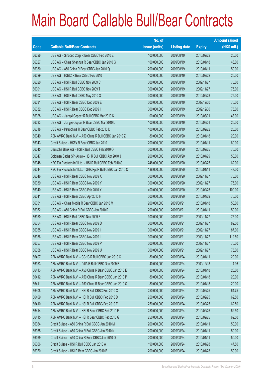|       |                                                              | No. of        |                     |               | <b>Amount raised</b> |
|-------|--------------------------------------------------------------|---------------|---------------------|---------------|----------------------|
| Code  | <b>Callable Bull/Bear Contracts</b>                          | issue (units) | <b>Listing date</b> | <b>Expiry</b> | $(HK$$ mil.)         |
| 66326 | UBS AG - Sinopec Corp R Bear CBBC Feb 2010 E                 | 100,000,000   | 2009/08/19          | 2010/02/22    | 25.00                |
| 66327 | UBS AG - China Shenhua R Bear CBBC Jan 2010 G                | 100,000,000   | 2009/08/19          | 2010/01/18    | 46.00                |
| 66330 | UBS AG - A50 China R Bear CBBC Jan 2010 Q                    | 200,000,000   | 2009/08/19          | 2010/01/11    | 50.00                |
| 66329 | UBS AG - HSBC R Bear CBBC Feb 2010 I                         | 100,000,000   | 2009/08/19          | 2010/02/22    | 25.00                |
| 66320 | UBS AG - HSI R Bull CBBC Nov 2009 C                          | 300,000,000   | 2009/08/19          | 2009/11/27    | 75.00                |
| 66301 | UBS AG - HSI R Bull CBBC Nov 2009 T                          | 300,000,000   | 2009/08/19          | 2009/11/27    | 75.00                |
| 66302 | UBS AG - HSI R Bull CBBC May 2010 Q                          | 300,000,000   | 2009/08/19          | 2010/05/28    | 75.00                |
| 66331 | UBS AG - HSI R Bear CBBC Dec 2009 E                          | 300,000,000   | 2009/08/19          | 2009/12/30    | 75.00                |
| 66332 | UBS AG - HSI R Bear CBBC Dec 2009 I                          | 300,000,000   | 2009/08/19          | 2009/12/30    | 75.00                |
| 66328 | UBS AG - Jiangxi Copper R Bull CBBC Mar 2010 K               | 100,000,000   | 2009/08/19          | 2010/03/01    | 48.00                |
| 66333 | UBS AG - Jiangxi Copper R Bear CBBC Mar 2010 L               | 100,000,000   | 2009/08/19          | 2010/03/01    | 25.00                |
| 66318 | UBS AG - Petrochina R Bear CBBC Feb 2010 D                   | 100,000,000   | 2009/08/19          | 2010/02/22    | 25.00                |
| 66349 | ABN AMRO Bank N.V. - A50 China R Bull CBBC Jan 2010 Z        | 80,000,000    | 2009/08/20          | 2010/01/18    | 20.00                |
| 66343 | Credit Suisse - HKEx R Bear CBBC Jan 2010 L                  | 200,000,000   | 2009/08/20          | 2010/01/11    | 60.00                |
| 66345 | Deutsche Bank AG - HSI R Bull CBBC Feb 2010 O                | 300,000,000   | 2009/08/20          | 2010/02/25    | 75.00                |
| 66347 | Goldman Sachs SP (Asia) - HSI R Bull CBBC Apr 2010 J         | 200,000,000   | 2009/08/20          | 2010/04/29    | 50.00                |
| 66348 | KBC Fin Products Int'l Ltd. - HSI R Bull CBBC Feb 2010 S     | 248,000,000   | 2009/08/20          | 2010/02/25    | 62.00                |
| 66344 | KBC Fin Products Int'l Ltd. - SHK Ppt R Bull CBBC Jan 2010 C | 188,000,000   | 2009/08/20          | 2010/01/11    | 47.00                |
| 66346 | UBS AG - HSI R Bear CBBC Nov 2009 X                          | 300,000,000   | 2009/08/20          | 2009/11/27    | 75.00                |
| 66339 | UBS AG - HSI R Bear CBBC Nov 2009 Y                          | 300,000,000   | 2009/08/20          | 2009/11/27    | 75.00                |
| 66340 | UBS AG - HSI R Bear CBBC Feb 2010 Y                          | 400,000,000   | 2009/08/20          | 2010/02/25    | 100.00               |
| 66341 | UBS AG - HSI R Bear CBBC Apr 2010 H                          | 300,000,000   | 2009/08/20          | 2010/04/29    | 75.00                |
| 66351 | UBS AG - China Mobile R Bear CBBC Jan 2010 M                 | 200,000,000   | 2009/08/21          | 2010/01/18    | 50.00                |
| 66352 | UBS AG - A50 China R Bull CBBC Jan 2010 R                    | 200,000,000   | 2009/08/21          | 2010/01/11    | 50.00                |
| 66350 | UBS AG - HSI R Bull CBBC Nov 2009 Z                          | 300,000,000   | 2009/08/21          | 2009/11/27    | 75.00                |
| 66354 | UBS AG - HSI R Bear CBBC Nov 2009 D                          | 300,000,000   | 2009/08/21          | 2009/11/27    | 82.50                |
| 66355 | UBS AG - HSI R Bear CBBC Nov 2009 I                          | 300,000,000   | 2009/08/21          | 2009/11/27    | 87.00                |
| 66356 | UBS AG - HSI R Bear CBBC Nov 2009 L                          | 300,000,000   | 2009/08/21          | 2009/11/27    | 112.50               |
| 66357 | UBS AG - HSI R Bear CBBC Nov 2009 P                          | 300,000,000   | 2009/08/21          | 2009/11/27    | 75.00                |
| 66358 | UBS AG - HSI R Bear CBBC Nov 2009 U                          | 300,000,000   | 2009/08/21          | 2009/11/27    | 75.00                |
| 66407 | ABN AMRO Bank N.V. - CCHC R Bull CBBC Jan 2010 C             | 80,000,000    | 2009/08/24          | 2010/01/11    | 20.00                |
| 66353 | ABN AMRO Bank N.V. - DJIA R Bull CBBC Dec 2009 E             | 40,000,000    | 2009/08/24          | 2009/12/18    | 14.96                |
| 66413 | ABN AMRO Bank N.V. - A50 China R Bear CBBC Jan 2010 E        | 80,000,000    | 2009/08/24          | 2010/01/18    | 20.00                |
| 66412 | ABN AMRO Bank N.V. - A50 China R Bear CBBC Jan 2010 P        | 80,000,000    | 2009/08/24          | 2010/01/18    | 20.00                |
| 66411 | ABN AMRO Bank N.V. - A50 China R Bear CBBC Jan 2010 Q        | 80,000,000    | 2009/08/24          | 2010/01/18    | 20.00                |
| 66408 | ABN AMRO Bank N.V. - HSI R Bull CBBC Feb 2010 C              | 250,000,000   | 2009/08/24          | 2010/02/25    | 64.75                |
| 66409 | ABN AMRO Bank N.V. - HSI R Bull CBBC Feb 2010 D              | 250,000,000   | 2009/08/24          | 2010/02/25    | 62.50                |
| 66410 | ABN AMRO Bank N.V. - HSI R Bull CBBC Feb 2010 E              | 250,000,000   | 2009/08/24          | 2010/02/25    | 62.50                |
| 66414 | ABN AMRO Bank N.V. - HSI R Bear CBBC Feb 2010 F              | 250,000,000   | 2009/08/24          | 2010/02/25    | 62.50                |
| 66415 | ABN AMRO Bank N.V. - HSI R Bear CBBC Feb 2010 G              | 250,000,000   | 2009/08/24          | 2010/02/25    | 62.50                |
| 66364 | Credit Suisse - A50 China R Bull CBBC Jan 2010 M             | 200,000,000   | 2009/08/24          | 2010/01/11    | 50.00                |
| 66365 | Credit Suisse - A50 China R Bull CBBC Jan 2010 N             | 200,000,000   | 2009/08/24          | 2010/01/11    | 50.00                |
| 66369 | Credit Suisse - A50 China R Bear CBBC Jan 2010 O             | 200,000,000   | 2009/08/24          | 2010/01/11    | 50.00                |
| 66366 | Credit Suisse - HSI R Bull CBBC Jan 2010 A                   | 190,000,000   | 2009/08/24          | 2010/01/28    | 47.50                |
| 66370 | Credit Suisse - HSI R Bear CBBC Jan 2010 B                   | 200,000,000   | 2009/08/24          | 2010/01/28    | 50.00                |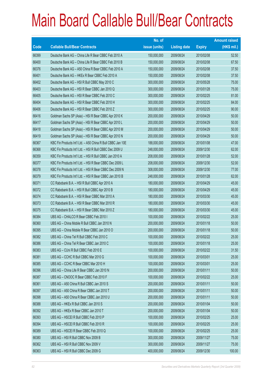|       |                                                             | No. of        |                     |               | <b>Amount raised</b> |
|-------|-------------------------------------------------------------|---------------|---------------------|---------------|----------------------|
| Code  | <b>Callable Bull/Bear Contracts</b>                         | issue (units) | <b>Listing date</b> | <b>Expiry</b> | $(HK$$ mil.)         |
| 66399 | Deutsche Bank AG - China Life R Bear CBBC Feb 2010 A        | 150,000,000   | 2009/08/24          | 2010/02/08    | 52.50                |
| 66400 | Deutsche Bank AG - China Life R Bear CBBC Feb 2010 B        | 150,000,000   | 2009/08/24          | 2010/02/08    | 67.50                |
| 66376 | Deutsche Bank AG - A50 China R Bear CBBC Feb 2010 A         | 150,000,000   | 2009/08/24          | 2010/02/08    | 37.50                |
| 66401 | Deutsche Bank AG - HKEx R Bear CBBC Feb 2010 A              | 150,000,000   | 2009/08/24          | 2010/02/08    | 37.50                |
| 66402 | Deutsche Bank AG - HSI R Bull CBBC May 2010 C               | 300,000,000   | 2009/08/24          | 2010/05/28    | 75.00                |
| 66403 | Deutsche Bank AG - HSI R Bear CBBC Jan 2010 Q               | 300,000,000   | 2009/08/24          | 2010/01/28    | 75.00                |
| 66405 | Deutsche Bank AG - HSI R Bear CBBC Feb 2010 C               | 300,000,000   | 2009/08/24          | 2010/02/25    | 81.00                |
| 66404 | Deutsche Bank AG - HSI R Bear CBBC Feb 2010 H               | 300,000,000   | 2009/08/24          | 2010/02/25    | 84.00                |
| 66406 | Deutsche Bank AG - HSI R Bear CBBC Feb 2010 Z               | 300,000,000   | 2009/08/24          | 2010/02/25    | 90.00                |
| 66416 | Goldman Sachs SP (Asia) - HSI R Bear CBBC Apr 2010 K        | 200,000,000   | 2009/08/24          | 2010/04/29    | 50.00                |
| 66417 | Goldman Sachs SP (Asia) - HSI R Bear CBBC Apr 2010 L        | 200,000,000   | 2009/08/24          | 2010/04/29    | 50.00                |
| 66418 | Goldman Sachs SP (Asia) - HSI R Bear CBBC Apr 2010 M        | 200,000,000   | 2009/08/24          | 2010/04/29    | 50.00                |
| 66419 | Goldman Sachs SP (Asia) - HSI R Bear CBBC Apr 2010 N        | 200,000,000   | 2009/08/24          | 2010/04/29    | 50.00                |
| 66367 | KBC Fin Products Int'l Ltd. - A50 China R Bull CBBC Jan 10E | 188,000,000   | 2009/08/24          | 2010/01/08    | 47.00                |
| 66368 | KBC Fin Products Int'l Ltd. - HSI R Bull CBBC Dec 2009 U    | 248,000,000   | 2009/08/24          | 2009/12/30    | 62.00                |
| 66359 | KBC Fin Products Int'l Ltd. - HSI R Bull CBBC Jan 2010 A    | 208,000,000   | 2009/08/24          | 2010/01/28    | 52.00                |
| 66377 | KBC Fin Products Int'l Ltd. - HSI R Bear CBBC Dec 2009 L    | 208,000,000   | 2009/08/24          | 2009/12/30    | 52.00                |
| 66378 | KBC Fin Products Int'l Ltd. - HSI R Bear CBBC Dec 2009 N    | 308,000,000   | 2009/08/24          | 2009/12/30    | 77.00                |
| 66379 | KBC Fin Products Int'l Ltd. - HSI R Bear CBBC Jan 2010 B    | 248,000,000   | 2009/08/24          | 2010/01/28    | 62.00                |
| 66371 | CC Rabobank B.A. - HSI R Bull CBBC Apr 2010 A               | 180,000,000   | 2009/08/24          | 2010/04/29    | 45.00                |
| 66372 | CC Rabobank B.A. - HSI R Bull CBBC Apr 2010 B               | 180,000,000   | 2009/08/24          | 2010/04/29    | 45.00                |
| 66374 | CC Rabobank B.A. - HSI R Bear CBBC Mar 2010 A               | 180,000,000   | 2009/08/24          | 2010/03/30    | 45.00                |
| 66373 | CC Rabobank B.A. - HSI R Bear CBBC Mar 2010 R               | 180,000,000   | 2009/08/24          | 2010/03/30    | 45.00                |
| 66375 | CC Rabobank B.A. - HSI R Bear CBBC Mar 2010 Z               | 180,000,000   | 2009/08/24          | 2010/03/30    | 45.00                |
| 66384 | UBS AG - CHALCO R Bear CBBC Feb 2010 I                      | 100,000,000   | 2009/08/24          | 2010/02/22    | 25.00                |
| 66360 | UBS AG - China Mobile R Bull CBBC Jan 2010 N                | 200,000,000   | 2009/08/24          | 2010/01/18    | 50.00                |
| 66395 | UBS AG - China Mobile R Bear CBBC Jan 2010 O                | 200,000,000   | 2009/08/24          | 2010/01/18    | 50.00                |
| 66382 | UBS AG - China Tel R Bull CBBC Feb 2010 C                   | 100,000,000   | 2009/08/24          | 2010/02/22    | 25.00                |
| 66386 | UBS AG – China Tel R Bear CBBC Jan 2010 C                   | 100,000,000   | 2009/08/24          | 2010/01/18    | 25.00                |
| 66383 | UBS AG - CUni R Bull CBBC Feb 2010 E                        | 100,000,000   | 2009/08/24          | 2010/02/22    | 31.50                |
| 66381 | UBS AG - CCHC R Bull CBBC Mar 2010 G                        | 100,000,000   | 2009/08/24          | 2010/03/01    | 25.00                |
| 66385 | UBS AG - CCHC R Bear CBBC Mar 2010 H                        | 100,000,000   | 2009/08/24          | 2010/03/01    | 25.00                |
| 66396 | UBS AG - China Life R Bear CBBC Jan 2010 N                  | 200,000,000   | 2009/08/24          | 2010/01/11    | 50.00                |
| 66387 | UBS AG - CNOOC R Bear CBBC Feb 2010 F                       | 100,000,000   | 2009/08/24          | 2010/02/22    | 25.00                |
| 66361 | UBS AG - A50 China R Bull CBBC Jan 2010 S                   | 200,000,000   | 2009/08/24          | 2010/01/11    | 50.00                |
| 66397 | UBS AG - A50 China R Bear CBBC Jan 2010 T                   | 200,000,000   | 2009/08/24          | 2010/01/11    | 50.00                |
| 66398 | UBS AG - A50 China R Bear CBBC Jan 2010 U                   | 200,000,000   | 2009/08/24          | 2010/01/11    | 50.00                |
| 66388 | UBS AG - HKEx R Bull CBBC Jan 2010 S                        | 200,000,000   | 2009/08/24          | 2010/01/04    | 50.00                |
| 66392 | UBS AG - HKEx R Bear CBBC Jan 2010 T                        | 200,000,000   | 2009/08/24          | 2010/01/04    | 50.00                |
| 66393 | UBS AG - HSCEI R Bull CBBC Feb 2010 P                       | 100,000,000   | 2009/08/24          | 2010/02/25    | 25.00                |
| 66394 | UBS AG - HSCEI R Bull CBBC Feb 2010 R                       | 100,000,000   | 2009/08/24          | 2010/02/25    | 25.00                |
| 66389 | UBS AG - HSCEI R Bear CBBC Feb 2010 Q                       | 100,000,000   | 2009/08/24          | 2010/02/25    | 25.00                |
| 66380 | UBS AG - HSI R Bull CBBC Nov 2009 B                         | 300,000,000   | 2009/08/24          | 2009/11/27    | 75.00                |
| 66362 | UBS AG - HSI R Bull CBBC Nov 2009 V                         | 300,000,000   | 2009/08/24          | 2009/11/27    | 75.00                |
| 66363 | UBS AG - HSI R Bull CBBC Dec 2009 G                         | 400,000,000   | 2009/08/24          | 2009/12/30    | 100.00               |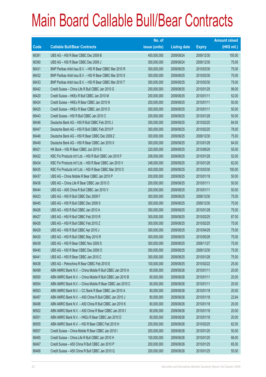|       |                                                          | No. of        |                     |               | <b>Amount raised</b> |
|-------|----------------------------------------------------------|---------------|---------------------|---------------|----------------------|
| Code  | <b>Callable Bull/Bear Contracts</b>                      | issue (units) | <b>Listing date</b> | <b>Expiry</b> | (HK\$ mil.)          |
| 66391 | UBS AG - HSI R Bear CBBC Dec 2009 B                      | 400,000,000   | 2009/08/24          | 2009/12/30    | 100.00               |
| 66390 | UBS AG - HSI R Bear CBBC Dec 2009 J                      | 300,000,000   | 2009/08/24          | 2009/12/30    | 75.00                |
| 66431 | BNP Paribas Arbit Issu B.V. - HSI R Bear CBBC Mar 2010 R | 300,000,000   | 2009/08/25          | 2010/03/30    | 75.00                |
| 66432 | BNP Paribas Arbit Issu B.V. - HSI R Bear CBBC Mar 2010 S | 300,000,000   | 2009/08/25          | 2010/03/30    | 75.00                |
| 66433 | BNP Paribas Arbit Issu B.V. - HSI R Bear CBBC Mar 2010 T | 300,000,000   | 2009/08/25          | 2010/03/30    | 75.00                |
| 66442 | Credit Suisse - China Life R Bull CBBC Jan 2010 G        | 200,000,000   | 2009/08/25          | 2010/01/25    | 99.00                |
| 66420 | Credit Suisse - HKEx R Bull CBBC Jan 2010 M              | 200,000,000   | 2009/08/25          | 2010/01/11    | 52.00                |
| 66424 | Credit Suisse - HKEx R Bear CBBC Jan 2010 N              | 200,000,000   | 2009/08/25          | 2010/01/11    | 50.00                |
| 66425 | Credit Suisse - HKEx R Bear CBBC Jan 2010 O              | 200,000,000   | 2009/08/25          | 2010/01/11    | 50.00                |
| 66443 | Credit Suisse - HSI R Bull CBBC Jan 2010 C               | 200,000,000   | 2009/08/25          | 2010/01/28    | 50.00                |
| 66446 | Deutsche Bank AG - HSI R Bull CBBC Feb 2010 J            | 300,000,000   | 2009/08/25          | 2010/02/25    | 84.00                |
| 66447 | Deutsche Bank AG - HSI R Bull CBBC Feb 2010 P            | 300,000,000   | 2009/08/25          | 2010/02/25    | 78.00                |
| 66448 | Deutsche Bank AG - HSI R Bear CBBC Dec 2009 Z            | 300,000,000   | 2009/08/25          | 2009/12/30    | 75.00                |
| 66449 | Deutsche Bank AG - HSI R Bear CBBC Jan 2010 X            | 300,000,000   | 2009/08/25          | 2010/01/28    | 84.00                |
| 66421 | HK Bank - HSI R Bear CBBC Jun 2010 E                     | 220,000,000   | 2009/08/25          | 2010/06/29    | 55.00                |
| 66422 | KBC Fin Products Int'l Ltd. - HSI R Bull CBBC Jan 2010 F | 208,000,000   | 2009/08/25          | 2010/01/28    | 52.00                |
| 66434 | KBC Fin Products Int'l Ltd. - HSI R Bear CBBC Jan 2010 V | 248,000,000   | 2009/08/25          | 2010/01/28    | 62.00                |
| 66435 | KBC Fin Products Int'l Ltd. - HSI R Bear CBBC Mar 2010 O | 400,000,000   | 2009/08/25          | 2010/03/30    | 100.00               |
| 66437 | UBS AG - China Mobile R Bear CBBC Jan 2010 P             | 200,000,000   | 2009/08/25          | 2010/01/18    | 50.00                |
| 66436 | UBS AG - China Life R Bear CBBC Jan 2010 O               | 200,000,000   | 2009/08/25          | 2010/01/11    | 50.00                |
| 66444 | UBS AG - A50 China R Bull CBBC Jan 2010 V                | 200,000,000   | 2009/08/25          | 2010/01/11    | 50.00                |
| 66423 | UBS AG - HSI R Bull CBBC Dec 2009 F                      | 300,000,000   | 2009/08/25          | 2009/12/30    | 75.00                |
| 66445 | UBS AG - HSI R Bull CBBC Dec 2009 S                      | 300,000,000   | 2009/08/25          | 2009/12/30    | 75.00                |
| 66426 | UBS AG - HSI R Bull CBBC Jan 2010 A                      | 300,000,000   | 2009/08/25          | 2010/01/28    | 75.00                |
| 66427 | UBS AG - HSI R Bull CBBC Feb 2010 R                      | 300,000,000   | 2009/08/25          | 2010/02/25    | 87.00                |
| 66428 | UBS AG - HSI R Bull CBBC Feb 2010 Z                      | 300,000,000   | 2009/08/25          | 2010/02/25    | 75.00                |
| 66429 | UBS AG - HSI R Bull CBBC Apr 2010 J                      | 300,000,000   | 2009/08/25          | 2010/04/29    | 75.00                |
| 66430 | UBS AG - HSI R Bull CBBC May 2010 R                      | 300,000,000   | 2009/08/25          | 2010/05/28    | 75.00                |
| 66439 | UBS AG - HSI R Bear CBBC Nov 2009 S                      | 300,000,000   | 2009/08/25          | 2009/11/27    | 75.00                |
| 66440 | UBS AG - HSI R Bear CBBC Dec 2009 O                      | 300,000,000   | 2009/08/25          | 2009/12/30    | 75.00                |
| 66441 | UBS AG - HSI R Bear CBBC Jan 2010 C                      | 300,000,000   | 2009/08/25          | 2010/01/28    | 75.00                |
| 66438 | UBS AG - Petrochina R Bear CBBC Feb 2010 E               | 100,000,000   | 2009/08/25          | 2010/02/22    | 25.00                |
| 66499 | ABN AMRO Bank N.V. - China Mobile R Bull CBBC Jan 2010 A | 80,000,000    | 2009/08/26          | 2010/01/11    | 20.00                |
| 66500 | ABN AMRO Bank N.V. - China Mobile R Bull CBBC Jan 2010 B | 80,000,000    | 2009/08/26          | 2010/01/11    | 20.00                |
| 66504 | ABN AMRO Bank N.V. - China Mobile R Bear CBBC Jan 2010 C | 80,000,000    | 2009/08/26          | 2010/01/11    | 20.00                |
| 66503 | ABN AMRO Bank N.V. - CC Bank R Bear CBBC Jan 2010 A      | 80,000,000    | 2009/08/26          | 2010/01/18    | 20.00                |
| 66497 | ABN AMRO Bank N.V. - A50 China R Bull CBBC Jan 2010 J    | 80,000,000    | 2009/08/26          | 2010/01/18    | 22.64                |
| 66498 | ABN AMRO Bank N.V. - A50 China R Bull CBBC Jan 2010 K    | 80,000,000    | 2009/08/26          | 2010/01/18    | 20.00                |
| 66502 | ABN AMRO Bank N.V. - A50 China R Bear CBBC Jan 2010 I    | 80,000,000    | 2009/08/26          | 2010/01/18    | 20.00                |
| 66501 | ABN AMRO Bank N.V. - HKEx R Bear CBBC Jan 2010 D         | 80,000,000    | 2009/08/26          | 2010/01/18    | 20.00                |
| 66505 | ABN AMRO Bank N.V. - HSI R Bear CBBC Feb 2010 H          | 250,000,000   | 2009/08/26          | 2010/02/25    | 62.50                |
| 66507 | Credit Suisse - China Mobile R Bear CBBC Jan 2010 I      | 200,000,000   | 2009/08/26          | 2010/01/25    | 50.00                |
| 66465 | Credit Suisse - China Life R Bull CBBC Jan 2010 H        | 100,000,000   | 2009/08/26          | 2010/01/25    | 66.00                |
| 66467 | Credit Suisse - A50 China R Bull CBBC Jan 2010 P         | 200,000,000   | 2009/08/26          | 2010/01/25    | 65.00                |
| 66468 | Credit Suisse - A50 China R Bull CBBC Jan 2010 Q         | 200,000,000   | 2009/08/26          | 2010/01/25    | 55.00                |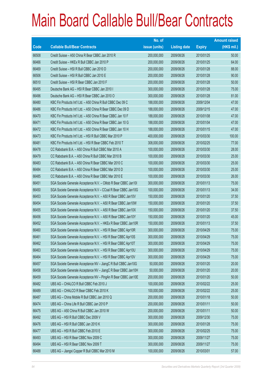|       |                                                                | No. of        |                     |               | <b>Amount raised</b> |
|-------|----------------------------------------------------------------|---------------|---------------------|---------------|----------------------|
| Code  | <b>Callable Bull/Bear Contracts</b>                            | issue (units) | <b>Listing date</b> | <b>Expiry</b> | $(HK$$ mil.)         |
| 66508 | Credit Suisse - A50 China R Bear CBBC Jan 2010 R               | 200,000,000   | 2009/08/26          | 2010/01/25    | 50.00                |
| 66466 | Credit Suisse - HKEx R Bull CBBC Jan 2010 P                    | 200,000,000   | 2009/08/26          | 2010/01/25    | 64.00                |
| 66469 | Credit Suisse - HSI R Bull CBBC Jan 2010 D                     | 200,000,000   | 2009/08/26          | 2010/01/28    | 88.00                |
| 66506 | Credit Suisse - HSI R Bull CBBC Jan 2010 E                     | 200,000,000   | 2009/08/26          | 2010/01/28    | 90.00                |
| 66510 | Credit Suisse - HSI R Bear CBBC Jan 2010 F                     | 200,000,000   | 2009/08/26          | 2010/01/28    | 50.00                |
| 66495 | Deutsche Bank AG - HSI R Bear CBBC Jan 2010 I                  | 300,000,000   | 2009/08/26          | 2010/01/28    | 75.00                |
| 66496 | Deutsche Bank AG - HSI R Bear CBBC Jan 2010 O                  | 300,000,000   | 2009/08/26          | 2010/01/28    | 81.00                |
| 66480 | KBC Fin Products Int'l Ltd. - A50 China R Bull CBBC Dec 09 C   | 188,000,000   | 2009/08/26          | 2009/12/04    | 47.00                |
| 66486 | KBC Fin Products Int'l Ltd. - A50 China R Bear CBBC Dec 09 D   | 188,000,000   | 2009/08/26          | 2009/12/15    | 47.00                |
| 66470 | KBC Fin Products Int'l Ltd. - A50 China R Bear CBBC Jan 10 F   | 188,000,000   | 2009/08/26          | 2010/01/08    | 47.00                |
| 66471 | KBC Fin Products Int'l Ltd. - A50 China R Bear CBBC Jan 10 G   | 188,000,000   | 2009/08/26          | 2010/01/04    | 47.00                |
| 66472 | KBC Fin Products Int'l Ltd. - A50 China R Bear CBBC Jan 10 H   | 188,000,000   | 2009/08/26          | 2010/01/15    | 47.00                |
| 66473 | KBC Fin Products Int'l Ltd. - HSI R Bull CBBC Mar 2010 P       | 400,000,000   | 2009/08/26          | 2010/03/30    | 100.00               |
| 66481 | KBC Fin Products Int'l Ltd. - HSI R Bear CBBC Feb 2010 T       | 308,000,000   | 2009/08/26          | 2010/02/25    | 77.00                |
| 66478 | CC Rabobank B.A. - A50 China R Bull CBBC Mar 2010 A            | 100,000,000   | 2009/08/26          | 2010/03/30    | 28.00                |
| 66479 | CC Rabobank B.A. - A50 China R Bull CBBC Mar 2010 B            | 100,000,000   | 2009/08/26          | 2010/03/30    | 25.00                |
| 66483 | CC Rabobank B.A. - A50 China R Bear CBBC Mar 2010 C            | 100,000,000   | 2009/08/26          | 2010/03/30    | 25.00                |
| 66484 | CC Rabobank B.A. - A50 China R Bear CBBC Mar 2010 D            | 100,000,000   | 2009/08/26          | 2010/03/30    | 25.00                |
| 66485 | CC Rabobank B.A. - A50 China R Bear CBBC Mar 2010 E            | 100,000,000   | 2009/08/26          | 2010/03/30    | 26.00                |
| 66451 | SGA Societe Generale Acceptance N.V. - CMob R Bear CBBC Jan101 | 300,000,000   | 2009/08/26          | 2010/01/13    | 75.00                |
| 66450 | SGA Societe Generale Acceptance N.V - CCoal R Bear CBBC Jan10G | 100,000,000   | 2009/08/26          | 2010/01/13    | 34.00                |
| 66453 | SGA Societe Generale Acceptance N.V. - A50 R Bear CBBC Jan10V  | 150,000,000   | 2009/08/26          | 2010/01/20    | 37.50                |
| 66454 | SGA Societe Generale Acceptance N.V. - A50 R Bear CBBC Jan10W  | 150,000,000   | 2009/08/26          | 2010/01/20    | 37.50                |
| 66455 | SGA Societe Generale Acceptance N.V. - A50 R Bear CBBC Jan10X  | 150,000,000   | 2009/08/26          | 2010/01/20    | 37.50                |
| 66456 | SGA Societe Generale Acceptance N.V. - A50 R Bear CBBC Jan10Y  | 150,000,000   | 2009/08/26          | 2010/01/20    | 45.00                |
| 66452 | SGA Societe Generale Acceptance N.V. - HKEx R Bear CBBC Jan10R | 150,000,000   | 2009/08/26          | 2010/01/13    | 37.50                |
| 66460 | SGA Societe Generale Acceptance N.V. - HSI R Bear CBBC Apr10R  | 300,000,000   | 2009/08/26          | 2010/04/29    | 75.00                |
| 66461 | SGA Societe Generale Acceptance N.V. - HSI R Bear CBBC Apr10S  | 300,000,000   | 2009/08/26          | 2010/04/29    | 75.00                |
| 66462 | SGA Societe Generale Acceptance N.V. - HSI R Bear CBBC Apr10T  | 300,000,000   | 2009/08/26          | 2010/04/29    | 75.00                |
| 66463 | SGA Societe Generale Acceptance N.V. - HSI R Bear CBBC Apr10U  | 300,000,000   | 2009/08/26          | 2010/04/29    | 75.00                |
| 66464 | SGA Societe Generale Acceptance N.V. - HSI R Bear CBBC Apr10V  | 300,000,000   | 2009/08/26          | 2010/04/29    | 75.00                |
| 66457 | SGA Societe Generale Acceptance NV - JiangC R Bull CBBC Jan10G | 50,000,000    | 2009/08/26          | 2010/01/20    | 20.00                |
| 66458 | SGA Societe Generale Acceptance NV - JiangC R Bear CBBC Jan10H | 50,000,000    | 2009/08/26          | 2010/01/20    | 20.00                |
| 66459 | SGA Societe Generale Acceptance NV - PingAn R Bear CBBC Jan10E | 200,000,000   | 2009/08/26          | 2010/01/20    | 50.00                |
| 66482 | UBS AG - CHALCO R Bull CBBC Feb 2010 J                         | 100,000,000   | 2009/08/26          | 2010/02/22    | 25.00                |
| 66489 | UBS AG - CHALCO R Bear CBBC Feb 2010 K                         | 100,000,000   | 2009/08/26          | 2010/02/22    | 25.00                |
| 66487 | UBS AG - China Mobile R Bull CBBC Jan 2010 Q                   | 200,000,000   | 2009/08/26          | 2010/01/18    | 50.00                |
| 66474 | UBS AG - China Life R Bull CBBC Jan 2010 P                     | 200,000,000   | 2009/08/26          | 2010/01/11    | 50.00                |
| 66475 | UBS AG - A50 China R Bull CBBC Jan 2010 W                      | 200,000,000   | 2009/08/26          | 2010/01/11    | 50.00                |
| 66492 | UBS AG - HSI R Bull CBBC Dec 2009 V                            | 300,000,000   | 2009/08/26          | 2009/12/30    | 75.00                |
| 66476 | UBS AG - HSI R Bull CBBC Jan 2010 K                            | 300,000,000   | 2009/08/26          | 2010/01/28    | 75.00                |
| 66477 | UBS AG - HSI R Bull CBBC Feb 2010 E                            | 300,000,000   | 2009/08/26          | 2010/02/25    | 75.00                |
| 66493 | UBS AG - HSI R Bear CBBC Nov 2009 C                            | 300,000,000   | 2009/08/26          | 2009/11/27    | 75.00                |
| 66494 | UBS AG - HSI R Bear CBBC Nov 2009 T                            | 300,000,000   | 2009/08/26          | 2009/11/27    | 75.00                |
| 66488 | UBS AG - Jiangxi Copper R Bull CBBC Mar 2010 M                 | 100,000,000   | 2009/08/26          | 2010/03/01    | 57.00                |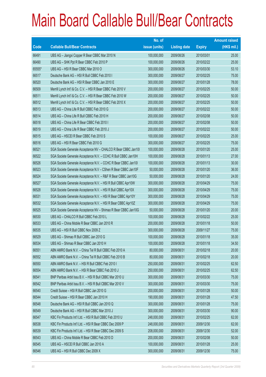|        |                                                                | No. of        |                     |               | <b>Amount raised</b> |
|--------|----------------------------------------------------------------|---------------|---------------------|---------------|----------------------|
| Code   | <b>Callable Bull/Bear Contracts</b>                            | issue (units) | <b>Listing date</b> | <b>Expiry</b> | $(HK$$ mil.)         |
| 66491  | UBS AG - Jiangxi Copper R Bear CBBC Mar 2010 N                 | 100,000,000   | 2009/08/26          | 2010/03/01    | 25.00                |
| 66490  | UBS AG - SHK Ppt R Bear CBBC Feb 2010 P                        | 100,000,000   | 2009/08/26          | 2010/02/22    | 25.00                |
| 65555* | UBS AG - HSI R Bear CBBC Mar 2010 O                            | 300,000,000   | 2009/08/26          | 2010/03/30    | 53.10                |
| 66517  | Deutsche Bank AG - HSI R Bull CBBC Feb 2010 I                  | 300,000,000   | 2009/08/27          | 2010/02/25    | 75.00                |
| 66520  | Deutsche Bank AG - HSI R Bear CBBC Jan 2010 E                  | 300,000,000   | 2009/08/27          | 2010/01/28    | 78.00                |
| 66509  | Merrill Lynch Int'l & Co. C.V. - HSI R Bear CBBC Feb 2010 V    | 200,000,000   | 2009/08/27          | 2010/02/25    | 50.00                |
| 66511  | Merrill Lynch Int'l & Co. C.V. - HSI R Bear CBBC Feb 2010 W    | 200,000,000   | 2009/08/27          | 2010/02/25    | 50.00                |
| 66512  | Merrill Lynch Int'l & Co. C.V. - HSI R Bear CBBC Feb 2010 X    | 200,000,000   | 2009/08/27          | 2010/02/25    | 50.00                |
| 66513  | UBS AG - China Life R Bull CBBC Feb 2010 G                     | 200,000,000   | 2009/08/27          | 2010/02/22    | 50.00                |
| 66514  | UBS AG - China Life R Bull CBBC Feb 2010 H                     | 200,000,000   | 2009/08/27          | 2010/02/08    | 50.00                |
| 66518  | UBS AG - China Life R Bear CBBC Feb 2010 I                     | 200,000,000   | 2009/08/27          | 2010/02/08    | 50.00                |
| 66519  | UBS AG - China Life R Bear CBBC Feb 2010 J                     | 200,000,000   | 2009/08/27          | 2010/02/22    | 50.00                |
| 66515  | UBS AG - HSCEI R Bear CBBC Feb 2010 S                          | 100,000,000   | 2009/08/27          | 2010/02/25    | 25.00                |
| 66516  | UBS AG - HSI R Bear CBBC Feb 2010 G                            | 300,000,000   | 2009/08/27          | 2010/02/25    | 75.00                |
| 66521  | SGA Societe Generale Acceptance NV - CHALCO R Bear CBBC Jan101 | 100,000,000   | 2009/08/28          | 2010/01/20    | 25.00                |
| 66522  | SGA Societe Generale Acceptance N.V. - CCHC R Bull CBBC Jan10H | 100,000,000   | 2009/08/28          | 2010/01/13    | 27.00                |
| 66526  | SGA Societe Generale Acceptance N.V. - CCHC R Bear CBBC Jan10I | 100,000,000   | 2009/08/28          | 2010/01/13    | 30.00                |
| 66523  | SGA Societe Generale Acceptance N.V - CShen R Bear CBBC Jan10F | 50,000,000    | 2009/08/28          | 2010/01/20    | 36.00                |
| 66524  | SGA Societe Generale Acceptance N.V. - R&F R Bear CBBC Jan10G  | 50,000,000    | 2009/08/28          | 2010/01/20    | 24.00                |
| 66527  | SGA Societe Generale Acceptance N.V. - HSI R Bull CBBC Apr10W  | 300,000,000   | 2009/08/28          | 2010/04/29    | 75.00                |
| 66528  | SGA Societe Generale Acceptance N.V. - HSI R Bull CBBC Apr10X  | 300,000,000   | 2009/08/28          | 2010/04/29    | 75.00                |
| 66531  | SGA Societe Generale Acceptance N.V. - HSI R Bear CBBC Apr10Y  | 300,000,000   | 2009/08/28          | 2010/04/29    | 75.00                |
| 66532  | SGA Societe Generale Acceptance N.V. - HSI R Bear CBBC Apr10Z  | 300,000,000   | 2009/08/28          | 2010/04/29    | 75.00                |
| 66525  | SGA Societe Generale Acceptance NV - Shimao R Bear CBBC Jan10G | 50,000,000    | 2009/08/28          | 2010/01/20    | 20.00                |
| 66530  | UBS AG - CHALCO R Bull CBBC Feb 2010 L                         | 100,000,000   | 2009/08/28          | 2010/02/22    | 25.00                |
| 66533  | UBS AG - China Mobile R Bear CBBC Jan 2010 R                   | 200,000,000   | 2009/08/28          | 2010/01/18    | 50.00                |
| 66535  | UBS AG - HSI R Bull CBBC Nov 2009 Z                            | 300,000,000   | 2009/08/28          | 2009/11/27    | 75.00                |
| 66529  | UBS AG - Shimao R Bull CBBC Jan 2010 G                         | 100,000,000   | 2009/08/28          | 2010/01/18    | 35.00                |
| 66534  | UBS AG - Shimao R Bear CBBC Jan 2010 H                         | 100,000,000   | 2009/08/28          | 2010/01/18    | 34.50                |
| 66551  | ABN AMRO Bank N.V. - China Tel R Bull CBBC Feb 2010 A          | 80,000,000    | 2009/08/31          | 2010/02/18    | 20.00                |
| 66552  | ABN AMRO Bank N.V. - China Tel R Bull CBBC Feb 2010 B          | 80,000,000    | 2009/08/31          | 2010/02/18    | 20.00                |
| 66550  | ABN AMRO Bank N.V. - HSI R Bull CBBC Feb 2010 I                | 250,000,000   | 2009/08/31          | 2010/02/25    | 62.50                |
| 66554  | ABN AMRO Bank N.V. - HSI R Bear CBBC Feb 2010 J                | 250,000,000   | 2009/08/31          | 2010/02/25    | 62.50                |
| 66541  | BNP Paribas Arbit Issu B.V. - HSI R Bull CBBC Mar 2010 U       | 300,000,000   | 2009/08/31          | 2010/03/30    | 75.00                |
| 66542  | BNP Paribas Arbit Issu B.V. - HSI R Bull CBBC Mar 2010 V       | 300,000,000   | 2009/08/31          | 2010/03/30    | 75.00                |
| 66540  | Credit Suisse - HSI R Bull CBBC Jan 2010 G                     | 200,000,000   | 2009/08/31          | 2010/01/28    | 50.00                |
| 66544  | Credit Suisse - HSI R Bear CBBC Jan 2010 H                     | 190,000,000   | 2009/08/31          | 2010/01/28    | 47.50                |
| 66548  | Deutsche Bank AG - HSI R Bull CBBC Jan 2010 Q                  | 300,000,000   | 2009/08/31          | 2010/01/28    | 75.00                |
| 66549  | Deutsche Bank AG - HSI R Bull CBBC Mar 2010 J                  | 300,000,000   | 2009/08/31          | 2010/03/30    | 90.00                |
| 66547  | KBC Fin Products Int'l Ltd. - HSI R Bull CBBC Feb 2010 U       | 248,000,000   | 2009/08/31          | 2010/02/25    | 62.00                |
| 66538  | KBC Fin Products Int'l Ltd. - HSI R Bear CBBC Dec 2009 P       | 248,000,000   | 2009/08/31          | 2009/12/30    | 62.00                |
| 66539  | KBC Fin Products Int'l Ltd. - HSI R Bear CBBC Dec 2009 S       | 208,000,000   | 2009/08/31          | 2009/12/30    | 52.00                |
| 66543  | UBS AG - China Mobile R Bear CBBC Feb 2010 D                   | 200,000,000   | 2009/08/31          | 2010/02/08    | 50.00                |
| 66545  | UBS AG - HSCEI R Bull CBBC Jan 2010 A                          | 100,000,000   | 2009/08/31          | 2010/01/28    | 25.00                |
| 66546  | UBS AG - HSI R Bull CBBC Dec 2009 X                            | 300,000,000   | 2009/08/31          | 2009/12/30    | 75.00                |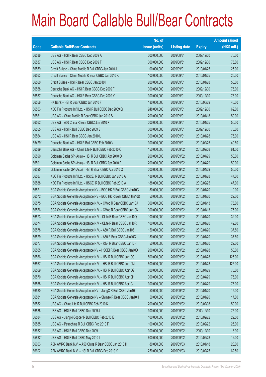|        |                                                                | No. of        |                     |               | <b>Amount raised</b> |
|--------|----------------------------------------------------------------|---------------|---------------------|---------------|----------------------|
| Code   | <b>Callable Bull/Bear Contracts</b>                            | issue (units) | <b>Listing date</b> | <b>Expiry</b> | (HK\$ mil.)          |
| 66536  | UBS AG - HSI R Bear CBBC Dec 2009 A                            | 300,000,000   | 2009/08/31          | 2009/12/30    | 75.00                |
| 66537  | UBS AG - HSI R Bear CBBC Dec 2009 T                            | 300,000,000   | 2009/08/31          | 2009/12/30    | 75.00                |
| 66559  | Credit Suisse - China Mobile R Bull CBBC Jan 2010 J            | 100,000,000   | 2009/09/01          | 2010/01/25    | 25.00                |
| 66563  | Credit Suisse – China Mobile R Bear CBBC Jan 2010 K            | 100,000,000   | 2009/09/01          | 2010/01/25    | 25.00                |
| 66560  | Credit Suisse - HSI R Bear CBBC Jan 2010                       | 200,000,000   | 2009/09/01          | 2010/01/28    | 50.00                |
| 66558  | Deutsche Bank AG - HSI R Bear CBBC Dec 2009 F                  | 300,000,000   | 2009/09/01          | 2009/12/30    | 75.00                |
| 66557  | Deutsche Bank AG - HSI R Bear CBBC Dec 2009 Y                  | 300,000,000   | 2009/09/01          | 2009/12/30    | 78.00                |
| 66556  | HK Bank - HSI R Bear CBBC Jun 2010 F                           | 180,000,000   | 2009/09/01          | 2010/06/29    | 45.00                |
| 66553  | KBC Fin Products Int'l Ltd. - HSI R Bull CBBC Dec 2009 Q       | 248,000,000   | 2009/09/01          | 2009/12/30    | 62.00                |
| 66561  | UBS AG - China Mobile R Bear CBBC Jan 2010 S                   | 200,000,000   | 2009/09/01          | 2010/01/18    | 50.00                |
| 66562  | UBS AG - A50 China R Bear CBBC Jan 2010 X                      | 200,000,000   | 2009/09/01          | 2010/01/25    | 50.00                |
| 66555  | UBS AG - HSI R Bull CBBC Dec 2009 B                            | 300,000,000   | 2009/09/01          | 2009/12/30    | 75.00                |
| 66564  | UBS AG - HSI R Bear CBBC Jan 2010 L                            | 300,000,000   | 2009/09/01          | 2010/01/28    | 75.00                |
| 65479# | Deutsche Bank AG - HSI R Bull CBBC Feb 2010 V                  | 300,000,000   | 2009/09/01          | 2010/02/25    | 40.50                |
| 66589  | Deutsche Bank AG - China Life R Bull CBBC Feb 2010 C           | 150,000,000   | 2009/09/02          | 2010/02/08    | 61.50                |
| 66590  | Goldman Sachs SP (Asia) - HSI R Bull CBBC Apr 2010 O           | 200,000,000   | 2009/09/02          | 2010/04/29    | 50.00                |
| 66591  | Goldman Sachs SP (Asia) - HSI R Bull CBBC Apr 2010 P           | 200,000,000   | 2009/09/02          | 2010/04/29    | 50.00                |
| 66595  | Goldman Sachs SP (Asia) - HSI R Bear CBBC Apr 2010 Q           | 200,000,000   | 2009/09/02          | 2010/04/29    | 50.00                |
| 66587  | KBC Fin Products Int'l Ltd. - HSCEI R Bull CBBC Jan 2010 A     | 188,000,000   | 2009/09/02          | 2010/01/28    | 47.00                |
| 66588  | KBC Fin Products Int'l Ltd. - HSCEI R Bull CBBC Feb 2010 A     | 188,000,000   | 2009/09/02          | 2010/02/25    | 47.00                |
| 66571  | SGA Societe Generale Acceptance NV - BOC HK R Bull CBBC Jan10C | 50,000,000    | 2009/09/02          | 2010/01/20    | 19.00                |
| 66572  | SGA Societe Generale Acceptance NV - BOC HK R Bear CBBC Jan10D | 50,000,000    | 2009/09/02          | 2010/01/20    | 22.00                |
| 66575  | SGA Societe Generale Acceptance N.V. - CMob R Bear CBBC Jan10J | 300,000,000   | 2009/09/02          | 2010/01/13    | 75.00                |
| 66576  | SGA Societe Generale Acceptance N.V. - CMob R Bear CBBC Jan10K | 300,000,000   | 2009/09/02          | 2010/01/13    | 75.00                |
| 66573  | SGA Societe Generale Acceptance N.V - CLife R Bear CBBC Jan10Q | 100,000,000   | 2009/09/02          | 2010/01/20    | 32.00                |
| 66574  | SGA Societe Generale Acceptance N.V - CLife R Bear CBBC Jan10R | 100,000,000   | 2009/09/02          | 2010/01/20    | 42.00                |
| 66578  | SGA Societe Generale Acceptance N.V. - A50 R Bull CBBC Jan10Z  | 150,000,000   | 2009/09/02          | 2010/01/20    | 37.50                |
| 66579  | SGA Societe Generale Acceptance N.V. - A50 R Bear CBBC Jan10C  | 150,000,000   | 2009/09/02          | 2010/01/20    | 37.50                |
| 66577  | SGA Societe Generale Acceptance N.V. - R&F R Bear CBBC Jan10H  | 50,000,000    | 2009/09/02          | 2010/01/20    | 22.00                |
| 66565  | SGA Societe Generale Acceptance NV - HSCEI R Bear CBBC Jan10D  | 200,000,000   | 2009/09/02          | 2010/01/28    | 50.00                |
| 66566  | SGA Societe Generale Acceptance N.V. - HSI R Bull CBBC Jan10G  | 500,000,000   | 2009/09/02          | 2010/01/28    | 125.00               |
| 66567  | SGA Societe Generale Acceptance N.V. - HSI R Bull CBBC Jan10M  | 500,000,000   | 2009/09/02          | 2010/01/28    | 125.00               |
| 66569  | SGA Societe Generale Acceptance N.V. - HSI R Bull CBBC Apr10G  | 300,000,000   | 2009/09/02          | 2010/04/29    | 75.00                |
| 66570  | SGA Societe Generale Acceptance N.V. - HSI R Bull CBBC Apr10H  | 300,000,000   | 2009/09/02          | 2010/04/29    | 75.00                |
| 66568  | SGA Societe Generale Acceptance N.V. - HSI R Bull CBBC Apr10J  | 300,000,000   | 2009/09/02          | 2010/04/29    | 75.00                |
| 66580  | SGA Societe Generale Acceptance NV - JiangC R Bull CBBC Jan101 | 50,000,000    | 2009/09/02          | 2010/01/20    | 15.00                |
| 66581  | SGA Societe Generale Acceptance NV - Shimao R Bear CBBC Jan10H | 50,000,000    | 2009/09/02          | 2010/01/20    | 17.00                |
| 66582  | UBS AG - China Life R Bull CBBC Feb 2010 K                     | 200,000,000   | 2009/09/02          | 2010/02/08    | 50.00                |
| 66586  | UBS AG - HSI R Bull CBBC Dec 2009 J                            | 300,000,000   | 2009/09/02          | 2009/12/30    | 75.00                |
| 66584  | UBS AG - Jiangxi Copper R Bull CBBC Feb 2010 E                 | 100,000,000   | 2009/09/02          | 2010/02/22    | 29.50                |
| 66585  | UBS AG - Petrochina R Bull CBBC Feb 2010 F                     | 100,000,000   | 2009/09/02          | 2010/02/22    | 25.00                |
| 65652# | UBS AG - HSI R Bull CBBC Dec 2009 L                            | 300,000,000   | 2009/09/02          | 2009/12/30    | 18.90                |
| 65832# | UBS AG - HSI R Bull CBBC May 2010 I                            | 600,000,000   | 2009/09/02          | 2010/05/28    | 12.00                |
| 66603  | ABN AMRO Bank N.V. - A50 China R Bear CBBC Jan 2010 H          | 80,000,000    | 2009/09/03          | 2010/01/18    | 20.00                |
| 66602  | ABN AMRO Bank N.V. - HSI R Bull CBBC Feb 2010 K                | 250,000,000   | 2009/09/03          | 2010/02/25    | 62.50                |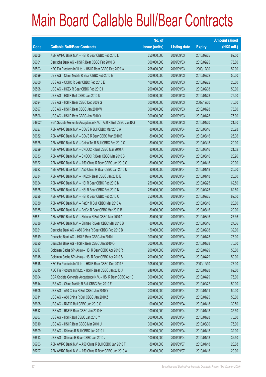|        |                                                               | No. of        |                     |               | <b>Amount raised</b> |
|--------|---------------------------------------------------------------|---------------|---------------------|---------------|----------------------|
| Code   | <b>Callable Bull/Bear Contracts</b>                           | issue (units) | <b>Listing date</b> | <b>Expiry</b> | $(HK$$ mil.)         |
| 66606  | ABN AMRO Bank N.V. - HSI R Bear CBBC Feb 2010 L               | 250,000,000   | 2009/09/03          | 2010/02/25    | 62.50                |
| 66601  | Deutsche Bank AG - HSI R Bear CBBC Feb 2010 G                 | 300,000,000   | 2009/09/03          | 2010/02/25    | 75.00                |
| 66593  | KBC Fin Products Int'l Ltd. - HSI R Bear CBBC Dec 2009 W      | 208,000,000   | 2009/09/03          | 2009/12/30    | 52.00                |
| 66599  | UBS AG - China Mobile R Bear CBBC Feb 2010 E                  | 200,000,000   | 2009/09/03          | 2010/02/22    | 50.00                |
| 66600  | UBS AG - CCHC R Bear CBBC Feb 2010 E                          | 100,000,000   | 2009/09/03          | 2010/02/22    | 25.00                |
| 66598  | UBS AG - HKEx R Bear CBBC Feb 2010 I                          | 200,000,000   | 2009/09/03          | 2010/02/08    | 50.00                |
| 66592  | UBS AG - HSI R Bull CBBC Jan 2010 U                           | 300,000,000   | 2009/09/03          | 2010/01/28    | 75.00                |
| 66594  | UBS AG - HSI R Bear CBBC Dec 2009 G                           | 300,000,000   | 2009/09/03          | 2009/12/30    | 75.00                |
| 66597  | UBS AG - HSI R Bear CBBC Jan 2010 W                           | 300,000,000   | 2009/09/03          | 2010/01/28    | 75.00                |
| 66596  | UBS AG - HSI R Bear CBBC Jan 2010 X                           | 300,000,000   | 2009/09/03          | 2010/01/28    | 75.00                |
| 64802# | SGA Societe Generale Acceptance N.V. - A50 R Bull CBBC Jan10G | 100,000,000   | 2009/09/03          | 2010/01/20    | 21.30                |
| 66627  | ABN AMRO Bank N.V. - COVS R Bull CBBC Mar 2010 A              | 80,000,000    | 2009/09/04          | 2010/03/16    | 25.28                |
| 66632  | ABN AMRO Bank N.V. - COVS R Bear CBBC Mar 2010 B              | 80,000,000    | 2009/09/04          | 2010/03/16    | 25.36                |
| 66628  | ABN AMRO Bank N.V. - China Tel R Bull CBBC Feb 2010 C         | 80,000,000    | 2009/09/04          | 2010/02/18    | 20.00                |
| 66629  | ABN AMRO Bank N.V. - CNOOC R Bull CBBC Mar 2010 A             | 80,000,000    | 2009/09/04          | 2010/03/16    | 21.52                |
| 66633  | ABN AMRO Bank N.V. - CNOOC R Bear CBBC Mar 2010 B             | 80,000,000    | 2009/09/04          | 2010/03/16    | 20.96                |
| 66622  | ABN AMRO Bank N.V. - A50 China R Bear CBBC Jan 2010 G         | 80,000,000    | 2009/09/04          | 2010/01/18    | 20.00                |
| 66623  | ABN AMRO Bank N.V. - A50 China R Bear CBBC Jan 2010 U         | 80,000,000    | 2009/09/04          | 2010/01/18    | 20.00                |
| 66634  | ABN AMRO Bank N.V. - HKEx R Bear CBBC Jan 2010 E              | 80,000,000    | 2009/09/04          | 2010/01/18    | 20.00                |
| 66624  | ABN AMRO Bank N.V. - HSI R Bear CBBC Feb 2010 M               | 250,000,000   | 2009/09/04          | 2010/02/25    | 62.50                |
| 66625  | ABN AMRO Bank N.V. - HSI R Bear CBBC Feb 2010 N               | 250,000,000   | 2009/09/04          | 2010/02/25    | 62.50                |
| 66626  | ABN AMRO Bank N.V. - HSI R Bear CBBC Feb 2010 O               | 250,000,000   | 2009/09/04          | 2010/02/25    | 62.50                |
| 66630  | ABN AMRO Bank N.V. - PetCh R Bull CBBC Mar 2010 A             | 80,000,000    | 2009/09/04          | 2010/03/16    | 20.00                |
| 66635  | ABN AMRO Bank N.V. - PetCh R Bear CBBC Mar 2010 B             | 80,000,000    | 2009/09/04          | 2010/03/16    | 20.00                |
| 66631  | ABN AMRO Bank N.V. - Shimao R Bull CBBC Mar 2010 A            | 80,000,000    | 2009/09/04          | 2010/03/16    | 27.36                |
| 66636  | ABN AMRO Bank N.V. - Shimao R Bear CBBC Mar 2010 B            | 80,000,000    | 2009/09/04          | 2010/03/16    | 27.36                |
| 66621  | Deutsche Bank AG - A50 China R Bear CBBC Feb 2010 B           | 150,000,000   | 2009/09/04          | 2010/02/08    | 39.00                |
| 66619  | Deutsche Bank AG - HSI R Bear CBBC Jan 2010 I                 | 300,000,000   | 2009/09/04          | 2010/01/28    | 75.00                |
| 66620  | Deutsche Bank AG - HSI R Bear CBBC Jan 2010 O                 | 300,000,000   | 2009/09/04          | 2010/01/28    | 75.00                |
| 66617  | Goldman Sachs SP (Asia) - HSI R Bear CBBC Apr 2010 R          | 200,000,000   | 2009/09/04          | 2010/04/29    | 50.00                |
| 66618  | Goldman Sachs SP (Asia) - HSI R Bear CBBC Apr 2010 S          | 200,000,000   | 2009/09/04          | 2010/04/29    | 50.00                |
| 66616  | KBC Fin Products Int'l Ltd. - HSI R Bear CBBC Dec 2009 Z      | 308,000,000   | 2009/09/04          | 2009/12/30    | 77.00                |
| 66615  | KBC Fin Products Int'l Ltd. - HSI R Bear CBBC Jan 2010 J      | 248,000,000   | 2009/09/04          | 2010/01/28    | 62.00                |
| 66604  | SGA Societe Generale Acceptance N.V. - HSI R Bear CBBC Apr101 | 300,000,000   | 2009/09/04          | 2010/04/29    | 75.00                |
| 66614  | UBS AG - China Mobile R Bull CBBC Feb 2010 F                  | 200,000,000   | 2009/09/04          | 2010/02/22    | 50.00                |
| 66605  | UBS AG - A50 China R Bull CBBC Jan 2010 Y                     | 200,000,000   | 2009/09/04          | 2010/01/11    | 50.00                |
| 66611  | UBS AG - A50 China R Bull CBBC Jan 2010 Z                     | 200,000,000   | 2009/09/04          | 2010/01/25    | 50.00                |
| 66608  | UBS AG - R&F R Bull CBBC Jan 2010 G                           | 100,000,000   | 2009/09/04          | 2010/01/18    | 30.50                |
| 66612  | UBS AG - R&F R Bear CBBC Jan 2010 H                           | 100,000,000   | 2009/09/04          | 2010/01/18    | 35.50                |
| 66607  | UBS AG - HSI R Bull CBBC Jan 2010 Y                           | 300,000,000   | 2009/09/04          | 2010/01/28    | 75.00                |
| 66610  | UBS AG - HSI R Bear CBBC Mar 2010 U                           | 300,000,000   | 2009/09/04          | 2010/03/30    | 75.00                |
| 66609  | UBS AG - Shimao R Bull CBBC Jan 2010 I                        | 100,000,000   | 2009/09/04          | 2010/01/18    | 32.00                |
| 66613  | UBS AG - Shimao R Bear CBBC Jan 2010 J                        | 100,000,000   | 2009/09/04          | 2010/01/18    | 32.50                |
| 66703  | ABN AMRO Bank N.V. - A50 China R Bull CBBC Jan 2010 F         | 80,000,000    | 2009/09/07          | 2010/01/18    | 20.08                |
| 66707  | ABN AMRO Bank N.V. - A50 China R Bear CBBC Jan 2010 A         | 80,000,000    | 2009/09/07          | 2010/01/18    | 20.00                |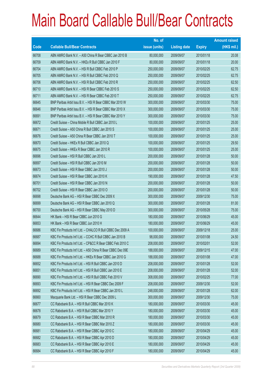|       |                                                             | No. of        |                     |               | <b>Amount raised</b> |
|-------|-------------------------------------------------------------|---------------|---------------------|---------------|----------------------|
| Code  | <b>Callable Bull/Bear Contracts</b>                         | issue (units) | <b>Listing date</b> | <b>Expiry</b> | $(HK$$ mil.)         |
| 66708 | ABN AMRO Bank N.V. - A50 China R Bear CBBC Jan 2010 B       | 80,000,000    | 2009/09/07          | 2010/01/18    | 20.08                |
| 66709 | ABN AMRO Bank N.V. - HKEx R Bull CBBC Jan 2010 F            | 80,000,000    | 2009/09/07          | 2010/01/18    | 20.00                |
| 66704 | ABN AMRO Bank N.V. - HSI R Bull CBBC Feb 2010 P             | 250,000,000   | 2009/09/07          | 2010/02/25    | 62.75                |
| 66705 | ABN AMRO Bank N.V. - HSI R Bull CBBC Feb 2010 Q             | 250,000,000   | 2009/09/07          | 2010/02/25    | 62.75                |
| 66706 | ABN AMRO Bank N.V. - HSI R Bull CBBC Feb 2010 R             | 250,000,000   | 2009/09/07          | 2010/02/25    | 62.50                |
| 66710 | ABN AMRO Bank N.V. - HSI R Bear CBBC Feb 2010 S             | 250,000,000   | 2009/09/07          | 2010/02/25    | 62.50                |
| 66711 | ABN AMRO Bank N.V. - HSI R Bear CBBC Feb 2010 T             | 250,000,000   | 2009/09/07          | 2010/02/25    | 62.75                |
| 66645 | BNP Paribas Arbit Issu B.V. - HSI R Bear CBBC Mar 2010 W    | 300,000,000   | 2009/09/07          | 2010/03/30    | 75.00                |
| 66646 | BNP Paribas Arbit Issu B.V. - HSI R Bear CBBC Mar 2010 X    | 300,000,000   | 2009/09/07          | 2010/03/30    | 75.00                |
| 66691 | BNP Paribas Arbit Issu B.V. - HSI R Bear CBBC Mar 2010 Y    | 300,000,000   | 2009/09/07          | 2010/03/30    | 75.00                |
| 66672 | Credit Suisse - China Mobile R Bull CBBC Jan 2010 L         | 100,000,000   | 2009/09/07          | 2010/01/25    | 25.00                |
| 66671 | Credit Suisse - A50 China R Bull CBBC Jan 2010 S            | 100,000,000   | 2009/09/07          | 2010/01/25    | 25.00                |
| 66676 | Credit Suisse - A50 China R Bear CBBC Jan 2010 T            | 100,000,000   | 2009/09/07          | 2010/01/25    | 25.00                |
| 66670 | Credit Suisse - HKEx R Bull CBBC Jan 2010 Q                 | 100,000,000   | 2009/09/07          | 2010/01/25    | 29.50                |
| 66675 | Credit Suisse - HKEx R Bear CBBC Jan 2010 R                 | 100,000,000   | 2009/09/07          | 2010/01/25    | 25.00                |
| 66696 | Credit Suisse - HSI R Bull CBBC Jan 2010 L                  | 200,000,000   | 2009/09/07          | 2010/01/28    | 50.00                |
| 66697 | Credit Suisse - HSI R Bull CBBC Jan 2010 M                  | 200,000,000   | 2009/09/07          | 2010/01/28    | 50.00                |
| 66673 | Credit Suisse - HSI R Bear CBBC Jan 2010 J                  | 200,000,000   | 2009/09/07          | 2010/01/28    | 50.00                |
| 66674 | Credit Suisse - HSI R Bear CBBC Jan 2010 K                  | 190,000,000   | 2009/09/07          | 2010/01/28    | 47.50                |
| 66701 | Credit Suisse - HSI R Bear CBBC Jan 2010 N                  | 200,000,000   | 2009/09/07          | 2010/01/28    | 50.00                |
| 66702 | Credit Suisse - HSI R Bear CBBC Jan 2010 O                  | 200,000,000   | 2009/09/07          | 2010/01/28    | 50.00                |
| 66698 | Deutsche Bank AG - HSI R Bear CBBC Dec 2009 X               | 300,000,000   | 2009/09/07          | 2009/12/30    | 75.00                |
| 66699 | Deutsche Bank AG - HSI R Bear CBBC Jan 2010 Q               | 300,000,000   | 2009/09/07          | 2010/01/28    | 81.00                |
| 66700 | Deutsche Bank AG - HSI R Bear CBBC May 2010 D               | 300,000,000   | 2009/09/07          | 2010/05/28    | 75.00                |
| 66644 | HK Bank - HSI R Bear CBBC Jun 2010 G                        | 180,000,000   | 2009/09/07          | 2010/06/29    | 45.00                |
| 66653 | HK Bank - HSI R Bear CBBC Jun 2010 H                        | 180,000,000   | 2009/09/07          | 2010/06/29    | 45.00                |
| 66686 | KBC Fin Products Int'l Ltd. - CHALCO R Bull CBBC Dec 2009 A | 100,000,000   | 2009/09/07          | 2009/12/18    | 25.00                |
| 66687 | KBC Fin Products Int'l Ltd. - CCHC R Bull CBBC Jan 2010 B   | 98,000,000    | 2009/09/07          | 2010/01/08    | 24.50                |
| 66694 | KBC Fin Products Int'l Ltd. - CP&CC R Bear CBBC Feb 2010 C  | 208,000,000   | 2009/09/07          | 2010/02/01    | 52.00                |
| 66689 | KBC Fin Products Int'l Ltd. - A50 China R Bear CBBC Dec 09E | 188,000,000   | 2009/09/07          | 2009/12/15    | 47.00                |
| 66688 | KBC Fin Products Int'l Ltd. - HKEx R Bear CBBC Jan 2010 G   | 188,000,000   | 2009/09/07          | 2010/01/08    | 47.00                |
| 66652 | KBC Fin Products Int'l Ltd. - HSI R Bull CBBC Jan 2010 D    | 208,000,000   | 2009/09/07          | 2010/01/28    | 52.00                |
| 66651 | KBC Fin Products Int'l Ltd. - HSI R Bull CBBC Jan 2010 E    | 208,000,000   | 2009/09/07          | 2010/01/28    | 52.00                |
| 66690 | KBC Fin Products Int'l Ltd. - HSI R Bull CBBC Feb 2010 V    | 308,000,000   | 2009/09/07          | 2010/02/25    | 77.00                |
| 66693 | KBC Fin Products Int'l Ltd. - HSI R Bear CBBC Dec 2009 F    | 208,000,000   | 2009/09/07          | 2009/12/30    | 52.00                |
| 66692 | KBC Fin Products Int'l Ltd. - HSI R Bear CBBC Jan 2010 L    | 248,000,000   | 2009/09/07          | 2010/01/28    | 62.00                |
| 66660 | Macquarie Bank Ltd. - HSI R Bear CBBC Dec 2009 L            | 300,000,000   | 2009/09/07          | 2009/12/30    | 75.00                |
| 66677 | CC Rabobank B.A. - HSI R Bull CBBC Mar 2010 K               | 180,000,000   | 2009/09/07          | 2010/03/30    | 45.00                |
| 66678 | CC Rabobank B.A. - HSI R Bull CBBC Mar 2010 Y               | 180,000,000   | 2009/09/07          | 2010/03/30    | 45.00                |
| 66679 | CC Rabobank B.A. - HSI R Bear CBBC Mar 2010 R               | 180,000,000   | 2009/09/07          | 2010/03/30    | 45.00                |
| 66680 | CC Rabobank B.A. - HSI R Bear CBBC Mar 2010 Z               | 180,000,000   | 2009/09/07          | 2010/03/30    | 45.00                |
| 66681 | CC Rabobank B.A. - HSI R Bear CBBC Apr 2010 C               | 180,000,000   | 2009/09/07          | 2010/04/29    | 45.00                |
| 66682 | CC Rabobank B.A. - HSI R Bear CBBC Apr 2010 D               | 180,000,000   | 2009/09/07          | 2010/04/29    | 45.00                |
| 66683 | CC Rabobank B.A. - HSI R Bear CBBC Apr 2010 E               | 180,000,000   | 2009/09/07          | 2010/04/29    | 45.00                |
| 66684 | CC Rabobank B.A. - HSI R Bear CBBC Apr 2010 F               | 180,000,000   | 2009/09/07          | 2010/04/29    | 45.00                |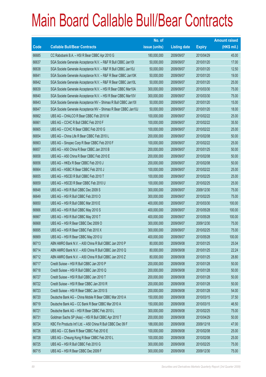|       |                                                                | No. of        |                     |               | <b>Amount raised</b> |
|-------|----------------------------------------------------------------|---------------|---------------------|---------------|----------------------|
| Code  | <b>Callable Bull/Bear Contracts</b>                            | issue (units) | <b>Listing date</b> | <b>Expiry</b> | (HK\$ mil.)          |
| 66685 | CC Rabobank B.A. - HSI R Bear CBBC Apr 2010 G                  | 180,000,000   | 2009/09/07          | 2010/04/29    | 45.00                |
| 66637 | SGA Societe Generale Acceptance N.V. - R&F R Bull CBBC Jan101  | 50,000,000    | 2009/09/07          | 2010/01/20    | 17.00                |
| 66638 | SGA Societe Generale Acceptance N.V. - R&F R Bull CBBC Jan10J  | 50,000,000    | 2009/09/07          | 2010/01/20    | 12.50                |
| 66641 | SGA Societe Generale Acceptance N.V. - R&F R Bear CBBC Jan10K  | 50,000,000    | 2009/09/07          | 2010/01/20    | 19.00                |
| 66642 | SGA Societe Generale Acceptance N.V. - R&F R Bear CBBC Jan10L  | 50,000,000    | 2009/09/07          | 2010/01/20    | 25.00                |
| 66639 | SGA Societe Generale Acceptance N.V. - HSI R Bear CBBC Mar10A  | 300,000,000   | 2009/09/07          | 2010/03/30    | 75.00                |
| 66640 | SGA Societe Generale Acceptance N.V. - HSI R Bear CBBC Mar10V  | 300,000,000   | 2009/09/07          | 2010/03/30    | 75.00                |
| 66643 | SGA Societe Generale Acceptance NV - Shimao R Bull CBBC Jan10I | 50,000,000    | 2009/09/07          | 2010/01/20    | 15.00                |
| 66647 | SGA Societe Generale Acceptance NV - Shimao R Bear CBBC Jan10J | 50,000,000    | 2009/09/07          | 2010/01/20    | 18.00                |
| 66662 | UBS AG - CHALCO R Bear CBBC Feb 2010 M                         | 100,000,000   | 2009/09/07          | 2010/02/22    | 25.00                |
| 66661 | UBS AG - CCHC R Bull CBBC Feb 2010 F                           | 100,000,000   | 2009/09/07          | 2010/02/22    | 35.50                |
| 66665 | UBS AG - CCHC R Bear CBBC Feb 2010 G                           | 100,000,000   | 2009/09/07          | 2010/02/22    | 25.00                |
| 66654 | UBS AG - China Life R Bear CBBC Feb 2010 L                     | 200,000,000   | 2009/09/07          | 2010/02/08    | 50.00                |
| 66663 | UBS AG - Sinopec Corp R Bear CBBC Feb 2010 F                   | 100,000,000   | 2009/09/07          | 2010/02/22    | 25.00                |
| 66657 | UBS AG - A50 China R Bear CBBC Jan 2010 B                      | 200,000,000   | 2009/09/07          | 2010/01/25    | 50.00                |
| 66658 | UBS AG - A50 China R Bear CBBC Feb 2010 E                      | 200,000,000   | 2009/09/07          | 2010/02/08    | 50.00                |
| 66656 | UBS AG - HKEx R Bear CBBC Feb 2010 J                           | 200,000,000   | 2009/09/07          | 2010/02/08    | 50.00                |
| 66664 | UBS AG - HSBC R Bear CBBC Feb 2010 J                           | 100,000,000   | 2009/09/07          | 2010/02/22    | 25.00                |
| 66655 | UBS AG - HSCEI R Bull CBBC Feb 2010 T                          | 100,000,000   | 2009/09/07          | 2010/02/25    | 25.00                |
| 66659 | UBS AG - HSCEI R Bear CBBC Feb 2010 U                          | 100,000,000   | 2009/09/07          | 2010/02/25    | 25.00                |
| 66648 | UBS AG - HSI R Bull CBBC Dec 2009 S                            | 300,000,000   | 2009/09/07          | 2009/12/30    | 75.00                |
| 66649 | UBS AG - HSI R Bull CBBC Feb 2010 O                            | 300,000,000   | 2009/09/07          | 2010/02/25    | 75.00                |
| 66650 | UBS AG - HSI R Bull CBBC Mar 2010 E                            | 400,000,000   | 2009/09/07          | 2010/03/30    | 100.00               |
| 66666 | UBS AG - HSI R Bull CBBC May 2010 S                            | 400,000,000   | 2009/09/07          | 2010/05/28    | 100.00               |
| 66667 | UBS AG - HSI R Bull CBBC May 2010 T                            | 400,000,000   | 2009/09/07          | 2010/05/28    | 100.00               |
| 66668 | UBS AG - HSI R Bear CBBC Dec 2009 O                            | 300,000,000   | 2009/09/07          | 2009/12/30    | 75.00                |
| 66695 | UBS AG - HSI R Bear CBBC Feb 2010 X                            | 300,000,000   | 2009/09/07          | 2010/02/25    | 75.00                |
| 66669 | UBS AG - HSI R Bear CBBC May 2010 U                            | 400,000,000   | 2009/09/07          | 2010/05/28    | 100.00               |
| 66713 | ABN AMRO Bank N.V. - A50 China R Bull CBBC Jan 2010 P          | 80,000,000    | 2009/09/08          | 2010/01/25    | 25.04                |
| 66714 | ABN AMRO Bank N.V. - A50 China R Bull CBBC Jan 2010 Q          | 80,000,000    | 2009/09/08          | 2010/01/25    | 22.24                |
| 66712 | ABN AMRO Bank N.V. - A50 China R Bull CBBC Jan 2010 Z          | 80,000,000    | 2009/09/08          | 2010/01/25    | 28.80                |
| 66717 | Credit Suisse - HSI R Bull CBBC Jan 2010 P                     | 200,000,000   | 2009/09/08          | 2010/01/28    | 50.00                |
| 66718 | Credit Suisse - HSI R Bull CBBC Jan 2010 Q                     | 200,000,000   | 2009/09/08          | 2010/01/28    | 50.00                |
| 66727 | Credit Suisse - HSI R Bull CBBC Jan 2010 T                     | 200,000,000   | 2009/09/08          | 2010/01/28    | 50.00                |
| 66722 | Credit Suisse - HSI R Bear CBBC Jan 2010 R                     | 200,000,000   | 2009/09/08          | 2010/01/28    | 50.00                |
| 66723 | Credit Suisse - HSI R Bear CBBC Jan 2010 S                     | 200,000,000   | 2009/09/08          | 2010/01/28    | 54.00                |
| 66720 | Deutsche Bank AG - China Mobile R Bear CBBC Mar 2010 A         | 150,000,000   | 2009/09/08          | 2010/03/15    | 37.50                |
| 66719 | Deutsche Bank AG - CC Bank R Bear CBBC Mar 2010 A              | 150,000,000   | 2009/09/08          | 2010/03/15    | 46.50                |
| 66721 | Deutsche Bank AG - HSI R Bear CBBC Feb 2010 L                  | 300,000,000   | 2009/09/08          | 2010/02/25    | 75.00                |
| 66731 | Goldman Sachs SP (Asia) - HSI R Bull CBBC Apr 2010 T           | 200,000,000   | 2009/09/08          | 2010/04/29    | 50.00                |
| 66724 | KBC Fin Products Int'l Ltd. - A50 China R Bull CBBC Dec 09 F   | 188,000,000   | 2009/09/08          | 2009/12/18    | 47.00                |
| 66726 | UBS AG - CC Bank R Bear CBBC Feb 2010 E                        | 100,000,000   | 2009/09/08          | 2010/02/08    | 25.00                |
| 66728 | UBS AG - Cheung Kong R Bear CBBC Feb 2010 L                    | 100,000,000   | 2009/09/08          | 2010/02/08    | 25.00                |
| 66725 | UBS AG - HSI R Bull CBBC Feb 2010 G                            | 300,000,000   | 2009/09/08          | 2010/02/25    | 75.00                |
| 66715 | UBS AG - HSI R Bear CBBC Dec 2009 F                            | 300,000,000   | 2009/09/08          | 2009/12/30    | 75.00                |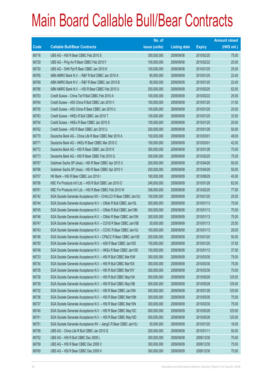|       |                                                                | No. of        |                     |               | <b>Amount raised</b> |
|-------|----------------------------------------------------------------|---------------|---------------------|---------------|----------------------|
| Code  | <b>Callable Bull/Bear Contracts</b>                            | issue (units) | <b>Listing date</b> | <b>Expiry</b> | $(HK$$ mil.)         |
| 66716 | UBS AG - HSI R Bear CBBC Feb 2010 S                            | 300,000,000   | 2009/09/08          | 2010/02/25    | 75.00                |
| 66729 | UBS AG - Ping An R Bear CBBC Feb 2010 F                        | 100,000,000   | 2009/09/08          | 2010/02/22    | 25.00                |
| 66730 | UBS AG - SHK Ppt R Bear CBBC Jan 2010 K                        | 100,000,000   | 2009/09/08          | 2010/01/25    | 25.00                |
| 66765 | ABN AMRO Bank N.V. - R&F R Bull CBBC Jan 2010 A                | 80,000,000    | 2009/09/09          | 2010/01/25    | 22.40                |
| 66769 | ABN AMRO Bank N.V. - R&F R Bear CBBC Jan 2010 B                | 80,000,000    | 2009/09/09          | 2010/01/25    | 22.40                |
| 66766 | ABN AMRO Bank N.V. - HSI R Bear CBBC Feb 2010 U                | 250,000,000   | 2009/09/09          | 2010/02/25    | 62.50                |
| 66753 | Credit Suisse - China Tel R Bull CBBC Feb 2010 A               | 100,000,000   | 2009/09/09          | 2010/02/22    | 25.00                |
| 66764 | Credit Suisse - A50 China R Bull CBBC Jan 2010 V               | 100,000,000   | 2009/09/09          | 2010/01/25    | 31.50                |
| 66755 | Credit Suisse - A50 China R Bear CBBC Jan 2010 U               | 100,000,000   | 2009/09/09          | 2010/01/25    | 25.00                |
| 66763 | Credit Suisse - HKEx R Bull CBBC Jan 2010 T                    | 100,000,000   | 2009/09/09          | 2010/01/25    | 33.50                |
| 66754 | Credit Suisse - HKEx R Bear CBBC Jan 2010 S                    | 100,000,000   | 2009/09/09          | 2010/01/25    | 25.00                |
| 66762 | Credit Suisse - HSI R Bear CBBC Jan 2010 U                     | 200,000,000   | 2009/09/09          | 2010/01/28    | 50.00                |
| 66770 | Deutsche Bank AG - China Life R Bear CBBC Mar 2010 A           | 150,000,000   | 2009/09/09          | 2010/03/01    | 48.00                |
| 66771 | Deutsche Bank AG - HKEx R Bear CBBC Mar 2010 C                 | 150,000,000   | 2009/09/09          | 2010/03/01    | 42.00                |
| 66772 | Deutsche Bank AG - HSI R Bear CBBC Jan 2010 K                  | 300,000,000   | 2009/09/09          | 2010/01/28    | 75.00                |
| 66773 | Deutsche Bank AG - HSI R Bear CBBC Feb 2010 Q                  | 300,000,000   | 2009/09/09          | 2010/02/25    | 75.00                |
| 66767 | Goldman Sachs SP (Asia) - HSI R Bear CBBC Apr 2010 U           | 200,000,000   | 2009/09/09          | 2010/04/29    | 50.00                |
| 66768 | Goldman Sachs SP (Asia) - HSI R Bear CBBC Apr 2010 V           | 200,000,000   | 2009/09/09          | 2010/04/29    | 50.00                |
| 66757 | HK Bank - HSI R Bear CBBC Jun 2010 I                           | 180,000,000   | 2009/09/09          | 2010/06/29    | 45.00                |
| 66756 | KBC Fin Products Int'l Ltd. - HSI R Bull CBBC Jan 2010 O       | 248,000,000   | 2009/09/09          | 2010/01/28    | 62.00                |
| 66761 | KBC Fin Products Int'l Ltd. - HSI R Bear CBBC Feb 2010 W       | 308,000,000   | 2009/09/09          | 2010/02/25    | 77.00                |
| 66742 | SGA Societe Generale Acceptance NV - CHALCO R Bear CBBC Jan10J | 100,000,000   | 2009/09/09          | 2010/01/20    | 25.00                |
| 66744 | SGA Societe Generale Acceptance N.V. - CMob R Bull CBBC Jan10L | 300,000,000   | 2009/09/09          | 2010/01/13    | 75.00                |
| 66745 | SGA Societe Generale Acceptance N.V. - CMob R Bull CBBC Jan10M | 300,000,000   | 2009/09/09          | 2010/01/13    | 75.00                |
| 66746 | SGA Societe Generale Acceptance N.V. - CMob R Bear CBBC Jan10N | 300,000,000   | 2009/09/09          | 2010/01/13    | 75.00                |
| 66747 | SGA Societe Generale Acceptance N.V. - COVS R Bear CBBC Jan10B | 50,000,000    | 2009/09/09          | 2010/01/13    | 25.50                |
| 66743 | SGA Societe Generale Acceptance N.V. - CCHC R Bear CBBC Jan10J | 100,000,000   | 2009/09/09          | 2010/01/13    | 28.00                |
| 66748 | SGA Societe Generale Acceptance N.V - CP&CC R Bear CBBC Jan10E | 200,000,000   | 2009/09/09          | 2010/01/20    | 50.00                |
| 66750 | SGA Societe Generale Acceptance N.V. - A50 R Bear CBBC Jan10D  | 150,000,000   | 2009/09/09          | 2010/01/20    | 37.50                |
| 66749 | SGA Societe Generale Acceptance N.V. - HKEx R Bear CBBC Jan10S | 150,000,000   | 2009/09/09          | 2010/01/13    | 37.50                |
| 66733 | SGA Societe Generale Acceptance N.V. - HSI R Bull CBBC Mar10W  | 300,000,000   | 2009/09/09          | 2010/03/30    | 75.00                |
| 66734 | SGA Societe Generale Acceptance N.V. - HSI R Bull CBBC Mar10X  | 300,000,000   | 2009/09/09          | 2010/03/30    | 75.00                |
| 66735 | SGA Societe Generale Acceptance N.V. - HSI R Bull CBBC Mar10Y  | 300,000,000   | 2009/09/09          | 2010/03/30    | 75.00                |
| 66738 | SGA Societe Generale Acceptance N.V. - HSI R Bull CBBC May10A  | 500,000,000   | 2009/09/09          | 2010/05/28    | 125.00               |
| 66739 | SGA Societe Generale Acceptance N.V. - HSI R Bull CBBC May10B  | 500,000,000   | 2009/09/09          | 2010/05/28    | 125.00               |
| 66732 | SGA Societe Generale Acceptance N.V. - HSI R Bear CBBC Jan10N  | 500,000,000   | 2009/09/09          | 2010/01/28    | 125.00               |
| 66736 | SGA Societe Generale Acceptance N.V. - HSI R Bear CBBC Mar10M  | 300,000,000   | 2009/09/09          | 2010/03/30    | 75.00                |
| 66737 | SGA Societe Generale Acceptance N.V. - HSI R Bear CBBC Mar10N  | 300,000,000   | 2009/09/09          | 2010/03/30    | 75.00                |
| 66740 | SGA Societe Generale Acceptance N.V. - HSI R Bear CBBC May10C  | 500,000,000   | 2009/09/09          | 2010/05/28    | 125.00               |
| 66741 | SGA Societe Generale Acceptance N.V. - HSI R Bear CBBC May10D  | 500,000,000   | 2009/09/09          | 2010/05/28    | 125.00               |
| 66751 | SGA Societe Generale Acceptance NV - JiangC R Bear CBBC Jan10J | 50,000,000    | 2009/09/09          | 2010/01/20    | 16.00                |
| 66758 | UBS AG - China Life R Bull CBBC Jan 2010 Q                     | 200,000,000   | 2009/09/09          | 2010/01/11    | 50.00                |
| 66752 | UBS AG - HSI R Bull CBBC Dec 2009 L                            | 300,000,000   | 2009/09/09          | 2009/12/30    | 75.00                |
| 66759 | UBS AG - HSI R Bear CBBC Dec 2009 V                            | 300,000,000   | 2009/09/09          | 2009/12/30    | 75.00                |
| 66760 | UBS AG - HSI R Bear CBBC Dec 2009 X                            | 300,000,000   | 2009/09/09          | 2009/12/30    | 75.00                |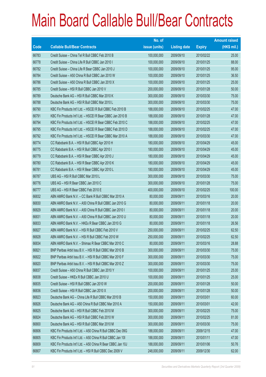|       |                                                             | No. of        |                     |               | <b>Amount raised</b> |
|-------|-------------------------------------------------------------|---------------|---------------------|---------------|----------------------|
| Code  | <b>Callable Bull/Bear Contracts</b>                         | issue (units) | <b>Listing date</b> | <b>Expiry</b> | $(HK$$ mil.)         |
| 66783 | Credit Suisse - China Tel R Bull CBBC Feb 2010 B            | 100,000,000   | 2009/09/10          | 2010/02/22    | 25.00                |
| 66778 | Credit Suisse - China Life R Bull CBBC Jan 2010 I           | 100,000,000   | 2009/09/10          | 2010/01/25    | 88.00                |
| 66782 | Credit Suisse - China Life R Bear CBBC Jan 2010 J           | 100,000,000   | 2009/09/10          | 2010/01/25    | 95.00                |
| 66784 | Credit Suisse - A50 China R Bull CBBC Jan 2010 W            | 100,000,000   | 2009/09/10          | 2010/01/25    | 36.50                |
| 66786 | Credit Suisse - A50 China R Bull CBBC Jan 2010 X            | 100,000,000   | 2009/09/10          | 2010/01/25    | 25.00                |
| 66785 | Credit Suisse - HSI R Bull CBBC Jan 2010 V                  | 200,000,000   | 2009/09/10          | 2010/01/28    | 50.00                |
| 66789 | Deutsche Bank AG - HSI R Bull CBBC Mar 2010 K               | 300,000,000   | 2009/09/10          | 2010/03/30    | 75.00                |
| 66788 | Deutsche Bank AG - HSI R Bull CBBC Mar 2010 L               | 300,000,000   | 2009/09/10          | 2010/03/30    | 75.00                |
| 66790 | KBC Fin Products Int'l Ltd. - HSCEI R Bull CBBC Feb 2010 B  | 188,000,000   | 2009/09/10          | 2010/02/25    | 47.00                |
| 66791 | KBC Fin Products Int'l Ltd. - HSCEI R Bear CBBC Jan 2010 B  | 188,000,000   | 2009/09/10          | 2010/01/28    | 47.00                |
| 66794 | KBC Fin Products Int'l Ltd. - HSCEI R Bear CBBC Feb 2010 C  | 188,000,000   | 2009/09/10          | 2010/02/25    | 47.00                |
| 66795 | KBC Fin Products Int'l Ltd. - HSCEI R Bear CBBC Feb 2010 D  | 188,000,000   | 2009/09/10          | 2010/02/25    | 47.00                |
| 66792 | KBC Fin Products Int'l Ltd. - HSCEI R Bear CBBC Mar 2010 A  | 188,000,000   | 2009/09/10          | 2010/03/30    | 47.00                |
| 66774 | CC Rabobank B.A. - HSI R Bull CBBC Apr 2010 H               | 180,000,000   | 2009/09/10          | 2010/04/29    | 45.00                |
| 66775 | CC Rabobank B.A. - HSI R Bull CBBC Apr 2010 I               | 180,000,000   | 2009/09/10          | 2010/04/29    | 45.00                |
| 66779 | CC Rabobank B.A. - HSI R Bear CBBC Apr 2010 J               | 180,000,000   | 2009/09/10          | 2010/04/29    | 45.00                |
| 66780 | CC Rabobank B.A. - HSI R Bear CBBC Apr 2010 K               | 180,000,000   | 2009/09/10          | 2010/04/29    | 45.00                |
| 66781 | CC Rabobank B.A. - HSI R Bear CBBC Apr 2010 L               | 180,000,000   | 2009/09/10          | 2010/04/29    | 45.00                |
| 66787 | UBS AG - HSI R Bull CBBC Mar 2010 L                         | 300,000,000   | 2009/09/10          | 2010/03/30    | 75.00                |
| 66776 | UBS AG - HSI R Bear CBBC Jan 2010 C                         | 300,000,000   | 2009/09/10          | 2010/01/28    | 75.00                |
| 66777 | UBS AG - HSI R Bear CBBC Feb 2010 E                         | 400,000,000   | 2009/09/10          | 2010/02/25    | 100.00               |
| 66832 | ABN AMRO Bank N.V. - CC Bank R Bull CBBC Mar 2010 A         | 80,000,000    | 2009/09/11          | 2010/03/16    | 20.00                |
| 66830 | ABN AMRO Bank N.V. - A50 China R Bull CBBC Jan 2010 G       | 80,000,000    | 2009/09/11          | 2010/01/18    | 20.00                |
| 66829 | ABN AMRO Bank N.V. - A50 China R Bull CBBC Jan 2010 I       | 80,000,000    | 2009/09/11          | 2010/01/18    | 20.00                |
| 66831 | ABN AMRO Bank N.V. - A50 China R Bull CBBC Jan 2010 U       | 80,000,000    | 2009/09/11          | 2010/01/18    | 20.00                |
| 66833 | ABN AMRO Bank N.V. - HKEx R Bear CBBC Jan 2010 G            | 80,000,000    | 2009/09/11          | 2010/01/18    | 26.56                |
| 66827 | ABN AMRO Bank N.V. - HSI R Bull CBBC Feb 2010 V             | 250,000,000   | 2009/09/11          | 2010/02/25    | 62.50                |
| 66828 | ABN AMRO Bank N.V. - HSI R Bull CBBC Feb 2010 W             | 250,000,000   | 2009/09/11          | 2010/02/25    | 62.50                |
| 66834 | ABN AMRO Bank N.V. - Shimao R Bear CBBC Mar 2010 C          | 80,000,000    | 2009/09/11          | 2010/03/16    | 28.88                |
| 66821 | BNP Paribas Arbit Issu B.V. - HSI R Bull CBBC Mar 2010 B    | 300,000,000   | 2009/09/11          | 2010/03/30    | 75.00                |
| 66822 | BNP Paribas Arbit Issu B.V. - HSI R Bull CBBC Mar 2010 F    | 300,000,000   | 2009/09/11          | 2010/03/30    | 75.00                |
| 66820 | BNP Paribas Arbit Issu B.V. - HSI R Bull CBBC Mar 2010 Z    | 300,000,000   | 2009/09/11          | 2010/03/30    | 75.00                |
| 66837 | Credit Suisse - A50 China R Bull CBBC Jan 2010 Y            | 100,000,000   | 2009/09/11          | 2010/01/25    | 25.00                |
| 66838 | Credit Suisse - HKEx R Bull CBBC Jan 2010 U                 | 100,000,000   | 2009/09/11          | 2010/01/25    | 25.00                |
| 66835 | Credit Suisse - HSI R Bull CBBC Jan 2010 W                  | 200,000,000   | 2009/09/11          | 2010/01/28    | 50.00                |
| 66836 | Credit Suisse - HSI R Bull CBBC Jan 2010 X                  | 200,000,000   | 2009/09/11          | 2010/01/28    | 50.00                |
| 66823 | Deutsche Bank AG - China Life R Bull CBBC Mar 2010 B        | 150,000,000   | 2009/09/11          | 2010/03/01    | 60.00                |
| 66826 | Deutsche Bank AG - A50 China R Bull CBBC Mar 2010 A         | 150,000,000   | 2009/09/11          | 2010/03/01    | 42.00                |
| 66825 | Deutsche Bank AG - HSI R Bull CBBC Feb 2010 M               | 300,000,000   | 2009/09/11          | 2010/02/25    | 75.00                |
| 66824 | Deutsche Bank AG - HSI R Bull CBBC Feb 2010 W               | 300,000,000   | 2009/09/11          | 2010/02/25    | 81.00                |
| 66800 | Deutsche Bank AG - HSI R Bull CBBC Mar 2010 M               | 300,000,000   | 2009/09/11          | 2010/03/30    | 75.00                |
| 66806 | KBC Fin Products Int'l Ltd. - A50 China R Bull CBBC Dec 09G | 188,000,000   | 2009/09/11          | 2009/12/15    | 47.00                |
| 66805 | KBC Fin Products Int'l Ltd. - A50 China R Bull CBBC Jan 101 | 188,000,000   | 2009/09/11          | 2010/01/11    | 47.00                |
| 66809 | KBC Fin Products Int'l Ltd. - A50 China R Bear CBBC Jan 10J | 188,000,000   | 2009/09/11          | 2010/01/06    | 50.76                |
| 66807 | KBC Fin Products Int'l Ltd. - HSI R Bull CBBC Dec 2009 V    | 248,000,000   | 2009/09/11          | 2009/12/30    | 62.00                |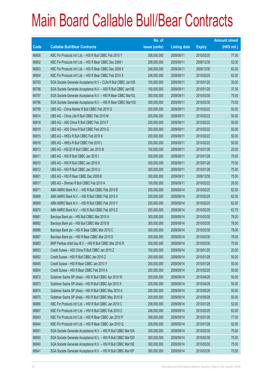|             |                                                                | No. of        |                     |               | <b>Amount raised</b> |
|-------------|----------------------------------------------------------------|---------------|---------------------|---------------|----------------------|
| <b>Code</b> | <b>Callable Bull/Bear Contracts</b>                            | issue (units) | <b>Listing date</b> | <b>Expiry</b> | (HK\$ mil.)          |
| 66808       | KBC Fin Products Int'l Ltd. - HSI R Bull CBBC Feb 2010 Y       | 308,000,000   | 2009/09/11          | 2010/02/25    | 77.00                |
| 66802       | KBC Fin Products Int'l Ltd. - HSI R Bear CBBC Dec 2009 I       | 208,000,000   | 2009/09/11          | 2009/12/30    | 52.00                |
| 66803       | KBC Fin Products Int'l Ltd. - HSI R Bear CBBC Dec 2009 X       | 248,000,000   | 2009/09/11          | 2009/12/30    | 62.00                |
| 66804       | KBC Fin Products Int'l Ltd. - HSI R Bear CBBC Feb 2010 X       | 248,000,000   | 2009/09/11          | 2010/02/25    | 62.00                |
| 66793       | SGA Societe Generale Acceptance N.V - CLife R Bull CBBC Jan10S | 100,000,000   | 2009/09/11          | 2010/01/20    | 30.00                |
| 66798       | SGA Societe Generale Acceptance N.V. - A50 R Bull CBBC Jan10E  | 150,000,000   | 2009/09/11          | 2010/01/20    | 37.50                |
| 66797       | SGA Societe Generale Acceptance N.V. - HSI R Bear CBBC Mar10L  | 300,000,000   | 2009/09/11          | 2010/03/30    | 75.00                |
| 66796       | SGA Societe Generale Acceptance N.V. - HSI R Bear CBBC Mar100  | 300,000,000   | 2009/09/11          | 2010/03/30    | 75.00                |
| 66799       | UBS AG - China Mobile R Bull CBBC Feb 2010 G                   | 200,000,000   | 2009/09/11          | 2010/02/22    | 50.00                |
| 66814       | UBS AG - China Life R Bull CBBC Feb 2010 M                     | 200,000,000   | 2009/09/11          | 2010/02/22    | 50.00                |
| 66818       | UBS AG - A50 China R Bull CBBC Feb 2010 F                      | 200,000,000   | 2009/09/11          | 2010/02/22    | 50.00                |
| 66819       | UBS AG - A50 China R Bull CBBC Feb 2010 G                      | 200,000,000   | 2009/09/11          | 2010/02/22    | 50.00                |
| 66815       | UBS AG - HKEx R Bull CBBC Feb 2010 K                           | 200,000,000   | 2009/09/11          | 2010/02/22    | 50.00                |
| 66816       | UBS AG - HKEx R Bull CBBC Feb 2010 L                           | 200,000,000   | 2009/09/11          | 2010/02/22    | 50.00                |
| 66813       | UBS AG - HSCEI R Bull CBBC Jan 2010 B                          | 100,000,000   | 2009/09/11          | 2010/01/28    | 25.00                |
| 66811       | UBS AG - HSI R Bull CBBC Jan 2010 I                            | 300,000,000   | 2009/09/11          | 2010/01/28    | 75.00                |
| 66810       | UBS AG - HSI R Bull CBBC Jan 2010 K                            | 300,000,000   | 2009/09/11          | 2010/01/28    | 75.00                |
| 66812       | UBS AG - HSI R Bull CBBC Jan 2010 U                            | 300,000,000   | 2009/09/11          | 2010/01/28    | 75.00                |
| 66801       | UBS AG - HSI R Bear CBBC Dec 2009 B                            | 300,000,000   | 2009/09/11          | 2009/12/30    | 75.00                |
| 66817       | UBS AG - Shimao R Bull CBBC Feb 2010 A                         | 100,000,000   | 2009/09/11          | 2010/02/22    | 28.50                |
| 66871       | ABN AMRO Bank N.V. - HSI R Bull CBBC Feb 2010 B                | 250,000,000   | 2009/09/14          | 2010/02/25    | 62.50                |
| 66868       | ABN AMRO Bank N.V. - HSI R Bull CBBC Feb 2010 X                | 250,000,000   | 2009/09/14          | 2010/02/25    | 62.50                |
| 66869       | ABN AMRO Bank N.V. - HSI R Bull CBBC Feb 2010 Y                | 250,000,000   | 2009/09/14          | 2010/02/25    | 62.50                |
| 66870       | ABN AMRO Bank N.V. - HSI R Bull CBBC Feb 2010 Z                | 250,000,000   | 2009/09/14          | 2010/02/25    | 62.75                |
| 66881       | Barclays Bank plc - HSI Bull CBBC Mar 2010 A                   | 300,000,000   | 2009/09/14          | 2010/03/30    | 78.00                |
| 66882       | Barclays Bank plc - HSI Bull CBBC Mar 2010 B                   | 300,000,000   | 2009/09/14          | 2010/03/30    | 78.00                |
| 66886       | Barclays Bank plc - HSI R Bear CBBC Mar 2010 C                 | 300,000,000   | 2009/09/14          | 2010/03/30    | 78.00                |
| 66887       | Barclays Bank plc - HSI R Bear CBBC Mar 2010 D                 | 300,000,000   | 2009/09/14          | 2010/03/30    | 78.00                |
| 66883       | BNP Paribas Arbit Issu B.V. - HSI R Bull CBBC Mar 2010 R       | 300,000,000   | 2009/09/14          | 2010/03/30    | 75.00                |
| 66853       | Credit Suisse - A50 China R Bull CBBC Jan 2010 Z               | 100,000,000   | 2009/09/14          | 2010/01/25    | 25.00                |
| 66852       | Credit Suisse - HSI R Bull CBBC Jan 2010 Z                     | 200,000,000   | 2009/09/14          | 2010/01/28    | 50.00                |
| 66845       | Credit Suisse - HSI R Bear CBBC Jan 2010 Y                     | 200,000,000   | 2009/09/14          | 2010/01/28    | 50.00                |
| 66854       | Credit Suisse - HSI R Bear CBBC Feb 2010 A                     | 200,000,000   | 2009/09/14          | 2010/02/25    | 50.00                |
| 66872       | Goldman Sachs SP (Asia) - HSI R Bull CBBC Apr 2010 W           | 200,000,000   | 2009/09/14          | 2010/04/29    | 50.00                |
| 66873       | Goldman Sachs SP (Asia) - HSI R Bull CBBC Apr 2010 X           | 200,000,000   | 2009/09/14          | 2010/04/29    | 50.00                |
| 66874       | Goldman Sachs SP (Asia) - HSI R Bull CBBC May 2010 A           | 200,000,000   | 2009/09/14          | 2010/05/28    | 50.00                |
| 66875       | Goldman Sachs SP (Asia) - HSI R Bull CBBC May 2010 B           | 200,000,000   | 2009/09/14          | 2010/05/28    | 50.00                |
| 66866       | KBC Fin Products Int'l Ltd. - HSI R Bull CBBC Jan 2010 C       | 208,000,000   | 2009/09/14          | 2010/01/28    | 52.00                |
| 66867       | KBC Fin Products Int'l Ltd. - HSI R Bull CBBC Feb 2010 Z       | 248,000,000   | 2009/09/14          | 2010/02/25    | 62.00                |
| 66843       | KBC Fin Products Int'l Ltd. - HSI R Bear CBBC Jan 2010 P       | 308,000,000   | 2009/09/14          | 2010/01/28    | 77.00                |
| 66844       | KBC Fin Products Int'l Ltd. - HSI R Bear CBBC Jan 2010 Q       | 208,000,000   | 2009/09/14          | 2010/01/28    | 52.00                |
| 66851       | SGA Societe Generale Acceptance N.V. - HSI R Bull CBBC Mar10A  | 300,000,000   | 2009/09/14          | 2010/03/30    | 75.00                |
| 66850       | SGA Societe Generale Acceptance N.V. - HSI R Bull CBBC Mar10D  | 300,000,000   | 2009/09/14          | 2010/03/30    | 75.00                |
| 66840       | SGA Societe Generale Acceptance N.V. - HSI R Bull CBBC Mar10E  | 300,000,000   | 2009/09/14          | 2010/03/30    | 75.00                |
| 66841       | SGA Societe Generale Acceptance N.V. - HSI R Bull CBBC Mar10F  | 300,000,000   | 2009/09/14          | 2010/03/30    | 75.00                |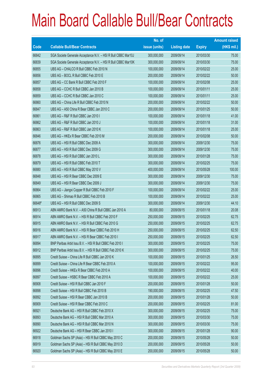|        |                                                               | No. of        |                     |               | <b>Amount raised</b> |
|--------|---------------------------------------------------------------|---------------|---------------------|---------------|----------------------|
| Code   | <b>Callable Bull/Bear Contracts</b>                           | issue (units) | <b>Listing date</b> | <b>Expiry</b> | (HK\$ mil.)          |
| 66842  | SGA Societe Generale Acceptance N.V. - HSI R Bull CBBC Mar10J | 300,000,000   | 2009/09/14          | 2010/03/30    | 75.00                |
| 66839  | SGA Societe Generale Acceptance N.V. - HSI R Bull CBBC Mar10K | 300,000,000   | 2009/09/14          | 2010/03/30    | 75.00                |
| 66855  | UBS AG - CHALCO R Bull CBBC Feb 2010 N                        | 100,000,000   | 2009/09/14          | 2010/02/22    | 25.00                |
| 66856  | UBS AG - BOCL R Bull CBBC Feb 2010 E                          | 200,000,000   | 2009/09/14          | 2010/02/22    | 50.00                |
| 66857  | UBS AG - CC Bank R Bull CBBC Feb 2010 F                       | 100,000,000   | 2009/09/14          | 2010/02/08    | 25.00                |
| 66858  | UBS AG - CCHC R Bull CBBC Jan 2010 B                          | 100,000,000   | 2009/09/14          | 2010/01/11    | 25.00                |
| 66859  | UBS AG - CCHC R Bull CBBC Jan 2010 C                          | 100,000,000   | 2009/09/14          | 2010/01/11    | 25.00                |
| 66860  | UBS AG - China Life R Bull CBBC Feb 2010 N                    | 200,000,000   | 2009/09/14          | 2010/02/22    | 50.00                |
| 66847  | UBS AG - A50 China R Bear CBBC Jan 2010 C                     | 200,000,000   | 2009/09/14          | 2010/01/25    | 50.00                |
| 66861  | UBS AG - R&F R Bull CBBC Jan 2010 I                           | 100,000,000   | 2009/09/14          | 2010/01/18    | 41.00                |
| 66862  | UBS AG - R&F R Bull CBBC Jan 2010 J                           | 100,000,000   | 2009/09/14          | 2010/01/18    | 31.00                |
| 66863  | UBS AG - R&F R Bull CBBC Jan 2010 K                           | 100,000,000   | 2009/09/14          | 2010/01/18    | 25.00                |
| 66846  | UBS AG - HKEx R Bear CBBC Feb 2010 M                          | 200,000,000   | 2009/09/14          | 2010/02/08    | 50.00                |
| 66876  | UBS AG - HSI R Bull CBBC Dec 2009 A                           | 300,000,000   | 2009/09/14          | 2009/12/30    | 75.00                |
| 66877  | UBS AG - HSI R Bull CBBC Dec 2009 G                           | 300,000,000   | 2009/09/14          | 2009/12/30    | 75.00                |
| 66878  | UBS AG - HSI R Bull CBBC Jan 2010 L                           | 300,000,000   | 2009/09/14          | 2010/01/28    | 75.00                |
| 66879  | UBS AG - HSI R Bull CBBC Feb 2010 T                           | 300,000,000   | 2009/09/14          | 2010/02/25    | 75.00                |
| 66880  | UBS AG - HSI R Bull CBBC May 2010 V                           | 400,000,000   | 2009/09/14          | 2010/05/28    | 100.00               |
| 66848  | UBS AG - HSI R Bear CBBC Dec 2009 E                           | 300,000,000   | 2009/09/14          | 2009/12/30    | 75.00                |
| 66849  | UBS AG - HSI R Bear CBBC Dec 2009 J                           | 300,000,000   | 2009/09/14          | 2009/12/30    | 75.00                |
| 66864  | UBS AG - Jiangxi Copper R Bull CBBC Feb 2010 F                | 100,000,000   | 2009/09/14          | 2010/02/22    | 25.00                |
| 66865  | UBS AG - Shimao R Bull CBBC Feb 2010 B                        | 100,000,000   | 2009/09/14          | 2010/02/22    | 25.00                |
| 66648# | UBS AG - HSI R Bull CBBC Dec 2009 S                           | 300,000,000   | 2009/09/14          | 2009/12/30    | 44.10                |
| 66913  | ABN AMRO Bank N.V. - A50 China R Bull CBBC Jan 2010 A         | 80,000,000    | 2009/09/15          | 2010/01/18    | 20.08                |
| 66914  | ABN AMRO Bank N.V. - HSI R Bull CBBC Feb 2010 F               | 250,000,000   | 2009/09/15          | 2010/02/25    | 62.75                |
| 66915  | ABN AMRO Bank N.V. - HSI R Bull CBBC Feb 2010 G               | 250,000,000   | 2009/09/15          | 2010/02/25    | 62.75                |
| 66916  | ABN AMRO Bank N.V. - HSI R Bear CBBC Feb 2010 H               | 250,000,000   | 2009/09/15          | 2010/02/25    | 62.50                |
| 66917  | ABN AMRO Bank N.V. - HSI R Bear CBBC Feb 2010 I               | 250,000,000   | 2009/09/15          | 2010/02/25    | 62.50                |
| 66894  | BNP Paribas Arbit Issu B.V. - HSI R Bull CBBC Feb 2010 I      | 300,000,000   | 2009/09/15          | 2010/02/25    | 75.00                |
| 66912  | BNP Paribas Arbit Issu B.V. - HSI R Bull CBBC Feb 2010 K      | 300,000,000   | 2009/09/15          | 2010/02/25    | 75.00                |
| 66895  | Credit Suisse - China Life R Bull CBBC Jan 2010 K             | 100,000,000   | 2009/09/15          | 2010/01/25    | 26.50                |
| 66899  | Credit Suisse - China Life R Bear CBBC Feb 2010 A             | 100,000,000   | 2009/09/15          | 2010/02/22    | 95.00                |
| 66896  | Credit Suisse - HKEx R Bear CBBC Feb 2010 A                   | 100,000,000   | 2009/09/15          | 2010/02/22    | 40.00                |
| 66897  | Credit Suisse - HSBC R Bear CBBC Feb 2010 A                   | 100,000,000   | 2009/09/15          | 2010/02/22    | 25.00                |
| 66908  | Credit Suisse - HSI R Bull CBBC Jan 2010 F                    | 200,000,000   | 2009/09/15          | 2010/01/28    | 50.00                |
| 66898  | Credit Suisse - HSI R Bull CBBC Feb 2010 B                    | 190,000,000   | 2009/09/15          | 2010/02/25    | 47.50                |
| 66892  | Credit Suisse - HSI R Bear CBBC Jan 2010 B                    | 200,000,000   | 2009/09/15          | 2010/01/28    | 50.00                |
| 66909  | Credit Suisse - HSI R Bear CBBC Feb 2010 C                    | 200,000,000   | 2009/09/15          | 2010/02/25    | 81.00                |
| 66921  | Deutsche Bank AG - HSI R Bull CBBC Feb 2010 X                 | 300,000,000   | 2009/09/15          | 2010/02/25    | 75.00                |
| 66893  | Deutsche Bank AG - HSI R Bull CBBC Mar 2010 A                 | 300,000,000   | 2009/09/15          | 2010/03/30    | 75.00                |
| 66890  | Deutsche Bank AG - HSI R Bull CBBC Mar 2010 N                 | 300,000,000   | 2009/09/15          | 2010/03/30    | 75.00                |
| 66922  | Deutsche Bank AG - HSI R Bear CBBC Jan 2010 I                 | 300,000,000   | 2009/09/15          | 2010/01/28    | 90.00                |
| 66918  | Goldman Sachs SP (Asia) - HSI R Bull CBBC May 2010 C          | 200,000,000   | 2009/09/15          | 2010/05/28    | 50.00                |
| 66919  | Goldman Sachs SP (Asia) - HSI R Bull CBBC May 2010 D          | 200,000,000   | 2009/09/15          | 2010/05/28    | 50.00                |
| 66920  | Goldman Sachs SP (Asia) - HSI R Bull CBBC May 2010 E          | 200,000,000   | 2009/09/15          | 2010/05/28    | 50.00                |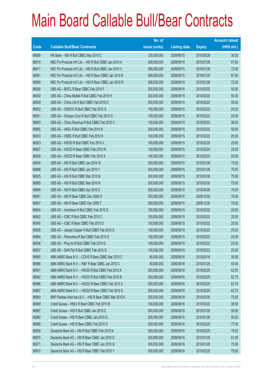|       |                                                          | No. of        |                     |               | <b>Amount raised</b> |
|-------|----------------------------------------------------------|---------------|---------------------|---------------|----------------------|
| Code  | <b>Callable Bull/Bear Contracts</b>                      | issue (units) | <b>Listing date</b> | <b>Expiry</b> | (HK\$ mil.)          |
| 66889 | HK Bank - HSI R Bull CBBC May 2010 C                     | 120,000,000   | 2009/09/15          | 2010/05/28    | 30.00                |
| 66910 | KBC Fin Products Int'l Ltd. - HSI R Bull CBBC Jan 2010 A | 268,000,000   | 2009/09/15          | 2010/01/28    | 67.00                |
| 66911 | KBC Fin Products Int'l Ltd. - HSI R Bull CBBC Jan 2010 V | 288,000,000   | 2009/09/15          | 2010/01/28    | 72.00                |
| 66901 | KBC Fin Products Int'l Ltd. - HSI R Bear CBBC Jan 2010 B | 268,000,000   | 2009/09/15          | 2010/01/28    | 67.00                |
| 66900 | KBC Fin Products Int'l Ltd. - HSI R Bear CBBC Jan 2010 R | 288,000,000   | 2009/09/15          | 2010/01/28    | 72.00                |
| 66926 | UBS AG - BOCL R Bear CBBC Feb 2010 F                     | 200,000,000   | 2009/09/15          | 2010/02/22    | 50.00                |
| 66930 | UBS AG - China Mobile R Bull CBBC Feb 2010 H             | 200,000,000   | 2009/09/15          | 2010/02/22    | 50.00                |
| 66929 | UBS AG - China Life R Bull CBBC Feb 2010 O               | 200,000,000   | 2009/09/15          | 2010/02/22    | 50.00                |
| 66932 | UBS AG - CNOOC R Bull CBBC Feb 2010 G                    | 100,000,000   | 2009/09/15          | 2010/02/22    | 25.00                |
| 66931 | UBS AG - Sinopec Corp R Bull CBBC Feb 2010 G             | 100,000,000   | 2009/09/15          | 2010/02/22    | 25.00                |
| 66903 | UBS AG - China Shenhua R Bull CBBC Feb 2010 C            | 100,000,000   | 2009/09/15          | 2010/02/22    | 38.00                |
| 66905 | UBS AG - HKEx R Bull CBBC Feb 2010 N                     | 200,000,000   | 2009/09/15          | 2010/02/22    | 50.00                |
| 66933 | UBS AG - HSBC R Bull CBBC Feb 2010 K                     | 100,000,000   | 2009/09/15          | 2010/02/22    | 25.00                |
| 66923 | UBS AG - HSCEI R Bull CBBC Feb 2010 V                    | 100,000,000   | 2009/09/15          | 2010/02/25    | 25.00                |
| 66927 | UBS AG - HSCEI R Bear CBBC Feb 2010 W                    | 100,000,000   | 2009/09/15          | 2010/02/25    | 25.00                |
| 66928 | UBS AG - HSCEI R Bear CBBC Feb 2010 X                    | 100,000,000   | 2009/09/15          | 2010/02/25    | 25.00                |
| 66924 | UBS AG - HSI R Bull CBBC Jan 2010 W                      | 300,000,000   | 2009/09/15          | 2010/01/28    | 75.00                |
| 66888 | UBS AG - HSI R Bull CBBC Jan 2010 Y                      | 300,000,000   | 2009/09/15          | 2010/01/28    | 75.00                |
| 66925 | UBS AG - HSI R Bull CBBC Mar 2010 B                      | 300,000,000   | 2009/09/15          | 2010/03/30    | 75.00                |
| 66885 | UBS AG - HSI R Bull CBBC Mar 2010 R                      | 300,000,000   | 2009/09/15          | 2010/03/30    | 75.00                |
| 66884 | UBS AG - HSI R Bull CBBC Apr 2010 D                      | 300,000,000   | 2009/09/15          | 2010/04/29    | 75.00                |
| 66891 | UBS AG - HSI R Bear CBBC Dec 2009 O                      | 300,000,000   | 2009/09/15          | 2009/12/30    | 75.00                |
| 66907 | UBS AG - HSI R Bear CBBC Dec 2009 T                      | 300,000,000   | 2009/09/15          | 2009/12/30    | 75.00                |
| 66934 | UBS AG - Hutchison R Bull CBBC Feb 2010 D                | 100,000,000   | 2009/09/15          | 2010/02/22    | 25.00                |
| 66902 | UBS AG - ICBC R Bull CBBC Feb 2010 C                     | 100,000,000   | 2009/09/15          | 2010/02/22    | 25.00                |
| 66906 | UBS AG - ICBC R Bear CBBC Feb 2010 D                     | 100,000,000   | 2009/09/15          | 2010/02/22    | 25.00                |
| 66935 | UBS AG - Jiangxi Copper R Bull CBBC Feb 2010 G           | 100,000,000   | 2009/09/15          | 2010/02/22    | 25.00                |
| 66904 | UBS AG - Petrochina R Bull CBBC Feb 2010 G               | 100,000,000   | 2009/09/15          | 2010/02/22    | 25.00                |
| 66936 | UBS AG - Ping An R Bull CBBC Feb 2010 G                  | 100,000,000   | 2009/09/15          | 2010/02/22    | 25.00                |
| 66937 | UBS AG - SHK Ppt R Bull CBBC Feb 2010 Q                  | 100,000,000   | 2009/09/15          | 2010/02/22    | 25.00                |
| 66985 | ABN AMRO Bank N.V. - COVS R Bear CBBC Mar 2010 C         | 80,000,000    | 2009/09/16          | 2010/03/16    | 30.56                |
| 66986 | ABN AMRO Bank N.V. - R&F R Bear CBBC Jan 2010 C          | 80,000,000    | 2009/09/16          | 2010/01/25    | 43.04                |
| 66991 | ABN AMRO Bank N.V. - HSCEI R Bull CBBC Feb 2010 A        | 250,000,000   | 2009/09/16          | 2010/02/25    | 62.50                |
| 66992 | ABN AMRO Bank N.V. - HSCEI R Bull CBBC Feb 2010 B        | 250,000,000   | 2009/09/16          | 2010/02/25    | 62.75                |
| 66996 | ABN AMRO Bank N.V. - HSCEI R Bear CBBC Feb 2010 C        | 250,000,000   | 2009/09/16          | 2010/02/25    | 63.75                |
| 66997 | ABN AMRO Bank N.V. - HSCEI R Bear CBBC Feb 2010 D        | 250,000,000   | 2009/09/16          | 2010/02/25    | 62.75                |
| 66983 | BNP Paribas Arbit Issu B.V. - HSI R Bear CBBC Mar 2010 K | 300,000,000   | 2009/09/16          | 2010/03/30    | 75.00                |
| 66969 | Credit Suisse - HKEx R Bear CBBC Feb 2010 B              | 100,000,000   | 2009/09/16          | 2010/02/22    | 38.50                |
| 66967 | Credit Suisse - HSI R Bull CBBC Jan 2010 C               | 200,000,000   | 2009/09/16          | 2010/01/28    | 50.00                |
| 66982 | Credit Suisse - HSI R Bear CBBC Jan 2010 G               | 200,000,000   | 2009/09/16          | 2010/01/28    | 50.00                |
| 66968 | Credit Suisse - HSI R Bear CBBC Feb 2010 D               | 200,000,000   | 2009/09/16          | 2010/02/25    | 77.00                |
| 66959 | Deutsche Bank AG - HSI R Bull CBBC Feb 2010 N            | 300,000,000   | 2009/09/16          | 2010/02/25    | 78.00                |
| 66970 | Deutsche Bank AG - HSI R Bear CBBC Jan 2010 O            | 300,000,000   | 2009/09/16          | 2010/01/28    | 81.00                |
| 66971 | Deutsche Bank AG - HSI R Bear CBBC Jan 2010 Q            | 300,000,000   | 2009/09/16          | 2010/01/28    | 75.00                |
| 66972 | Deutsche Bank AG - HSI R Bear CBBC Feb 2010 Y            | 300,000,000   | 2009/09/16          | 2010/02/25    | 75.00                |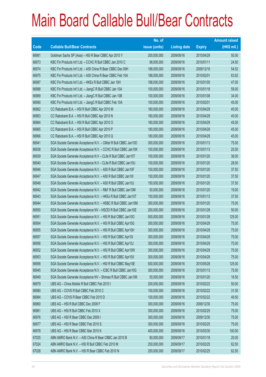|       |                                                                | No. of        |                     |               | <b>Amount raised</b> |
|-------|----------------------------------------------------------------|---------------|---------------------|---------------|----------------------|
| Code  | <b>Callable Bull/Bear Contracts</b>                            | issue (units) | <b>Listing date</b> | <b>Expiry</b> | $(HK$$ mil.)         |
| 66981 | Goldman Sachs SP (Asia) - HSI R Bear CBBC Apr 2010 Y           | 200,000,000   | 2009/09/16          | 2010/04/29    | 50.00                |
| 66973 | KBC Fin Products Int'l Ltd. - CCHC R Bull CBBC Jan 2010 C      | 98,000,000    | 2009/09/16          | 2010/01/11    | 24.50                |
| 66974 | KBC Fin Products Int'l Ltd. - A50 China R Bear CBBC Dec 09H    | 188,000,000   | 2009/09/16          | 2009/12/16    | 54.52                |
| 66975 | KBC Fin Products Int'l Ltd. - A50 China R Bear CBBC Feb 10A    | 188,000,000   | 2009/09/16          | 2010/02/01    | 63.92                |
| 66987 | KBC Fin Products Int'l Ltd. - HKEx R Bull CBBC Jan 10H         | 188,000,000   | 2009/09/16          | 2010/01/05    | 47.00                |
| 66988 | KBC Fin Products Int'l Ltd. - JiangC R Bull CBBC Jan 10A       | 100,000,000   | 2009/09/16          | 2010/01/18    | 59.00                |
| 66989 | KBC Fin Products Int'l Ltd. - JiangC R Bull CBBC Jan 10B       | 100,000,000   | 2009/09/16          | 2010/01/08    | 34.00                |
| 66990 | KBC Fin Products Int'l Ltd. - JiangC R Bull CBBC Feb 10A       | 100,000,000   | 2009/09/16          | 2010/02/01    | 45.00                |
| 66962 | CC Rabobank B.A. - HSI R Bull CBBC Apr 2010 M                  | 180,000,000   | 2009/09/16          | 2010/04/29    | 45.00                |
| 66963 | CC Rabobank B.A. - HSI R Bull CBBC Apr 2010 N                  | 180,000,000   | 2009/09/16          | 2010/04/29    | 45.00                |
| 66964 | CC Rabobank B.A. - HSI R Bull CBBC Apr 2010 O                  | 180,000,000   | 2009/09/16          | 2010/04/29    | 45.00                |
| 66965 | CC Rabobank B.A. - HSI R Bull CBBC Apr 2010 P                  | 180,000,000   | 2009/09/16          | 2010/04/29    | 45.00                |
| 66966 | CC Rabobank B.A. - HSI R Bull CBBC Apr 2010 Q                  | 180,000,000   | 2009/09/16          | 2010/04/29    | 45.00                |
| 66941 | SGA Societe Generale Acceptance N.V. - CMob R Bull CBBC Jan100 | 300,000,000   | 2009/09/16          | 2010/01/13    | 75.00                |
| 66938 | SGA Societe Generale Acceptance N.V. - CCHC R Bull CBBC Jan10K | 100,000,000   | 2009/09/16          | 2010/01/13    | 25.00                |
| 66939 | SGA Societe Generale Acceptance N.V - CLife R Bull CBBC Jan10T | 100,000,000   | 2009/09/16          | 2010/01/20    | 38.00                |
| 66940 | SGA Societe Generale Acceptance N.V - CLife R Bull CBBC Jan10U | 100,000,000   | 2009/09/16          | 2010/01/20    | 28.00                |
| 66946 | SGA Societe Generale Acceptance N.V. - A50 R Bull CBBC Jan10F  | 150,000,000   | 2009/09/16          | 2010/01/20    | 37.50                |
| 66947 | SGA Societe Generale Acceptance N.V. - A50 R Bull CBBC Jan10I  | 150,000,000   | 2009/09/16          | 2010/01/20    | 37.50                |
| 66948 | SGA Societe Generale Acceptance N.V. - A50 R Bull CBBC Jan10J  | 150,000,000   | 2009/09/16          | 2010/01/20    | 37.50                |
| 66942 | SGA Societe Generale Acceptance N.V. - R&F R Bull CBBC Jan10M  | 50,000,000    | 2009/09/16          | 2010/01/20    | 19.00                |
| 66943 | SGA Societe Generale Acceptance N.V. - HKEx R Bull CBBC Jan10T | 150,000,000   | 2009/09/16          | 2010/01/13    | 37.50                |
| 66944 | SGA Societe Generale Acceptance N.V. - HSBC R Bull CBBC Jan10M | 300,000,000   | 2009/09/16          | 2010/01/20    | 75.00                |
| 66950 | SGA Societe Generale Acceptance NV - HSCEI R Bull CBBC Jan10E  | 200,000,000   | 2009/09/16          | 2010/01/28    | 50.00                |
| 66951 | SGA Societe Generale Acceptance N.V. - HSI R Bull CBBC Jan100  | 500,000,000   | 2009/09/16          | 2010/01/28    | 125.00               |
| 66954 | SGA Societe Generale Acceptance N.V. - HSI R Bull CBBC Apr10G  | 300,000,000   | 2009/09/16          | 2010/04/29    | 75.00                |
| 66955 | SGA Societe Generale Acceptance N.V. - HSI R Bull CBBC Apr10H  | 300,000,000   | 2009/09/16          | 2010/04/29    | 75.00                |
| 66957 | SGA Societe Generale Acceptance N.V. - HSI R Bull CBBC Apr101  | 300,000,000   | 2009/09/16          | 2010/04/29    | 75.00                |
| 66956 | SGA Societe Generale Acceptance N.V. - HSI R Bull CBBC Apr10J  | 300,000,000   | 2009/09/16          | 2010/04/29    | 75.00                |
| 66952 | SGA Societe Generale Acceptance N.V. - HSI R Bull CBBC Apr10W  | 300,000,000   | 2009/09/16          | 2010/04/29    | 75.00                |
| 66953 | SGA Societe Generale Acceptance N.V. - HSI R Bull CBBC Apr10X  | 300,000,000   | 2009/09/16          | 2010/04/29    | 75.00                |
| 66958 | SGA Societe Generale Acceptance N.V. - HSI R Bull CBBC May10E  | 500,000,000   | 2009/09/16          | 2010/05/28    | 125.00               |
| 66945 | SGA Societe Generale Acceptance N.V. - ICBC R Bull CBBC Jan10G | 300,000,000   | 2009/09/16          | 2010/01/13    | 75.00                |
| 66949 | SGA Societe Generale Acceptance NV - Shimao R Bull CBBC Jan10K | 50,000,000    | 2009/09/16          | 2010/01/20    | 16.50                |
| 66979 | UBS AG - China Mobile R Bull CBBC Feb 2010 I                   | 200,000,000   | 2009/09/16          | 2010/02/22    | 50.00                |
| 66980 | UBS AG - COVS R Bull CBBC Feb 2010 C                           | 100,000,000   | 2009/09/16          | 2010/02/22    | 31.00                |
| 66984 | UBS AG - COVS R Bear CBBC Feb 2010 D                           | 100,000,000   | 2009/09/16          | 2010/02/22    | 49.50                |
| 66960 | UBS AG - HSI R Bull CBBC Dec 2009 F                            | 300,000,000   | 2009/09/16          | 2009/12/30    | 75.00                |
| 66961 | UBS AG - HSI R Bull CBBC Feb 2010 X                            | 300,000,000   | 2009/09/16          | 2010/02/25    | 75.00                |
| 66976 | UBS AG - HSI R Bear CBBC Dec 2009 I                            | 300,000,000   | 2009/09/16          | 2009/12/30    | 75.00                |
| 66977 | UBS AG - HSI R Bear CBBC Feb 2010 S                            | 300,000,000   | 2009/09/16          | 2010/02/25    | 75.00                |
| 66978 | UBS AG - HSI R Bear CBBC Mar 2010 K                            | 400,000,000   | 2009/09/16          | 2010/03/30    | 100.00               |
| 67025 | ABN AMRO Bank N.V. - A50 China R Bear CBBC Jan 2010 B          | 80,000,000    | 2009/09/17          | 2010/01/18    | 20.00                |
| 67024 | ABN AMRO Bank N.V. - HSI R Bull CBBC Feb 2010 M                | 250,000,000   | 2009/09/17          | 2010/02/25    | 62.50                |
| 67028 | ABN AMRO Bank N.V. - HSI R Bear CBBC Feb 2010 N                | 250,000,000   | 2009/09/17          | 2010/02/25    | 62.50                |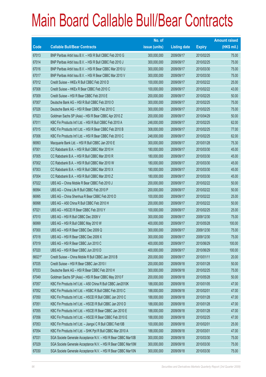|             |                                                               | No. of        |                     |               | <b>Amount raised</b> |
|-------------|---------------------------------------------------------------|---------------|---------------------|---------------|----------------------|
| <b>Code</b> | <b>Callable Bull/Bear Contracts</b>                           | issue (units) | <b>Listing date</b> | <b>Expiry</b> | $(HK$$ mil.)         |
| 67013       | BNP Paribas Arbit Issu B.V. - HSI R Bull CBBC Feb 2010 G      | 300,000,000   | 2009/09/17          | 2010/02/25    | 75.00                |
| 67014       | BNP Paribas Arbit Issu B.V. - HSI R Bull CBBC Feb 2010 J      | 300,000,000   | 2009/09/17          | 2010/02/25    | 75.00                |
| 67016       | BNP Paribas Arbit Issu B.V. - HSI R Bear CBBC Mar 2010 U      | 300,000,000   | 2009/09/17          | 2010/03/30    | 75.00                |
| 67017       | BNP Paribas Arbit Issu B.V. - HSI R Bear CBBC Mar 2010 V      | 300,000,000   | 2009/09/17          | 2010/03/30    | 75.00                |
| 67012       | Credit Suisse - HKEx R Bull CBBC Feb 2010 D                   | 100,000,000   | 2009/09/17          | 2010/02/22    | 25.00                |
| 67008       | Credit Suisse - HKEx R Bear CBBC Feb 2010 C                   | 100,000,000   | 2009/09/17          | 2010/02/22    | 43.00                |
| 67009       | Credit Suisse - HSI R Bear CBBC Feb 2010 E                    | 200,000,000   | 2009/09/17          | 2010/02/25    | 50.00                |
| 67007       | Deutsche Bank AG - HSI R Bull CBBC Feb 2010 O                 | 300,000,000   | 2009/09/17          | 2010/02/25    | 75.00                |
| 67026       | Deutsche Bank AG - HSI R Bear CBBC Feb 2010 C                 | 300,000,000   | 2009/09/17          | 2010/02/25    | 75.00                |
| 67023       | Goldman Sachs SP (Asia) - HSI R Bear CBBC Apr 2010 Z          | 200,000,000   | 2009/09/17          | 2010/04/29    | 50.00                |
| 67011       | KBC Fin Products Int'l Ltd. - HSI R Bull CBBC Feb 2010 A      | 248,000,000   | 2009/09/17          | 2010/02/25    | 62.00                |
| 67015       | KBC Fin Products Int'l Ltd. - HSI R Bear CBBC Feb 2010 B      | 308,000,000   | 2009/09/17          | 2010/02/25    | 77.00                |
| 67006       | KBC Fin Products Int'l Ltd. - HSI R Bear CBBC Feb 2010 C      | 248,000,000   | 2009/09/17          | 2010/02/25    | 62.00                |
| 66993       | Macquarie Bank Ltd. - HSI R Bull CBBC Jan 2010 E              | 300,000,000   | 2009/09/17          | 2010/01/28    | 75.30                |
| 67001       | CC Rabobank B.A. - HSI R Bull CBBC Mar 2010 H                 | 180,000,000   | 2009/09/17          | 2010/03/30    | 45.00                |
| 67005       | CC Rabobank B.A. - HSI R Bull CBBC Mar 2010 R                 | 180,000,000   | 2009/09/17          | 2010/03/30    | 45.00                |
| 67002       | CC Rabobank B.A. - HSI R Bull CBBC Mar 2010 W                 | 180,000,000   | 2009/09/17          | 2010/03/30    | 45.00                |
| 67003       | CC Rabobank B.A. - HSI R Bull CBBC Mar 2010 X                 | 180,000,000   | 2009/09/17          | 2010/03/30    | 45.00                |
| 67004       | CC Rabobank B.A. - HSI R Bull CBBC Mar 2010 Z                 | 180,000,000   | 2009/09/17          | 2010/03/30    | 45.00                |
| 67022       | UBS AG - China Mobile R Bear CBBC Feb 2010 J                  | 200,000,000   | 2009/09/17          | 2010/02/22    | 50.00                |
| 66994       | UBS AG - China Life R Bull CBBC Feb 2010 P                    | 200,000,000   | 2009/09/17          | 2010/02/22    | 50.00                |
| 66995       | UBS AG - China Shenhua R Bear CBBC Feb 2010 D                 | 100,000,000   | 2009/09/17          | 2010/02/22    | 25.00                |
| 66998       | UBS AG - A50 China R Bull CBBC Feb 2010 H                     | 200,000,000   | 2009/09/17          | 2010/02/22    | 50.00                |
| 67021       | UBS AG - HSCEI R Bear CBBC Feb 2010 Y                         | 100,000,000   | 2009/09/17          | 2010/02/25    | 25.00                |
| 67010       | UBS AG - HSI R Bull CBBC Dec 2009 V                           | 300,000,000   | 2009/09/17          | 2009/12/30    | 75.00                |
| 66999       | UBS AG - HSI R Bull CBBC May 2010 W                           | 400,000,000   | 2009/09/17          | 2010/05/28    | 100.00               |
| 67000       | UBS AG - HSI R Bear CBBC Dec 2009 Q                           | 300,000,000   | 2009/09/17          | 2009/12/30    | 75.00                |
| 67018       | UBS AG - HSI R Bear CBBC Dec 2009 X                           | 300,000,000   | 2009/09/17          | 2009/12/30    | 75.00                |
| 67019       | UBS AG - HSI R Bear CBBC Jun 2010 C                           | 400,000,000   | 2009/09/17          | 2010/06/29    | 100.00               |
| 67020       | UBS AG - HSI R Bear CBBC Jun 2010 D                           | 400,000,000   | 2009/09/17          | 2010/06/29    | 100.00               |
| 66021#      | Credit Suisse - China Mobile R Bull CBBC Jan 2010 B           | 200,000,000   | 2009/09/17          | 2010/01/11    | 20.00                |
| 67035       | Credit Suisse - HSI R Bear CBBC Jan 2010 I                    | 200,000,000   | 2009/09/18          | 2010/01/28    | 50.00                |
| 67033       | Deutsche Bank AG - HSI R Bear CBBC Feb 2010 H                 | 300,000,000   | 2009/09/18          | 2010/02/25    | 75.00                |
| 67049       | Goldman Sachs SP (Asia) - HSI R Bear CBBC May 2010 F          | 200,000,000   | 2009/09/18          | 2010/05/28    | 50.00                |
| 67057       | KBC Fin Products Int'l Ltd. - A50 China R Bull CBBC Jan2010K  | 188,000,000   | 2009/09/18          | 2010/01/05    | 47.00                |
| 67052       | KBC Fin Products Int'l Ltd. - HSBC R Bull CBBC Feb 2010 C     | 188,000,000   | 2009/09/18          | 2010/02/01    | 47.00                |
| 67050       | KBC Fin Products Int'l Ltd. - HSCEI R Bull CBBC Jan 2010 C    | 188,000,000   | 2009/09/18          | 2010/01/28    | 47.00                |
| 67051       | KBC Fin Products Int'l Ltd. - HSCEI R Bull CBBC Jan 2010 D    | 188,000,000   | 2009/09/18          | 2010/01/28    | 47.00                |
| 67055       | KBC Fin Products Int'l Ltd. - HSCEI R Bear CBBC Jan 2010 E    | 188,000,000   | 2009/09/18          | 2010/01/28    | 47.00                |
| 67056       | KBC Fin Products Int'l Ltd. - HSCEI R Bear CBBC Feb 2010 E    | 188,000,000   | 2009/09/18          | 2010/02/25    | 47.00                |
| 67053       | KBC Fin Products Int'l Ltd. - Jiangxi C R Bull CBBC Feb10B    | 100,000,000   | 2009/09/18          | 2010/02/01    | 25.00                |
| 67054       | KBC Fin Products Int'l Ltd. - SHK Ppt R Bull CBBC Mar 2010 A  | 188,000,000   | 2009/09/18          | 2010/03/01    | 47.00                |
| 67031       | SGA Societe Generale Acceptance N.V. - HSI R Bear CBBC Mar10B | 300,000,000   | 2009/09/18          | 2010/03/30    | 75.00                |
| 67029       | SGA Societe Generale Acceptance N.V. - HSI R Bear CBBC Mar10M | 300,000,000   | 2009/09/18          | 2010/03/30    | 75.00                |
| 67030       | SGA Societe Generale Acceptance N.V. - HSI R Bear CBBC Mar10N | 300,000,000   | 2009/09/18          | 2010/03/30    | 75.00                |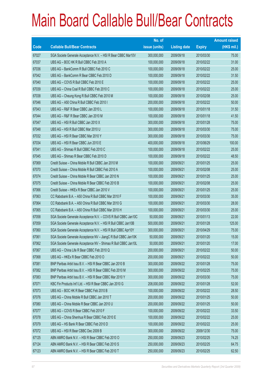|       |                                                                | No. of        |                     |               | <b>Amount raised</b> |
|-------|----------------------------------------------------------------|---------------|---------------------|---------------|----------------------|
| Code  | <b>Callable Bull/Bear Contracts</b>                            | issue (units) | <b>Listing date</b> | <b>Expiry</b> | (HK\$ mil.)          |
| 67027 | SGA Societe Generale Acceptance N.V. - HSI R Bear CBBC Mar10V  | 300,000,000   | 2009/09/18          | 2010/03/30    | 75.00                |
| 67037 | UBS AG - BOC HK R Bull CBBC Feb 2010 A                         | 100,000,000   | 2009/09/18          | 2010/02/22    | 31.00                |
| 67036 | UBS AG - BankComm R Bull CBBC Feb 2010 C                       | 100,000,000   | 2009/09/18          | 2010/02/22    | 25.00                |
| 67042 | UBS AG - BankComm R Bear CBBC Feb 2010 D                       | 100,000,000   | 2009/09/18          | 2010/02/22    | 31.50                |
| 67040 | UBS AG - COVS R Bull CBBC Feb 2010 E                           | 100,000,000   | 2009/09/18          | 2010/02/22    | 25.00                |
| 67039 | UBS AG - China Coal R Bull CBBC Feb 2010 C                     | 100,000,000   | 2009/09/18          | 2010/02/22    | 25.00                |
| 67038 | UBS AG - Cheung Kong R Bull CBBC Feb 2010 M                    | 100,000,000   | 2009/09/18          | 2010/02/08    | 25.00                |
| 67046 | UBS AG - A50 China R Bull CBBC Feb 2010 I                      | 200,000,000   | 2009/09/18          | 2010/02/22    | 50.00                |
| 67043 | UBS AG - R&F R Bear CBBC Jan 2010 L                            | 100,000,000   | 2009/09/18          | 2010/01/18    | 31.50                |
| 67044 | UBS AG - R&F R Bear CBBC Jan 2010 M                            | 100,000,000   | 2009/09/18          | 2010/01/18    | 41.50                |
| 67047 | UBS AG - HSI R Bull CBBC Jan 2010 X                            | 300,000,000   | 2009/09/18          | 2010/01/28    | 75.00                |
| 67048 | UBS AG - HSI R Bull CBBC Mar 2010 U                            | 300,000,000   | 2009/09/18          | 2010/03/30    | 75.00                |
| 67032 | UBS AG - HSI R Bear CBBC Mar 2010 Y                            | 300,000,000   | 2009/09/18          | 2010/03/30    | 75.00                |
| 67034 | UBS AG - HSI R Bear CBBC Jun 2010 E                            | 400,000,000   | 2009/09/18          | 2010/06/29    | 100.00               |
| 67041 | UBS AG - Shimao R Bull CBBC Feb 2010 C                         | 100,000,000   | 2009/09/18          | 2010/02/22    | 25.00                |
| 67045 | UBS AG - Shimao R Bear CBBC Feb 2010 D                         | 100,000,000   | 2009/09/18          | 2010/02/22    | 48.50                |
| 67069 | Credit Suisse - China Mobile R Bull CBBC Jan 2010 M            | 100,000,000   | 2009/09/21          | 2010/01/25    | 25.00                |
| 67070 | Credit Suisse - China Mobile R Bull CBBC Feb 2010 A            | 100,000,000   | 2009/09/21          | 2010/02/08    | 25.00                |
| 67074 | Credit Suisse - China Mobile R Bear CBBC Jan 2010 N            | 100,000,000   | 2009/09/21          | 2010/01/25    | 25.00                |
| 67075 | Credit Suisse - China Mobile R Bear CBBC Feb 2010 B            | 100,000,000   | 2009/09/21          | 2010/02/08    | 25.00                |
| 67066 | Credit Suisse - HKEx R Bear CBBC Jan 2010 V                    | 100,000,000   | 2009/09/21          | 2010/01/25    | 25.00                |
| 67063 | CC Rabobank B.A. - A50 China R Bull CBBC Mar 2010 F            | 100,000,000   | 2009/09/21          | 2010/03/30    | 35.00                |
| 67064 | CC Rabobank B.A. - A50 China R Bull CBBC Mar 2010 G            | 100,000,000   | 2009/09/21          | 2010/03/30    | 28.00                |
| 67065 | CC Rabobank B.A. - A50 China R Bull CBBC Mar 2010 H            | 100,000,000   | 2009/09/21          | 2010/03/30    | 25.00                |
| 67058 | SGA Societe Generale Acceptance N.V. - COVS R Bull CBBC Jan10C | 50,000,000    | 2009/09/21          | 2010/01/13    | 22.00                |
| 67059 | SGA Societe Generale Acceptance N.V. - HSI R Bull CBBC Jan10B  | 500,000,000   | 2009/09/21          | 2010/01/28    | 125.00               |
| 67060 | SGA Societe Generale Acceptance N.V. - HSI R Bull CBBC Apr10Y  | 300,000,000   | 2009/09/21          | 2010/04/29    | 75.00                |
| 67061 | SGA Societe Generale Acceptance NV - JiangC R Bull CBBC Jan10K | 50,000,000    | 2009/09/21          | 2010/01/20    | 15.00                |
| 67062 | SGA Societe Generale Acceptance NV - Shimao R Bull CBBC Jan10L | 50,000,000    | 2009/09/21          | 2010/01/20    | 17.00                |
| 67067 | UBS AG - China Life R Bear CBBC Feb 2010 Q                     | 200,000,000   | 2009/09/21          | 2010/02/22    | 50.00                |
| 67068 | UBS AG - HKEx R Bear CBBC Feb 2010 O                           | 200,000,000   | 2009/09/21          | 2010/02/22    | 50.00                |
| 67081 | BNP Paribas Arbit Issu B.V. - HSI R Bear CBBC Jan 2010 B       | 300,000,000   | 2009/09/22          | 2010/01/28    | 75.00                |
| 67082 | BNP Paribas Arbit Issu B.V. - HSI R Bear CBBC Feb 2010 M       | 300,000,000   | 2009/09/22          | 2010/02/25    | 75.00                |
| 67083 | BNP Paribas Arbit Issu B.V. - HSI R Bear CBBC Mar 2010 Y       | 300,000,000   | 2009/09/22          | 2010/03/30    | 75.00                |
| 67071 | KBC Fin Products Int'l Ltd. - HSI R Bear CBBC Jan 2010 G       | 208,000,000   | 2009/09/22          | 2010/01/28    | 52.00                |
| 67073 | UBS AG - BOC HK R Bear CBBC Feb 2010 B                         | 100,000,000   | 2009/09/22          | 2010/02/22    | 28.50                |
| 67076 | UBS AG - China Mobile R Bull CBBC Jan 2010 T                   | 200,000,000   | 2009/09/22          | 2010/01/25    | 50.00                |
| 67080 | UBS AG - China Mobile R Bear CBBC Jan 2010 U                   | 200,000,000   | 2009/09/22          | 2010/01/25    | 50.00                |
| 67077 | UBS AG - COVS R Bear CBBC Feb 2010 F                           | 100,000,000   | 2009/09/22          | 2010/02/22    | 33.50                |
| 67078 | UBS AG - China Shenhua R Bear CBBC Feb 2010 E                  | 100,000,000   | 2009/09/22          | 2010/02/22    | 25.00                |
| 67079 | UBS AG - HS Bank R Bear CBBC Feb 2010 D                        | 100,000,000   | 2009/09/22          | 2010/02/22    | 25.00                |
| 67072 | UBS AG - HSI R Bear CBBC Dec 2009 B                            | 300,000,000   | 2009/09/22          | 2009/12/30    | 75.00                |
| 67125 | ABN AMRO Bank N.V. - HSI R Bear CBBC Feb 2010 O                | 250,000,000   | 2009/09/23          | 2010/02/25    | 74.25                |
| 67124 | ABN AMRO Bank N.V. - HSI R Bear CBBC Feb 2010 S                | 250,000,000   | 2009/09/23          | 2010/02/25    | 64.75                |
| 67123 | ABN AMRO Bank N.V. - HSI R Bear CBBC Feb 2010 T                | 250,000,000   | 2009/09/23          | 2010/02/25    | 62.50                |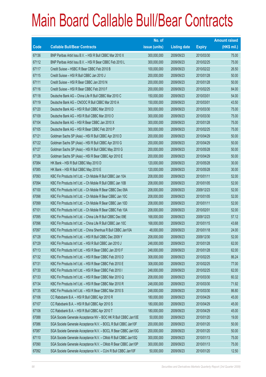|             |                                                                | No. of        |                     |               | <b>Amount raised</b> |
|-------------|----------------------------------------------------------------|---------------|---------------------|---------------|----------------------|
| <b>Code</b> | <b>Callable Bull/Bear Contracts</b>                            | issue (units) | <b>Listing date</b> | <b>Expiry</b> | $(HK$$ mil.)         |
| 67136       | BNP Paribas Arbit Issu B.V. - HSI R Bull CBBC Mar 2010 X       | 300,000,000   | 2009/09/23          | 2010/03/30    | 75.00                |
| 67112       | BNP Paribas Arbit Issu B.V. - HSI R Bear CBBC Feb 2010 L       | 300,000,000   | 2009/09/23          | 2010/02/25    | 75.00                |
| 67117       | Credit Suisse - HSBC R Bear CBBC Feb 2010 B                    | 100,000,000   | 2009/09/23          | 2010/02/22    | 26.50                |
| 67115       | Credit Suisse - HSI R Bull CBBC Jan 2010 J                     | 200,000,000   | 2009/09/23          | 2010/01/28    | 50.00                |
| 67111       | Credit Suisse - HSI R Bear CBBC Jan 2010 N                     | 200,000,000   | 2009/09/23          | 2010/01/28    | 50.00                |
| 67116       | Credit Suisse - HSI R Bear CBBC Feb 2010 F                     | 200,000,000   | 2009/09/23          | 2010/02/25    | 84.00                |
| 67118       | Deutsche Bank AG - China Life R Bull CBBC Mar 2010 C           | 150,000,000   | 2009/09/23          | 2010/03/01    | 54.00                |
| 67119       | Deutsche Bank AG - CNOOC R Bull CBBC Mar 2010 A                | 150,000,000   | 2009/09/23          | 2010/03/01    | 43.50                |
| 67120       | Deutsche Bank AG - HSI R Bull CBBC Mar 2010 D                  | 300,000,000   | 2009/09/23          | 2010/03/30    | 75.00                |
| 67109       | Deutsche Bank AG - HSI R Bull CBBC Mar 2010 O                  | 300,000,000   | 2009/09/23          | 2010/03/30    | 75.00                |
| 67104       | Deutsche Bank AG - HSI R Bear CBBC Jan 2010 X                  | 300,000,000   | 2009/09/23          | 2010/01/28    | 75.00                |
| 67105       | Deutsche Bank AG - HSI R Bear CBBC Feb 2010 P                  | 300,000,000   | 2009/09/23          | 2010/02/25    | 75.00                |
| 67121       | Goldman Sachs SP (Asia) - HSI R Bull CBBC Apr 2010 D           | 200,000,000   | 2009/09/23          | 2010/04/29    | 50.00                |
| 67122       | Goldman Sachs SP (Asia) - HSI R Bull CBBC Apr 2010 G           | 200,000,000   | 2009/09/23          | 2010/04/29    | 50.00                |
| 67127       | Goldman Sachs SP (Asia) - HSI R Bull CBBC May 2010 G           | 200,000,000   | 2009/09/23          | 2010/05/28    | 50.00                |
| 67126       | Goldman Sachs SP (Asia) - HSI R Bear CBBC Apr 2010 E           | 200,000,000   | 2009/09/23          | 2010/04/29    | 50.00                |
| 67084       | HK Bank - HSI R Bull CBBC May 2010 D                           | 120,000,000   | 2009/09/23          | 2010/05/28    | 30.00                |
| 67085       | HK Bank - HSI R Bull CBBC May 2010 E                           | 120,000,000   | 2009/09/23          | 2010/05/28    | 30.00                |
| 67093       | KBC Fin Products Int'l Ltd. - Ch Mobile R Bull CBBC Jan 10A    | 208,000,000   | 2009/09/23          | 2010/01/11    | 52.00                |
| 67094       | KBC Fin Products Int'l Ltd. - Ch Mobile R Bull CBBC Jan 10B    | 208,000,000   | 2009/09/23          | 2010/01/05    | 52.00                |
| 67100       | KBC Fin Products Int'l Ltd. - Ch Mobile R Bear CBBC Dec 09A    | 208,000,000   | 2009/09/23          | 2009/12/23    | 52.00                |
| 67098       | KBC Fin Products Int'l Ltd. - Ch Mobile R Bear CBBC Jan 10C    | 208,000,000   | 2009/09/23          | 2010/01/05    | 52.00                |
| 67099       | KBC Fin Products Int'l Ltd. - Ch Mobile R Bear CBBC Jan 10D    | 208,000,000   | 2009/09/23          | 2010/01/11    | 52.00                |
| 67101       | KBC Fin Products Int'l Ltd. - Ch Mobile R Bear CBBC Feb 10A    | 208,000,000   | 2009/09/23          | 2010/02/01    | 52.00                |
| 67095       | KBC Fin Products Int'l Ltd. - China Life R Bull CBBC Dec 09E   | 168,000,000   | 2009/09/23          | 2009/12/23    | 57.12                |
| 67096       | KBC Fin Products Int'l Ltd. - China Life R Bull CBBC Jan 10C   | 168,000,000   | 2009/09/23          | 2010/01/15    | 43.68                |
| 67097       | KBC Fin Products Int'l Ltd. - China Shenhua R Bull CBBC Jan10A | 48,000,000    | 2009/09/23          | 2010/01/18    | 24.00                |
| 67128       | KBC Fin Products Int'l Ltd. - HSI R Bull CBBC Dec 2009 Y       | 208,000,000   | 2009/09/23          | 2009/12/30    | 52.00                |
| 67129       | KBC Fin Products Int'l Ltd. - HSI R Bull CBBC Jan 2010 J       | 248,000,000   | 2009/09/23          | 2010/01/28    | 62.00                |
| 67113       | KBC Fin Products Int'l Ltd. - HSI R Bear CBBC Jan 2010 F       | 248,000,000   | 2009/09/23          | 2010/01/28    | 62.00                |
| 67132       | KBC Fin Products Int'l Ltd. - HSI R Bear CBBC Feb 2010 D       | 308,000,000   | 2009/09/23          | 2010/02/25    | 86.24                |
| 67131       | KBC Fin Products Int'l Ltd. - HSI R Bear CBBC Feb 2010 E       | 308,000,000   | 2009/09/23          | 2010/02/25    | 77.00                |
| 67130       | KBC Fin Products Int'l Ltd. - HSI R Bear CBBC Feb 2010 I       | 248,000,000   | 2009/09/23          | 2010/02/25    | 62.00                |
| 67133       | KBC Fin Products Int'l Ltd. - HSI R Bear CBBC Mar 2010 Q       | 208,000,000   | 2009/09/23          | 2010/03/30    | 60.32                |
| 67134       | KBC Fin Products Int'l Ltd. - HSI R Bear CBBC Mar 2010 R       | 248,000,000   | 2009/09/23          | 2010/03/30    | 71.92                |
| 67135       | KBC Fin Products Int'l Ltd. - HSI R Bear CBBC Mar 2010 S       | 248,000,000   | 2009/09/23          | 2010/03/30    | 86.80                |
| 67106       | CC Rabobank B.A. - HSI R Bull CBBC Apr 2010 R                  | 180,000,000   | 2009/09/23          | 2010/04/29    | 45.00                |
| 67107       | CC Rabobank B.A. - HSI R Bull CBBC Apr 2010 S                  | 180,000,000   | 2009/09/23          | 2010/04/29    | 45.00                |
| 67108       | CC Rabobank B.A. - HSI R Bull CBBC Apr 2010 T                  | 180,000,000   | 2009/09/23          | 2010/04/29    | 45.00                |
| 67088       | SGA Societe Generale Acceptance NV - BOC HK R Bull CBBC Jan10E | 50,000,000    | 2009/09/23          | 2010/01/20    | 19.00                |
| 67086       | SGA Societe Generale Acceptance N.V. - BOCL R Bull CBBC Jan10F | 200,000,000   | 2009/09/23          | 2010/01/20    | 50.00                |
| 67087       | SGA Societe Generale Acceptance N.V. - BOCL R Bear CBBC Jan10G | 200,000,000   | 2009/09/23          | 2010/01/20    | 50.00                |
| 67110       | SGA Societe Generale Acceptance N.V. - CMob R Bull CBBC Jan10Q | 300,000,000   | 2009/09/23          | 2010/01/13    | 75.00                |
| 67090       | SGA Societe Generale Acceptance N.V. - CMob R Bear CBBC Jan10P | 300,000,000   | 2009/09/23          | 2010/01/13    | 75.00                |
| 67092       | SGA Societe Generale Acceptance N.V. - CUni R Bull CBBC Jan10F | 50,000,000    | 2009/09/23          | 2010/01/20    | 12.50                |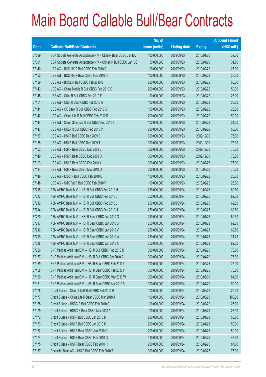|       |                                                                | No. of        |                     |               | <b>Amount raised</b> |
|-------|----------------------------------------------------------------|---------------|---------------------|---------------|----------------------|
| Code  | <b>Callable Bull/Bear Contracts</b>                            | issue (units) | <b>Listing date</b> | <b>Expiry</b> | $(HK$$ mil.)         |
| 67089 | SGA Societe Generale Acceptance N.V - CLife R Bear CBBC Jan10V | 100,000,000   | 2009/09/23          | 2010/01/20    | 32.00                |
| 67091 | SGA Societe Generale Acceptance N.V - CShen R Bull CBBC Jan10G | 50,000,000    | 2009/09/23          | 2010/01/20    | 31.50                |
| 67140 | UBS AG - BOC HK R Bull CBBC Feb 2010 C                         | 100,000,000   | 2009/09/23          | 2010/02/22    | 27.00                |
| 67150 | UBS AG - BOC HK R Bear CBBC Feb 2010 D                         | 100,000,000   | 2009/09/23          | 2010/02/22    | 38.50                |
| 67139 | UBS AG - BOCL R Bull CBBC Feb 2010 G                           | 200,000,000   | 2009/09/23          | 2010/02/22    | 50.00                |
| 67143 | UBS AG - China Mobile R Bull CBBC Feb 2010 K                   | 200,000,000   | 2009/09/23          | 2010/02/22    | 50.00                |
| 67145 | UBS AG - CUni R Bull CBBC Feb 2010 F                           | 100,000,000   | 2009/09/23          | 2010/02/22    | 25.00                |
| 67151 | UBS AG - CUni R Bear CBBC Feb 2010 G                           | 100,000,000   | 2009/09/23          | 2010/02/22    | 38.00                |
| 67141 | UBS AG - CC Bank R Bull CBBC Feb 2010 G                        | 100,000,000   | 2009/09/23          | 2010/02/22    | 25.00                |
| 67142 | UBS AG - China Life R Bull CBBC Feb 2010 R                     | 200,000,000   | 2009/09/23          | 2010/02/22    | 50.00                |
| 67144 | UBS AG - China Shenhua R Bull CBBC Feb 2010 F                  | 100,000,000   | 2009/09/23          | 2010/02/22    | 34.50                |
| 67147 | UBS AG - HKEx R Bull CBBC Feb 2010 P                           | 200,000,000   | 2009/09/23          | 2010/02/22    | 50.00                |
| 67137 | UBS AG - HSI R Bull CBBC Dec 2009 E                            | 300,000,000   | 2009/09/23          | 2009/12/30    | 75.00                |
| 67138 | UBS AG - HSI R Bull CBBC Dec 2009 T                            | 300,000,000   | 2009/09/23          | 2009/12/30    | 75.00                |
| 67102 | UBS AG - HSI R Bear CBBC Dec 2009 J                            | 300,000,000   | 2009/09/23          | 2009/12/30    | 75.00                |
| 67149 | UBS AG - HSI R Bear CBBC Dec 2009 O                            | 300,000,000   | 2009/09/23          | 2009/12/30    | 75.00                |
| 67103 | UBS AG - HSI R Bear CBBC Feb 2010 Y                            | 300,000,000   | 2009/09/23          | 2010/02/25    | 75.00                |
| 67114 | UBS AG - HSI R Bear CBBC Mar 2010 O                            | 300,000,000   | 2009/09/23          | 2010/03/30    | 75.00                |
| 67146 | UBS AG - ICBC R Bull CBBC Feb 2010 E                           | 100,000,000   | 2009/09/23          | 2010/02/22    | 25.00                |
| 67148 | UBS AG - SHK Ppt R Bull CBBC Feb 2010 R                        | 100,000,000   | 2009/09/23          | 2010/02/22    | 25.00                |
| 67215 | ABN AMRO Bank N.V. - HSI R Bull CBBC Feb 2010 H                | 250,000,000   | 2009/09/24          | 2010/02/25    | 62.50                |
| 67213 | ABN AMRO Bank N.V. - HSI R Bull CBBC Feb 2010 J                | 250,000,000   | 2009/09/24          | 2010/02/25    | 62.50                |
| 67212 | ABN AMRO Bank N.V. - HSI R Bull CBBC Feb 2010 L                | 250,000,000   | 2009/09/24          | 2010/02/25    | 62.50                |
| 67214 | ABN AMRO Bank N.V. - HSI R Bull CBBC Feb 2010 U                | 250,000,000   | 2009/09/24          | 2010/02/25    | 62.50                |
| 67220 | ABN AMRO Bank N.V. - HSI R Bear CBBC Jan 2010 Q                | 250,000,000   | 2009/09/24          | 2010/01/28    | 62.50                |
| 67217 | ABN AMRO Bank N.V. - HSI R Bear CBBC Jan 2010 S                | 250,000,000   | 2009/09/24          | 2010/01/28    | 62.50                |
| 67216 | ABN AMRO Bank N.V. - HSI R Bear CBBC Jan 2010 V                | 250,000,000   | 2009/09/24          | 2010/01/28    | 62.50                |
| 67219 | ABN AMRO Bank N.V. - HSI R Bear CBBC Jan 2010 W                | 250,000,000   | 2009/09/24          | 2010/01/28    | 71.75                |
| 67218 | ABN AMRO Bank N.V. - HSI R Bear CBBC Jan 2010 X                | 250,000,000   | 2009/09/24          | 2010/01/28    | 62.50                |
| 67226 | BNP Paribas Arbit Issu B.V. - HSI R Bull CBBC Feb 2010 N       | 300,000,000   | 2009/09/24          | 2010/02/25    | 75.00                |
| 67157 | BNP Paribas Arbit Issu B.V. - HSI R Bull CBBC Apr 2010 A       | 300,000,000   | 2009/09/24          | 2010/04/29    | 75.00                |
| 67159 | BNP Paribas Arbit Issu B.V. - HSI R Bear CBBC Feb 2010 O       | 300,000,000   | 2009/09/24          | 2010/02/25    | 75.00                |
| 67158 | BNP Paribas Arbit Issu B.V. - HSI R Bear CBBC Feb 2010 P       | 300,000,000   | 2009/09/24          | 2010/02/25    | 75.00                |
| 67160 | BNP Paribas Arbit Issu B.V. - HSI R Bear CBBC Mar 2010 W       | 300,000,000   | 2009/09/24          | 2010/03/30    | 84.00                |
| 67161 | BNP Paribas Arbit Issu B.V. - HSI R Bear CBBC Apr 2010 B       | 300,000,000   | 2009/09/24          | 2010/04/29    | 90.00                |
| 67176 | Credit Suisse - China Life R Bull CBBC Feb 2010 B              | 100,000,000   | 2009/09/24          | 2010/02/22    | 25.00                |
| 67177 | Credit Suisse - China Life R Bear CBBC Mar 2010 A              | 100,000,000   | 2009/09/24          | 2010/03/29    | 100.00               |
| 67178 | Credit Suisse - HSBC R Bull CBBC Feb 2010 C                    | 100,000,000   | 2009/09/24          | 2010/02/22    | 25.00                |
| 67179 | Credit Suisse - HSBC R Bear CBBC Mar 2010 A                    | 100,000,000   | 2009/09/24          | 2010/03/29    | 28.00                |
| 67172 | Credit Suisse - HSI R Bull CBBC Jan 2010 K                     | 200,000,000   | 2009/09/24          | 2010/01/28    | 50.00                |
| 67173 | Credit Suisse - HSI R Bull CBBC Jan 2010 U                     | 200,000,000   | 2009/09/24          | 2010/01/28    | 50.00                |
| 67162 | Credit Suisse - HSI R Bear CBBC Jan 2010 O                     | 200,000,000   | 2009/09/24          | 2010/01/28    | 50.00                |
| 67174 | Credit Suisse - HSI R Bear CBBC Feb 2010 G                     | 190,000,000   | 2009/09/24          | 2010/02/25    | 47.50                |
| 67175 | Credit Suisse - HSI R Bear CBBC Feb 2010 H                     | 200,000,000   | 2009/09/24          | 2010/02/25    | 87.00                |
| 67167 | Deutsche Bank AG - HSI R Bull CBBC Feb 2010 T                  | 300,000,000   | 2009/09/24          | 2010/02/25    | 75.00                |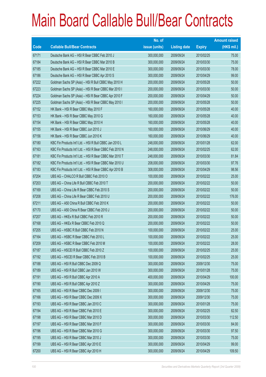|       |                                                          | No. of        |                     |               | <b>Amount raised</b> |
|-------|----------------------------------------------------------|---------------|---------------------|---------------|----------------------|
| Code  | <b>Callable Bull/Bear Contracts</b>                      | issue (units) | <b>Listing date</b> | <b>Expiry</b> | $(HK$$ mil.)         |
| 67171 | Deutsche Bank AG - HSI R Bear CBBC Feb 2010 J            | 300,000,000   | 2009/09/24          | 2010/02/25    | 75.00                |
| 67184 | Deutsche Bank AG - HSI R Bear CBBC Mar 2010 B            | 300,000,000   | 2009/09/24          | 2010/03/30    | 75.00                |
| 67185 | Deutsche Bank AG - HSI R Bear CBBC Mar 2010 E            | 300,000,000   | 2009/09/24          | 2010/03/30    | 78.00                |
| 67186 | Deutsche Bank AG - HSI R Bear CBBC Apr 2010 S            | 300,000,000   | 2009/09/24          | 2010/04/29    | 99.00                |
| 67222 | Goldman Sachs SP (Asia) - HSI R Bull CBBC May 2010 H     | 200,000,000   | 2009/09/24          | 2010/05/28    | 50.00                |
| 67223 | Goldman Sachs SP (Asia) - HSI R Bear CBBC Mar 2010 I     | 200,000,000   | 2009/09/24          | 2010/03/30    | 50.00                |
| 67224 | Goldman Sachs SP (Asia) - HSI R Bear CBBC Apr 2010 F     | 200,000,000   | 2009/09/24          | 2010/04/29    | 50.00                |
| 67225 | Goldman Sachs SP (Asia) - HSI R Bear CBBC May 2010 I     | 200,000,000   | 2009/09/24          | 2010/05/28    | 50.00                |
| 67152 | HK Bank - HSI R Bear CBBC May 2010 F                     | 160,000,000   | 2009/09/24          | 2010/05/28    | 40.00                |
| 67153 | HK Bank - HSI R Bear CBBC May 2010 G                     | 160,000,000   | 2009/09/24          | 2010/05/28    | 40.00                |
| 67154 | HK Bank - HSI R Bear CBBC May 2010 H                     | 160,000,000   | 2009/09/24          | 2010/05/28    | 40.00                |
| 67155 | HK Bank - HSI R Bear CBBC Jun 2010 J                     | 160,000,000   | 2009/09/24          | 2010/06/29    | 40.00                |
| 67156 | HK Bank - HSI R Bear CBBC Jun 2010 K                     | 160,000,000   | 2009/09/24          | 2010/06/29    | 40.00                |
| 67180 | KBC Fin Products Int'l Ltd. - HSI R Bull CBBC Jan 2010 L | 248,000,000   | 2009/09/24          | 2010/01/28    | 62.00                |
| 67163 | KBC Fin Products Int'l Ltd. - HSI R Bear CBBC Feb 2010 N | 248,000,000   | 2009/09/24          | 2010/02/25    | 62.00                |
| 67181 | KBC Fin Products Int'l Ltd. - HSI R Bear CBBC Mar 2010 T | 248,000,000   | 2009/09/24          | 2010/03/30    | 81.84                |
| 67182 | KBC Fin Products Int'l Ltd. - HSI R Bear CBBC Mar 2010 U | 208,000,000   | 2009/09/24          | 2010/03/30    | 97.76                |
| 67183 | KBC Fin Products Int'l Ltd. - HSI R Bear CBBC Apr 2010 B | 308,000,000   | 2009/09/24          | 2010/04/29    | 98.56                |
| 67204 | UBS AG - CHALCO R Bull CBBC Feb 2010 O                   | 100,000,000   | 2009/09/24          | 2010/02/22    | 25.00                |
| 67203 | UBS AG - China Life R Bull CBBC Feb 2010 T               | 200,000,000   | 2009/09/24          | 2010/02/22    | 50.00                |
| 67169 | UBS AG - China Life R Bear CBBC Feb 2010 S               | 200,000,000   | 2009/09/24          | 2010/02/22    | 50.00                |
| 67208 | UBS AG - China Life R Bear CBBC Feb 2010 U               | 200,000,000   | 2009/09/24          | 2010/02/22    | 176.00               |
| 67211 | UBS AG - A50 China R Bull CBBC Feb 2010 K                | 200,000,000   | 2009/09/24          | 2010/02/22    | 50.00                |
| 67170 | UBS AG - A50 China R Bear CBBC Feb 2010 J                | 200,000,000   | 2009/09/24          | 2010/02/22    | 50.00                |
| 67207 | UBS AG - HKEx R Bull CBBC Feb 2010 R                     | 200,000,000   | 2009/09/24          | 2010/02/22    | 50.00                |
| 67168 | UBS AG - HKEx R Bear CBBC Feb 2010 Q                     | 200,000,000   | 2009/09/24          | 2010/02/22    | 50.00                |
| 67205 | UBS AG - HSBC R Bull CBBC Feb 2010 N                     | 100,000,000   | 2009/09/24          | 2010/02/22    | 25.00                |
| 67164 | UBS AG - HSBC R Bear CBBC Feb 2010 L                     | 100,000,000   | 2009/09/24          | 2010/02/22    | 25.00                |
| 67209 | UBS AG - HSBC R Bear CBBC Feb 2010 M                     | 100,000,000   | 2009/09/24          | 2010/02/22    | 28.00                |
| 67187 | UBS AG - HSCEI R Bull CBBC Feb 2010 Z                    | 100,000,000   | 2009/09/24          | 2010/02/25    | 25.00                |
| 67192 | UBS AG - HSCEI R Bear CBBC Feb 2010 B                    | 100,000,000   | 2009/09/24          | 2010/02/25    | 25.00                |
| 67188 | UBS AG - HSI R Bull CBBC Dec 2009 Q                      | 300,000,000   | 2009/09/24          | 2009/12/30    | 75.00                |
| 67189 | UBS AG - HSI R Bull CBBC Jan 2010 W                      | 300,000,000   | 2009/09/24          | 2010/01/28    | 75.00                |
| 67191 | UBS AG - HSI R Bull CBBC Apr 2010 A                      | 400,000,000   | 2009/09/24          | 2010/04/29    | 100.00               |
| 67190 | UBS AG - HSI R Bull CBBC Apr 2010 Z                      | 300,000,000   | 2009/09/24          | 2010/04/29    | 75.00                |
| 67165 | UBS AG - HSI R Bear CBBC Dec 2009 I                      | 300,000,000   | 2009/09/24          | 2009/12/30    | 75.00                |
| 67166 | UBS AG - HSI R Bear CBBC Dec 2009 X                      | 300,000,000   | 2009/09/24          | 2009/12/30    | 75.00                |
| 67193 | UBS AG - HSI R Bear CBBC Jan 2010 C                      | 300,000,000   | 2009/09/24          | 2010/01/28    | 75.00                |
| 67194 | UBS AG - HSI R Bear CBBC Feb 2010 E                      | 300,000,000   | 2009/09/24          | 2010/02/25    | 82.50                |
| 67198 | UBS AG - HSI R Bear CBBC Mar 2010 D                      | 300,000,000   | 2009/09/24          | 2010/03/30    | 112.50               |
| 67197 | UBS AG - HSI R Bear CBBC Mar 2010 F                      | 300,000,000   | 2009/09/24          | 2010/03/30    | 84.00                |
| 67196 | UBS AG - HSI R Bear CBBC Mar 2010 G                      | 300,000,000   | 2009/09/24          | 2010/03/30    | 97.50                |
| 67195 | UBS AG - HSI R Bear CBBC Mar 2010 J                      | 300,000,000   | 2009/09/24          | 2010/03/30    | 75.00                |
| 67199 | UBS AG - HSI R Bear CBBC Apr 2010 E                      | 300,000,000   | 2009/09/24          | 2010/04/29    | 99.00                |
| 67200 | UBS AG - HSI R Bear CBBC Apr 2010 H                      | 300,000,000   | 2009/09/24          | 2010/04/29    | 109.50               |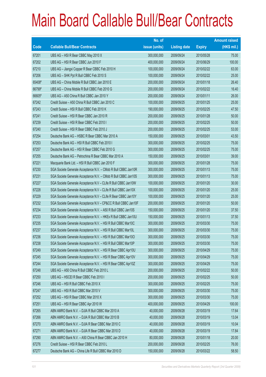|             |                                                                | No. of        |                     |               | <b>Amount raised</b> |
|-------------|----------------------------------------------------------------|---------------|---------------------|---------------|----------------------|
| <b>Code</b> | <b>Callable Bull/Bear Contracts</b>                            | issue (units) | <b>Listing date</b> | <b>Expiry</b> | $(HK$$ mil.)         |
| 67201       | UBS AG - HSI R Bear CBBC May 2010 X                            | 300,000,000   | 2009/09/24          | 2010/05/28    | 75.00                |
| 67202       | UBS AG - HSI R Bear CBBC Jun 2010 F                            | 400,000,000   | 2009/09/24          | 2010/06/29    | 100.00               |
| 67210       | UBS AG - Jiangxi Copper R Bear CBBC Feb 2010 H                 | 100,000,000   | 2009/09/24          | 2010/02/22    | 63.00                |
| 67206       | UBS AG - SHK Ppt R Bull CBBC Feb 2010 S                        | 100,000,000   | 2009/09/24          | 2010/02/22    | 25.00                |
| 65408#      | UBS AG - China Mobile R Bull CBBC Jan 2010 E                   | 200,000,000   | 2009/09/24          | 2010/01/18    | 26.40                |
| 66799#      | UBS AG - China Mobile R Bull CBBC Feb 2010 G                   | 200,000,000   | 2009/09/24          | 2010/02/22    | 16.40                |
| 66605#      | UBS AG - A50 China R Bull CBBC Jan 2010 Y                      | 200,000,000   | 2009/09/24          | 2010/01/11    | 26.00                |
| 67242       | Credit Suisse - A50 China R Bull CBBC Jan 2010 C               | 100,000,000   | 2009/09/25          | 2010/01/25    | 25.00                |
| 67243       | Credit Suisse - HSI R Bull CBBC Feb 2010 K                     | 190,000,000   | 2009/09/25          | 2010/02/25    | 47.50                |
| 67241       | Credit Suisse - HSI R Bear CBBC Jan 2010 R                     | 200,000,000   | 2009/09/25          | 2010/01/28    | 50.00                |
| 67239       | Credit Suisse - HSI R Bear CBBC Feb 2010 I                     | 200,000,000   | 2009/09/25          | 2010/02/25    | 50.00                |
| 67240       | Credit Suisse - HSI R Bear CBBC Feb 2010 J                     | 200,000,000   | 2009/09/25          | 2010/02/25    | 53.00                |
| 67254       | Deutsche Bank AG - HSBC R Bear CBBC Mar 2010 A                 | 150,000,000   | 2009/09/25          | 2010/03/01    | 43.50                |
| 67253       | Deutsche Bank AG - HSI R Bull CBBC Feb 2010 I                  | 300,000,000   | 2009/09/25          | 2010/02/25    | 75.00                |
| 67257       | Deutsche Bank AG - HSI R Bear CBBC Feb 2010 G                  | 300,000,000   | 2009/09/25          | 2010/02/25    | 75.00                |
| 67255       | Deutsche Bank AG - Petrochina R Bear CBBC Mar 2010 A           | 150,000,000   | 2009/09/25          | 2010/03/01    | 39.00                |
| 67221       | Macquarie Bank Ltd. - HSI R Bull CBBC Jan 2010 F               | 300,000,000   | 2009/09/25          | 2010/01/28    | 75.00                |
| 67230       | SGA Societe Generale Acceptance N.V. - CMob R Bull CBBC Jan10R | 300,000,000   | 2009/09/25          | 2010/01/13    | 75.00                |
| 67231       | SGA Societe Generale Acceptance N.V. - CMob R Bull CBBC Jan10S | 300,000,000   | 2009/09/25          | 2010/01/13    | 75.00                |
| 67227       | SGA Societe Generale Acceptance N.V - CLife R Bull CBBC Jan10W | 100,000,000   | 2009/09/25          | 2010/01/20    | 30.00                |
| 67228       | SGA Societe Generale Acceptance N.V - CLife R Bull CBBC Jan10X | 100,000,000   | 2009/09/25          | 2010/01/20    | 25.00                |
| 67229       | SGA Societe Generale Acceptance N.V - CLife R Bear CBBC Jan10Y | 100,000,000   | 2009/09/25          | 2010/01/20    | 25.00                |
| 67232       | SGA Societe Generale Acceptance N.V - CP&CC R Bull CBBC Jan10F | 200,000,000   | 2009/09/25          | 2010/01/20    | 50.00                |
| 67234       | SGA Societe Generale Acceptance N.V. - A50 R Bull CBBC Jan10S  | 150,000,000   | 2009/09/25          | 2010/01/20    | 37.50                |
| 67233       | SGA Societe Generale Acceptance N.V. - HKEx R Bull CBBC Jan10U | 150,000,000   | 2009/09/25          | 2010/01/13    | 37.50                |
| 67235       | SGA Societe Generale Acceptance N.V. - HSI R Bull CBBC Mar10C  | 300,000,000   | 2009/09/25          | 2010/03/30    | 75.00                |
| 67237       | SGA Societe Generale Acceptance N.V. - HSI R Bull CBBC Mar10L  | 300,000,000   | 2009/09/25          | 2010/03/30    | 75.00                |
| 67236       | SGA Societe Generale Acceptance N.V. - HSI R Bull CBBC Mar100  | 300,000,000   | 2009/09/25          | 2010/03/30    | 75.00                |
| 67238       | SGA Societe Generale Acceptance N.V. - HSI R Bull CBBC Mar10P  | 300,000,000   | 2009/09/25          | 2010/03/30    | 75.00                |
| 67249       | SGA Societe Generale Acceptance N.V. - HSI R Bear CBBC Apr10U  | 300,000,000   | 2009/09/25          | 2010/04/29    | 75.00                |
| 67245       | SGA Societe Generale Acceptance N.V. - HSI R Bear CBBC Apr10V  | 300,000,000   | 2009/09/25          | 2010/04/29    | 75.00                |
| 67244       | SGA Societe Generale Acceptance N.V. - HSI R Bear CBBC Apr10Z  | 300,000,000   | 2009/09/25          | 2010/04/29    | 75.00                |
| 67248       | UBS AG - A50 China R Bull CBBC Feb 2010 L                      | 200,000,000   | 2009/09/25          | 2010/02/22    | 50.00                |
| 67250       | UBS AG - HSCEI R Bear CBBC Feb 2010 I                          | 200,000,000   | 2009/09/25          | 2010/02/25    | 50.00                |
| 67246       | UBS AG - HSI R Bull CBBC Feb 2010 X                            | 300,000,000   | 2009/09/25          | 2010/02/25    | 75.00                |
| 67247       | UBS AG - HSI R Bull CBBC Mar 2010 V                            | 300,000,000   | 2009/09/25          | 2010/03/30    | 75.00                |
| 67252       | UBS AG - HSI R Bear CBBC Mar 2010 X                            | 300,000,000   | 2009/09/25          | 2010/03/30    | 75.00                |
| 67251       | UBS AG - HSI R Bear CBBC Apr 2010 W                            | 400,000,000   | 2009/09/25          | 2010/04/29    | 100.00               |
| 67265       | ABN AMRO Bank N.V. - DJIA R Bull CBBC Mar 2010 A               | 40,000,000    | 2009/09/28          | 2010/03/19    | 17.64                |
| 67266       | ABN AMRO Bank N.V. - DJIA R Bull CBBC Mar 2010 B               | 40,000,000    | 2009/09/28          | 2010/03/19    | 13.04                |
| 67270       | ABN AMRO Bank N.V. - DJIA R Bear CBBC Mar 2010 C               | 40,000,000    | 2009/09/28          | 2010/03/19    | 10.04                |
| 67271       | ABN AMRO Bank N.V. - DJIA R Bear CBBC Mar 2010 D               | 40,000,000    | 2009/09/28          | 2010/03/19    | 17.84                |
| 67290       | ABN AMRO Bank N.V. - A50 China R Bear CBBC Jan 2010 H          | 80,000,000    | 2009/09/28          | 2010/01/18    | 20.00                |
| 67276       | Credit Suisse - HSI R Bear CBBC Feb 2010 L                     | 200,000,000   | 2009/09/28          | 2010/02/25    | 76.00                |
| 67277       | Deutsche Bank AG - China Life R Bull CBBC Mar 2010 D           | 150,000,000   | 2009/09/28          | 2010/03/22    | 58.50                |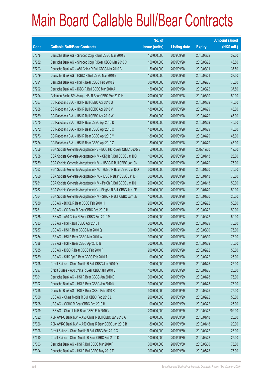|             |                                                                | No. of        |                     |               | <b>Amount raised</b> |
|-------------|----------------------------------------------------------------|---------------|---------------------|---------------|----------------------|
| <b>Code</b> | <b>Callable Bull/Bear Contracts</b>                            | issue (units) | <b>Listing date</b> | <b>Expiry</b> | $(HK$$ mil.)         |
| 67278       | Deutsche Bank AG - Sinopec Corp R Bull CBBC Mar 2010 B         | 150,000,000   | 2009/09/28          | 2010/03/22    | 39.00                |
| 67282       | Deutsche Bank AG - Sinopec Corp R Bear CBBC Mar 2010 C         | 150,000,000   | 2009/09/28          | 2010/03/22    | 46.50                |
| 67293       | Deutsche Bank AG - A50 China R Bull CBBC Mar 2010 B            | 150,000,000   | 2009/09/28          | 2010/03/01    | 37.50                |
| 67279       | Deutsche Bank AG - HSBC R Bull CBBC Mar 2010 B                 | 150,000,000   | 2009/09/28          | 2010/03/01    | 37.50                |
| 67291       | Deutsche Bank AG - HSI R Bear CBBC Feb 2010 Z                  | 300,000,000   | 2009/09/28          | 2010/02/25    | 75.00                |
| 67292       | Deutsche Bank AG - ICBC R Bull CBBC Mar 2010 A                 | 150,000,000   | 2009/09/28          | 2010/03/22    | 37.50                |
| 67294       | Goldman Sachs SP (Asia) - HSI R Bear CBBC Mar 2010 H           | 200,000,000   | 2009/09/28          | 2010/03/30    | 50.00                |
| 67267       | CC Rabobank B.A. - HSI R Bull CBBC Apr 2010 U                  | 180,000,000   | 2009/09/28          | 2010/04/29    | 45.00                |
| 67268       | CC Rabobank B.A. - HSI R Bull CBBC Apr 2010 V                  | 180,000,000   | 2009/09/28          | 2010/04/29    | 45.00                |
| 67269       | CC Rabobank B.A. - HSI R Bull CBBC Apr 2010 W                  | 180,000,000   | 2009/09/28          | 2010/04/29    | 45.00                |
| 67275       | CC Rabobank B.A. - HSI R Bear CBBC Apr 2010 D                  | 180,000,000   | 2009/09/28          | 2010/04/29    | 45.00                |
| 67272       | CC Rabobank B.A. - HSI R Bear CBBC Apr 2010 X                  | 180,000,000   | 2009/09/28          | 2010/04/29    | 45.00                |
| 67273       | CC Rabobank B.A. - HSI R Bear CBBC Apr 2010 Y                  | 180,000,000   | 2009/09/28          | 2010/04/29    | 45.00                |
| 67274       | CC Rabobank B.A. - HSI R Bear CBBC Apr 2010 Z                  | 180,000,000   | 2009/09/28          | 2010/04/29    | 45.00                |
| 67256       | SGA Societe Generale Acceptance NV - BOC HK R Bear CBBC Dec09E | 50,000,000    | 2009/09/28          | 2009/12/30    | 19.00                |
| 67258       | SGA Societe Generale Acceptance N.V - CK(H) R Bull CBBC Jan10D | 100,000,000   | 2009/09/28          | 2010/01/13    | 25.00                |
| 67259       | SGA Societe Generale Acceptance N.V. - HSBC R Bull CBBC Jan10N | 300,000,000   | 2009/09/28          | 2010/01/20    | 75.00                |
| 67263       | SGA Societe Generale Acceptance N.V. - HSBC R Bear CBBC Jan100 | 300,000,000   | 2009/09/28          | 2010/01/20    | 75.00                |
| 67260       | SGA Societe Generale Acceptance N.V. - ICBC R Bear CBBC Jan10H | 300,000,000   | 2009/09/28          | 2010/01/13    | 75.00                |
| 67261       | SGA Societe Generale Acceptance N.V - PetCh R Bull CBBC Jan10J | 200,000,000   | 2009/09/28          | 2010/01/13    | 50.00                |
| 67262       | SGA Societe Generale Acceptance NV - PingAn R Bull CBBC Jan10F | 200,000,000   | 2009/09/28          | 2010/01/20    | 50.00                |
| 67264       | SGA Societe Generale Acceptance N.V - SHK P R Bull CBBC Jan10E | 100,000,000   | 2009/09/28          | 2010/01/20    | 25.00                |
| 67280       | UBS AG - BOCL R Bear CBBC Feb 2010 H                           | 200,000,000   | 2009/09/28          | 2010/02/22    | 50.00                |
| 67281       | UBS AG - CC Bank R Bear CBBC Feb 2010 H                        | 200,000,000   | 2009/09/28          | 2010/02/22    | 50.00                |
| 67286       | UBS AG - A50 China R Bear CBBC Feb 2010 M                      | 200,000,000   | 2009/09/28          | 2010/02/22    | 50.00                |
| 67283       | UBS AG - HSI R Bull CBBC Apr 2010 I                            | 300,000,000   | 2009/09/28          | 2010/04/29    | 75.00                |
| 67287       | UBS AG - HSI R Bear CBBC Mar 2010 Q                            | 300,000,000   | 2009/09/28          | 2010/03/30    | 75.00                |
| 67284       | UBS AG - HSI R Bear CBBC Mar 2010 W                            | 300,000,000   | 2009/09/28          | 2010/03/30    | 75.00                |
| 67288       | UBS AG - HSI R Bear CBBC Apr 2010 B                            | 300,000,000   | 2009/09/28          | 2010/04/29    | 75.00                |
| 67285       | UBS AG - ICBC R Bear CBBC Feb 2010 F                           | 200,000,000   | 2009/09/28          | 2010/02/22    | 50.00                |
| 67289       | UBS AG - SHK Ppt R Bear CBBC Feb 2010 T                        | 100,000,000   | 2009/09/28          | 2010/02/22    | 25.00                |
| 67296       | Credit Suisse - China Mobile R Bull CBBC Jan 2010 O            | 100,000,000   | 2009/09/29          | 2010/01/25    | 25.00                |
| 67297       | Credit Suisse - A50 China R Bear CBBC Jan 2010 B               | 100,000,000   | 2009/09/29          | 2010/01/25    | 25.00                |
| 67301       | Deutsche Bank AG - HSI R Bear CBBC Jan 2010 E                  | 300,000,000   | 2009/09/29          | 2010/01/28    | 75.00                |
| 67302       | Deutsche Bank AG - HSI R Bear CBBC Jan 2010 K                  | 300,000,000   | 2009/09/29          | 2010/01/28    | 75.00                |
| 67295       | Deutsche Bank AG - HSI R Bear CBBC Feb 2010 R                  | 300,000,000   | 2009/09/29          | 2010/02/25    | 75.00                |
| 67300       | UBS AG - China Mobile R Bull CBBC Feb 2010 L                   | 200,000,000   | 2009/09/29          | 2010/02/22    | 50.00                |
| 67298       | UBS AG - CCHC R Bear CBBC Feb 2010 H                           | 100,000,000   | 2009/09/29          | 2010/02/22    | 25.00                |
| 67299       | UBS AG - China Life R Bear CBBC Feb 2010 V                     | 200,000,000   | 2009/09/29          | 2010/02/22    | 202.00               |
| 67322       | ABN AMRO Bank N.V. - A50 China R Bull CBBC Jan 2010 A          | 80,000,000    | 2009/09/30          | 2010/01/18    | 20.00                |
| 67326       | ABN AMRO Bank N.V. - A50 China R Bear CBBC Jan 2010 B          | 80,000,000    | 2009/09/30          | 2010/01/18    | 20.00                |
| 67306       | Credit Suisse - China Mobile R Bull CBBC Feb 2010 C            | 100,000,000   | 2009/09/30          | 2010/02/22    | 25.00                |
| 67310       | Credit Suisse - China Mobile R Bear CBBC Feb 2010 D            | 100,000,000   | 2009/09/30          | 2010/02/22    | 25.00                |
| 67303       | Deutsche Bank AG - HSI R Bull CBBC Mar 2010 F                  | 300,000,000   | 2009/09/30          | 2010/03/30    | 75.00                |
| 67304       | Deutsche Bank AG - HSI R Bull CBBC May 2010 E                  | 300,000,000   | 2009/09/30          | 2010/05/28    | 75.00                |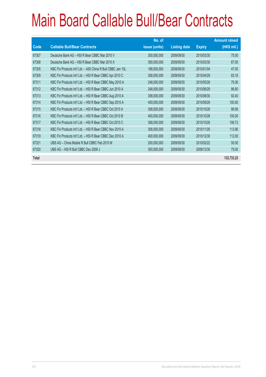|             |                                                             | No. of        |                     |               | <b>Amount raised</b> |
|-------------|-------------------------------------------------------------|---------------|---------------------|---------------|----------------------|
| <b>Code</b> | <b>Callable Bull/Bear Contracts</b>                         | issue (units) | <b>Listing date</b> | <b>Expiry</b> | $(HK$$ mil.)         |
| 67307       | Deutsche Bank AG - HSI R Bear CBBC Mar 2010 V               | 300,000,000   | 2009/09/30          | 2010/03/30    | 75.00                |
| 67308       | Deutsche Bank AG - HSI R Bear CBBC Mar 2010 X               | 300,000,000   | 2009/09/30          | 2010/03/30    | 87.00                |
| 67305       | KBC Fin Products Int'l Ltd. - A50 China R Bull CBBC Jan 10L | 188,000,000   | 2009/09/30          | 2010/01/04    | 47.00                |
| 67309       | KBC Fin Products Int'l Ltd. - HSI R Bear CBBC Apr 2010 C    | 308,000,000   | 2009/09/30          | 2010/04/29    | 83.16                |
| 67311       | KBC Fin Products Int'l Ltd. - HSI R Bear CBBC May 2010 A    | 248,000,000   | 2009/09/30          | 2010/05/28    | 79.36                |
| 67312       | KBC Fin Products Int'l Ltd. - HSI R Bear CBBC Jun 2010 A    | 248,000,000   | 2009/09/30          | 2010/06/29    | 86.80                |
| 67313       | KBC Fin Products Int'l Ltd. - HSI R Bear CBBC Aug 2010 A    | 308,000,000   | 2009/09/30          | 2010/08/30    | 92.40                |
| 67314       | KBC Fin Products Int'l Ltd. - HSI R Bear CBBC Sep 2010 A    | 400,000,000   | 2009/09/30          | 2010/09/29    | 100.00               |
| 67315       | KBC Fin Products Int'l Ltd. - HSI R Bear CBBC Oct 2010 A    | 308,000,000   | 2009/09/30          | 2010/10/28    | 98.56                |
| 67316       | KBC Fin Products Int'l Ltd. - HSI R Bear CBBC Oct 2010 B    | 400,000,000   | 2009/09/30          | 2010/10/28    | 100.00               |
| 67317       | KBC Fin Products Int'l Ltd. - HSI R Bear CBBC Oct 2010 C    | 368,000,000   | 2009/09/30          | 2010/10/28    | 106.72               |
| 67318       | KBC Fin Products Int'l Ltd. - HSI R Bear CBBC Nov 2010 A    | 308,000,000   | 2009/09/30          | 2010/11/29    | 113.96               |
| 67319       | KBC Fin Products Int'l Ltd. - HSI R Bear CBBC Dec 2010 A    | 400,000,000   | 2009/09/30          | 2010/12/30    | 112.00               |
| 67321       | UBS AG - China Mobile R Bull CBBC Feb 2010 M                | 200,000,000   | 2009/09/30          | 2010/02/22    | 50.00                |
| 67320       | UBS AG - HSI R Bull CBBC Dec 2009 J                         | 300,000,000   | 2009/09/30          | 2009/12/30    | 75.00                |
| Total       |                                                             |               |                     |               | 133,733.23           |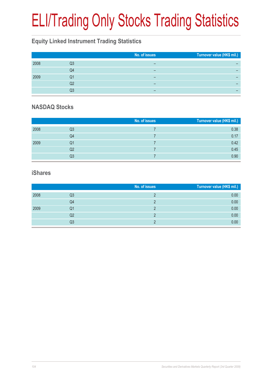# ELI/Trading Only Stocks Trading Statistics

#### **Equity Linked Instrument Trading Statistics**

|      |    | No. of issues | Turnover value (HK\$ mil.) |
|------|----|---------------|----------------------------|
| 2008 | Q3 |               |                            |
|      | Q4 |               |                            |
| 2009 | Q1 | -             |                            |
|      | Q2 | -             |                            |
|      | Q3 | -             |                            |

#### **NASDAQ Stocks**

|      |                | No. of issues | Turnover value (HK\$ mil.) |
|------|----------------|---------------|----------------------------|
| 2008 | Q3             |               | 0.38                       |
|      | Q4             |               | 0.17                       |
| 2009 | Q1             |               | 0.42                       |
|      | Q <sub>2</sub> |               | 0.45                       |
|      | Q3             |               | 0.90                       |

#### **iShares**

|      |    | No. of issues | Turnover value (HK\$ mil.) |
|------|----|---------------|----------------------------|
| 2008 | Q3 |               | 0.00                       |
|      | Q4 |               | 0.00                       |
| 2009 | Q1 |               | 0.00                       |
|      | Q2 |               | 0.00                       |
|      | Q3 |               | 0.00                       |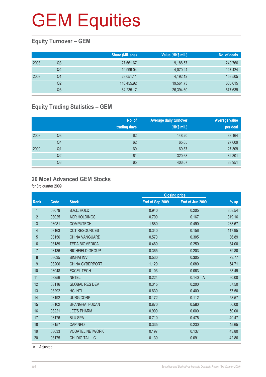## **GEM Equities**

#### **Equity Turnover – GEM**

|      |    | Share (Mil. shs) | Value (HK\$ mil.) | No. of deals |
|------|----|------------------|-------------------|--------------|
| 2008 | Q3 | 27,661.67        | 9,188.57          | 240,766      |
|      | Q4 | 19.999.04        | 4,070.24          | 147,424      |
| 2009 | Q1 | 23.051.11        | 4,192.12          | 153,505      |
|      | Q2 | 116.455.92       | 19,561.73         | 605,615      |
|      | Q3 | 84,235.17        | 26,394.60         | 677,639      |

#### **Equity Trading Statistics – GEM**

|      |                | No. of<br>trading days | <b>Average daily turnover</b><br>(HK\$ mil.) | <b>Average value</b><br>per deal |
|------|----------------|------------------------|----------------------------------------------|----------------------------------|
| 2008 | Q3             | 62                     | 148.20                                       | 38,164                           |
|      | Q4             | 62                     | 65.65                                        | 27,609                           |
| 2009 | Q <sub>1</sub> | 60                     | 69.87                                        | 27,309                           |
|      | Q <sub>2</sub> | 61                     | 320.68                                       | 32,301                           |
|      | Q3             | 65                     | 406.07                                       | 38,951                           |

#### **20 Most Advanced GEM Stocks**

for 3rd quarter 2009

|       |                        | <b>Closing price</b> |                         |        |
|-------|------------------------|----------------------|-------------------------|--------|
| Code  | <b>Stock</b>           | End of Sep 2009      | End of Jun 2009         | $%$ up |
| 08079 | <b>B.A.L. HOLD</b>     | 0.940                | 0.205                   | 358.54 |
| 08025 | <b>ACR HOLDINGS</b>    | 0.700                | 0.167                   | 319.16 |
| 08081 | <b>COMPUTECH</b>       | 1.880                | 0.490                   | 283.67 |
| 08163 | <b>CCT RESOURCES</b>   | 0.340                | 0.156                   | 117.95 |
| 08156 | <b>CHINA VANGUARD</b>  | 0.570                | 0.305                   | 86.89  |
| 08189 | <b>TEDA BIOMEDICAL</b> | 0.460                | 0.250                   | 84.00  |
| 08136 | RICHFIELD GROUP        | 0.365                | 0.203                   | 79.80  |
| 08035 | <b>BINHAI INV</b>      | 0.530                | 0.305                   | 73.77  |
| 08206 | <b>CHINA CYBERPORT</b> | 1.120                | 0.680                   | 64.71  |
| 08048 | <b>EXCEL TECH</b>      | 0.103                | 0.063                   | 63.49  |
| 08256 | <b>NETEL</b>           | 0.224                | 0.140<br>$\overline{A}$ | 60.00  |
| 08116 | <b>GLOBAL RES DEV</b>  | 0.315                | 0.200                   | 57.50  |
| 08292 | <b>HC INTL</b>         | 0.630                | 0.400                   | 57.50  |
| 08192 | <b>UURG CORP</b>       | 0.172                | 0.112                   | 53.57  |
| 08102 | <b>SHANGHAI FUDAN</b>  | 0.870                | 0.580                   | 50.00  |
| 08221 | <b>LEE'S PHARM</b>     | 0.900                | 0.600                   | 50.00  |
| 08176 | <b>BLU SPA</b>         | 0.710                | 0.475                   | 49.47  |
| 08157 | <b>CAPINFO</b>         | 0.335                | 0.230                   | 45.65  |
| 08033 | <b>VODATEL NETWORK</b> | 0.197                | 0.137                   | 43.80  |
| 08175 | <b>CHI DIGITAL LIC</b> | 0.130                | 0.091                   | 42.86  |
|       |                        |                      |                         |        |

A Adjusted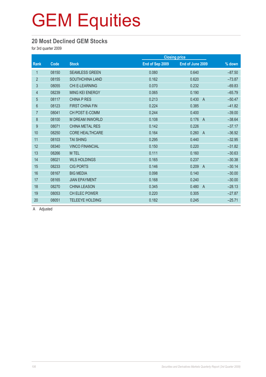## **GEM Equities**

#### **20 Most Declined GEM Stocks**

for 3rd quarter 2009

|                |       |                        |                 | <b>Closing price</b>    |          |
|----------------|-------|------------------------|-----------------|-------------------------|----------|
| Rank           | Code  | <b>Stock</b>           | End of Sep 2009 | End of June 2009        | % down   |
| 1              | 08150 | <b>SEAMLESS GREEN</b>  | 0.080           | 0.640                   | $-87.50$ |
| $\overline{2}$ | 08155 | <b>SOUTHCHINA LAND</b> | 0.162           | 0.620                   | $-73.87$ |
| 3              | 08055 | <b>CHI E-LEARNING</b>  | 0.070           | 0.232                   | $-69.83$ |
| $\overline{4}$ | 08239 | <b>MING KEI ENERGY</b> | 0.065           | 0.190                   | $-65.79$ |
| $\overline{5}$ | 08117 | <b>CHINA P RES</b>     | 0.213           | 0.430<br>$\overline{A}$ | $-50.47$ |
| $6\phantom{a}$ | 08123 | <b>FIRST CHINA FIN</b> | 0.224           | 0.385                   | $-41.82$ |
| $\overline{7}$ | 08041 | CH POST E-COMM         | 0.244           | 0.400                   | $-39.00$ |
| $\bf 8$        | 08100 | <b>M DREAM INWORLD</b> | 0.108           | 0.176<br>$\overline{A}$ | $-38.64$ |
| 9              | 08071 | <b>CHINA METAL RES</b> | 0.142           | 0.226                   | $-37.17$ |
| 10             | 08250 | <b>CORE HEALTHCARE</b> | 0.164           | 0.260<br>$\overline{A}$ | $-36.92$ |
| 11             | 08103 | <b>TAI SHING</b>       | 0.295           | 0.440                   | $-32.95$ |
| 12             | 08340 | <b>VINCO FINANCIAL</b> | 0.150           | 0.220                   | $-31.82$ |
| 13             | 08266 | M TEL                  | 0.111           | 0.160                   | $-30.63$ |
| 14             | 08021 | <b>WLS HOLDINGS</b>    | 0.165           | 0.237                   | $-30.38$ |
| 15             | 08233 | <b>CIG PORTS</b>       | 0.146           | 0.209<br>$\overline{A}$ | $-30.14$ |
| 16             | 08167 | <b>BIG MEDIA</b>       | 0.098           | 0.140                   | $-30.00$ |
| 17             | 08165 | <b>JIAN EPAYMENT</b>   | 0.168           | 0.240                   | $-30.00$ |
| 18             | 08270 | <b>CHINA LEASON</b>    | 0.345           | 0.480<br>$\overline{A}$ | $-28.13$ |
| 19             | 08053 | CH ELEC POWER          | 0.220           | 0.305                   | $-27.87$ |
| 20             | 08051 | <b>TELEEYE HOLDING</b> | 0.182           | 0.245                   | $-25.71$ |

A Adjusted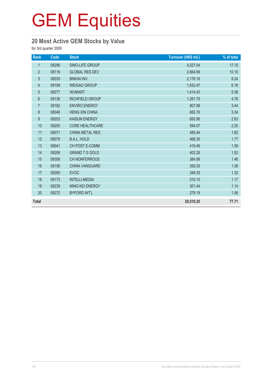## **GEM Equities**

#### **20 Most Active GEM Stocks by Value**

for 3rd quarter 2009

| Rank             | Code  | <b>Stock</b>           | Turnover (HK\$ mil.) | % of total |
|------------------|-------|------------------------|----------------------|------------|
| $\mathbf{1}$     | 08296 | SINO-LIFE GROUP        | 4,527.04             | 17.15      |
| $\overline{2}$   | 08116 | <b>GLOBAL RES DEV</b>  | 2,664.69             | 10.10      |
| $\mathfrak{S}$   | 08035 | <b>BINHAI INV</b>      | 2,176.16             | 8.24       |
| $\overline{4}$   | 08199 | <b>WEIGAO GROUP</b>    | 1,632.47             | 6.18       |
| $\overline{5}$   | 08277 | <b>WUMART</b>          | 1,414.43             | 5.36       |
| 6                | 08136 | <b>RICHFIELD GROUP</b> | 1,261.79             | 4.78       |
| $\overline{7}$   | 08182 | <b>ENVIRO ENERGY</b>   | 907.98               | 3.44       |
| 8                | 08046 | <b>HENG XIN CHINA</b>  | 882.76               | 3.34       |
| $\boldsymbol{9}$ | 08203 | <b>KAISUN ENERGY</b>   | 693.96               | 2.63       |
| 10               | 08250 | <b>CORE HEALTHCARE</b> | 594.07               | 2.25       |
| 11               | 08071 | CHINA METAL RES        | 480.44               | 1.82       |
| 12               | 08079 | <b>B.A.L. HOLD</b>     | 468.35               | 1.77       |
| 13               | 08041 | CH POST E-COMM         | 419.46               | 1.59       |
| 14               | 08299 | <b>GRAND T G GOLD</b>  | 402.28               | 1.52       |
| 15               | 08306 | <b>CH NONFERROUS</b>   | 384.99               | 1.46       |
| 16               | 08156 | <b>CHINA VANGUARD</b>  | 359.35               | 1.36       |
| 17               | 08285 | <b>EVOC</b>            | 349.30               | 1.32       |
| 18               | 08173 | <b>INTELLI-MEDIA</b>   | 310.10               | 1.17       |
| 19               | 08239 | <b>MING KEI ENERGY</b> | 301.44               | 1.14       |
| 20               | 08272 | <b>BYFORD INT'L</b>    | 279.19               | 1.06       |
| <b>Total</b>     |       |                        | 20,510.25            | 77.71      |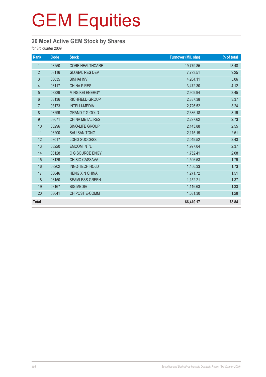## **20 Most Active GEM Stock by Shares**

for 3rd quarter 2009

| Rank           | Code  | <b>Stock</b>           | <b>Turnover (Mil. shs)</b> | % of total |
|----------------|-------|------------------------|----------------------------|------------|
| $\mathbf{1}$   | 08250 | <b>CORE HEALTHCARE</b> | 19,779.85                  | 23.48      |
| $\overline{2}$ | 08116 | <b>GLOBAL RES DEV</b>  | 7,793.51                   | 9.25       |
| 3              | 08035 | <b>BINHAI INV</b>      | 4,264.11                   | 5.06       |
| $\overline{4}$ | 08117 | <b>CHINA P RES</b>     | 3,472.30                   | 4.12       |
| 5              | 08239 | MING KEI ENERGY        | 2,909.94                   | 3.45       |
| 6              | 08136 | <b>RICHFIELD GROUP</b> | 2,837.38                   | 3.37       |
| $\overline{7}$ | 08173 | <b>INTELLI-MEDIA</b>   | 2,726.52                   | 3.24       |
| 8              | 08299 | <b>GRAND T G GOLD</b>  | 2,686.18                   | 3.19       |
| 9              | 08071 | <b>CHINA METAL RES</b> | 2,297.62                   | 2.73       |
| 10             | 08296 | SINO-LIFE GROUP        | 2,143.88                   | 2.55       |
| 11             | 08200 | <b>SAU SAN TONG</b>    | 2,115.19                   | 2.51       |
| 12             | 08017 | <b>LONG SUCCESS</b>    | 2,049.52                   | 2.43       |
| 13             | 08220 | <b>EMCOM INT'L</b>     | 1,997.04                   | 2.37       |
| 14             | 08128 | C G SOURCE ENGY        | 1,752.41                   | 2.08       |
| 15             | 08129 | CH BIO CASSAVA         | 1,506.53                   | 1.79       |
| 16             | 08202 | INNO-TECH HOLD         | 1,456.33                   | 1.73       |
| 17             | 08046 | <b>HENG XIN CHINA</b>  | 1,271.72                   | 1.51       |
| 18             | 08150 | <b>SEAMLESS GREEN</b>  | 1,152.21                   | 1.37       |
| 19             | 08167 | <b>BIG MEDIA</b>       | 1,116.63                   | 1.33       |
| 20             | 08041 | CH POST E-COMM         | 1,081.30                   | 1.28       |
| <b>Total</b>   |       |                        | 66,410.17                  | 78.84      |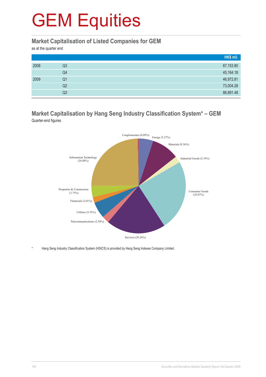#### **Market Capitalisation of Listed Companies for GEM**

as at the quarter end

|      |    | HK\$ mil. |
|------|----|-----------|
| 2008 | Q3 | 67,153.80 |
|      | Q4 | 45,164.18 |
| 2009 | Q1 | 46,972.81 |
|      | Q2 | 73,004.28 |
|      | Q3 | 86,891.48 |

#### **Market Capitalisation by Hang Seng Industry Classification System\* – GEM** Quarter-end figures



Hang Seng Industry Classification System (HSICS) is provided by Hang Seng Indexes Company Limited.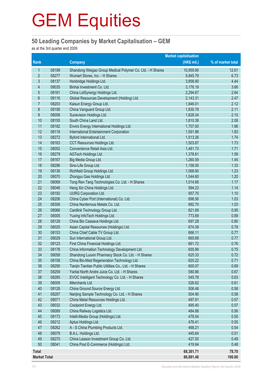#### **50 Leading Companies by Market Capitalisation – GEM**

as at the 3rd quarter end 2009

|                     | <b>Market capitalisation</b> |                                                                     |                  |                   |
|---------------------|------------------------------|---------------------------------------------------------------------|------------------|-------------------|
| Rank                |                              | <b>Company</b>                                                      | (HK\$ mil.)      | % of market total |
| 1                   | 08199                        | Shandong Weigao Group Medical Polymer Co. Ltd. - H Shares           | 10,959.90        | 12.61             |
| $\overline{2}$      | 08277                        | Wumart Stores, Inc. - H Shares                                      | 5,845.79         | 6.73              |
| 3                   | 08137                        | Honbridge Holdings Ltd.                                             | 3,858.90         | 4.44              |
| $\overline{4}$      | 08035                        | Binhai Investment Co. Ltd.                                          | 3,176.19         | 3.66              |
| 5                   | 08161                        | China LotSynergy Holdings Ltd.                                      | 2,294.67         | 2.64              |
| $6\phantom{1}6$     | 08116                        | Global Resources Development (Holding) Ltd.                         | 2,143.31         | 2.47              |
| $\overline{7}$      | 08203                        | Kaisun Energy Group Ltd.                                            | 1,846.01         | 2.12              |
| 8                   | 08156                        | China Vanguard Group Ltd.                                           | 1,830.78         | 2.11              |
| 9                   | 08008                        | Sunevision Holdings Ltd.                                            | 1,828.34         | 2.10              |
| 10                  | 08155                        | South China Land Ltd.                                               | 1,810.38         | 2.08              |
| 11                  | 08182                        | Enviro Energy International Holdings Ltd.                           | 1,707.00         | 1.96              |
| 12                  | 08118                        | <b>International Entertainment Corporation</b>                      | 1,591.86         | 1.83              |
| 13                  | 08272                        | Byford International Ltd.                                           | 1,513.26         | 1.74              |
| 14                  | 08163                        | CCT Resources Holdings Ltd.                                         | 1,503.87         | 1.73              |
| 15                  | 08052                        | Convenience Retail Asia Ltd.                                        | 1,481.73         | 1.71              |
| 16                  | 08279                        | AGTech Holdings Ltd.                                                | 1,378.81         | 1.59              |
| 17                  | 08167                        | Big Media Group Ltd.                                                | 1,260.59         | 1.45              |
| 18                  | 08296                        | Sino-Life Group Ltd.                                                | 1,158.00         | 1.33              |
| 19                  | 08136                        | Richfield Group Holdings Ltd.                                       | 1,068.90         | 1.23              |
| 20                  | 08070                        | Zhongyu Gas Holdings Ltd.                                           | 1,044.60         | 1.20              |
| 21                  | 08069                        | Tong Ren Tang Technologies Co. Ltd. - H Shares                      | 1,014.66         | 1.17              |
| 22                  | 08046                        | Heng Xin China Holdings Ltd.                                        | 994.23           | 1.14              |
| 23                  | 08192                        | <b>UURG Corporation Ltd.</b>                                        | 957.70           | 1.10              |
| 24                  | 08206                        | China Cyber Port (International) Co. Ltd.                           | 898.56           | 1.03              |
| 25                  | 08306                        | China Nonferrous Metals Co. Ltd.                                    | 892.70           | 1.03              |
| 26                  | 08066                        | Cardlink Technology Group Ltd.                                      | 821.69           | 0.95              |
| 27                  | 08005                        | Yuxing InfoTech Holdings Ltd.                                       | 773.89           | 0.89              |
| 28                  | 08129                        | China Bio Cassava Holdings Ltd.                                     | 697.28           | 0.80              |
| 29                  | 08025                        | Asian Capital Resources (Holdings) Ltd.                             | 674.39           | 0.78              |
| 30                  | 08153                        | China Chief Cable TV Group Ltd.                                     | 666.11           | 0.77              |
| 31<br>32            | 08029<br>08123               | Sun International Group Ltd.<br>First China Financial Holdings Ltd. | 665.69<br>661.72 | 0.77<br>0.76      |
| 33                  | 08178                        | China Information Technology Development Ltd.                       | 655.99           | 0.75              |
| 34                  | 08058                        | Shandong Luoxin Pharmacy Stock Co. Ltd. - H Shares                  | 625.33           | 0.72              |
| 35                  | 08158                        | China Bio-Med Regeneration Technology Ltd.                          | 620.22           | 0.71              |
| 36                  | 08290                        | Tianjin Tianlian Public Utilities Co., Ltd. - H Shares              | 600.07           | 0.69              |
| 37                  | 08259                        | Yantai North Andre Juice Co. Ltd. - H Shares                        | 580.86           | 0.67              |
| 38                  | 08285                        | EVOC Intelligent Technology Co. Ltd. - H Shares                     | 545.78           | 0.63              |
| 39                  | 08009                        | iMerchants Ltd.                                                     | 526.62           | 0.61              |
| 40                  | 08128                        | China Ground Source Energy Ltd.                                     | 506.48           | 0.58              |
| 41                  | 08287                        | Nanjing Sample Technology Co. Ltd. - H Shares                       | 504.90           | 0.58              |
| 42                  | 08071                        | China Metal Resources Holdings Ltd.                                 | 497.91           | 0.57              |
| 43                  | 08032                        | Coolpoint Energy Ltd.                                               | 495.40           | 0.57              |
| 44                  | 08089                        | China Railway Logistics Ltd.                                        | 484.88           | 0.56              |
| 45                  | 08173                        | Intelli-Media Group (Holdings) Ltd.                                 | 478.54           | 0.55              |
| 46                  | 08212                        | Aptus Holdings Ltd.                                                 | 476.41           | 0.55              |
| 47                  | 08262                        | A - S China Plumbing Products Ltd.                                  | 468.21           | 0.54              |
| 48                  | 08079                        | B.A.L. Holdings Ltd.                                                | 445.64           | 0.51              |
| 49                  | 08270                        | China Leason Investment Group Co. Ltd.                              | 427.00           | 0.49              |
| 50                  | 08041                        | China Post E-Commerce (Holdings) Ltd.                               | 419.94           | 0.48              |
| <b>Total</b>        |                              |                                                                     | 68,381.71        | 78.70             |
| <b>Market Total</b> |                              |                                                                     | 86,891.48        | 100.00            |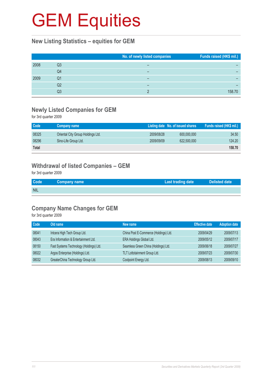#### **New Listing Statistics – equities for GEM**

|      |    | No. of newly listed companies | Funds raised (HK\$ mil.) |
|------|----|-------------------------------|--------------------------|
| 2008 | Q3 | -                             |                          |
|      | Q4 | -                             |                          |
| 2009 | Q1 |                               |                          |
|      | Q2 |                               |                          |
|      | Q3 |                               | 158.70                   |

#### **Newly Listed Companies for GEM**

for 3rd quarter 2009

| Code  | Company name                      |            | Listing date No. of issued shares | Funds raised (HK\$ mil.) |
|-------|-----------------------------------|------------|-----------------------------------|--------------------------|
| 08325 | Oriental City Group Holdings Ltd. | 2009/08/28 | 600,000,000                       | 34.50                    |
| 08296 | Sino-Life Group Ltd.              | 2009/09/09 | 622,500,000                       | 124.20                   |
| Total |                                   |            |                                   | 158.70                   |

#### **Withdrawal of listed Companies – GEM**

for 3rd quarter 2009

| <b>Code</b> | <b>Company name</b> | <b>Last trading date</b> | Delisted date |
|-------------|---------------------|--------------------------|---------------|
| <b>NIL</b>  |                     |                          |               |

## **Company Name Changes for GEM**

for 3rd quarter 2009

| Code  | Old name                                | New name                              | <b>Effective date</b> | <b>Adoption date</b> |
|-------|-----------------------------------------|---------------------------------------|-----------------------|----------------------|
| 08041 | Intcera High Tech Group Ltd.            | China Post E-Commerce (Holdings) Ltd. | 2009/04/29            | 2009/07/13           |
| 08043 | Era Information & Entertainment Ltd.    | ERA Holdings Global Ltd.              | 2009/05/12            | 2009/07/17           |
| 08150 | Fast Systems Technology (Holdings) Ltd. | Seamless Green China (Holdings) Ltd.  | 2009/06/18            | 2009/07/27           |
| 08022 | Argos Enterprise (Holdings) Ltd.        | TLT Lottotainment Group Ltd.          | 2009/07/23            | 2009/07/30           |
| 08032 | GreaterChina Technology Group Ltd.      | Coolpoint Energy Ltd.                 | 2009/08/13            | 2009/09/10           |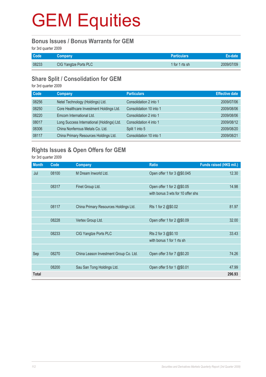#### **Bonus Issues / Bonus Warrants for GEM**

for 3rd quarter 2009

| <b>Code</b> | Company               | <b>Particulars</b> |            |
|-------------|-----------------------|--------------------|------------|
| 08233       | CIG Yangtze Ports PLC | 1 for 1 rts sh     | 2009/07/09 |

### **Share Split / Consolidation for GEM**

for 3rd quarter 2009

| <b>Code</b> | Company                                    | <b>Particulars</b>      | <b>Effective date</b> |
|-------------|--------------------------------------------|-------------------------|-----------------------|
| 08256       | Netel Technology (Holdings) Ltd.           | Consolidation 2 into 1  | 2009/07/06            |
| 08250       | Core Healthcare Investment Holdings Ltd.   | Consolidation 10 into 1 | 2009/08/06            |
| 08220       | Emcom International Ltd.                   | Consolidation 2 into 1  | 2009/08/06            |
| 08017       | Long Success International (Holdings) Ltd. | Consolidation 4 into 1  | 2009/08/12            |
| 08306       | China Nonferrous Metals Co. Ltd.           | Split 1 into 5          | 2009/08/20            |
| 08117       | China Primary Resources Holdings Ltd.      | Consolidation 10 into 1 | 2009/08/21            |

## **Rights Issues & Open Offers for GEM**

for 3rd quarter 2009

| <b>Month</b> | Code  | Company                                | <b>Ratio</b>                      | Funds raised (HK\$ mil.) |
|--------------|-------|----------------------------------------|-----------------------------------|--------------------------|
| Jul          | 08100 | M Dream Inworld Ltd.                   | Open offer 1 for 3 @\$0.045       | 12.30                    |
|              |       |                                        |                                   |                          |
|              | 08317 | Finet Group Ltd.                       | Open offer 1 for 2 @\$0.05        | 14.98                    |
|              |       |                                        | with bonus 3 wts for 10 offer shs |                          |
|              |       |                                        |                                   |                          |
|              | 08117 | China Primary Resources Holdings Ltd.  | Rts 1 for 2 @\$0.02               | 81.97                    |
|              |       |                                        |                                   |                          |
|              | 08228 | Vertex Group Ltd.                      | Open offer 1 for 2 @\$0.09        | 32.00                    |
|              |       |                                        |                                   |                          |
|              | 08233 | CIG Yangtze Ports PLC                  | Rts 2 for 3 @\$0.10               | 33.43                    |
|              |       |                                        | with bonus 1 for 1 rts sh         |                          |
|              |       |                                        |                                   |                          |
| Sep          | 08270 | China Leason Investment Group Co. Ltd. | Open offer 3 for 7 @\$0.20        | 74.26                    |
|              |       |                                        |                                   |                          |
|              | 08200 | Sau San Tong Holdings Ltd.             | Open offer 5 for 1 @\$0.01        | 47.99                    |
| Total        |       |                                        |                                   | 296.93                   |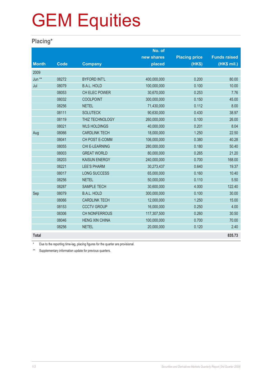### **Placing\***

|              |             |                       | No. of      |                      |                     |
|--------------|-------------|-----------------------|-------------|----------------------|---------------------|
|              |             |                       | new shares  | <b>Placing price</b> | <b>Funds raised</b> |
| <b>Month</b> | <b>Code</b> | <b>Company</b>        | placed      | (HK\$)               | (HK\$ mil.)         |
| 2009         |             |                       |             |                      |                     |
| Jun **       | 08272       | <b>BYFORD INT'L</b>   | 400,000,000 | 0.200                | 80.00               |
| Jul          | 08079       | <b>B.A.L. HOLD</b>    | 100,000,000 | 0.100                | 10.00               |
|              | 08053       | CH ELEC POWER         | 30,670,000  | 0.253                | 7.76                |
|              | 08032       | <b>COOLPOINT</b>      | 300,000,000 | 0.150                | 45.00               |
|              | 08256       | <b>NETEL</b>          | 71,430,000  | 0.112                | 8.00                |
|              | 08111       | <b>SOLUTECK</b>       | 90,630,000  | 0.430                | 38.97               |
|              | 08119       | THIZ TECHNOLOGY       | 260,000,000 | 0.100                | 26.00               |
|              | 08021       | <b>WLS HOLDINGS</b>   | 40,000,000  | 0.201                | 8.04                |
| Aug          | 08066       | <b>CARDLINK TECH</b>  | 18,000,000  | 1.250                | 22.50               |
|              | 08041       | CH POST E-COMM        | 106,000,000 | 0.380                | 40.28               |
|              | 08055       | CHI E-LEARNING        | 280,000,000 | 0.180                | 50.40               |
|              | 08003       | <b>GREAT WORLD</b>    | 80,000,000  | 0.265                | 21.20               |
|              | 08203       | <b>KAISUN ENERGY</b>  | 240,000,000 | 0.700                | 168.00              |
|              | 08221       | <b>LEE'S PHARM</b>    | 30,273,437  | 0.640                | 19.37               |
|              | 08017       | <b>LONG SUCCESS</b>   | 65,000,000  | 0.160                | 10.40               |
|              | 08256       | <b>NETEL</b>          | 50,000,000  | 0.110                | 5.50                |
|              | 08287       | <b>SAMPLE TECH</b>    | 30,600,000  | 4.000                | 122.40              |
| Sep          | 08079       | <b>B.A.L. HOLD</b>    | 300,000,000 | 0.100                | 30.00               |
|              | 08066       | <b>CARDLINK TECH</b>  | 12,000,000  | 1.250                | 15.00               |
|              | 08153       | <b>CCCTV GROUP</b>    | 16,000,000  | 0.250                | 4.00                |
|              | 08306       | CH NONFERROUS         | 117,307,500 | 0.260                | 30.50               |
|              | 08046       | <b>HENG XIN CHINA</b> | 100,000,000 | 0.700                | 70.00               |
|              | 08256       | <b>NETEL</b>          | 20,000,000  | 0.120                | 2.40                |
| <b>Total</b> |             |                       |             |                      | 835.73              |

Due to the reporting time-lag, placing figures for the quarter are provisional.

\*\* Supplementary information update for previous quarters.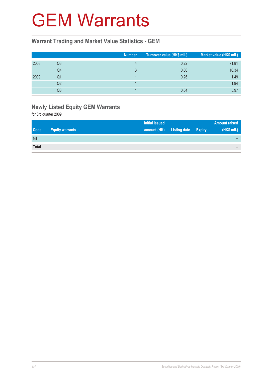## GEM Warrants

#### **Warrant Trading and Market Value Statistics - GEM**

|      |    | <b>Number</b> | Turnover value (HK\$ mil.) | Market value (HK\$ mil.) |
|------|----|---------------|----------------------------|--------------------------|
| 2008 | Q3 |               | 0.22                       | 71.81                    |
|      | Q4 |               | 0.06                       | 10.34                    |
| 2009 | Q1 |               | 0.26                       | 1.49                     |
|      | Q2 |               | $\overline{\phantom{0}}$   | 1.94                     |
|      | Q3 |               | 0.04                       | 5.97                     |

## **Newly Listed Equity GEM Warrants**

for 3rd quarter 2009

| <b>Initial issued</b>                                                              | <b>Amount raised</b> |
|------------------------------------------------------------------------------------|----------------------|
| <b>Code</b><br><b>Listing date Expiry</b><br>amount (HK)<br><b>Equity warrants</b> | (HK\$ mil.)          |
| Nil                                                                                |                      |
| <b>Total</b>                                                                       |                      |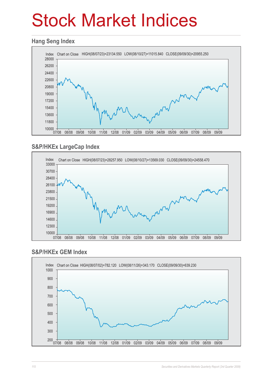# Stock Market Indices

#### **Hang Seng Index**



### **S&P/HKEx LargeCap Index**



#### **S&P/HKEx GEM Index**

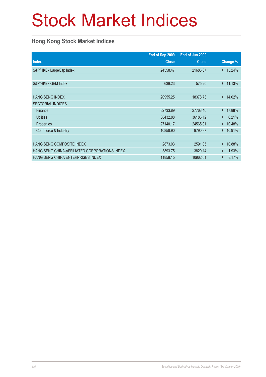# Stock Market Indices

### **Hong Kong Stock Market Indices**

|                                               | End of Sep 2009 | End of Jun 2009 |                    |
|-----------------------------------------------|-----------------|-----------------|--------------------|
| <b>Index</b>                                  | <b>Close</b>    | <b>Close</b>    | Change %           |
| S&P/HKEx LargeCap Index                       | 24558.47        | 21686.87        | $+ 13.24\%$        |
|                                               |                 |                 |                    |
| S&P/HKEx GEM Index                            | 639.23          | 575.20          | 11.13%<br>$^+$     |
|                                               |                 |                 |                    |
| <b>HANG SENG INDEX</b>                        | 20955.25        | 18378.73        | 14.02%<br>$^{+}$   |
| <b>SECTORIAL INDICES</b>                      |                 |                 |                    |
| Finance                                       | 32733.89        | 27768.46        | 17.88%<br>$^{+}$   |
| <b>Utilities</b>                              | 38432.88        | 36186.12        | 6.21%<br>$+$       |
| Properties                                    | 27140.17        | 24565.01        | 10.48%<br>$+$      |
| Commerce & Industry                           | 10858.90        | 9790.97         | + 10.91%           |
|                                               |                 |                 |                    |
| HANG SENG COMPOSITE INDEX                     | 2873.03         | 2591.05         | 10.88%<br>$^{+}$   |
| HANG SENG CHINA-AFFILIATED CORPORATIONS INDEX | 3893.75         | 3820.14         | 1.93%<br>$+$       |
| <b>HANG SENG CHINA ENTERPRISES INDEX</b>      | 11858.15        | 10962.61        | 8.17%<br>$\ddot{}$ |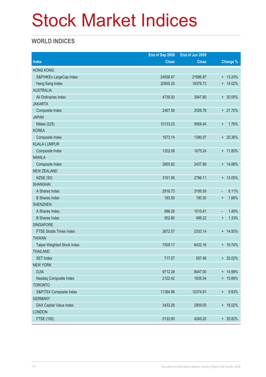# Stock Market Indices

### **WORLD INDICES**

|                                 | End of Sep 2009 | End of Jun 2009 |                                   |
|---------------------------------|-----------------|-----------------|-----------------------------------|
| <b>Index</b>                    | <b>Close</b>    | <b>Close</b>    | Change %                          |
| <b>HONG KONG</b>                |                 |                 |                                   |
| S&P/HKEx LargeCap Index         | 24558.47        | 21686.87        | $+ 13.24%$                        |
| Hang Seng Index                 | 20955.25        | 18378.73        | $+ 14.02%$                        |
| <b>AUSTRALIA</b>                |                 |                 |                                   |
| All Ordinaries Index            | 4739.30         | 3947.80         | + 20.05%                          |
| <b>JAKARTA</b>                  |                 |                 |                                   |
| Composite Index                 | 2467.59         | 2026.78         | + 21.75%                          |
| <b>JAPAN</b>                    |                 |                 |                                   |
| Nikkei (225)                    | 10133.23        | 9958.44         | 1.76%<br>$\ddot{}$                |
| <b>KOREA</b>                    |                 |                 |                                   |
| Composite Index                 | 1673.14         | 1390.07         | + 20.36%                          |
| <b>KUALA LUMPUR</b>             |                 |                 |                                   |
| Composite Index                 | 1202.08         | 1075.24         | + 11.80%                          |
| <b>MANILA</b>                   |                 |                 |                                   |
| Composite Index                 | 2800.82         | 2437.99         | + 14.88%                          |
| <b>NEW ZEALAND</b>              |                 |                 |                                   |
| <b>NZSE (50)</b>                | 3161.06         | 2796.11         | + 13.05%                          |
| <b>SHANGHAI</b>                 |                 |                 |                                   |
| A Shares Index                  | 2916.73         | 3106.59         | 6.11%<br>$\overline{\phantom{a}}$ |
| <b>B</b> Shares Index           | 193.50          | 190.30          | 1.68%<br>$\ddot{}$                |
| <b>SHENZHEN</b>                 |                 |                 |                                   |
| A Shares Index                  | 996.26          | 1010.41         | 1.40%<br>$\overline{\phantom{a}}$ |
| <b>B</b> Shares Index           | 502.80          | 496.22          | 1.33%<br>$\ddot{}$                |
| <b>SINGAPORE</b>                |                 |                 |                                   |
| <b>FTSE Straits Times Index</b> | 2672.57         | 2333.14         | + 14.55%                          |
| <b>TAIWAN</b>                   |                 |                 |                                   |
| Taipei Weighted Stock Index     | 7509.17         | 6432.16         | + 16.74%                          |
| <b>THAILAND</b>                 |                 |                 |                                   |
| <b>SET Index</b>                | 717.07          | 597.48          | + 20.02%                          |
| <b>NEW YORK</b>                 |                 |                 |                                   |
| <b>DJIA</b>                     | 9712.28         | 8447.00         | + 14.98%                          |
| Nasdaq Composite Index          | 2122.42         | 1835.04         | + 15.66%                          |
| <b>TORONTO</b>                  |                 |                 |                                   |
| S&P/TSX Composite Index         | 11394.96        | 10374.91        | 9.83%<br>$+$                      |
| <b>GERMANY</b>                  |                 |                 |                                   |
| DAX Capital Value Index         | 3433.26         | 2909.05         | + 18.02%                          |
| <b>LONDON</b>                   |                 |                 |                                   |
| FTSE (100)                      | 5133.90         | 4249.20         | + 20.82%                          |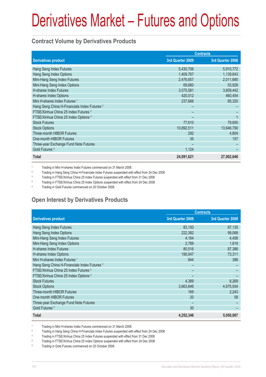#### **Contract Volume by Derivatives Products**

|                                                         |                  | <b>Contracts</b> |
|---------------------------------------------------------|------------------|------------------|
| <b>Derivatives product</b>                              | 3rd Quarter 2009 | 3rd Quarter 2008 |
| Hang Seng Index Futures                                 | 5,430,706        | 5,910,772        |
| Hang Seng Index Options                                 | 1,409,767        | 1,139,643        |
| Mini-Hang Seng Index Futures                            | 2,476,657        | 2,011,680        |
| Mini-Hang Seng Index Options                            | 69,660           | 53,928           |
| H-shares Index Futures                                  | 3,075,581        | 3,609,442        |
| H-shares Index Options                                  | 420,012          | 460,454          |
| Mini H-shares Index Futures <sup>1</sup>                | 237,666          | 85,320           |
| Hang Seng China H-Financials Index Futures <sup>2</sup> |                  |                  |
| FTSE/Xinhua China 25 Index Futures <sup>3</sup>         |                  |                  |
| FTSE/Xinhua China 25 Index Options 4                    |                  |                  |
| <b>Stock Futures</b>                                    | 77,610           | 79,655           |
| <b>Stock Options</b>                                    | 10,892,511       | 13,646,790       |
| <b>Three-month HIBOR Futures</b>                        | 292              | 4.804            |
| One-month HIBOR Futures                                 | 35               | 157              |
| Three-year Exchange Fund Note Futures                   |                  |                  |
| Gold Futures <sup>5</sup>                               | 1,124            |                  |
| <b>Total</b>                                            | 24,091,621       | 27,002,646       |

1 Trading in Mini H-shares Index Futures commenced on 31 March 2008.

 $\overline{2}$ Trading in Hang Seng China H-Financials Index Futures suspended with effect from 24 Dec 2008

3 Trading in FTSE/Xinhua China 25 Index Futures suspended with effect from 31 Dec 2008

4 Trading in FTSE/Xinhua China 25 Index Options suspended with effect from 24 Dec 2008

5 Trading in Gold Futures commenced on 20 October 2008.

## **Open Interest by Derivatives Products**

|                                                         |                  | <b>Contracts</b> |
|---------------------------------------------------------|------------------|------------------|
| <b>Derivatives product</b>                              | 3rd Quarter 2009 | 3rd Quarter 2008 |
| Hang Seng Index Futures                                 | 83,150           | 97,135           |
| Hang Seng Index Options                                 | 222,382          | 99,068           |
| Mini-Hang Seng Index Futures                            | 4,164            | 4,456            |
| Mini-Hang Seng Index Options                            | 2,789            | 1,819            |
| <b>H-shares Index Futures</b>                           | 80,516           | 87,386           |
| H-shares Index Options                                  | 190.047          | 73,311           |
| Mini H-shares Index Futures <sup>1</sup>                | 844              | 388              |
| Hang Seng China H-Financials Index Futures <sup>2</sup> |                  |                  |
| FTSE/Xinhua China 25 Index Futures 3                    |                  |                  |
| FTSE/Xinhua China 25 Index Options 4                    |                  |                  |
| <b>Stock Futures</b>                                    | 4,389            | 8,269            |
| <b>Stock Options</b>                                    | 3,663,846        | 4,675,934        |
| <b>Three-month HIBOR Futures</b>                        | 169              | 2,243            |
| One-month HIBOR Futures                                 | 20               | 58               |
| Three-year Exchange Fund Note Futures                   |                  |                  |
| Gold Futures <sup>5</sup>                               | 30               |                  |
| <b>Total</b>                                            | 4,252,346        | 5,050,067        |

1 Trading in Mini H-shares Index Futures commenced on 31 March 2008.

2 Trading in Hang Seng China H-Financials Index Futures suspended with effect from 24 Dec 2008

3 Trading in FTSE/Xinhua China 25 Index Futures suspended with effect from 31 Dec 2008

4 Trading in FTSE/Xinhua China 25 Index Options suspended with effect from 24 Dec 2008

5 Trading in Gold Futures commenced on 20 October 2008.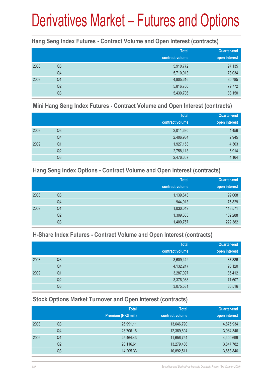#### **Hang Seng Index Futures - Contract Volume and Open Interest (contracts)**

|      |                | <b>Total</b><br>contract volume | <b>Quarter-end</b><br>open interest |
|------|----------------|---------------------------------|-------------------------------------|
| 2008 | Q <sub>3</sub> | 5,910,772                       | 97,135                              |
|      | Q4             | 5,710,013                       | 73,034                              |
| 2009 | Q <sub>1</sub> | 4,805,616                       | 80,785                              |
|      | Q <sub>2</sub> | 5,816,700                       | 79,772                              |
|      | Q3             | 5,430,706                       | 83,150                              |

#### **Mini Hang Seng Index Futures - Contract Volume and Open Interest (contracts)**

|      |                | <b>Total</b><br>contract volume | Quarter-end<br>open interest |
|------|----------------|---------------------------------|------------------------------|
| 2008 | Q <sub>3</sub> | 2,011,680                       | 4,456                        |
|      | Q4             | 2,406,984                       | 2,945                        |
| 2009 | Q <sub>1</sub> | 1,927,153                       | 4,303                        |
|      | Q <sub>2</sub> | 2,758,113                       | 5,914                        |
|      | Q <sub>3</sub> | 2,476,657                       | 4,164                        |

#### **Hang Seng Index Options - Contract Volume and Open Interest (contracts)**

|      |                | <b>Total</b>    | Quarter-end   |
|------|----------------|-----------------|---------------|
|      |                | contract volume | open interest |
| 2008 | Q <sub>3</sub> | 1,139,643       | 99,068        |
|      | Q4             | 944,013         | 75,829        |
| 2009 | Q <sub>1</sub> | 1,030,049       | 118,571       |
|      | Q2             | 1,309,363       | 182,288       |
|      | Q3             | 1,409,767       | 222,382       |

#### **H-Share Index Futures - Contract Volume and Open Interest (contracts)**

|      |                | <b>Total</b>    | <b>Quarter-end</b> |
|------|----------------|-----------------|--------------------|
|      |                | contract volume | open interest      |
| 2008 | Q3             | 3,609,442       | 87,386             |
|      | Q4             | 4,132,247       | 96,120             |
| 2009 | Q1             | 3,287,097       | 85,412             |
|      | Q2             | 3,376,088       | 71,607             |
|      | Q <sub>3</sub> | 3,075,581       | 80,516             |

#### **Stock Options Market Turnover and Open Interest (contracts)**

|      |    | <b>Total</b>        | <b>Total</b>    | Quarter-end   |
|------|----|---------------------|-----------------|---------------|
|      |    | Premium (HK\$ mil.) | contract volume | open interest |
| 2008 | Q3 | 26,991.11           | 13,646,790      | 4,675,934     |
|      | Q4 | 28,706.16           | 12,369,694      | 3,984,346     |
| 2009 | Q1 | 25,464.43           | 11,656,754      | 4,400,699     |
|      | Q2 | 20,116.61           | 13,279,436      | 3,847,782     |
|      | Q3 | 14,205.33           | 10,892,511      | 3,663,846     |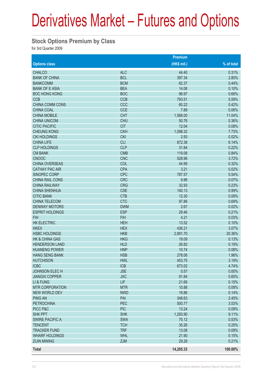#### **Stock Options Premium by Class**

for 3rd Quarter 2009

|                           |            | <b>Premium</b> |            |
|---------------------------|------------|----------------|------------|
| <b>Options class</b>      |            | $(HK$$ mil.)   | % of total |
| <b>CHALCO</b>             | <b>ALC</b> | 44.40          | 0.31%      |
| <b>BANK OF CHINA</b>      | <b>BCL</b> | 397.34         | 2.80%      |
| <b>BANKCOMM</b>           | <b>BCM</b> | 62.37          | 0.44%      |
| <b>BANK OF E ASIA</b>     | <b>BEA</b> | 14.06          | 0.10%      |
| <b>BOC HONG KONG</b>      | <b>BOC</b> | 96.97          | 0.68%      |
| <b>CCB</b>                | <b>CCB</b> | 793.51         | 5.59%      |
| <b>CHINA COMM CONS</b>    | CCC        | 60.22          | 0.42%      |
| <b>CHINA COAL</b>         | <b>CCE</b> | 7.89           | 0.06%      |
| <b>CHINA MOBILE</b>       | <b>CHT</b> | 1,568.00       | 11.04%     |
| <b>CHINA UNICOM</b>       | <b>CHU</b> | 50.76          | 0.36%      |
| <b>CITIC PACIFIC</b>      | <b>CIT</b> | 12.04          | 0.08%      |
| <b>CHEUNG KONG</b>        | <b>CKH</b> | 1,098.32       | 7.73%      |
| <b>CKI HOLDINGS</b>       | <b>CKI</b> | 2.93           | 0.02%      |
| <b>CHINA LIFE</b>         | <b>CLI</b> | 872.38         | 6.14%      |
| <b>CLP HOLDINGS</b>       | <b>CLP</b> | 31.84          | 0.22%      |
| <b>CM BANK</b>            | <b>CMB</b> | 119.08         | 0.84%      |
| <b>CNOOC</b>              | <b>CNC</b> | 528.96         | 3.72%      |
| <b>CHINA OVERSEAS</b>     | COL        | 44.99          | 0.32%      |
| <b>CATHAY PAC AIR</b>     | <b>CPA</b> | 3.21           | 0.02%      |
| SINOPEC CORP              | <b>CPC</b> | 787.57         | 5.54%      |
| CHINA RAIL CONS           | <b>CRC</b> | 9.96           | 0.07%      |
| <b>CHINA RAILWAY</b>      | <b>CRG</b> | 32.93          | 0.23%      |
| <b>CHINA SHENHUA</b>      | <b>CSE</b> | 140.13         | 0.99%      |
| <b>CITIC BANK</b>         | <b>CTB</b> | 12.30          | 0.09%      |
| <b>CHINA TELECOM</b>      | <b>CTC</b> | 97.86          | 0.69%      |
| <b>DENWAY MOTORS</b>      | <b>DWM</b> | 2.67           | 0.02%      |
| <b>ESPRIT HOLDINGS</b>    | <b>ESP</b> | 29.46          | 0.21%      |
|                           |            |                |            |
| <b>FIH</b>                | <b>FIH</b> | 4.21           | 0.03%      |
| <b>HK ELECTRIC</b>        | <b>HEH</b> | 13.52          | 0.10%      |
| <b>HKEX</b>               | <b>HEX</b> | 436.21         | 3.07%      |
| <b>HSBC HOLDINGS</b>      | <b>HKB</b> | 2,891.70       | 20.36%     |
| <b>HK &amp; CHINA GAS</b> | <b>HKG</b> | 19.09          | 0.13%      |
| <b>HENDERSON LAND</b>     | <b>HLD</b> | 26.82          | 0.19%      |
| <b>HUANENG POWER</b>      | <b>HNP</b> | 10.74          | 0.08%      |
| HANG SENG BANK            | <b>HSB</b> | 278.06         | 1.96%      |
| <b>HUTCHISON</b>          | <b>HWL</b> | 453.75         | 3.19%      |
| <b>ICBC</b>               | <b>ICB</b> | 673.02         | 4.74%      |
| JOHNSON ELECH             | <b>JSE</b> | 0.57           | 0.00%      |
| <b>JIANGXI COPPER</b>     | <b>JXC</b> | 91.84          | 0.65%      |
| LI & FUNG                 | <b>LIF</b> | 21.69          | 0.15%      |
| <b>MTR CORPORATION</b>    | <b>MTR</b> | 10.88          | 0.08%      |
| NEW WORLD DEV             | <b>NWD</b> | 19.86          | 0.14%      |
| <b>PING AN</b>            | PAI        | 348.63         | 2.45%      |
| <b>PETROCHINA</b>         | PEC        | 500.77         | 3.53%      |
| PICC P&C                  | <b>PIC</b> | 13.24          | 0.09%      |
| <b>SHK PPT</b>            | <b>SHK</b> | 1,293.90       | 9.11%      |
| <b>SWIRE PACIFIC A</b>    | <b>SWA</b> | 75.12          | 0.53%      |
| <b>TENCENT</b>            | <b>TCH</b> | 35.26          | 0.25%      |
| <b>TRACKER FUND</b>       | <b>TRF</b> | 13.08          | 0.09%      |
| <b>WHARF HOLDINGS</b>     | <b>WHL</b> | 21.90          | 0.15%      |
| <b>ZIJIN MINING</b>       | <b>ZJM</b> | 29.28          | 0.21%      |
| <b>Total</b>              |            | 14,205.33      | 100.00%    |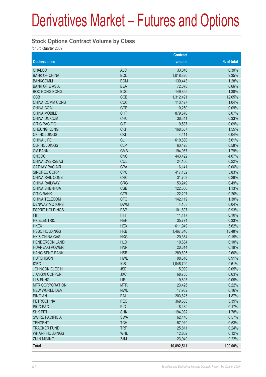#### **Stock Options Contract Volume by Class**

for 3rd Quarter 2009

|                           |            | <b>Contract</b> |            |
|---------------------------|------------|-----------------|------------|
| <b>Options class</b>      |            | volume          | % of total |
| <b>CHALCO</b>             | <b>ALC</b> | 33,046          | 0.30%      |
| <b>BANK OF CHINA</b>      | <b>BCL</b> | 1,018,820       | 9.35%      |
| <b>BANKCOMM</b>           | <b>BCM</b> | 139,443         | 1.28%      |
| <b>BANK OF E ASIA</b>     | <b>BEA</b> | 72,078          | 0.66%      |
| <b>BOC HONG KONG</b>      | <b>BOC</b> | 149,855         | 1.38%      |
| <b>CCB</b>                | <b>CCB</b> | 1,312,491       | 12.05%     |
| <b>CHINA COMM CONS</b>    | CCC        | 113,427         | 1.04%      |
| <b>CHINA COAL</b>         | <b>CCE</b> | 10,250          | 0.09%      |
| <b>CHINA MOBILE</b>       | <b>CHT</b> | 879,570         | 8.07%      |
| <b>CHINA UNICOM</b>       | <b>CHU</b> | 36,341          | 0.33%      |
| <b>CITIC PACIFIC</b>      | <b>CIT</b> | 9,537           | 0.09%      |
| <b>CHEUNG KONG</b>        | <b>CKH</b> | 168,567         | 1.55%      |
| <b>CKI HOLDINGS</b>       | <b>CKI</b> | 4,411           | 0.04%      |
| <b>CHINA LIFE</b>         | <b>CLI</b> | 610,830         | 5.61%      |
| <b>CLP HOLDINGS</b>       | <b>CLP</b> | 63,428          | 0.58%      |
| <b>CM BANK</b>            | <b>CMB</b> | 194,967         | 1.79%      |
| <b>CNOOC</b>              | <b>CNC</b> | 443,492         | 4.07%      |
| <b>CHINA OVERSEAS</b>     | COL        | 24,106          | 0.22%      |
| <b>CATHAY PAC AIR</b>     | <b>CPA</b> | 6,141           | 0.06%      |
| SINOPEC CORP              | <b>CPC</b> | 417,182         | 3.83%      |
| CHINA RAIL CONS           | <b>CRC</b> | 31,703          | 0.29%      |
| <b>CHINA RAILWAY</b>      | <b>CRG</b> | 53,249          | 0.49%      |
| <b>CHINA SHENHUA</b>      | <b>CSE</b> | 122,606         | 1.13%      |
| <b>CITIC BANK</b>         | <b>CTB</b> | 22,297          | 0.20%      |
| <b>CHINA TELECOM</b>      | <b>CTC</b> | 142,119         | 1.30%      |
| <b>DENWAY MOTORS</b>      | <b>DWM</b> | 4,168           | 0.04%      |
| <b>ESPRIT HOLDINGS</b>    | <b>ESP</b> | 101,607         | 0.93%      |
| <b>FIH</b>                | <b>FIH</b> | 11,117          | 0.10%      |
| <b>HK ELECTRIC</b>        | <b>HEH</b> | 35,774          | 0.33%      |
| <b>HKEX</b>               | <b>HEX</b> | 611,949         | 5.62%      |
| <b>HSBC HOLDINGS</b>      | <b>HKB</b> | 1,467,840       | 13.48%     |
| <b>HK &amp; CHINA GAS</b> | <b>HKG</b> | 20,364          | 0.19%      |
| <b>HENDERSON LAND</b>     | <b>HLD</b> | 10,684          | 0.10%      |
| <b>HUANENG POWER</b>      | <b>HNP</b> | 20,614          | 0.19%      |
| <b>HANG SENG BANK</b>     | <b>HSB</b> | 289,695         | 2.66%      |
| <b>HUTCHISON</b>          | <b>HWL</b> | 98,616          | 0.91%      |
| <b>ICBC</b>               | ICB        | 1,046,799       | 9.61%      |
| JOHNSON ELEC H            | <b>JSE</b> | 5,099           | 0.05%      |
| <b>JIANGXI COPPER</b>     | <b>JXC</b> | 68,700          | 0.63%      |
| LI & FUNG                 | <b>LIF</b> | 9,805           | 0.09%      |
| <b>MTR CORPORATION</b>    | <b>MTR</b> | 23,426          | 0.22%      |
| NEW WORLD DEV             | <b>NWD</b> | 17,932          | 0.16%      |
| <b>PING AN</b>            | PAI        | 203,625         | 1.87%      |
| <b>PETROCHINA</b>         | PEC        | 369,608         | 3.39%      |
| PICC P&C                  | <b>PIC</b> | 18,439          | 0.17%      |
| <b>SHK PPT</b>            | <b>SHK</b> | 194,032         | 1.78%      |
| <b>SWIRE PACIFIC A</b>    | <b>SWA</b> | 62,140          | 0.57%      |
| <b>TENCENT</b>            | <b>TCH</b> | 57,910          | 0.53%      |
| <b>TRACKER FUND</b>       | <b>TRF</b> | 25,811          | 0.24%      |
| <b>WHARF HOLDINGS</b>     | <b>WHL</b> | 12,852          | 0.12%      |
| <b>ZIJIN MINING</b>       | <b>ZJM</b> | 23,949          | 0.22%      |
| <b>Total</b>              |            | 10,892,511      | 100.00%    |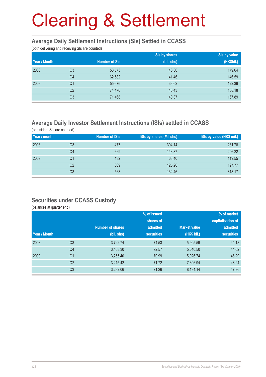#### **Average Daily Settlement Instructions (SIs) Settled in CCASS**

(both delivering and receiving SIs are counted)

|              |                |                      | Sis by shares | Sis by value |
|--------------|----------------|----------------------|---------------|--------------|
| Year / Month |                | <b>Number of SIs</b> | (bil. shs)    | (HK\$bil.)   |
| 2008         | Q <sub>3</sub> | 58,573               | 46.36         | 179.64       |
|              | Q4             | 62,582               | 41.46         | 146.59       |
| 2009         | Q <sub>1</sub> | 55,676               | 33.62         | 122.39       |
|              | Q <sub>2</sub> | 74,476               | 46.43         | 188.18       |
|              | Q <sub>3</sub> | 71,468               | 40.37         | 167.89       |

### **Average Daily Investor Settlement Instructions (ISIs) settled in CCASS**

(one sided ISIs are counted)

| Year / month |    | <b>Number of ISIs</b> | ISIs by shares (Mil shs) | ISIs by value (HK\$ mil.) |
|--------------|----|-----------------------|--------------------------|---------------------------|
| 2008         | Q3 | 477                   | 394.14                   | 231.78                    |
|              | Q4 | 669                   | 143.37                   | 206.22                    |
| 2009         | Q1 | 432                   | 68.40                    | 119.55                    |
|              | Q2 | 609                   | 125.20                   | 197.77                    |
|              | Q3 | 568                   | 132.46                   | 318.17                    |

#### **Securities under CCASS Custody**

(balances at quarter end)

|              |                |                         | % of issued       |                     | % of market       |
|--------------|----------------|-------------------------|-------------------|---------------------|-------------------|
|              |                |                         | shares of         |                     | capitalisation of |
|              |                | <b>Number of shares</b> | admitted          | <b>Market value</b> | admitted          |
| Year / Month |                | (bil. shs)              | <b>securities</b> | (HK\$ bil.)         | <b>securities</b> |
| 2008         | Q <sub>3</sub> | 3,722.74                | 74.53             | 5,905.59            | 44.18             |
|              | Q4             | 3,408.30                | 72.57             | 5,040.50            | 44.62             |
| 2009         | Q <sub>1</sub> | 3,255.40                | 70.99             | 5,026.74            | 46.29             |
|              | Q <sub>2</sub> | 3,215.42                | 71.72             | 7,306.94            | 48.24             |
|              | Q <sub>3</sub> | 3,282.06                | 71.26             | 8,194.14            | 47.96             |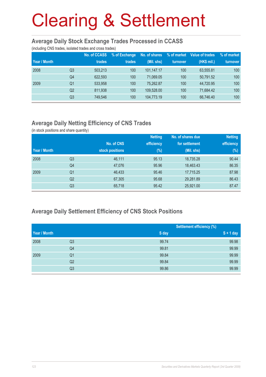#### **Average Daily Stock Exchange Trades Processed in CCASS**

(including CNS trades, isolated trades and cross trades)

| Year / Month |                | <b>No. of CCASS</b><br>trades | % of Exchange<br>trades | No. of shares<br>(Mil. shs) | % of market<br>turnover | Value of trades<br>(HK\$ mil.) | % of market<br>turnover |
|--------------|----------------|-------------------------------|-------------------------|-----------------------------|-------------------------|--------------------------------|-------------------------|
| 2008         | Q3             | 503.213                       | 100                     | 101.147.17                  | 100                     | 63.555.81                      | 100                     |
|              | Q <sub>4</sub> | 622,593                       | 100                     | 71.069.05                   | 100                     | 50,791.52                      | 100                     |
| 2009         | Q1             | 533.958                       | 100                     | 75.262.87                   | 100                     | 44.720.95                      | 100                     |
|              | Q <sub>2</sub> | 811.938                       | 100                     | 109.528.00                  | 100                     | 71.684.42                      | 100                     |
|              | Q3             | 749.546                       | 100                     | 104,773.19                  | 100                     | 66.746.40                      | 100                     |

## **Average Daily Netting Efficiency of CNS Trades**

(in stock positions and share quantity)

|              |                |                 | <b>Netting</b> | No. of shares due | <b>Netting</b> |
|--------------|----------------|-----------------|----------------|-------------------|----------------|
|              |                | No. of CNS      | efficiency     | for settlement    | efficiency     |
| Year / Month |                | stock positions | $(\%)$         | (Mil. shs)        | $(\%)$         |
| 2008         | Q <sub>3</sub> | 46,111          | 95.13          | 18,735.28         | 90.44          |
|              | Q4             | 47,076          | 95.96          | 18,463.43         | 86.35          |
| 2009         | Q1             | 46,433          | 95.46          | 17,715.25         | 87.98          |
|              | Q <sub>2</sub> | 67,305          | 95.68          | 29,281.89         | 86.43          |
|              | Q <sub>3</sub> | 65,718          | 95.42          | 25,921.00         | 87.47          |

### **Average Daily Settlement Efficiency of CNS Stock Positions**

|              |                | <b>Settlement efficiency (%)</b> |             |
|--------------|----------------|----------------------------------|-------------|
| Year / Month |                | S day                            | $S + 1$ day |
| 2008         | Q3             | 99.74                            | 99.98       |
|              | Q4             | 99.81                            | 99.99       |
| 2009         | Q <sub>1</sub> | 99.84                            | 99.99       |
|              | Q2             | 99.84                            | 99.99       |
|              | Q3             | 99.86                            | 99.99       |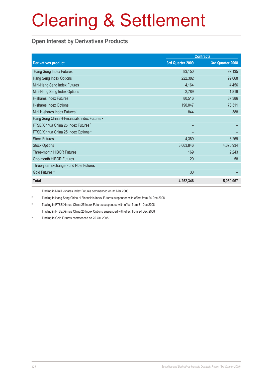### **Open Interest by Derivatives Products**

|                                                         |                  | <b>Contracts</b> |
|---------------------------------------------------------|------------------|------------------|
| <b>Derivatives product</b>                              | 3rd Quarter 2009 | 3rd Quarter 2008 |
| Hang Seng Index Futures                                 | 83,150           | 97,135           |
| Hang Seng Index Options                                 | 222,382          | 99,068           |
| Mini-Hang Seng Index Futures                            | 4,164            | 4,456            |
| Mini-Hang Seng Index Options                            | 2,789            | 1,819            |
| H-shares Index Futures                                  | 80,516           | 87,386           |
| H-shares Index Options                                  | 190,047          | 73,311           |
| Mini H-shares Index Futures <sup>1</sup>                | 844              | 388              |
| Hang Seng China H-Financials Index Futures <sup>2</sup> |                  |                  |
| FTSE/Xinhua China 25 Index Futures 3                    |                  |                  |
| FTSE/Xinhua China 25 Index Options 4                    |                  |                  |
| <b>Stock Futures</b>                                    | 4,389            | 8,269            |
| <b>Stock Options</b>                                    | 3,663,846        | 4,675,934        |
| Three-month HIBOR Futures                               | 169              | 2,243            |
| One-month HIBOR Futures                                 | 20               | 58               |
| Three-year Exchange Fund Note Futures                   |                  |                  |
| Gold Futures <sup>5</sup>                               | 30               |                  |
| <b>Total</b>                                            | 4,252,346        | 5,050,067        |

1 Trading in Mini H-shares Index Futures commenced on 31 Mar 2008

2 Trading in Hang Seng China H-Financials Index Futures suspended with effect from 24 Dec 2008

3 Trading in FTSE/Xinhua China 25 Index Futures suspended with effect from 31 Dec 2008

4 Trading in FTSE/Xinhua China 25 Index Options suspended with effect from 24 Dec 2008

5 Trading in Gold Futures commenced on 20 Oct 2008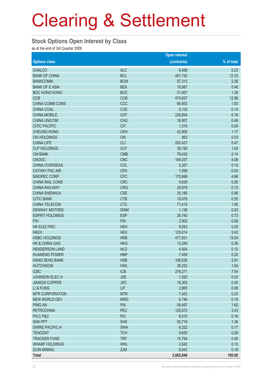#### **Stock Options Open Interest by Class**

as at the end of 3rd Quarter 2009

|                           |            | <b>Open interest</b> |            |
|---------------------------|------------|----------------------|------------|
| <b>Options class</b>      |            | (contracts)          | % of total |
| <b>CHALCO</b>             | <b>ALC</b> | 8,489                | 0.23       |
| <b>BANK OF CHINA</b>      | <b>BCL</b> | 451,742              | 12.33      |
| <b>BANKCOMM</b>           | <b>BCM</b> | 87,313               | 2.38       |
| <b>BANK OF E ASIA</b>     | <b>BEA</b> | 16,987               | 0.46       |
| <b>BOC HONG KONG</b>      | <b>BOC</b> | 51,007               | 1.39       |
| <b>CCB</b>                | <b>CCB</b> | 474,837              | 12.96      |
| CHINA COMM CONS           | CCC        | 66,953               | 1.83       |
| <b>CHINA COAL</b>         | <b>CCE</b> | 5,105                | 0.14       |
| <b>CHINA MOBILE</b>       | <b>CHT</b> | 226,854              | 6.19       |
| <b>CHINA UNICOM</b>       | <b>CHU</b> | 16,807               | 0.46       |
| <b>CITIC PACIFIC</b>      | <b>CIT</b> | 1,316                | 0.04       |
| <b>CHEUNG KONG</b>        | <b>CKH</b> | 42,906               | 1.17       |
| <b>CKI HOLDINGS</b>       | <b>CKI</b> | 953                  | 0.03       |
| <b>CHINA LIFE</b>         | <b>CLI</b> | 200,427              | 5.47       |
| <b>CLP HOLDINGS</b>       | <b>CLP</b> | 38,190               | 1.04       |
| <b>CM BANK</b>            | <b>CMB</b> | 78,435               | 2.14       |
| <b>CNOOC</b>              | <b>CNC</b> | 149,337              | 4.08       |
| <b>CHINA OVERSEAS</b>     | COL        | 5,357                | 0.15       |
| <b>CATHAY PAC AIR</b>     | <b>CPA</b> | 1,599                | 0.04       |
| SINOPEC CORP              | <b>CPC</b> | 170,666              | 4.66       |
| <b>CHINA RAIL CONS</b>    | <b>CRC</b> | 9,639                | 0.26       |
| <b>CHINA RAILWAY</b>      | <b>CRG</b> | 26,879               | 0.73       |
| <b>CHINA SHENHUA</b>      | <b>CSE</b> | 35,186               | 0.96       |
| <b>CITIC BANK</b>         | <b>CTB</b> | 18,478               | 0.50       |
| CHINA TELECOM             | <b>CTC</b> | 71,415               | 1.95       |
| <b>DENWAY MOTORS</b>      | <b>DWM</b> | 1,136                | 0.03       |
| <b>ESPRIT HOLDINGS</b>    | <b>ESP</b> | 26,740               | 0.73       |
| <b>FIH</b>                | <b>FIH</b> | 2,902                | 0.08       |
| <b>HK ELECTRIC</b>        | <b>HEH</b> | 9,093                | 0.25       |
| <b>HKEX</b>               | <b>HEX</b> | 125,614              | 3.43       |
| <b>HSBC HOLDINGS</b>      | <b>HKB</b> | 477,831              | 13.04      |
| <b>HK &amp; CHINA GAS</b> | <b>HKG</b> | 13,249               | 0.36       |
| <b>HENDERSON LAND</b>     | <b>HLD</b> | 4,504                | 0.12       |
| <b>HUANENG POWER</b>      | <b>HNP</b> | 7,499                | 0.20       |
| <b>HANG SENG BANK</b>     | <b>HSB</b> | 106,536              | 2.91       |
| <b>HUTCHISON</b>          | <b>HWL</b> | 38,252               | 1.04       |
| <b>ICBC</b>               | <b>ICB</b> | 276,271              | 7.54       |
| <b>JOHNSON ELECH</b>      | <b>JSE</b> | 1,020                | 0.03       |
| <b>JIANGXI COPPER</b>     | <b>JXC</b> | 16,305               | 0.45       |
| LI & FUNG                 | LIF        | 2,965                | 0.08       |
| <b>MTR CORPORATION</b>    | <b>MTR</b> | 7,453                | 0.20       |
| NEW WORLD DEV             | <b>NWD</b> | 6,746                | 0.18       |
| <b>PING AN</b>            | PAI        | 59,497               | 1.62       |
| <b>PETROCHINA</b>         | PEC        | 125,672              | 3.43       |
| PICC P&C                  | <b>PIC</b> | 6,010                | 0.16       |
| <b>SHK PPT</b>            | <b>SHK</b> | 50,719               | 1.38       |
| <b>SWIRE PACIFIC A</b>    | <b>SWA</b> | 6,322                | 0.17       |
| <b>TENCENT</b>            | <b>TCH</b> | 9,655                | 0.26       |
| <b>TRACKER FUND</b>       | <b>TRF</b> | 14,794               | 0.40       |
| <b>WHARF HOLDINGS</b>     | <b>WHL</b> | 3,542                | 0.10       |
| <b>ZIJIN MINING</b>       | <b>ZJM</b> | 6,642                | 0.18       |
| <b>Total</b>              |            | 3,663,846            | 100.00     |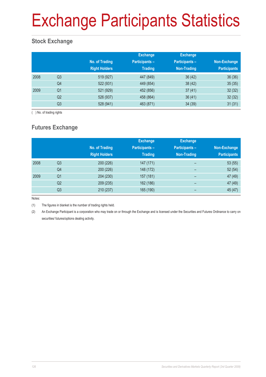# Exchange Participants Statistics

## **Stock Exchange**

|      |                | No. of Trading<br><b>Right Holders</b> | <b>Exchange</b><br><b>Participants-</b><br><b>Trading</b> | <b>Exchange</b><br><b>Participants -</b><br>Non-Trading | Non-Exchange<br><b>Participants</b> |
|------|----------------|----------------------------------------|-----------------------------------------------------------|---------------------------------------------------------|-------------------------------------|
| 2008 | Q <sub>3</sub> | 519 (927)                              | 447 (849)                                                 | 36(42)                                                  | 36(36)                              |
|      | Q4             | 522 (931)                              | 449 (854)                                                 | 38(42)                                                  | 35(35)                              |
| 2009 | Q <sub>1</sub> | 521 (929)                              | 452 (856)                                                 | 37(41)                                                  | 32(32)                              |
|      | Q2             | 526 (937)                              | 458 (864)                                                 | 36(41)                                                  | 32(32)                              |
|      | Q <sub>3</sub> | 528 (941)                              | 463 (871)                                                 | 34(39)                                                  | 31(31)                              |

( ) No. of trading rights

## **Futures Exchange**

|      |                | No. of Trading<br><b>Right Holders</b> | <b>Exchange</b><br><b>Participants-</b><br><b>Trading</b> | <b>Exchange</b><br>Participants-<br>Non-Trading | Non-Exchange<br><b>Participants</b> |
|------|----------------|----------------------------------------|-----------------------------------------------------------|-------------------------------------------------|-------------------------------------|
| 2008 | Q <sub>3</sub> | 200 (226)                              | 147 (171)                                                 | -                                               | 53(55)                              |
|      | Q4             | 200 (226)                              | 148 (172)                                                 | $\overline{\phantom{0}}$                        | 52(54)                              |
| 2009 | Q <sub>1</sub> | 204 (230)                              | 157 (181)                                                 | $\overline{\phantom{0}}$                        | 47 (49)                             |
|      | Q2             | 209 (235)                              | 162 (186)                                                 | -                                               | 47 (49)                             |
|      | Q3             | 210 (237)                              | 165 (190)                                                 |                                                 | 45 (47)                             |

Notes:

(1) The figures in blanket is the number of trading rights held.

(2) An Exchange Participant is a corporation who may trade on or through the Exchange and is licensed under the Securities and Futures Ordinance to carry on securities/ futures/options dealing activity.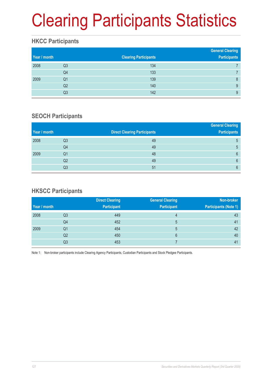# Clearing Participants Statistics

### **HKCC Participants**

| Year / month |    | <b>Clearing Participants</b> | <b>General Clearing</b><br><b>Participants</b> |
|--------------|----|------------------------------|------------------------------------------------|
| 2008         | Q3 | 134                          |                                                |
|              | Q4 | 133                          |                                                |
| 2009         | Q1 | 139                          | 8                                              |
|              | Q2 | 140                          | 9                                              |
|              | Q3 | 142                          | 9                                              |

### **SEOCH Participants**

|    |                                     | <b>General Clearing</b> |
|----|-------------------------------------|-------------------------|
|    | <b>Direct Clearing Participants</b> | <b>Participants</b>     |
| Q3 | 49                                  | 5                       |
| Q4 | 49                                  | 5                       |
| Q1 | 48                                  | 6                       |
| Q2 | 49                                  | 6                       |
| Q3 | 51                                  | 6                       |
|    |                                     |                         |

### **HKSCC Participants**

|              |                | <b>Direct Clearing</b> | <b>General Clearing</b> | Non-broker                   |
|--------------|----------------|------------------------|-------------------------|------------------------------|
| Year / month |                | <b>Participant</b>     | <b>Participant</b>      | <b>Participants (Note 1)</b> |
| 2008         | Q3             | 449                    | $\overline{4}$          | 43                           |
|              | Q4             | 452                    | 5                       | 41                           |
| 2009         | Q <sub>1</sub> | 454                    | 5                       | 42                           |
|              | Q2             | 450                    | 6                       | 40                           |
|              | Q3             | 453                    |                         | 41                           |

Note 1: Non-broker participants include Clearing Agency Participants, Custodian Participants and Stock Pledgee Participants.